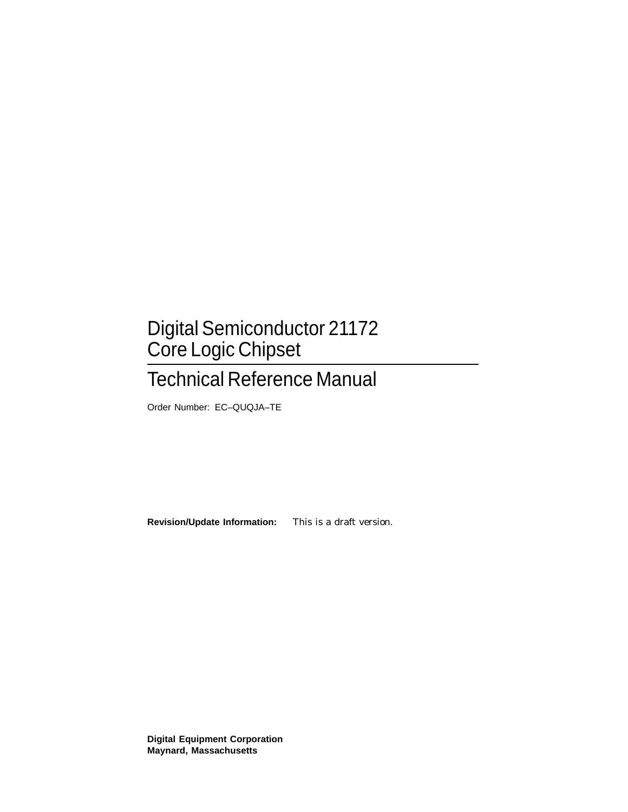# Digital Semiconductor 21172 Core Logic Chipset

# Technical Reference Manual

Order Number: EC–QUQJA–TE

**Revision/Update Information:** This is a draft version.

**Digital Equipment Corporation Maynard, Massachusetts**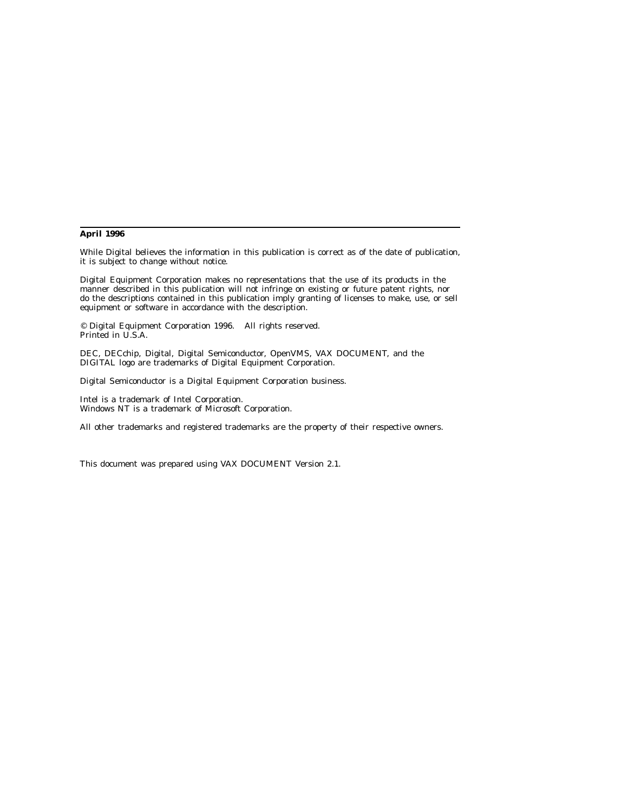#### **April 1996**

While Digital believes the information in this publication is correct as of the date of publication, it is subject to change without notice.

Digital Equipment Corporation makes no representations that the use of its products in the manner described in this publication will not infringe on existing or future patent rights, nor do the descriptions contained in this publication imply granting of licenses to make, use, or sell equipment or software in accordance with the description.

© Digital Equipment Corporation 1996. All rights reserved. Printed in U.S.A.

DEC, DECchip, Digital, Digital Semiconductor, OpenVMS, VAX DOCUMENT, and the DIGITAL logo are trademarks of Digital Equipment Corporation.

Digital Semiconductor is a Digital Equipment Corporation business.

Intel is a trademark of Intel Corporation. Windows NT is a trademark of Microsoft Corporation.

All other trademarks and registered trademarks are the property of their respective owners.

This document was prepared using VAX DOCUMENT Version 2.1.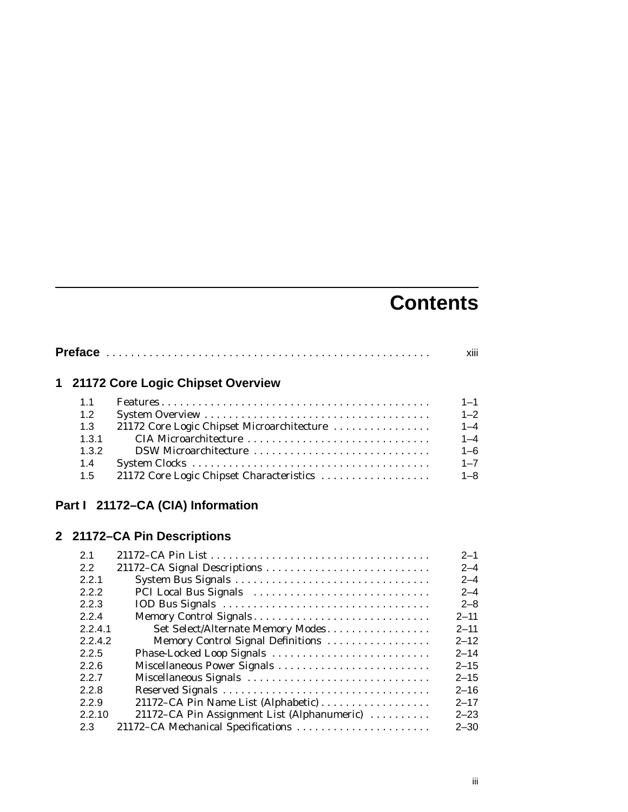# **Contents**

|       | 1 21172 Core Logic Chipset Overview        |         |
|-------|--------------------------------------------|---------|
| 11    |                                            | $1 - 1$ |
| 1.2   |                                            | $1 - 2$ |
| 1.3   | 21172 Core Logic Chipset Microarchitecture | $1 - 4$ |
| 1.3.1 | CIA Microarchitecture                      | $1 - 4$ |
| 1.3.2 | DSW Microarchitecture                      | $1 - 6$ |
| 1.4   |                                            | $1 - 7$ |
| 1.5   | 21172 Core Logic Chipset Characteristics   | $1 - 8$ |

# **Part I 21172–CA (CIA) Information**

# **2 21172–CA Pin Descriptions**

| 21      |                                             | $2 - 1$  |
|---------|---------------------------------------------|----------|
| 2.2     |                                             | $2 - 4$  |
| 2.2.1   |                                             | $2 - 4$  |
| 2.2.2   | PCI Local Bus Signals                       | $2 - 4$  |
| 2.2.3   |                                             | $2 - 8$  |
| 2.2.4   | Memory Control Signals                      | $2 - 11$ |
| 2.2.4.1 | Set Select/Alternate Memory Modes           | $2 - 11$ |
| 2.2.4.2 | Memory Control Signal Definitions           | $2 - 12$ |
| 2.2.5   | Phase-Locked Loop Signals                   | $2 - 14$ |
| 2.2.6   | Miscellaneous Power Signals                 | $2 - 15$ |
| 2.2.7   | Miscellaneous Signals                       | $2 - 15$ |
| 2.2.8   |                                             | $2 - 16$ |
| 2.2.9   | 21172–CA Pin Name List (Alphabetic)         | $2 - 17$ |
| 2.2.10  | 21172-CA Pin Assignment List (Alphanumeric) | $2 - 23$ |
| 2.3     | 21172-CA Mechanical Specifications          | $2 - 30$ |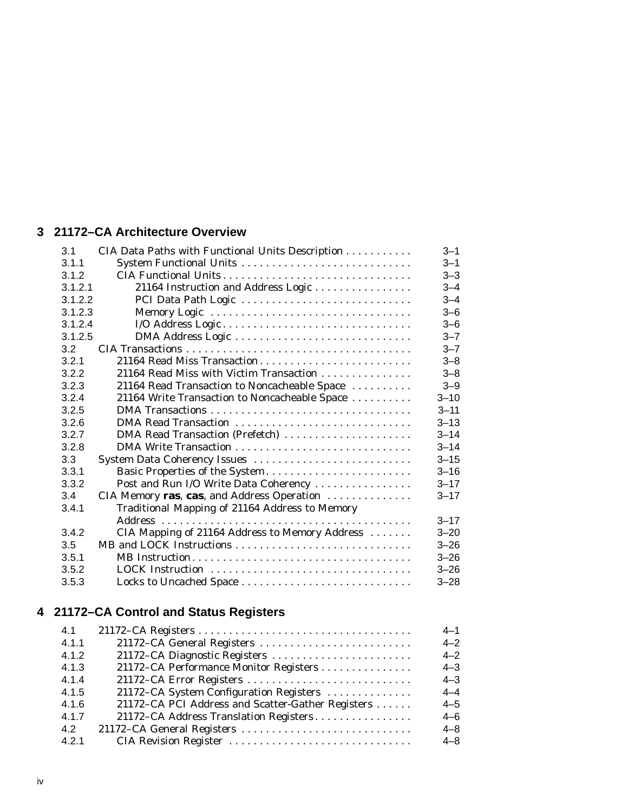# **3 21172–CA Architecture Overview**

| 3.1     | CIA Data Paths with Functional Units Description | $3 - 1$  |
|---------|--------------------------------------------------|----------|
| 3.1.1   | System Functional Units                          | $3 - 1$  |
| 3.1.2   |                                                  | $3 - 3$  |
| 3.1.2.1 | 21164 Instruction and Address Logic              | $3 - 4$  |
| 3.1.2.2 | PCI Data Path Logic                              | $3 - 4$  |
| 3.1.2.3 | Memory Logic                                     | $3 - 6$  |
| 3.1.2.4 |                                                  | $3 - 6$  |
| 3.1.2.5 |                                                  | $3 - 7$  |
| 3.2     |                                                  | $3 - 7$  |
| 3.2.1   | 21164 Read Miss Transaction                      | $3 - 8$  |
| 3.2.2   | 21164 Read Miss with Victim Transaction          | $3 - 8$  |
| 3.2.3   | 21164 Read Transaction to Noncacheable Space     | $3 - 9$  |
| 3.2.4   | 21164 Write Transaction to Noncacheable Space    | $3 - 10$ |
| 3.2.5   |                                                  | $3 - 11$ |
| 3.2.6   | DMA Read Transaction                             | $3 - 13$ |
| 3.2.7   | DMA Read Transaction (Prefetch)                  | $3 - 14$ |
| 3.2.8   |                                                  | $3 - 14$ |
| 3.3     | System Data Coherency Issues                     | $3 - 15$ |
| 3.3.1   | Basic Properties of the System                   | $3 - 16$ |
| 3.3.2   | Post and Run I/O Write Data Coherency            | $3 - 17$ |
| 3.4     | CIA Memory ras, cas, and Address Operation       | $3 - 17$ |
| 3.4.1   | Traditional Mapping of 21164 Address to Memory   |          |
|         |                                                  | $3 - 17$ |
| 3.4.2   | CIA Mapping of 21164 Address to Memory Address   | $3 - 20$ |
| 3.5     |                                                  | $3 - 26$ |
| 3.5.1   |                                                  | $3 - 26$ |
| 3.5.2   | LOCK Instruction                                 | $3 - 26$ |
| 3.5.3   | Locks to Uncached Space                          | $3 - 28$ |
|         |                                                  |          |

# **4 21172–CA Control and Status Registers**

| 4.1   |                                                   | $4 - 1$ |
|-------|---------------------------------------------------|---------|
| 4.1.1 | 21172-CA General Registers                        | $4 - 2$ |
| 4.1.2 | 21172–CA Diagnostic Registers                     | $4 - 2$ |
| 4.1.3 | 21172–CA Performance Monitor Registers            | $4 - 3$ |
| 4.1.4 |                                                   | $4 - 3$ |
| 4.1.5 | 21172-CA System Configuration Registers           | $4 - 4$ |
| 4.1.6 | 21172–CA PCI Address and Scatter-Gather Registers | $4 - 5$ |
| 4.1.7 | 21172-CA Address Translation Registers            | $4 - 6$ |
| 4.2   | 21172–CA General Registers                        | $4 - 8$ |
| 4.2.1 | CIA Revision Register                             | $4 - 8$ |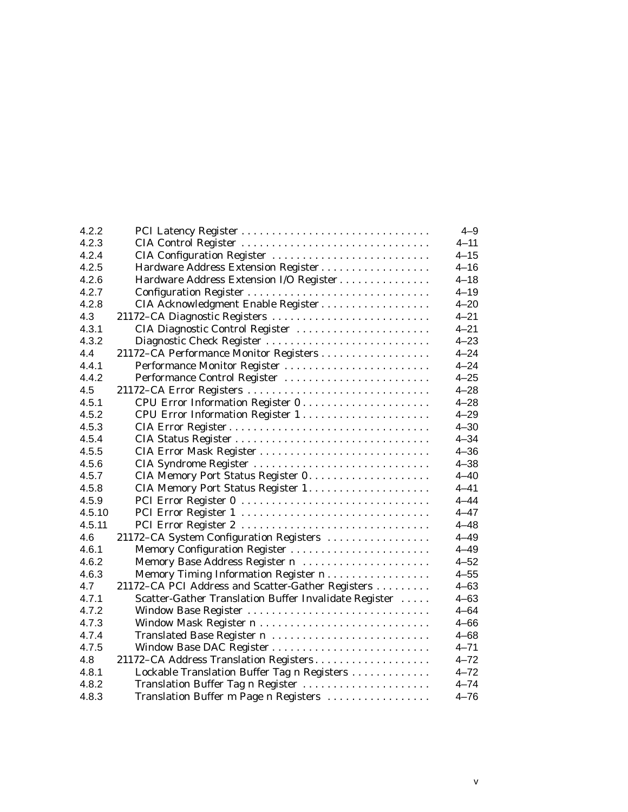| 4.2.2  |                                                       | $4 - 9$  |
|--------|-------------------------------------------------------|----------|
| 4.2.3  | CIA Control Register                                  | $4 - 11$ |
| 4.2.4  | CIA Configuration Register                            | $4 - 15$ |
| 4.2.5  | Hardware Address Extension Register                   | $4 - 16$ |
| 4.2.6  | Hardware Address Extension I/O Register               | $4 - 18$ |
| 4.2.7  |                                                       | $4 - 19$ |
| 4.2.8  | CIA Acknowledgment Enable Register                    | $4 - 20$ |
| 4.3    | 21172-CA Diagnostic Registers                         | $4 - 21$ |
| 4.3.1  | CIA Diagnostic Control Register                       | $4 - 21$ |
| 4.3.2  | Diagnostic Check Register                             | $4 - 23$ |
| 4.4    | 21172-CA Performance Monitor Registers                | $4 - 24$ |
| 4.4.1  | Performance Monitor Register                          | $4 - 24$ |
| 4.4.2  | Performance Control Register                          | $4 - 25$ |
| 4.5    | 21172-CA Error Registers                              | $4 - 28$ |
| 4.5.1  | CPU Error Information Register 0                      | $4 - 28$ |
| 4.5.2  | CPU Error Information Register 1                      | $4 - 29$ |
| 4.5.3  |                                                       | $4 - 30$ |
| 4.5.4  |                                                       | $4 - 34$ |
| 4.5.5  |                                                       | $4 - 36$ |
| 4.5.6  | CIA Syndrome Register                                 | $4 - 38$ |
| 4.5.7  |                                                       | $4 - 40$ |
| 4.5.8  |                                                       | $4 - 41$ |
| 4.5.9  |                                                       | $4 - 44$ |
| 4.5.10 |                                                       | $4 - 47$ |
| 4.5.11 |                                                       | $4 - 48$ |
| 4.6    | 21172-CA System Configuration Registers               | $4 - 49$ |
| 4.6.1  | Memory Configuration Register                         | $4 - 49$ |
| 4.6.2  | Memory Base Address Register n                        | $4 - 52$ |
| 4.6.3  | Memory Timing Information Register n                  | $4 - 55$ |
| 4.7    | 21172-CA PCI Address and Scatter-Gather Registers     | $4 - 63$ |
| 4.7.1  | Scatter-Gather Translation Buffer Invalidate Register | $4 - 63$ |
| 4.7.2  | Window Base Register                                  | $4 - 64$ |
| 4.7.3  |                                                       | $4 - 66$ |
| 4.7.4  | Translated Base Register n                            | $4 - 68$ |
| 4.7.5  | Window Base DAC Register                              | $4 - 71$ |
| 4.8    | 21172-CA Address Translation Registers                | $4 - 72$ |
| 4.8.1  | Lockable Translation Buffer Tag n Registers           | $4 - 72$ |
| 4.8.2  | Translation Buffer Tag n Register                     | $4 - 74$ |
| 4.8.3  | Translation Buffer m Page n Registers                 | $4 - 76$ |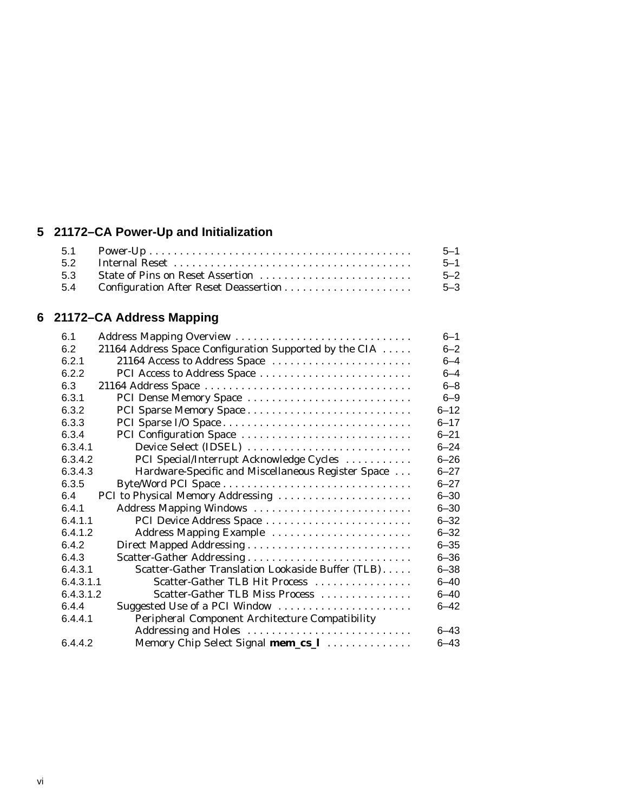# **5 21172–CA Power-Up and Initialization**

|     | $5 - 1$ |
|-----|---------|
|     | $5 - 1$ |
|     | $5 - 2$ |
| 5.4 | $5 - 3$ |

# **6 21172–CA Address Mapping**

| 61        | Address Mapping Overview                               | $6 - 1$  |
|-----------|--------------------------------------------------------|----------|
| 6.2       | 21164 Address Space Configuration Supported by the CIA | $6 - 2$  |
| 6.2.1     | 21164 Access to Address Space                          | $6 - 4$  |
| 6.2.2     | PCI Access to Address Space                            | $6 - 4$  |
| 6.3       |                                                        | $6 - 8$  |
| 6.3.1     | PCI Dense Memory Space                                 | $6 - 9$  |
| 6.3.2     |                                                        | $6 - 12$ |
| 6.3.3     |                                                        | $6 - 17$ |
| 6.3.4     | PCI Configuration Space                                | $6 - 21$ |
| 6.3.4.1   | Device Select (IDSEL)                                  | $6 - 24$ |
| 6.3.4.2   | PCI Special/Interrupt Acknowledge Cycles               | $6 - 26$ |
| 6.3.4.3   | Hardware-Specific and Miscellaneous Register Space     | $6 - 27$ |
| 6.3.5     |                                                        | $6 - 27$ |
| 6.4       | PCI to Physical Memory Addressing                      | $6 - 30$ |
| 6.4.1     | Address Mapping Windows                                | $6 - 30$ |
| 6.4.1.1   | PCI Device Address Space                               | $6 - 32$ |
| 6.4.1.2   | Address Mapping Example                                | $6 - 32$ |
| 6.4.2     |                                                        | $6 - 35$ |
| 6.4.3     |                                                        | $6 - 36$ |
| 6.4.3.1   | Scatter-Gather Translation Lookaside Buffer (TLB)      | $6 - 38$ |
| 6.4.3.1.1 | Scatter-Gather TLB Hit Process                         | $6 - 40$ |
| 6.4.3.1.2 | Scatter-Gather TLB Miss Process                        | $6 - 40$ |
| 6.4.4     | Suggested Use of a PCI Window                          | $6 - 42$ |
| 6.4.4.1   | Peripheral Component Architecture Compatibility        |          |
|           | Addressing and Holes                                   | $6 - 43$ |
| 6.4.4.2   | Memory Chip Select Signal mem_cs_1                     | $6 - 43$ |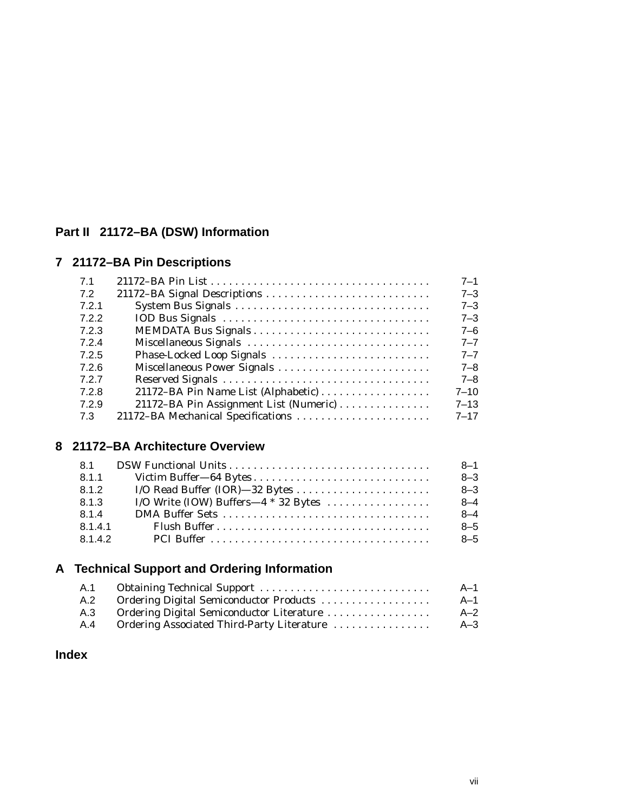# **Part II 21172–BA (DSW) Information**

# **7 21172–BA Pin Descriptions**

| 7.1   |                                        | $7 - 1$  |
|-------|----------------------------------------|----------|
| 7.2   |                                        | $7 - 3$  |
| 7.2.1 |                                        | $7 - 3$  |
| 7.2.2 |                                        | $7 - 3$  |
| 7.2.3 |                                        | $7 - 6$  |
| 7.2.4 | Miscellaneous Signals                  | $7 - 7$  |
| 7.2.5 | Phase-Locked Loop Signals              | $7 - 7$  |
| 7.2.6 |                                        | $7 - 8$  |
| 7.2.7 |                                        | $7 - 8$  |
| 7.2.8 |                                        | $7 - 10$ |
| 7.2.9 | 21172–BA Pin Assignment List (Numeric) | $7 - 13$ |
| 7.3   | 21172-BA Mechanical Specifications     | $7 - 17$ |

#### **8 21172–BA Architecture Overview**

| 8.1     |                                        | $8 - 1$ |
|---------|----------------------------------------|---------|
| 8.1.1   |                                        | $8 - 3$ |
| 8.1.2   |                                        | $8 - 3$ |
| 8.1.3   | I/O Write (IOW) Buffers—4 $*$ 32 Bytes | $8 - 4$ |
| 814     |                                        | $8 - 4$ |
| 8.1.4.1 |                                        | $8 - 5$ |
| 8.1.4.2 |                                        | $8 - 5$ |

# **A Technical Support and Ordering Information**

| A.1 |                                            | A—1     |
|-----|--------------------------------------------|---------|
| A.2 | Ordering Digital Semiconductor Products    | A-1     |
| A.3 | Ordering Digital Semiconductor Literature  | $A - 2$ |
| A.4 | Ordering Associated Third-Party Literature | A–3     |

### **Index**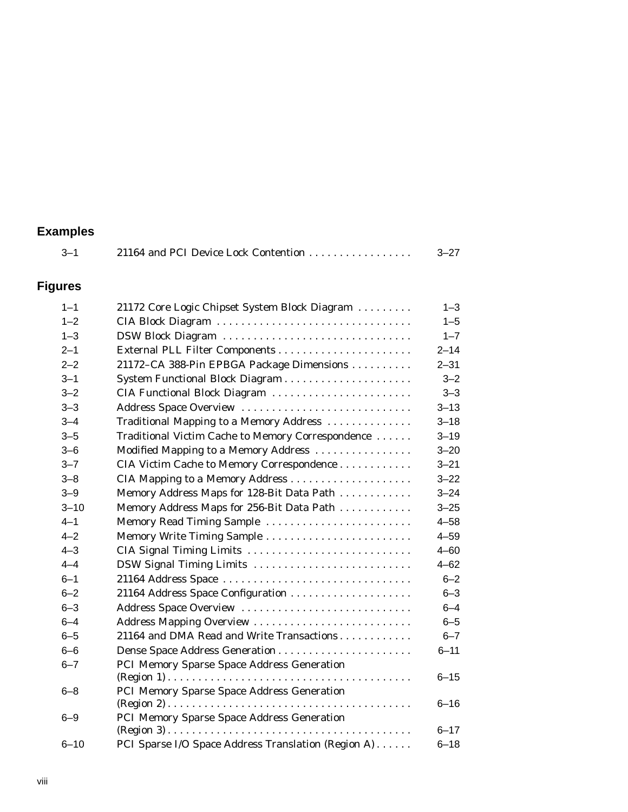#### **Examples**

| $3 - 1$        | 21164 and PCI Device Lock Contention              | $3 - 27$ |
|----------------|---------------------------------------------------|----------|
| <b>Figures</b> |                                                   |          |
| $1 - 1$        | 21172 Core Logic Chipset System Block Diagram     | $1 - 3$  |
| $1 - 2$        | CIA Block Diagram                                 | $1 - 5$  |
| $1 - 3$        | DSW Block Diagram                                 | $1 - 7$  |
| $2 - 1$        |                                                   | $2 - 14$ |
| $2 - 2$        | 21172–CA 388-Pin EPBGA Package Dimensions         | $2 - 31$ |
| $3 - 1$        |                                                   | $3 - 2$  |
| $3 - 2$        | CIA Functional Block Diagram                      | $3 - 3$  |
| $3 - 3$        | Address Space Overview                            | $3 - 13$ |
| $3 - 4$        | Traditional Mapping to a Memory Address           | $3 - 18$ |
| $3 - 5$        | Traditional Victim Cache to Memory Correspondence | $3 - 19$ |
| $3 - 6$        | Modified Mapping to a Memory Address              | $3 - 20$ |
| $3 - 7$        | CIA Victim Cache to Memory Correspondence         | $3 - 21$ |
| $3 - 8$        |                                                   | $3 - 22$ |
| $3 - 9$        | Memory Address Maps for 128-Bit Data Path         | $3 - 24$ |
| $3 - 10$       | Memory Address Maps for 256-Bit Data Path         | $3 - 25$ |
| $4 - 1$        | Memory Read Timing Sample                         | $4 - 58$ |
| $4 - 2$        | Memory Write Timing Sample                        | $4 - 59$ |
| $4 - 3$        | CIA Signal Timing Limits                          | $4 - 60$ |
| $4 - 4$        | DSW Signal Timing Limits                          | $4 - 62$ |
| $6 - 1$        | 21164 Address Space                               | $6 - 2$  |
| $6 - 2$        | 21164 Address Space Configuration                 | $6 - 3$  |
| $6 - 3$        | Address Space Overview                            | $6 - 4$  |
| $6 - 4$        | Address Mapping Overview                          | $6 - 5$  |
| $6 - 5$        | 21164 and DMA Read and Write Transactions         | $6 - 7$  |
| $6 - 6$        |                                                   | $6 - 11$ |

(Region 1) ........................................ 6–15

(Region 2) ........................................ 6–16

 $(Region 3) . . . . . . . . . . . . . . . . . . . . . . . . . . . . . . . . . 6-17$ 

6–10 PCI Sparse I/O Space Address Translation (Region A) ...... 6–18

6–7 PCI Memory Sparse Space Address Generation

6–8 PCI Memory Sparse Space Address Generation

6–9 PCI Memory Sparse Space Address Generation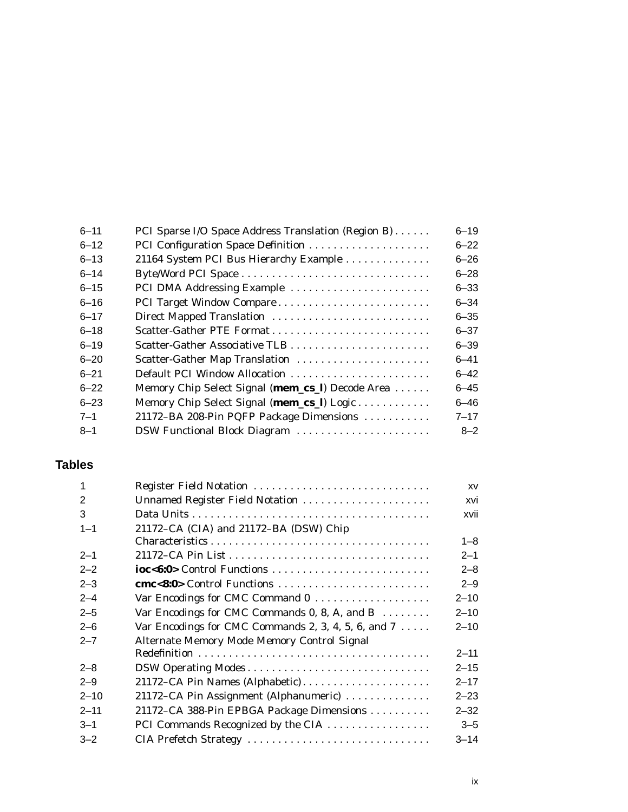| $6 - 11$ | PCI Sparse I/O Space Address Translation (Region B) | $6 - 19$ |
|----------|-----------------------------------------------------|----------|
| $6 - 12$ |                                                     | $6 - 22$ |
| $6 - 13$ | 21164 System PCI Bus Hierarchy Example              | $6 - 26$ |
| $6 - 14$ |                                                     | $6 - 28$ |
| $6 - 15$ | PCI DMA Addressing Example                          | $6 - 33$ |
| $6 - 16$ | PCI Target Window Compare                           | $6 - 34$ |
| $6 - 17$ | Direct Mapped Translation                           | $6 - 35$ |
| $6 - 18$ |                                                     | $6 - 37$ |
| $6 - 19$ |                                                     | $6 - 39$ |
| $6 - 20$ | Scatter-Gather Map Translation                      | $6 - 41$ |
| $6 - 21$ | Default PCI Window Allocation                       | $6 - 42$ |
| $6 - 22$ | Memory Chip Select Signal (mem_cs_l) Decode Area    | $6 - 45$ |
| $6 - 23$ | Memory Chip Select Signal (mem_cs_l) Logic          | $6 - 46$ |
| $7 - 1$  | 21172-BA 208-Pin PQFP Package Dimensions            | $7 - 17$ |
| $8 - 1$  | DSW Functional Block Diagram                        | $8 - 2$  |
|          |                                                     |          |

# **Tables**

| $\mathbf{1}$ | Register Field Notation                                      | XV       |
|--------------|--------------------------------------------------------------|----------|
| 2            | Unnamed Register Field Notation                              | xvi      |
| 3            |                                                              | xvii     |
| $1 - 1$      | 21172-CA (CIA) and 21172-BA (DSW) Chip                       | $1 - 8$  |
| $2 - 1$      |                                                              | $2 - 1$  |
| $2 - 2$      | ioc<6:0> Control Functions                                   | $2 - 8$  |
| $2 - 3$      |                                                              | $2 - 9$  |
| $2 - 4$      |                                                              | $2 - 10$ |
| $2 - 5$      | Var Encodings for CMC Commands 0, 8, A, and B $\dots \dots$  | $2 - 10$ |
| $2 - 6$      | Var Encodings for CMC Commands 2, 3, 4, 5, 6, and $7 \ldots$ | $2 - 10$ |
| $2 - 7$      | Alternate Memory Mode Memory Control Signal                  |          |
|              |                                                              | $2 - 11$ |
| $2 - 8$      | DSW Operating Modes                                          | $2 - 15$ |
| $2 - 9$      | 21172–CA Pin Names (Alphabetic)                              | $2 - 17$ |
| $2 - 10$     | 21172–CA Pin Assignment (Alphanumeric)                       | $2 - 23$ |
| $2 - 11$     | 21172-CA 388-Pin EPBGA Package Dimensions                    | $2 - 32$ |
| $3 - 1$      | PCI Commands Recognized by the CIA                           | $3 - 5$  |
| $3 - 2$      | CIA Prefetch Strategy                                        | $3 - 14$ |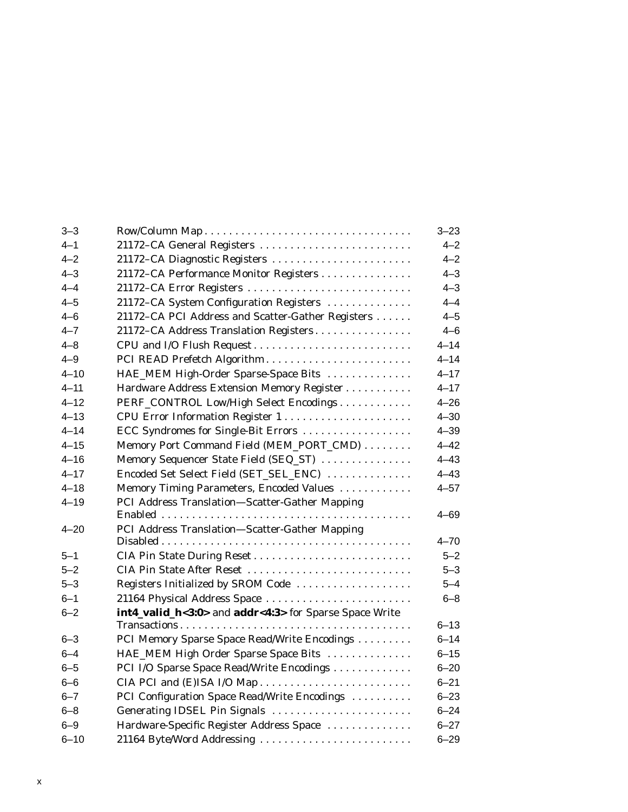| $3 - 3$  |                                                                                                 | $3 - 23$ |
|----------|-------------------------------------------------------------------------------------------------|----------|
| $4 - 1$  | 21172–CA General Registers                                                                      | $4 - 2$  |
| $4 - 2$  | 21172–CA Diagnostic Registers                                                                   | $4 - 2$  |
| $4 - 3$  | 21172–CA Performance Monitor Registers                                                          | $4 - 3$  |
| $4 - 4$  | 21172-CA Error Registers                                                                        | $4 - 3$  |
| $4 - 5$  | 21172-CA System Configuration Registers                                                         | $4 - 4$  |
| $4 - 6$  | 21172–CA PCI Address and Scatter-Gather Registers                                               | $4 - 5$  |
| $4 - 7$  | 21172–CA Address Translation Registers                                                          | $4 - 6$  |
| $4 - 8$  | CPU and I/O Flush Request                                                                       | $4 - 14$ |
| $4 - 9$  | PCI READ Prefetch Algorithm                                                                     | $4 - 14$ |
| $4 - 10$ | HAE_MEM High-Order Sparse-Space Bits                                                            | $4 - 17$ |
| $4 - 11$ | Hardware Address Extension Memory Register                                                      | $4 - 17$ |
| $4 - 12$ | PERF_CONTROL Low/High Select Encodings                                                          | $4 - 26$ |
| $4 - 13$ | CPU Error Information Register 1                                                                | $4 - 30$ |
| $4 - 14$ | ECC Syndromes for Single-Bit Errors                                                             | $4 - 39$ |
| $4 - 15$ | Memory Port Command Field (MEM_PORT_CMD)                                                        | $4 - 42$ |
| $4 - 16$ | Memory Sequencer State Field (SEQ_ST)                                                           | $4 - 43$ |
| $4 - 17$ | Encoded Set Select Field (SET_SEL_ENC)                                                          | $4 - 43$ |
| $4 - 18$ | Memory Timing Parameters, Encoded Values                                                        | $4 - 57$ |
| $4 - 19$ | PCI Address Translation-Scatter-Gather Mapping                                                  |          |
|          |                                                                                                 | 4–69     |
| $4 - 20$ | PCI Address Translation-Scatter-Gather Mapping                                                  |          |
|          | $Disable d \ldots \ldots \ldots \ldots \ldots \ldots \ldots \ldots \ldots \ldots \ldots \ldots$ | $4 - 70$ |
| $5 - 1$  | CIA Pin State During Reset                                                                      | $5 - 2$  |
| $5 - 2$  | CIA Pin State After Reset                                                                       | $5 - 3$  |
| $5 - 3$  | Registers Initialized by SROM Code                                                              | $5 - 4$  |
| $6 - 1$  | 21164 Physical Address Space                                                                    | $6 - 8$  |
| $6 - 2$  | int4_valid_h<3:0> and addr<4:3> for Sparse Space Write                                          |          |
|          |                                                                                                 | $6 - 13$ |
| $6 - 3$  | PCI Memory Sparse Space Read/Write Encodings                                                    | $6 - 14$ |
| $6 - 4$  | HAE_MEM High Order Sparse Space Bits                                                            | $6 - 15$ |
| $6 - 5$  | PCI I/O Sparse Space Read/Write Encodings                                                       | $6 - 20$ |
| $6 - 6$  | CIA PCI and (E)ISA I/O Map                                                                      | $6 - 21$ |
| $6 - 7$  | PCI Configuration Space Read/Write Encodings                                                    | $6 - 23$ |
| $6 - 8$  | Generating IDSEL Pin Signals                                                                    | $6 - 24$ |
| $6 - 9$  | Hardware-Specific Register Address Space                                                        | $6 - 27$ |
| $6 - 10$ | 21164 Byte/Word Addressing                                                                      | $6 - 29$ |
|          |                                                                                                 |          |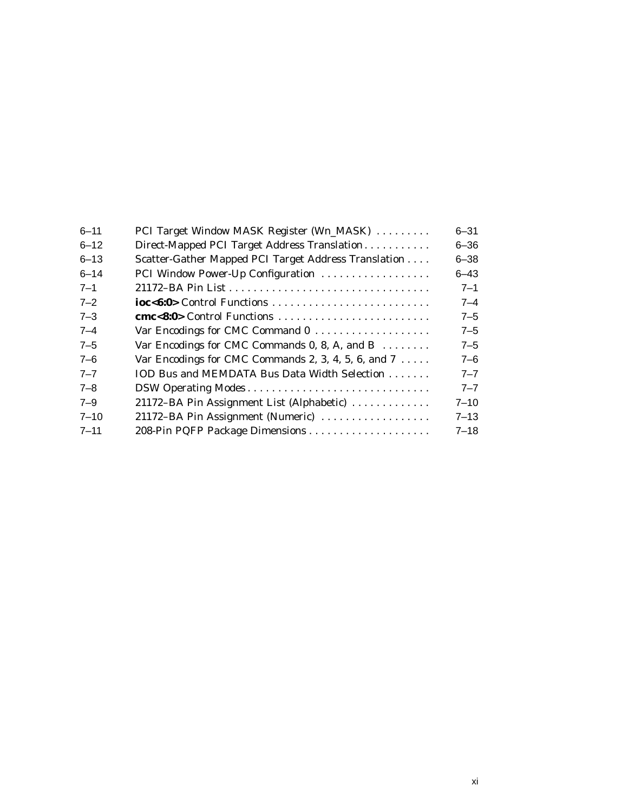| $6 - 11$ | PCI Target Window MASK Register (Wn_MASK)                      | $6 - 31$ |
|----------|----------------------------------------------------------------|----------|
| $6 - 12$ | Direct-Mapped PCI Target Address Translation                   | $6 - 36$ |
| $6 - 13$ | Scatter-Gather Mapped PCI Target Address Translation           | $6 - 38$ |
| $6 - 14$ | PCI Window Power-Up Configuration                              | $6 - 43$ |
| $7 - 1$  |                                                                | $7 - 1$  |
| $7 - 2$  | ioc<6:0> Control Functions                                     | 7–4      |
| $7 - 3$  | cmc<8:0> Control Functions                                     | $7 - 5$  |
| $7 - 4$  |                                                                | $7 - 5$  |
| $7 - 5$  | Var Encodings for CMC Commands 0, 8, A, and B                  | $7 - 5$  |
| $7 - 6$  | Var Encodings for CMC Commands 2, 3, 4, 5, 6, and $7 \ldots$ . | 7–6      |
| $7 - 7$  | IOD Bus and MEMDATA Bus Data Width Selection                   | $7 - 7$  |
| $7 - 8$  | DSW Operating Modes                                            | $7 - 7$  |
| $7 - 9$  | 21172-BA Pin Assignment List (Alphabetic)                      | 7–10     |
| $7 - 10$ | 21172–BA Pin Assignment (Numeric)                              | $7 - 13$ |
| $7 - 11$ | 208-Pin PQFP Package Dimensions                                | $7 - 18$ |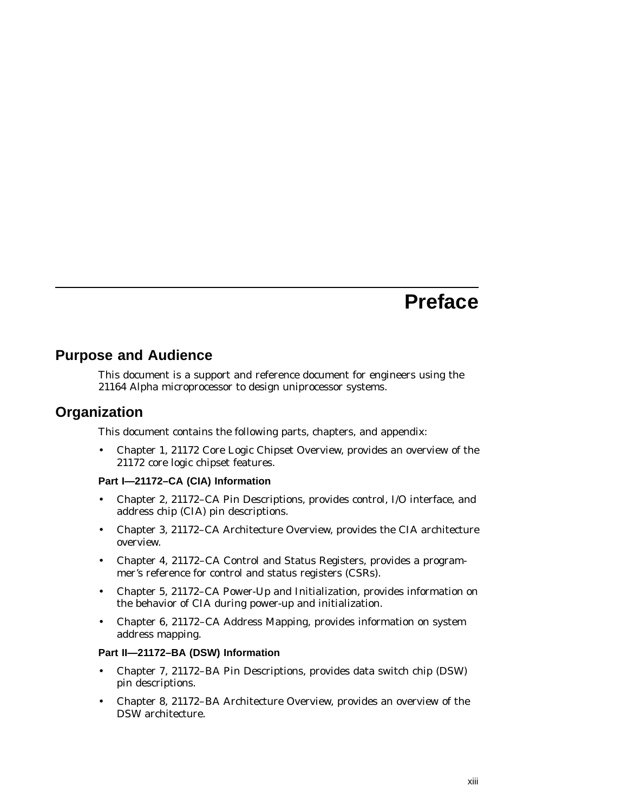# **Preface**

### **Purpose and Audience**

This document is a support and reference document for engineers using the 21164 Alpha microprocessor to design uniprocessor systems.

### **Organization**

This document contains the following parts, chapters, and appendix:

• Chapter 1, 21172 Core Logic Chipset Overview, provides an overview of the 21172 core logic chipset features.

#### **Part I—21172–CA (CIA) Information**

- Chapter 2, 21172–CA Pin Descriptions, provides control, I/O interface, and address chip (CIA) pin descriptions.
- Chapter 3, 21172–CA Architecture Overview, provides the CIA architecture overview.
- Chapter 4, 21172–CA Control and Status Registers, provides a programmer's reference for control and status registers (CSRs).
- Chapter 5, 21172–CA Power-Up and Initialization, provides information on the behavior of CIA during power-up and initialization.
- Chapter 6, 21172–CA Address Mapping, provides information on system address mapping.

#### **Part II—21172–BA (DSW) Information**

- Chapter 7, 21172–BA Pin Descriptions, provides data switch chip (DSW) pin descriptions.
- Chapter 8, 21172–BA Architecture Overview, provides an overview of the DSW architecture.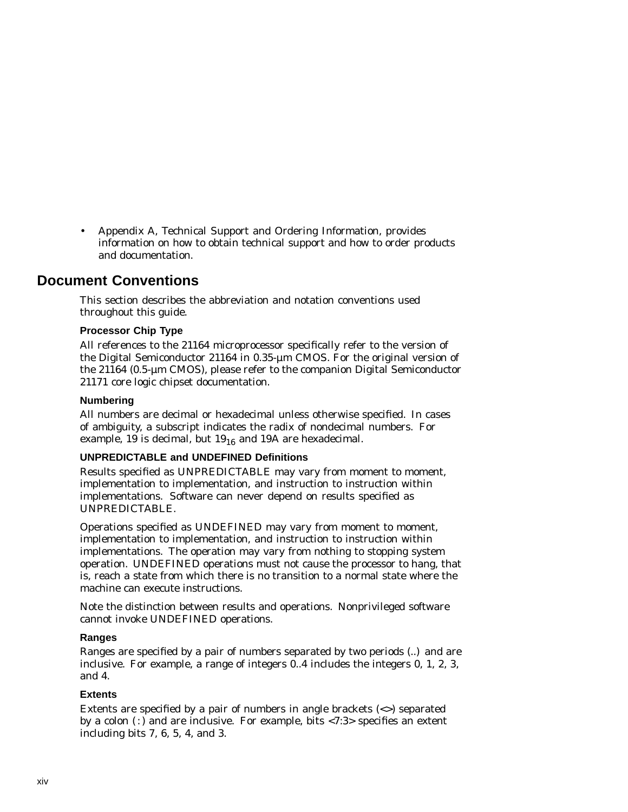• Appendix A, Technical Support and Ordering Information, provides information on how to obtain technical support and how to order products and documentation.

# **Document Conventions**

This section describes the abbreviation and notation conventions used throughout this guide.

#### **Processor Chip Type**

All references to the 21164 microprocessor specifically refer to the version of the Digital Semiconductor 21164 in 0.35-µm CMOS. For the original version of the 21164 (0.5-µm CMOS), please refer to the companion Digital Semiconductor 21171 core logic chipset documentation.

#### **Numbering**

All numbers are decimal or hexadecimal unless otherwise specified. In cases of ambiguity, a subscript indicates the radix of nondecimal numbers. For example, 19 is decimal, but  $19_{16}$  and 19A are hexadecimal.

#### **UNPREDICTABLE and UNDEFINED Definitions**

Results specified as UNPREDICTABLE may vary from moment to moment, implementation to implementation, and instruction to instruction within implementations. Software can never depend on results specified as UNPREDICTABLE.

Operations specified as UNDEFINED may vary from moment to moment, implementation to implementation, and instruction to instruction within implementations. The operation may vary from nothing to stopping system operation. UNDEFINED operations must not cause the processor to hang, that is, reach a state from which there is no transition to a normal state where the machine can execute instructions.

Note the distinction between results and operations. Nonprivileged software cannot invoke UNDEFINED operations.

#### **Ranges**

Ranges are specified by a pair of numbers separated by two periods (..) and are inclusive. For example, a range of integers 0..4 includes the integers 0, 1, 2, 3, and 4.

#### **Extents**

Extents are specified by a pair of numbers in angle brackets (<>) separated by a colon  $($ :) and are inclusive. For example, bits <7:3> specifies an extent including bits 7, 6, 5, 4, and 3.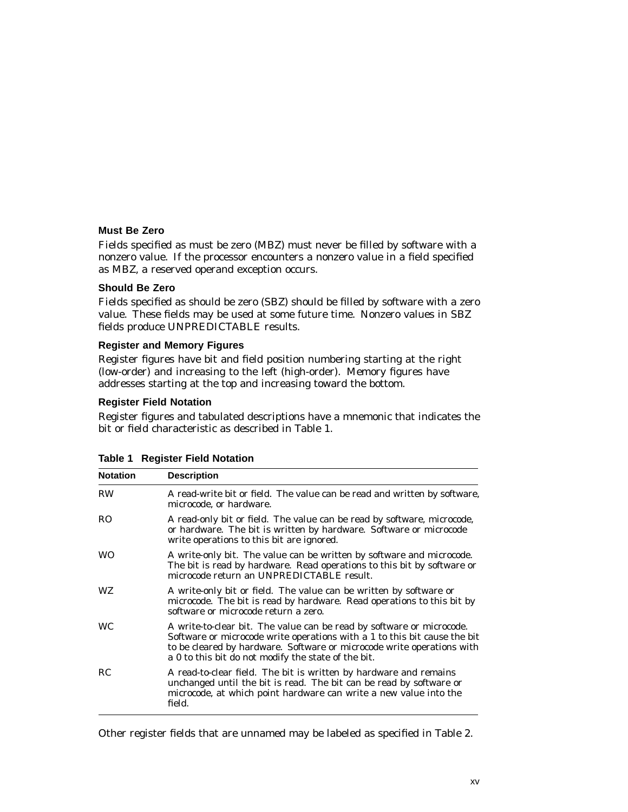#### **Must Be Zero**

Fields specified as must be zero (MBZ) must never be filled by software with a nonzero value. If the processor encounters a nonzero value in a field specified as MBZ, a reserved operand exception occurs.

#### **Should Be Zero**

Fields specified as should be zero (SBZ) should be filled by software with a zero value. These fields may be used at some future time. Nonzero values in SBZ fields produce UNPREDICTABLE results.

#### **Register and Memory Figures**

Register figures have bit and field position numbering starting at the right (low-order) and increasing to the left (high-order). Memory figures have addresses starting at the top and increasing toward the bottom.

#### **Register Field Notation**

Register figures and tabulated descriptions have a mnemonic that indicates the bit or field characteristic as described in Table 1.

| <b>Notation</b> | <b>Description</b>                                                                                                                                                                                                                                                                  |
|-----------------|-------------------------------------------------------------------------------------------------------------------------------------------------------------------------------------------------------------------------------------------------------------------------------------|
| <b>RW</b>       | A read-write bit or field. The value can be read and written by software,<br>microcode, or hardware.                                                                                                                                                                                |
| RO.             | A read-only bit or field. The value can be read by software, microcode,<br>or hardware. The bit is written by hardware. Software or microcode<br>write operations to this bit are ignored.                                                                                          |
| <b>WO</b>       | A write-only bit. The value can be written by software and microcode.<br>The bit is read by hardware. Read operations to this bit by software or<br>microcode return an UNPREDICTABLE result.                                                                                       |
| WZ.             | A write-only bit or field. The value can be written by software or<br>microcode. The bit is read by hardware. Read operations to this bit by<br>software or microcode return a zero.                                                                                                |
| <b>WC</b>       | A write-to-clear bit. The value can be read by software or microcode.<br>Software or microcode write operations with a 1 to this bit cause the bit<br>to be cleared by hardware. Software or microcode write operations with<br>a 0 to this bit do not modify the state of the bit. |
| RC              | A read-to-clear field. The bit is written by hardware and remains<br>unchanged until the bit is read. The bit can be read by software or<br>microcode, at which point hardware can write a new value into the<br>field.                                                             |

**Table 1 Register Field Notation**

Other register fields that are unnamed may be labeled as specified in Table 2.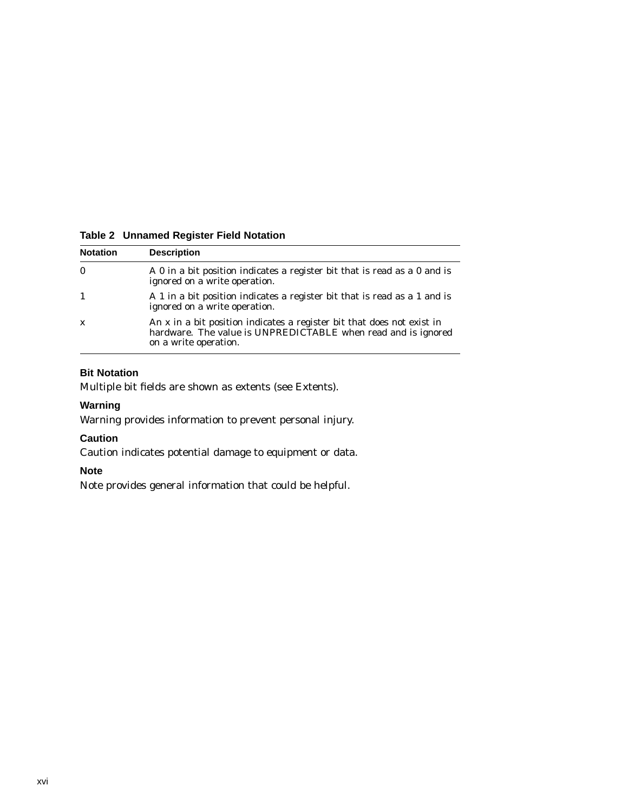| <b>Notation</b> | <b>Description</b>                                                                                                                                               |  |  |  |  |
|-----------------|------------------------------------------------------------------------------------------------------------------------------------------------------------------|--|--|--|--|
| $\bf{0}$        | A 0 in a bit position indicates a register bit that is read as a 0 and is<br>ignored on a write operation.                                                       |  |  |  |  |
| $\overline{1}$  | A 1 in a bit position indicates a register bit that is read as a 1 and is<br>ignored on a write operation.                                                       |  |  |  |  |
| $\mathbf{x}$    | An x in a bit position indicates a register bit that does not exist in<br>hardware. The value is UNPREDICTABLE when read and is ignored<br>on a write operation. |  |  |  |  |

#### **Table 2 Unnamed Register Field Notation**

#### **Bit Notation**

Multiple bit fields are shown as extents (see Extents).

#### **Warning**

Warning provides information to prevent personal injury.

#### **Caution**

Caution indicates potential damage to equipment or data.

#### **Note**

Note provides general information that could be helpful.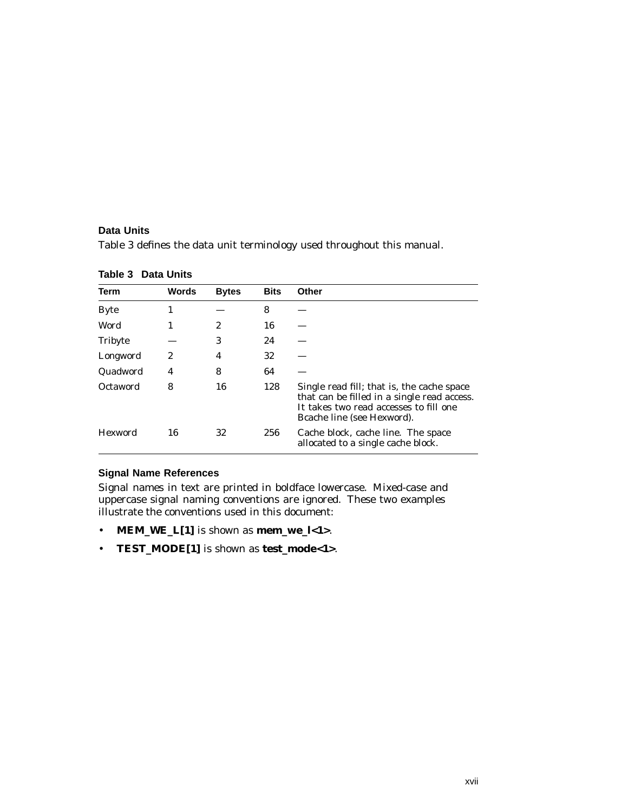#### **Data Units**

Table 3 defines the data unit terminology used throughout this manual.

| Term        | Words            | <b>Bytes</b> | <b>Bits</b> | Other                                                                                                                                                             |
|-------------|------------------|--------------|-------------|-------------------------------------------------------------------------------------------------------------------------------------------------------------------|
| <b>Byte</b> | 1                |              | 8           |                                                                                                                                                                   |
| Word        | 1                | 2            | 16          |                                                                                                                                                                   |
| Tribyte     |                  | 3            | 24          |                                                                                                                                                                   |
| Longword    | $\boldsymbol{2}$ | 4            | 32          |                                                                                                                                                                   |
| Quadword    | 4                | 8            | 64          |                                                                                                                                                                   |
| Octaword    | 8                | 16           | 128         | Single read fill; that is, the cache space<br>that can be filled in a single read access.<br>It takes two read accesses to fill one<br>Bcache line (see Hexword). |
| Hexword     | 16               | 32           | 256         | Cache block, cache line. The space<br>allocated to a single cache block.                                                                                          |

| Table 3 Data Units |
|--------------------|
|--------------------|

#### **Signal Name References**

Signal names in text are printed in boldface lowercase. Mixed-case and uppercase signal naming conventions are ignored. These two examples illustrate the conventions used in this document:

- **MEM\_WE\_L[1]** is shown as **mem\_we\_l<1>**.
- **TEST\_MODE[1]** is shown as **test\_mode<1>**.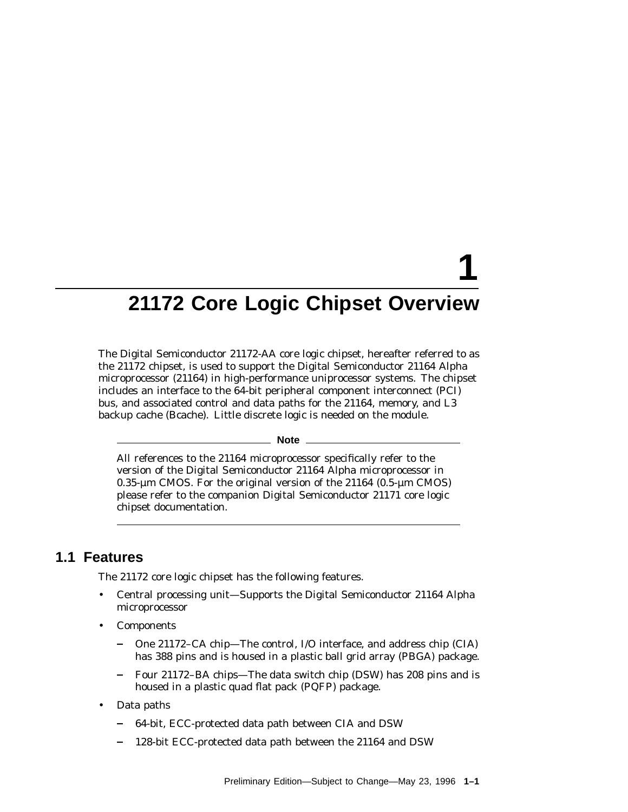# **1**

# **21172 Core Logic Chipset Overview**

The Digital Semiconductor 21172-AA core logic chipset, hereafter referred to as the 21172 chipset, is used to support the Digital Semiconductor 21164 Alpha microprocessor (21164) in high-performance uniprocessor systems. The chipset includes an interface to the 64-bit peripheral component interconnect (PCI) bus, and associated control and data paths for the 21164, memory, and L3 backup cache (Bcache). Little discrete logic is needed on the module.

**Note**

All references to the 21164 microprocessor specifically refer to the version of the Digital Semiconductor 21164 Alpha microprocessor in 0.35-µm CMOS. For the original version of the 21164 (0.5-µm CMOS) please refer to the companion Digital Semiconductor 21171 core logic chipset documentation.

#### **1.1 Features**

The 21172 core logic chipset has the following features.

- Central processing unit—Supports the Digital Semiconductor 21164 Alpha microprocessor
- **Components** 
	- One 21172–CA chip—The control, I/O interface, and address chip (CIA) has 388 pins and is housed in a plastic ball grid array (PBGA) package.
	- Four 21172–BA chips—The data switch chip (DSW) has 208 pins and is housed in a plastic quad flat pack (PQFP) package.
- Data paths
	- 64-bit, ECC-protected data path between CIA and DSW
	- 128-bit ECC-protected data path between the 21164 and DSW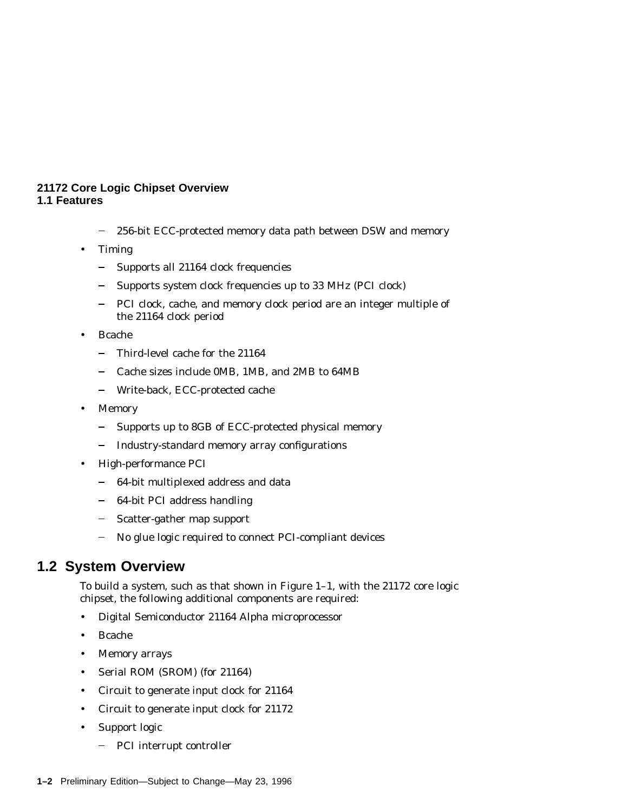#### **21172 Core Logic Chipset Overview 1.1 Features**

- $\equiv$ 256-bit ECC-protected memory data path between DSW and memory
- **Timing** 
	- $\frac{1}{2}$ Supports all 21164 clock frequencies
	- Supports system clock frequencies up to 33 MHz (PCI clock)
	- PCI clock, cache, and memory clock period are an integer multiple of  $\blacksquare$ the 21164 clock period
- Bcache
	- Third-level cache for the 21164  $\overline{\phantom{0}}$
	- Cache sizes include 0MB, 1MB, and 2MB to 64MB  $\overline{\phantom{0}}$
	- Write-back, ECC-protected cache — 1
- Memory
	- $\frac{1}{2}$ Supports up to 8GB of ECC-protected physical memory
	- Industry-standard memory array configurations
- High-performance PCI
	- 64-bit multiplexed address and data
	- $\frac{1}{2}$ 64-bit PCI address handling
	- Scatter-gather map support
	- No glue logic required to connect PCI-compliant devices

#### **1.2 System Overview**

To build a system, such as that shown in Figure 1–1, with the 21172 core logic chipset, the following additional components are required:

- Digital Semiconductor 21164 Alpha microprocessor
- Bcache
- Memory arrays
- Serial ROM (SROM) (for 21164)
- Circuit to generate input clock for 21164
- Circuit to generate input clock for 21172
- Support logic
	- PCI interrupt controller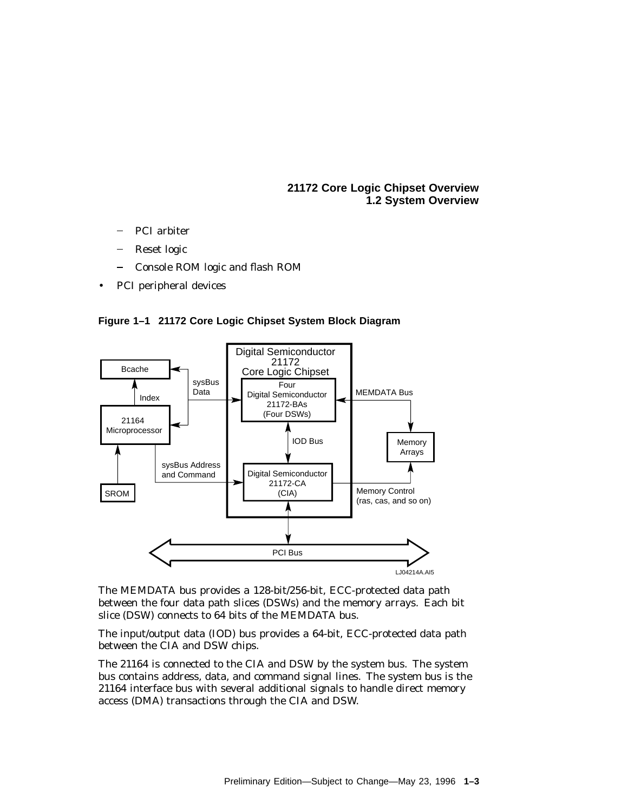**21172 Core Logic Chipset Overview 1.2 System Overview**

- PCI arbiter
- Reset logic
- Console ROM logic and flash ROM
- PCI peripheral devices





The MEMDATA bus provides a 128-bit/256-bit, ECC-protected data path between the four data path slices (DSWs) and the memory arrays. Each bit slice (DSW) connects to 64 bits of the MEMDATA bus.

The input/output data (IOD) bus provides a 64-bit, ECC-protected data path between the CIA and DSW chips.

The 21164 is connected to the CIA and DSW by the system bus. The system bus contains address, data, and command signal lines. The system bus is the 21164 interface bus with several additional signals to handle direct memory access (DMA) transactions through the CIA and DSW.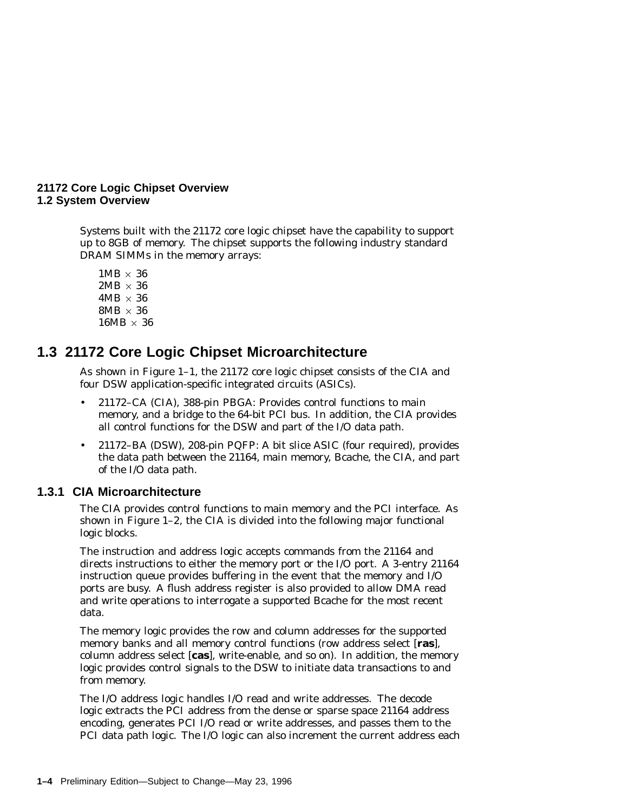#### **21172 Core Logic Chipset Overview 1.2 System Overview**

Systems built with the 21172 core logic chipset have the capability to support up to 8GB of memory. The chipset supports the following industry standard DRAM SIMMs in the memory arrays:

 $1MB \times 36$  $2MB \times 36$  $4MB \times 36$  $8MB \times 36$  $16MB \times 36$ 

# **1.3 21172 Core Logic Chipset Microarchitecture**

As shown in Figure 1–1, the 21172 core logic chipset consists of the CIA and four DSW application-specific integrated circuits (ASICs).

- 21172–CA (CIA), 388-pin PBGA: Provides control functions to main memory, and a bridge to the 64-bit PCI bus. In addition, the CIA provides all control functions for the DSW and part of the I/O data path.
- 21172–BA (DSW), 208-pin PQFP: A bit slice ASIC (four required), provides the data path between the 21164, main memory, Bcache, the CIA, and part of the I/O data path.

#### **1.3.1 CIA Microarchitecture**

The CIA provides control functions to main memory and the PCI interface. As shown in Figure 1–2, the CIA is divided into the following major functional logic blocks.

The instruction and address logic accepts commands from the 21164 and directs instructions to either the memory port or the I/O port. A 3-entry 21164 instruction queue provides buffering in the event that the memory and I/O ports are busy. A flush address register is also provided to allow DMA read and write operations to interrogate a supported Bcache for the most recent data.

The memory logic provides the row and column addresses for the supported memory banks and all memory control functions (row address select [**ras**], column address select [**cas**], write-enable, and so on). In addition, the memory logic provides control signals to the DSW to initiate data transactions to and from memory.

The I/O address logic handles I/O read and write addresses. The decode logic extracts the PCI address from the dense or sparse space 21164 address encoding, generates PCI I/O read or write addresses, and passes them to the PCI data path logic. The I/O logic can also increment the current address each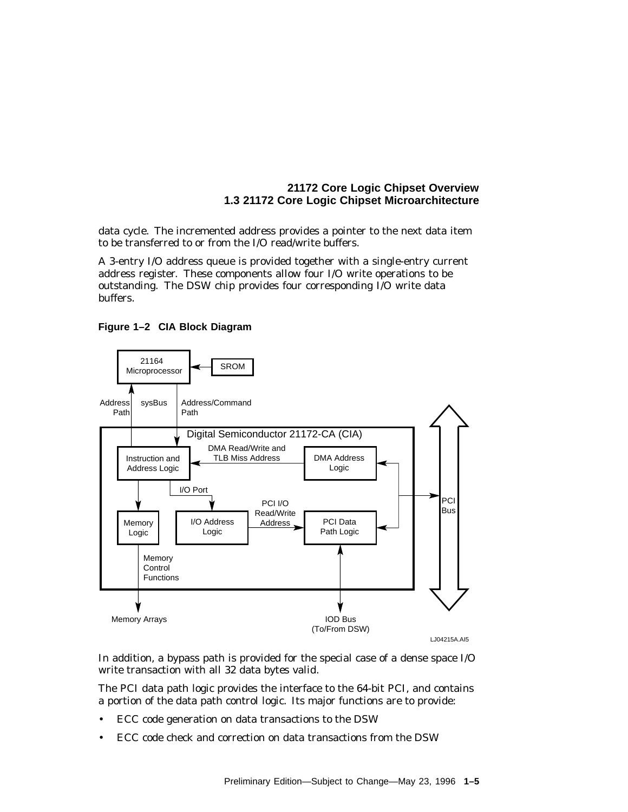#### **21172 Core Logic Chipset Overview 1.3 21172 Core Logic Chipset Microarchitecture**

data cycle. The incremented address provides a pointer to the next data item to be transferred to or from the I/O read/write buffers.

A 3-entry I/O address queue is provided together with a single-entry current address register. These components allow four I/O write operations to be outstanding. The DSW chip provides four corresponding I/O write data buffers.





LJ04215A.AI5

In addition, a bypass path is provided for the special case of a dense space I/O write transaction with all 32 data bytes valid.

The PCI data path logic provides the interface to the 64-bit PCI, and contains a portion of the data path control logic. Its major functions are to provide:

- ECC code generation on data transactions to the DSW
- ECC code check and correction on data transactions from the DSW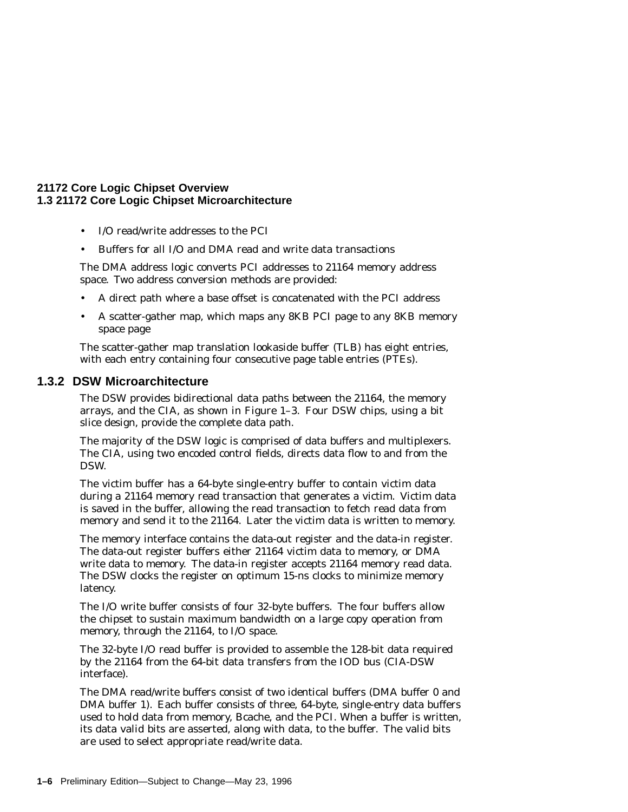#### **21172 Core Logic Chipset Overview 1.3 21172 Core Logic Chipset Microarchitecture**

- I/O read/write addresses to the PCI
- Buffers for all I/O and DMA read and write data transactions

The DMA address logic converts PCI addresses to 21164 memory address space. Two address conversion methods are provided:

- A direct path where a base offset is concatenated with the PCI address
- A scatter-gather map, which maps any 8KB PCI page to any 8KB memory space page

The scatter-gather map translation lookaside buffer (TLB) has eight entries, with each entry containing four consecutive page table entries (PTEs).

#### **1.3.2 DSW Microarchitecture**

The DSW provides bidirectional data paths between the 21164, the memory arrays, and the CIA, as shown in Figure 1–3. Four DSW chips, using a bit slice design, provide the complete data path.

The majority of the DSW logic is comprised of data buffers and multiplexers. The CIA, using two encoded control fields, directs data flow to and from the DSW.

The victim buffer has a 64-byte single-entry buffer to contain victim data during a 21164 memory read transaction that generates a victim. Victim data is saved in the buffer, allowing the read transaction to fetch read data from memory and send it to the 21164. Later the victim data is written to memory.

The memory interface contains the data-out register and the data-in register. The data-out register buffers either 21164 victim data to memory, or DMA write data to memory. The data-in register accepts 21164 memory read data. The DSW clocks the register on optimum 15-ns clocks to minimize memory latency.

The I/O write buffer consists of four 32-byte buffers. The four buffers allow the chipset to sustain maximum bandwidth on a large copy operation from memory, through the 21164, to I/O space.

The 32-byte I/O read buffer is provided to assemble the 128-bit data required by the 21164 from the 64-bit data transfers from the IOD bus (CIA-DSW interface).

The DMA read/write buffers consist of two identical buffers (DMA buffer 0 and DMA buffer 1). Each buffer consists of three, 64-byte, single-entry data buffers used to hold data from memory, Bcache, and the PCI. When a buffer is written, its data valid bits are asserted, along with data, to the buffer. The valid bits are used to select appropriate read/write data.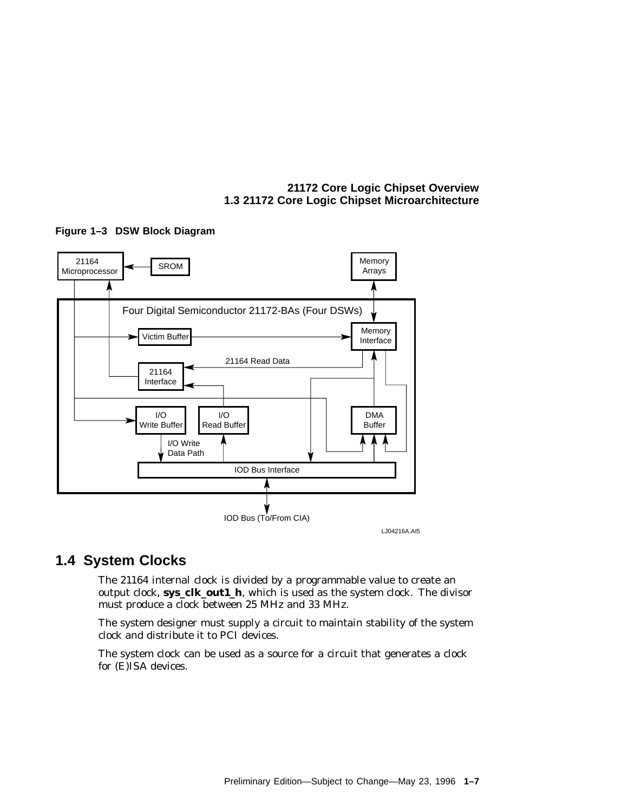#### **21172 Core Logic Chipset Overview 1.3 21172 Core Logic Chipset Microarchitecture**



#### **Figure 1–3 DSW Block Diagram**

# **1.4 System Clocks**

The 21164 internal clock is divided by a programmable value to create an output clock, **sys\_clk\_out1\_h**, which is used as the system clock. The divisor must produce a clock between 25 MHz and 33 MHz.

The system designer must supply a circuit to maintain stability of the system clock and distribute it to PCI devices.

The system clock can be used as a source for a circuit that generates a clock for (E)ISA devices.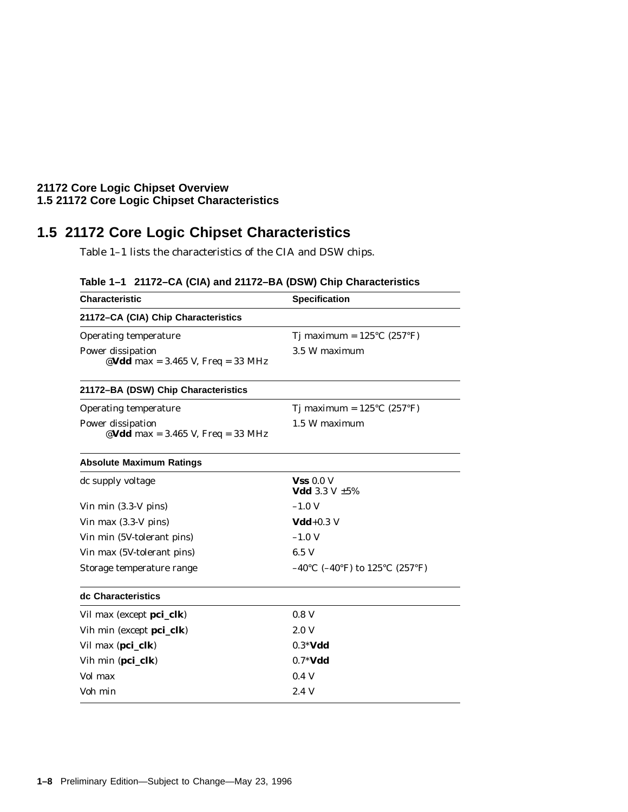#### **21172 Core Logic Chipset Overview 1.5 21172 Core Logic Chipset Characteristics**

# **1.5 21172 Core Logic Chipset Characteristics**

Table 1–1 lists the characteristics of the CIA and DSW chips.

| <b>Characteristic</b>                                  | <b>Specification</b>                            |  |  |
|--------------------------------------------------------|-------------------------------------------------|--|--|
| 21172-CA (CIA) Chip Characteristics                    |                                                 |  |  |
| <b>Operating temperature</b>                           | Tj maximum = $125^{\circ}$ C (257 $^{\circ}$ F) |  |  |
| Power dissipation<br>@Vdd max = 3.465 V, Freq = 33 MHz | 3.5 W maximum                                   |  |  |
| 21172-BA (DSW) Chip Characteristics                    |                                                 |  |  |
| <b>Operating temperature</b>                           | Tj maximum = $125^{\circ}$ C (257 $^{\circ}$ F) |  |  |
| Power dissipation<br>@Vdd max = 3.465 V, Freq = 33 MHz | 1.5 W maximum                                   |  |  |
| <b>Absolute Maximum Ratings</b>                        |                                                 |  |  |
| dc supply voltage                                      | $Vss$ 0.0 V<br>Vdd 3.3 V $\pm 5\%$              |  |  |
| Vin min $(3.3-V \text{ pins})$                         | $-1.0$ V                                        |  |  |
| Vin max $(3.3-V \text{ pins})$                         | $Vdd+0.3$ V                                     |  |  |
| Vin min (5V-tolerant pins)                             | $-1.0$ V                                        |  |  |
| Vin max (5V-tolerant pins)                             | 6.5 V                                           |  |  |
| Storage temperature range                              | $-40^{\circ}$ C (-40°F) to 125°C (257°F)        |  |  |
| dc Characteristics                                     |                                                 |  |  |
| Vil max (except pci_clk)                               | 0.8 <sub>V</sub>                                |  |  |
| Vih min (except pci_clk)                               | 2.0V                                            |  |  |
| Vil max (pci_clk)                                      | $0.3*Vdd$                                       |  |  |
| Vih min (pci_clk)                                      | $0.7*Vdd$                                       |  |  |
| Vol max                                                | 0.4V                                            |  |  |
| Voh min                                                | 2.4V                                            |  |  |

### **Table 1–1 21172–CA (CIA) and 21172–BA (DSW) Chip Characteristics**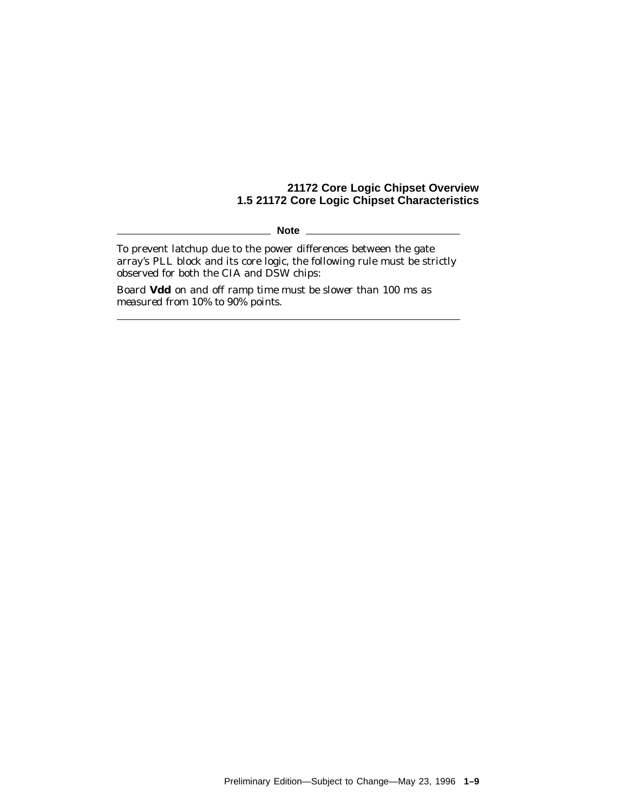#### **21172 Core Logic Chipset Overview 1.5 21172 Core Logic Chipset Characteristics**

**Note** 

To prevent latchup due to the power differences between the gate array's PLL block and its core logic, the following rule must be strictly observed for both the CIA and DSW chips:

*Board Vdd on and off ramp time must be slower than 100 ms as measured from 10% to 90% points.*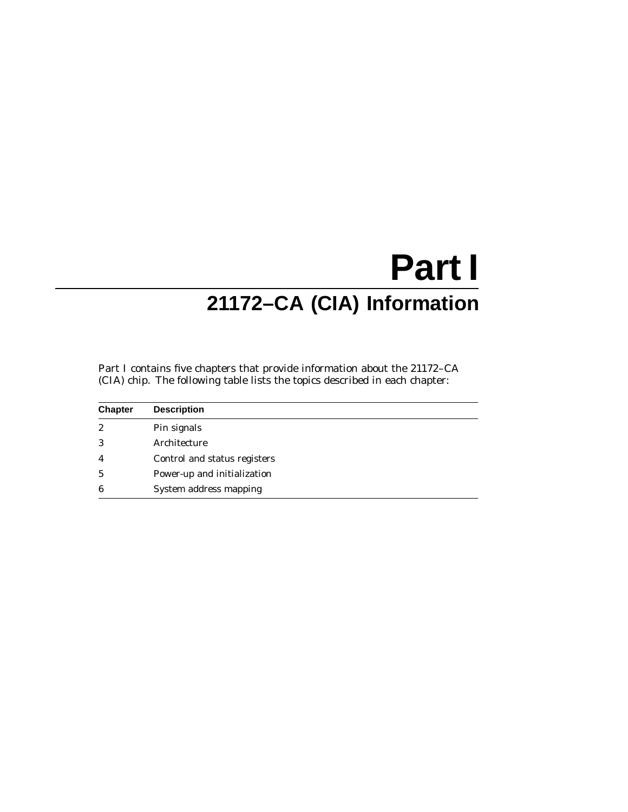# **Part I 21172–CA (CIA) Information**

Part I contains five chapters that provide information about the 21172–CA (CIA) chip. The following table lists the topics described in each chapter:

| <b>Chapter</b>   | <b>Description</b>           |
|------------------|------------------------------|
| $\boldsymbol{2}$ | Pin signals                  |
| 3                | Architecture                 |
| $\overline{4}$   | Control and status registers |
| $\mathbf{5}$     | Power-up and initialization  |
| 6                | System address mapping       |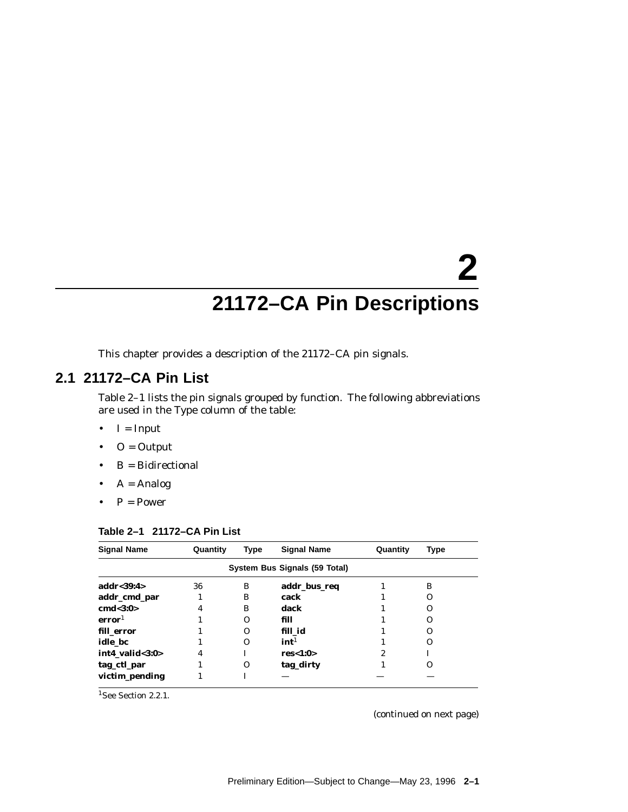# **2 21172–CA Pin Descriptions**

This chapter provides a description of the 21172–CA pin signals.

# **2.1 21172–CA Pin List**

Table 2–1 lists the pin signals grouped by function. The following abbreviations are used in the Type column of the table:

- $\bullet$  I = Input
- $\bullet$  O = Output
- B = Bidirectional
- $A =$  Analog
- $P = Power$

| <b>Signal Name</b> | Quantity | Type     | <b>Signal Name</b>            | Quantity | Type     |
|--------------------|----------|----------|-------------------------------|----------|----------|
|                    |          |          | System Bus Signals (59 Total) |          |          |
| addr<39:4>         | 36       | B        | addr_bus_req                  |          | B        |
| addr_cmd_par       |          | в        | cack                          |          | Ω        |
| cmd<3:0>           | 4        | в        | dack                          |          | O        |
| error <sup>1</sup> |          | O        | fill                          |          | Ω        |
| fill error         |          | $\Omega$ | fill id                       |          | Ω        |
| idle bc            |          | $\Omega$ | int <sup>1</sup>              |          | O        |
| int4_valid<3:0>    | 4        |          | res<1:0>                      | 2        |          |
| tag_ctl_par        |          | O        | tag_dirty                     |          | $\Omega$ |
| victim_pending     |          |          |                               |          |          |

#### **Table 2–1 21172–CA Pin List**

<sup>1</sup>See Section 2.2.1.

(continued on next page)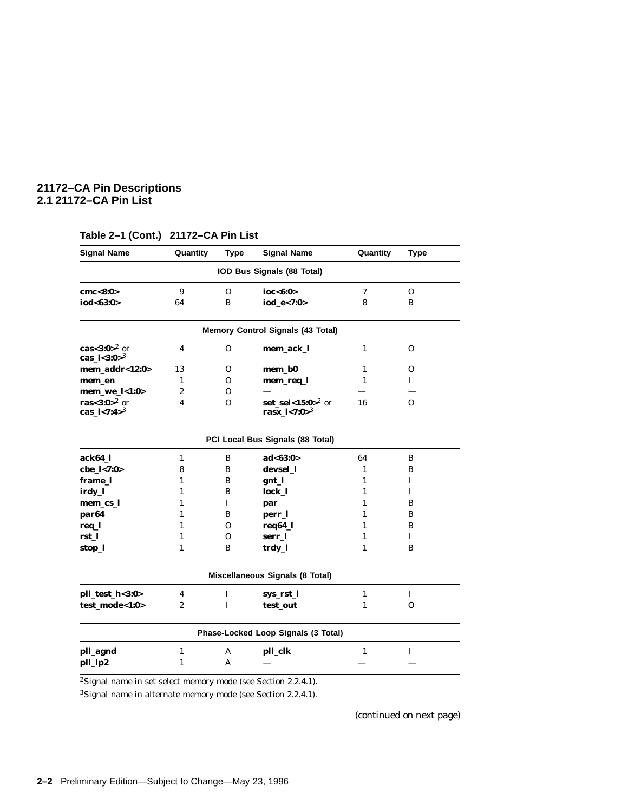#### **21172–CA Pin Descriptions 2.1 21172–CA Pin List**

| <b>Signal Name</b>                       | Quantity         | <b>Type</b>  | <b>Signal Name</b>                           | Quantity     | <b>Type</b>  |
|------------------------------------------|------------------|--------------|----------------------------------------------|--------------|--------------|
|                                          |                  |              | IOD Bus Signals (88 Total)                   |              |              |
| cmc < 8:0>                               | 9                | $\mathbf{O}$ | ioc<6:0>                                     | 7            | $\mathbf{O}$ |
| iod<63:0>                                | 64               | B            | iod_e<7:0>                                   | 8            | B            |
|                                          |                  |              | <b>Memory Control Signals (43 Total)</b>     |              |              |
| cas<3:0> $^2$ or<br>cas_ $1 < 3:0 > 3$   | 4                | $\mathbf 0$  | mem_ack_l                                    | $\mathbf{1}$ | 0            |
| mem_addr<12:0>                           | 13               | 0            | mem_b0                                       | $\mathbf{1}$ | 0            |
| mem_en                                   | $\mathbf{1}$     | $\Omega$     | mem_req_l                                    | 1            | $\mathbf{I}$ |
| mem_we_l<1:0>                            | $\boldsymbol{2}$ | O            |                                              |              |              |
| ras<3:0> $^{2}$ or<br>cas_ $1 < 7:4 > 3$ | 4                | 0            | set_sel<15:0> $^2$ or<br>rasx_ $1 < 7:0 > 3$ | 16           | $\Omega$     |
|                                          |                  |              | PCI Local Bus Signals (88 Total)             |              |              |
| ack64_l                                  | $\mathbf{1}$     | B            | ad<63:0>                                     | 64           | B            |
| cbe_l<7:0>                               | 8                | B            | devsel_l                                     | 1            | B            |
| frame 1                                  | 1                | B            | gnt_l                                        | 1            | I            |
| irdy_l                                   | $\mathbf{1}$     | B            | lock_l                                       | 1            | $\mathbf{I}$ |
| mem_cs_l                                 | 1                | I            | par                                          | 1            | B            |
| par64                                    | $\mathbf{1}$     | B            | perr_l                                       | 1            | B            |
| req_l                                    | 1                | 0            | req64_l                                      | 1            | B            |
| rst_l                                    | 1                | 0            | serr_l                                       | 1            | I            |
| stop_l                                   | 1                | B            | trdy_l                                       | 1            | B            |
|                                          |                  |              | Miscellaneous Signals (8 Total)              |              |              |
| pll_test_h<3:0>                          | 4                | $\mathbf I$  | sys_rst_l                                    | $\mathbf{1}$ | Ι.           |
| test_mode<1:0>                           | 2                | I            | test_out                                     | 1            | $\mathbf{O}$ |
|                                          |                  |              | Phase-Locked Loop Signals (3 Total)          |              |              |
| pll_agnd                                 | $\mathbf{1}$     | A            | pll_clk                                      | $\mathbf{1}$ | I            |
| pll_lp2                                  | $\mathbf{1}$     | A            |                                              |              |              |

#### **Table 2–1 (Cont.) 21172–CA Pin List**

<sup>2</sup>Signal name in set select memory mode (see Section 2.2.4.1).

3Signal name in alternate memory mode (see Section 2.2.4.1).

(continued on next page)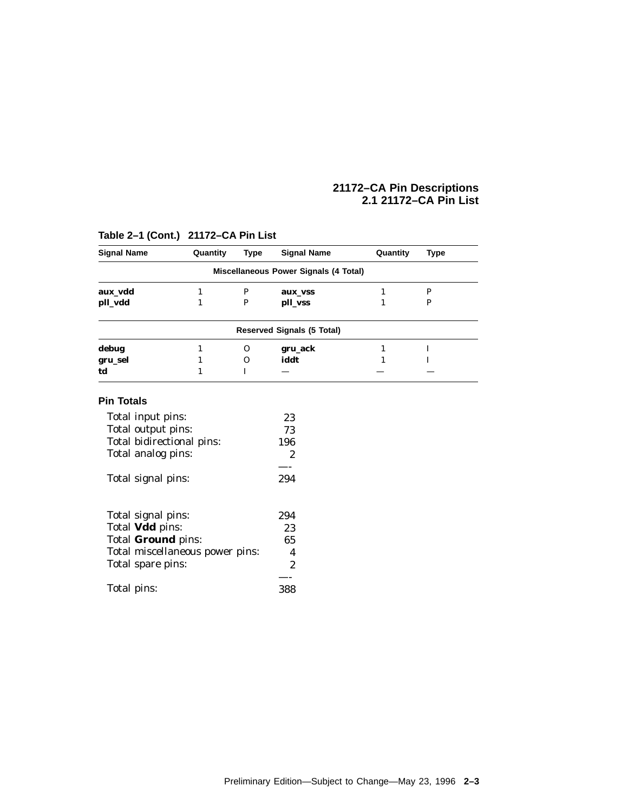#### **21172–CA Pin Descriptions 2.1 21172–CA Pin List**

| <b>Signal Name</b>              | Quantity | <b>Type</b> | <b>Signal Name</b>                           | Quantity     | <b>Type</b>  |
|---------------------------------|----------|-------------|----------------------------------------------|--------------|--------------|
|                                 |          |             | <b>Miscellaneous Power Signals (4 Total)</b> |              |              |
| aux vdd                         | 1        | P           | aux_vss                                      | $\mathbf{1}$ | $\mathbf{P}$ |
| pll_vdd                         | 1        | P           | pll_vss                                      | 1            | P            |
|                                 |          |             | <b>Reserved Signals (5 Total)</b>            |              |              |
| debug                           | 1        | $\mathbf 0$ | gru_ack                                      | 1            | I            |
| gru_sel                         | 1        | $\Omega$    | iddt                                         | 1            | I            |
| td                              | 1        | T           |                                              |              |              |
| <b>Pin Totals</b>               |          |             |                                              |              |              |
| Total input pins:               |          |             | 23                                           |              |              |
| Total output pins:              |          |             | 73                                           |              |              |
| Total bidirectional pins:       |          |             | 196                                          |              |              |
| Total analog pins:              |          |             | $\overline{2}$                               |              |              |
|                                 |          |             |                                              |              |              |
| Total signal pins:              |          |             | 294                                          |              |              |
|                                 |          |             |                                              |              |              |
| Total signal pins:              |          |             | 294                                          |              |              |
| Total <b>Vdd</b> pins:          |          |             | 23                                           |              |              |
| Total Ground pins:              |          |             | 65                                           |              |              |
| Total miscellaneous power pins: |          |             | 4                                            |              |              |
| Total spare pins:               |          |             | $\overline{2}$                               |              |              |
|                                 |          |             |                                              |              |              |
| Total pins:                     |          |             | 388                                          |              |              |

### **Table 2–1 (Cont.) 21172–CA Pin List**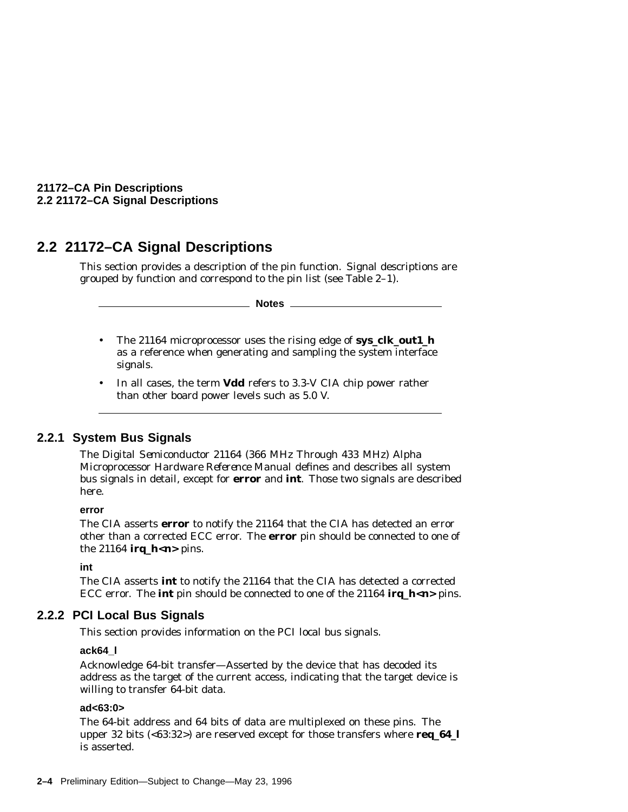**21172–CA Pin Descriptions 2.2 21172–CA Signal Descriptions**

# **2.2 21172–CA Signal Descriptions**

This section provides a description of the pin function. Signal descriptions are grouped by function and correspond to the pin list (see Table 2–1).

**Notes**

- The 21164 microprocessor uses the rising edge of **sys\_clk\_out1\_h** as a reference when generating and sampling the system interface signals.
- In all cases, the term **Vdd** refers to 3.3-V CIA chip power rather than other board power levels such as 5.0 V.

#### **2.2.1 System Bus Signals**

The *Digital Semiconductor 21164 (366 MHz Through 433 MHz) Alpha Microprocessor Hardware Reference Manual* defines and describes all system bus signals in detail, except for **error** and **int**. Those two signals are described here.

#### **error**

The CIA asserts **error** to notify the 21164 that the CIA has detected an error other than a corrected ECC error. The **error** pin should be connected to one of the 21164  $\text{irq}_h$   $\lt$ *n* $>$  pins.

#### **int**

The CIA asserts **int** to notify the 21164 that the CIA has detected a corrected ECC error. The **int** pin should be connected to one of the 21164 **irq\_h<***n***>** pins.

#### **2.2.2 PCI Local Bus Signals**

This section provides information on the PCI local bus signals.

#### **ack64\_l**

Acknowledge 64-bit transfer—Asserted by the device that has decoded its address as the target of the current access, indicating that the target device is willing to transfer 64-bit data.

#### **ad<63:0>**

The 64-bit address and 64 bits of data are multiplexed on these pins. The upper 32 bits (<63:32>) are reserved except for those transfers where **req\_64\_l** is asserted.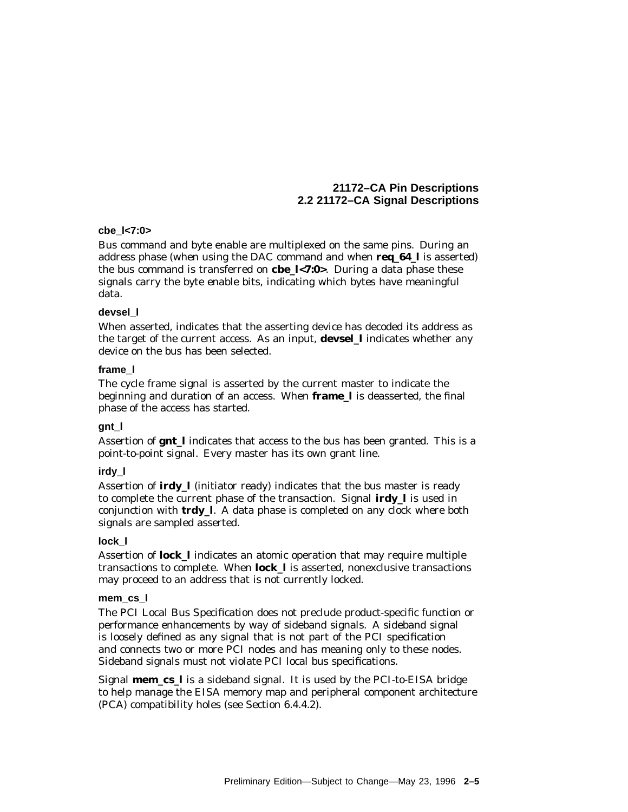#### **21172–CA Pin Descriptions 2.2 21172–CA Signal Descriptions**

#### **cbe\_l<7:0>**

Bus command and byte enable are multiplexed on the same pins. During an address phase (when using the DAC command and when **req\_64\_l** is asserted) the bus command is transferred on **cbe\_l<7:0>**. During a data phase these signals carry the byte enable bits, indicating which bytes have meaningful data.

#### **devsel\_l**

When asserted, indicates that the asserting device has decoded its address as the target of the current access. As an input, **devsel\_l** indicates whether any device on the bus has been selected.

#### **frame\_l**

The cycle frame signal is asserted by the current master to indicate the beginning and duration of an access. When **frame\_l** is deasserted, the final phase of the access has started.

#### **gnt\_l**

Assertion of **gnt\_l** indicates that access to the bus has been granted. This is a point-to-point signal. Every master has its own grant line.

#### **irdy\_l**

Assertion of **irdy\_l** (initiator ready) indicates that the bus master is ready to complete the current phase of the transaction. Signal **irdy\_l** is used in conjunction with **trdy\_l**. A data phase is completed on any clock where both signals are sampled asserted.

#### **lock\_l**

Assertion of **lock\_l** indicates an atomic operation that may require multiple transactions to complete. When **lock\_l** is asserted, nonexclusive transactions may proceed to an address that is not currently locked.

#### **mem\_cs\_l**

The *PCI Local Bus Specification* does not preclude product-specific function or performance enhancements by way of sideband signals. A sideband signal is loosely defined as any signal that is not part of the PCI specification and connects two or more PCI nodes and has meaning only to these nodes. Sideband signals must not violate PCI local bus specifications.

Signal **mem\_cs\_l** is a sideband signal. It is used by the PCI-to-EISA bridge to help manage the EISA memory map and peripheral component architecture (PCA) compatibility holes (see Section 6.4.4.2).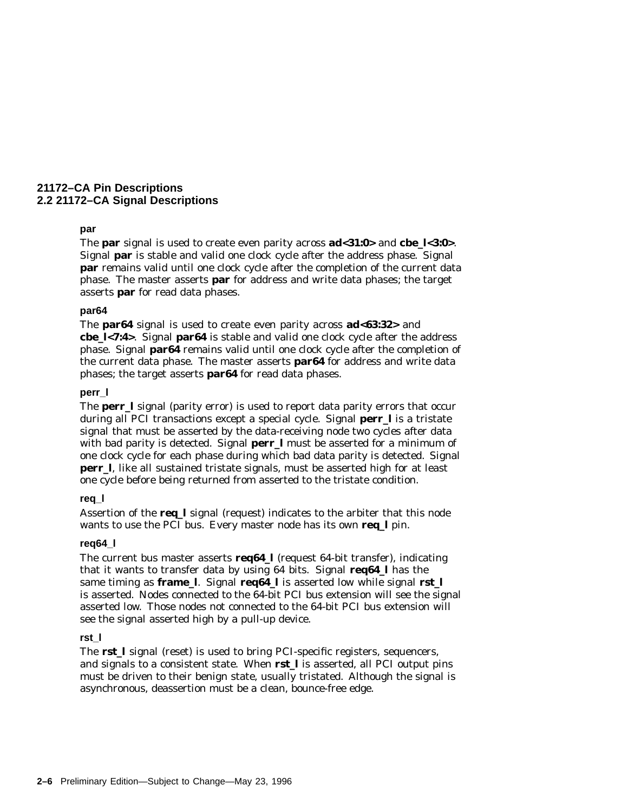#### **21172–CA Pin Descriptions 2.2 21172–CA Signal Descriptions**

#### **par**

The **par** signal is used to create even parity across **ad<31:0>** and **cbe\_l<3:0>**. Signal **par** is stable and valid one clock cycle after the address phase. Signal **par** remains valid until one clock cycle after the completion of the current data phase. The master asserts **par** for address and write data phases; the target asserts **par** for read data phases.

#### **par64**

The **par64** signal is used to create even parity across **ad<63:32>** and **cbe\_l<7:4>**. Signal **par64** is stable and valid one clock cycle after the address phase. Signal **par64** remains valid until one clock cycle after the completion of the current data phase. The master asserts **par64** for address and write data phases; the target asserts **par64** for read data phases.

#### **perr\_l**

The **perr\_l** signal (parity error) is used to report data parity errors that occur during all PCI transactions except a special cycle. Signal **perr\_l** is a tristate signal that must be asserted by the data-receiving node two cycles after data with bad parity is detected. Signal **perr 1** must be asserted for a minimum of one clock cycle for each phase during which bad data parity is detected. Signal **perr 1.** like all sustained tristate signals, must be asserted high for at least one cycle before being returned from asserted to the tristate condition.

#### **req\_l**

Assertion of the **req\_l** signal (request) indicates to the arbiter that this node wants to use the PCI bus. Every master node has its own **req\_l** pin.

#### **req64\_l**

The current bus master asserts **req64\_l** (request 64-bit transfer), indicating that it wants to transfer data by using 64 bits. Signal **req64\_l** has the same timing as **frame\_l**. Signal **req64\_l** is asserted low while signal **rst\_l** is asserted. Nodes connected to the 64-bit PCI bus extension will see the signal asserted low. Those nodes not connected to the 64-bit PCI bus extension will see the signal asserted high by a pull-up device.

#### **rst\_l**

The **rst** I signal (reset) is used to bring PCI-specific registers, sequencers, and signals to a consistent state. When **rst\_l** is asserted, all PCI output pins must be driven to their benign state, usually tristated. Although the signal is asynchronous, deassertion must be a clean, bounce-free edge.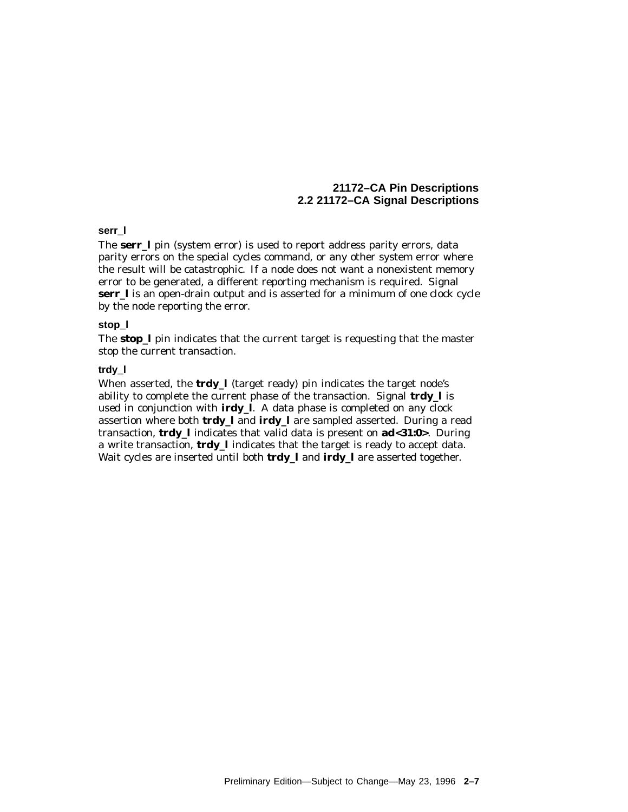### **serr\_l**

The **serr\_l** pin (system error) is used to report address parity errors, data parity errors on the special cycles command, or any other system error where the result will be catastrophic. If a node does not want a nonexistent memory error to be generated, a different reporting mechanism is required. Signal **serr\_l** is an open-drain output and is asserted for a minimum of one clock cycle by the node reporting the error.

#### **stop\_l**

The **stop\_l** pin indicates that the current target is requesting that the master stop the current transaction.

#### **trdy\_l**

When asserted, the **trdy\_l** (target ready) pin indicates the target node's ability to complete the current phase of the transaction. Signal **trdy\_l** is used in conjunction with **irdy\_l**. A data phase is completed on any clock assertion where both **trdy\_l** and **irdy\_l** are sampled asserted. During a read transaction, **trdy\_l** indicates that valid data is present on **ad<31:0>**. During a write transaction, **trdy\_l** indicates that the target is ready to accept data. Wait cycles are inserted until both **trdy\_l** and **irdy\_l** are asserted together.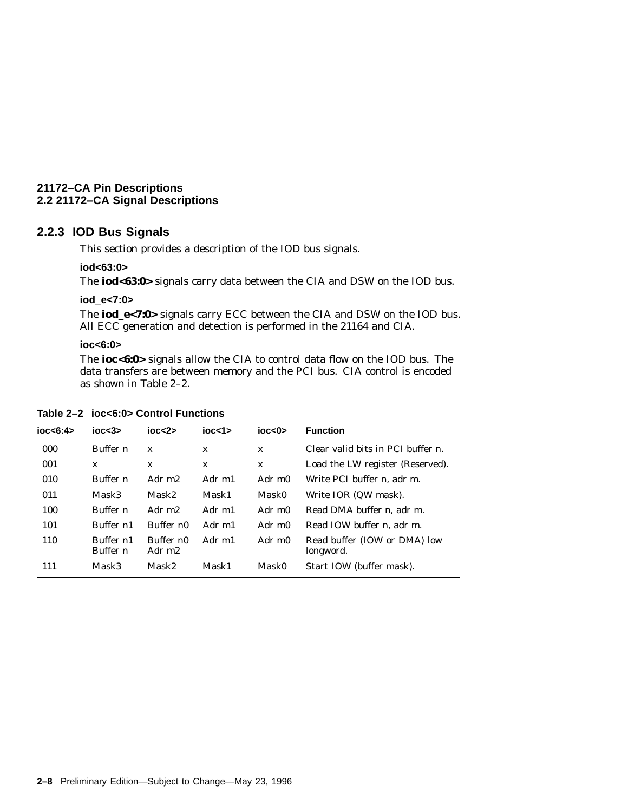# **2.2.3 IOD Bus Signals**

This section provides a description of the IOD bus signals.

### **iod<63:0>**

The **iod<63:0>** signals carry data between the CIA and DSW on the IOD bus.

#### **iod\_e<7:0>**

The **iod\_e<7:0>** signals carry ECC between the CIA and DSW on the IOD bus. All ECC generation and detection is performed in the 21164 and CIA.

### **ioc<6:0>**

The **ioc<6:0>** signals allow the CIA to control data flow on the IOD bus. The data transfers are between memory and the PCI bus. CIA control is encoded as shown in Table 2–2.

| Table 2-2 ioc<6:0> Control Functions |  |
|--------------------------------------|--|
|--------------------------------------|--|

| ioc < 6:4 | $i$ oc $<$ 3 $>$             | $i$ oc $<$ 2 $>$                        | $i$ oc<1>    | $i$ oc<0>    | <b>Function</b>                           |
|-----------|------------------------------|-----------------------------------------|--------------|--------------|-------------------------------------------|
| 000       | Buffer n                     | $\mathbf x$                             | $\mathbf{x}$ | $\mathbf{x}$ | Clear valid bits in PCI buffer <i>n</i> . |
| 001       | X                            | X                                       | X            | $\mathbf{x}$ | Load the LW register (Reserved).          |
| 010       | Buffer n                     | Adr m <sub>2</sub>                      | Adr m1       | Adr m0       | Write PCI buffer <i>n</i> . adr m.        |
| 011       | Mask3                        | Mask2                                   | Mask1        | Mask0        | Write IOR (QW mask).                      |
| 100       | Buffer n                     | Adr m <sub>2</sub>                      | Adr m1       | Adr m0       | Read DMA buffer <i>n</i> . adr m.         |
| 101       | Buffer n1                    | Buffer <i>n</i> 0                       | Adr m1       | Adr m0       | Read IOW buffer <i>n</i> . adr m.         |
| 110       | Buffer n1<br>Buffer <i>n</i> | Buffer <i>n</i> 0<br>Adr m <sub>2</sub> | Adr m1       | Adr m0       | Read buffer (IOW or DMA) low<br>longword. |
| 111       | Mask3                        | Mask2                                   | Mask1        | Mask0        | Start IOW (buffer mask).                  |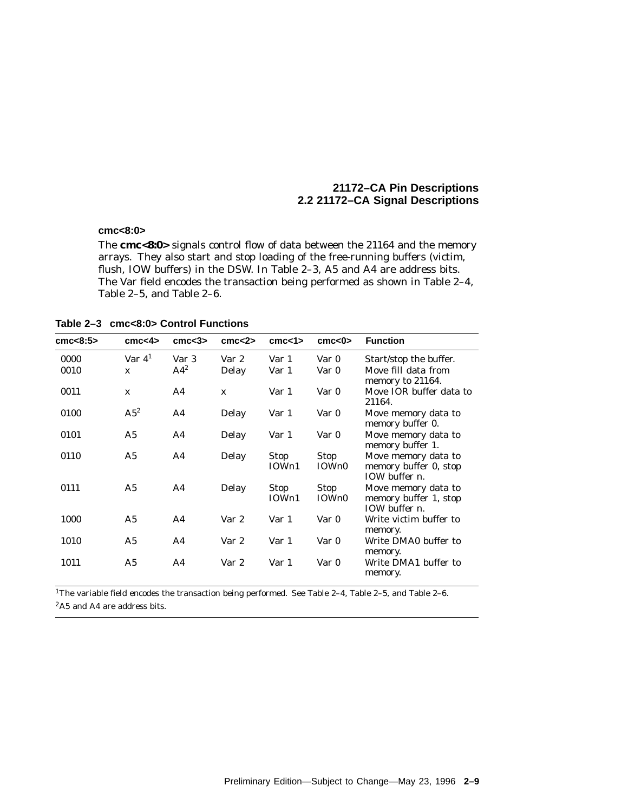### **cmc<8:0>**

The **cmc<8:0>** signals control flow of data between the 21164 and the memory arrays. They also start and stop loading of the free-running buffers (victim, flush, IOW buffers) in the DSW. In Table 2–3, A5 and A4 are address bits. The Var field encodes the transaction being performed as shown in Table 2–4, Table 2–5, and Table 2–6.

**Table 2–3 cmc<8:0> Control Functions**

| cmc<8:5>     | cmc <sub>4</sub>         | cm <3>          | cmc < 2        | cm < 1               | cm < 0               | <b>Function</b>                                                   |
|--------------|--------------------------|-----------------|----------------|----------------------|----------------------|-------------------------------------------------------------------|
| 0000<br>0010 | Var $41$<br>$\mathbf{x}$ | Var 3<br>$A4^2$ | Var 2<br>Delay | Var 1<br>Var 1       | Var 0<br>Var 0       | Start/stop the buffer.<br>Move fill data from<br>memory to 21164. |
| 0011         | $\mathbf{x}$             | A4              | $\mathbf{x}$   | Var 1                | Var 0                | Move IOR buffer data to<br>21164.                                 |
| 0100         | $A5^2$                   | A <sub>4</sub>  | Delay          | Var 1                | Var 0                | Move memory data to<br>memory buffer 0.                           |
| 0101         | A <sub>5</sub>           | A <sub>4</sub>  | Delay          | Var 1                | Var 0                | Move memory data to<br>memory buffer 1.                           |
| 0110         | A <sub>5</sub>           | A4              | Delay          | <b>Stop</b><br>IOWn1 | <b>Stop</b><br>IOWn0 | Move memory data to<br>memory buffer 0, stop<br>IOW buffer $n$ .  |
| 0111         | A5                       | A <sub>4</sub>  | Delay          | Stop<br>IOWn1        | Stop<br>IOWn0        | Move memory data to<br>memory buffer 1, stop<br>IOW buffer $n$ .  |
| 1000         | A5                       | A <sub>4</sub>  | Var 2          | Var 1                | Var 0                | Write victim buffer to<br>memory.                                 |
| 1010         | A <sub>5</sub>           | A <sub>4</sub>  | Var 2          | Var 1                | Var 0                | Write DMA0 buffer to<br>memory.                                   |
| 1011         | A5                       | A <sub>4</sub>  | Var 2          | Var 1                | Var 0                | Write DMA1 buffer to<br>memory.                                   |

1The variable field encodes the transaction being performed. See Table 2–4, Table 2–5, and Table 2–6. 2A5 and A4 are address bits.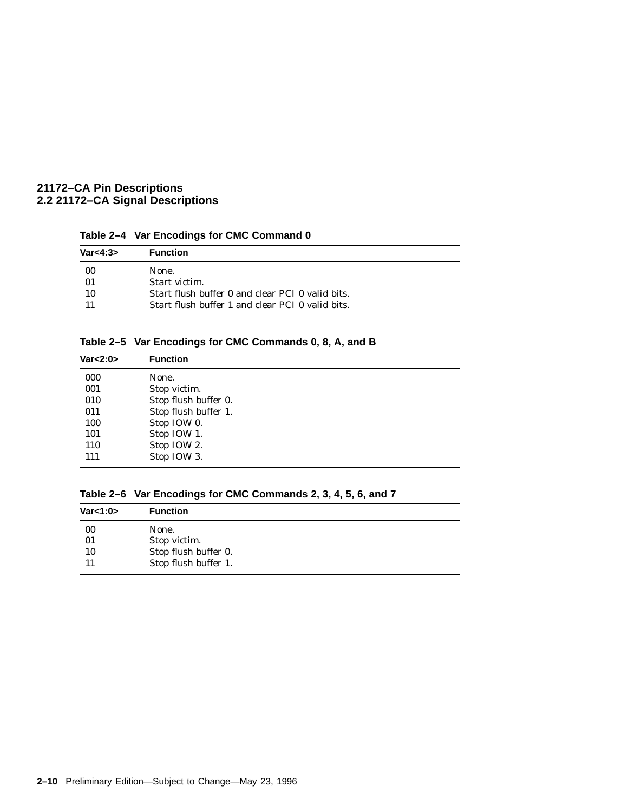| Var<4:3> | <b>Function</b>                                  |
|----------|--------------------------------------------------|
| - 00     | None.                                            |
| -01      | Start victim.                                    |
| -10      | Start flush buffer 0 and clear PCI 0 valid bits. |
|          | Start flush buffer 1 and clear PCI 0 valid bits. |

**Table 2–5 Var Encodings for CMC Commands 0, 8, A, and B**

| Var<2:0> | <b>Function</b>      |
|----------|----------------------|
| 000      | None.                |
| 001      | Stop victim.         |
| 010      | Stop flush buffer 0. |
| 011      | Stop flush buffer 1. |
| 100      | Stop IOW 0.          |
| 101      | Stop IOW 1.          |
| 110      | Stop IOW 2.          |
| 111      | Stop IOW 3.          |

|  | Table 2–6 Var Encodings for CMC Commands 2, 3, 4, 5, 6, and 7 |  |
|--|---------------------------------------------------------------|--|
|--|---------------------------------------------------------------|--|

| <b>Function</b>      |
|----------------------|
| None.                |
| Stop victim.         |
| Stop flush buffer 0. |
| Stop flush buffer 1. |
|                      |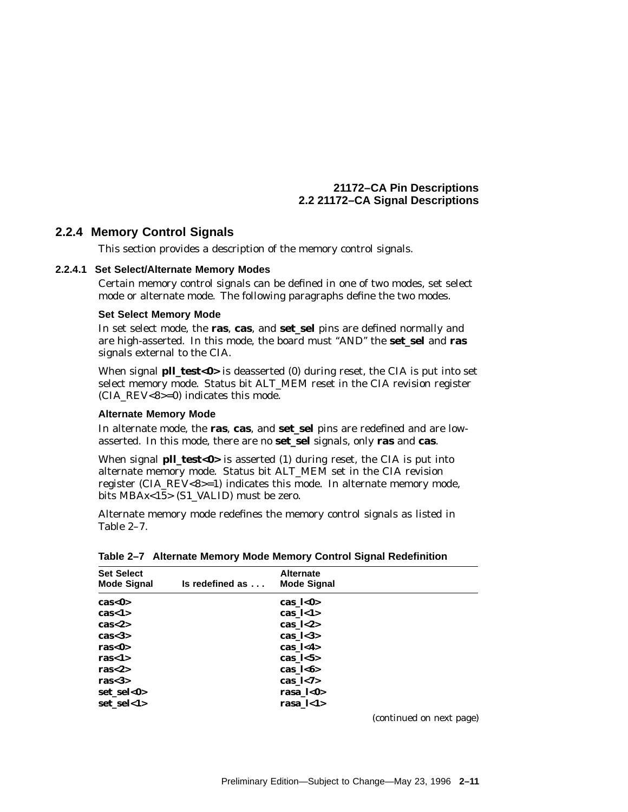## **2.2.4 Memory Control Signals**

This section provides a description of the memory control signals.

### **2.2.4.1 Set Select/Alternate Memory Modes**

Certain memory control signals can be defined in one of two modes, set select mode or alternate mode. The following paragraphs define the two modes.

### **Set Select Memory Mode**

In set select mode, the **ras**, **cas**, and **set\_sel** pins are defined normally and are high-asserted. In this mode, the board must ''AND'' the **set\_sel** and **ras** signals external to the CIA.

When signal **pll\_test<0>** is deasserted (0) during reset, the CIA is put into set select memory mode. Status bit ALT\_MEM reset in the CIA revision register (CIA\_REV<8>=0) indicates this mode.

### **Alternate Memory Mode**

In alternate mode, the **ras**, **cas**, and **set\_sel** pins are redefined and are lowasserted. In this mode, there are no **set\_sel** signals, only **ras** and **cas**.

When signal **pll\_test<0>** is asserted (1) during reset, the CIA is put into alternate memory mode. Status bit ALT\_MEM set in the CIA revision register (CIA\_REV<8>=1) indicates this mode. In alternate memory mode, bits MBA*x*<15> (S1\_VALID) must be zero.

Alternate memory mode redefines the memory control signals as listed in Table 2–7.

| <b>Set Select</b><br><b>Mode Signal</b> | Is redefined as | <b>Alternate</b><br><b>Mode Signal</b> |  |
|-----------------------------------------|-----------------|----------------------------------------|--|
| cas < 0                                 |                 | cas_ $l < 0$                           |  |
| cas < 1>                                |                 | cas $\vert$ <1>                        |  |
| cas < 2>                                |                 | cas $\frac{1}{2}$                      |  |
| cas < 3                                 |                 | cas $\frac{1}{3}$                      |  |
| ras<0>                                  |                 | cas $\frac{1}{4}$                      |  |
| ras $<$ 1>                              |                 | cas $\frac{1}{5}$                      |  |
| ras $<\,>2$                             |                 | cas $1 < 6$                            |  |
| ras $<$ 3>                              |                 | cas $\frac{1}{7}$                      |  |
| set sel<0>                              |                 | rasa_ $\frac{1}{0}$                    |  |
| set sel<1>                              |                 | rasa $\bf k$ 1>                        |  |

**Table 2–7 Alternate Memory Mode Memory Control Signal Redefinition**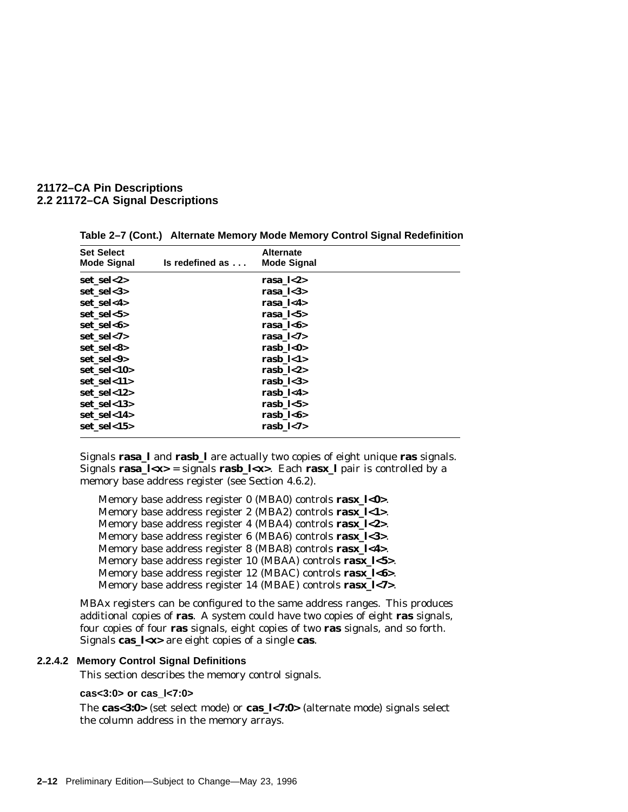| <b>Set Select</b><br><b>Mode Signal</b> | Is redefined as | <b>Alternate</b><br><b>Mode Signal</b> |  |
|-----------------------------------------|-----------------|----------------------------------------|--|
| set sel<2>                              |                 | rasa $\frac{1}{2}$                     |  |
| set sel<3>                              |                 | rasa $\bf{1}$ < 3>                     |  |
| set_sel<4>                              |                 | rasa $\bf{1}$ < 4>                     |  |
| set sel<5>                              |                 | rasa $\bf k$ 5>                        |  |
| set sel<6>                              |                 | rasa $1 < 6$                           |  |
| set sel<7>                              |                 | rasa $\bf k$ 7>                        |  |
| set sel<8>                              |                 | rasb $\bf k=0$                         |  |
| set sel<9>                              |                 | rasb $\bf k$ 1>                        |  |
| set sel<10>                             |                 | rasb $\bf k$ -2>                       |  |
| set sel<11>                             |                 | rasb $\bf k$ -3>                       |  |
| set sel<12>                             |                 | rasb $\bf k$ -4>                       |  |
| set sel<13>                             |                 | rasb $\bf k$ -5>                       |  |
| set sel<14>                             |                 | rasb $\bf k=6$                         |  |
| set sel<15>                             |                 | rasb_ $\frac{1}{7}$                    |  |

**Table 2–7 (Cont.) Alternate Memory Mode Memory Control Signal Redefinition**

Signals **rasa\_l** and **rasb\_l** are actually two copies of eight unique **ras** signals. Signals  $\text{rasa}\_\text{l} = \text{signals } \text{rasb}\_\text{l}$ . Each  $\text{rasx}\_\text{l}$  pair is controlled by a memory base address register (see Section 4.6.2).

Memory base address register 0 (MBA0) controls **ras***x***\_l<0>**. Memory base address register 2 (MBA2) controls **ras***x***\_l<1>**. Memory base address register 4 (MBA4) controls **ras***x***\_l<2>**. Memory base address register 6 (MBA6) controls **ras***x***\_l<3>**. Memory base address register 8 (MBA8) controls **ras***x***\_l<4>**. Memory base address register 10 (MBAA) controls **ras***x***\_l<5>**. Memory base address register 12 (MBAC) controls **ras***x***\_l<6>**. Memory base address register 14 (MBAE) controls **ras***x***\_l<7>**.

MBA*x* registers can be configured to the same address ranges. This produces additional copies of **ras**. A system could have two copies of eight **ras** signals, four copies of four **ras** signals, eight copies of two **ras** signals, and so forth. Signals **cas\_l<***x***>** are eight copies of a single **cas**.

#### **2.2.4.2 Memory Control Signal Definitions**

This section describes the memory control signals.

### **cas<3:0> or cas\_l<7:0>**

The **cas<3:0>** (set select mode) or **cas\_l<7:0>** (alternate mode) signals select the column address in the memory arrays.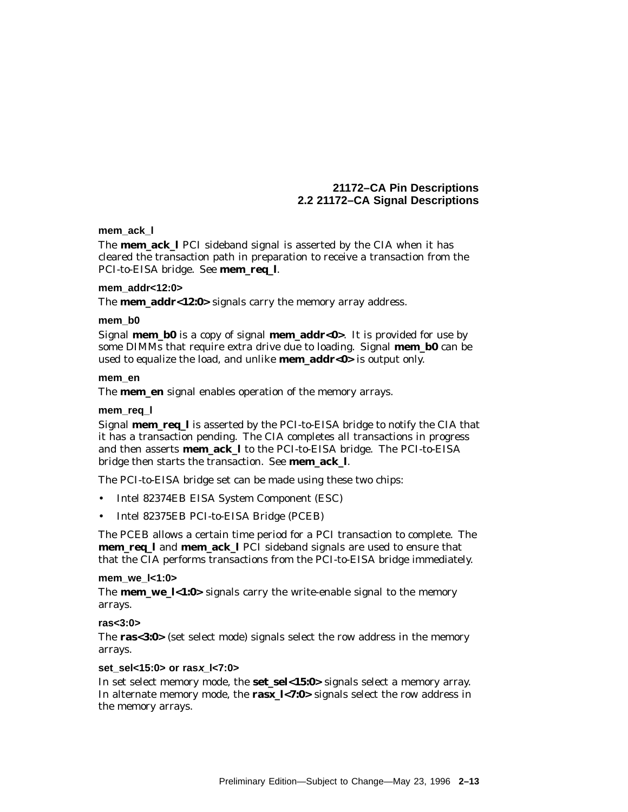### **mem\_ack\_l**

The **mem\_ack\_l** PCI sideband signal is asserted by the CIA when it has cleared the transaction path in preparation to receive a transaction from the PCI-to-EISA bridge. See **mem\_req\_l**.

### **mem\_addr<12:0>**

The **mem\_addr<12:0>** signals carry the memory array address.

### **mem\_b0**

Signal **mem\_b0** is a copy of signal **mem\_addr<0>**. It is provided for use by some DIMMs that require extra drive due to loading. Signal **mem\_b0** can be used to equalize the load, and unlike **mem\_addr<0>** is output only.

#### **mem\_en**

The **mem** en signal enables operation of the memory arrays.

### **mem\_req\_l**

Signal **mem\_req\_l** is asserted by the PCI-to-EISA bridge to notify the CIA that it has a transaction pending. The CIA completes all transactions in progress and then asserts **mem\_ack\_l** to the PCI-to-EISA bridge. The PCI-to-EISA bridge then starts the transaction. See **mem\_ack\_l**.

The PCI-to-EISA bridge set can be made using these two chips:

- Intel 82374EB EISA System Component (ESC)
- Intel 82375EB PCI-to-EISA Bridge (PCEB)

The PCEB allows a certain time period for a PCI transaction to complete. The **mem\_req\_l** and **mem\_ack\_l** PCI sideband signals are used to ensure that that the CIA performs transactions from the PCI-to-EISA bridge immediately.

### **mem\_we\_l<1:0>**

The **mem\_we\_l<1:0>** signals carry the write-enable signal to the memory arrays.

### **ras<3:0>**

The **ras<3:0>** (set select mode) signals select the row address in the memory arrays.

### **set\_sel<15:0> or rasx\_l<7:0>**

In set select memory mode, the **set\_sel<15:0>** signals select a memory array. In alternate memory mode, the **ras***x***\_l<7:0>** signals select the row address in the memory arrays.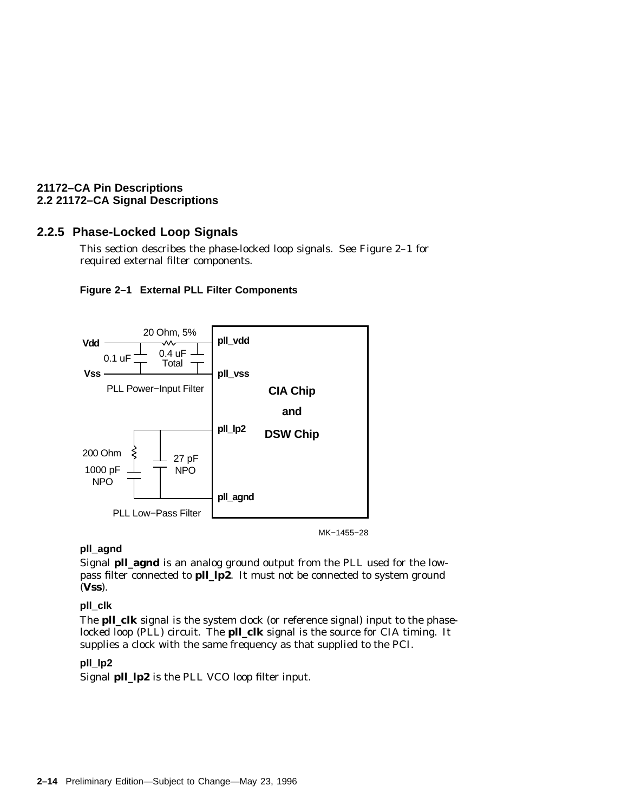# **2.2.5 Phase-Locked Loop Signals**

This section describes the phase-locked loop signals. See Figure 2–1 for required external filter components.





MK−1455−28

## **pll\_agnd**

Signal **pll\_agnd** is an analog ground output from the PLL used for the lowpass filter connected to **pll\_lp2**. It *must not* be connected to system ground (**Vss**).

# **pll\_clk**

The **pll\_clk** signal is the system clock (or reference signal) input to the phaselocked loop (PLL) circuit. The **pll\_clk** signal is the source for CIA timing. It supplies a clock with the same frequency as that supplied to the PCI.

## **pll\_lp2**

Signal **pll\_lp2** is the PLL VCO loop filter input.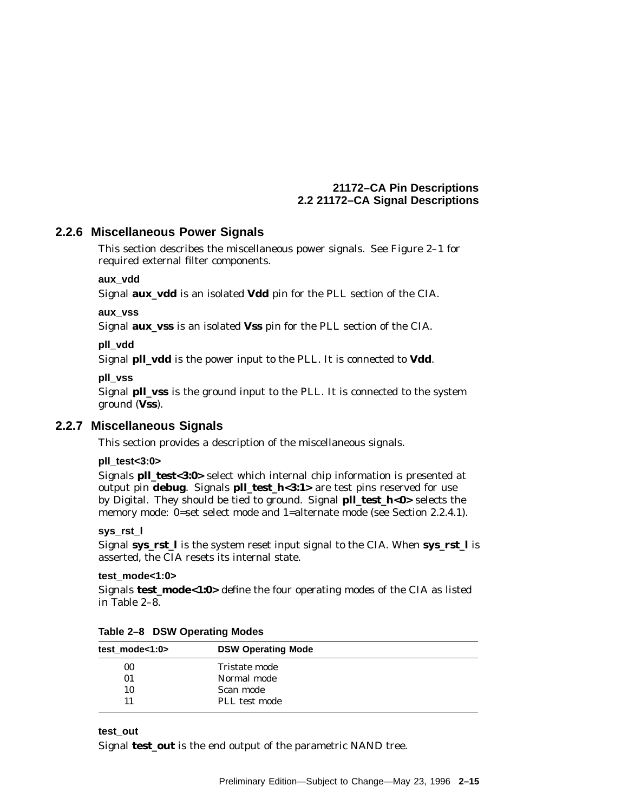# **2.2.6 Miscellaneous Power Signals**

This section describes the miscellaneous power signals. See Figure 2–1 for required external filter components.

**aux\_vdd**

Signal **aux\_vdd** is an isolated **Vdd** pin for the PLL section of the CIA.

**aux\_vss**

Signal **aux\_vss** is an isolated **Vss** pin for the PLL section of the CIA.

**pll\_vdd**

Signal **pll\_vdd** is the power input to the PLL. It is connected to **Vdd**.

**pll\_vss**

Signal **pll\_vss** is the ground input to the PLL. It is connected to the system ground (**Vss**).

# **2.2.7 Miscellaneous Signals**

This section provides a description of the miscellaneous signals.

### **pll\_test<3:0>**

Signals **pll\_test<3:0>** select which internal chip information is presented at output pin **debug**. Signals **pll\_test\_h<3:1>** are test pins reserved for use by Digital. They should be tied to ground. Signal **pll\_test\_h<0>** selects the memory mode: 0=set select mode and 1=alternate mode (see Section 2.2.4.1).

**sys\_rst\_l**

Signal **sys\_rst\_l** is the system reset input signal to the CIA. When **sys\_rst\_l** is asserted, the CIA resets its internal state.

### **test\_mode<1:0>**

Signals **test\_mode<1:0>** define the four operating modes of the CIA as listed in Table 2–8.

| <b>DSW Operating Mode</b> |  |
|---------------------------|--|
| Tristate mode             |  |
| Normal mode               |  |
| Scan mode                 |  |
| PLL test mode             |  |
|                           |  |

**Table 2–8 DSW Operating Modes**

### **test\_out**

Signal **test\_out** is the end output of the parametric NAND tree.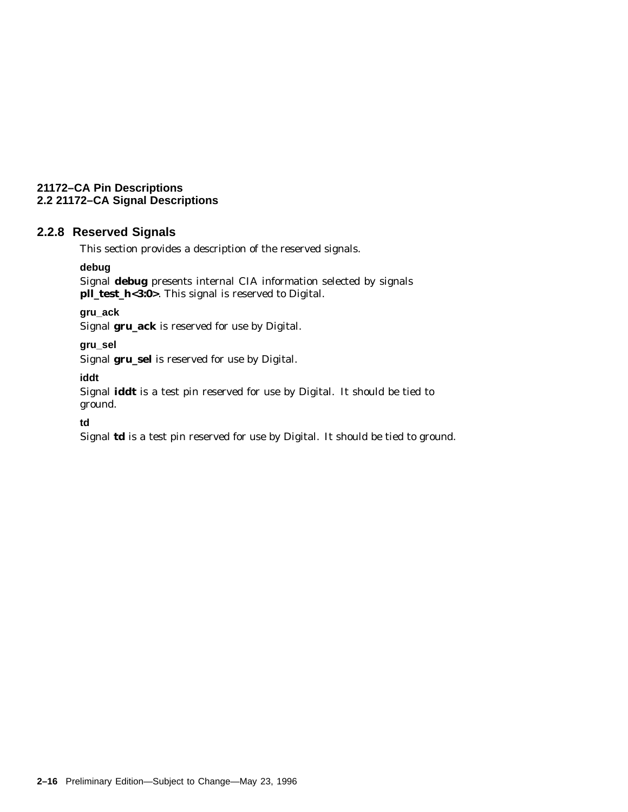# **2.2.8 Reserved Signals**

This section provides a description of the reserved signals.

### **debug**

Signal **debug** presents internal CIA information selected by signals **pll\_test\_h<3:0>**. This signal is reserved to Digital.

**gru\_ack**

Signal **gru\_ack** is reserved for use by Digital.

**gru\_sel**

Signal **gru\_sel** is reserved for use by Digital.

**iddt**

Signal **iddt** is a test pin reserved for use by Digital. It should be tied to ground.

**td**

Signal **td** is a test pin reserved for use by Digital. It should be tied to ground.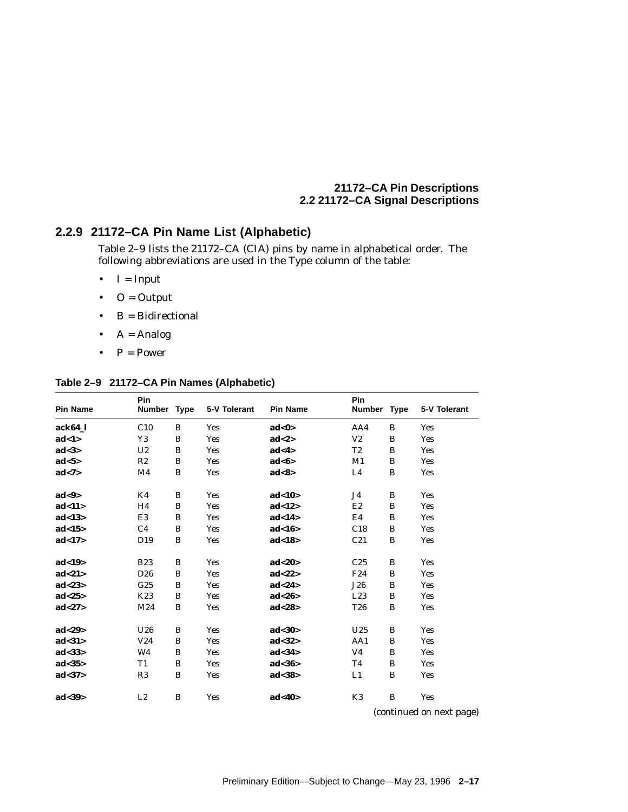# **2.2.9 21172–CA Pin Name List (Alphabetic)**

Table 2–9 lists the 21172–CA (CIA) pins by name in alphabetical order. The following abbreviations are used in the Type column of the table:

- $\bullet$  I = Input
- $\bullet$  O = Output
- $B = Bidirectional$
- $A =$  Analog
- $P = Power$

### **Table 2–9 21172–CA Pin Names (Alphabetic)**

| <b>Pin Name</b>      | Pin<br>Number Type |   | 5-V Tolerant | <b>Pin Name</b>  | Pin<br>Number Type |              | 5-V Tolerant |
|----------------------|--------------------|---|--------------|------------------|--------------------|--------------|--------------|
| ack64 l              | C10                | B | <b>Yes</b>   | ad<0>            | AA4                | B            | <b>Yes</b>   |
| ad<1>                | Y3                 | B | <b>Yes</b>   | ad < 2>          | V <sub>2</sub>     | B            | <b>Yes</b>   |
| ad < 3>              | U <sub>2</sub>     | B | <b>Yes</b>   | ad<4>            | T <sub>2</sub>     | B            | <b>Yes</b>   |
| ad < 5               | R2                 | B | <b>Yes</b>   | ad <sub>6</sub>  | M1                 | B            | Yes          |
| ad < 7>              | M4                 | B | <b>Yes</b>   | ad<8>            | L4                 | B            | <b>Yes</b>   |
| ad <sub>9</sub>      | K4                 | B | <b>Yes</b>   | ad<10>           | J4                 | B            | <b>Yes</b>   |
| ad<11>               | H4                 | B | <b>Yes</b>   | ad<12>           | E2                 | B            | <b>Yes</b>   |
| ad<13>               | E3                 | B | <b>Yes</b>   | ad<14>           | E4                 | B            | <b>Yes</b>   |
| ad<15>               | C4                 | B | <b>Yes</b>   | ad<16>           | C18                | B            | Yes          |
| ad<17>               | D <sub>19</sub>    | B | <b>Yes</b>   | ad<18>           | C21                | B            | <b>Yes</b>   |
| ad<19>               | <b>B23</b>         | B | <b>Yes</b>   | ad < 20          | C <sub>25</sub>    | B            | <b>Yes</b>   |
| ad<21>               | D <sub>26</sub>    | B | <b>Yes</b>   | ad<22>           | F <sub>24</sub>    | B            | <b>Yes</b>   |
| ad < 23              | G <sub>25</sub>    | B | <b>Yes</b>   | ad<24>           | <b>J26</b>         | B            | <b>Yes</b>   |
| ad<25                | K23                | B | <b>Yes</b>   | ad < 26          | L23                | B            | <b>Yes</b>   |
| ad<27>               | M24                | B | <b>Yes</b>   | ad < 28          | <b>T26</b>         | B            | <b>Yes</b>   |
| ad < 29              | U26                | B | <b>Yes</b>   | ad <sub>30</sub> | U <sub>25</sub>    | B            | <b>Yes</b>   |
| ad < 31              | V <sub>24</sub>    | B | <b>Yes</b>   | ad < 32          | AA1                | B            | <b>Yes</b>   |
| ad<33>               | W4                 | B | <b>Yes</b>   | ad <sub>34</sub> | V <sub>4</sub>     | B            | <b>Yes</b>   |
| ad <sub>35&gt;</sub> | T1                 | B | Yes          | ad<36>           | T4                 | B            | <b>Yes</b>   |
| ad < 37              | R3                 | B | <b>Yes</b>   | ad < 38          | L1                 | B            | <b>Yes</b>   |
| ad < 39              | L2                 | B | <b>Yes</b>   | ad <sub>40</sub> | K3<br>$\epsilon$   | B<br>$\cdot$ | <b>Yes</b>   |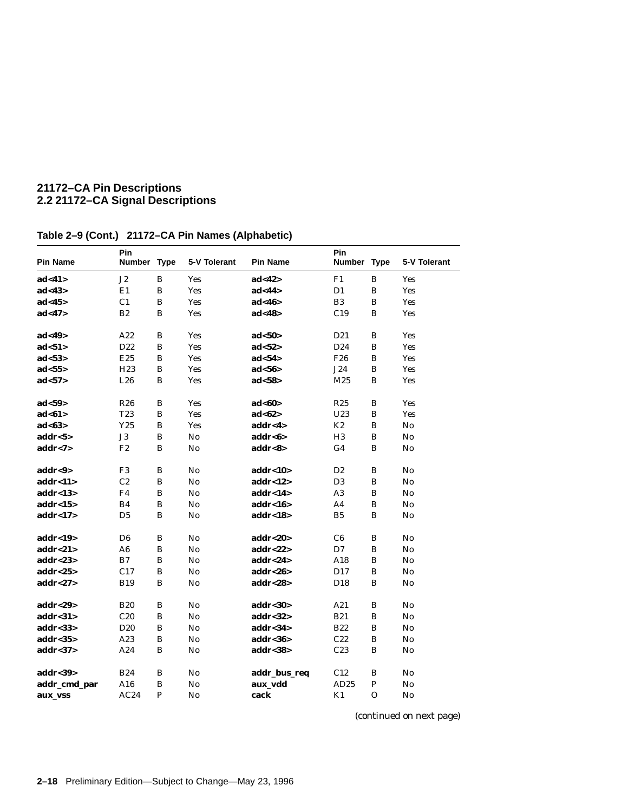| <b>Pin Name</b>        | Pin<br>Number Type |              | 5-V Tolerant | <b>Pin Name</b>      | Pin<br>Number Type |          | 5-V Tolerant           |
|------------------------|--------------------|--------------|--------------|----------------------|--------------------|----------|------------------------|
| ad<41>                 | J2                 | B            | <b>Yes</b>   | ad<42>               | F1                 | B        | <b>Yes</b>             |
| ad<43>                 | E1                 | B            | Yes          | ad<44>               | D1                 | B        | <b>Yes</b>             |
| ad<45>                 | C <sub>1</sub>     | B            | <b>Yes</b>   | ad<46                | B <sub>3</sub>     | B        | <b>Yes</b>             |
| ad <sub>47</sub>       | B2                 | B            | <b>Yes</b>   | ad<48>               | C19                | B        | <b>Yes</b>             |
| ad<49>                 | A22                | B            | <b>Yes</b>   | ad <sub>50</sub>     | D <sub>21</sub>    | B        | <b>Yes</b>             |
| ad <sub>51</sub>       | D22                | B            | <b>Yes</b>   | ad <sub>52</sub>     | D <sub>24</sub>    | $\bf{B}$ | <b>Yes</b>             |
| ad < 53                | E25                | $\, {\bf B}$ | <b>Yes</b>   | ad <sub>54</sub>     | F <sub>26</sub>    | B        | <b>Yes</b>             |
| ad <sub>55&gt;</sub>   | H <sub>23</sub>    | B            | <b>Yes</b>   | ad <sub>56</sub>     | J24                | B        | <b>Yes</b>             |
| ad < 57                | L26                | B            | <b>Yes</b>   | ad < 58              | M25                | $\bf{B}$ | <b>Yes</b>             |
| ad < 59                | <b>R26</b>         | B            | <b>Yes</b>   | ad <sub>60</sub>     | R25                | B        | <b>Yes</b>             |
| ad<61>                 | T <sub>23</sub>    | B            | Yes          | ad <sub>62</sub>     | U23                | B        | <b>Yes</b>             |
| ad<63>                 | Y25                | B            | Yes          | $\mathbf{addr} < 4>$ | $\rm K2$           | B        | $\mathbf{N}\mathbf{o}$ |
| addr < 5>              | J3                 | B            | No           | $\mathbf{addr} < 6$  | H <sub>3</sub>     | B        | No                     |
| addr < 7>              | F2                 | B            | No           | addr<8>              | G <sub>4</sub>     | B        | No                     |
| addr<9>                | F3                 | B            | No           | addr<10>             | D <sub>2</sub>     | B        | No                     |
| addr < 11>             | C2                 | B            | No           | addr<12>             | D <sub>3</sub>     | $\bf{B}$ | No                     |
| addr<13>               | F4                 | $\, {\bf B}$ | No           | addr<14>             | A3                 | B        | $\mathbf{N}\mathbf{o}$ |
| addr<15>               | B4                 | B            | No           | addr<16>             | A4                 | $\bf{B}$ | No                     |
| addr<17>               | D <sub>5</sub>     | $\bf{B}$     | No           | addr<18>             | B <sub>5</sub>     | B        | No                     |
| addr<19 $>$            | D <sub>6</sub>     | B            | No           | addr<20>             | C <sub>6</sub>     | В        | No                     |
| addr<21>               | A <sub>6</sub>     | B            | No           | addr<22 $>$          | D7                 | B        | $\mathbf{N}\mathbf{o}$ |
| addr < 23              | B7                 | B            | No           | $\mathbf{addr} < 24$ | A18                | $\bf{B}$ | No                     |
| $\mathbf{addr} < 25$   | C17                | B            | No           | $\mathbf{addr} < 26$ | D <sub>17</sub>    | B        | No                     |
| addr < 27              | <b>B19</b>         | B            | No           | addr < 28            | D <sub>18</sub>    | B        | No                     |
| addr<29>               | <b>B20</b>         | B            | No           | addr<30              | A21                | B        | No                     |
| $\mathbf{addr} < 31$   | C20                | B            | No           | addr < 32>           | <b>B21</b>         | B        | No                     |
| $\mathbf{addr} < 33>$  | D <sub>20</sub>    | $\, {\bf B}$ | No           | addr < 34            | <b>B22</b>         | B        | No                     |
| $\mathbf{addr} < 35$ > | A23                | B            | No           | addr<36              | C22                | B        | No                     |
| $\mathbf{addr} < 37$   | A24                | B            | No           | addr < 38            | C23                | В        | No                     |
| $\mathbf{addr} < 39$ > | <b>B24</b>         | B            | No           | addr_bus_req         | C12                | В        | No                     |
| addr_cmd_par           | A16                | B            | No           | aux_vdd              | AD25               | P        | $\mathbf{N}\mathbf{o}$ |
| aux_vss                | AC24               | P            | No           | cack                 | K1                 | $\Omega$ | No                     |

# **Table 2–9 (Cont.) 21172–CA Pin Names (Alphabetic)**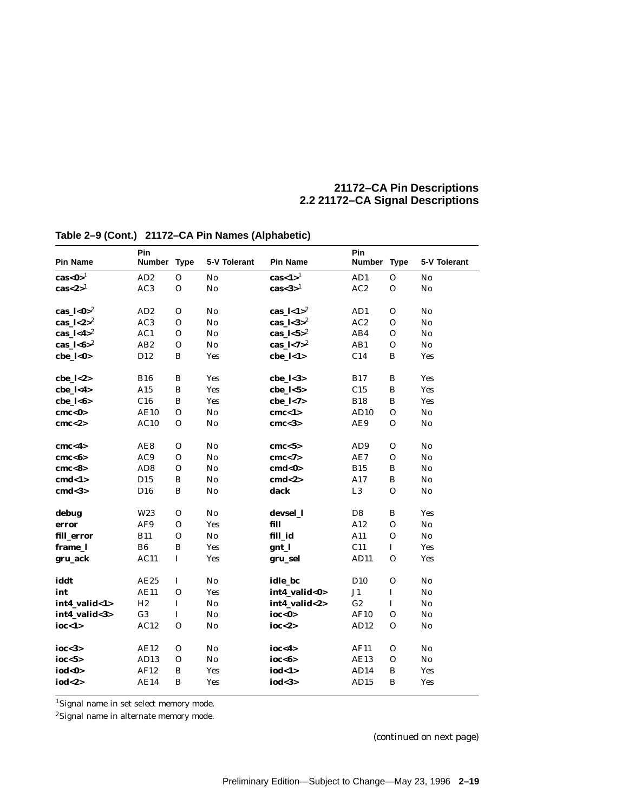| <b>Pin Name</b>                        | Pin<br>Number Type |              | 5-V Tolerant   | <b>Pin Name</b>                     | Pin<br><b>Number</b> | <b>Type</b>  | 5-V Tolerant              |
|----------------------------------------|--------------------|--------------|----------------|-------------------------------------|----------------------|--------------|---------------------------|
| cas<0> $^{-1}$                         | AD2                | $\Omega$     | No             | $\text{cas-1}$ <sup>1</sup>         | AD1                  | $\Omega$     | $\mathbf{N}$ <sub>0</sub> |
| $\text{cas}\textless 2$ > <sup>1</sup> | AC3                | $\mathbf{O}$ | No             | $\text{cas}$ <3> $^1$               | AC2                  | $\mathbf{O}$ | No                        |
| $\text{cas}\_l < \text{0} > 2$         | AD2                | $\mathbf{O}$ | No             | cas $\frac{1}{2}$                   | AD1                  | $\Omega$     | No                        |
| cas_ $1 < 2 > 2$                       | AC <sub>3</sub>    | $\mathbf{O}$ | N <sub>0</sub> | cas_ $\frac{1}{3}$ > $\frac{2}{3}$  | AC2                  | $\mathbf{O}$ | No                        |
| cas_ $1 < 4 > 2$                       | AC1                | $\mathbf{O}$ | No             | cas_ $1 < 5 > 2$                    | AB4                  | O            | No                        |
| cas_ $1 < 6 > 2$                       | AB2                | $\mathbf{O}$ | N <sub>0</sub> | cas_ $\frac{1}{7}$ <7> <sup>2</sup> | AB1                  | 0            | No                        |
| cbe_l<0>                               | D <sub>12</sub>    | $\bf{B}$     | Yes            | $che_l < 1>$                        | C14                  | B            | Yes                       |
| $che_l <2>$                            | <b>B16</b>         | $\, {\bf B}$ | Yes            | $che_l <3>$                         | <b>B17</b>           | B            | Yes                       |
| cbe_l<4>                               | A15                | $\bf{B}$     | Yes            | $che_l < 5>$                        | C15                  | $\, {\bf B}$ | <b>Yes</b>                |
| $che$ $1 < 6$                          | C16                | B            | Yes            | cbe $1 < 7$                         | <b>B18</b>           | B            | <b>Yes</b>                |
| cmc<0>                                 | <b>AE10</b>        | $\mathbf{O}$ | No             | cmc < 1>                            | AD10                 | $\mathbf{O}$ | No                        |
| cmc < 2>                               | AC10               | $\mathbf{O}$ | No             | cmc <sub>3</sub>                    | AE9                  | 0            | No                        |
| cmc < 4>                               | AE8                | $\mathbf{O}$ | No             | cmc < 5                             | AD <sub>9</sub>      | $\mathbf{O}$ | No                        |
| cmc<6>                                 | AC9                | $\mathbf{O}$ | No             | cmc < 7                             | AE7                  | 0            | $\mathbf{N}$ <sub>0</sub> |
| cmc <sub>8</sub>                       | AD <sub>8</sub>    | $\mathbf 0$  | N <sub>0</sub> | cmd<0>                              | <b>B15</b>           | $\, {\bf B}$ | $\mathbf{N}\mathbf{o}$    |
| cmd<1>                                 | D <sub>15</sub>    | B            | No             | cmd < 2>                            | A17                  | B            | No                        |
| cmd <sub>3</sub>                       | D <sub>16</sub>    | B            | No             | dack                                | L <sub>3</sub>       | 0            | No                        |
| debug                                  | W <sub>23</sub>    | $\mathbf{O}$ | No             | devsel 1                            | D <sub>8</sub>       | B            | <b>Yes</b>                |
| error                                  | AF9                | O            | Yes            | fill                                | A12                  | $\mathbf{O}$ | $\mathbf{No}$             |
| fill_error                             | <b>B11</b>         | $\mathbf{O}$ | No             | fill id                             | A11                  | $\mathbf{O}$ | $\mathbf{N}\mathbf{o}$    |
| frame 1                                | B <sub>6</sub>     | $\bf{B}$     | <b>Yes</b>     | gnt_l                               | C11                  | $\mathbf I$  | <b>Yes</b>                |
| gru_ack                                | AC11               | $\bf I$      | Yes            | gru_sel                             | AD11                 | $\mathbf{O}$ | <b>Yes</b>                |
| iddt                                   | AE25               | I            | No             | idle_bc                             | D <sub>10</sub>      | $\mathbf 0$  | No                        |
| int                                    | <b>AE11</b>        | $\mathbf{O}$ | Yes            | int4_valid<0>                       | J1                   | $\bf I$      | No                        |
| int4 valid<1>                          | H <sub>2</sub>     | $\bf I$      | No             | int4 valid<2>                       | G2                   | $\bf I$      | No                        |
| int4_valid<3>                          | G <sub>3</sub>     | $\bf I$      | N <sub>0</sub> | ioc<0>                              | AF10                 | 0            | No                        |
| ioc<1>                                 | AC12               | $\mathbf{O}$ | N <sub>0</sub> | ioc $<$ 2>                          | AD12                 | 0            | No                        |
| ioc $<$ 3>                             | AE12               | $\mathbf{O}$ | No             | ioc < 4>                            | AF11                 | 0            | No                        |
| ioc $<$ 5>                             | AD13               | 0            | No             | ioc<6>                              | <b>AE13</b>          | 0            | $\mathbf{N}\mathbf{0}$    |
| iod<0>                                 | AF12               | B            | Yes            | iod<1>                              | AD14                 | B            | Yes                       |
| iod<2>                                 | AE14               | B            | Yes            | iod<3>                              | AD15                 | B            | Yes                       |

# **Table 2–9 (Cont.) 21172–CA Pin Names (Alphabetic)**

1Signal name in set select memory mode.

2Signal name in alternate memory mode.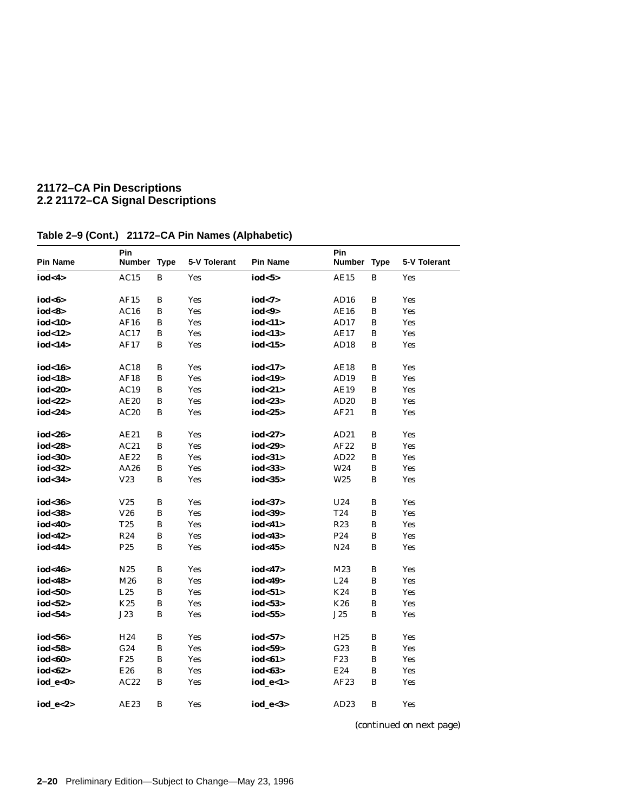| <b>Pin Name</b> | Pin<br>Number Type |              | 5-V Tolerant | <b>Pin Name</b> | Pin<br>Number Type |              | 5-V Tolerant |
|-----------------|--------------------|--------------|--------------|-----------------|--------------------|--------------|--------------|
| iod<4>          |                    | В            |              | iod < 5         | <b>AE15</b>        | B            |              |
|                 | AC15               |              | Yes          |                 |                    |              | Yes          |
| iod<6>          | AF15               | B            | Yes          | iod $<7>$       | AD16               | B            | <b>Yes</b>   |
| iod<8>          | AC16               | B            | <b>Yes</b>   | iod<9>          | <b>AE16</b>        | B            | <b>Yes</b>   |
| iod<10>         | AF16               | $\, {\bf B}$ | Yes          | iod<11>         | AD17               | B            | Yes          |
| iod<12>         | AC17               | B            | Yes          | iod<13>         | AE17               | B            | <b>Yes</b>   |
| iod<14>         | AF17               | B            | Yes          | iod<15>         | AD18               | B            | <b>Yes</b>   |
|                 |                    |              |              |                 |                    |              |              |
| iod<16>         | AC18               | B            | Yes          | iod<17>         | <b>AE18</b>        | B            | <b>Yes</b>   |
| iod<18>         | AF18               | B            | Yes          | iod<19>         | AD19               | B            | <b>Yes</b>   |
| iod<20>         | AC19               | В            | Yes          | iod<21>         | <b>AE19</b>        | B            | Yes          |
| iod<22>         | AE20               | В            | Yes          | iod<23>         | AD20               | В            | <b>Yes</b>   |
| iod<24>         | AC20               | B            | Yes          | iod<25>         | AF21               | B            | Yes          |
|                 |                    |              |              |                 |                    |              |              |
| iod<26>         | AE21               | B            | Yes          | iod<27>         | AD21               | B            | <b>Yes</b>   |
| iod<28>         | AC21               | B            | <b>Yes</b>   | iod<29>         | AF22               | B            | <b>Yes</b>   |
| iod<30>         | AE22               | B            | Yes          | iod<31>         | AD22               | B            | <b>Yes</b>   |
| iod<32>         | AA26               | B            | Yes          | iod<33>         | W24                | $\bf{B}$     | <b>Yes</b>   |
| iod<34>         | V23                | B            | Yes          | iod<35>         | W <sub>25</sub>    | В            | Yes          |
|                 |                    |              |              |                 |                    |              |              |
| iod<36>         | V <sub>25</sub>    | B            | Yes          | iod<37>         | U24                | B            | <b>Yes</b>   |
| iod<38>         | V26                | B            | <b>Yes</b>   | iod<39>         | T24                | B            | <b>Yes</b>   |
| iod<40>         | T25                | В            | Yes          | iod<41>         | R23                | B            | Yes          |
| iod<42>         | R <sub>24</sub>    | B            | Yes          | iod<43>         | P <sub>24</sub>    | $\bf{B}$     | Yes          |
| iod<44>         | P <sub>25</sub>    | B            | Yes          | iod<45>         | N24                | B            | <b>Yes</b>   |
|                 |                    |              |              |                 |                    |              |              |
| iod<46>         | N <sub>25</sub>    | B            | Yes          | iod<47>         | M23                | B            | Yes          |
| iod<48>         | M26                | B            | <b>Yes</b>   | iod<49>         | L24                | B            | <b>Yes</b>   |
| iod<50>         | L25                | В            | Yes          | iod<51>         | K24                | B            | <b>Yes</b>   |
| iod<52>         | K25                | B            | Yes          | iod $53>$       | K26                | В            | <b>Yes</b>   |
| iod<54>         | J23                | B            | Yes          | iod<55>         | ${\bf J25}$        | B            | <b>Yes</b>   |
|                 |                    |              |              |                 |                    |              |              |
| iod<56>         | H <sub>24</sub>    | B            | Yes          | iod $57$        | H <sub>25</sub>    | В            | Yes          |
| iod<58>         | G24                | B            | Yes          | iod<59>         | G23                | B            | <b>Yes</b>   |
| iod<60>         | F25                | В            | Yes          | iod<61>         | F <sub>23</sub>    | $\, {\bf B}$ | Yes          |
| iod<62>         | E26                | B            | Yes          | iod<63>         | E24                | В            | <b>Yes</b>   |
| iod_e<0>        | AC22               | B            | Yes          | iod $e<1>$      | AF23               | B            | <b>Yes</b>   |
|                 |                    |              |              |                 |                    |              |              |
| iod_e<2>        | AE23               | B            | Yes          | iod_e<3>        | AD23               | B            | Yes          |

# **Table 2–9 (Cont.) 21172–CA Pin Names (Alphabetic)**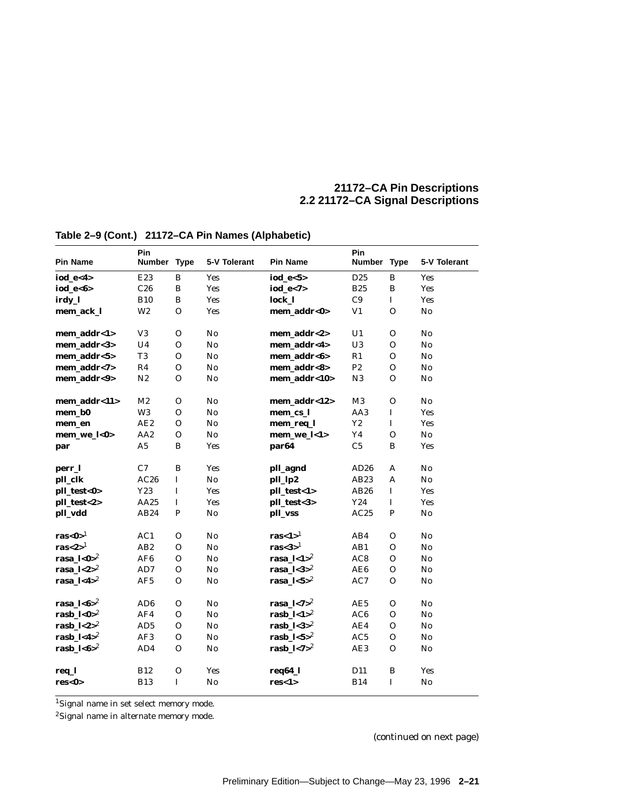| <b>Pin Name</b>                    | Pin<br>Number Type |              | 5-V Tolerant   | <b>Pin Name</b>              | Pin<br><b>Number</b> | <b>Type</b>  | 5-V Tolerant           |
|------------------------------------|--------------------|--------------|----------------|------------------------------|----------------------|--------------|------------------------|
| iod_e<4>                           | E23                | $\, {\bf B}$ | Yes            | $iod_e < 5>$                 | D <sub>25</sub>      | $\bf{B}$     | <b>Yes</b>             |
| iod $e < 6$                        | C26                | B            | <b>Yes</b>     | iod $e < 7$                  | <b>B25</b>           | B            | <b>Yes</b>             |
| irdy_l                             | <b>B10</b>         | B            | <b>Yes</b>     | lock 1                       | C9                   | $\mathbf I$  | <b>Yes</b>             |
| mem ack l                          | W <sub>2</sub>     | $\mathbf{O}$ | Yes            | mem addr<0>                  | V1                   | $\Omega$     | No                     |
| mem addr<1>                        | V3                 | $\mathbf{O}$ | No             | mem addr<2>                  | U <sub>1</sub>       | O            | No                     |
| mem_addr<3>                        | U <sub>4</sub>     | $\mathbf{O}$ | No             | mem addr<4>                  | ${\bf U}3$           | 0            | No                     |
| mem_addr<5>                        | T <sub>3</sub>     | $\mathbf{O}$ | No             | mem_addr<6>                  | R1                   | 0            | No                     |
| mem_addr<7>                        | R4                 | $\mathbf{O}$ | No             | mem addr<8>                  | P2                   | $\Omega$     | No                     |
| mem_addr<9>                        | N <sub>2</sub>     | $\mathbf{O}$ | No             | mem_addr<10>                 | N3                   | 0            | No                     |
| mem_addr<11>                       | M <sub>2</sub>     | $\mathbf{O}$ | N <sub>0</sub> | mem_addr<12>                 | M3                   | $\mathbf 0$  | No                     |
| mem b0                             | W <sub>3</sub>     | $\mathbf{O}$ | No             | mem cs l                     | AA3                  | $\mathbf I$  | <b>Yes</b>             |
| mem_en                             | AE2                | $\mathbf O$  | N <sub>0</sub> | mem_req_l                    | $\mathbf{Y2}$        | $\mathbf I$  | <b>Yes</b>             |
| mem we $l<0>$                      | AA <sub>2</sub>    | $\mathbf{O}$ | No             | mem we $\mathbf{l}$ < 1>     | Y4                   | $\mathbf{O}$ | No                     |
| par                                | A5                 | $\, {\bf B}$ | <b>Yes</b>     | par <sub>64</sub>            | $\rm{C}5$            | $\bf{B}$     | <b>Yes</b>             |
| perr_l                             | C7                 | $\, {\bf B}$ | <b>Yes</b>     | pll_agnd                     | AD26                 | A            | No                     |
| pll_clk                            | AC26               | $\mathbf{I}$ | No             | pll_lp2                      | AB23                 | A            | No                     |
| pll_test<0>                        | Y23                | I            | <b>Yes</b>     | pll_test<1>                  | AB26                 | $\mathbf I$  | <b>Yes</b>             |
| pll_test<2>                        | AA25               | $\mathbf I$  | <b>Yes</b>     | pll_test<3>                  | Y24                  | $\mathbf I$  | <b>Yes</b>             |
| pll_vdd                            | AB24               | ${\bf P}$    | N <sub>0</sub> | pll_vss                      | AC25                 | P            | $\mathbf{N}\mathbf{o}$ |
| $\mathbf{ras} < \mathbf{0} >^1$    | AC1                | $\mathbf{O}$ | N <sub>0</sub> | ras $<1>^{1}$                | AB4                  | $\Omega$     | No                     |
| ras $<$ 2> $1$                     | AB <sub>2</sub>    | $\mathbf{O}$ | N <sub>0</sub> | ras $<$ 3 $>$ <sup>1</sup>   | AB1                  | $\mathbf{O}$ | No                     |
| rasa_ $1 < 0$ <sup>2</sup>         | AF <sub>6</sub>    | $\mathbf{O}$ | N <sub>0</sub> | rasa_ $\frac{1}{2}$          | AC8                  | $\mathbf O$  | No                     |
| rasa_ $1 < 2 > 2$                  | AD7                | $\mathbf{O}$ | No             | rasa_ $1 < 3 > 2$            | AE6                  | 0            | No                     |
| rasa_ $1 < 4$ <sup>2</sup>         | AF5                | $\mathbf O$  | N <sub>0</sub> | rasa_ $1 < 5 > 2$            | AC7                  | $\Omega$     | No                     |
| rasa_ $1 < 6 > 2$                  | AD <sub>6</sub>    | $\mathbf{O}$ | No             | rasa_ $1 < 7 >$ <sup>2</sup> | AE5                  | $\Omega$     | No                     |
| $\mathbf{rash}\_l < \mathbf{0}>^2$ | AF4                | $\mathbf{O}$ | N <sub>0</sub> | $\mathbf{rash}\_l$ <1>2      | AC6                  | $\mathbf{O}$ | No                     |
| rasb $1 < 2 > 2$                   | AD <sub>5</sub>    | $\mathbf{O}$ | N <sub>0</sub> | rasb $1 < 3 > 2$             | AE4                  | O            | $\mathbf{N}\mathbf{o}$ |
| rasb_ $1 < 4$ <sup>2</sup>         | AF3                | $\mathbf{O}$ | N <sub>0</sub> | rasb_ $1 < 5 > 2$            | AC5                  | 0            | No                     |
| rasb_ $1 < 6$ <sup>2</sup>         | AD4                | $\mathbf{O}$ | No             | rasb_ $1 < 7 > 2$            | AE3                  | O            | No                     |
| req_l                              | <b>B12</b>         | $\mathbf{O}$ | Yes            | $req64_l$                    | D <sub>11</sub>      | B            | <b>Yes</b>             |
| res<0>                             | <b>B13</b>         | $\mathbf I$  | N <sub>0</sub> | res<1>                       | <b>B14</b>           | $\mathbf I$  | No                     |

# **Table 2–9 (Cont.) 21172–CA Pin Names (Alphabetic)**

1Signal name in set select memory mode.

2Signal name in alternate memory mode.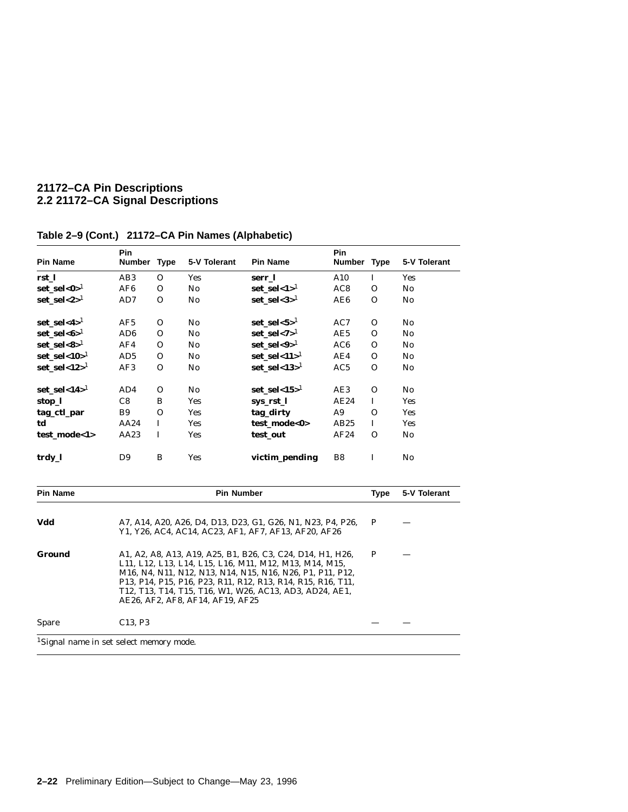| <b>Pin Name</b>                                     | Pin<br>Number Type                                                                                                                                                                                                                                                                                                                              |              | 5-V Tolerant      | <b>Pin Name</b>                                                                                                     | Pin<br><b>Number</b> | <b>Type</b>  | 5-V Tolerant           |  |
|-----------------------------------------------------|-------------------------------------------------------------------------------------------------------------------------------------------------------------------------------------------------------------------------------------------------------------------------------------------------------------------------------------------------|--------------|-------------------|---------------------------------------------------------------------------------------------------------------------|----------------------|--------------|------------------------|--|
| rst_l                                               | AB <sub>3</sub>                                                                                                                                                                                                                                                                                                                                 | $\mathbf{O}$ | <b>Yes</b>        | serr_l                                                                                                              | A10                  | $\bf{I}$     | <b>Yes</b>             |  |
| $set\_sel < 0 >^1$                                  | AF <sub>6</sub>                                                                                                                                                                                                                                                                                                                                 | $\mathbf{O}$ | No                | $set\_sel < 1 >^1$                                                                                                  | AC <sub>8</sub>      | $\mathbf{O}$ | $\mathbf{N}\mathbf{o}$ |  |
| $set\_sel < 2>^1$                                   | AD7                                                                                                                                                                                                                                                                                                                                             | $\mathbf{O}$ | No                | $set\_sel < 3>^1$                                                                                                   | AE6                  | $\Omega$     | $\mathbf{N}\mathbf{o}$ |  |
| $set\_sel < 4>1$                                    | AF5                                                                                                                                                                                                                                                                                                                                             | $\mathbf 0$  | N <sub>0</sub>    | $set\_sel < 5>^1$                                                                                                   | AC7                  | $\mathbf{O}$ | N <sub>0</sub>         |  |
| $set\_sel < 6>^1$                                   | AD <sub>6</sub>                                                                                                                                                                                                                                                                                                                                 | $\mathbf{O}$ | No                | $set\_sel < 7 > 1$                                                                                                  | AE5                  | $\Omega$     | $\mathbf{N}\mathbf{o}$ |  |
| $set\_sel < 8>^1$                                   | AF4                                                                                                                                                                                                                                                                                                                                             | $\mathbf{O}$ | No                | $set\_sel < 9>^1$                                                                                                   | AC <sub>6</sub>      | $\Omega$     | No                     |  |
| $set\_sel < 10>^1$                                  | AD5                                                                                                                                                                                                                                                                                                                                             | $\mathbf{O}$ | N <sub>0</sub>    | set sel<11> $1$                                                                                                     | AE4                  | $\Omega$     | $\mathbf{N}\mathbf{o}$ |  |
| $set\_sel < 12 >^1$                                 | AF3                                                                                                                                                                                                                                                                                                                                             | $\mathbf 0$  | No                | set sel<13 $>1$                                                                                                     | AC5                  | $\Omega$     | No                     |  |
| set_sel<14> $1$                                     | AD4                                                                                                                                                                                                                                                                                                                                             | $\mathbf 0$  | No                | set sel<15 $>1$                                                                                                     | AE3                  | $\Omega$     | No                     |  |
| stop_l                                              | C8                                                                                                                                                                                                                                                                                                                                              | B            | Yes               | sys rst 1                                                                                                           | AE24                 | $\bf{I}$     | <b>Yes</b>             |  |
| tag_ctl_par                                         | <b>B9</b>                                                                                                                                                                                                                                                                                                                                       | $\mathbf{O}$ | <b>Yes</b>        | tag_dirty                                                                                                           | A <sub>9</sub>       | $\mathbf 0$  | <b>Yes</b>             |  |
| td                                                  | AA24                                                                                                                                                                                                                                                                                                                                            | $\bf{I}$     | <b>Yes</b>        | test_mode<0>                                                                                                        | AB25                 | $\bf{I}$     | <b>Yes</b>             |  |
| test_mode<1>                                        | AA23                                                                                                                                                                                                                                                                                                                                            | $\bf{I}$     | <b>Yes</b>        | test_out                                                                                                            | AF24                 | $\Omega$     | $\mathbf{N}\mathbf{o}$ |  |
| trdy_l                                              | D <sub>9</sub>                                                                                                                                                                                                                                                                                                                                  | B            | <b>Yes</b>        | victim_pending                                                                                                      | B <sub>8</sub>       | $\mathbf I$  | $\mathbf{N}\mathbf{0}$ |  |
| Pin Name                                            |                                                                                                                                                                                                                                                                                                                                                 |              | <b>Pin Number</b> |                                                                                                                     |                      | <b>Type</b>  | 5-V Tolerant           |  |
| Vdd                                                 |                                                                                                                                                                                                                                                                                                                                                 |              |                   | A7, A14, A20, A26, D4, D13, D23, G1, G26, N1, N23, P4, P26,<br>Y1, Y26, AC4, AC14, AC23, AF1, AF7, AF13, AF20, AF26 |                      | P            |                        |  |
| <b>Ground</b>                                       | A1, A2, A8, A13, A19, A25, B1, B26, C3, C24, D14, H1, H26,<br>L11, L12, L13, L14, L15, L16, M11, M12, M13, M14, M15,<br>M16, N4, N11, N12, N13, N14, N15, N16, N26, P1, P11, P12,<br>P13, P14, P15, P16, P23, R11, R12, R13, R14, R15, R16, T11,<br>T12, T13, T14, T15, T16, W1, W26, AC13, AD3, AD24, AE1,<br>AE26, AF2, AF8, AF14, AF19, AF25 | $\mathbf{P}$ |                   |                                                                                                                     |                      |              |                        |  |
| Spare                                               | C13, P3                                                                                                                                                                                                                                                                                                                                         |              |                   |                                                                                                                     |                      |              |                        |  |
| <sup>1</sup> Signal name in set select memory mode. |                                                                                                                                                                                                                                                                                                                                                 |              |                   |                                                                                                                     |                      |              |                        |  |

# **Table 2–9 (Cont.) 21172–CA Pin Names (Alphabetic)**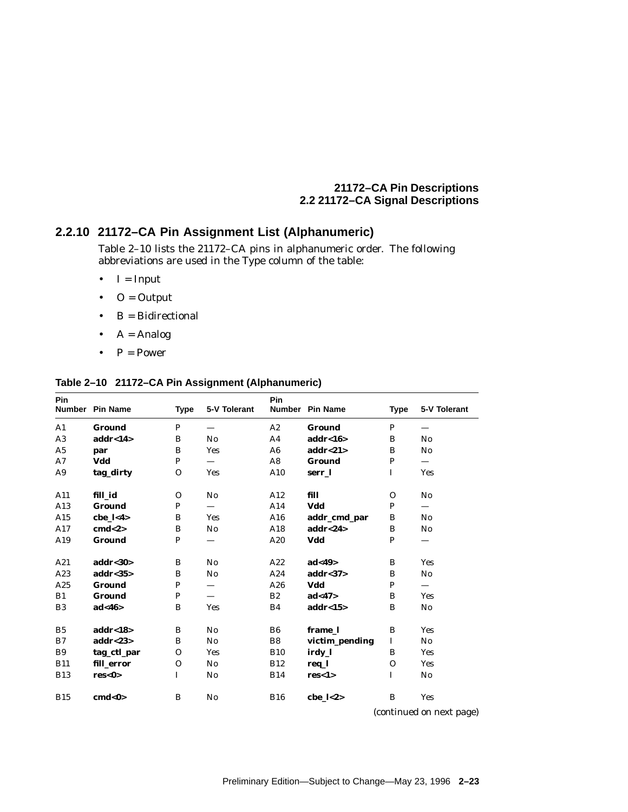# **2.2.10 21172–CA Pin Assignment List (Alphanumeric)**

Table 2–10 lists the 21172–CA pins in alphanumeric order. The following abbreviations are used in the Type column of the table:

- $\bullet$  I = Input
- $\bullet$  O = Output
- $B = Bidirectional$
- $A = Analog$
- $P = Power$

### **Table 2–10 21172–CA Pin Assignment (Alphanumeric)**

| Pin            | Number Pin Name                    | <b>Type</b>  | 5-V Tolerant                   | Pin            | Number Pin Name      | <b>Type</b>  | 5-V Tolerant           |
|----------------|------------------------------------|--------------|--------------------------------|----------------|----------------------|--------------|------------------------|
| $\mathbf{A1}$  | <b>Ground</b>                      | $\mathbf{P}$ |                                | A2             | <b>Ground</b>        | P            |                        |
| A3             | $\mathbf{addr}\text{-}\mathbf{14}$ | B            | No                             | A <sub>4</sub> | $\mathbf{addr} < 16$ | B            | No                     |
| A5             | par                                | B            | <b>Yes</b>                     | A6             | addr < 21            | B            | $\mathbf{N}\mathbf{o}$ |
| A7             | Vdd                                | P            |                                | A8             | Ground               | P            |                        |
| A9             | tag_dirty                          | $\mathbf{O}$ | <b>Yes</b>                     | A10            | serr 1               | $\mathbf I$  | <b>Yes</b>             |
| A11            | fill id                            | $\mathbf 0$  | $\mathbf{N}\mathbf{o}$         | A12            | fill                 | $\Omega$     | No                     |
| A13            | <b>Ground</b>                      | P            | $\qquad \qquad \longleftarrow$ | A14            | Vdd                  | P            |                        |
| A15            | cbe $1 < 4$                        | B            | <b>Yes</b>                     | A16            | addr_cmd_par         | B            | $\rm No$               |
| A17            | cmd <sub>2</sub>                   | B            | No                             | A18            | addr < 24            | B            | $\rm No$               |
| A19            | <b>Ground</b>                      | P            |                                | A20            | Vdd                  | P            |                        |
| A21            | $\mathbf{addr} < 30$               | B            | No                             | A22            | ad <sub>49</sub>     | B            | <b>Yes</b>             |
| A23            | $\mathbf{addr} < 35$               | B            | No                             | A24            | $\mathbf{addr} < 37$ | B            | No                     |
| A25            | Ground                             | $\mathbf P$  |                                | A26            | Vdd                  | P            |                        |
| B1             | <b>Ground</b>                      | $\mathbf{P}$ |                                | B2             | ad <sub>47</sub>     | B            | <b>Yes</b>             |
| B <sub>3</sub> | ad<46>                             | B            | <b>Yes</b>                     | B4             | addr<15>             | B            | $\mathbf{N}\mathbf{0}$ |
| B <sub>5</sub> | addr<18>                           | B            | No                             | B <sub>6</sub> | frame 1              | B            | <b>Yes</b>             |
| B7             | addr < 23                          | B            | No                             | B8             | victim_pending       | $\mathbf I$  | $\mathbf{N}\mathbf{o}$ |
| <b>B9</b>      | tag_ctl_par                        | $\mathbf{O}$ | <b>Yes</b>                     | <b>B10</b>     | irdy_l               | B            | Yes                    |
| <b>B11</b>     | fill error                         | $\mathbf 0$  | No                             | <b>B12</b>     | req_l                | $\Omega$     | <b>Yes</b>             |
| <b>B13</b>     | res<0>                             | I            | No                             | <b>B14</b>     | res<1>               | $\mathbf{I}$ | $\mathbf{N}\mathbf{0}$ |
| <b>B15</b>     | cmd<0>                             | B            | No                             | <b>B16</b>     | $che$ $1<2>$         | B            | <b>Yes</b>             |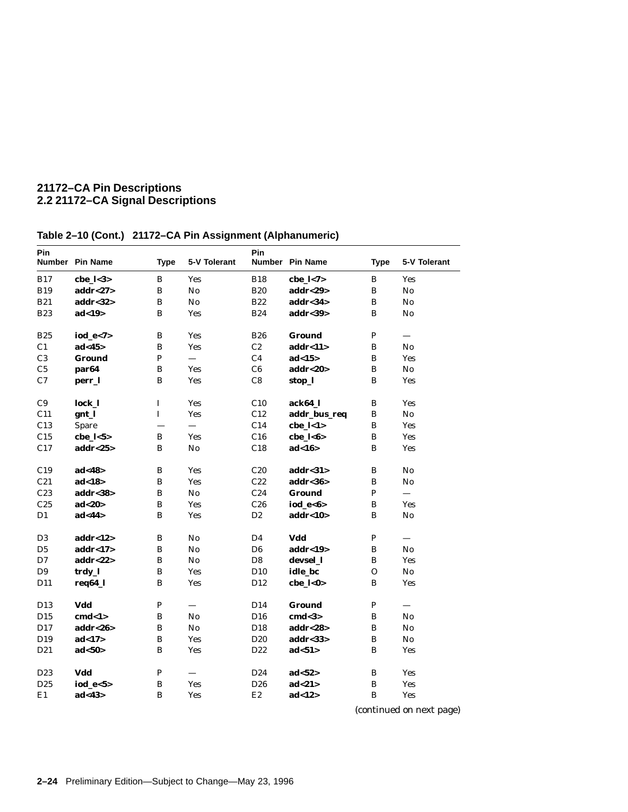| Pin             | Number Pin Name      | <b>Type</b>  | 5-V Tolerant | Pin             | Number Pin Name      | <b>Type</b>  | 5-V Tolerant             |
|-----------------|----------------------|--------------|--------------|-----------------|----------------------|--------------|--------------------------|
| <b>B17</b>      | cbe $1 < 3>$         | B            | <b>Yes</b>   | <b>B18</b>      | cbe $1 < 7$          | B            | <b>Yes</b>               |
| <b>B19</b>      | addr < 27            | B            | No           | <b>B20</b>      | addr < 29            | $\bf{B}$     | No                       |
| <b>B21</b>      | $\mathbf{addr} < 32$ | B            | No           | <b>B22</b>      | addr<34              | B            | No                       |
| <b>B23</b>      | ad<19>               | B            | Yes          | <b>B24</b>      | $\mathbf{addr} < 39$ | $\bf{B}$     | $\mathbf{N}\mathbf{o}$   |
| <b>B25</b>      | $iod_e < 7>$         | B            | Yes          | <b>B26</b>      | <b>Ground</b>        | P            |                          |
| C <sub>1</sub>  | ad <sub>45</sub>     | B            | Yes          | C2              | addr<11>             | $\bf{B}$     | No                       |
| C <sub>3</sub>  | Ground               | P            |              | C <sub>4</sub>  | ad<15>               | B            | <b>Yes</b>               |
| C5              | par <sub>64</sub>    | B            | <b>Yes</b>   | C6              | $\mathbf{addr} < 20$ | B            | $\mathbf{N}\mathbf{o}$   |
| C7              | perr_l               | B            | Yes          | C8              | stop_l               | $\bf{B}$     | Yes                      |
| C9              | lock_l               | $\bf I$      | Yes          | C10             | ack64_l              | $\bf{B}$     | Yes                      |
| C11             | gnt_l                | $\mathbf I$  | <b>Yes</b>   | C12             | addr bus req         | B            | No                       |
| C13             | Spare                |              | $\equiv$     | C14             | cbe $l<1>$           | $\bf{B}$     | <b>Yes</b>               |
| C15             | $che_l < 5>$         | B            | Yes          | C16             | $che_l 6$            | $\bf{B}$     | Yes                      |
| C17             | addr<25 $>$          | B            | No           | C18             | ad<16                | B            | Yes                      |
| C19             | ad<48>               | B            | Yes          | C20             | addr<31              | $\bf{B}$     | No                       |
| C21             | ad<18>               | B            | Yes          | C22             | $\mathbf{addr} < 36$ | B            | No                       |
| C23             | addr<38>             | B            | No           | C <sub>24</sub> | Ground               | P            | $\overline{\phantom{m}}$ |
| C <sub>25</sub> | ad <sub>20</sub>     | B            | Yes          | C26             | iod $e < 6$          | B            | <b>Yes</b>               |
| D1              | ad<44>               | B            | <b>Yes</b>   | D <sub>2</sub>  | addr<10>             | B            | No                       |
| D <sub>3</sub>  | addr<12>             | B            | No           | D <sub>4</sub>  | Vdd                  | $\mathbf{P}$ |                          |
| D <sub>5</sub>  | addr<17>             | B            | No           | D <sub>6</sub>  | addr<19>             | $\bf{B}$     | $\mathbf{N}\mathbf{o}$   |
| D7              | addr<22 $>$          | B            | No           | D <sub>8</sub>  | devsel 1             | B            | <b>Yes</b>               |
| D <sub>9</sub>  | trdy_l               | B            | Yes          | D <sub>10</sub> | idle bc              | $\mathbf{O}$ | $\mathbf{N}\mathbf{o}$   |
| D11             | req64_l              | B            | Yes          | D <sub>12</sub> | $che$ $0$            | B            | <b>Yes</b>               |
| D <sub>13</sub> | Vdd                  | $\mathbf{P}$ |              | D <sub>14</sub> | Ground               | $\mathbf{P}$ |                          |
| D <sub>15</sub> | cmd<1>               | B            | No           | D16             | cmd <sub>3</sub>     | B            | No                       |
| D17             | $\mathbf{addr} < 26$ | B            | No           | D18             | addr<28>             | $\bf{B}$     | No                       |
| D19             | ad<17>               | B            | Yes          | D <sub>20</sub> | addr<33>             | $\bf{B}$     | $\mathbf{N}\mathbf{o}$   |
| D21             | ad <sub>50</sub>     | B            | Yes          | D22             | ad < 51              | B            | Yes                      |
| D <sub>23</sub> | Vdd                  | $\mathbf{P}$ |              | D <sub>24</sub> | ad <sub>52</sub>     | B            | <b>Yes</b>               |
| D <sub>25</sub> | iod $e<5>$           | B            | Yes          | D <sub>26</sub> | ad<21>               | $\bf{B}$     | Yes                      |
| E1              | ad<43>               | B            | Yes          | E2              | ad<12>               | B            | Yes                      |

**Table 2–10 (Cont.) 21172–CA Pin Assignment (Alphanumeric)**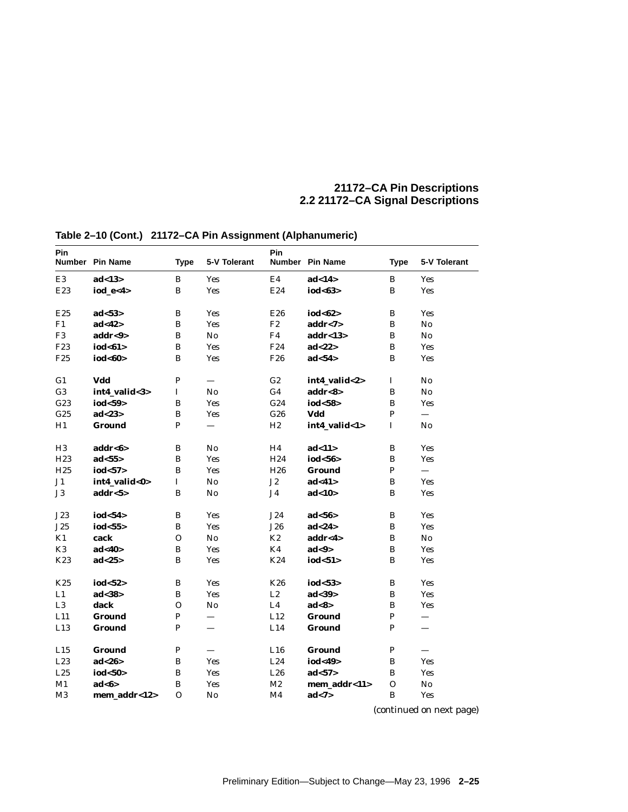| Pin             | Number Pin Name      | <b>Type</b>  | 5-V Tolerant             | Pin             | Number Pin Name                | <b>Type</b>  | 5-V Tolerant             |
|-----------------|----------------------|--------------|--------------------------|-----------------|--------------------------------|--------------|--------------------------|
| E <sub>3</sub>  | ad<13>               | $\bf{B}$     | Yes                      | E <sub>4</sub>  | ad<14>                         | B            | <b>Yes</b>               |
| E23             | iod $e<4>$           | B            | <b>Yes</b>               | E24             | iod<63>                        | B            | <b>Yes</b>               |
|                 |                      |              |                          |                 |                                |              |                          |
| E25             | ad <sub>53&gt;</sub> | B            | Yes                      | E26             | iod<62>                        | B            | <b>Yes</b>               |
| F1              | ad<42>               | $\mathbf{B}$ | Yes                      | F2              | addr < 7>                      | B            | No                       |
| F <sub>3</sub>  | $\mathbf{addr} < 9$  | $\, {\bf B}$ | $\mathbf{No}$            | F <sub>4</sub>  | addr<13                        | B            | $\mathbf{N}\mathbf{0}$   |
| F23             | iod<61>              | B            | <b>Yes</b>               | F <sub>24</sub> | ad<22>                         | B            | <b>Yes</b>               |
| F <sub>25</sub> | iod<60>              | B            | <b>Yes</b>               | F <sub>26</sub> | ad <sub>54</sub>               | B            | <b>Yes</b>               |
|                 |                      |              |                          |                 |                                |              |                          |
| G <sub>1</sub>  | Vdd                  | P            | $\overline{\phantom{0}}$ | G2              | int4_valid<2>                  | <b>I</b>     | No                       |
| G <sub>3</sub>  | int4_valid<3>        | 1            | No                       | G <sub>4</sub>  | $\mathbf{addr} < \mathbf{8} >$ | B            | $\mathbf{N}\mathbf{o}$   |
| G23             | iod<59>              | $\bf{B}$     | Yes                      | G24             | iod<58>                        | B            | <b>Yes</b>               |
| G <sub>25</sub> | ad < 23              | $\bf{B}$     | Yes                      | G26             | Vdd                            | $\mathbf{P}$ | $\overline{\phantom{0}}$ |
| H1              | <b>Ground</b>        | $\mathbf{P}$ | $\overline{\phantom{0}}$ | H2              | int4_valid<1>                  | $\mathbf I$  | No                       |
|                 |                      |              |                          |                 |                                |              |                          |
| H <sub>3</sub>  | addr<6>              | B            | No                       | H4              | ad<11>                         | B            | <b>Yes</b>               |
| H <sub>23</sub> | ad < 55              | B            | <b>Yes</b>               | H <sub>24</sub> | iod<56>                        | $\bf{B}$     | Yes                      |
| H <sub>25</sub> | iod<br><br>57>       | B            | <b>Yes</b>               | H <sub>26</sub> | Ground                         | P            | $\equiv$                 |
| J1              | int4_valid<0>        | $\mathbf I$  | No                       | J2              | ad< 41                         | B            | <b>Yes</b>               |
| $_{\rm J3}$     | addr < 5>            | B            | No                       | J <sub>4</sub>  | ad<10>                         | B            | <b>Yes</b>               |
|                 |                      |              |                          |                 |                                |              |                          |
| J23             | iod<54>              | B            | Yes                      | J24             | ad < 56                        | $\bf{B}$     | <b>Yes</b>               |
| J25             | iod<55>              | $\, {\bf B}$ | Yes                      | J26             | ad <sub>24</sub>               | B            | <b>Yes</b>               |
| K1              | cack                 | $\mathbf 0$  | No                       | K2              | addr<4>                        | B            | $\mathbf{N}\mathbf{o}$   |
| K <sub>3</sub>  | ad <sub>40</sub>     | B            | Yes                      | K4              | ad <sub>9</sub>                | B            | <b>Yes</b>               |
| K23             | ad < 25              | B            | Yes                      | K24             | iod<51>                        | B            | <b>Yes</b>               |
|                 |                      |              |                          |                 |                                |              |                          |
| K25             | iod<52>              | $\, {\bf B}$ | Yes                      | <b>K26</b>      | iod<53>                        | $\bf{B}$     | <b>Yes</b>               |
| L1              | ad < 38              | $\, {\bf B}$ | Yes                      | $\rm L2$        | ad < 39                        | B            | <b>Yes</b>               |
| L3              | dack                 | $\mathbf{O}$ | No                       | L4              | ad<8>                          | B            | <b>Yes</b>               |
| L11             | <b>Ground</b>        | $\mathbf P$  |                          | L12             | Ground                         | P            |                          |
| L13             | <b>Ground</b>        | P            |                          | L14             | Ground                         | P            | $\overline{\phantom{0}}$ |
|                 |                      |              |                          |                 |                                |              |                          |
| L15             | <b>Ground</b>        | $\mathbf P$  |                          | L16             | <b>Ground</b>                  | $\mathbf{P}$ |                          |
| L23             | ad < 26              | $\bf{B}$     | Yes                      | L24             | iod<49>                        | B            | <b>Yes</b>               |
| L25             | iod<50>              | $\, {\bf B}$ | Yes                      | L26             | ad < 57                        | B            | <b>Yes</b>               |
| M1              | ad <sub>6</sub>      | B            | Yes                      | M <sub>2</sub>  | mem_addr<11>                   | $\mathbf 0$  | No                       |
| M3              | mem_addr<12>         | 0            | No                       | M4              | ad < 7>                        | $\bf{B}$     | <b>Yes</b>               |

**Table 2–10 (Cont.) 21172–CA Pin Assignment (Alphanumeric)**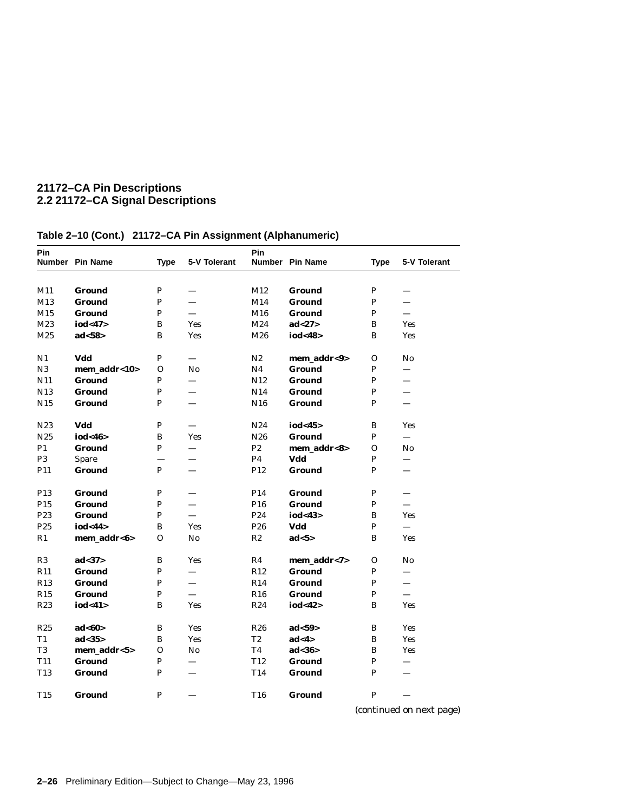| Pin             | Number Pin Name  | <b>Type</b>  | 5-V Tolerant             | Pin             | Number Pin Name  | <b>Type</b>  | 5-V Tolerant             |
|-----------------|------------------|--------------|--------------------------|-----------------|------------------|--------------|--------------------------|
| M11             | Ground           | P            | $\overline{\phantom{0}}$ | M12             | Ground           | P            |                          |
| M13             | <b>Ground</b>    | P            | $\overline{\phantom{0}}$ | M14             | Ground           | P            | $\overline{\phantom{0}}$ |
| M15             | Ground           | $\mathbf{P}$ | $\equiv$                 | M16             | Ground           | $\mathbf{P}$ | $\equiv$                 |
| M23             | iod<47>          | B            | Yes                      | M24             | ad<27>           | B            | <b>Yes</b>               |
| M25             | ad <sub>58</sub> | B            | <b>Yes</b>               | M26             | iod<48>          | B            | <b>Yes</b>               |
|                 |                  |              |                          |                 |                  |              |                          |
| N1              | Vdd              | $\mathbf{P}$ | $\equiv$                 | N2              | mem_addr<9>      | 0            | $\mathbf{N}\mathbf{o}$   |
| N3              | mem_addr<10>     | 0            | No                       | N <sub>4</sub>  | <b>Ground</b>    | P            | $\overline{\phantom{0}}$ |
| N11             | <b>Ground</b>    | P            | —                        | N12             | <b>Ground</b>    | P            | $\overline{\phantom{0}}$ |
| N13             | Ground           | P            |                          | N14             | Ground           | P            |                          |
| N <sub>15</sub> | Ground           | P            |                          | N <sub>16</sub> | Ground           | P            |                          |
| N23             | Vdd              | $\, {\bf P}$ |                          | N <sub>24</sub> | iod<45>          | B            | <b>Yes</b>               |
| N <sub>25</sub> | iod<46>          | B            | <b>Yes</b>               | N <sub>26</sub> | Ground           | P            | $\qquad \qquad -$        |
| P1              | Ground           | P            |                          | P2              | mem_addr<8>      | 0            | No                       |
| P <sub>3</sub>  | Spare            |              | $\equiv$                 | P4              | Vdd              | P            | $\overline{\phantom{0}}$ |
| P11             | Ground           | P            |                          | P12             | Ground           | $\mathbf{P}$ |                          |
| P <sub>13</sub> | Ground           | $\, {\bf P}$ | $\overline{\phantom{0}}$ | P <sub>14</sub> | Ground           | ${\bf P}$    | $\equiv$                 |
| P <sub>15</sub> | Ground           | P            |                          | P <sub>16</sub> | Ground           | P            | $\overline{\phantom{0}}$ |
| P23             | Ground           | P            | $\equiv$                 | P <sub>24</sub> | iod<43>          | $\bf{B}$     | <b>Yes</b>               |
| P <sub>25</sub> | iod<44>          | B            | <b>Yes</b>               | P <sub>26</sub> | Vdd              | P            | $\equiv$                 |
| R1              | mem addr<6>      | 0            | No                       | R <sub>2</sub>  | ad < 5           | B            | <b>Yes</b>               |
| R3              | ad < 37          | B            | Yes                      | R4              | mem_addr<7>      | 0            | $\mathbf{N}\mathbf{o}$   |
| R11             | Ground           | P            |                          | R12             | Ground           | P            | $\qquad \qquad$          |
| R13             | Ground           | P            | $\qquad \qquad$          | R14             | Ground           | P            |                          |
| R15             | Ground           | $\mathbf{P}$ | $\frac{1}{2}$            | R16             | Ground           | P            | $\overline{\phantom{0}}$ |
| R23             | iod<41>          | B            | Yes                      | R <sub>24</sub> | iod<42>          | B            | Yes                      |
| R25             | ad <sub>60</sub> | B            | Yes                      | <b>R26</b>      | ad < 59          | B            | <b>Yes</b>               |
| T1              | ad < 35          | B            | <b>Yes</b>               | T <sub>2</sub>  | ad<4>            | B            | <b>Yes</b>               |
| T <sub>3</sub>  | mem_addr<5>      | 0            | No                       | T <sub>4</sub>  | ad <sub>36</sub> | B            | <b>Yes</b>               |
| T <sub>11</sub> | Ground           | $\, {\bf P}$ | $\overline{\phantom{0}}$ | T <sub>12</sub> | Ground           | P            | $\overline{\phantom{0}}$ |
| T <sub>13</sub> | Ground           | P            |                          | T14             | Ground           | P            |                          |
| T <sub>15</sub> | Ground           | P            |                          | T <sub>16</sub> | Ground           | P            |                          |

# **Table 2–10 (Cont.) 21172–CA Pin Assignment (Alphanumeric)**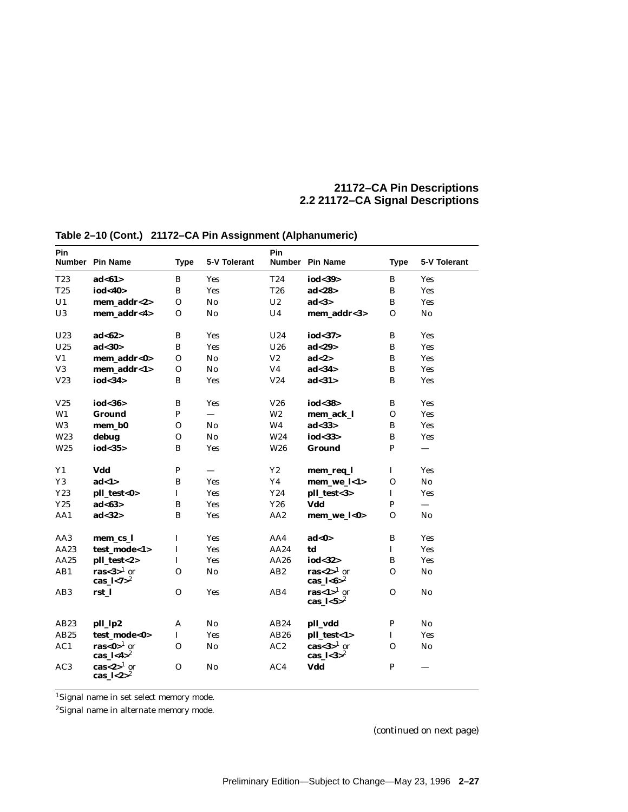| Pin             | Number Pin Name                                               | <b>Type</b>  | 5-V Tolerant           | Pin             | Number Pin Name                                              | <b>Type</b>  | 5-V Tolerant             |
|-----------------|---------------------------------------------------------------|--------------|------------------------|-----------------|--------------------------------------------------------------|--------------|--------------------------|
| T23             | ad<61>                                                        | B            | <b>Yes</b>             | T24             | iod<39>                                                      | B            | Yes                      |
| T25             | iod<40>                                                       | $\, {\bf B}$ | Yes                    | <b>T26</b>      | ad < 28                                                      | B            | Yes                      |
| U1              | mem addr<2>                                                   | $\Omega$     | No                     | $\mathbf{U}2$   | ad < 3>                                                      | B            | Yes                      |
| U3              | mem_addr<4>                                                   | $\mathbf{O}$ | No                     | U <sub>4</sub>  | mem addr<3>                                                  | $\Omega$     | No                       |
| U23             | ad <sub>62</sub>                                              | $\, {\bf B}$ | <b>Yes</b>             | U24             | iod<37>                                                      | B            | Yes                      |
| U25             | ad < 30                                                       | B            | Yes                    | U26             | ad < 29                                                      | $\bf{B}$     | Yes                      |
| V1              | mem addr<0>                                                   | $\Omega$     | No                     | V <sub>2</sub>  | ad < 2>                                                      | B            | Yes                      |
| V <sub>3</sub>  | mem addr<1>                                                   | $\mathbf{O}$ | $\mathbf{N}\mathbf{o}$ | V <sub>4</sub>  | ad <sub>34</sub>                                             | B            | <b>Yes</b>               |
| V23             | iod<34>                                                       | $\, {\bf B}$ | <b>Yes</b>             | V24             | ad < 31                                                      | $\bf{B}$     | <b>Yes</b>               |
| V25             | iod<36>                                                       | $\, {\bf B}$ | <b>Yes</b>             | V26             | iod<38>                                                      | B            | Yes                      |
| W1              | <b>Ground</b>                                                 | $\, {\bf P}$ | $\qquad \qquad -$      | W <sub>2</sub>  | mem ack l                                                    | $\mathbf{O}$ | Yes                      |
| W <sub>3</sub>  | mem_b0                                                        | $\mathbf{O}$ | No                     | W <sub>4</sub>  | ad < 33                                                      | B            | Yes                      |
| W23             | debug                                                         | $\mathbf{O}$ | No                     | W24             | iod<33 $>$                                                   | B            | Yes                      |
| W <sub>25</sub> | iod<35 $>$                                                    | B            | Yes                    | W <sub>26</sub> | <b>Ground</b>                                                | P            |                          |
| $\mathbf{Y1}$   | Vdd                                                           | ${\bf P}$    |                        | $\mathbf{Y2}$   | mem_req_l                                                    | $\bf I$      | Yes                      |
| Y3              | ad<1>                                                         | B            | Yes                    | Y4              | mem_we_l<1>                                                  | $\Omega$     | No                       |
| Y23             | pll_test<0>                                                   | $\mathbf I$  | <b>Yes</b>             | Y24             | pll_test<3>                                                  | $\mathbf{I}$ | <b>Yes</b>               |
| Y25             | ad <sub>63</sub>                                              | $\bf{B}$     | <b>Yes</b>             | Y26             | Vdd                                                          | $\mathbf{P}$ | $\overline{\phantom{0}}$ |
| AA1             | ad < 32                                                       | $\, {\bf B}$ | Yes                    | AA <sub>2</sub> | mem_we_l<0>                                                  | $\Omega$     | $\mathbf{N}\mathbf{o}$   |
| AA3             | mem cs l                                                      | $\mathbf I$  | Yes                    | AA4             | ad<0>                                                        | B            | Yes                      |
| AA23            | test mode<1>                                                  | $\bf I$      | <b>Yes</b>             | AA24            | td                                                           | $\mathbf{I}$ | Yes                      |
| AA25            | pll_test<2>                                                   | $\bf{I}$     | Yes                    | AA26            | iod<32>                                                      | B            | Yes                      |
| AB1             | ras $<$ 3> $1$ or<br>cas_ $\frac{1}{7}$ <7> <sup>2</sup>      | $\Omega$     | No                     | AB2             | ras $< 2$ <sup>1</sup> or<br>cas_ $1 < 6 > 2$                | $\Omega$     | No                       |
| AB <sub>3</sub> | rst 1                                                         | $\mathbf{O}$ | Yes                    | AB4             | ras<1> $1$ or<br>cas_ $1 < 5 > 2$                            | $\Omega$     | No                       |
| AB23            | pll_lp2                                                       | A            | No                     | AB24            | pll_vdd                                                      | $\, {\bf P}$ | $\mathbf{N}\mathbf{o}$   |
| AB25            | test mode<0>                                                  | $\mathbf I$  | <b>Yes</b>             | AB26            | pll_test<1>                                                  | $\mathbf I$  | Yes                      |
| AC1             | ras<0> $1$ or<br>cas $\frac{1}{4}$                            | $\Omega$     | No                     | AC2             | $\textbf{cas}\textbf{<}3\textbf{>}^1$ or<br>cas_ $1 < 3 > 2$ | $\Omega$     | $\mathbf{N}\mathbf{o}$   |
| AC <sub>3</sub> | $\text{cas}\textless 2$ <sup>1</sup> or<br>cas_ $\frac{1}{2}$ | $\Omega$     | No                     | AC4             | Vdd                                                          | $\mathbf{P}$ |                          |

# **Table 2–10 (Cont.) 21172–CA Pin Assignment (Alphanumeric)**

1Signal name in set select memory mode.

2Signal name in alternate memory mode.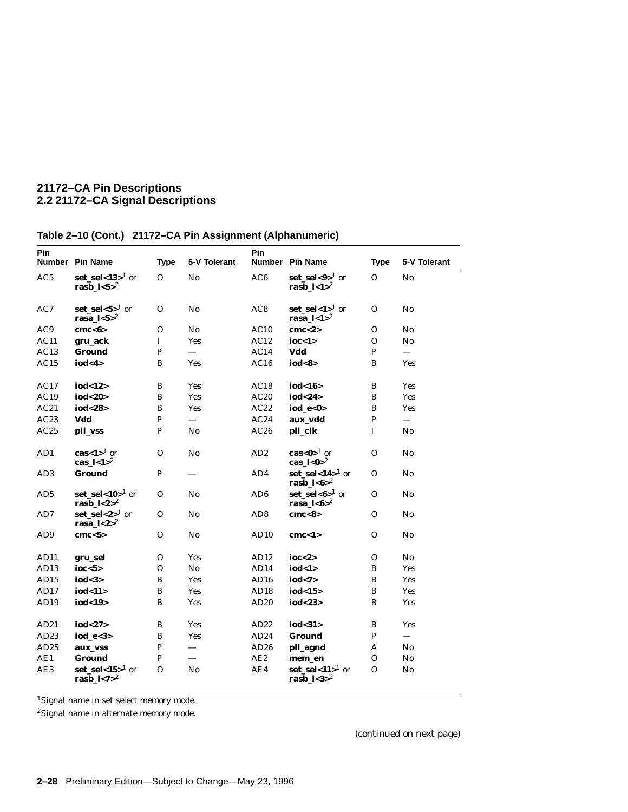| <b>Pin</b>       | Number Pin Name                            | <b>Type</b>  | 5-V Tolerant    | Pin              | Number Pin Name                                               | <b>Type</b>    | 5-V Tolerant              |
|------------------|--------------------------------------------|--------------|-----------------|------------------|---------------------------------------------------------------|----------------|---------------------------|
| AC5              | set_sel<13 $>1$ or<br>rasb $1 < 5 > 2$     | $\Omega$     | No              | AC6              | $set\_sel < 9>^{1}$ or<br>rasb $\frac{1}{2}$                  | $\Omega$       | No                        |
| AC7              | set sel<5> $1$ or<br>rasa_ $1 < 5 > 2$     | $\Omega$     | No              | AC8              | set sel<1> $^1$ or<br>rasa_ $l < 1$ <sup>2</sup>              | $\Omega$       | $\mathbf{N}$ <sub>0</sub> |
| AC9              | cmc < 6                                    | $\Omega$     | No              | AC10             | cmc < 2>                                                      | $\Omega$       | No                        |
| AC11             | gru_ack                                    | $\mathbf{I}$ | Yes             | AC12             | ioc < 1>                                                      | $\Omega$       | No                        |
| AC13             | <b>Ground</b>                              | $\mathbf{P}$ |                 | AC14             | Vdd                                                           | $\mathbf{P}$   | $\equiv$                  |
| AC15             | iod < 4>                                   | B            | Yes             | AC16             | iod<8>                                                        | B              | Yes                       |
| AC17             | iod<12>                                    | B            | Yes             | AC18             | iod<16>                                                       | B              | Yes                       |
| AC19             | iod<20>                                    | B            | Yes             | AC20             | iod<24>                                                       | B              | Yes                       |
| AC21             | iod<28>                                    | B            | Yes             | AC22             | iod $e<0>$                                                    | B              | Yes                       |
| AC23             | Vdd                                        | $\mathbf{P}$ | $\equiv$        | AC24             | aux vdd                                                       | $\mathbf{P}$   |                           |
| AC25             | pll_vss                                    | $\mathbf{P}$ | No              | AC26             | pll_clk                                                       | $\mathbf I$    | No                        |
| AD1              | cas<1> $^{1}$ or<br>cas_ $\frac{1}{2}$     | $\Omega$     | No              | AD <sub>2</sub>  | $\textbf{cas}\textbf{<}0\textbf{>}^{1}$ or<br>cas $1 < 0 > 2$ | $\Omega$       | $\mathbf{N}$ <sub>0</sub> |
| AD <sub>3</sub>  | <b>Ground</b>                              | $\mathbf{P}$ |                 | AD4              | $set\_sel < 14$ <sup>1</sup> or<br>rasb_ $1 < 6 > 2$          | $\Omega$       | No                        |
| AD5              | set_sel<10 $>1$ or<br>rasb_ $\frac{1}{2}$  | $\mathbf{O}$ | No              | AD <sub>6</sub>  | $set\_sel < 6>^1$ or<br>rasa_ $1 < 6$ $>$ <sup>2</sup>        | $\mathbf{O}$   | No                        |
| AD7              | $set\_sel < 2>^{1}$ or<br>rasa $1 < 2 > 2$ | $\Omega$     | No              | AD <sub>8</sub>  | cmc <sub>8</sub>                                              | $\Omega$       | $\mathbf{N}\mathbf{o}$    |
| AD <sub>9</sub>  | cmc < 5                                    | $\Omega$     | No              | AD <sub>10</sub> | cmc < 1>                                                      | $\Omega$       | No                        |
| AD11             | gru_sel                                    | $\mathbf{O}$ | <b>Yes</b>      | AD12             | ioc $<$ 2>                                                    | $\Omega$       | $\mathbf{N}\mathbf{o}$    |
| AD13             | ioc $<$ 5>                                 | $\mathbf{O}$ | No              | AD14             | iod<1>                                                        | B              | Yes                       |
| AD15             | iod<3>                                     | $\, {\bf B}$ | Yes             | AD16             | iod < 7                                                       | B              | <b>Yes</b>                |
| AD17             | iod<11>                                    | B            | Yes             | AD <sub>18</sub> | iod<15 $>$                                                    | B              | <b>Yes</b>                |
| AD19             | iod<19>                                    | $\bf{B}$     | Yes             | AD20             | iod<23>                                                       | B              | Yes                       |
| AD21             | iod<27>                                    | B            | Yes             | AD22             | iod<31>                                                       | B              | Yes                       |
| AD <sub>23</sub> | iod_e<3>                                   | B            | <b>Yes</b>      | AD24             | <b>Ground</b>                                                 | $\mathbf{P}$   | $\equiv$                  |
| AD <sub>25</sub> | aux_vss                                    | $\mathbf{P}$ |                 | AD26             | pll_agnd                                                      | A              | No                        |
| AE1              | <b>Ground</b>                              | $\mathbf{P}$ | $\qquad \qquad$ | AE2              | mem_en                                                        | 0              | $\bf No$                  |
| AE3              | set_sel<15> $^1$ or<br>rasb_ $1 < 7 > 2$   | $\mathbf O$  | $\mathbf{No}$   | AE4              | $set\_sel < 11$ <sup>1</sup> or<br>$\mathbf{rash}\_$ l<3>2    | $\overline{O}$ | $\mathbf{N}\mathbf{o}$    |

# **Table 2–10 (Cont.) 21172–CA Pin Assignment (Alphanumeric)**

1Signal name in set select memory mode.

2Signal name in alternate memory mode.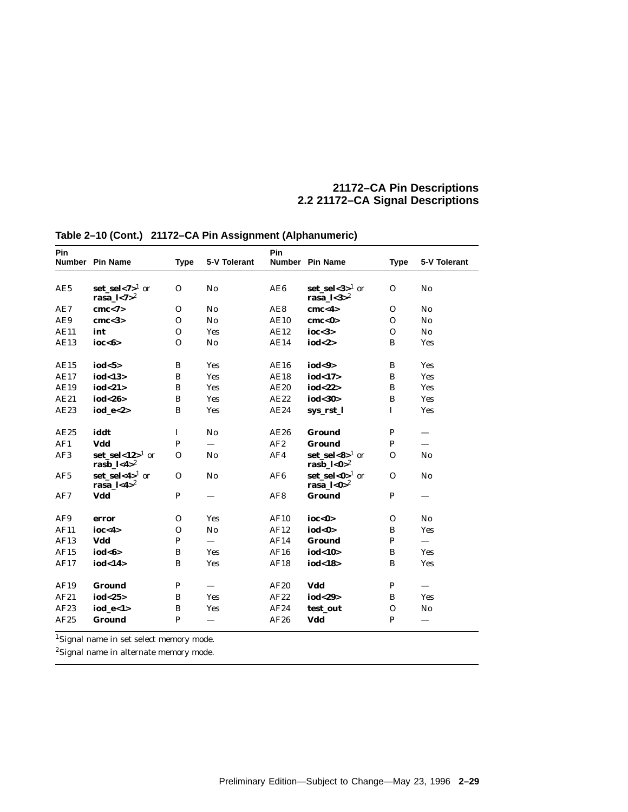| Pin         |                                                      |              |                   | Pin             |                                                              |              |                          |
|-------------|------------------------------------------------------|--------------|-------------------|-----------------|--------------------------------------------------------------|--------------|--------------------------|
|             | Number Pin Name                                      | <b>Type</b>  | 5-V Tolerant      |                 | Number Pin Name                                              | <b>Type</b>  | 5-V Tolerant             |
| AE5         | $set\_sel < 7>^1$ or<br>rasa $1 < 7$ <sup>2</sup>    | $\Omega$     | No                | AE6             | $set\_sel < 3 >^1$ or<br>rasa_ $1 < 3 > 2$                   | $\Omega$     | No                       |
| AE7         | cmc < 7                                              | $\Omega$     | No                | AE8             | cmc < 4                                                      | $\Omega$     | No                       |
| AE9         | cmc <sub>3</sub>                                     | $\Omega$     | No                | <b>AE10</b>     | cmc < 0                                                      | $\Omega$     | No                       |
| <b>AE11</b> | int                                                  | $\mathbf{O}$ | <b>Yes</b>        | AE12            | ioc $<$ 3>                                                   | $\Omega$     | $\mathbf{N}\mathbf{0}$   |
| <b>AE13</b> | ioc <sub>6</sub>                                     | $\Omega$     | No                | AE14            | iod<2>                                                       | B            | Yes                      |
| AE15        | iod $5$                                              | B            | <b>Yes</b>        | AE16            | iod<9>                                                       | B            | Yes                      |
| <b>AE17</b> | iod<13>                                              | $\, {\bf B}$ | Yes               | <b>AE18</b>     | iod<17>                                                      | B            | Yes                      |
| <b>AE19</b> | iod<21>                                              | $\, {\bf B}$ | Yes               | AE20            | iod<22>                                                      | B            | Yes                      |
| AE21        | iod<26>                                              | B            | <b>Yes</b>        | AE22            | iod<30>                                                      | B            | Yes                      |
| AE23        | iod $e < 2>$                                         | $\, {\bf B}$ | Yes               | AE24            | sys_rst_l                                                    | $\mathbf I$  | Yes                      |
| AE25        | iddt                                                 | $\mathbf I$  | No                | AE26            | <b>Ground</b>                                                | P            |                          |
| AF1         | Vdd                                                  | $\mathbf{P}$ | $\equiv$          | AF2             | Ground                                                       | $\mathbf{P}$ |                          |
| AF3         | $set\_sel < 12$ <sup>1</sup> or<br>rasb_ $1 < 4 > 2$ | $\Omega$     | No                | AF4             | $set\_sel < 8$ <sup>1</sup> or<br>rasb_ $1 < 0$ <sup>2</sup> | $\Omega$     | No                       |
| AF5         | $set\_sel < 4>^{1}$ or<br>rasa_ $\frac{1}{4}$        | $\Omega$     | No                | AF6             | $set\_sel < 0 >^1$ or<br>rasa_ $1 < 0$ <sup>2</sup>          | $\Omega$     | No                       |
| AF7         | Vdd                                                  | P            |                   | AF <sub>8</sub> | Ground                                                       | $\mathbf{P}$ |                          |
| AF9         | error                                                | $\mathbf{O}$ | <b>Yes</b>        | AF10            | ioc < 0>                                                     | $\Omega$     | No                       |
| AF11        | ioc < 4>                                             | $\mathbf{O}$ | No                | AF12            | iod<0>                                                       | B            | Yes                      |
| AF13        | Vdd                                                  | $\mathbf P$  | $\qquad \qquad =$ | AF14            | <b>Ground</b>                                                | $\mathbf{P}$ | $\overline{\phantom{0}}$ |
| AF15        | iod<6>                                               | B            | <b>Yes</b>        | AF16            | iod<10 $>$                                                   | B            | Yes                      |
| AF17        | iod<14>                                              | B            | Yes               | AF18            | iod<18>                                                      | B            | Yes                      |
| AF19        | <b>Ground</b>                                        | $\mathbf{P}$ |                   | AF20            | Vdd                                                          | P            |                          |
| AF21        | iod<25>                                              | $\bf{B}$     | <b>Yes</b>        | AF22            | iod<29>                                                      | B            | Yes                      |
| AF23        | $iod_e < 1>$                                         | B            | Yes               | AF24            | test_out                                                     | $\Omega$     | No                       |
| AF25        | <b>Ground</b>                                        | $\mathbf{P}$ |                   | AF26            | Vdd                                                          | $\mathbf{P}$ |                          |

**Table 2–10 (Cont.) 21172–CA Pin Assignment (Alphanumeric)**

1Signal name in set select memory mode.

 ${\rm ^2}S$ ignal name in alternate memory mode.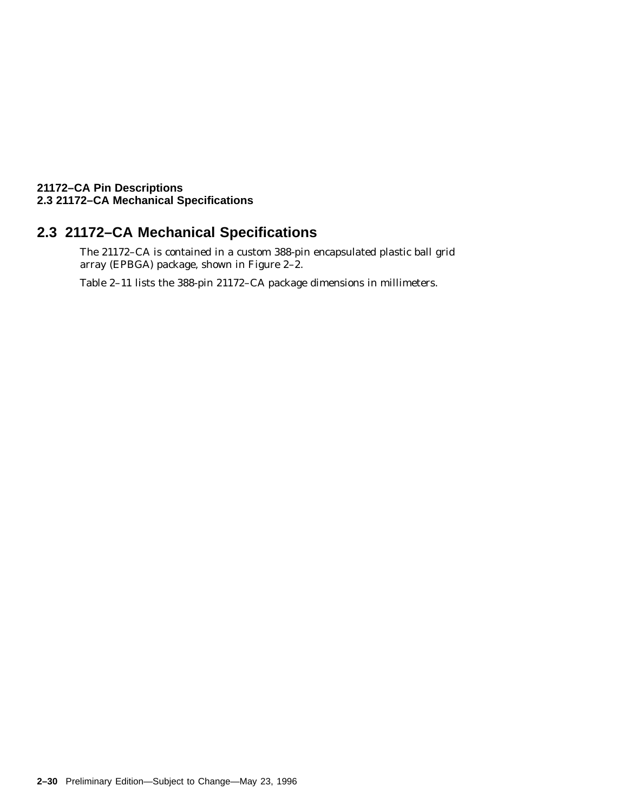# **21172–CA Pin Descriptions 2.3 21172–CA Mechanical Specifications**

# **2.3 21172–CA Mechanical Specifications**

The 21172–CA is contained in a custom 388-pin encapsulated plastic ball grid array (EPBGA) package, shown in Figure 2–2.

Table 2–11 lists the 388-pin 21172–CA package dimensions in millimeters.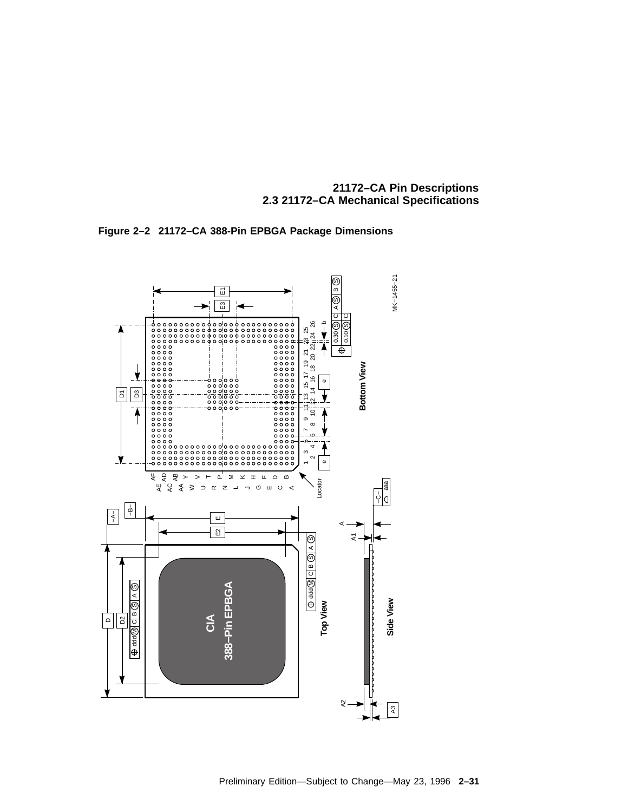

**Figure 2–2 21172–CA 388-Pin EPBGA Package Dimensions**

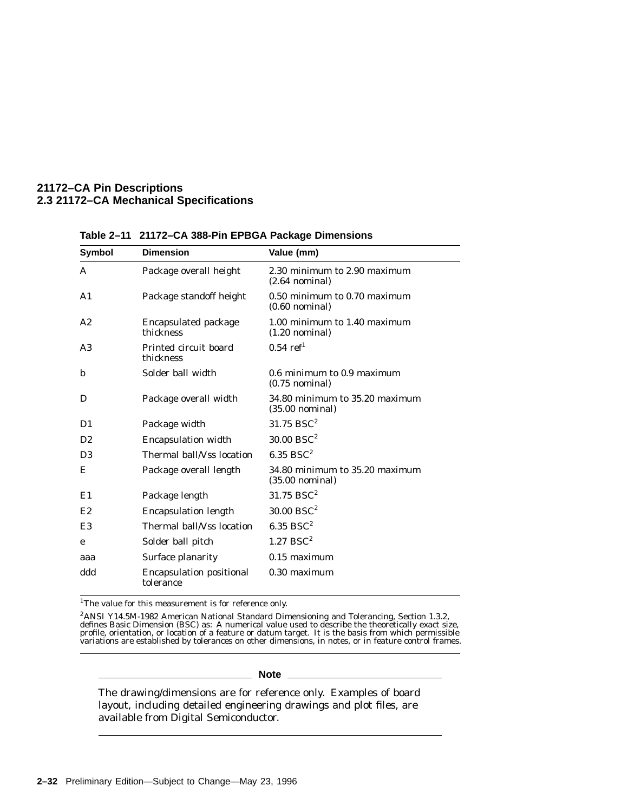### **21172–CA Pin Descriptions 2.3 21172–CA Mechanical Specifications**

| <b>Symbol</b>  | <b>Dimension</b>                             | Value (mm)                                                  |  |
|----------------|----------------------------------------------|-------------------------------------------------------------|--|
| A              | Package overall height                       | 2.30 minimum to 2.90 maximum<br>$(2.64$ nominal)            |  |
| A <sub>1</sub> | Package standoff height                      | 0.50 minimum to 0.70 maximum<br>$(0.60$ nominal)            |  |
| A2             | <b>Encapsulated package</b><br>thickness     | 1.00 minimum to 1.40 maximum<br>$(1.20 \text{ nominal})$    |  |
| A <sub>3</sub> | Printed circuit board<br>thickness           | $0.54$ ref <sup>1</sup>                                     |  |
| b              | Solder ball width                            | $0.6$ minimum to $0.9$ maximum<br>$(0.75$ nominal)          |  |
| D              | Package overall width                        | 34.80 minimum to 35.20 maximum<br>$(35.00 \text{ nominal})$ |  |
| D <sub>1</sub> | Package width                                | $31.75$ BSC <sup>2</sup>                                    |  |
| D2             | <b>Encapsulation width</b>                   | $30.00$ BSC <sup>2</sup>                                    |  |
| D <sub>3</sub> | Thermal ball/Vss location                    | $6.35$ BSC <sup>2</sup>                                     |  |
| Е              | Package overall length                       | 34.80 minimum to 35.20 maximum<br>$(35.00 \text{ nominal})$ |  |
| E1             | Package length                               | $31.75$ BSC <sup>2</sup>                                    |  |
| E2             | <b>Encapsulation length</b>                  | $30.00$ BSC <sup>2</sup>                                    |  |
| E3             | Thermal ball/Vss location                    | $6.35$ BSC <sup>2</sup>                                     |  |
| e              | Solder ball pitch                            | $1.27$ BSC <sup>2</sup>                                     |  |
| aaa            | Surface planarity                            | $0.15$ maximum                                              |  |
| ddd            | <b>Encapsulation positional</b><br>tolerance | 0.30 maximum                                                |  |

**Table 2–11 21172–CA 388-Pin EPBGA Package Dimensions**

 $^1\!$  The value for this measurement is for reference only.

2ANSI Y14.5M-1982 American National Standard Dimensioning and Tolerancing, Section 1.3.2, defines Basic Dimension (BSC) as: A numerical value used to describe the theoretically exact size, profile, orientation, or location of a feature or datum target. It is the basis from which permissible variations are established by tolerances on other dimensions, in notes, or in feature control frames.

#### **Note**

The drawing/dimensions are for reference only. Examples of board layout, including detailed engineering drawings and plot files, are available from Digital Semiconductor.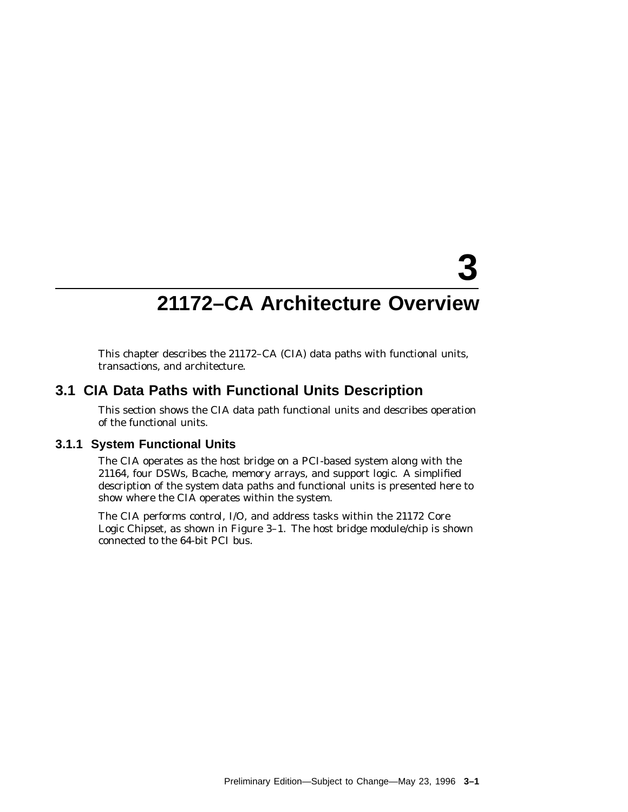# **21172–CA Architecture Overview**

**3**

This chapter describes the 21172–CA (CIA) data paths with functional units, transactions, and architecture.

# **3.1 CIA Data Paths with Functional Units Description**

This section shows the CIA data path functional units and describes operation of the functional units.

# **3.1.1 System Functional Units**

The CIA operates as the host bridge on a PCI-based system along with the 21164, four DSWs, Bcache, memory arrays, and support logic. A simplified description of the system data paths and functional units is presented here to show where the CIA operates within the system.

The CIA performs control, I/O, and address tasks within the 21172 Core Logic Chipset, as shown in Figure 3–1. The host bridge module/chip is shown connected to the 64-bit PCI bus.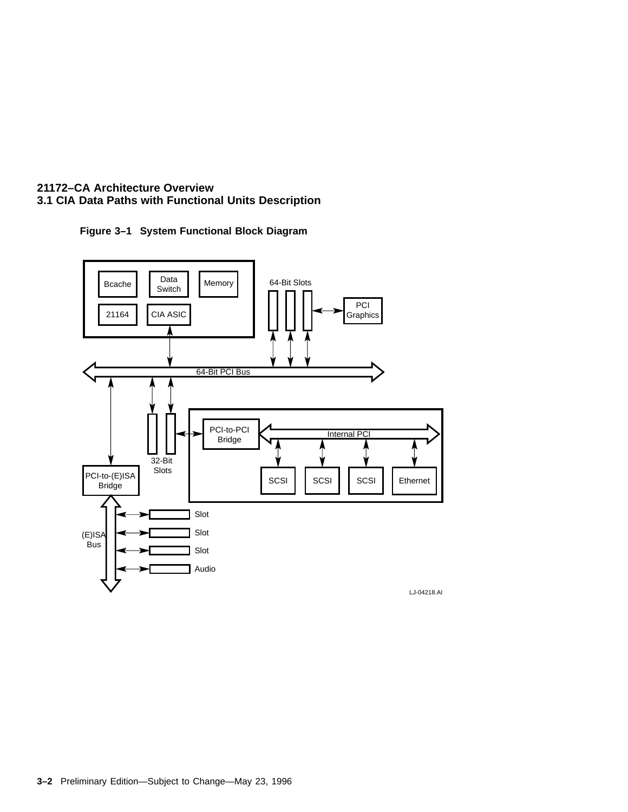



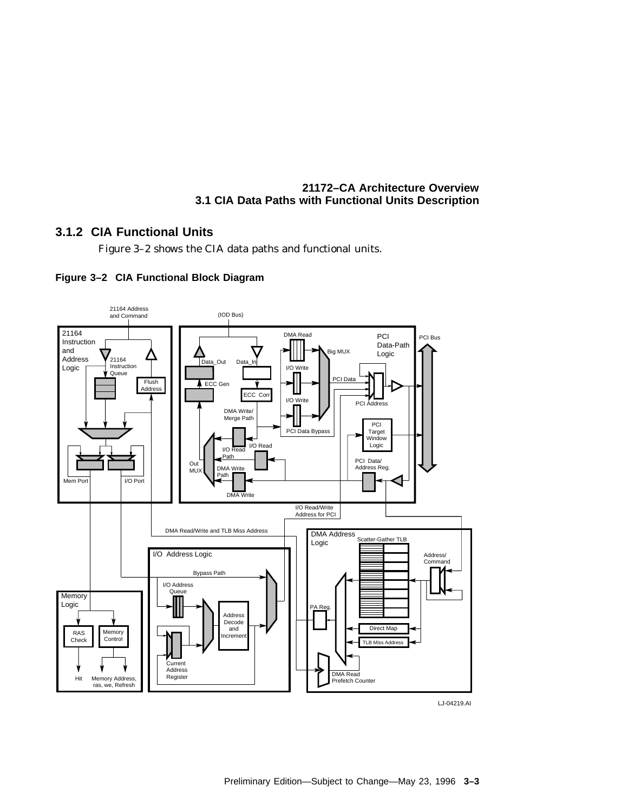# **3.1.2 CIA Functional Units**

Figure 3–2 shows the CIA data paths and functional units.





LJ-04219.AI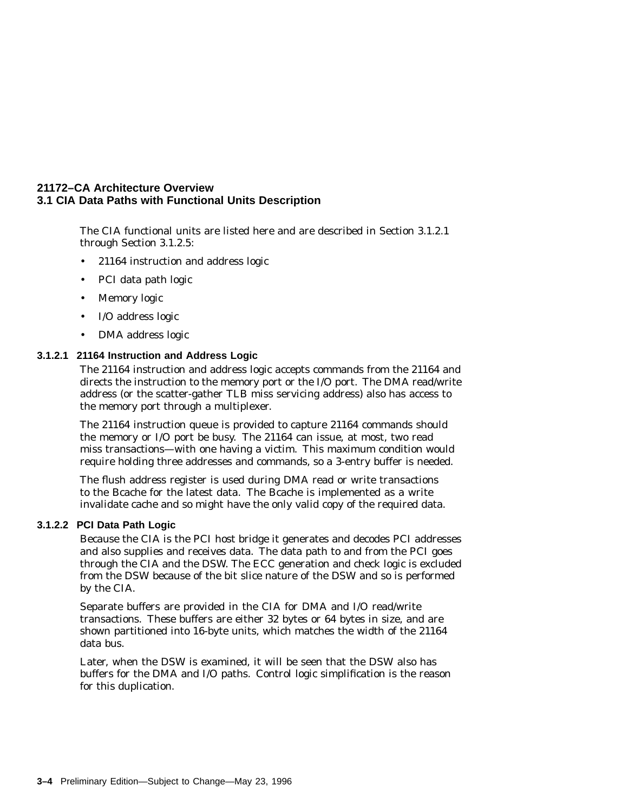The CIA functional units are listed here and are described in Section 3.1.2.1 through Section 3.1.2.5:

- 21164 instruction and address logic
- PCI data path logic
- Memory logic
- I/O address logic
- DMA address logic

### **3.1.2.1 21164 Instruction and Address Logic**

The 21164 instruction and address logic accepts commands from the 21164 and directs the instruction to the memory port or the I/O port. The DMA read/write address (or the scatter-gather TLB miss servicing address) also has access to the memory port through a multiplexer.

The 21164 instruction queue is provided to capture 21164 commands should the memory or I/O port be busy. The 21164 can issue, at most, two read miss transactions—with one having a victim. This maximum condition would require holding three addresses and commands, so a 3-entry buffer is needed.

The flush address register is used during DMA read or write transactions to the Bcache for the latest data. The Bcache is implemented as a write invalidate cache and so might have the only valid copy of the required data.

### **3.1.2.2 PCI Data Path Logic**

Because the CIA is the PCI host bridge it generates and decodes PCI addresses and also supplies and receives data. The data path to and from the PCI goes through the CIA and the DSW. The ECC generation and check logic is excluded from the DSW because of the bit slice nature of the DSW and so is performed by the CIA.

Separate buffers are provided in the CIA for DMA and I/O read/write transactions. These buffers are either 32 bytes or 64 bytes in size, and are shown partitioned into 16-byte units, which matches the width of the 21164 data bus.

Later, when the DSW is examined, it will be seen that the DSW also has buffers for the DMA and I/O paths. Control logic simplification is the reason for this duplication.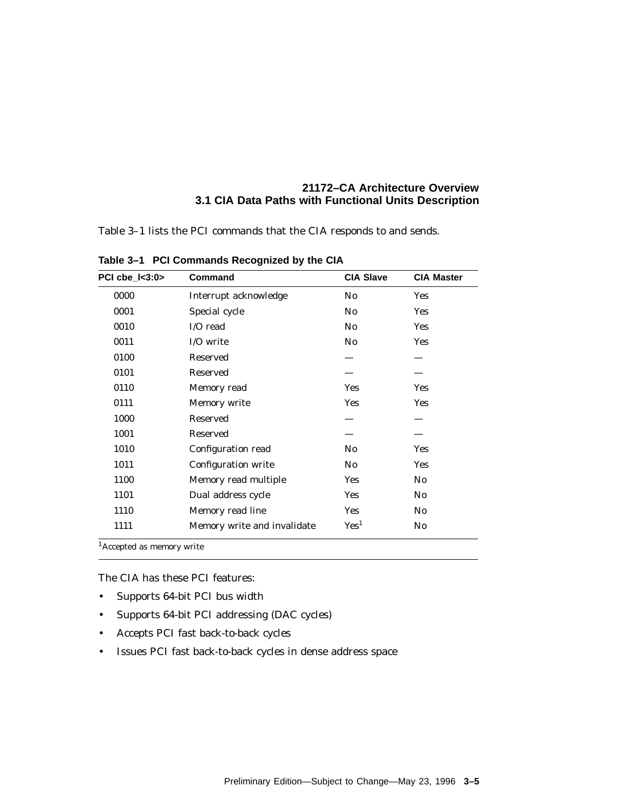Table 3–1 lists the PCI commands that the CIA responds to and sends.

| PCI $che$ $3:0$ | Command                     | <b>CIA Slave</b>       | <b>CIA Master</b> |
|-----------------|-----------------------------|------------------------|-------------------|
| 0000            | Interrupt acknowledge       | N <sub>0</sub>         | <b>Yes</b>        |
| 0001            | Special cycle               | N <sub>0</sub>         | <b>Yes</b>        |
| 0010            | I/O read                    | N <sub>0</sub>         | <b>Yes</b>        |
| 0011            | I/O write                   | $\mathbf{N}\mathbf{0}$ | <b>Yes</b>        |
| 0100            | <b>Reserved</b>             |                        |                   |
| 0101            | <b>Reserved</b>             |                        |                   |
| 0110            | Memory read                 | <b>Yes</b>             | Yes               |
| 0111            | Memory write                | <b>Yes</b>             | Yes               |
| 1000            | Reserved                    |                        |                   |
| 1001            | <b>Reserved</b>             |                        |                   |
| 1010            | Configuration read          | No.                    | Yes               |
| 1011            | <b>Configuration write</b>  | N <sub>0</sub>         | Yes               |
| 1100            | Memory read multiple        | <b>Yes</b>             | No                |
| 1101            | Dual address cycle          | <b>Yes</b>             | No.               |
| 1110            | Memory read line            | <b>Yes</b>             | No.               |
| 1111            | Memory write and invalidate | Yes <sup>1</sup>       | No.               |

**Table 3–1 PCI Commands Recognized by the CIA**

1Accepted as memory write

The CIA has these PCI features:

- Supports 64-bit PCI bus width
- Supports 64-bit PCI addressing (DAC cycles)
- Accepts PCI fast back-to-back cycles
- Issues PCI fast back-to-back cycles in dense address space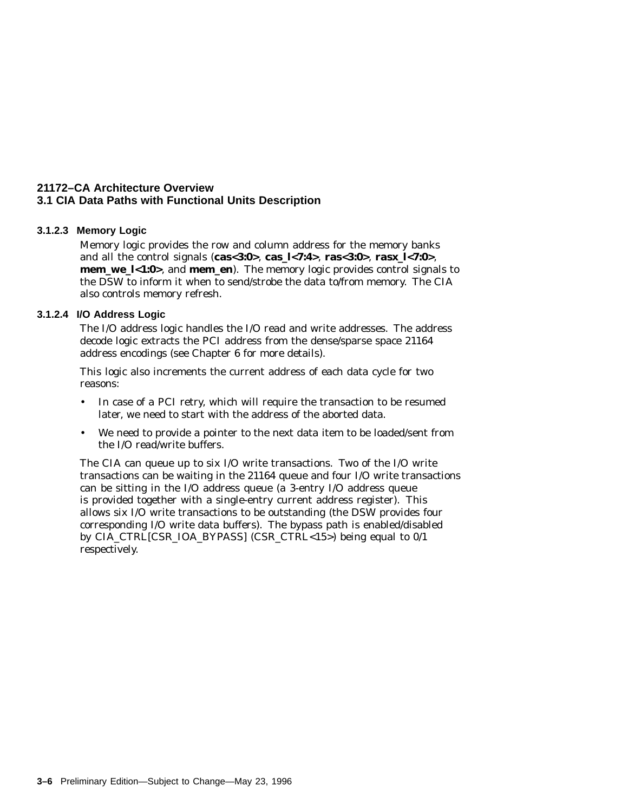### **3.1.2.3 Memory Logic**

Memory logic provides the row and column address for the memory banks and all the control signals (**cas<3:0>**, **cas\_l<7:4>**, **ras<3:0>**, **ras***x***\_l<7:0>**, **mem\_we\_l<1:0>**, and **mem\_en**). The memory logic provides control signals to the DSW to inform it when to send/strobe the data to/from memory. The CIA also controls memory refresh.

### **3.1.2.4 I/O Address Logic**

The I/O address logic handles the I/O read and write addresses. The address decode logic extracts the PCI address from the dense/sparse space 21164 address encodings (see Chapter 6 for more details).

This logic also increments the current address of each data cycle for two reasons:

- In case of a PCI retry, which will require the transaction to be resumed later, we need to start with the address of the aborted data.
- We need to provide a pointer to the next data item to be loaded/sent from the I/O read/write buffers.

The CIA can queue up to six I/O write transactions. Two of the I/O write transactions can be waiting in the 21164 queue and four I/O write transactions can be sitting in the I/O address queue (a 3-entry I/O address queue is provided together with a single-entry current address register). This allows six I/O write transactions to be outstanding (the DSW provides four corresponding I/O write data buffers). The bypass path is enabled/disabled by CIA\_CTRL[CSR\_IOA\_BYPASS] (CSR\_CTRL<15>) being equal to 0/1 respectively.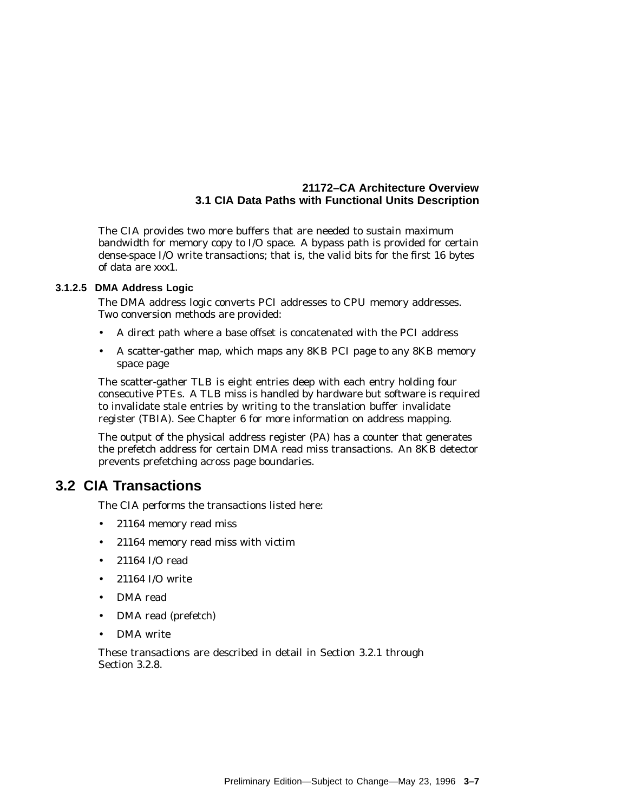The CIA provides two more buffers that are needed to sustain maximum bandwidth for memory copy to I/O space. A bypass path is provided for certain dense-space I/O write transactions; that is, the valid bits for the first 16 bytes of data are *xxx*1.

### **3.1.2.5 DMA Address Logic**

The DMA address logic converts PCI addresses to CPU memory addresses. Two conversion methods are provided:

- A direct path where a base offset is concatenated with the PCI address
- A scatter-gather map, which maps any 8KB PCI page to any 8KB memory space page

The scatter-gather TLB is eight entries deep with each entry holding four consecutive PTEs. A TLB miss is handled by hardware but software is required to invalidate stale entries by writing to the translation buffer invalidate register (TBIA). See Chapter 6 for more information on address mapping.

The output of the physical address register (PA) has a counter that generates the prefetch address for certain DMA read miss transactions. An 8KB detector prevents prefetching across page boundaries.

# **3.2 CIA Transactions**

The CIA performs the transactions listed here:

- 21164 memory read miss
- 21164 memory read miss with victim
- 21164 I/O read
- 21164 I/O write
- DMA read
- DMA read (prefetch)
- DMA write

These transactions are described in detail in Section 3.2.1 through Section 3.2.8.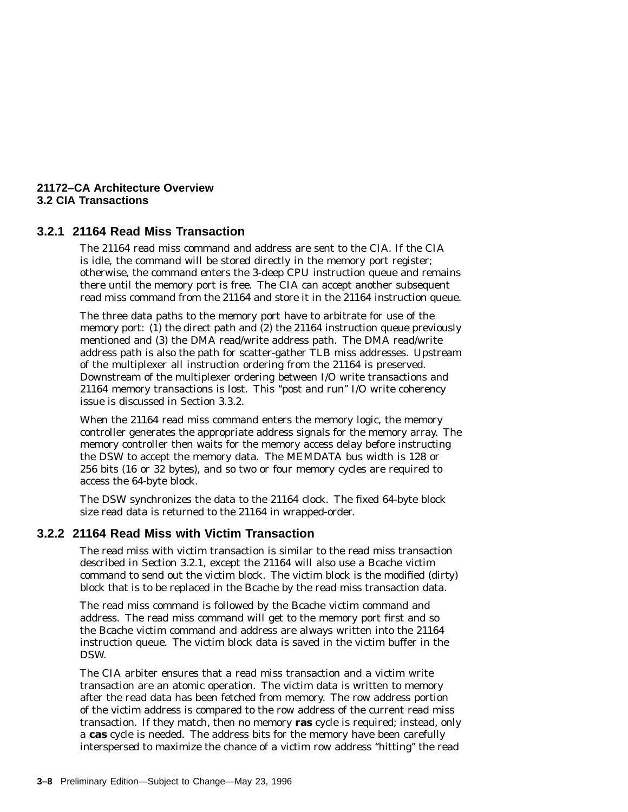### **21172–CA Architecture Overview 3.2 CIA Transactions**

# **3.2.1 21164 Read Miss Transaction**

The 21164 read miss command and address are sent to the CIA. If the CIA is idle, the command will be stored directly in the memory port register; otherwise, the command enters the 3-deep CPU instruction queue and remains there until the memory port is free. The CIA can accept another subsequent read miss command from the 21164 and store it in the 21164 instruction queue.

The three data paths to the memory port have to arbitrate for use of the memory port: (1) the direct path and (2) the 21164 instruction queue previously mentioned and (3) the DMA read/write address path. The DMA read/write address path is also the path for scatter-gather TLB miss addresses. Upstream of the multiplexer all instruction ordering from the 21164 is preserved. Downstream of the multiplexer ordering between I/O write transactions and 21164 memory transactions is lost. This ''post and run'' I/O write coherency issue is discussed in Section 3.3.2.

When the 21164 read miss command enters the memory logic, the memory controller generates the appropriate address signals for the memory array. The memory controller then waits for the memory access delay before instructing the DSW to accept the memory data. The MEMDATA bus width is 128 or 256 bits (16 or 32 bytes), and so two or four memory cycles are required to access the 64-byte block.

The DSW synchronizes the data to the 21164 clock. The fixed 64-byte block size read data is returned to the 21164 in wrapped-order.

# **3.2.2 21164 Read Miss with Victim Transaction**

The read miss with victim transaction is similar to the read miss transaction described in Section 3.2.1, except the 21164 will also use a Bcache victim command to send out the victim block. The victim block is the modified (dirty) block that is to be replaced in the Bcache by the read miss transaction data.

The read miss command is followed by the Bcache victim command and address. The read miss command will get to the memory port first and so the Bcache victim command and address are always written into the 21164 instruction queue. The victim block data is saved in the victim buffer in the DSW.

The CIA arbiter ensures that a read miss transaction and a victim write transaction are an atomic operation. The victim data is written to memory after the read data has been fetched from memory. The row address portion of the victim address is compared to the row address of the current read miss transaction. If they match, then no memory **ras** cycle is required; instead, only a **cas** cycle is needed. The address bits for the memory have been carefully interspersed to maximize the chance of a victim row address ''hitting'' the read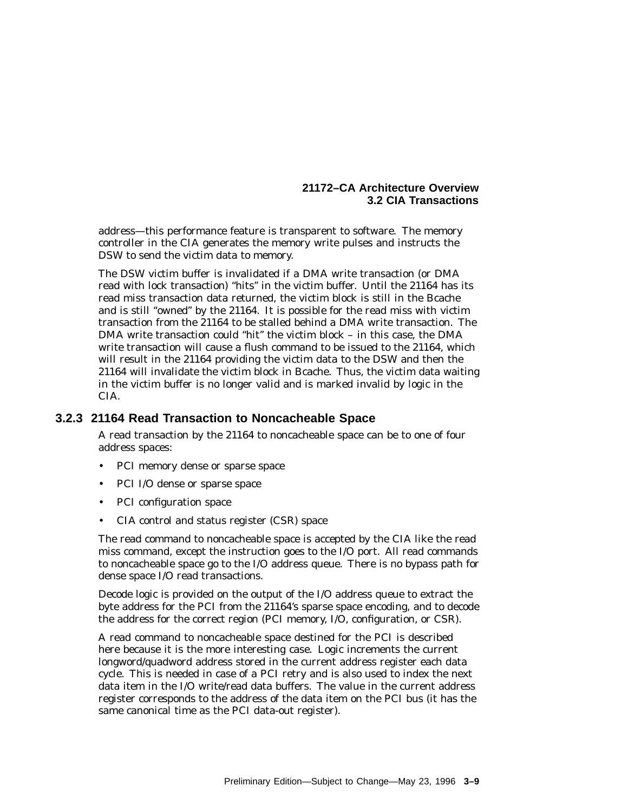### **21172–CA Architecture Overview 3.2 CIA Transactions**

address—this performance feature is transparent to software. The memory controller in the CIA generates the memory write pulses and instructs the DSW to send the victim data to memory.

The DSW victim buffer is invalidated if a DMA write transaction (or DMA read with lock transaction) ''hits'' in the victim buffer. Until the 21164 has its read miss transaction data returned, the victim block is still in the Bcache and is still ''owned'' by the 21164. It is possible for the read miss with victim transaction from the 21164 to be stalled behind a DMA write transaction. The DMA write transaction could ''hit'' the victim block – in this case, the DMA write transaction will cause a flush command to be issued to the 21164, which will result in the 21164 providing the victim data to the DSW and then the 21164 will invalidate the victim block in Bcache. Thus, the victim data waiting in the victim buffer is no longer valid and is marked invalid by logic in the CIA.

# **3.2.3 21164 Read Transaction to Noncacheable Space**

A read transaction by the 21164 to noncacheable space can be to one of four address spaces:

- PCI memory dense or sparse space
- PCI I/O dense or sparse space
- PCI configuration space
- CIA control and status register (CSR) space

The read command to noncacheable space is accepted by the CIA like the read miss command, except the instruction goes to the I/O port. All read commands to noncacheable space go to the I/O address queue. There is no bypass path for dense space I/O read transactions.

Decode logic is provided on the output of the I/O address queue to extract the byte address for the PCI from the 21164's sparse space encoding, and to decode the address for the correct region (PCI memory, I/O, configuration, or CSR).

A read command to noncacheable space destined for the PCI is described here because it is the more interesting case. Logic increments the current longword/quadword address stored in the current address register each data cycle. This is needed in case of a PCI retry and is also used to index the next data item in the I/O write/read data buffers. The value in the current address register corresponds to the address of the data item on the PCI bus (it has the same canonical time as the PCI data-out register).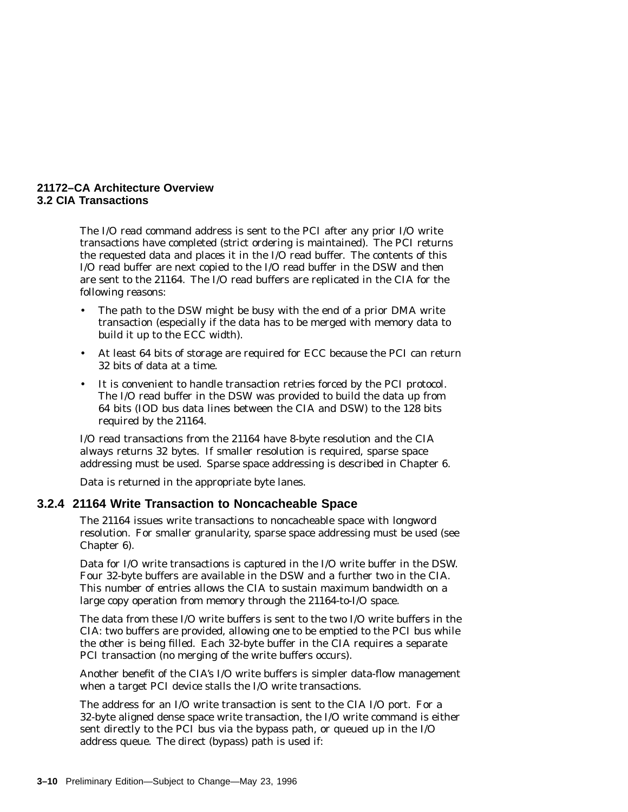### **21172–CA Architecture Overview 3.2 CIA Transactions**

The I/O read command address is sent to the PCI after any prior I/O write transactions have completed (strict ordering is maintained). The PCI returns the requested data and places it in the I/O read buffer. The contents of this I/O read buffer are next copied to the I/O read buffer in the DSW and then are sent to the 21164. The I/O read buffers are replicated in the CIA for the following reasons:

- The path to the DSW might be busy with the end of a prior DMA write transaction (especially if the data has to be merged with memory data to build it up to the ECC width).
- At least 64 bits of storage are required for ECC because the PCI can return 32 bits of data at a time.
- It is convenient to handle transaction retries forced by the PCI protocol. The I/O read buffer in the DSW was provided to build the data up from 64 bits (IOD bus data lines between the CIA and DSW) to the 128 bits required by the 21164.

I/O read transactions from the 21164 have 8-byte resolution and the CIA always returns 32 bytes. If smaller resolution is required, sparse space addressing must be used. Sparse space addressing is described in Chapter 6.

Data is returned in the appropriate byte lanes.

## **3.2.4 21164 Write Transaction to Noncacheable Space**

The 21164 issues write transactions to noncacheable space with longword resolution. For smaller granularity, sparse space addressing must be used (see Chapter 6).

Data for I/O write transactions is captured in the I/O write buffer in the DSW. Four 32-byte buffers are available in the DSW and a further two in the CIA. This number of entries allows the CIA to sustain maximum bandwidth on a large copy operation from memory through the 21164-to-I/O space.

The data from these I/O write buffers is sent to the two I/O write buffers in the CIA: two buffers are provided, allowing one to be emptied to the PCI bus while the other is being filled. Each 32-byte buffer in the CIA requires a separate PCI transaction (no merging of the write buffers occurs).

Another benefit of the CIA's I/O write buffers is simpler data-flow management when a target PCI device stalls the I/O write transactions.

The address for an I/O write transaction is sent to the CIA I/O port. For a 32-byte aligned dense space write transaction, the I/O write command is either sent directly to the PCI bus via the bypass path, or queued up in the I/O address queue. The direct (bypass) path is used if: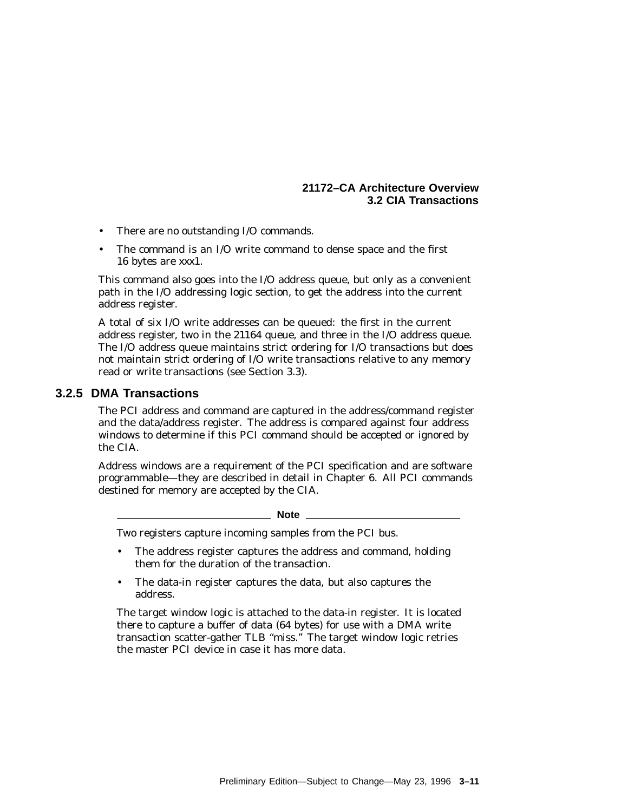- There are no outstanding I/O commands.
- The command is an I/O write command to dense space and the first 16 bytes are *xxx*1.

This command also goes into the I/O address queue, but only as a convenient path in the I/O addressing logic section, to get the address into the current address register.

A total of six I/O write addresses can be queued: the first in the current address register, two in the 21164 queue, and three in the I/O address queue. The I/O address queue maintains strict ordering for I/O transactions but does not maintain strict ordering of I/O write transactions relative to any memory read or write transactions (see Section 3.3).

#### **3.2.5 DMA Transactions**

The PCI address and command are captured in the address/command register and the data/address register. The address is compared against four address windows to determine if this PCI command should be accepted or ignored by the CIA.

Address windows are a requirement of the PCI specification and are software programmable—they are described in detail in Chapter 6. All PCI commands destined for memory are accepted by the CIA.

**Note**

Two registers capture incoming samples from the PCI bus.

- The address register captures the address and command, holding them for the duration of the transaction.
- The data-in register captures the data, but also captures the address.

The target window logic is attached to the data-in register. It is located there to capture a buffer of data (64 bytes) for use with a DMA write transaction scatter-gather TLB ''miss.'' The target window logic retries the master PCI device in case it has more data.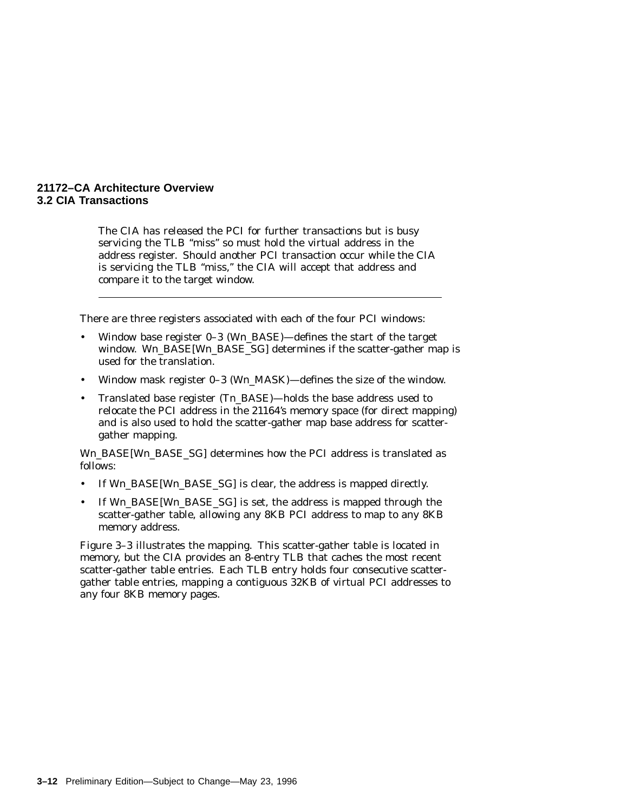The CIA has released the PCI for further transactions but is busy servicing the TLB "miss" so must hold the virtual address in the address register. Should another PCI transaction occur while the CIA is servicing the TLB ''miss,'' the CIA will accept that address and compare it to the target window.

There are three registers associated with each of the four PCI windows:

- Window base register 0–3 (W*n*\_BASE)—defines the start of the target window. W*n*\_BASE[W*n*\_BASE\_SG] determines if the scatter-gather map is used for the translation.
- Window mask register 0–3 (W*n*\_MASK)—defines the size of the window.
- Translated base register (T*n*\_BASE)—holds the base address used to relocate the PCI address in the 21164's memory space (for direct mapping) and is also used to hold the scatter-gather map base address for scattergather mapping.

W<sub>n</sub> BASE[W<sub>n</sub> BASE SG] determines how the PCI address is translated as follows:

- If W*n*\_BASE[W*n*\_BASE\_SG] is clear, the address is mapped directly.
- If W*n*\_BASE[W*n*\_BASE\_SG] is set, the address is mapped through the scatter-gather table, allowing any 8KB PCI address to map to any 8KB memory address.

Figure 3–3 illustrates the mapping. This scatter-gather table is located in memory, but the CIA provides an 8-entry TLB that caches the most recent scatter-gather table entries. Each TLB entry holds four consecutive scattergather table entries, mapping a contiguous 32KB of virtual PCI addresses to any four 8KB memory pages.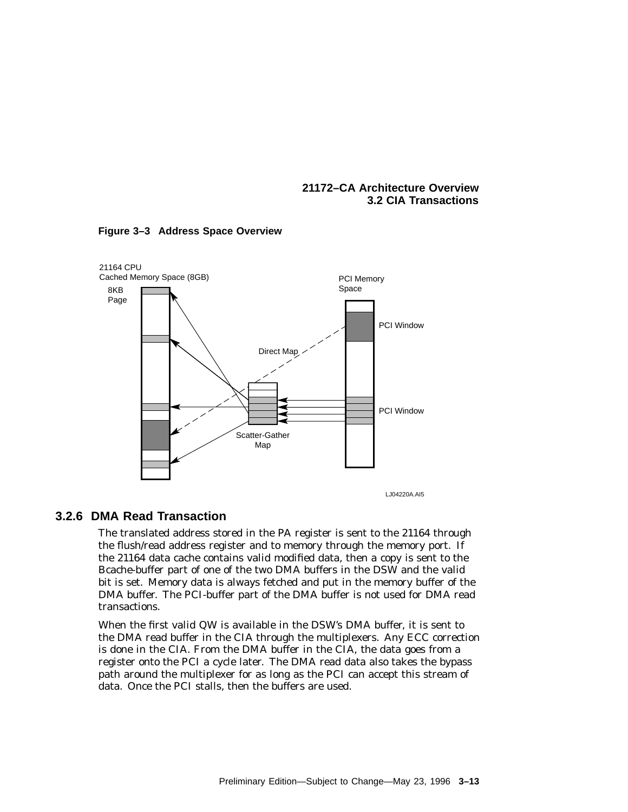LJ04220A.AI5 21164 CPU Cached Memory Space (8GB) example a matrix of the PCI Memory Space Scatter-Gather Map Direct Map PCI Window PCI Window 8KB Page

#### **Figure 3–3 Address Space Overview**

#### **3.2.6 DMA Read Transaction**

The translated address stored in the PA register is sent to the 21164 through the flush/read address register and to memory through the memory port. If the 21164 data cache contains valid modified data, then a copy is sent to the Bcache-buffer part of one of the two DMA buffers in the DSW and the valid bit is set. Memory data is always fetched and put in the memory buffer of the DMA buffer. The PCI-buffer part of the DMA buffer is not used for DMA read transactions.

When the first valid QW is available in the DSW's DMA buffer, it is sent to the DMA read buffer in the CIA through the multiplexers. Any ECC correction is done in the CIA. From the DMA buffer in the CIA, the data goes from a register onto the PCI a cycle later. The DMA read data also takes the bypass path around the multiplexer for as long as the PCI can accept this stream of data. Once the PCI stalls, then the buffers are used.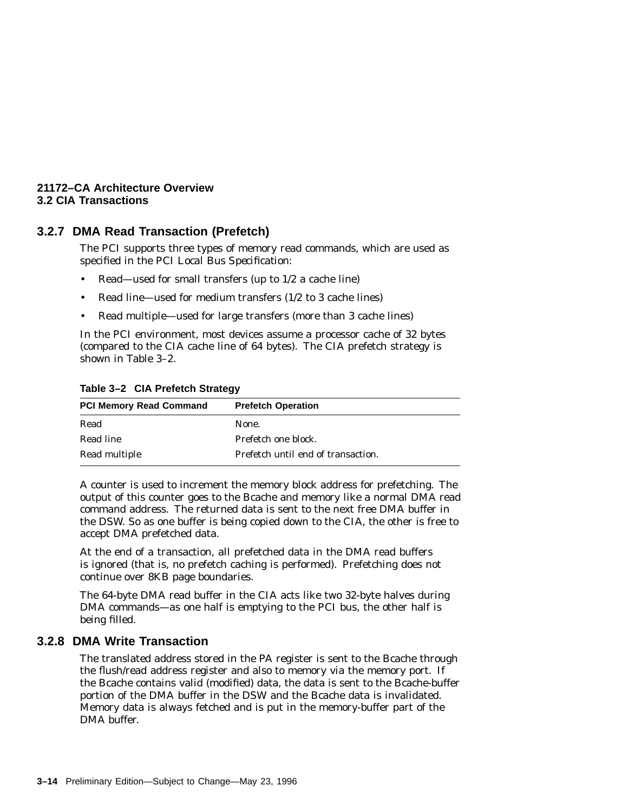# **3.2.7 DMA Read Transaction (Prefetch)**

The PCI supports three types of memory read commands, which are used as specified in the *PCI Local Bus Specification*:

- Read—used for small transfers (up to 1/2 a cache line)
- Read line—used for medium transfers (1/2 to 3 cache lines)
- Read multiple—used for large transfers (more than 3 cache lines)

In the PCI environment, most devices assume a processor cache of 32 bytes (compared to the CIA cache line of 64 bytes). The CIA prefetch strategy is shown in Table 3–2.

| <b>PCI Memory Read Command</b> | <b>Prefetch Operation</b>          |
|--------------------------------|------------------------------------|
| Read                           | None.                              |
| Read line                      | Prefetch one block.                |
| Read multiple                  | Prefetch until end of transaction. |

#### **Table 3–2 CIA Prefetch Strategy**

A counter is used to increment the memory block address for prefetching. The output of this counter goes to the Bcache and memory like a normal DMA read command address. The returned data is sent to the next free DMA buffer in the DSW. So as one buffer is being copied down to the CIA, the other is free to accept DMA prefetched data.

At the end of a transaction, all prefetched data in the DMA read buffers is ignored (that is, no prefetch caching is performed). Prefetching does not continue over 8KB page boundaries.

The 64-byte DMA read buffer in the CIA acts like two 32-byte halves during DMA commands—as one half is emptying to the PCI bus, the other half is being filled.

#### **3.2.8 DMA Write Transaction**

The translated address stored in the PA register is sent to the Bcache through the flush/read address register and also to memory via the memory port. If the Bcache contains valid (modified) data, the data is sent to the Bcache-buffer portion of the DMA buffer in the DSW and the Bcache data is invalidated. Memory data is always fetched and is put in the memory-buffer part of the DMA buffer.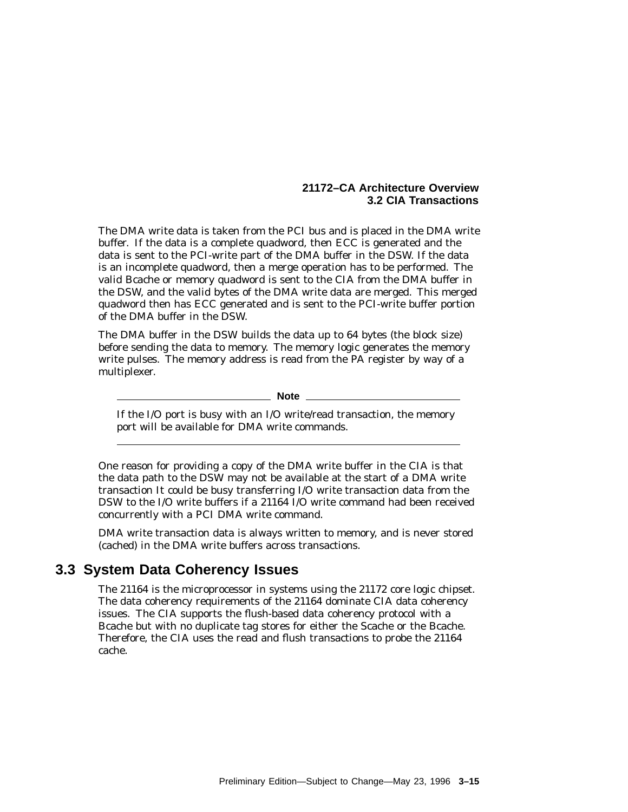The DMA write data is taken from the PCI bus and is placed in the DMA write buffer. If the data is a complete quadword, then ECC is generated and the data is sent to the PCI-write part of the DMA buffer in the DSW. If the data is an incomplete quadword, then a merge operation has to be performed. The valid Bcache or memory quadword is sent to the CIA from the DMA buffer in the DSW, and the valid bytes of the DMA write data are merged. This merged quadword then has ECC generated and is sent to the PCI-write buffer portion of the DMA buffer in the DSW.

The DMA buffer in the DSW builds the data up to 64 bytes (the block size) before sending the data to memory. The memory logic generates the memory write pulses. The memory address is read from the PA register by way of a multiplexer.

**Note**

If the I/O port is busy with an I/O write/read transaction, the memory port will be available for DMA write commands.

One reason for providing a copy of the DMA write buffer in the CIA is that the data path to the DSW may not be available at the start of a DMA write transaction It could be busy transferring I/O write transaction data from the DSW to the I/O write buffers if a 21164 I/O write command had been received concurrently with a PCI DMA write command.

DMA write transaction data is always written to memory, and is never stored (cached) in the DMA write buffers across transactions.

# **3.3 System Data Coherency Issues**

The 21164 is the microprocessor in systems using the 21172 core logic chipset. The data coherency requirements of the 21164 dominate CIA data coherency issues. The CIA supports the flush-based data coherency protocol with a Bcache but with no duplicate tag stores for either the Scache or the Bcache. Therefore, the CIA uses the read and flush transactions to probe the 21164 cache.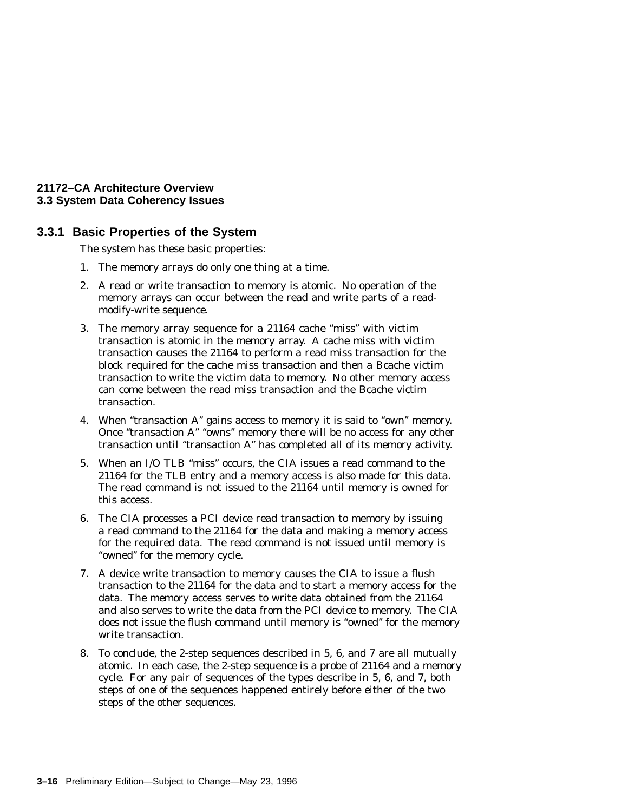#### **21172–CA Architecture Overview 3.3 System Data Coherency Issues**

#### **3.3.1 Basic Properties of the System**

The system has these basic properties:

- 1. The memory arrays do only one thing at a time.
- 2. A read or write transaction to memory is atomic. No operation of the memory arrays can occur between the read and write parts of a readmodify-write sequence.
- 3. The memory array sequence for a 21164 cache ''miss'' with victim transaction is atomic in the memory array. A cache miss with victim transaction causes the 21164 to perform a read miss transaction for the block required for the cache miss transaction and then a Bcache victim transaction to write the victim data to memory. No other memory access can come between the read miss transaction and the Bcache victim transaction.
- 4. When "transaction A" gains access to memory it is said to "own" memory. Once "transaction A" "owns" memory there will be no access for any other transaction until ''transaction A'' has completed all of its memory activity.
- 5. When an I/O TLB ''miss'' occurs, the CIA issues a read command to the 21164 for the TLB entry and a memory access is also made for this data. The read command is not issued to the 21164 until memory is owned for this access.
- 6. The CIA processes a PCI device read transaction to memory by issuing a read command to the 21164 for the data and making a memory access for the required data. The read command is not issued until memory is "owned" for the memory cycle.
- 7. A device write transaction to memory causes the CIA to issue a flush transaction to the 21164 for the data and to start a memory access for the data. The memory access serves to write data obtained from the 21164 and also serves to write the data from the PCI device to memory. The CIA does not issue the flush command until memory is ''owned'' for the memory write transaction.
- 8. To conclude, the 2-step sequences described in 5, 6, and 7 are all mutually atomic. In each case, the 2-step sequence is a probe of 21164 and a memory cycle. For any pair of sequences of the types describe in 5, 6, and 7, both steps of one of the sequences happened entirely before either of the two steps of the other sequences.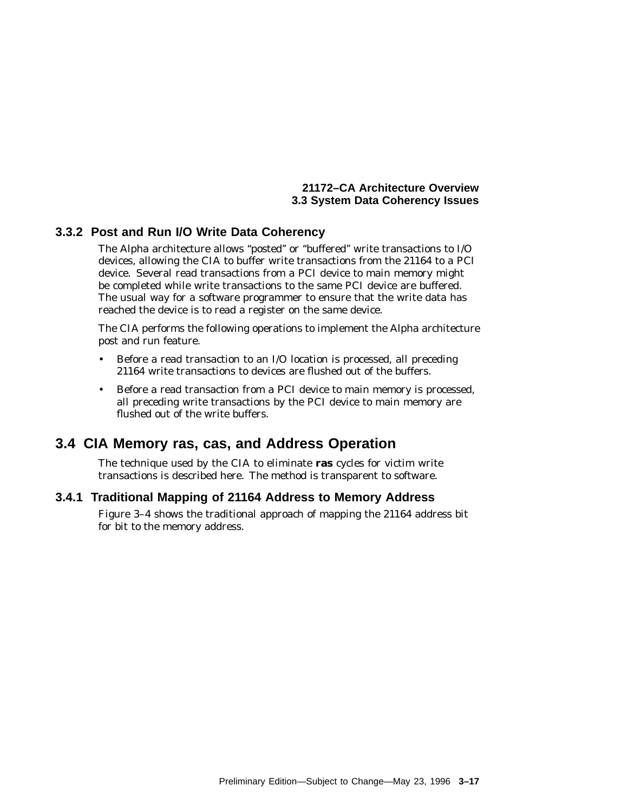#### **21172–CA Architecture Overview 3.3 System Data Coherency Issues**

# **3.3.2 Post and Run I/O Write Data Coherency**

The Alpha architecture allows ''posted'' or ''buffered'' write transactions to I/O devices, allowing the CIA to buffer write transactions from the 21164 to a PCI device. Several read transactions from a PCI device to main memory might be completed while write transactions to the same PCI device are buffered. The usual way for a software programmer to ensure that the write data has reached the device is to read a register on the same device.

The CIA performs the following operations to implement the Alpha architecture post and run feature.

- Before a read transaction to an I/O location is processed, all preceding 21164 write transactions to devices are flushed out of the buffers.
- Before a read transaction from a PCI device to main memory is processed, all preceding write transactions by the PCI device to main memory are flushed out of the write buffers.

# **3.4 CIA Memory ras, cas, and Address Operation**

The technique used by the CIA to eliminate **ras** cycles for victim write transactions is described here. The method is transparent to software.

# **3.4.1 Traditional Mapping of 21164 Address to Memory Address**

Figure 3–4 shows the traditional approach of mapping the 21164 address bit for bit to the memory address.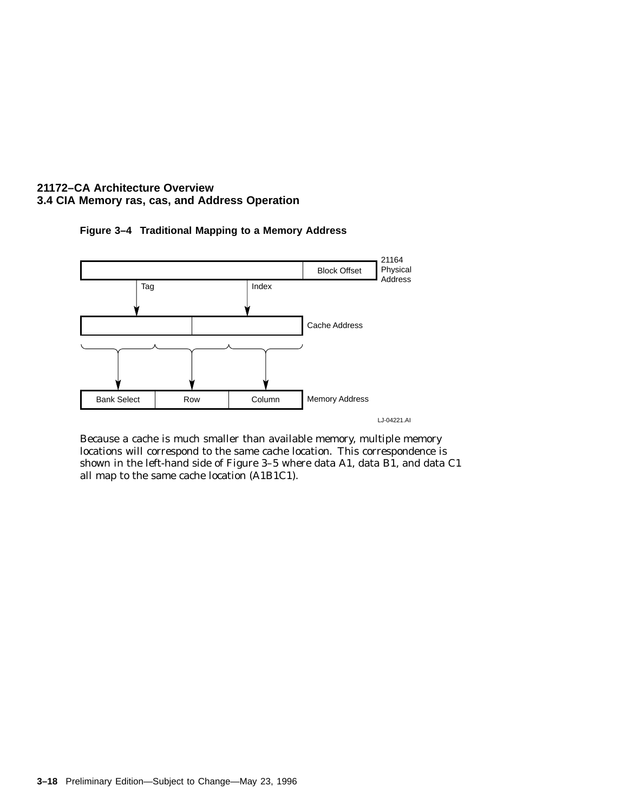



Because a cache is much smaller than available memory, multiple memory locations will correspond to the same cache location. This correspondence is shown in the left-hand side of Figure 3–5 where data A1, data B1, and data C1 all map to the same cache location (A1B1C1).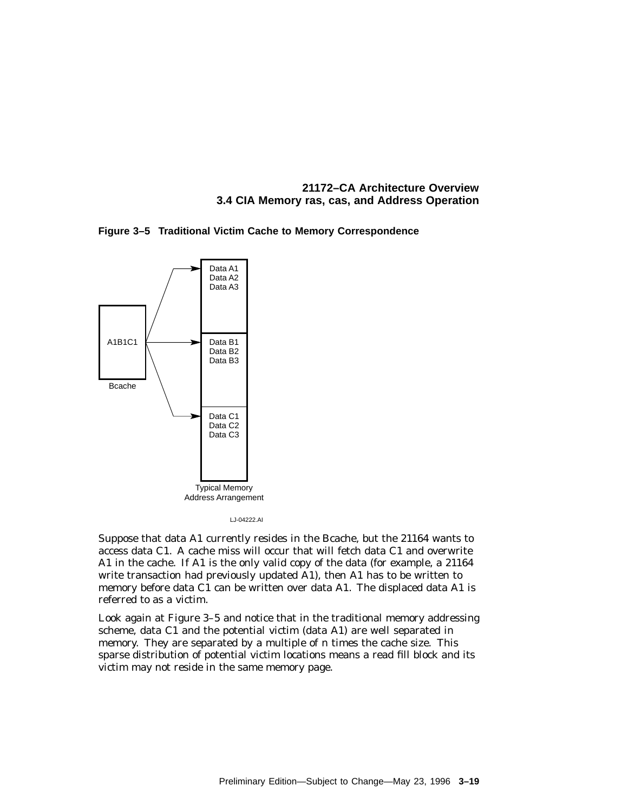**Figure 3–5 Traditional Victim Cache to Memory Correspondence**



LJ-04222.AI

Suppose that data A1 currently resides in the Bcache, but the 21164 wants to access data C1. A cache miss will occur that will fetch data C1 and overwrite A1 in the cache. If A1 is the only valid copy of the data (for example, a 21164 write transaction had previously updated A1), then A1 has to be written to memory before data C1 can be written over data A1. The displaced data A1 is referred to as a victim.

Look again at Figure 3–5 and notice that in the traditional memory addressing scheme, data C1 and the potential victim (data A1) are well separated in memory. They are separated by a multiple of *n* times the cache size. This sparse distribution of potential victim locations means a read fill block and its victim may not reside in the same memory page.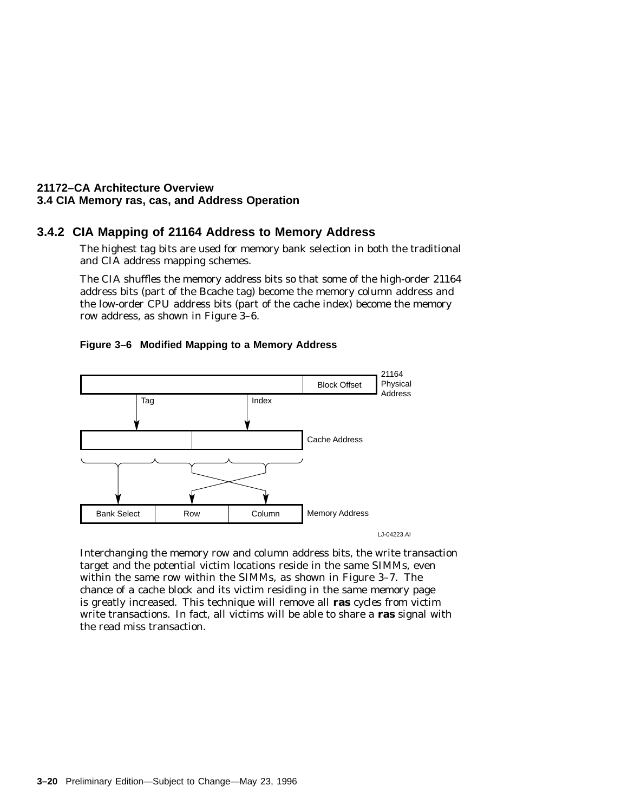#### **3.4.2 CIA Mapping of 21164 Address to Memory Address**

The highest tag bits are used for memory bank selection in both the traditional and CIA address mapping schemes.

The CIA shuffles the memory address bits so that some of the high-order 21164 address bits (part of the Bcache tag) become the memory column address and the low-order CPU address bits (part of the cache index) become the memory row address, as shown in Figure 3–6.



#### **Figure 3–6 Modified Mapping to a Memory Address**

Interchanging the memory row and column address bits, the write transaction target and the potential victim locations reside in the same SIMMs, even within the same row within the SIMMs, as shown in Figure 3–7. The chance of a cache block and its victim residing in the same memory page is greatly increased. This technique will remove all **ras** cycles from victim write transactions. In fact, all victims will be able to share a **ras** signal with the read miss transaction.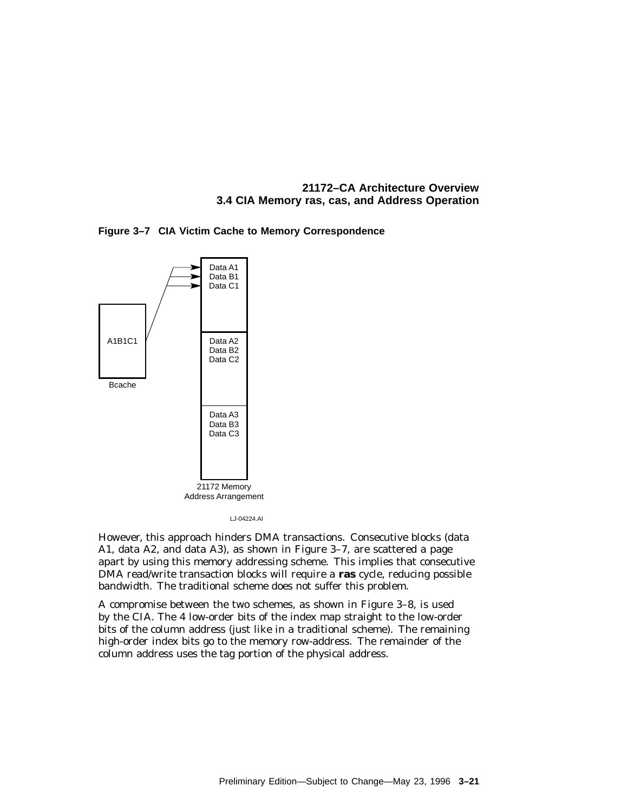



LJ-04224.AI

However, this approach hinders DMA transactions. Consecutive blocks (data A1, data A2, and data A3), as shown in Figure 3–7, are scattered a page apart by using this memory addressing scheme. This implies that consecutive DMA read/write transaction blocks will require a **ras** cycle, reducing possible bandwidth. The traditional scheme does not suffer this problem.

A compromise between the two schemes, as shown in Figure 3–8, is used by the CIA. The 4 low-order bits of the index map straight to the low-order bits of the column address (just like in a traditional scheme). The remaining high-order index bits go to the memory row-address. The remainder of the column address uses the tag portion of the physical address.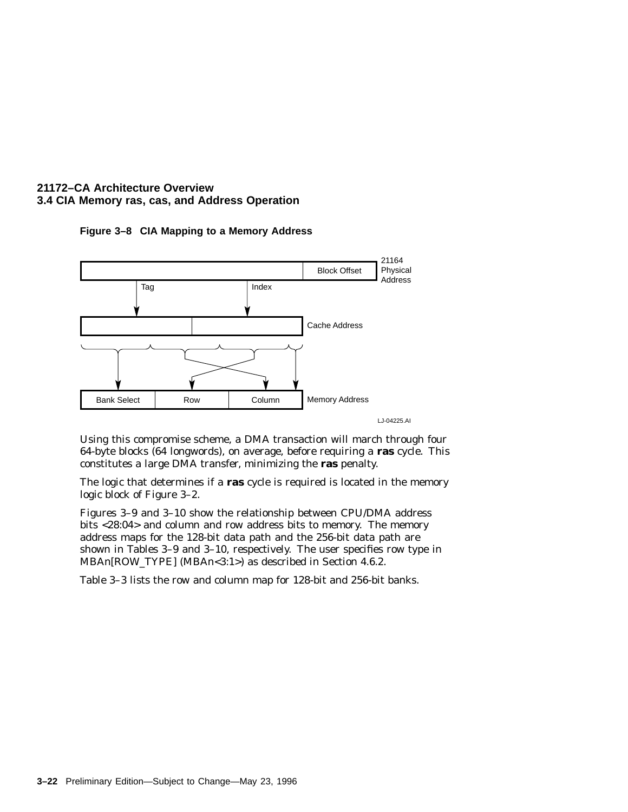

**Figure 3–8 CIA Mapping to a Memory Address**

LJ-04225.AI

Using this compromise scheme, a DMA transaction will march through four 64-byte blocks (64 longwords), on average, before requiring a **ras** cycle. This constitutes a large DMA transfer, minimizing the **ras** penalty.

The logic that determines if a **ras** cycle is required is located in the memory logic block of Figure 3–2.

Figures 3–9 and 3–10 show the relationship between CPU/DMA address bits <28:04> and column and row address bits to memory. The memory address maps for the 128-bit data path and the 256-bit data path are shown in Tables 3–9 and 3–10, respectively. The user specifies row type in MBA*n*[ROW\_TYPE] (MBA*n*<3:1>) as described in Section 4.6.2.

Table 3–3 lists the row and column map for 128-bit and 256-bit banks.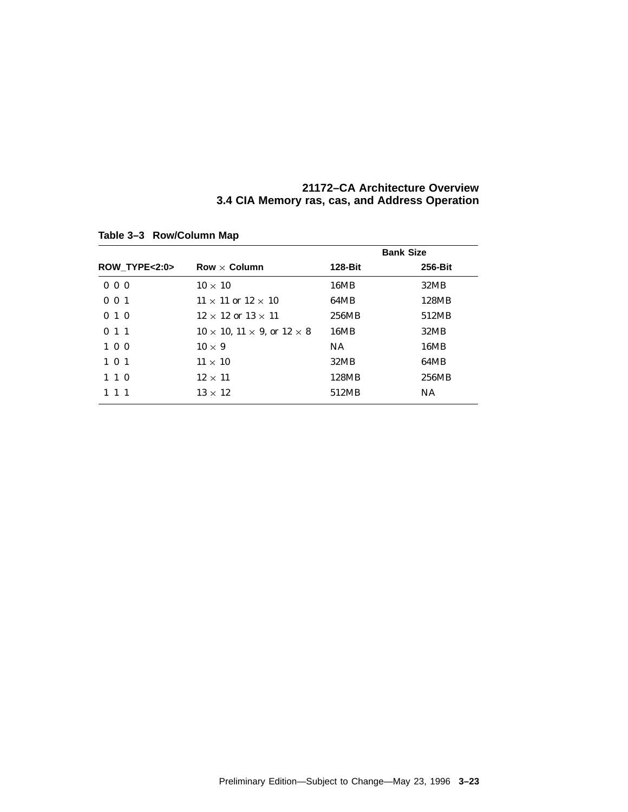|                                                | 21172–CA Architecture Overview |  |
|------------------------------------------------|--------------------------------|--|
| 3.4 CIA Memory ras, cas, and Address Operation |                                |  |

|               |                                                   |         | <b>Bank Size</b> |
|---------------|---------------------------------------------------|---------|------------------|
| ROW_TYPE<2:0> | Row $\times$ Column                               | 128-Bit | <b>256-Bit</b>   |
| $0\,0\,0$     | $10 \times 10$                                    | 16MB    | 32MB             |
| $0 \t0 \t1$   | $11 \times 11$ or $12 \times 10$                  | 64MB    | 128MB            |
| 010           | $12 \times 12$ or $13 \times 11$                  | 256MB   | 512MB            |
| $0 \; 1 \; 1$ | $10 \times 10$ , $11 \times 9$ , or $12 \times 8$ | 16MB    | 32MB             |
| $1\,0\,0$     | $10 \times 9$                                     | NA.     | 16MB             |
| $1 \t0 \t1$   | $11 \times 10$                                    | 32MB    | 64MB             |
| $1 \; 1 \; 0$ | $12 \times 11$                                    | 128MB   | 256MB            |
|               | $13 \times 12$                                    | 512MB   | <b>NA</b>        |
|               |                                                   |         |                  |

**Table 3–3 Row/Column Map**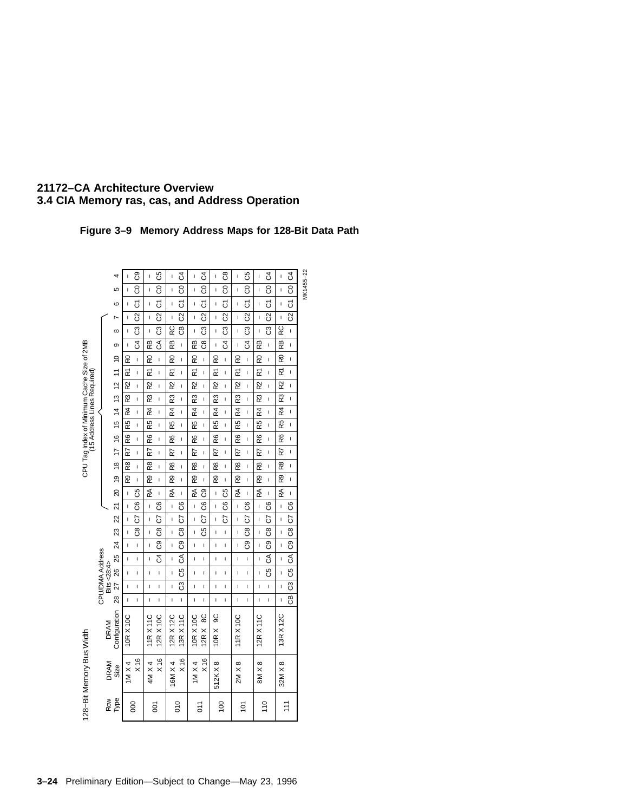# **Figure 3–9 Memory Address Maps for 128-Bit Data Path**

|                                                                           |                 | 4                       | I                       | C9                      | ı              | C5                      | I               | 3                        | $\mathbf{I}$         | C <sub>4</sub>          | I.             | $\overline{c}$ 8        | I.              | C5                      | I              | C <sub>4</sub>           | I               |                          |           |
|---------------------------------------------------------------------------|-----------------|-------------------------|-------------------------|-------------------------|----------------|-------------------------|-----------------|--------------------------|----------------------|-------------------------|----------------|-------------------------|-----------------|-------------------------|----------------|--------------------------|-----------------|--------------------------|-----------|
|                                                                           |                 | 5                       | Ĺ                       | 8                       | Ï              | $\overline{c}$          | Ţ               | 8                        | $\mathbf{I}$         | $\overline{8}$          | I.             | $\overline{8}$          | Ĺ               | $\overline{c}$          | I.             | $\overline{5}$           | Ï               | $ \cos  \mathcal{C}4$    | MK1455-22 |
|                                                                           |                 | ဖ                       |                         | δ                       | I              | δ                       | I               | 5                        | $\mathbf{I}$         | 5                       | I              | 5                       |                 | 5                       | I              | 5                        |                 | 5                        |           |
|                                                                           |                 | r                       |                         | $\overline{\mathbb{S}}$ | I              | $\overline{\mathbb{S}}$ | I               | $\overline{\mathrm{S}}$  | $\mathbf{I}$         | $\overline{\mathbb{S}}$ | I              | $\overline{\mathbb{S}}$ |                 | $\overline{\mathbb{S}}$ | I              | $\overline{\mathbb{S}}$  |                 | $\overline{\mathbb{S}}$  |           |
|                                                                           |                 | $\infty$                | L                       | යි                      | I              | පි                      | RC              | ළ                        | Ï                    | සි                      | I              | පි                      | L               | පී                      | Ï              | පි                       | RC              | I.                       |           |
|                                                                           |                 | თ                       | ı                       | J                       | æ              | $\overline{5}$          | æ               | Ī                        | æ                    | ဗိ                      | I              | $\overline{3}$          | I               | ჯ                       | æ              | I                        | æ               | I                        |           |
|                                                                           |                 |                         | R                       | Ī                       | R0             | $\overline{1}$          | RO              | I                        | R <sub>0</sub>       | I.                      | RO             | $\mathbf{I}$            | RO              | $\mathbf{I}$            | 50             | I                        | RO              | I                        |           |
|                                                                           |                 |                         | $\overline{\mathbf{r}}$ | ı                       | 균              | ı                       | R               | ı                        | $\tilde{\mathbf{r}}$ | I.                      | R              | ı                       | R1              | L                       | M              | I.                       | ř               | ı                        |           |
|                                                                           |                 |                         | R2                      | ı                       | R2             | $\mathbf{I}$            | R               | I                        | R                    | L                       | R              | ı                       | R               | I                       | R              | ı                        | $\overline{2}$  | I                        |           |
|                                                                           |                 |                         | R3                      | ı                       | R3             | I                       | $\overline{R3}$ | I                        | R3                   | I.                      | R3             | I                       | $\overline{R3}$ | Ĺ                       | R3             | I                        | R3              | Ĺ                        |           |
|                                                                           |                 |                         | $\overline{R}$          | ı                       | R4             | ı                       | R4              | ı                        | $\overline{R4}$      | L                       | $\overline{R}$ | ı                       | R4              | L                       | R4             | I.                       | R <sub>4</sub>  | I.                       |           |
|                                                                           |                 |                         | $\overline{R}$          | I                       | $\overline{R}$ | I                       | R5              | I                        | R5                   | I.                      | $\overline{5}$ | I                       | R5              | I                       | $\overline{R}$ | I.                       | R5              | I                        |           |
| CPU Tag Index of Minimum Cache Size of 2MB<br>(15 Address Lines Required) |                 | 17 16 15 14 13 12 11 10 | R6                      | ı                       | R6             | ı                       | R6              | ı                        | R6                   | I.                      | R6             | ı                       | R6              | Ĺ                       | R6             | I.                       | R6              | I                        |           |
|                                                                           |                 |                         | R                       | ı                       | Ŋ              | $\mathbf{I}$            | R7              | ı                        | R7                   | I.                      | R7             | ı                       | R               | L                       | R7             | I.                       | R7              | I.                       |           |
|                                                                           |                 | $\frac{8}{2}$           | R8                      | ı                       | R8             | ı                       | R8              | I                        | R8                   | I.                      | R8             | L                       | R8              | I                       | R8             | I.                       | R8              | I.                       |           |
|                                                                           |                 | é,                      | R9                      | ı                       | R9             | $\mathbf{I}$            | R9              | I                        | R9                   | I.                      | R9             | I                       | R9              | I                       | R9             | I.                       | $\overline{R9}$ | I.                       |           |
|                                                                           |                 | <u>ສ</u>                | I                       | පි                      | RÁ             | I.                      | RA              | $\mathbf{I}$             | RA                   | පි                      | I              | පි                      | RA              | ı                       | RÃ             | I.                       | RA              | I                        |           |
|                                                                           |                 | ົລ                      | I                       | ပြ                      | I              | පි                      | I               | රි                       | $\overline{1}$       | පි                      | Ţ              | පි                      | I.              | රි                      | ı              | රි                       | ı               | රි                       |           |
|                                                                           |                 | $\approx$               | Ï                       | S                       | Ï              | S                       | Ī               | S                        | $\mathbf{I}$         | S                       | Ţ              | ρ,                      | Ï               | S                       | I              | S                        | $\mathbf{I}$    |                          |           |
|                                                                           |                 | R3                      | ı                       | පී                      | ı              | $\overline{\text{c}}$ 8 | I               | පී                       | $\mathbf{I}$         | පි                      | I              | $\mathbf{I}$            | ı               | පී                      | I              | $\overline{\text{c}}$ 8  | ı               | 5                        |           |
|                                                                           |                 | 24                      | ı                       | Ï                       | I              | ඉ                       | Ī               | ී                        | I                    | ı                       | ı              | I                       |                 | ී                       | ı              | စ္ပ                      | I               | C9 C8                    |           |
|                                                                           |                 | 25                      | L                       | Ï                       | I              | $\overline{3}$          | I               | $\overline{\mathcal{E}}$ | Ĭ.                   | I.                      | Ï              | ı                       | Ï               | I                       | Ï              | $\overline{\mathcal{E}}$ | I               | $\overline{\mathcal{E}}$ |           |
|                                                                           | CPU/DMA Address | 26                      |                         |                         |                |                         |                 | $\overline{5}$           |                      |                         |                |                         |                 |                         |                | 55                       |                 |                          |           |
|                                                                           | Bits $< 28:4>$  |                         | I                       | ı                       | ı              | $\mathbf{I}$            | I               |                          | $\mathbf{I}$         | ı                       | I              | ı                       | ı               | I                       | I              |                          | I               | $rac{1}{2}$              |           |
|                                                                           |                 | 27                      | ı                       | ı                       | ı              | ı                       | I               | සි                       | I                    | I                       | I              | L                       | I.              | I                       | I              | ı                        | I               | පි                       |           |
|                                                                           |                 | 8                       | I                       | ı                       | I              | $\mathbf{I}$            | Ï               | Ï                        | $\mathbf{I}$         | I.                      | I              | L                       | I.              | L                       | Ĺ              | Ĺ                        | Ï               | ළ                        |           |
|                                                                           | <b>DRAM</b>     | Configuration           | 10R X 10C               |                         | 11R X 11C      | 12R X 10C               | 12R X 12C       | 13R X 11C                | 10R X 10C            | 12R X 8C                | 10R X 9C       |                         | 11R X 10C       |                         | 12R X 11C      |                          | 13R X 12C       |                          |           |
| 128-Bit Memory Bus Width                                                  | DRAM            | $\frac{1}{2}$           | 1M $\times$ 4           | X <sub>16</sub>         | 4M X 4         | $\times 16$             | 16M X 4         | $\times$ 16              | 1M $\times$ 4        | X <sub>16</sub>         | 512KX8         |                         | $2M \times 8$   |                         | 8M X 8         |                          | 32M X 8         |                          |           |
|                                                                           | Row             | Type                    |                         | 80                      |                | $\overline{8}$          |                 | <b>DLO</b>               |                      | $\overline{5}$          |                | $\overline{00}$         |                 | $\overline{C}$          |                | 110                      |                 | $\frac{1}{11}$           |           |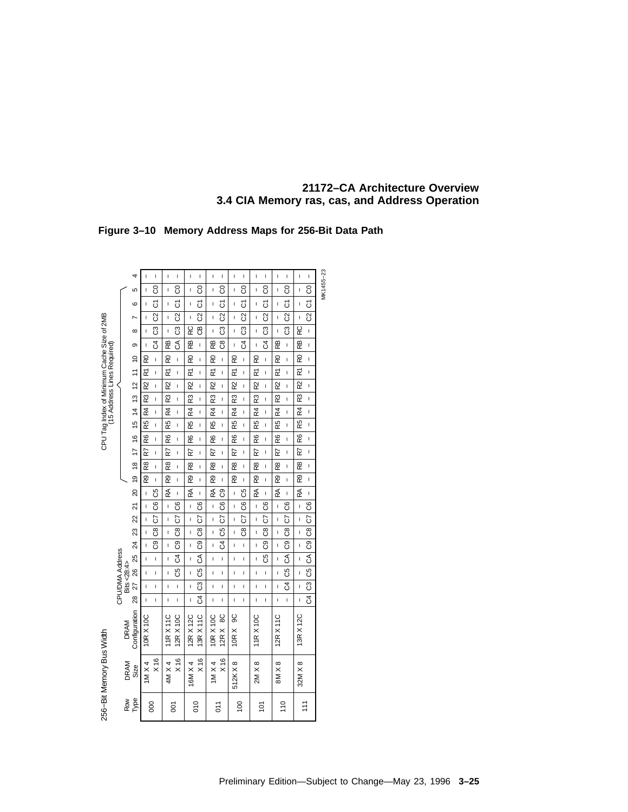# **Figure 3–10 Memory Address Maps for 256-Bit Data Path**

|                                                                           |                 |                | 4                             | I                               | I                       | $\mathbf{I}$   | I                       | I                    | I                        | I                    | I                       | I                       | $\mathbf{I}$             | Ï                       | $\mathbf{I}$            | L                | I                        | I                       | I                        |           |
|---------------------------------------------------------------------------|-----------------|----------------|-------------------------------|---------------------------------|-------------------------|----------------|-------------------------|----------------------|--------------------------|----------------------|-------------------------|-------------------------|--------------------------|-------------------------|-------------------------|------------------|--------------------------|-------------------------|--------------------------|-----------|
|                                                                           |                 |                | 5                             |                                 | 8                       | I              | 8                       | I                    | 8                        | I                    | 8                       | Ī                       | 8                        | I                       | 8                       | I                | 8                        | ı                       | 8                        | MK1455-23 |
|                                                                           |                 |                |                               |                                 |                         |                |                         |                      |                          |                      |                         |                         |                          |                         |                         |                  |                          |                         |                          |           |
|                                                                           |                 |                | ဖ                             |                                 | δ                       | I              | 5                       | I                    | 5                        | I                    | 5                       | I                       | 5                        | ı                       | 5                       | I                | 5                        | ı                       | 5                        |           |
| CPU Tag Index of Minimum Cache Size of 2MB<br>(15 Address Lines Required) |                 |                |                               |                                 | $\overline{\mathbb{S}}$ | I              | $\overline{\mathbb{S}}$ | I                    | $\overline{\mathrm{S}}$  | I                    | $\overline{\mathbb{S}}$ | I                       | $\overline{\mathbb{S}}$  | Ï                       | $\overline{\mathrm{S}}$ | Ï                | $\overline{\mathbf{S}}$  | ı                       | $\overline{\mathbb{S}}$  |           |
|                                                                           |                 |                | ∞                             |                                 | ಔ                       | $\mathbf{I}$   | සි                      | RC                   | ළ                        | I                    | ಔ                       | I                       | ී                        | I                       | සි                      | ı                | ි                        | RC                      | $\mathbf{I}$             |           |
|                                                                           |                 |                | თ                             | $\overline{1}$                  | J                       | æ              | ड                       | $\overline{z}$       | $\overline{1}$           | æ                    | පී                      | Ī                       | $\overline{3}$           | I                       | ჯ                       | æ                | $\mathbf{I}$             | æ                       | $\mathbf{I}$             |           |
|                                                                           |                 |                |                               | RO                              | I.                      | R0             | I                       | R <sub>0</sub>       | I                        | RO                   | ı                       | R0                      | $\mathbf{I}$             | RO                      | $\mathbf{I}$            | R <sub>0</sub>   | I                        | R0                      | I.                       |           |
|                                                                           |                 |                |                               | $\overline{\widetilde{\kappa}}$ | I                       | R              | I.                      | $\tilde{\mathbf{r}}$ | I                        | $\tilde{\mathbf{r}}$ | ı                       | $\tilde{\mathbf{r}}$    | $\mathbf{I}$             | $\tilde{\mathbf{r}}$    | $\mathbf{I}$            | $\tilde{\kappa}$ | I                        | M                       | I                        |           |
|                                                                           |                 |                |                               | $\overline{R}$                  | Ĭ.                      | R)             | I                       | R)                   | Ī                        | R)                   | Ĺ                       | R)                      | $\overline{1}$           | R)                      | $\mathbf{I}$            | R)               | Ĭ.                       | R2                      | I.                       |           |
|                                                                           |                 |                |                               | $\overline{\mathbb{R}}$         | Ī                       | R3             | Ī                       | $\overline{R3}$      | I                        | $\overline{R3}$      | I                       | $\overline{\mathbb{R}}$ | $\overline{1}$           | $\overline{\mathbb{R}}$ | I                       | R3               | Ī                        | $\overline{\mathbb{R}}$ | Ĭ.                       |           |
|                                                                           |                 |                |                               | $\frac{1}{4}$                   | I.                      | R4             | I                       | R4                   | I                        | R4                   | I                       | R4                      | I                        | R4                      | ı                       | R4               | I                        | $R_{4}$                 | I                        |           |
|                                                                           |                 |                |                               | $\overline{\mathbb{R}}$         | I                       | R5             | I                       | R5                   | Ī                        | $\overline{R}$       | I                       | RS<br>RS                | I                        | $\overline{R}$          | I                       | RS<br>RS         | $\mathbf{I}$             | $\overline{5}$          | Ī                        |           |
|                                                                           |                 |                |                               | æ                               | I.                      | R6             | I.                      | R6                   | I                        | R6                   | I                       | R6                      | I                        | R6                      | $\mathbf{I}$            | R6               | Ī                        | R6                      | I                        |           |
|                                                                           |                 |                |                               | R7                              | I.                      | R7             | I                       | R7                   | I                        | R7                   | ı                       | R7                      | $\mathbf{I}$             | R                       | ı                       | Ŋ                | I                        | R7                      | I                        |           |
|                                                                           |                 |                | 19 18 17 16 15 14 13 12 11 10 | R8                              | I.                      | R8             | I                       | œ                    | I                        | R8                   | ı                       | R8                      | $\mathbf{I}$             | R8                      | ı                       | R8               | I                        | R8                      | Ī                        |           |
|                                                                           |                 |                |                               | R9 I                            | ı                       | R9             | I                       | R9                   | I                        | R9                   | ı                       | R9                      | $\mathbf{I}$             | R9                      | $\mathbf{I}$            | R9               | Ī                        | R9                      | Ī                        |           |
|                                                                           |                 |                | <u>ន</u>                      |                                 | රි                      | RA             | Ï                       | R                    | $\mathbf{I}$             | RÃ                   | ပြီ                     | I                       | පි                       | RÃ                      | $\mathbf{I}$            | ≵                | Ţ                        | RÃ                      | Ţ                        |           |
|                                                                           |                 |                | ភ                             | I.                              | පි                      | $\mathsf{I}$   | රි                      | Ī                    | රි                       | $\overline{1}$       | පි                      | Ţ                       | $\overline{\mathcal{S}}$ | Ī                       | රි                      | Ï                | රි                       | I                       | රි                       |           |
|                                                                           |                 |                | 22                            |                                 | S                       | $\mathbf{I}$   | 5                       | Ī                    | 5                        | $\overline{1}$       | 5                       | I                       | 5                        | I                       | 5                       | ı                | 5                        | I                       | S                        |           |
|                                                                           |                 |                | 23                            |                                 | පී                      | $\mathbf{I}$   | පී                      | I                    | පී                       | I                    | පි                      | I                       | පී                       | Ï                       | ඊ                       | I                |                          | $\mathbf{I}$            | $\frac{8}{2}$            |           |
|                                                                           |                 |                | 24                            |                                 | စ္ပ                     | Ï              | ී                       | Ţ                    | $\overline{3}$           | I                    | $\overline{5}$          | ı                       | $\mathbf{I}$             | Ï                       | ි                       | Ï                | $C9$ $C8$                | $\mathbf{I}$            | $rac{1}{\sqrt{2}}$       |           |
|                                                                           |                 |                | 25                            |                                 | I                       | I              | $\overline{a}$          | I                    | $\overline{\mathcal{E}}$ | I                    | ı                       | I                       | I                        | ı                       | පි                      | I                | $\overline{\mathcal{E}}$ | I                       | $\overline{\mathcal{E}}$ |           |
|                                                                           |                 |                | 8                             | Ï                               | Ĭ.                      | I              | C5                      | Ţ                    | C5                       | Ï                    | Ï                       | Ï                       | Ĭ.                       | Ï                       | I                       | Ĺ                | $\overline{c}$           | I                       | $\overline{c}$           |           |
|                                                                           |                 | Bits $< 28:4>$ | 27                            | $\mathsf{I}$                    | ı                       | $\mathsf{I}$   | I                       | I                    | ී                        | I                    | I                       | Ţ                       | I                        | Ï                       | ı                       | ı                | $\overline{a}$           | $\mathbf{I}$            | පි                       |           |
|                                                                           | CPU/DMA Address |                | 8                             | $\mathsf{I}$                    | ı                       | I              | ı                       | I                    | $\overline{3}$           | I                    | I                       | ı                       | ı                        | I                       | ı                       | ı                | ı                        | ı                       | $\overline{3}$           |           |
|                                                                           |                 | <b>DRAM</b>    | Configuration                 | 10R X 10C                       |                         | <b>11RX11C</b> | 12R X 10C               | 12R X 12C            | 13R X 11C                | 10R X 10C            | 12R X 8C                | 10R X 9C                |                          | 11R X 10C               |                         | 12R X 11C        |                          | 13R X 12C               |                          |           |
| 256-Bit Memory Bus Width                                                  |                 | DRAM           | Size                          | $1M \times 4$                   | X <sub>16</sub>         | 4M X 4         | $\times 16$             | 16M X 4              | X <sub>16</sub>          | $1M \times 4$        | $\times 16$             | 512KX8                  |                          | $2M \times 8$           |                         | $8M \times 8$    |                          | 32M X 8                 |                          |           |
|                                                                           |                 | Row            | Гуре                          |                                 | 80                      |                | δ                       |                      | <b>OLO</b>               |                      | <u>ρ1</u>               |                         | 100                      |                         | $\frac{1}{2}$           |                  | 110                      |                         | $\frac{1}{11}$           |           |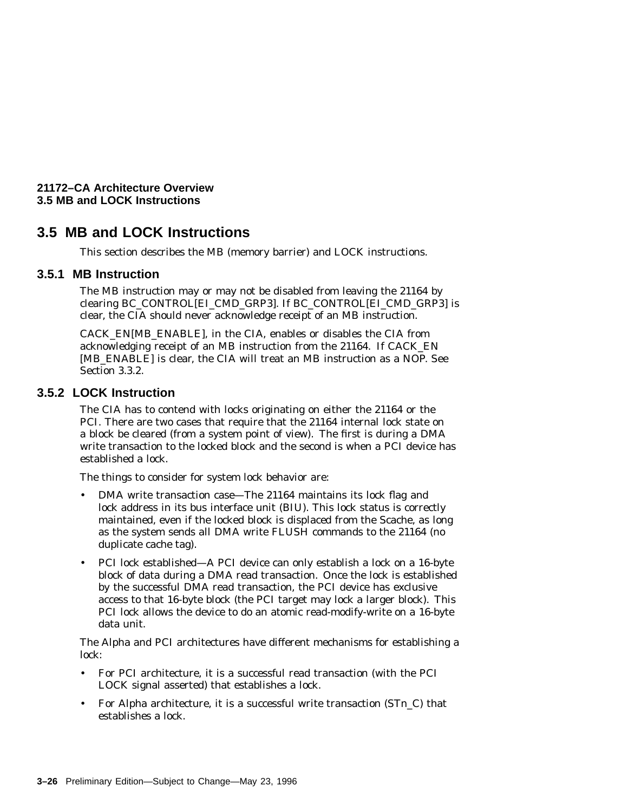**21172–CA Architecture Overview 3.5 MB and LOCK Instructions**

# **3.5 MB and LOCK Instructions**

This section describes the MB (memory barrier) and LOCK instructions.

#### **3.5.1 MB Instruction**

The MB instruction may or may not be disabled from leaving the 21164 by clearing BC\_CONTROL[EI\_CMD\_GRP3]. If BC\_CONTROL[EI\_CMD\_GRP3] is clear, the CIA should never acknowledge receipt of an MB instruction.

CACK\_EN[MB\_ENABLE], in the CIA, enables or disables the CIA from acknowledging receipt of an MB instruction from the 21164. If CACK\_EN [MB\_ENABLE] is clear, the CIA will treat an MB instruction as a NOP. See Section 3.3.2.

#### **3.5.2 LOCK Instruction**

The CIA has to contend with locks originating on either the 21164 or the PCI. There are two cases that require that the 21164 internal lock state on a block be cleared (from a system point of view). The first is during a DMA write transaction to the locked block and the second is when a PCI device has established a lock.

The things to consider for system lock behavior are:

- DMA write transaction case—The 21164 maintains its lock flag and lock address in its bus interface unit (BIU). This lock status is correctly maintained, even if the locked block is displaced from the Scache, as long as the system sends all DMA write FLUSH commands to the 21164 (no duplicate cache tag).
- PCI lock established—A PCI device can only establish a lock on a 16-byte block of data during a DMA read transaction. Once the lock is established by the successful DMA read transaction, the PCI device has exclusive access to that 16-byte block (the PCI target may lock a larger block). This PCI lock allows the device to do an atomic read-modify-write on a 16-byte data unit.

The Alpha and PCI architectures have different mechanisms for establishing a lock:

- For PCI architecture, it is a successful read transaction (with the PCI LOCK signal asserted) that establishes a lock.
- For Alpha architecture, it is a successful write transaction (ST*n*\_C) that establishes a lock.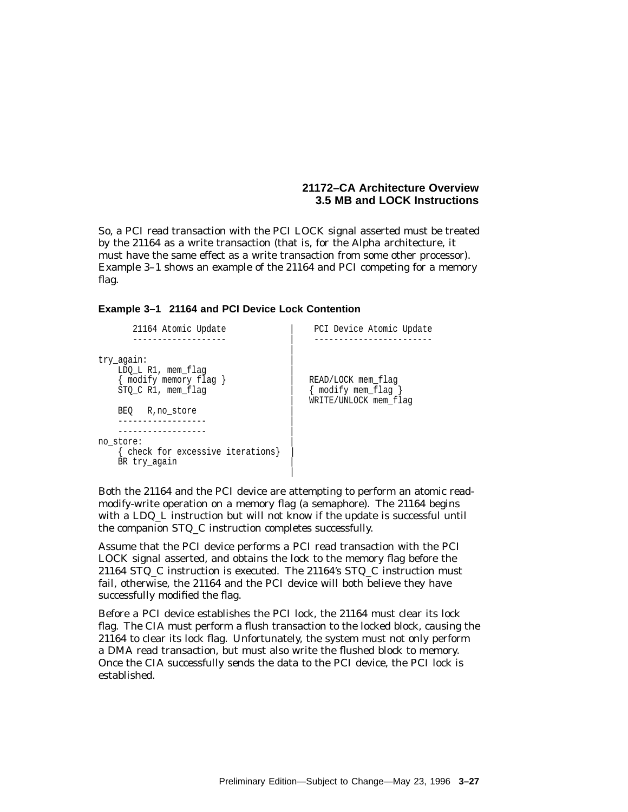#### **21172–CA Architecture Overview 3.5 MB and LOCK Instructions**

So, a PCI read transaction with the PCI LOCK signal asserted must be treated by the 21164 as a write transaction (that is, for the Alpha architecture, it must have the same effect as a write transaction from some other processor). Example 3–1 shows an example of the 21164 and PCI competing for a memory flag.

#### **Example 3–1 21164 and PCI Device Lock Contention**

| 21164 Atomic Update                                                              | PCI Device Atomic Update                        |
|----------------------------------------------------------------------------------|-------------------------------------------------|
| try again:<br>LDO L R1, mem flag<br>{ modify memory flag }<br>STO C R1, mem flag | READ/LOCK mem flag<br>$\{$ modify mem flag $\}$ |
| BEO<br>R, no store                                                               | WRITE/UNLOCK mem flag                           |
| no store:<br>check for excessive iterations}<br>BR try again                     |                                                 |

Both the 21164 and the PCI device are attempting to perform an atomic readmodify-write operation on a memory flag (a semaphore). The 21164 begins with a LDQ\_L instruction but will not know if the update is successful until the companion STQ\_C instruction completes successfully.

Assume that the PCI device performs a PCI read transaction with the PCI LOCK signal asserted, and obtains the lock to the memory flag before the 21164 STQ\_C instruction is executed. The 21164's STQ\_C instruction must fail, otherwise, the 21164 and the PCI device will both believe they have successfully modified the flag.

Before a PCI device establishes the PCI lock, the 21164 must clear its lock flag. The CIA must perform a flush transaction to the locked block, causing the 21164 to clear its lock flag. Unfortunately, the system must not only perform a DMA read transaction, but must also write the flushed block to memory. Once the CIA successfully sends the data to the PCI device, the PCI lock is established.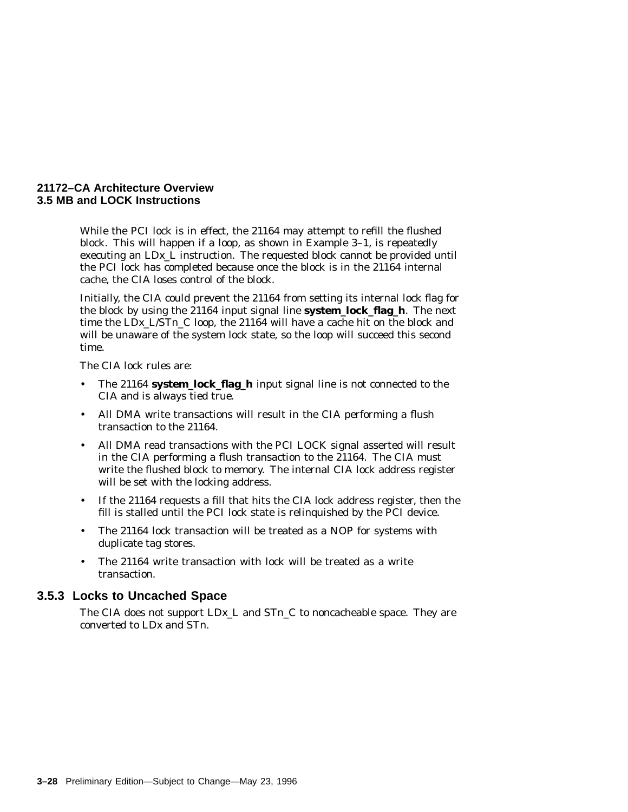#### **21172–CA Architecture Overview 3.5 MB and LOCK Instructions**

While the PCI lock is in effect, the 21164 may attempt to refill the flushed block. This will happen if a loop, as shown in Example 3–1, is repeatedly executing an LD*x*\_L instruction. The requested block cannot be provided until the PCI lock has completed because once the block is in the 21164 internal cache, the CIA loses control of the block.

Initially, the CIA could prevent the 21164 from setting its internal lock flag for the block by using the 21164 input signal line **system\_lock\_flag\_h**. The next time the LD*x*\_L/ST*n*\_C loop, the 21164 will have a cache hit on the block and will be unaware of the system lock state, so the loop will succeed this second time.

The CIA lock rules are:

- The 21164 **system\_lock\_flag\_h** input signal line is not connected to the CIA and is always tied true.
- All DMA write transactions will result in the CIA performing a flush transaction to the 21164.
- All DMA read transactions with the PCI LOCK signal asserted will result in the CIA performing a flush transaction to the 21164. The CIA must write the flushed block to memory. The internal CIA lock address register will be set with the locking address.
- If the 21164 requests a fill that hits the CIA lock address register, then the fill is stalled until the PCI lock state is relinquished by the PCI device.
- The 21164 lock transaction will be treated as a NOP for systems with duplicate tag stores.
- The 21164 write transaction with lock will be treated as a write transaction.

#### **3.5.3 Locks to Uncached Space**

The CIA does not support LD*x*\_L and ST*n*\_C to noncacheable space. They are converted to LD*x* and ST*n*.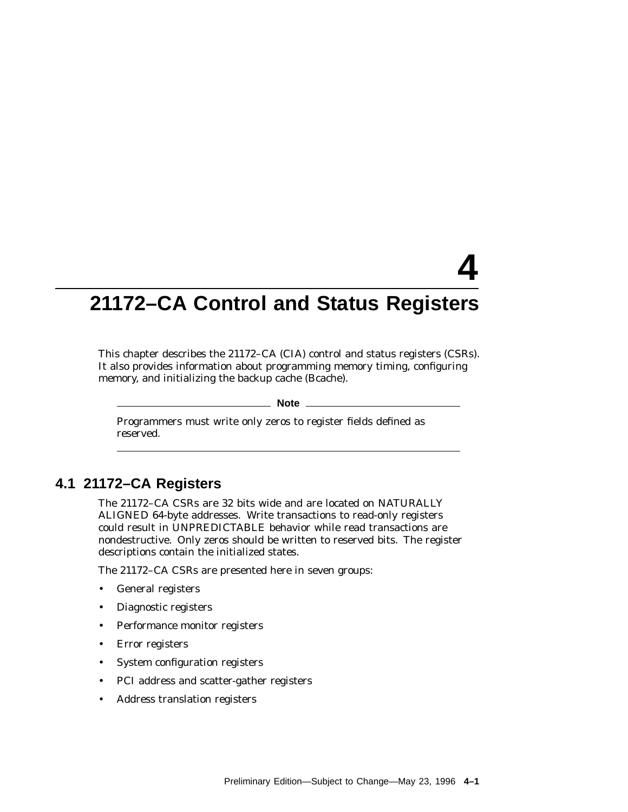# **4**

# **21172–CA Control and Status Registers**

This chapter describes the 21172–CA (CIA) control and status registers (CSRs). It also provides information about programming memory timing, configuring memory, and initializing the backup cache (Bcache).

#### **Note**

Programmers must write only zeros to register fields defined as reserved.

# **4.1 21172–CA Registers**

The 21172–CA CSRs are 32 bits wide and are located on NATURALLY ALIGNED 64-byte addresses. Write transactions to read-only registers could result in UNPREDICTABLE behavior while read transactions are nondestructive. Only zeros should be written to reserved bits. The register descriptions contain the initialized states.

The 21172–CA CSRs are presented here in seven groups:

- General registers
- Diagnostic registers
- Performance monitor registers
- Error registers
- System configuration registers
- PCI address and scatter-gather registers
- Address translation registers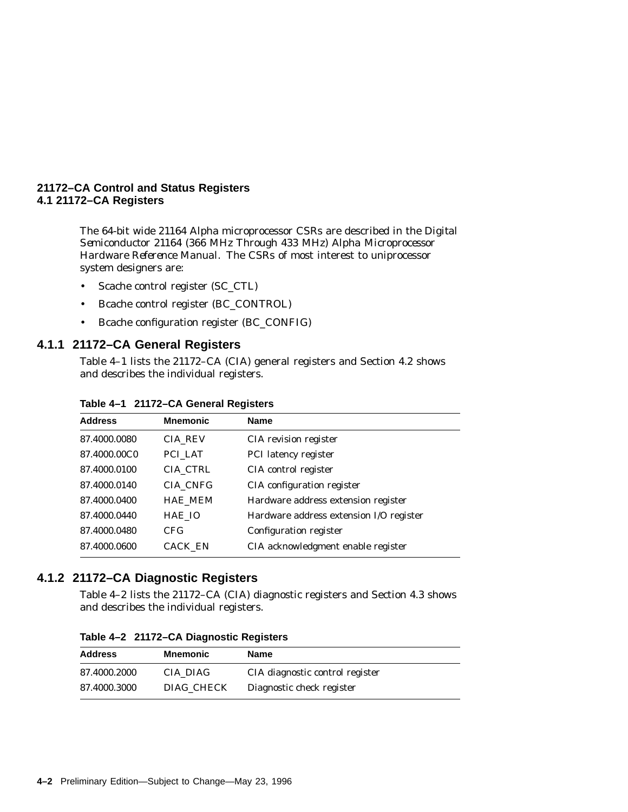The 64-bit wide 21164 Alpha microprocessor CSRs are described in the *Digital Semiconductor 21164 (366 MHz Through 433 MHz) Alpha Microprocessor Hardware Reference Manual*. The CSRs of most interest to uniprocessor system designers are:

- Scache control register (SC\_CTL)
- Bcache control register (BC\_CONTROL)
- Bcache configuration register (BC\_CONFIG)

#### **4.1.1 21172–CA General Registers**

Table 4–1 lists the 21172–CA (CIA) general registers and Section 4.2 shows and describes the individual registers.

| <b>Address</b> | <b>Mnemonic</b> | <b>Name</b>                             |
|----------------|-----------------|-----------------------------------------|
| 87.4000.0080   | <b>CIA REV</b>  | CIA revision register                   |
| 87.4000.00C0   | PCI LAT         | PCI latency register                    |
| 87.4000.0100   | CIA CTRL        | CIA control register                    |
| 87.4000.0140   | CIA CNFG        | CIA configuration register              |
| 87.4000.0400   | <b>HAE MEM</b>  | Hardware address extension register     |
| 87.4000.0440   | HAE IO          | Hardware address extension I/O register |
| 87.4000.0480   | CFG             | Configuration register                  |
| 87.4000.0600   | <b>CACK_EN</b>  | CIA acknowledgment enable register      |
|                |                 |                                         |

#### **Table 4–1 21172–CA General Registers**

# **4.1.2 21172–CA Diagnostic Registers**

Table 4–2 lists the 21172–CA (CIA) diagnostic registers and Section 4.3 shows and describes the individual registers.

| <b>Address</b> | <b>Mnemonic</b> | Name                            |  |  |  |  |  |  |  |
|----------------|-----------------|---------------------------------|--|--|--|--|--|--|--|
| 87.4000.2000   | CIA DIAG        | CIA diagnostic control register |  |  |  |  |  |  |  |
| 87.4000.3000   | DIAG CHECK      | Diagnostic check register       |  |  |  |  |  |  |  |

**Table 4–2 21172–CA Diagnostic Registers**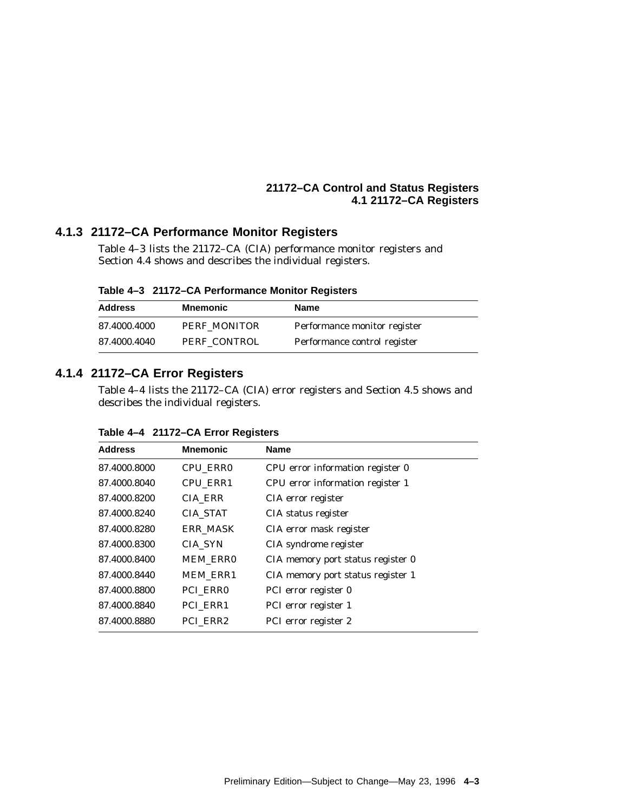# **4.1.3 21172–CA Performance Monitor Registers**

Table 4–3 lists the 21172–CA (CIA) performance monitor registers and Section 4.4 shows and describes the individual registers.

**Table 4–3 21172–CA Performance Monitor Registers**

| <b>Address</b> | Mnemonic     | Name                         |
|----------------|--------------|------------------------------|
| 87.4000.4000   | PERF MONITOR | Performance monitor register |
| 87.4000.4040   | PERF CONTROL | Performance control register |

# **4.1.4 21172–CA Error Registers**

Table 4–4 lists the 21172–CA (CIA) error registers and Section 4.5 shows and describes the individual registers.

| <b>Address</b> | <b>Mnemonic</b> | <b>Name</b>                       |
|----------------|-----------------|-----------------------------------|
| 87.4000.8000   | CPU_ERR0        | CPU error information register 0  |
| 87.4000.8040   | CPU ERR1        | CPU error information register 1  |
| 87.4000.8200   | <b>CIA_ERR</b>  | CIA error register                |
| 87.4000.8240   | <b>CIA STAT</b> | CIA status register               |
| 87.4000.8280   | <b>ERR MASK</b> | CIA error mask register           |
| 87.4000.8300   | CIA SYN         | CIA syndrome register             |
| 87.4000.8400   | <b>MEM ERRO</b> | CIA memory port status register 0 |
| 87.4000.8440   | <b>MEM ERR1</b> | CIA memory port status register 1 |
| 87.4000.8800   | PCI ERRO        | PCI error register 0              |
| 87.4000.8840   | PCI ERR1        | PCI error register 1              |
| 87.4000.8880   | PCI ERR2        | PCI error register 2              |

**Table 4–4 21172–CA Error Registers**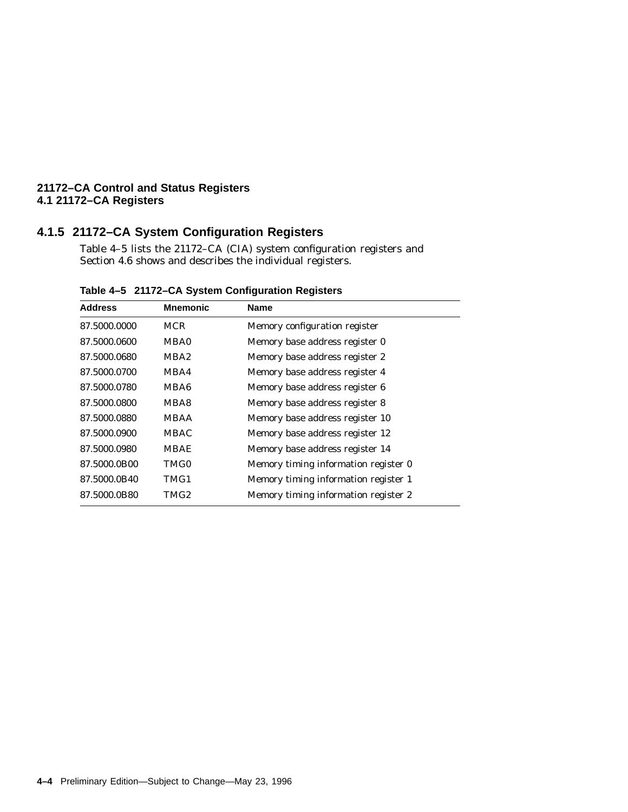# **4.1.5 21172–CA System Configuration Registers**

Table 4–5 lists the 21172–CA (CIA) system configuration registers and Section 4.6 shows and describes the individual registers.

| <b>Address</b> | <b>Mnemonic</b>  | <b>Name</b>                          |
|----------------|------------------|--------------------------------------|
| 87.5000.0000   | <b>MCR</b>       | Memory configuration register        |
| 87.5000.0600   | MBA0             | Memory base address register 0       |
| 87.5000.0680   | MBA <sub>2</sub> | Memory base address register 2       |
| 87.5000.0700   | MBA4             | Memory base address register 4       |
| 87.5000.0780   | MBA6             | Memory base address register 6       |
| 87.5000.0800   | MBA8             | Memory base address register 8       |
| 87.5000.0880   | <b>MBAA</b>      | Memory base address register 10      |
| 87.5000.0900   | <b>MBAC</b>      | Memory base address register 12      |
| 87.5000.0980   | <b>MBAE</b>      | Memory base address register 14      |
| 87.5000.0B00   | TMG0             | Memory timing information register 0 |
| 87.5000.0B40   | TMG1             | Memory timing information register 1 |
| 87.5000.0B80   | TMG2             | Memory timing information register 2 |
|                |                  |                                      |

**Table 4–5 21172–CA System Configuration Registers**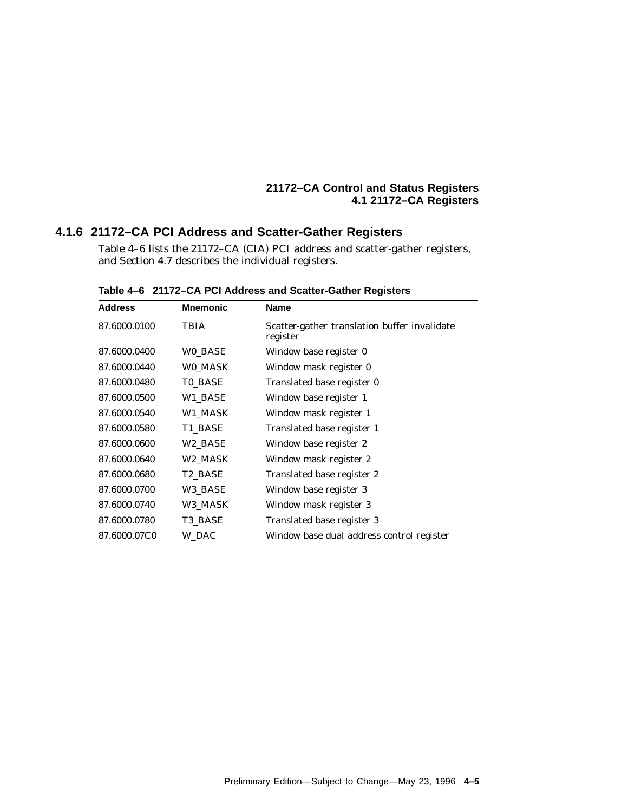# **4.1.6 21172–CA PCI Address and Scatter-Gather Registers**

Table 4–6 lists the 21172–CA (CIA) PCI address and scatter-gather registers, and Section 4.7 describes the individual registers.

| Address      | <b>Mnemonic</b> | <b>Name</b>                                              |
|--------------|-----------------|----------------------------------------------------------|
| 87.6000.0100 | <b>TBIA</b>     | Scatter-gather translation buffer invalidate<br>register |
| 87.6000.0400 | WO_BASE         | Window base register 0                                   |
| 87.6000.0440 | WO_MASK         | Window mask register 0                                   |
| 87.6000.0480 | <b>TO_BASE</b>  | Translated base register 0                               |
| 87.6000.0500 | W1_BASE         | Window base register 1                                   |
| 87.6000.0540 | W1 MASK         | Window mask register 1                                   |
| 87.6000.0580 | T1_BASE         | Translated base register 1                               |
| 87.6000.0600 | W2 BASE         | Window base register 2                                   |
| 87.6000.0640 | W2_MASK         | Window mask register 2                                   |
| 87.6000.0680 | T2_BASE         | Translated base register 2                               |
| 87.6000.0700 | W3 BASE         | Window base register 3                                   |
| 87.6000.0740 | W3_MASK         | Window mask register 3                                   |
| 87.6000.0780 | T3 BASE         | Translated base register 3                               |
| 87.6000.07C0 | W_DAC           | Window base dual address control register                |
|              |                 |                                                          |

**Table 4–6 21172–CA PCI Address and Scatter-Gather Registers**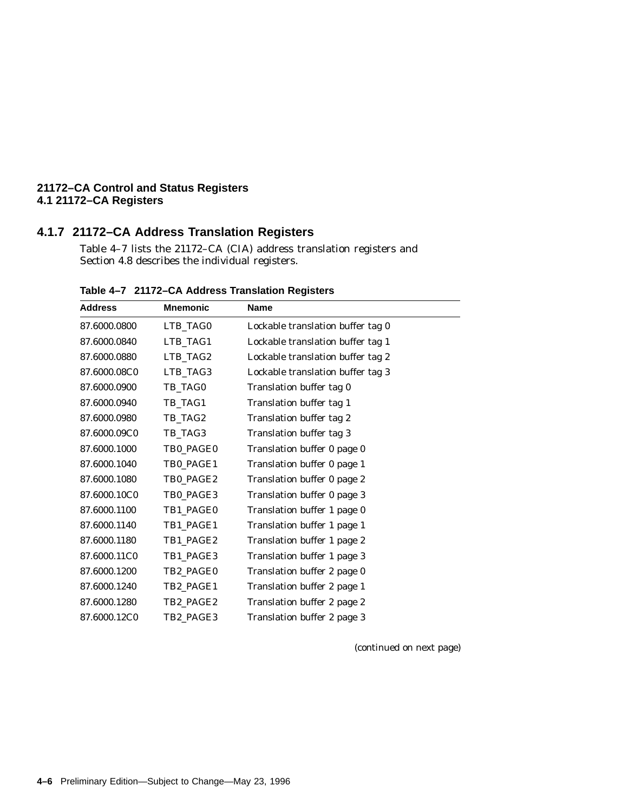# **4.1.7 21172–CA Address Translation Registers**

Table 4–7 lists the 21172–CA (CIA) address translation registers and Section 4.8 describes the individual registers.

| <b>Address</b> | <b>Mnemonic</b> | <b>Name</b>                       |
|----------------|-----------------|-----------------------------------|
| 87.6000.0800   | LTB_TAG0        | Lockable translation buffer tag 0 |
| 87.6000.0840   | LTB_TAG1        | Lockable translation buffer tag 1 |
| 87.6000.0880   | LTB_TAG2        | Lockable translation buffer tag 2 |
| 87.6000.08C0   | LTB_TAG3        | Lockable translation buffer tag 3 |
| 87.6000.0900   | TB_TAG0         | Translation buffer tag 0          |
| 87.6000.0940   | TB_TAG1         | Translation buffer tag 1          |
| 87.6000.0980   | TB_TAG2         | Translation buffer tag 2          |
| 87.6000.09C0   | TB_TAG3         | Translation buffer tag 3          |
| 87.6000.1000   | TB0 PAGE0       | Translation buffer 0 page 0       |
| 87.6000.1040   | TB0 PAGE1       | Translation buffer 0 page 1       |
| 87.6000.1080   | TB0_PAGE2       | Translation buffer 0 page 2       |
| 87.6000.10C0   | TB0_PAGE3       | Translation buffer 0 page 3       |
| 87.6000.1100   | TB1 PAGE0       | Translation buffer 1 page 0       |
| 87.6000.1140   | TB1_PAGE1       | Translation buffer 1 page 1       |
| 87.6000.1180   | TB1 PAGE2       | Translation buffer 1 page 2       |
| 87.6000.11C0   | TB1_PAGE3       | Translation buffer 1 page 3       |
| 87.6000.1200   | TB2 PAGE0       | Translation buffer 2 page 0       |
| 87.6000.1240   | TB2_PAGE1       | Translation buffer 2 page 1       |
| 87.6000.1280   | TB2_PAGE2       | Translation buffer 2 page 2       |
| 87.6000.12C0   | TB2_PAGE3       | Translation buffer 2 page 3       |

**Table 4–7 21172–CA Address Translation Registers**

(continued on next page)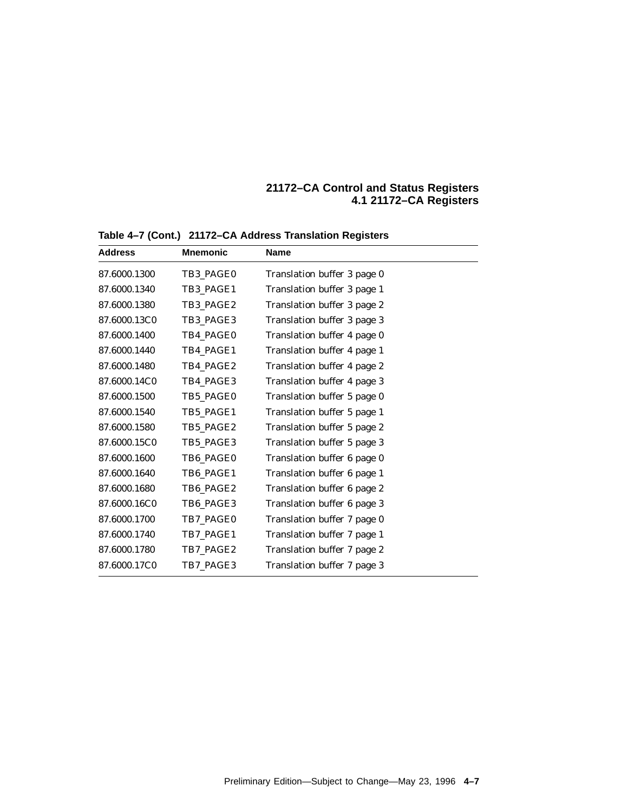| <b>Address</b> | <b>Mnemonic</b> | <b>Name</b>                 |
|----------------|-----------------|-----------------------------|
| 87.6000.1300   | TB3 PAGE0       | Translation buffer 3 page 0 |
| 87.6000.1340   | TB3_PAGE1       | Translation buffer 3 page 1 |
| 87.6000.1380   | TB3 PAGE2       | Translation buffer 3 page 2 |
| 87.6000.13C0   | TB3 PAGE3       | Translation buffer 3 page 3 |
| 87.6000.1400   | TB4 PAGE0       | Translation buffer 4 page 0 |
| 87.6000.1440   | TB4 PAGE1       | Translation buffer 4 page 1 |
| 87.6000.1480   | TB4_PAGE2       | Translation buffer 4 page 2 |
| 87.6000.14C0   | TB4_PAGE3       | Translation buffer 4 page 3 |
| 87.6000.1500   | TB5 PAGE0       | Translation buffer 5 page 0 |
| 87.6000.1540   | TB5 PAGE1       | Translation buffer 5 page 1 |
| 87.6000.1580   | TB5_PAGE2       | Translation buffer 5 page 2 |
| 87.6000.15C0   | TB5_PAGE3       | Translation buffer 5 page 3 |
| 87.6000.1600   | TB6 PAGE0       | Translation buffer 6 page 0 |
| 87.6000.1640   | TB6_PAGE1       | Translation buffer 6 page 1 |
| 87.6000.1680   | TB6 PAGE2       | Translation buffer 6 page 2 |
| 87.6000.16C0   | TB6_PAGE3       | Translation buffer 6 page 3 |
| 87.6000.1700   | TB7_PAGE0       | Translation buffer 7 page 0 |
| 87.6000.1740   | TB7_PAGE1       | Translation buffer 7 page 1 |
| 87.6000.1780   | TB7_PAGE2       | Translation buffer 7 page 2 |
| 87.6000.17C0   | TB7 PAGE3       | Translation buffer 7 page 3 |

**Table 4–7 (Cont.) 21172–CA Address Translation Registers**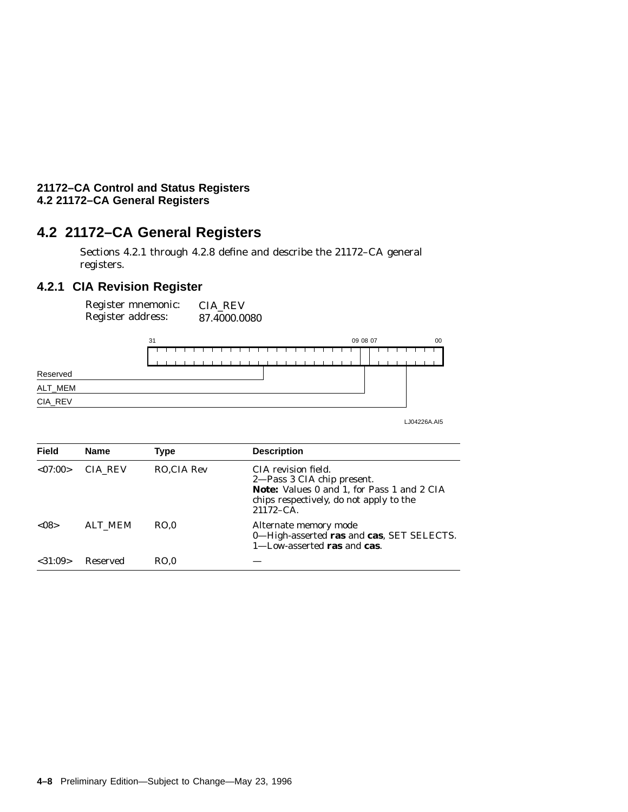# **4.2 21172–CA General Registers**

Sections 4.2.1 through 4.2.8 define and describe the 21172–CA general registers.

# **4.2.1 CIA Revision Register**

Register mnemonic: Register address: CIA\_REV 87.4000.0080



LJ04226A.AI5

| <b>Field</b> | <b>Name</b>    | Type       | <b>Description</b>                                                                                                                                           |
|--------------|----------------|------------|--------------------------------------------------------------------------------------------------------------------------------------------------------------|
| < 07:00>     | CIA REV        | RO.CIA Rev | CIA revision field.<br>2—Pass 3 CIA chip present.<br>Note: Values 0 and 1, for Pass 1 and 2 CIA<br>chips respectively, do not apply to the<br>$21172 - CA$ . |
| < 08         | <b>ALT MEM</b> | RO.0       | Alternate memory mode<br>0-High-asserted ras and cas, SET SELECTS.<br>$1$ —Low-asserted ras and cas.                                                         |
| $<$ 31:09>   | Reserved       | RO.0       |                                                                                                                                                              |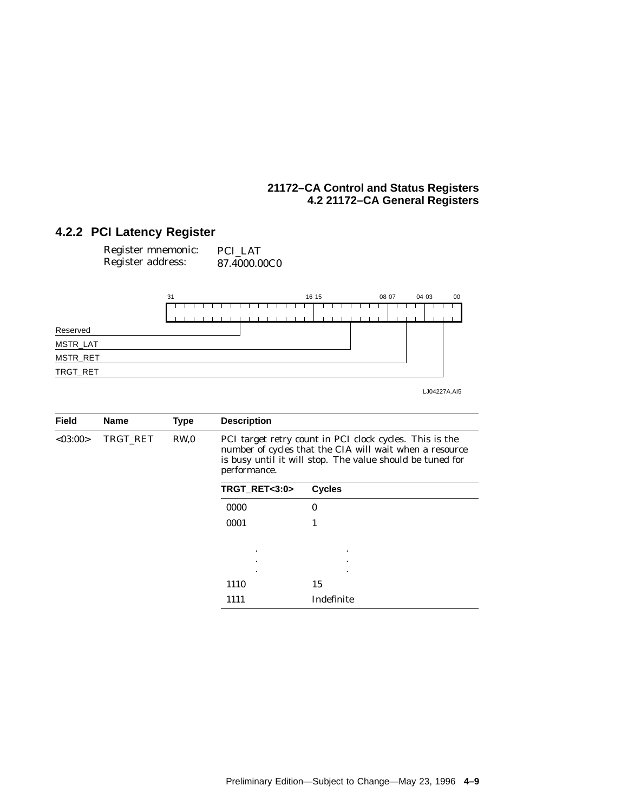# **4.2.2 PCI Latency Register**

| Register mnemonic: | PCI LAT      |
|--------------------|--------------|
| Register address:  | 87.4000.00C0 |



LJ04227A.AI5

| <b>Field</b> | <b>Name</b> | <b>Type</b> | <b>Description</b> |                                                                                                                                                                                 |
|--------------|-------------|-------------|--------------------|---------------------------------------------------------------------------------------------------------------------------------------------------------------------------------|
| < 03:00>     | TRGT RET    | RW.0        | performance.       | PCI target retry count in PCI clock cycles. This is the<br>number of cycles that the CIA will wait when a resource<br>is busy until it will stop. The value should be tuned for |
|              |             |             | TRGT_RET<3:0>      | <b>Cycles</b>                                                                                                                                                                   |
|              |             |             | 0000               | 0                                                                                                                                                                               |
|              |             |             | 0001               | 1                                                                                                                                                                               |
|              |             |             | ٠                  | ٠                                                                                                                                                                               |
|              |             |             | ٠                  | ٠                                                                                                                                                                               |
|              |             |             | ٠<br>1110          | ٠<br>15                                                                                                                                                                         |
|              |             |             | 1111               | Indefinite                                                                                                                                                                      |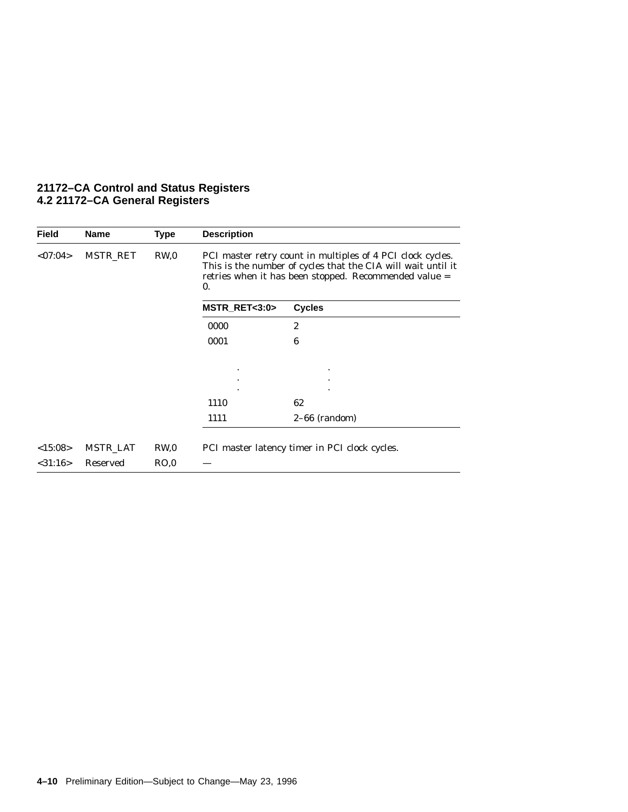| <b>Field</b>  | <b>Name</b>     | <b>Type</b>     | <b>Description</b> |                                                                                                                                                                                     |
|---------------|-----------------|-----------------|--------------------|-------------------------------------------------------------------------------------------------------------------------------------------------------------------------------------|
| <07:04>       | MSTR RET        | RW <sub>0</sub> | $\mathbf{0}$ .     | PCI master retry count in multiples of 4 PCI clock cycles.<br>This is the number of cycles that the CIA will wait until it<br>retries when it has been stopped. Recommended value = |
|               |                 |                 | MSTR_RET<3:0>      | <b>Cycles</b>                                                                                                                                                                       |
|               |                 |                 | 0000               | $\boldsymbol{2}$                                                                                                                                                                    |
|               |                 |                 | 0001               | 6                                                                                                                                                                                   |
|               |                 |                 |                    |                                                                                                                                                                                     |
|               |                 |                 |                    |                                                                                                                                                                                     |
|               |                 |                 | 1110               | 62                                                                                                                                                                                  |
|               |                 |                 | 1111               | $2-66$ (random)                                                                                                                                                                     |
| <15:08>       | <b>MSTR_LAT</b> | RW <sub>0</sub> |                    | PCI master latency timer in PCI clock cycles.                                                                                                                                       |
| $<$ 31:16 $>$ | Reserved        | RO,0            |                    |                                                                                                                                                                                     |

#### **21172–CA Control and Status Registers 4.2 21172–CA General Registers**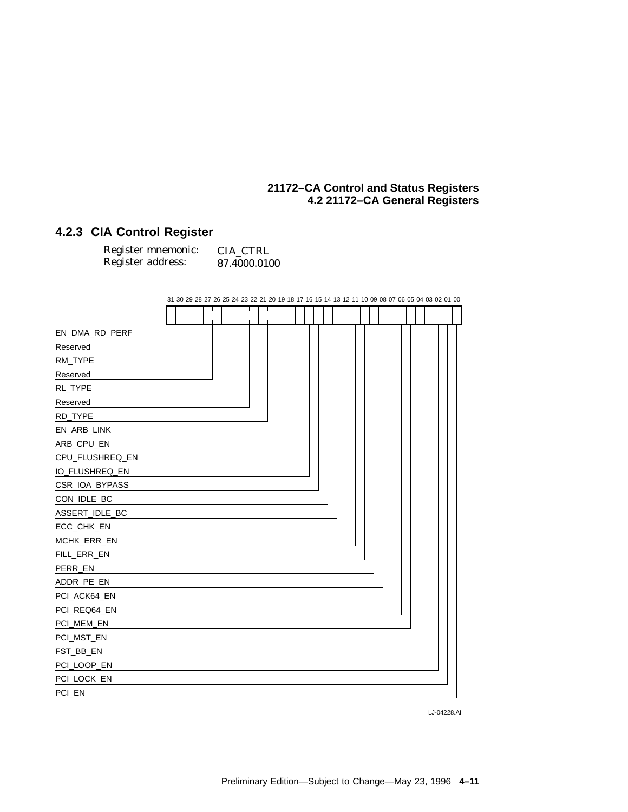# **4.2.3 CIA Control Register**

| Register mnemonic: | CIA CTRL     |
|--------------------|--------------|
| Register address:  | 87.4000.0100 |

|                 |  |  |  |  |  |  |  |  |  |  |  |  |  |  |  | 31 30 29 28 27 26 25 24 23 22 21 20 19 18 17 16 15 14 13 12 11 10 09 08 07 06 05 04 03 02 01 00 |  |  |  |
|-----------------|--|--|--|--|--|--|--|--|--|--|--|--|--|--|--|-------------------------------------------------------------------------------------------------|--|--|--|
|                 |  |  |  |  |  |  |  |  |  |  |  |  |  |  |  |                                                                                                 |  |  |  |
| EN_DMA_RD_PERF  |  |  |  |  |  |  |  |  |  |  |  |  |  |  |  |                                                                                                 |  |  |  |
| Reserved        |  |  |  |  |  |  |  |  |  |  |  |  |  |  |  |                                                                                                 |  |  |  |
| RM_TYPE         |  |  |  |  |  |  |  |  |  |  |  |  |  |  |  |                                                                                                 |  |  |  |
| Reserved        |  |  |  |  |  |  |  |  |  |  |  |  |  |  |  |                                                                                                 |  |  |  |
| RL_TYPE         |  |  |  |  |  |  |  |  |  |  |  |  |  |  |  |                                                                                                 |  |  |  |
| Reserved        |  |  |  |  |  |  |  |  |  |  |  |  |  |  |  |                                                                                                 |  |  |  |
| RD_TYPE         |  |  |  |  |  |  |  |  |  |  |  |  |  |  |  |                                                                                                 |  |  |  |
| EN_ARB_LINK     |  |  |  |  |  |  |  |  |  |  |  |  |  |  |  |                                                                                                 |  |  |  |
| ARB_CPU_EN      |  |  |  |  |  |  |  |  |  |  |  |  |  |  |  |                                                                                                 |  |  |  |
| CPU_FLUSHREQ_EN |  |  |  |  |  |  |  |  |  |  |  |  |  |  |  |                                                                                                 |  |  |  |
| IO_FLUSHREQ_EN  |  |  |  |  |  |  |  |  |  |  |  |  |  |  |  |                                                                                                 |  |  |  |
| CSR_IOA_BYPASS  |  |  |  |  |  |  |  |  |  |  |  |  |  |  |  |                                                                                                 |  |  |  |
| CON_IDLE_BC     |  |  |  |  |  |  |  |  |  |  |  |  |  |  |  |                                                                                                 |  |  |  |
| ASSERT_IDLE_BC  |  |  |  |  |  |  |  |  |  |  |  |  |  |  |  |                                                                                                 |  |  |  |
| ECC_CHK_EN      |  |  |  |  |  |  |  |  |  |  |  |  |  |  |  |                                                                                                 |  |  |  |
| MCHK_ERR_EN     |  |  |  |  |  |  |  |  |  |  |  |  |  |  |  |                                                                                                 |  |  |  |
| FILL_ERR_EN     |  |  |  |  |  |  |  |  |  |  |  |  |  |  |  |                                                                                                 |  |  |  |
| PERR_EN         |  |  |  |  |  |  |  |  |  |  |  |  |  |  |  |                                                                                                 |  |  |  |
| ADDR_PE_EN      |  |  |  |  |  |  |  |  |  |  |  |  |  |  |  |                                                                                                 |  |  |  |
| PCI_ACK64_EN    |  |  |  |  |  |  |  |  |  |  |  |  |  |  |  |                                                                                                 |  |  |  |
| PCI_REQ64_EN    |  |  |  |  |  |  |  |  |  |  |  |  |  |  |  |                                                                                                 |  |  |  |
| PCI_MEM_EN      |  |  |  |  |  |  |  |  |  |  |  |  |  |  |  |                                                                                                 |  |  |  |
| PCI_MST_EN      |  |  |  |  |  |  |  |  |  |  |  |  |  |  |  |                                                                                                 |  |  |  |
| FST_BB_EN       |  |  |  |  |  |  |  |  |  |  |  |  |  |  |  |                                                                                                 |  |  |  |
| PCI_LOOP_EN     |  |  |  |  |  |  |  |  |  |  |  |  |  |  |  |                                                                                                 |  |  |  |
| PCI_LOCK_EN     |  |  |  |  |  |  |  |  |  |  |  |  |  |  |  |                                                                                                 |  |  |  |
| PCI_EN          |  |  |  |  |  |  |  |  |  |  |  |  |  |  |  |                                                                                                 |  |  |  |

LJ-04228.AI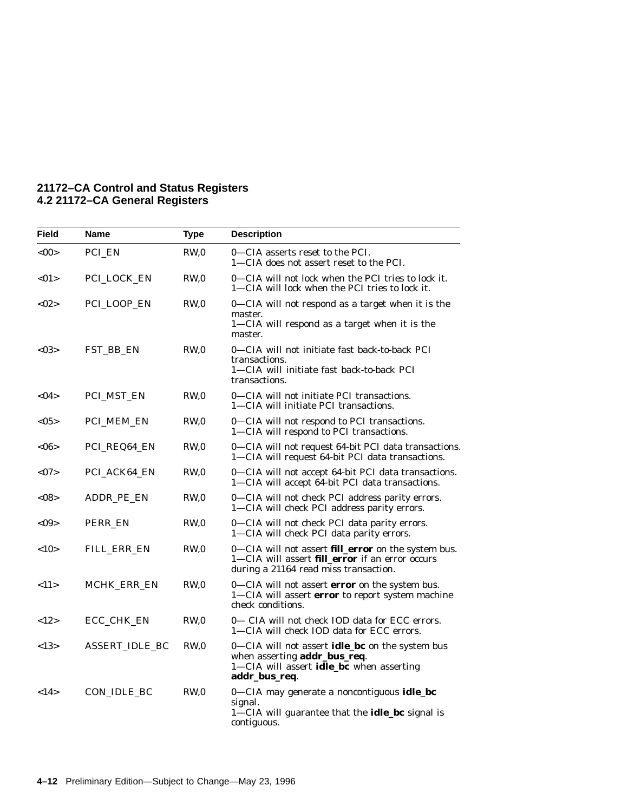| <b>Field</b> | <b>Name</b>        | <b>Type</b>     | <b>Description</b>                                                                                                                                     |
|--------------|--------------------|-----------------|--------------------------------------------------------------------------------------------------------------------------------------------------------|
| <00          | PCI EN             | RW <sub>0</sub> | 0—CIA asserts reset to the PCI.<br>1—CIA does not assert reset to the PCI.                                                                             |
| <01          | PCI_LOCK_EN        | RW,0            | 0—CIA will not lock when the PCI tries to lock it.<br>1—CIA will lock when the PCI tries to lock it.                                                   |
| <02>         | PCI_LOOP_EN        | RW <sub>0</sub> | 0-CIA will not respond as a target when it is the<br>master.<br>1-CIA will respond as a target when it is the<br>master.                               |
| < 03         | FST_BB_EN          | RW,0            | 0-CIA will not initiate fast back-to-back PCI<br>transactions.<br>1—CIA will initiate fast back-to-back PCI<br>transactions.                           |
| $<$ 04 $>$   | <b>PCI_MST_EN</b>  | RW <sub>0</sub> | 0—CIA will not initiate PCI transactions.<br>1—CIA will initiate PCI transactions.                                                                     |
| $<$ 05 $>$   | PCI_MEM_EN         | RW,0            | 0-CIA will not respond to PCI transactions.<br>1-CIA will respond to PCI transactions.                                                                 |
| <06>         | PCI_REQ64_EN       | RW,0            | 0—CIA will not request 64-bit PCI data transactions.<br>1-CIA will request 64-bit PCI data transactions.                                               |
| $<$ 07>      | PCI_ACK64_EN       | RW,0            | 0—CIA will not accept 64-bit PCI data transactions.<br>1-CIA will accept 64-bit PCI data transactions.                                                 |
| $<$ 08>      | ADDR PE EN         | RW,0            | 0-CIA will not check PCI address parity errors.<br>1-CIA will check PCI address parity errors.                                                         |
| $<$ 09>      | PERR_EN            | RW <sub>0</sub> | 0-CIA will not check PCI data parity errors.<br>1-CIA will check PCI data parity errors.                                                               |
| <10          | FILL_ERR_EN        | RW,0            | 0—CIA will not assert <b>fill_error</b> on the system bus.<br>1-CIA will assert fill_error if an error occurs<br>during a 21164 read miss transaction. |
| <11>         | <b>MCHK ERR EN</b> | RW,0            | 0–CIA will not assert <b>error</b> on the system bus.<br>1-CIA will assert error to report system machine<br>check conditions.                         |
| <12>         | ECC_CHK_EN         | RW,0            | 0— CIA will not check IOD data for ECC errors.<br>1-CIA will check IOD data for ECC errors.                                                            |
| <13>         | ASSERT IDLE BC     | RW,0            | 0—CIA will not assert <b>idle_bc</b> on the system bus<br>when asserting addr_bus_req.<br>1-CIA will assert idle_bc when asserting<br>addr_bus_req.    |
| <14>         | CON IDLE BC        | RW <sub>0</sub> | 0-CIA may generate a noncontiguous idle_bc<br>signal.<br>$1$ —CIA will guarantee that the <b>idle_bc</b> signal is<br>contiguous.                      |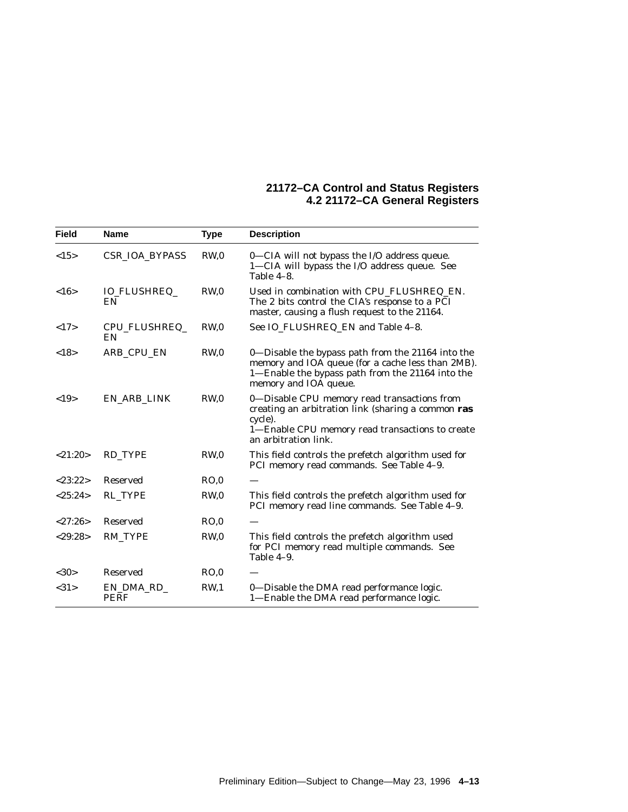| <b>Field</b> | <b>Name</b>               | <b>Type</b>     | <b>Description</b>                                                                                                                                                                      |
|--------------|---------------------------|-----------------|-----------------------------------------------------------------------------------------------------------------------------------------------------------------------------------------|
| <15>         | <b>CSR IOA BYPASS</b>     | RW <sub>0</sub> | 0-CIA will not bypass the I/O address queue.<br>1-CIA will bypass the I/O address queue. See<br>Table $4-8$ .                                                                           |
| <16>         | <b>IO_FLUSHREQ_</b><br>EN | RW <sub>0</sub> | Used in combination with CPU_FLUSHREQ_EN.<br>The 2 bits control the CIA's response to a PCI<br>master, causing a flush request to the 21164.                                            |
| <17>         | CPU_FLUSHREQ_<br>EN       | RW <sub>0</sub> | See IO_FLUSHREQ_EN and Table 4-8.                                                                                                                                                       |
| <18>         | ARB CPU EN                | RW <sub>0</sub> | 0-Disable the bypass path from the 21164 into the<br>memory and IOA queue (for a cache less than 2MB).<br>1-Enable the bypass path from the 21164 into the<br>memory and IOA queue.     |
| <19>         | EN ARB LINK               | RW <sub>0</sub> | 0-Disable CPU memory read transactions from<br>creating an arbitration link (sharing a common ras<br>cycle).<br>1-Enable CPU memory read transactions to create<br>an arbitration link. |
| <21:20>      | RD_TYPE                   | RW <sub>0</sub> | This field controls the prefetch algorithm used for<br>PCI memory read commands. See Table 4-9.                                                                                         |
| < 23:22>     | Reserved                  | RO.0            |                                                                                                                                                                                         |
| <25:24>      | <b>RL TYPE</b>            | RW <sub>0</sub> | This field controls the prefetch algorithm used for<br>PCI memory read line commands. See Table 4-9.                                                                                    |
| < 27:26>     | <b>Reserved</b>           | RO.0            |                                                                                                                                                                                         |
| < 29:28>     | <b>RM TYPE</b>            | RW <sub>0</sub> | This field controls the prefetch algorithm used<br>for PCI memory read multiple commands. See<br>Table 4-9.                                                                             |
| <30>         | Reserved                  | RO.0            |                                                                                                                                                                                         |
| <31>         | EN_DMA_RD_<br><b>PERF</b> | RW <sub>1</sub> | 0-Disable the DMA read performance logic.<br>1—Enable the DMA read performance logic.                                                                                                   |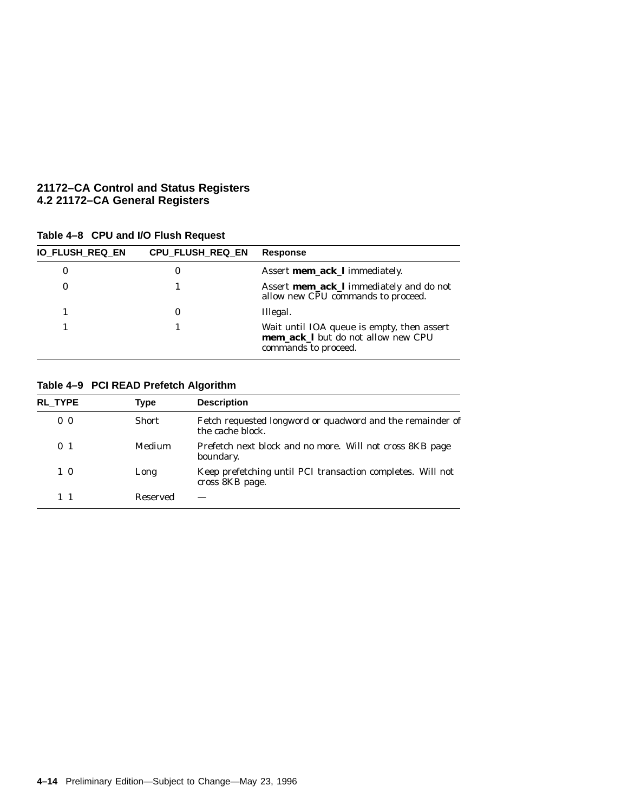| Table 4-8 CPU and I/O Flush Request |  |  |  |  |  |
|-------------------------------------|--|--|--|--|--|
|-------------------------------------|--|--|--|--|--|

| <b>IO_FLUSH_REQ_EN</b> | CPU_FLUSH_REQ_EN | <b>Response</b>                                                                                          |
|------------------------|------------------|----------------------------------------------------------------------------------------------------------|
| 0                      | 0                | Assert mem_ack_l immediately.                                                                            |
| 0                      |                  | Assert mem_ack_l immediately and do not<br>allow new CPU commands to proceed.                            |
|                        | 0                | Illegal.                                                                                                 |
|                        |                  | Wait until IOA queue is empty, then assert<br>mem_ack_l but do not allow new CPU<br>commands to proceed. |

# **Table 4–9 PCI READ Prefetch Algorithm**

| <b>RL TYPE</b> | Type         | <b>Description</b>                                                            |
|----------------|--------------|-------------------------------------------------------------------------------|
| 0 <sub>0</sub> | <b>Short</b> | Fetch requested longword or quadword and the remainder of<br>the cache block. |
| 0 <sub>1</sub> | Medium       | Prefetch next block and no more. Will not cross 8KB page<br>boundary.         |
| $1\,0$         | Long         | Keep prefetching until PCI transaction completes. Will not<br>cross 8KB page. |
| $1\quad1$      | Reserved     |                                                                               |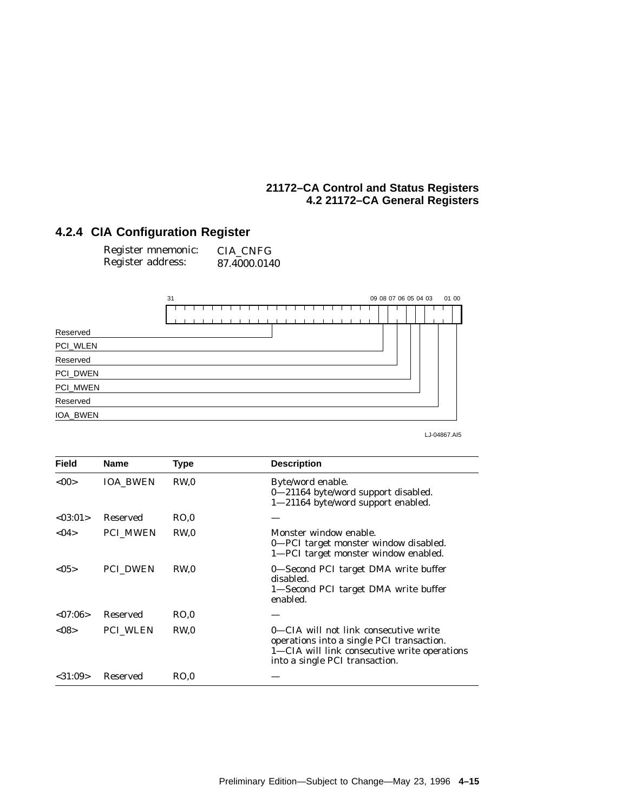# **4.2.4 CIA Configuration Register**

| Register mnemonic: | CIA CNFG     |
|--------------------|--------------|
| Register address:  | 87.4000.0140 |



LJ-04867.AI5

| <b>Field</b>  | <b>Name</b>     | Type            | <b>Description</b>                                                                                                                                                   |
|---------------|-----------------|-----------------|----------------------------------------------------------------------------------------------------------------------------------------------------------------------|
| <00           | <b>IOA BWEN</b> | RW <sub>0</sub> | Byte/word enable.<br>0-21164 byte/word support disabled.<br>1-21164 byte/word support enabled.                                                                       |
| < 0.3:01 >    | Reserved        | RO.0            |                                                                                                                                                                      |
| < 04          | <b>PCI MWEN</b> | RW <sub>0</sub> | Monster window enable.<br>0-PCI target monster window disabled.<br>1—PCI target monster window enabled.                                                              |
| < 0.5         | <b>PCI_DWEN</b> | RW.0            | 0—Second PCI target DMA write buffer<br>disabled.<br>1—Second PCI target DMA write buffer<br>enabled.                                                                |
| < 07:06>      | <b>Reserved</b> | RO.0            |                                                                                                                                                                      |
| $<$ 08 $>$    | <b>PCI WLEN</b> | RW <sub>0</sub> | 0—CIA will not link consecutive write<br>operations into a single PCI transaction.<br>1—CIA will link consecutive write operations<br>into a single PCI transaction. |
| $<$ 31:09 $>$ | Reserved        | RO.0            |                                                                                                                                                                      |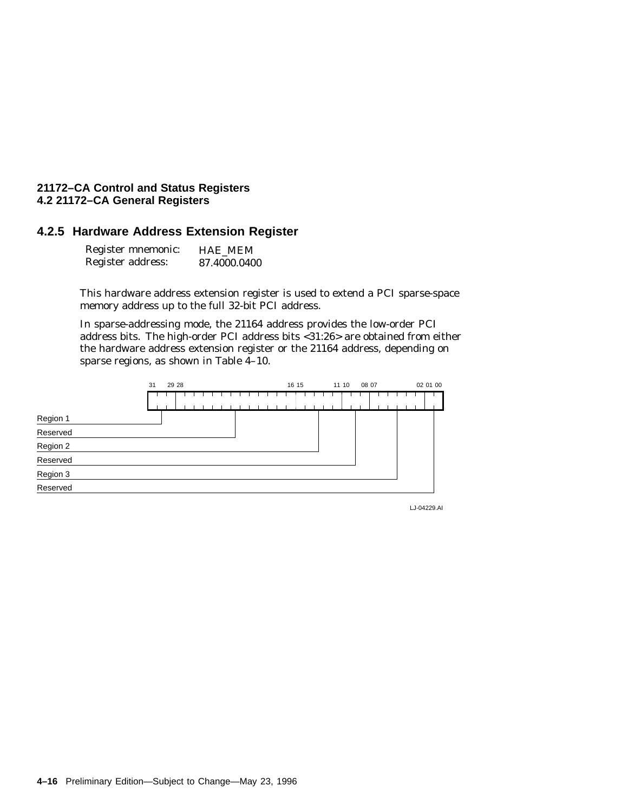#### **4.2.5 Hardware Address Extension Register**

| Register mnemonic: | <b>HAE MEM</b> |
|--------------------|----------------|
| Register address:  | 87.4000.0400   |

This hardware address extension register is used to extend a PCI sparse-space memory address up to the full 32-bit PCI address.

In sparse-addressing mode, the 21164 address provides the low-order PCI address bits. The high-order PCI address bits <31:26> are obtained from either the hardware address extension register or the 21164 address, depending on sparse regions, as shown in Table 4–10.



LJ-04229.AI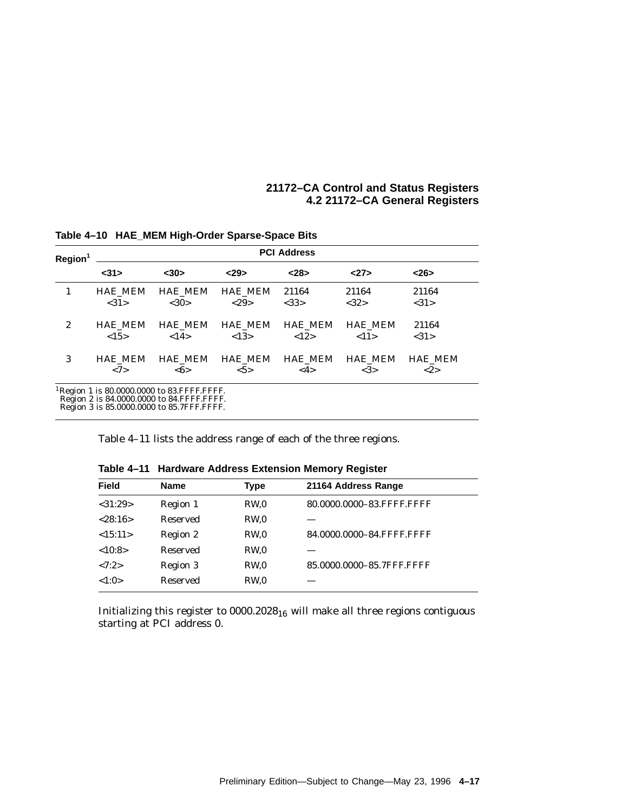| Region <sup>1</sup> | <b>PCI Address</b> |                |                |                |                |                |
|---------------------|--------------------|----------------|----------------|----------------|----------------|----------------|
|                     | $31$               | $30$           | < 29           | $28$           | 27             | <26            |
| 1                   | <b>HAE MEM</b>     | <b>HAE MEM</b> | <b>HAE MEM</b> | 21164          | 21164          | 21164          |
|                     | <31>               | <30>           | <29>           | <33>           | <32>           | <31>           |
| $\boldsymbol{2}$    | <b>HAE MEM</b>     | <b>HAE MEM</b> | <b>HAE MEM</b> | <b>HAE MEM</b> | <b>HAE MEM</b> | 21164          |
|                     | <15>               | <14>           | <13>           | <12>           | <11>           | <31>           |
| 3                   | <b>HAE MEM</b>     | HAE_MEM        | <b>HAE MEM</b> | <b>HAE MEM</b> | <b>HAE MEM</b> | <b>HAE MEM</b> |
|                     | <7>                | <6>            | $5>$           | <4>            | <3>            | <2>            |

**Table 4–10 HAE\_MEM High-Order Sparse-Space Bits**

Region 2 is 84.0000.0000 to 84.FFFF.FFFF. Region 3 is 85.0000.0000 to 85.7FFF.FFFF.

Table 4–11 lists the address range of each of the three regions.

| <b>Field</b> | <b>Name</b>     | <b>Type</b>     | 21164 Address Range       |  |
|--------------|-----------------|-----------------|---------------------------|--|
| $<$ 31:29>   | Region 1        | RW <sub>0</sub> | 80.0000.0000-83.FFFF.FFFF |  |
| < 28:16>     | <b>Reserved</b> | RW <sub>0</sub> |                           |  |
| <15:11>      | Region 2        | RW <sub>0</sub> | 84.0000.0000-84.FFFF.FFFF |  |
| <10:8>       | <b>Reserved</b> | RW <sub>0</sub> |                           |  |
| <7:2>        | Region 3        | RW <sub>0</sub> | 85.0000.0000-85.7FFF.FFFF |  |
| <1:0>        | <b>Reserved</b> | RW <sub>0</sub> |                           |  |
|              |                 |                 |                           |  |

**Table 4–11 Hardware Address Extension Memory Register**

Initializing this register to  $0000.2028_{16}$  will make all three regions contiguous starting at PCI address 0.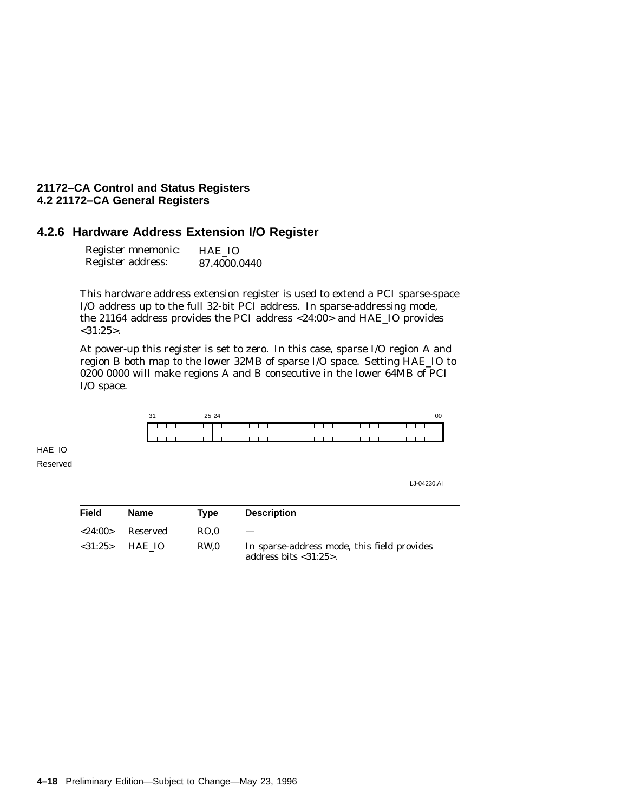#### **4.2.6 Hardware Address Extension I/O Register**

| Register mnemonic: | HAE IO       |
|--------------------|--------------|
| Register address:  | 87.4000.0440 |

This hardware address extension register is used to extend a PCI sparse-space I/O address up to the full 32-bit PCI address. In sparse-addressing mode, the 21164 address provides the PCI address <24:00> and HAE\_IO provides <31:25>.

At power-up this register is set to zero. In this case, sparse I/O region A and region B both map to the lower 32MB of sparse I/O space. Setting HAE\_IO to 0200 0000 will make regions A and B consecutive in the lower 64MB of PCI I/O space.



LJ-04230.AI

| Field         | <b>Name</b>      | Tvpe | <b>Description</b>                                                     |
|---------------|------------------|------|------------------------------------------------------------------------|
| $<$ 24:00 $>$ | Reserved         | RO.0 |                                                                        |
|               | $< 31:25$ HAE IO | RW.0 | In sparse-address mode, this field provides<br>address bits $<31:25$ . |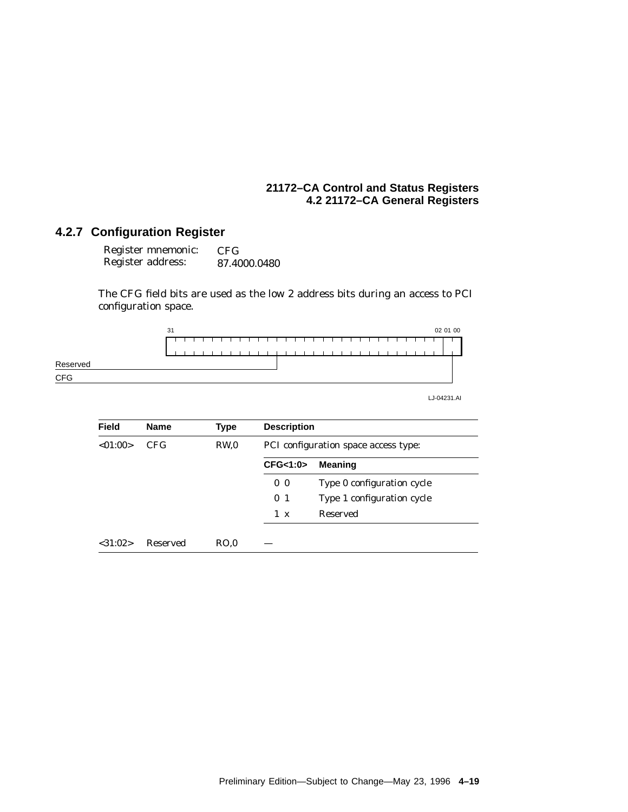# **4.2.7 Configuration Register**

| Register mnemonic: | CFG          |
|--------------------|--------------|
| Register address:  | 87.4000.0480 |

The CFG field bits are used as the low 2 address bits during an access to PCI configuration space.



LJ-04231.AI

| <b>Field</b>  | <b>Name</b> | <b>Type</b>     | <b>Description</b>                   |                            |  |
|---------------|-------------|-----------------|--------------------------------------|----------------------------|--|
| < 01:00>      | CFG.        | RW <sub>0</sub> | PCI configuration space access type: |                            |  |
|               |             |                 | CFG<1:0>                             | <b>Meaning</b>             |  |
|               |             |                 | 0 <sub>0</sub>                       | Type 0 configuration cycle |  |
|               |             |                 | 0 <sub>1</sub>                       | Type 1 configuration cycle |  |
|               |             |                 | $1 \times$                           | Reserved                   |  |
| $<$ 31:02 $>$ | Reserved    | RO.0            |                                      |                            |  |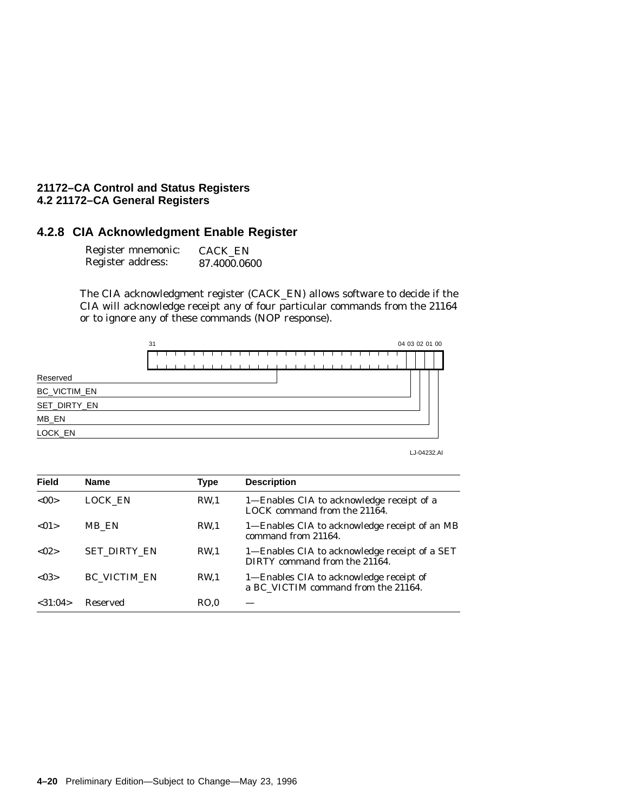# **4.2.8 CIA Acknowledgment Enable Register**

| Register mnemonic: | <b>CACK EN</b> |
|--------------------|----------------|
| Register address:  | 87.4000.0600   |

The CIA acknowledgment register (CACK\_EN) allows software to decide if the CIA will acknowledge receipt any of four particular commands from the 21164 or to ignore any of these commands (NOP response).



LJ-04232.AI

| <b>Field</b> | <b>Name</b>         | Type            | <b>Description</b>                                                             |
|--------------|---------------------|-----------------|--------------------------------------------------------------------------------|
| <00          | LOCK EN             | RW <sub>1</sub> | 1-Enables CIA to acknowledge receipt of a<br>LOCK command from the 21164.      |
| < 01         | MB EN               | RW <sub>1</sub> | 1—Enables CIA to acknowledge receipt of an MB<br>command from 21164.           |
| < 02         | <b>SET DIRTY EN</b> | <b>RW.1</b>     | 1—Enables CIA to acknowledge receipt of a SET<br>DIRTY command from the 21164. |
| < 0.3        | <b>BC VICTIM EN</b> | <b>RW.1</b>     | 1—Enables CIA to acknowledge receipt of<br>a BC_VICTIM command from the 21164. |
| < 31:04>     | <b>Reserved</b>     | RO.0            |                                                                                |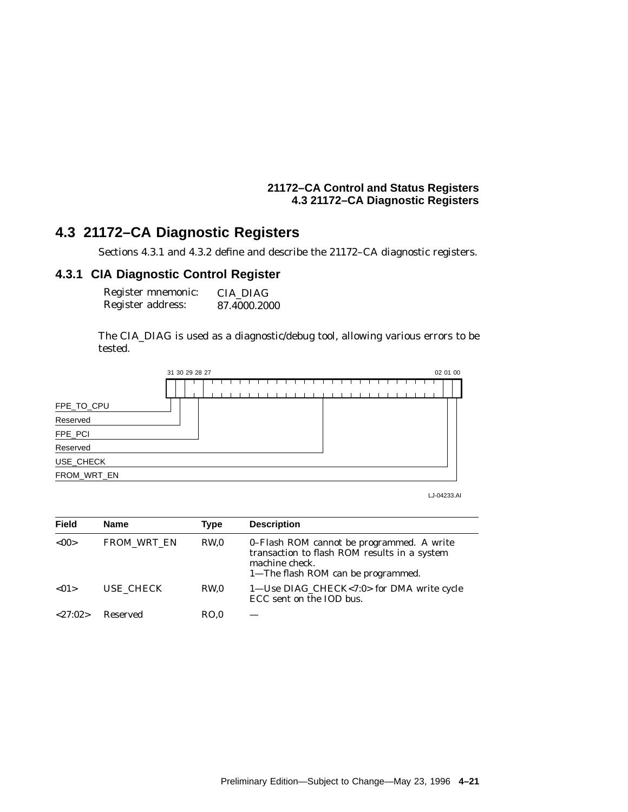## **21172–CA Control and Status Registers 4.3 21172–CA Diagnostic Registers**

# **4.3 21172–CA Diagnostic Registers**

Sections 4.3.1 and 4.3.2 define and describe the 21172–CA diagnostic registers.

## **4.3.1 CIA Diagnostic Control Register**

| Register mnemonic: | CIA DIAG     |
|--------------------|--------------|
| Register address:  | 87.4000.2000 |

The CIA\_DIAG is used as a diagnostic/debug tool, allowing various errors to be tested.



LJ-04233.AI

| <b>Field</b>  | <b>Name</b>        | <b>Type</b>     | <b>Description</b>                                                                                                                                |
|---------------|--------------------|-----------------|---------------------------------------------------------------------------------------------------------------------------------------------------|
| < 00          | <b>FROM WRT EN</b> | RW <sub>0</sub> | 0-Flash ROM cannot be programmed. A write<br>transaction to flash ROM results in a system<br>machine check.<br>1—The flash ROM can be programmed. |
| < 01          | USE CHECK          | RW <sub>0</sub> | 1-Use DIAG_CHECK<7:0> for DMA write cycle<br>ECC sent on the IOD bus.                                                                             |
| $<$ 27:02 $>$ | Reserved           | RO.0            |                                                                                                                                                   |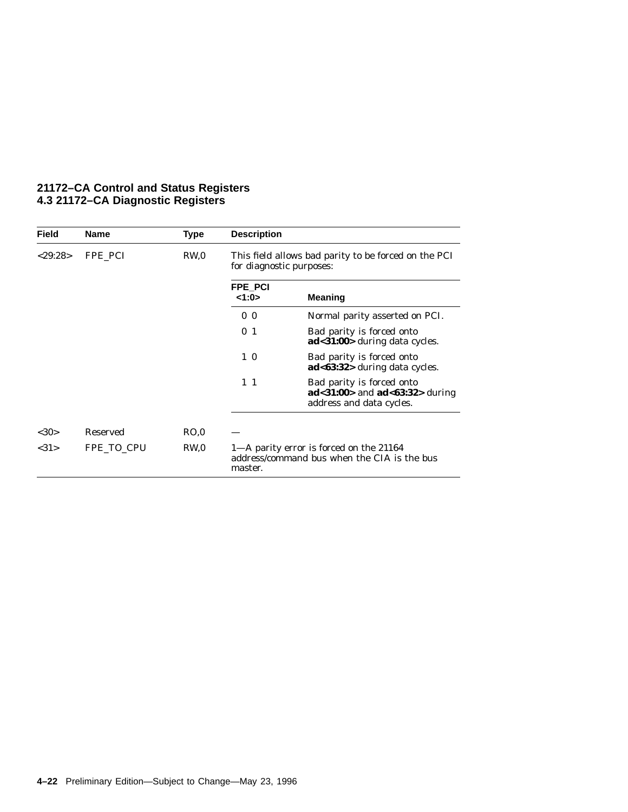| <b>Field</b> | Name            | <b>Type</b>     | <b>Description</b>       |                                                                                               |
|--------------|-----------------|-----------------|--------------------------|-----------------------------------------------------------------------------------------------|
| < 29:28>     | FPE PCI         | RW <sub>0</sub> | for diagnostic purposes: | This field allows bad parity to be forced on the PCI                                          |
|              |                 |                 | FPE PCI<br><1:0>         | <b>Meaning</b>                                                                                |
|              |                 |                 | $\bf{0}$<br>$\bf{0}$     | Normal parity asserted on PCI.                                                                |
|              |                 |                 | 0 <sub>1</sub>           | Bad parity is forced onto<br>$ad<31:00>$ during data cycles.                                  |
|              |                 |                 | $1\,0$                   | Bad parity is forced onto<br>$ad63:32 >$ during data cycles.                                  |
|              |                 |                 | $1\quad1$                | Bad parity is forced onto<br>$ad < 31:00$ and $ad < 63:32$ during<br>address and data cycles. |
|              |                 |                 |                          |                                                                                               |
| <30>         | <b>Reserved</b> | RO,0            |                          |                                                                                               |
| <31>         | FPE TO CPU      | RW <sub>0</sub> | master.                  | 1—A parity error is forced on the 21164<br>address/command bus when the CIA is the bus        |

## **21172–CA Control and Status Registers 4.3 21172–CA Diagnostic Registers**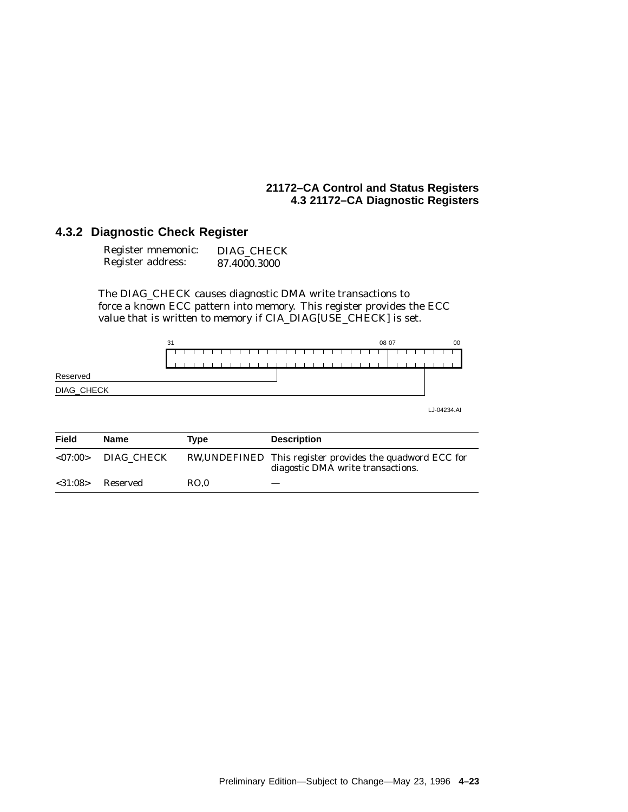## **21172–CA Control and Status Registers 4.3 21172–CA Diagnostic Registers**

## **4.3.2 Diagnostic Check Register**

| Register mnemonic: | DIAG CHECK   |
|--------------------|--------------|
| Register address:  | 87.4000.3000 |

The DIAG\_CHECK causes diagnostic DMA write transactions to force a known ECC pattern into memory. This register provides the ECC value that is written to memory if CIA\_DIAG[USE\_CHECK] is set.



| <b>Field</b>  | <b>Name</b>          | Tvpe | <b>Description</b>                                                                             |
|---------------|----------------------|------|------------------------------------------------------------------------------------------------|
|               | $<07:00>$ DIAG CHECK |      | RW, UNDEFINED This register provides the quadword ECC for<br>diagostic DMA write transactions. |
| $<$ 31:08 $>$ | Reserved             | RO.0 |                                                                                                |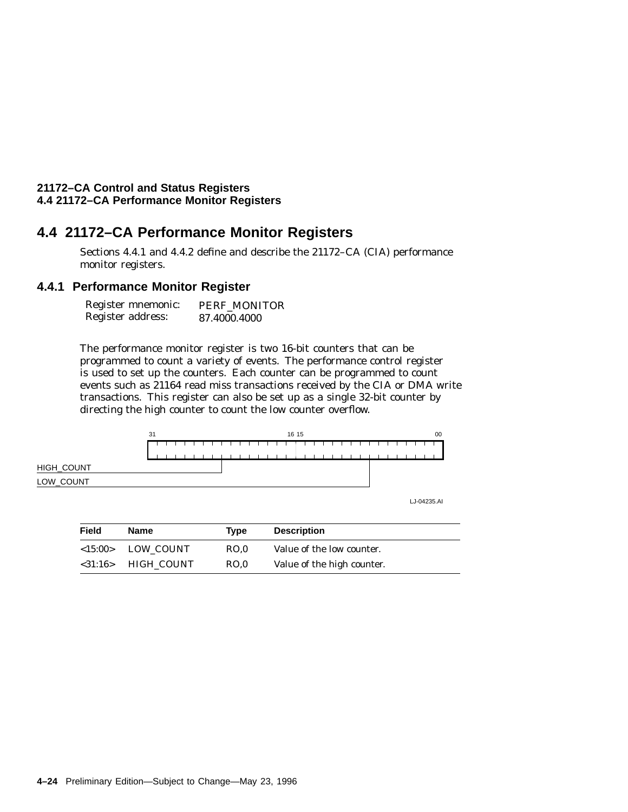# **4.4 21172–CA Performance Monitor Registers**

Sections 4.4.1 and 4.4.2 define and describe the 21172–CA (CIA) performance monitor registers.

## **4.4.1 Performance Monitor Register**

| Register mnemonic: | PERF MONITOR |
|--------------------|--------------|
| Register address:  | 87.4000.4000 |

The performance monitor register is two 16-bit counters that can be programmed to count a variety of events. The performance control register is used to set up the counters. Each counter can be programmed to count events such as 21164 read miss transactions received by the CIA or DMA write transactions. This register can also be set up as a single 32-bit counter by directing the high counter to count the low counter overflow.



LJ-04235.AI

| Field   | Name              | Tvpe | <b>Description</b>         |  |
|---------|-------------------|------|----------------------------|--|
|         | <15:00> LOW COUNT | RO.0 | Value of the low counter.  |  |
| <31:16> | HIGH COUNT        | RO.0 | Value of the high counter. |  |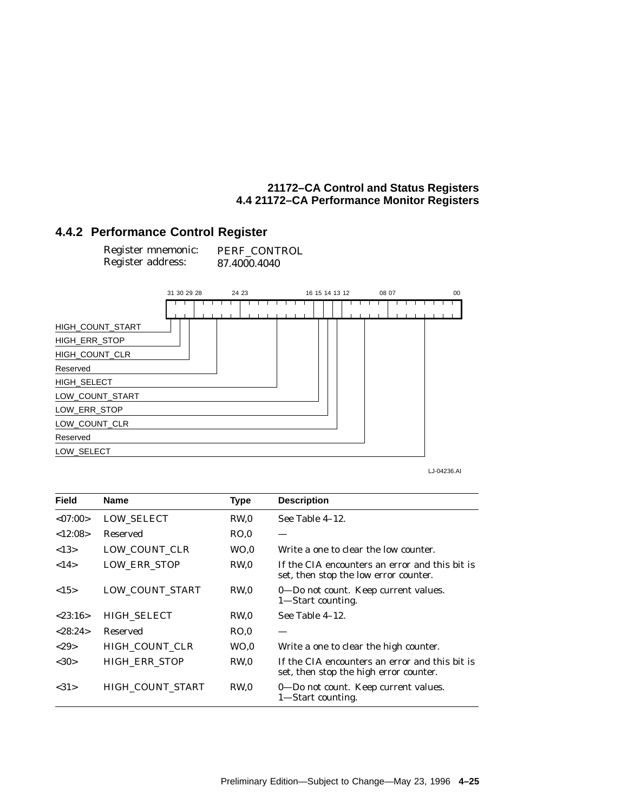## **4.4.2 Performance Control Register**

| Register mnemonic: | PERF CONTROL |
|--------------------|--------------|
| Register address:  | 87.4000.4040 |



LJ-04236.AI

| <b>Field</b> | <b>Name</b>          | <b>Type</b>     | <b>Description</b>                                                                       |
|--------------|----------------------|-----------------|------------------------------------------------------------------------------------------|
| <07:00>      | <b>LOW_SELECT</b>    | RW.0            | See Table 4–12.                                                                          |
| <12:08>      | Reserved             | RO.0            |                                                                                          |
| <13>         | LOW COUNT CLR        | WO <sub>0</sub> | Write a one to clear the low counter.                                                    |
| <14>         | LOW ERR STOP         | RW.0            | If the CIA encounters an error and this bit is<br>set, then stop the low error counter.  |
| <15>         | LOW_COUNT_START      | RW.0            | 0—Do not count. Keep current values.<br>1—Start counting.                                |
| < 23:16>     | <b>HIGH SELECT</b>   | RW.0            | See Table 4-12.                                                                          |
| < 28:24>     | Reserved             | RO.0            |                                                                                          |
| <29          | HIGH COUNT CLR       | WO <sub>0</sub> | Write a one to clear the high counter.                                                   |
| <30>         | <b>HIGH ERR STOP</b> | RW <sub>0</sub> | If the CIA encounters an error and this bit is<br>set, then stop the high error counter. |
| <31>         | HIGH_COUNT_START     | RW.0            | 0—Do not count. Keep current values.<br>1—Start counting.                                |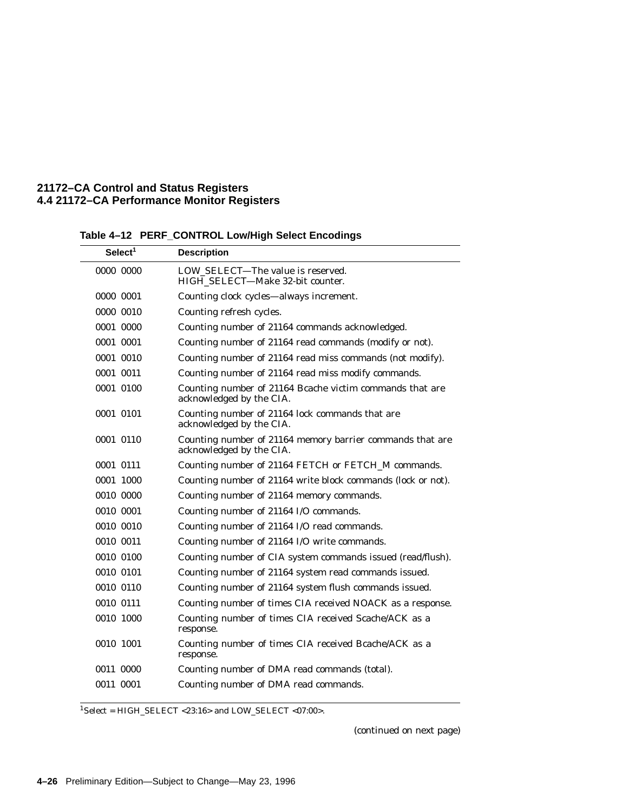| Select <sup>1</sup> | <b>Description</b>                                                                    |
|---------------------|---------------------------------------------------------------------------------------|
| 0000 0000           | LOW SELECT—The value is reserved.<br>HIGH_SELECT-Make 32-bit counter.                 |
| 0000 0001           | Counting clock cycles-always increment.                                               |
| 0000 0010           | Counting refresh cycles.                                                              |
| 0001 0000           | Counting number of 21164 commands acknowledged.                                       |
| 0001 0001           | Counting number of 21164 read commands (modify or not).                               |
| 0001 0010           | Counting number of 21164 read miss commands (not modify).                             |
| 0001 0011           | Counting number of 21164 read miss modify commands.                                   |
| 0001 0100           | Counting number of 21164 Bcache victim commands that are<br>acknowledged by the CIA.  |
| 0001 0101           | Counting number of 21164 lock commands that are<br>acknowledged by the CIA.           |
| 0001 0110           | Counting number of 21164 memory barrier commands that are<br>acknowledged by the CIA. |
| 0001 0111           | Counting number of 21164 FETCH or FETCH_M commands.                                   |
| 0001 1000           | Counting number of 21164 write block commands (lock or not).                          |
| 0010 0000           | Counting number of 21164 memory commands.                                             |
| 0010 0001           | Counting number of 21164 I/O commands.                                                |
| 0010 0010           | Counting number of 21164 I/O read commands.                                           |
| 0010 0011           | Counting number of 21164 I/O write commands.                                          |
| 0010 0100           | Counting number of CIA system commands issued (read/flush).                           |
| 0010 0101           | Counting number of 21164 system read commands issued.                                 |
| 0010 0110           | Counting number of 21164 system flush commands issued.                                |
| 0010 0111           | Counting number of times CIA received NOACK as a response.                            |
| 0010 1000           | Counting number of times CIA received Scache/ACK as a<br>response.                    |
| 0010 1001           | Counting number of times CIA received Bcache/ACK as a<br>response.                    |
| 0011 0000           | Counting number of DMA read commands (total).                                         |
| 0011 0001           | Counting number of DMA read commands.                                                 |

#### **Table 4–12 PERF\_CONTROL Low/High Select Encodings**  $\overline{\phantom{0}}$

 $^{1}$  Select = HIGH\_SELECT <23:16> and LOW\_SELECT <07:00>.

(continued on next page)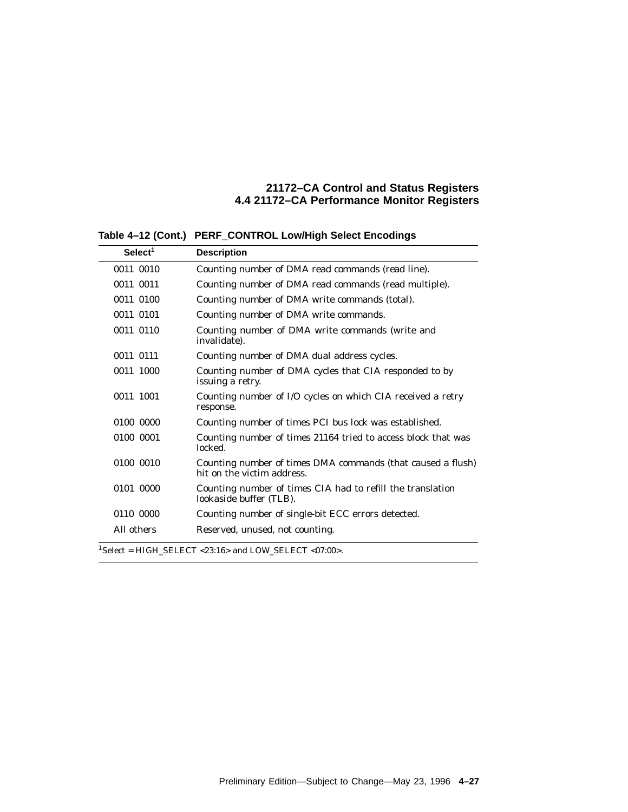| Select <sup>1</sup> | <b>Description</b>                                                                        |
|---------------------|-------------------------------------------------------------------------------------------|
| 0011 0010           | Counting number of DMA read commands (read line).                                         |
| 0011 0011           | Counting number of DMA read commands (read multiple).                                     |
| 0011 0100           | Counting number of DMA write commands (total).                                            |
| 0011 0101           | Counting number of DMA write commands.                                                    |
| 0011 0110           | Counting number of DMA write commands (write and<br>invalidate).                          |
| 0011 0111           | Counting number of DMA dual address cycles.                                               |
| 0011 1000           | Counting number of DMA cycles that CIA responded to by<br>issuing a retry.                |
| 0011 1001           | Counting number of I/O cycles on which CIA received a retry<br>response.                  |
| 0100 0000           | Counting number of times PCI bus lock was established.                                    |
| 0100 0001           | Counting number of times 21164 tried to access block that was<br>locked.                  |
| 0100 0010           | Counting number of times DMA commands (that caused a flush)<br>hit on the victim address. |
| 0101 0000           | Counting number of times CIA had to refill the translation<br>lookaside buffer (TLB).     |
| 0110 0000           | Counting number of single-bit ECC errors detected.                                        |
| All others          | Reserved, unused, not counting.                                                           |
|                     | $^{1}$ Select = HIGH SELECT <23:16> and LOW SELECT <07:00>.                               |

**Table 4–12 (Cont.) PERF\_CONTROL Low/High Select Encodings**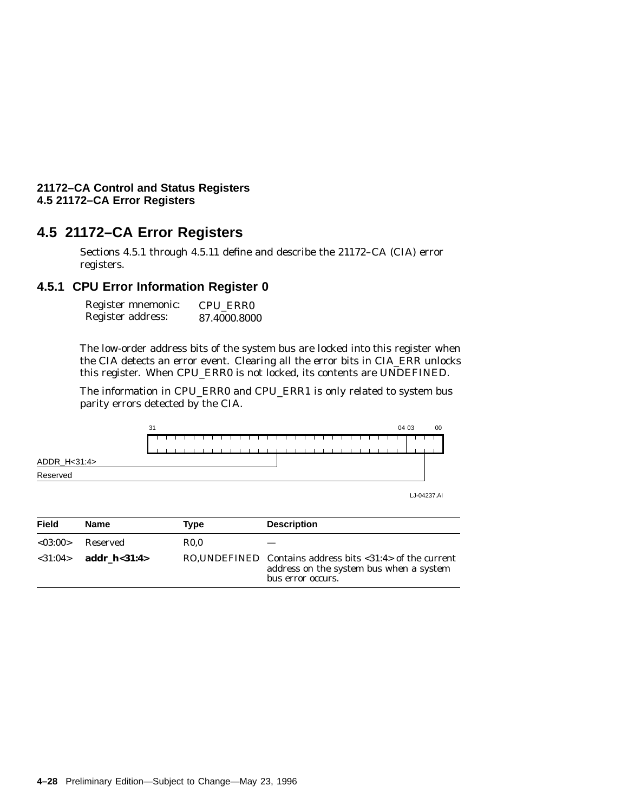# **4.5 21172–CA Error Registers**

Sections 4.5.1 through 4.5.11 define and describe the 21172–CA (CIA) error registers.

## **4.5.1 CPU Error Information Register 0**

Register mnemonic: Register address: CPU\_ERR0 87.4000.8000

The low-order address bits of the system bus are locked into this register when the CIA detects an error event. Clearing all the error bits in CIA\_ERR unlocks this register. When CPU\_ERR0 is not locked, its contents are UNDEFINED.

The information in CPU\_ERR0 and CPU\_ERR1 is only related to system bus parity errors detected by the CIA.



| <b>Field</b> | <b>Name</b>      | Tvpe        | <b>Description</b>                                                                                                        |
|--------------|------------------|-------------|---------------------------------------------------------------------------------------------------------------------------|
| < 03:00      | Reserved         | <b>RO.O</b> |                                                                                                                           |
| < 31:04>     | addr $h < 31:4>$ |             | RO, UNDEFINED Contains address bits <31:4> of the current<br>address on the system bus when a system<br>bus error occurs. |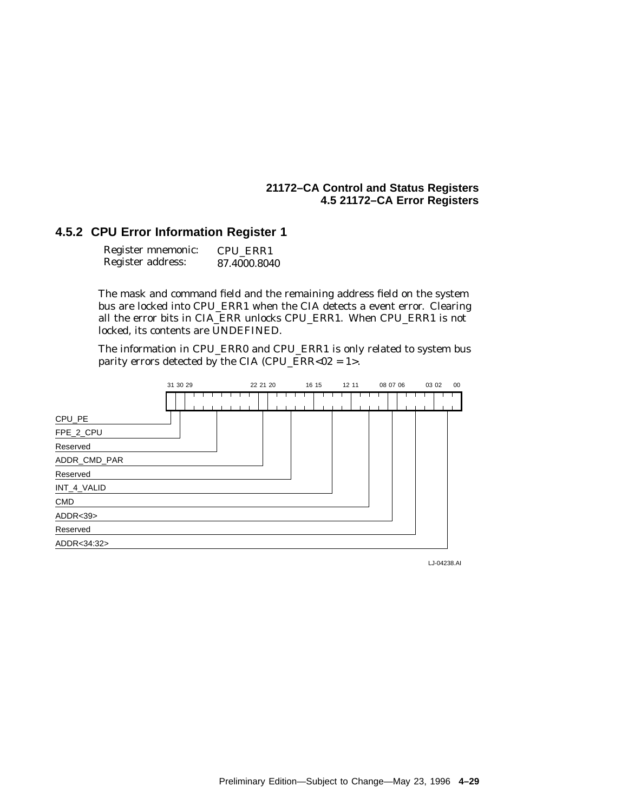## **4.5.2 CPU Error Information Register 1**

| Register mnemonic: | CPU ERR1     |
|--------------------|--------------|
| Register address:  | 87.4000.8040 |

The mask and command field and the remaining address field on the system bus are locked into CPU\_ERR1 when the CIA detects a event error. Clearing all the error bits in CIA\_ERR unlocks CPU\_ERR1. When CPU\_ERR1 is not locked, its contents are UNDEFINED.

The information in CPU\_ERR0 and CPU\_ERR1 is only related to system bus parity errors detected by the CIA (CPU\_ERR<02 =  $1$ ).

|              | 31 30 29 |  |  |  | 22 21 20<br>16 15 |  |  |  |  |  |  |  | 12 11 |  |  | 08 07 06 |  |  |  |  | 00<br>03 02 |  |  |  |  |  |
|--------------|----------|--|--|--|-------------------|--|--|--|--|--|--|--|-------|--|--|----------|--|--|--|--|-------------|--|--|--|--|--|
|              |          |  |  |  |                   |  |  |  |  |  |  |  |       |  |  |          |  |  |  |  |             |  |  |  |  |  |
| CPU_PE       |          |  |  |  |                   |  |  |  |  |  |  |  |       |  |  |          |  |  |  |  |             |  |  |  |  |  |
| FPE_2_CPU    |          |  |  |  |                   |  |  |  |  |  |  |  |       |  |  |          |  |  |  |  |             |  |  |  |  |  |
| Reserved     |          |  |  |  |                   |  |  |  |  |  |  |  |       |  |  |          |  |  |  |  |             |  |  |  |  |  |
| ADDR_CMD_PAR |          |  |  |  |                   |  |  |  |  |  |  |  |       |  |  |          |  |  |  |  |             |  |  |  |  |  |
| Reserved     |          |  |  |  |                   |  |  |  |  |  |  |  |       |  |  |          |  |  |  |  |             |  |  |  |  |  |
| INT_4_VALID  |          |  |  |  |                   |  |  |  |  |  |  |  |       |  |  |          |  |  |  |  |             |  |  |  |  |  |
| <b>CMD</b>   |          |  |  |  |                   |  |  |  |  |  |  |  |       |  |  |          |  |  |  |  |             |  |  |  |  |  |
| ADDR < 39    |          |  |  |  |                   |  |  |  |  |  |  |  |       |  |  |          |  |  |  |  |             |  |  |  |  |  |
| Reserved     |          |  |  |  |                   |  |  |  |  |  |  |  |       |  |  |          |  |  |  |  |             |  |  |  |  |  |
| ADDR<34:32>  |          |  |  |  |                   |  |  |  |  |  |  |  |       |  |  |          |  |  |  |  |             |  |  |  |  |  |

LJ-04238.AI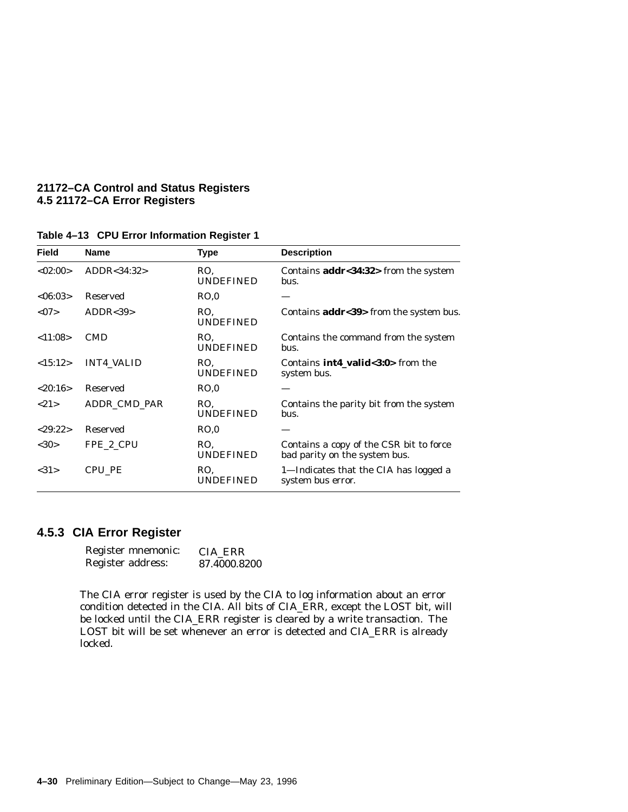| <b>Field</b> | <b>Name</b>       | Type                    | <b>Description</b>                                                       |
|--------------|-------------------|-------------------------|--------------------------------------------------------------------------|
| <02:00>      | ADDR<34:32>       | RO.<br><b>UNDEFINED</b> | Contains addr<34:32> from the system<br>bus.                             |
| <06:03>      | Reserved          | RO.0                    |                                                                          |
| < 07         | ADDR < 39         | RO.<br><b>UNDEFINED</b> | Contains addr<39> from the system bus.                                   |
| < 11:08>     | <b>CMD</b>        | RO.<br>UNDEFINED        | Contains the command from the system<br>bus.                             |
| <15:12>      | <b>INT4 VALID</b> | RO.<br><b>UNDEFINED</b> | Contains <b>int4_valid</b> <3:0> from the<br>system bus.                 |
| <20:16>      | <b>Reserved</b>   | RO.0                    |                                                                          |
| <21>         | ADDR CMD PAR      | RO.<br><b>UNDEFINED</b> | Contains the parity bit from the system<br>bus.                          |
| < 29:22>     | <b>Reserved</b>   | RO.0                    |                                                                          |
| <30>         | FPE 2 CPU         | RO.<br><b>UNDEFINED</b> | Contains a copy of the CSR bit to force<br>bad parity on the system bus. |
| <31>         | CPU PE            | RO.<br>UNDEFINED        | 1-Indicates that the CIA has logged a<br>system bus error.               |
|              |                   |                         |                                                                          |

#### **Table 4–13 CPU Error Information Register 1**

## **4.5.3 CIA Error Register**

| Register mnemonic: | CIA ERR      |
|--------------------|--------------|
| Register address:  | 87.4000.8200 |

The CIA error register is used by the CIA to log information about an error condition detected in the CIA. All bits of CIA\_ERR, except the LOST bit, will be locked until the CIA\_ERR register is cleared by a write transaction. The LOST bit will be set whenever an error is detected and CIA\_ERR is already locked.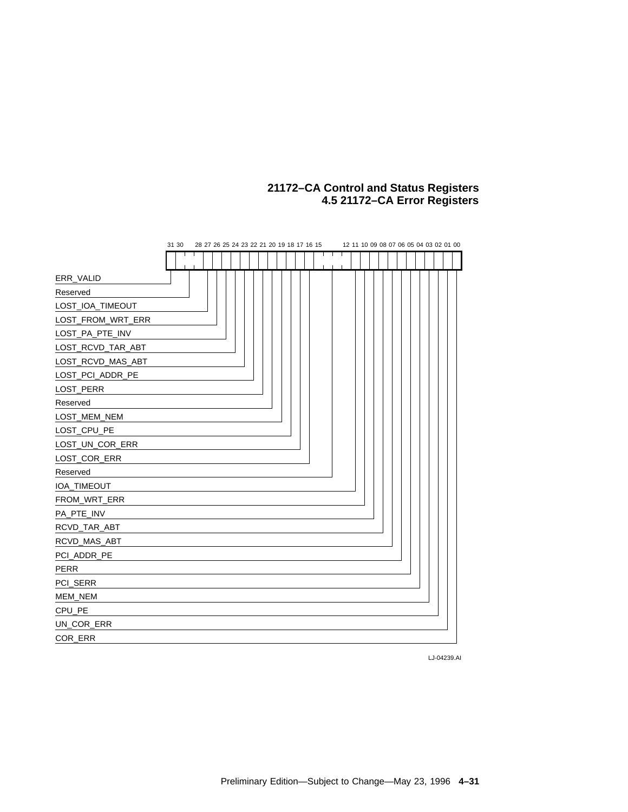|                   | 31 30 |  | 28 27 26 25 24 23 22 21 20 19 18 17 16 15 |  |  |  |  |  |  |  | 12 11 10 09 08 07 06 05 04 03 02 01 00 |  |  |
|-------------------|-------|--|-------------------------------------------|--|--|--|--|--|--|--|----------------------------------------|--|--|
|                   |       |  |                                           |  |  |  |  |  |  |  |                                        |  |  |
| ERR_VALID         |       |  |                                           |  |  |  |  |  |  |  |                                        |  |  |
| Reserved          |       |  |                                           |  |  |  |  |  |  |  |                                        |  |  |
| LOST_IOA_TIMEOUT  |       |  |                                           |  |  |  |  |  |  |  |                                        |  |  |
| LOST_FROM_WRT_ERR |       |  |                                           |  |  |  |  |  |  |  |                                        |  |  |
| LOST_PA_PTE_INV   |       |  |                                           |  |  |  |  |  |  |  |                                        |  |  |
| LOST_RCVD_TAR_ABT |       |  |                                           |  |  |  |  |  |  |  |                                        |  |  |
| LOST_RCVD_MAS_ABT |       |  |                                           |  |  |  |  |  |  |  |                                        |  |  |
| LOST_PCI_ADDR_PE  |       |  |                                           |  |  |  |  |  |  |  |                                        |  |  |
| LOST_PERR         |       |  |                                           |  |  |  |  |  |  |  |                                        |  |  |
| Reserved          |       |  |                                           |  |  |  |  |  |  |  |                                        |  |  |
| LOST_MEM_NEM      |       |  |                                           |  |  |  |  |  |  |  |                                        |  |  |
| LOST_CPU_PE       |       |  |                                           |  |  |  |  |  |  |  |                                        |  |  |
| LOST_UN_COR_ERR   |       |  |                                           |  |  |  |  |  |  |  |                                        |  |  |
| LOST_COR_ERR      |       |  |                                           |  |  |  |  |  |  |  |                                        |  |  |
| Reserved          |       |  |                                           |  |  |  |  |  |  |  |                                        |  |  |
| IOA_TIMEOUT       |       |  |                                           |  |  |  |  |  |  |  |                                        |  |  |
| FROM_WRT_ERR      |       |  |                                           |  |  |  |  |  |  |  |                                        |  |  |
| PA_PTE_INV        |       |  |                                           |  |  |  |  |  |  |  |                                        |  |  |
| RCVD_TAR_ABT      |       |  |                                           |  |  |  |  |  |  |  |                                        |  |  |
| RCVD_MAS_ABT      |       |  |                                           |  |  |  |  |  |  |  |                                        |  |  |
| PCI_ADDR_PE       |       |  |                                           |  |  |  |  |  |  |  |                                        |  |  |
| <b>PERR</b>       |       |  |                                           |  |  |  |  |  |  |  |                                        |  |  |
| PCI_SERR          |       |  |                                           |  |  |  |  |  |  |  |                                        |  |  |
| MEM_NEM           |       |  |                                           |  |  |  |  |  |  |  |                                        |  |  |
| CPU_PE            |       |  |                                           |  |  |  |  |  |  |  |                                        |  |  |
| UN_COR_ERR        |       |  |                                           |  |  |  |  |  |  |  |                                        |  |  |
| COR_ERR           |       |  |                                           |  |  |  |  |  |  |  |                                        |  |  |

LJ-04239.AI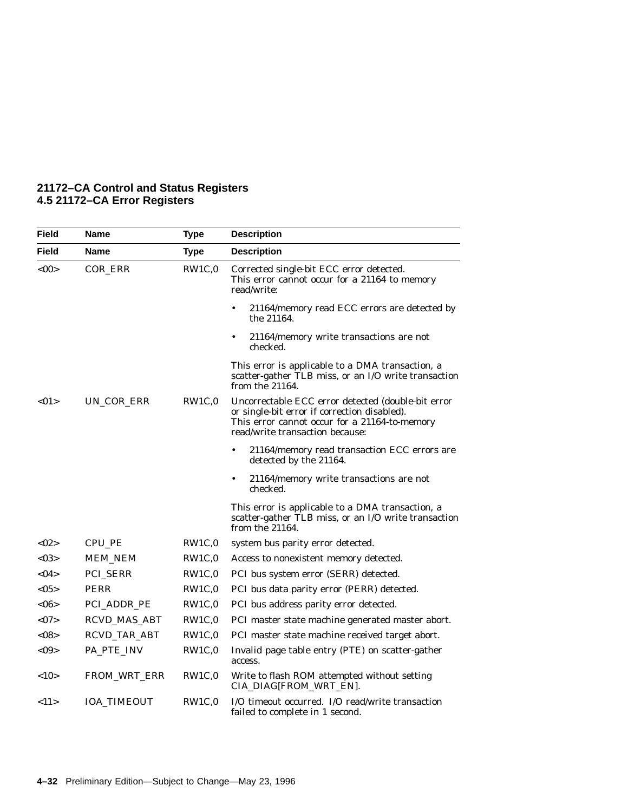| 21172-CA Control and Status Registers |  |  |
|---------------------------------------|--|--|
| 4.5 21172–CA Error Registers          |  |  |

| Field        | <b>Name</b>         | <b>Type</b> | <b>Description</b>                                                                                                                                                                     |
|--------------|---------------------|-------------|----------------------------------------------------------------------------------------------------------------------------------------------------------------------------------------|
| <b>Field</b> | Name                | <b>Type</b> | <b>Description</b>                                                                                                                                                                     |
| $<$ 00>      | COR_ERR             | RW1C,0      | Corrected single-bit ECC error detected.<br>This error cannot occur for a 21164 to memory<br>read/write:                                                                               |
|              |                     |             | 21164/memory read ECC errors are detected by<br>$\bullet$<br>the 21164.                                                                                                                |
|              |                     |             | 21164/memory write transactions are not<br>$\bullet$<br>checked.                                                                                                                       |
|              |                     |             | This error is applicable to a DMA transaction, a<br>scatter-gather TLB miss, or an I/O write transaction<br>from the 21164.                                                            |
| <01          | UN_COR_ERR          | RW1C,0      | Uncorrectable ECC error detected (double-bit error<br>or single-bit error if correction disabled).<br>This error cannot occur for a 21164-to-memory<br>read/write transaction because: |
|              |                     |             | 21164/memory read transaction ECC errors are<br>$\bullet$<br>detected by the 21164.                                                                                                    |
|              |                     |             | $\bullet$<br>21164/memory write transactions are not<br>checked.                                                                                                                       |
|              |                     |             | This error is applicable to a DMA transaction, a<br>scatter-gather TLB miss, or an I/O write transaction<br>from the 21164.                                                            |
| <02>         | CPU_PE              | RW1C,0      | system bus parity error detected.                                                                                                                                                      |
| <03>         | <b>MEM_NEM</b>      | RW1C,0      | Access to nonexistent memory detected.                                                                                                                                                 |
| $<$ 04 $>$   | <b>PCI_SERR</b>     | RW1C,0      | PCI bus system error (SERR) detected.                                                                                                                                                  |
| $<$ 05>      | <b>PERR</b>         | RW1C,0      | PCI bus data parity error (PERR) detected.                                                                                                                                             |
| $<$ 06>      | PCI_ADDR_PE         | RW1C,0      | PCI bus address parity error detected.                                                                                                                                                 |
| <07          | <b>RCVD_MAS_ABT</b> | RW1C,0      | PCI master state machine generated master abort.                                                                                                                                       |
| <08          | RCVD_TAR_ABT        | RW1C,0      | PCI master state machine received target abort.                                                                                                                                        |
| $<$ 09>      | PA_PTE_INV          | RW1C,0      | Invalid page table entry (PTE) on scatter-gather<br>access.                                                                                                                            |
| <10          | FROM_WRT_ERR        | RW1C,0      | Write to flash ROM attempted without setting<br>CIA_DIAG[FROM_WRT_EN].                                                                                                                 |
| <11>         | <b>IOA_TIMEOUT</b>  | RW1C,0      | I/O timeout occurred. I/O read/write transaction<br>failed to complete in 1 second.                                                                                                    |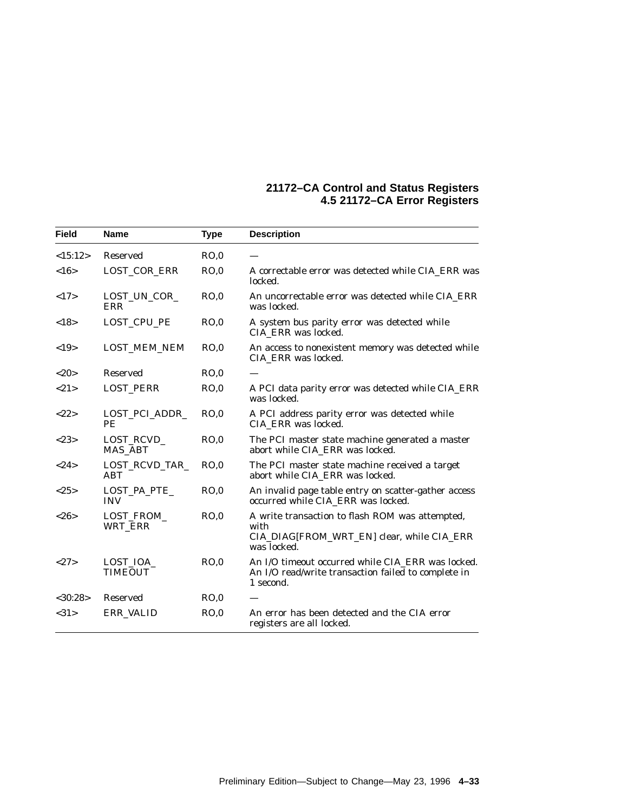| <b>Field</b> | <b>Name</b>                  | <b>Type</b> | <b>Description</b>                                                                                                    |
|--------------|------------------------------|-------------|-----------------------------------------------------------------------------------------------------------------------|
| <15:12>      | <b>Reserved</b>              | RO.0        |                                                                                                                       |
| <16>         | LOST_COR_ERR                 | RO.0        | A correctable error was detected while CIA ERR was<br>locked.                                                         |
| <17>         | LOST_UN_COR_<br>ERR          | RO,0        | An uncorrectable error was detected while CIA ERR<br>was locked.                                                      |
| <18>         | LOST_CPU_PE                  | RO.0        | A system bus parity error was detected while<br>CIA ERR was locked.                                                   |
| <19>         | <b>LOST_MEM_NEM</b>          | RO.0        | An access to nonexistent memory was detected while<br>CIA ERR was locked.                                             |
| <20          | <b>Reserved</b>              | RO.0        |                                                                                                                       |
| <21>         | <b>LOST_PERR</b>             | RO.0        | A PCI data parity error was detected while CIA_ERR<br>was locked.                                                     |
| <22>         | LOST_PCI_ADDR_<br>PE         | RO.0        | A PCI address parity error was detected while<br>CIA ERR was locked.                                                  |
| <23>         | LOST_RCVD_<br><b>MAS_ABT</b> | RO.0        | The PCI master state machine generated a master<br>abort while CIA_ERR was locked.                                    |
| <24>         | LOST_RCVD_TAR_<br>ABT        | RO.0        | The PCI master state machine received a target<br>abort while CIA ERR was locked.                                     |
| <25>         | LOST_PA_PTE_<br><b>INV</b>   | RO,0        | An invalid page table entry on scatter-gather access<br>occurred while CIA_ERR was locked.                            |
| <26          | LOST_FROM_<br>WRT_ERR        | RO.0        | A write transaction to flash ROM was attempted,<br>with<br>CIA_DIAG[FROM_WRT_EN] clear, while CIA_ERR<br>was locked.  |
| <27>         | LOST_IOA_<br><b>TIMEOUT</b>  | RO,0        | An I/O timeout occurred while CIA_ERR was locked.<br>An I/O read/write transaction failed to complete in<br>1 second. |
| < 30:28>     | <b>Reserved</b>              | RO.0        |                                                                                                                       |
| <31>         | ERR_VALID                    | RO,0        | An error has been detected and the CIA error<br>registers are all locked.                                             |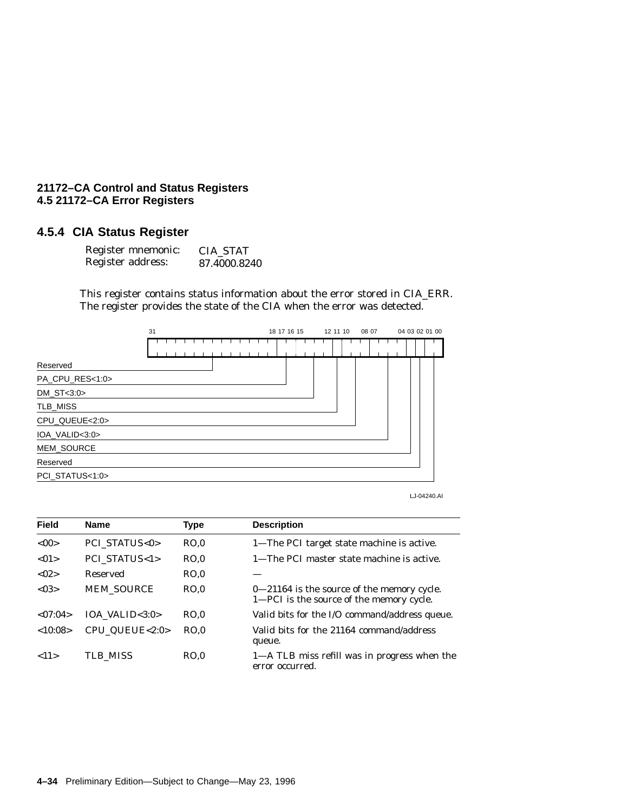## **4.5.4 CIA Status Register**

| Register mnemonic: | <b>CIA STAT</b> |
|--------------------|-----------------|
| Register address:  | 87.4000.8240    |

This register contains status information about the error stored in CIA\_ERR. The register provides the state of the CIA when the error was detected.



LJ-04240.AI

| <b>Field</b> | <b>Name</b>                | Type | <b>Description</b>                                                                     |
|--------------|----------------------------|------|----------------------------------------------------------------------------------------|
| < 00         | <b>PCI STATUS&lt;0&gt;</b> | RO.0 | 1—The PCI target state machine is active.                                              |
| < 01         | <b>PCI STATUS&lt;1&gt;</b> | RO.0 | 1—The PCI master state machine is active.                                              |
| < 02         | Reserved                   | RO.0 |                                                                                        |
| < 0.3        | <b>MEM SOURCE</b>          | RO.0 | 0-21164 is the source of the memory cycle.<br>1—PCI is the source of the memory cycle. |
| < 07:04>     | IOA VALID $<$ 3:0 $>$      | RO.0 | Valid bits for the I/O command/address queue.                                          |
| <10:08>      | CPU QUEUE<2:0>             | RO.0 | Valid bits for the 21164 command/address<br>queue.                                     |
| <11>         | TLB MISS                   | RO.0 | 1—A TLB miss refill was in progress when the<br>error occurred.                        |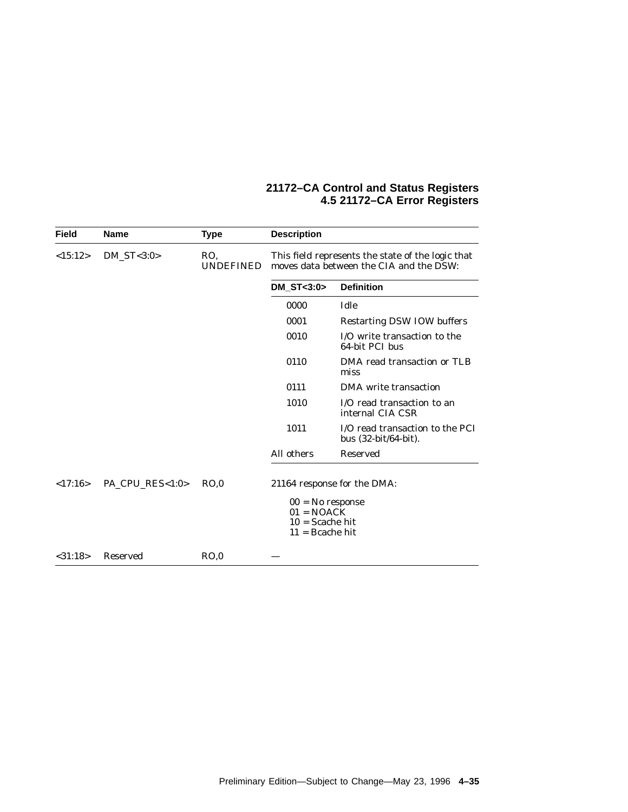| <b>Field</b>                      | <b>Name</b>     | <b>Type</b>      | <b>Description</b>                                                           |                                                                                              |  |  |  |  |
|-----------------------------------|-----------------|------------------|------------------------------------------------------------------------------|----------------------------------------------------------------------------------------------|--|--|--|--|
| <15:12><br>$DM\_ST < 3:0>$<br>RO. |                 | <b>UNDEFINED</b> |                                                                              | This field represents the state of the logic that<br>moves data between the CIA and the DSW: |  |  |  |  |
|                                   |                 |                  | $DM$ ST $<$ 3:0 $>$                                                          | <b>Definition</b>                                                                            |  |  |  |  |
|                                   |                 |                  | 0000                                                                         | Idle                                                                                         |  |  |  |  |
|                                   |                 |                  | 0001                                                                         | <b>Restarting DSW IOW buffers</b>                                                            |  |  |  |  |
|                                   |                 |                  | 0010                                                                         | I/O write transaction to the<br>64-bit PCI bus                                               |  |  |  |  |
|                                   |                 |                  | 0110                                                                         | DMA read transaction or TLB<br>miss                                                          |  |  |  |  |
|                                   |                 |                  | 0111                                                                         | DMA write transaction                                                                        |  |  |  |  |
|                                   |                 |                  | 1010                                                                         | I/O read transaction to an<br>internal CIA CSR                                               |  |  |  |  |
|                                   |                 |                  | 1011                                                                         | I/O read transaction to the PCI<br>bus $(32-bit/64-bit)$ .                                   |  |  |  |  |
|                                   |                 |                  | All others                                                                   | <b>Reserved</b>                                                                              |  |  |  |  |
| <17:16>                           | PA CPU RES<1:0> | RO.0             | $00 = No$ response<br>$01 = NOACK$<br>$10 =$ Scache hit<br>$11 =$ Bcache hit | 21164 response for the DMA:                                                                  |  |  |  |  |
| $<$ 31:18 $>$                     | Reserved        | RO.0             |                                                                              |                                                                                              |  |  |  |  |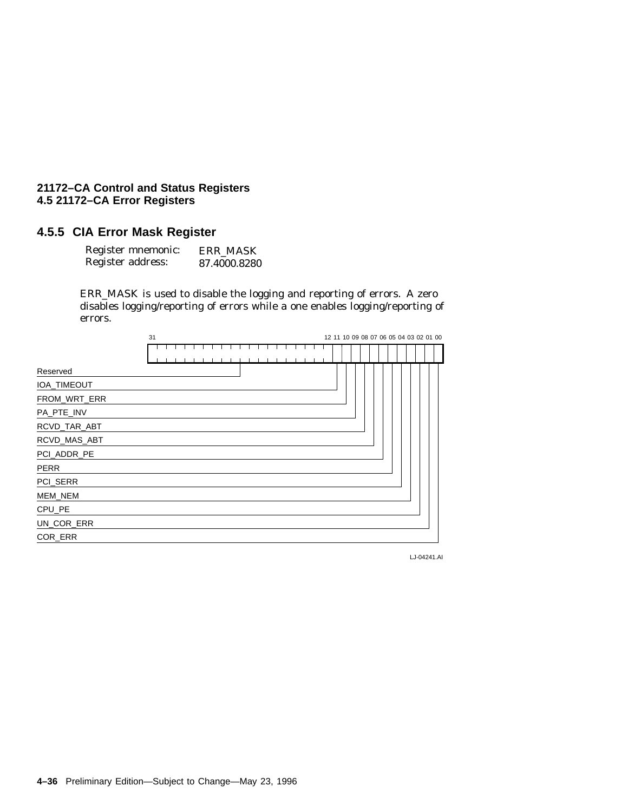## **4.5.5 CIA Error Mask Register**

| Register mnemonic: | <b>ERR MASK</b> |
|--------------------|-----------------|
| Register address:  | 87.4000.8280    |

ERR\_MASK is used to disable the logging and reporting of errors. A zero disables logging/reporting of errors while a one enables logging/reporting of errors.

|              | 31 |  |  |  |  |  |  |  |  |  |  |  |  |  |  |  | 12 11 10 09 08 07 06 05 04 03 02 01 00 |
|--------------|----|--|--|--|--|--|--|--|--|--|--|--|--|--|--|--|----------------------------------------|
|              |    |  |  |  |  |  |  |  |  |  |  |  |  |  |  |  |                                        |
| Reserved     |    |  |  |  |  |  |  |  |  |  |  |  |  |  |  |  |                                        |
| IOA_TIMEOUT  |    |  |  |  |  |  |  |  |  |  |  |  |  |  |  |  |                                        |
| FROM_WRT_ERR |    |  |  |  |  |  |  |  |  |  |  |  |  |  |  |  |                                        |
| PA_PTE_INV   |    |  |  |  |  |  |  |  |  |  |  |  |  |  |  |  |                                        |
| RCVD_TAR_ABT |    |  |  |  |  |  |  |  |  |  |  |  |  |  |  |  |                                        |
| RCVD_MAS_ABT |    |  |  |  |  |  |  |  |  |  |  |  |  |  |  |  |                                        |
| PCI_ADDR_PE  |    |  |  |  |  |  |  |  |  |  |  |  |  |  |  |  |                                        |
| <b>PERR</b>  |    |  |  |  |  |  |  |  |  |  |  |  |  |  |  |  |                                        |
| PCI_SERR     |    |  |  |  |  |  |  |  |  |  |  |  |  |  |  |  |                                        |
| MEM_NEM      |    |  |  |  |  |  |  |  |  |  |  |  |  |  |  |  |                                        |
| CPU_PE       |    |  |  |  |  |  |  |  |  |  |  |  |  |  |  |  |                                        |
| UN_COR_ERR   |    |  |  |  |  |  |  |  |  |  |  |  |  |  |  |  |                                        |
| COR_ERR      |    |  |  |  |  |  |  |  |  |  |  |  |  |  |  |  |                                        |
|              |    |  |  |  |  |  |  |  |  |  |  |  |  |  |  |  |                                        |

LJ-04241.AI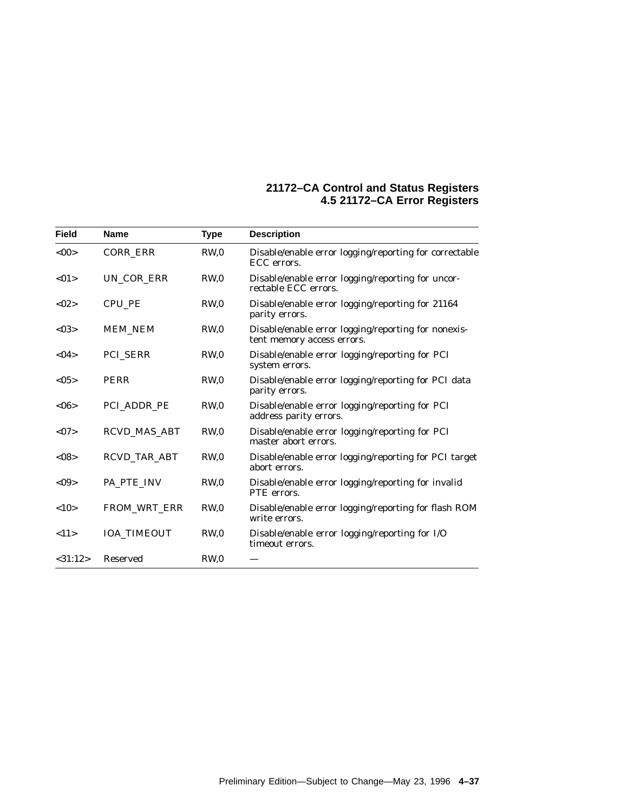| <b>Field</b> | <b>Name</b>         | <b>Type</b>     | <b>Description</b>                                                                |
|--------------|---------------------|-----------------|-----------------------------------------------------------------------------------|
| <00          | <b>CORR ERR</b>     | RW <sub>0</sub> | Disable/enable error logging/reporting for correctable<br>ECC errors.             |
| <01>         | UN COR ERR          | RW <sub>0</sub> | Disable/enable error logging/reporting for uncor-<br>rectable ECC errors.         |
| < 02         | <b>CPU PE</b>       | RW <sub>0</sub> | Disable/enable error logging/reporting for 21164<br>parity errors.                |
| < 03         | <b>MEM_NEM</b>      | RW <sub>0</sub> | Disable/enable error logging/reporting for nonexis-<br>tent memory access errors. |
| < 04         | PCI_SERR            | RW <sub>0</sub> | Disable/enable error logging/reporting for PCI<br>system errors.                  |
| <05>         | <b>PERR</b>         | RW,0            | Disable/enable error logging/reporting for PCI data<br>parity errors.             |
| <06          | PCI ADDR PE         | RW <sub>0</sub> | Disable/enable error logging/reporting for PCI<br>address parity errors.          |
| <07          | <b>RCVD MAS ABT</b> | RW <sub>0</sub> | Disable/enable error logging/reporting for PCI<br>master abort errors.            |
| < 08         | <b>RCVD TAR ABT</b> | RW <sub>0</sub> | Disable/enable error logging/reporting for PCI target<br>abort errors.            |
| < 09         | PA_PTE_INV          | RW,0            | Disable/enable error logging/reporting for invalid<br>PTE errors.                 |
| <10>         | <b>FROM WRT ERR</b> | RW <sub>0</sub> | Disable/enable error logging/reporting for flash ROM<br>write errors.             |
| <11>         | <b>IOA TIMEOUT</b>  | RW <sub>0</sub> | Disable/enable error logging/reporting for I/O<br>timeout errors.                 |
| $<$ 31:12>   | <b>Reserved</b>     | RW <sub>0</sub> |                                                                                   |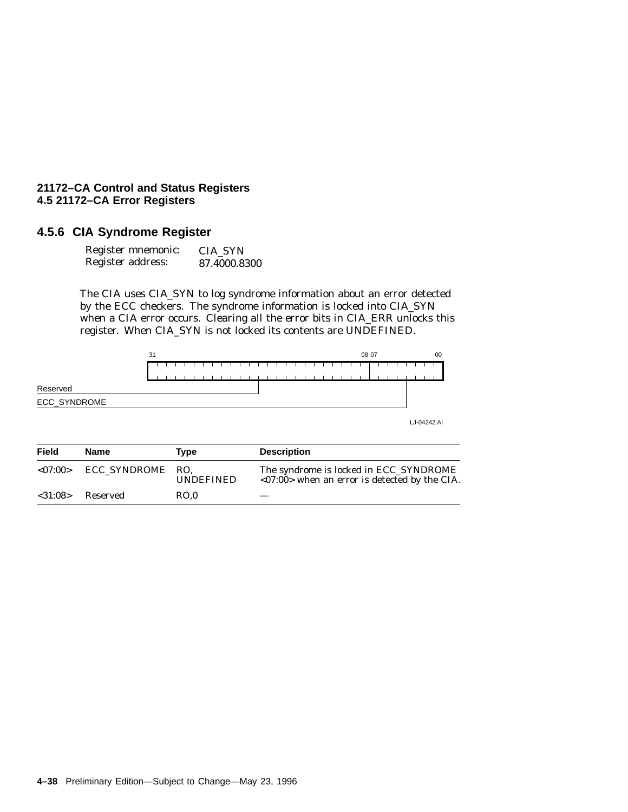### **4.5.6 CIA Syndrome Register**

| Register mnemonic: | <b>CIA SYN</b> |
|--------------------|----------------|
| Register address:  | 87.4000.8300   |

The CIA uses CIA\_SYN to log syndrome information about an error detected by the ECC checkers. The syndrome information is locked into CIA\_SYN when a CIA error occurs. Clearing all the error bits in CIA\_ERR unlocks this register. When CIA\_SYN is not locked its contents are UNDEFINED.



| Field   | Name         | Tvpe                    | <b>Description</b>                                                                        |
|---------|--------------|-------------------------|-------------------------------------------------------------------------------------------|
| < 07:00 | ECC_SYNDROME | RO.<br><b>UNDEFINED</b> | The syndrome is locked in ECC_SYNDROME<br>$<07:00>$ when an error is detected by the CIA. |
| < 31:08 | Reserved     | RO.0                    |                                                                                           |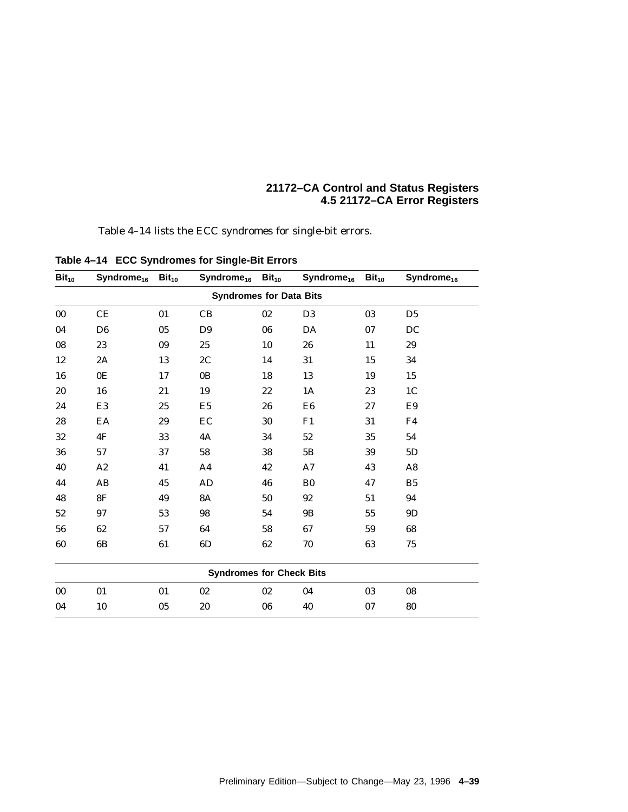Table 4–14 lists the ECC syndromes for single-bit errors.

| Bit <sub>10</sub> | Syndrome <sub>16</sub> Bit <sub>10</sub> |    | $Syndrome_{16}$ Bit <sub>10</sub> |    | Syndrome <sub>16</sub> Bit <sub>10</sub> |    | Syndrome <sub>16</sub> |
|-------------------|------------------------------------------|----|-----------------------------------|----|------------------------------------------|----|------------------------|
|                   |                                          |    | <b>Syndromes for Data Bits</b>    |    |                                          |    |                        |
| $00\,$            | CE                                       | 01 | CB                                | 02 | D <sub>3</sub>                           | 03 | D <sub>5</sub>         |
| 04                | D <sub>6</sub>                           | 05 | D <sub>9</sub>                    | 06 | DA                                       | 07 | DC                     |
| 08                | 23                                       | 09 | 25                                | 10 | 26                                       | 11 | 29                     |
| 12                | 2A                                       | 13 | 2C                                | 14 | 31                                       | 15 | 34                     |
| 16                | 0E                                       | 17 | 0B                                | 18 | 13                                       | 19 | $15\,$                 |
| 20                | ${\bf 16}$                               | 21 | 19                                | 22 | 1A                                       | 23 | 1 <sup>C</sup>         |
| 24                | E <sub>3</sub>                           | 25 | E <sub>5</sub>                    | 26 | E <sub>6</sub>                           | 27 | E9                     |
| 28                | EA                                       | 29 | EC                                | 30 | F1                                       | 31 | F4                     |
| 32                | 4F                                       | 33 | 4A                                | 34 | 52                                       | 35 | 54                     |
| 36                | 57                                       | 37 | 58                                | 38 | 5B                                       | 39 | 5D                     |
| 40                | A2                                       | 41 | A <sub>4</sub>                    | 42 | A7                                       | 43 | A <sub>8</sub>         |
| 44                | AB                                       | 45 | AD                                | 46 | B <sub>0</sub>                           | 47 | B <sub>5</sub>         |
| 48                | 8F                                       | 49 | <b>8A</b>                         | 50 | 92                                       | 51 | 94                     |
| 52                | 97                                       | 53 | 98                                | 54 | 9B                                       | 55 | 9D                     |
| 56                | 62                                       | 57 | 64                                | 58 | 67                                       | 59 | 68                     |
| 60                | 6B                                       | 61 | 6D                                | 62 | 70                                       | 63 | 75                     |
|                   |                                          |    |                                   |    |                                          |    |                        |
|                   |                                          |    | <b>Syndromes for Check Bits</b>   |    |                                          |    |                        |
| $00\,$            | 01                                       | 01 | 02                                | 02 | 04                                       | 03 | 08                     |
| 04                | 10                                       | 05 | 20                                | 06 | 40                                       | 07 | 80                     |

**Table 4–14 ECC Syndromes for Single-Bit Errors**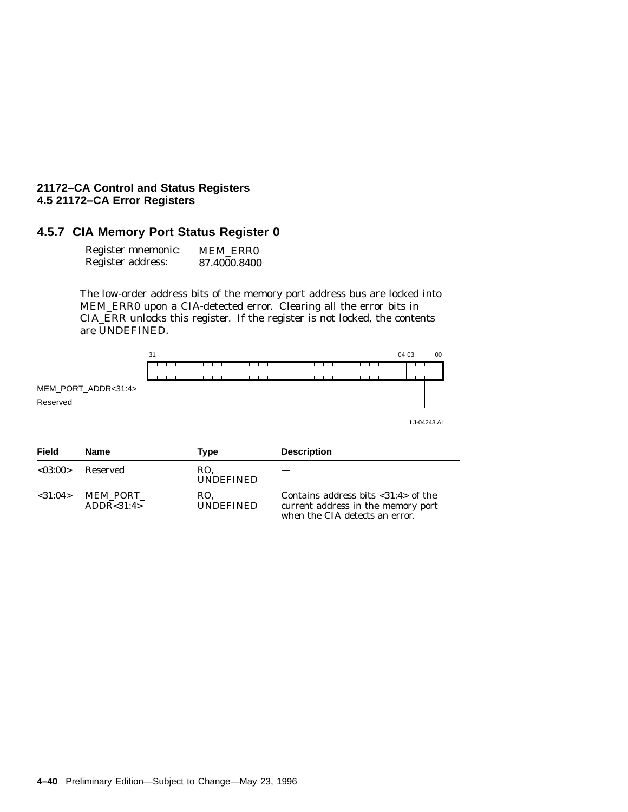## **4.5.7 CIA Memory Port Status Register 0**

| Register mnemonic: | <b>MEM ERRO</b> |
|--------------------|-----------------|
| Register address:  | 87.4000.8400    |

The low-order address bits of the memory port address bus are locked into MEM\_ERR0 upon a CIA-detected error. Clearing all the error bits in CIA\_ERR unlocks this register. If the register is not locked, the contents are UNDEFINED.



| <b>Field</b>  | Name                     | Type                    | <b>Description</b>                                                                                                |
|---------------|--------------------------|-------------------------|-------------------------------------------------------------------------------------------------------------------|
| < 0.3:00      | Reserved                 | RO.<br><b>UNDEFINED</b> |                                                                                                                   |
| $<$ 31:04 $>$ | MEM PORT<br>ADDR < 31:4> | RO.<br><b>UNDEFINED</b> | Contains address bits $<$ 31:4 $>$ of the<br>current address in the memory port<br>when the CIA detects an error. |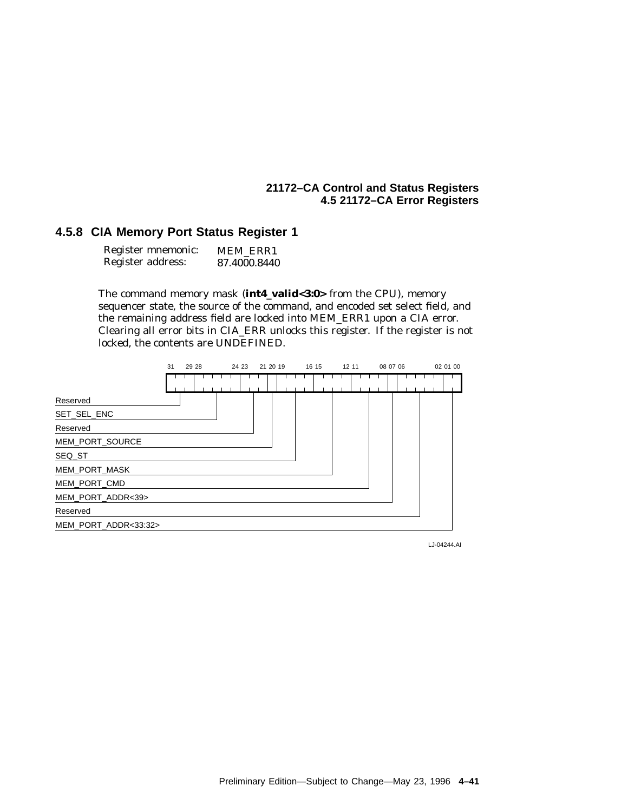## **4.5.8 CIA Memory Port Status Register 1**

| Register mnemonic: | <b>MEM ERR1</b> |
|--------------------|-----------------|
| Register address:  | 87.4000.8440    |

The command memory mask (**int4\_valid<3:0>** from the CPU), memory sequencer state, the source of the command, and encoded set select field, and the remaining address field are locked into MEM\_ERR1 upon a CIA error. Clearing all error bits in CIA\_ERR unlocks this register. If the register is not locked, the contents are UNDEFINED.



LJ-04244.AI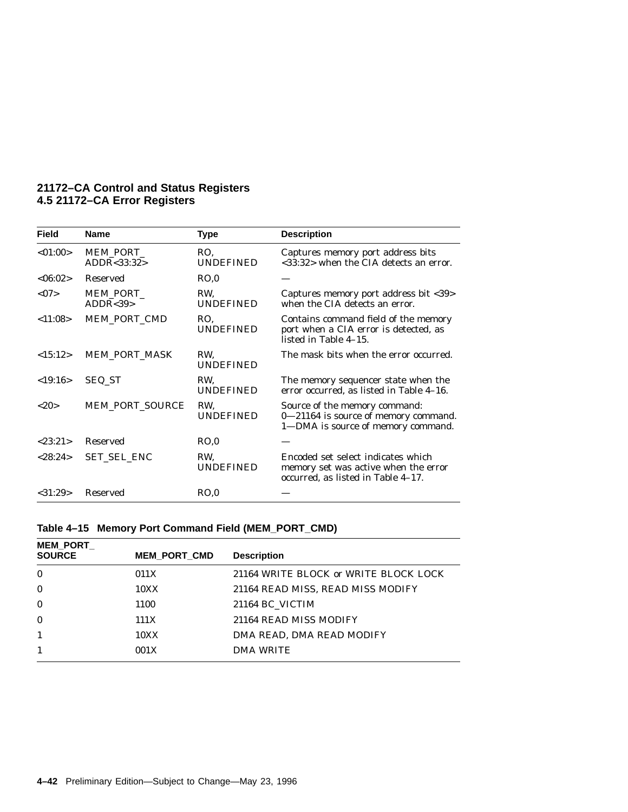| <b>Field</b> | <b>Name</b>             | <b>Type</b>             | <b>Description</b>                                                                                               |
|--------------|-------------------------|-------------------------|------------------------------------------------------------------------------------------------------------------|
| < 01:00>     | MEM PORT<br>ADDR<33:32> | RO.<br><b>UNDEFINED</b> | Captures memory port address bits<br><33:32> when the CIA detects an error.                                      |
| <06:02>      | Reserved                | RO.0                    |                                                                                                                  |
| <07          | MEM_PORT_<br>ADDR < 39  | RW.<br><b>UNDEFINED</b> | Captures memory port address bit <39><br>when the CIA detects an error.                                          |
| < 11:08>     | MEM PORT CMD            | RO.<br><b>UNDEFINED</b> | Contains command field of the memory<br>port when a CIA error is detected, as<br>listed in Table 4-15.           |
| <15:12>      | <b>MEM_PORT_MASK</b>    | RW.<br><b>UNDEFINED</b> | The mask bits when the error occurred.                                                                           |
| < 19:16>     | SEQ_ST                  | RW.<br><b>UNDEFINED</b> | The memory sequencer state when the<br>error occurred, as listed in Table 4-16.                                  |
| <20          | <b>MEM PORT SOURCE</b>  | RW,<br><b>UNDEFINED</b> | Source of the memory command:<br>0-21164 is source of memory command.<br>1-DMA is source of memory command.      |
| < 23:21      | <b>Reserved</b>         | RO.0                    |                                                                                                                  |
| < 28:24>     | SET SEL ENC             | RW.<br><b>UNDEFINED</b> | Encoded set select indicates which<br>memory set was active when the error<br>occurred, as listed in Table 4-17. |
| $<$ 31:29>   | <b>Reserved</b>         | RO,0                    |                                                                                                                  |

| Table 4-15 Memory Port Command Field (MEM_PORT_CMD) |  |  |  |  |  |  |  |  |
|-----------------------------------------------------|--|--|--|--|--|--|--|--|
|-----------------------------------------------------|--|--|--|--|--|--|--|--|

| <b>MEM_PORT</b><br><b>SOURCE</b> | <b>MEM PORT CMD</b> | <b>Description</b>                    |
|----------------------------------|---------------------|---------------------------------------|
| $\bf{0}$                         | 011X                | 21164 WRITE BLOCK or WRITE BLOCK LOCK |
| $\bf{0}$                         | 10XX                | 21164 READ MISS, READ MISS MODIFY     |
| $\bf{0}$                         | 1100                | 21164 BC VICTIM                       |
| $\bf{0}$                         | 111X                | 21164 READ MISS MODIFY                |
|                                  | 10XX                | DMA READ. DMA READ MODIFY             |
|                                  | 001X                | <b>DMA WRITE</b>                      |
|                                  |                     |                                       |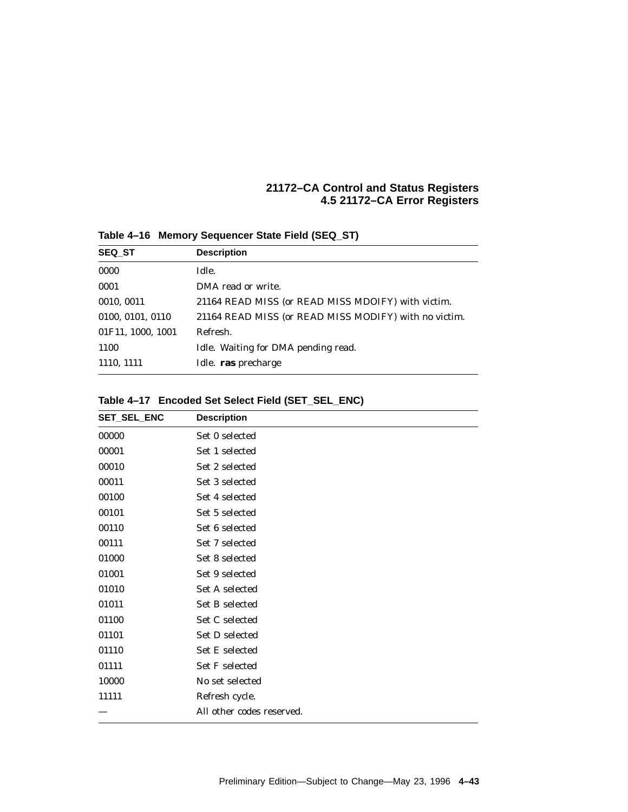| <b>SEQ ST</b>     | <b>Description</b>                                    |  |  |  |
|-------------------|-------------------------------------------------------|--|--|--|
| 0000              | Idle.                                                 |  |  |  |
| 0001              | DMA read or write.                                    |  |  |  |
| 0010, 0011        | 21164 READ MISS (or READ MISS MDOIFY) with victim.    |  |  |  |
| 0100, 0101, 0110  | 21164 READ MISS (or READ MISS MODIFY) with no victim. |  |  |  |
| 01F11, 1000, 1001 | Refresh.                                              |  |  |  |
| 1100              | Idle. Waiting for DMA pending read.                   |  |  |  |
| 1110, 1111        | Idle. ras precharge                                   |  |  |  |
|                   |                                                       |  |  |  |

**Table 4–16 Memory Sequencer State Field (SEQ\_ST)**

## **Table 4–17 Encoded Set Select Field (SET\_SEL\_ENC)**

| SET_SEL_ENC | <b>Description</b>        |
|-------------|---------------------------|
| 00000       | Set 0 selected            |
| 00001       | Set 1 selected            |
| 00010       | Set 2 selected            |
| 00011       | Set 3 selected            |
| 00100       | Set 4 selected            |
| 00101       | Set 5 selected            |
| 00110       | Set 6 selected            |
| 00111       | Set 7 selected            |
| 01000       | Set 8 selected            |
| 01001       | Set 9 selected            |
| 01010       | Set A selected            |
| 01011       | Set B selected            |
| 01100       | Set C selected            |
| 01101       | Set D selected            |
| 01110       | Set E selected            |
| 01111       | <b>Set F selected</b>     |
| 10000       | No set selected           |
| 11111       | Refresh cycle.            |
|             | All other codes reserved. |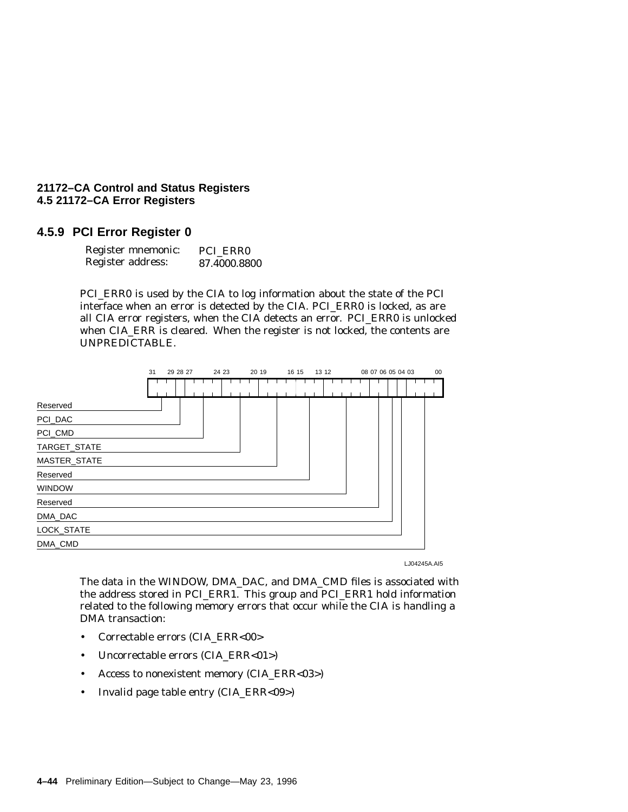## **4.5.9 PCI Error Register 0**

| Register mnemonic: | PCI ERRO     |
|--------------------|--------------|
| Register address:  | 87.4000.8800 |

PCI\_ERR0 is used by the CIA to log information about the state of the PCI interface when an error is detected by the CIA. PCI\_ERR0 is locked, as are all CIA error registers, when the CIA detects an error. PCI\_ERR0 is unlocked when CIA\_ERR is cleared. When the register is not locked, the contents are UNPREDICTABLE.



LJ04245A.AI5

The data in the WINDOW, DMA\_DAC, and DMA\_CMD files is associated with the address stored in PCI\_ERR1. This group and PCI\_ERR1 hold information related to the following memory errors that occur while the CIA is handling a DMA transaction:

- Correctable errors (CIA\_ERR<00>
- Uncorrectable errors (CIA\_ERR<01>)
- Access to nonexistent memory (CIA\_ERR<03>)
- Invalid page table entry (CIA\_ERR<09>)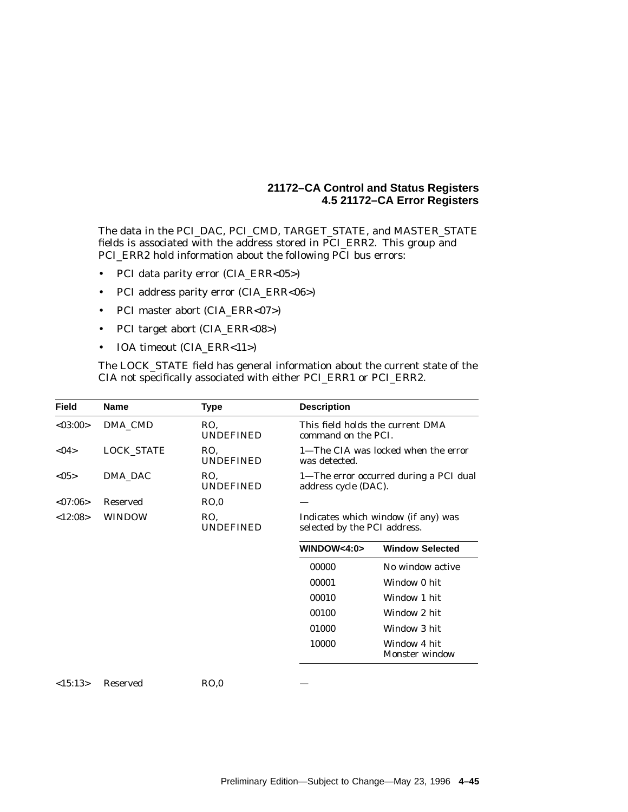The data in the PCI\_DAC, PCI\_CMD, TARGET\_STATE, and MASTER\_STATE fields is associated with the address stored in PCI\_ERR2. This group and PCI\_ERR2 hold information about the following PCI bus errors:

- PCI data parity error (CIA\_ERR<05>)
- PCI address parity error (CIA\_ERR<06>)
- PCI master abort (CIA\_ERR<07>)
- PCI target abort (CIA\_ERR<08>)
- IOA timeout (CIA\_ERR<11>)

The LOCK\_STATE field has general information about the current state of the CIA not specifically associated with either PCI\_ERR1 or PCI\_ERR2.

| <b>Field</b> | <b>Name</b>       | <b>Type</b>             | <b>Description</b>                                                  |                                        |
|--------------|-------------------|-------------------------|---------------------------------------------------------------------|----------------------------------------|
| < 03:00      | DMA_CMD           | RO.<br><b>UNDEFINED</b> | command on the PCI.                                                 | This field holds the current DMA       |
| $04$         | <b>LOCK_STATE</b> | RO.<br><b>UNDEFINED</b> | was detected.                                                       | 1—The CIA was locked when the error    |
| <05>         | DMA_DAC           | RO.<br><b>UNDEFINED</b> | address cycle (DAC).                                                | 1—The error occurred during a PCI dual |
| < 07:06>     | <b>Reserved</b>   | RO.0                    |                                                                     |                                        |
| <12:08>      | WINDOW            | RO.<br><b>UNDEFINED</b> | Indicates which window (if any) was<br>selected by the PCI address. |                                        |
|              |                   |                         | WINDOW<4:0>                                                         | <b>Window Selected</b>                 |
|              |                   |                         | 00000                                                               | No window active                       |
|              |                   |                         | 00001                                                               | Window 0 hit                           |
|              |                   |                         | 00010                                                               | Window 1 hit                           |
|              |                   |                         | 00100                                                               | Window 2 hit                           |
|              |                   |                         | 01000                                                               | Window 3 hit                           |
|              |                   |                         | 10000                                                               | Window 4 hit<br>Monster window         |
| <15:13>      | <b>Reserved</b>   | RO.0                    |                                                                     |                                        |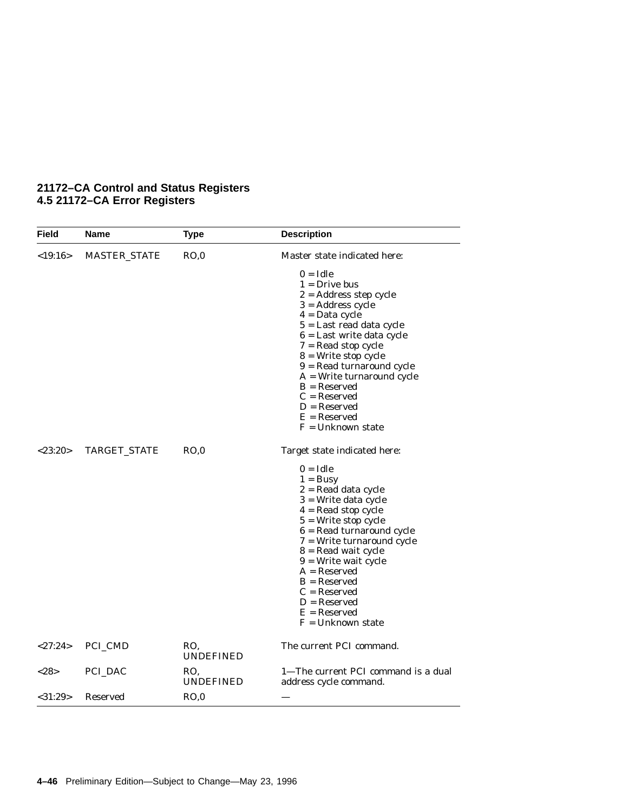| Field         | Name                | <b>Type</b>             | <b>Description</b>                                                                                                                                                                                                                                                                                                                                              |
|---------------|---------------------|-------------------------|-----------------------------------------------------------------------------------------------------------------------------------------------------------------------------------------------------------------------------------------------------------------------------------------------------------------------------------------------------------------|
| $<$ 19:16>    | <b>MASTER_STATE</b> | RO,0                    | Master state indicated here:                                                                                                                                                                                                                                                                                                                                    |
|               |                     |                         | $0 = Idle$<br>$1 =$ Drive bus<br>$2 =$ Address step cycle<br>$3 =$ Address cycle<br>$4 = Data cycle$<br>$5 =$ Last read data cycle<br>$6$ = Last write data cycle<br>$7 = Read stop cycle$<br>$8 = Write stop cycle$<br>$9 = Read$ turnaround cycle<br>$A = Write$ turnaround cycle<br>$B =$ Reserved<br>$C =$ Reserved<br>$D =$ Reserved                       |
|               |                     |                         | $E =$ Reserved<br>$F =$ Unknown state                                                                                                                                                                                                                                                                                                                           |
| $<$ 23:20 $>$ | <b>TARGET_STATE</b> | RO.0                    | Target state indicated here:                                                                                                                                                                                                                                                                                                                                    |
|               |                     |                         | $0 = Idle$<br>$1 = Busy$<br>$2 =$ Read data cycle<br>$3$ = Write data cycle<br>$4 =$ Read stop cycle<br>$5 = Write stop cycle$<br>$6 = Read$ turnaround cycle<br>$7$ = Write turnaround cycle<br>8 = Read wait cycle<br>$9$ = Write wait cycle<br>$A =$ Reserved<br>$B =$ Reserved<br>$C =$ Reserved<br>$D =$ Reserved<br>$E =$ Reserved<br>$F =$ Unknown state |
| <27:24>       | <b>PCI_CMD</b>      | RO.<br><b>UNDEFINED</b> | The current PCI command.                                                                                                                                                                                                                                                                                                                                        |
| <28>          | PCI_DAC             | RO,<br><b>UNDEFINED</b> | 1-The current PCI command is a dual<br>address cycle command.                                                                                                                                                                                                                                                                                                   |
| $<$ 31:29>    | <b>Reserved</b>     | RO,0                    |                                                                                                                                                                                                                                                                                                                                                                 |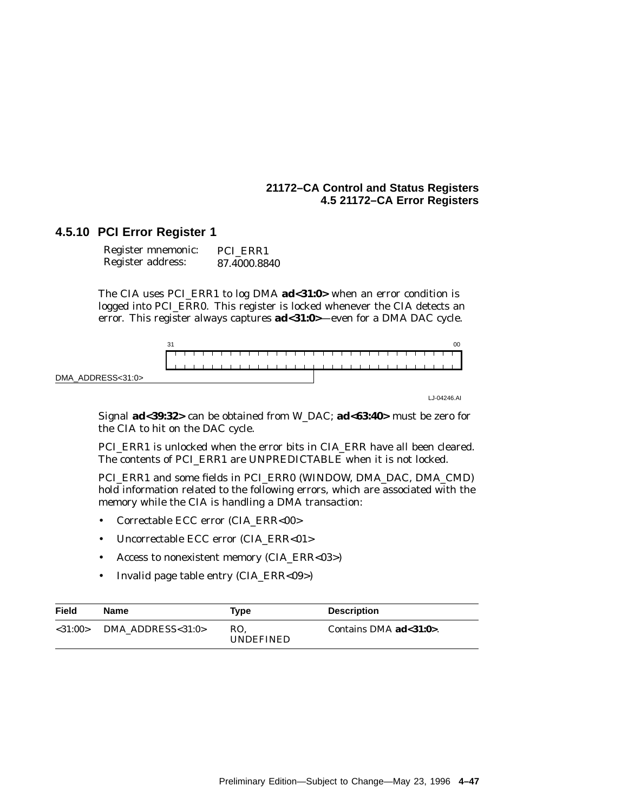## **4.5.10 PCI Error Register 1**

| Register mnemonic: | PCI ERR1     |
|--------------------|--------------|
| Register address:  | 87.4000.8840 |

The CIA uses PCI\_ERR1 to log DMA **ad<31:0>** when an error condition is logged into PCI\_ERR0. This register is locked whenever the CIA detects an error. This register always captures **ad<31:0>**—even for a DMA DAC cycle.



LJ-04246.AI

Signal **ad<39:32>** can be obtained from W\_DAC; **ad<63:40>** must be zero for the CIA to hit on the DAC cycle.

PCI\_ERR1 is unlocked when the error bits in CIA\_ERR have all been cleared. The contents of PCI\_ERR1 are UNPREDICTABLE when it is not locked.

PCI\_ERR1 and some fields in PCI\_ERR0 (WINDOW, DMA\_DAC, DMA\_CMD) hold information related to the following errors, which are associated with the memory while the CIA is handling a DMA transaction:

- Correctable ECC error (CIA\_ERR<00>
- Uncorrectable ECC error (CIA\_ERR<01>
- Access to nonexistent memory (CIA\_ERR<03>)
- Invalid page table entry (CIA\_ERR<09>)

| Field         | Name                     | Type                    | <b>Description</b>     |
|---------------|--------------------------|-------------------------|------------------------|
| $<$ 31:00 $>$ | DMA ADDRESS $<$ 31:0 $>$ | RO.<br><b>UNDEFINED</b> | Contains DMA ad<31:0>. |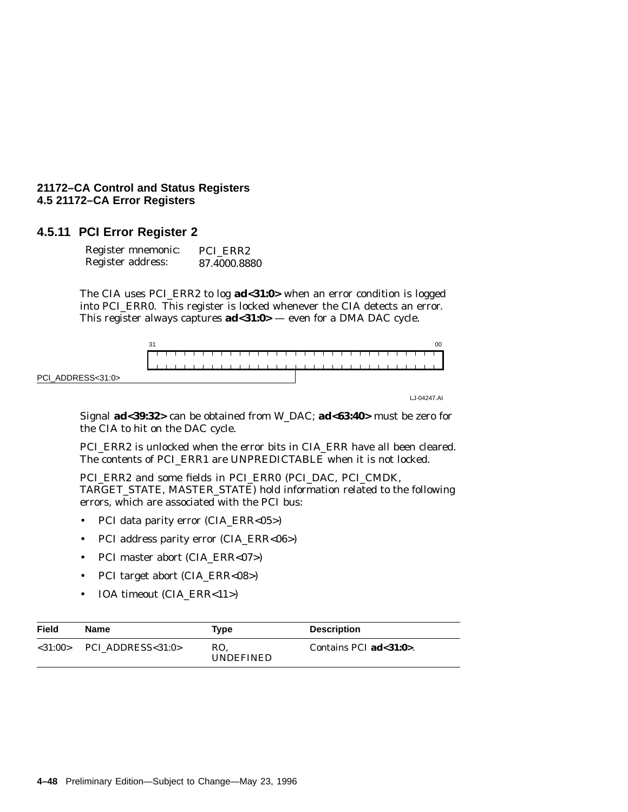## **4.5.11 PCI Error Register 2**

| Register mnemonic: | PCI ERR2     |
|--------------------|--------------|
| Register address:  | 87.4000.8880 |

The CIA uses PCI\_ERR2 to log **ad<31:0>** when an error condition is logged into PCI\_ERR0. This register is locked whenever the CIA detects an error. This register always captures **ad<31:0>** — even for a DMA DAC cycle.



LJ-04247.AI

Signal **ad<39:32>** can be obtained from W\_DAC; **ad<63:40>** must be zero for the CIA to hit on the DAC cycle.

PCI\_ERR2 is unlocked when the error bits in CIA\_ERR have all been cleared. The contents of PCI\_ERR1 are UNPREDICTABLE when it is not locked.

PCI\_ERR2 and some fields in PCI\_ERR0 (PCI\_DAC, PCI\_CMDK, TARGET\_STATE, MASTER\_STATE) hold information related to the following errors, which are associated with the PCI bus:

- PCI data parity error (CIA\_ERR<05>)
- PCI address parity error (CIA\_ERR<06>)
- PCI master abort (CIA\_ERR<07>)
- PCI target abort (CIA\_ERR<08>)
- IOA timeout (CIA\_ERR<11>)

| Field     | <b>Name</b>       | Type                    | <b>Description</b>         |
|-----------|-------------------|-------------------------|----------------------------|
| < 31:00 > | PCI ADDRESS<31:0> | RO.<br><b>UNDEFINED</b> | Contains PCI $ad < 31:0$ . |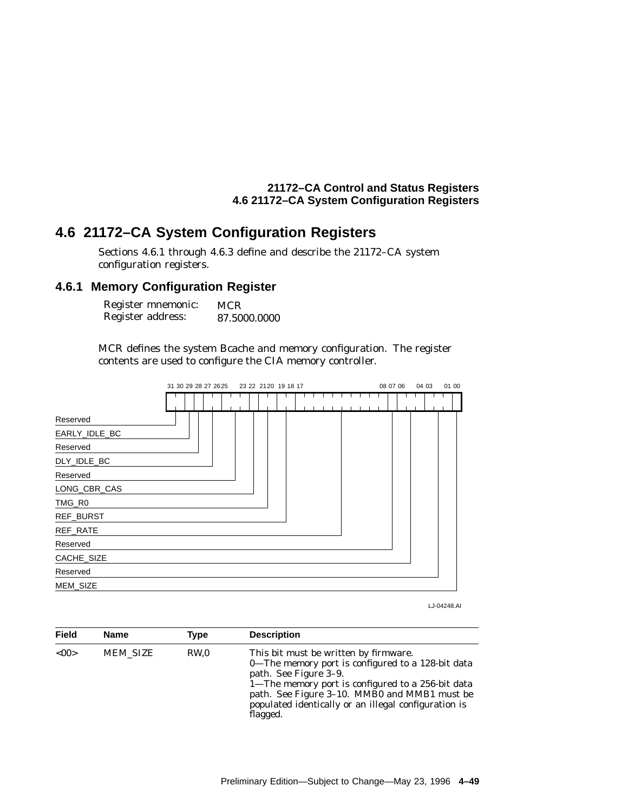# **4.6 21172–CA System Configuration Registers**

Sections 4.6.1 through 4.6.3 define and describe the 21172–CA system configuration registers.

## **4.6.1 Memory Configuration Register**

| Register mnemonic: | <b>MCR</b>   |
|--------------------|--------------|
| Register address:  | 87.5000.0000 |

MCR defines the system Bcache and memory configuration. The register contents are used to configure the CIA memory controller.



LJ-04248.AI

| Field | <b>Name</b>     | Type | <b>Description</b>                                                                                                                                                                                                                                                                           |
|-------|-----------------|------|----------------------------------------------------------------------------------------------------------------------------------------------------------------------------------------------------------------------------------------------------------------------------------------------|
| < 00  | <b>MEM SIZE</b> | RW.0 | This bit must be written by firmware.<br>0—The memory port is configured to a 128-bit data<br>path. See Figure 3–9.<br>1—The memory port is configured to a 256-bit data<br>path. See Figure 3–10. MMB0 and MMB1 must be<br>populated identically or an illegal configuration is<br>flagged. |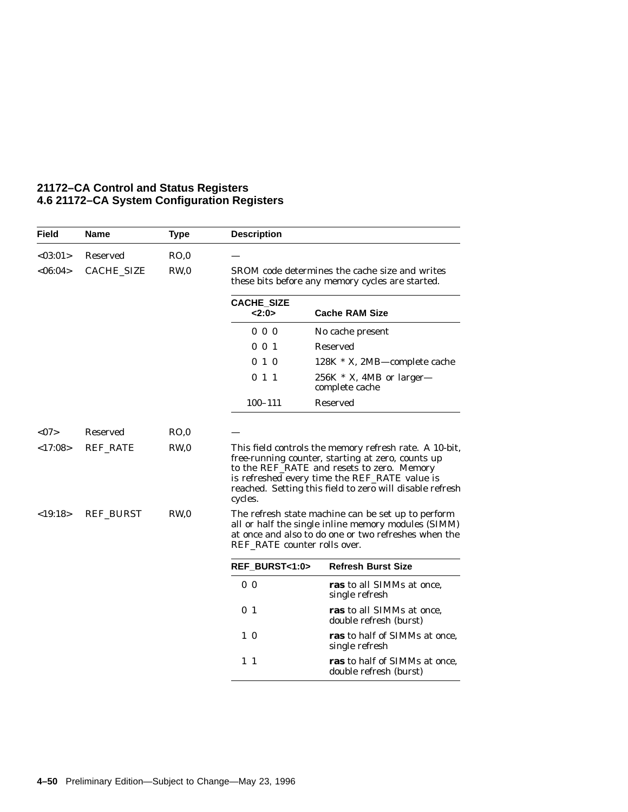| <b>Field</b>               | <b>Name</b>                                     | <b>Type</b>          | <b>Description</b>                                                                                                                                                                                                                                                                                                                                                                                                                                                                     |                                                         |
|----------------------------|-------------------------------------------------|----------------------|----------------------------------------------------------------------------------------------------------------------------------------------------------------------------------------------------------------------------------------------------------------------------------------------------------------------------------------------------------------------------------------------------------------------------------------------------------------------------------------|---------------------------------------------------------|
| <03:01>                    | Reserved                                        | RO,0                 |                                                                                                                                                                                                                                                                                                                                                                                                                                                                                        |                                                         |
| < 06:04>                   | <b>CACHE SIZE</b>                               | RW <sub>0</sub>      | SROM code determines the cache size and writes<br>these bits before any memory cycles are started.                                                                                                                                                                                                                                                                                                                                                                                     |                                                         |
|                            |                                                 |                      | <b>CACHE_SIZE</b><br>2:0>                                                                                                                                                                                                                                                                                                                                                                                                                                                              | <b>Cache RAM Size</b>                                   |
|                            |                                                 |                      | $0\quad 0\quad 0$                                                                                                                                                                                                                                                                                                                                                                                                                                                                      | No cache present                                        |
|                            |                                                 |                      | $0 \t 0 \t 1$                                                                                                                                                                                                                                                                                                                                                                                                                                                                          | <b>Reserved</b>                                         |
|                            |                                                 |                      | 010                                                                                                                                                                                                                                                                                                                                                                                                                                                                                    | 128K * X, 2MB—complete cache                            |
|                            |                                                 |                      | 011                                                                                                                                                                                                                                                                                                                                                                                                                                                                                    | $256K * X$ , 4MB or larger-<br>complete cache           |
|                            |                                                 |                      | $100 - 111$                                                                                                                                                                                                                                                                                                                                                                                                                                                                            | Reserved                                                |
| < 07<br><17:08><br><19:18> | Reserved<br><b>REF_RATE</b><br><b>REF_BURST</b> | RO.0<br>RW,0<br>RW,0 | This field controls the memory refresh rate. A 10-bit,<br>free-running counter, starting at zero, counts up<br>to the REF_RATE and resets to zero. Memory<br>is refreshed every time the REF_RATE value is<br>reached. Setting this field to zero will disable refresh<br>cycles.<br>The refresh state machine can be set up to perform<br>all or half the single inline memory modules (SIMM)<br>at once and also to do one or two refreshes when the<br>REF RATE counter rolls over. |                                                         |
|                            |                                                 |                      | REF BURST<1:0>                                                                                                                                                                                                                                                                                                                                                                                                                                                                         | <b>Refresh Burst Size</b>                               |
|                            |                                                 |                      | 0 <sub>0</sub>                                                                                                                                                                                                                                                                                                                                                                                                                                                                         | ras to all SIMMs at once,<br>single refresh             |
|                            |                                                 |                      | 0 <sub>1</sub>                                                                                                                                                                                                                                                                                                                                                                                                                                                                         | ras to all SIMMs at once,<br>double refresh (burst)     |
|                            |                                                 |                      | $1\quad0$                                                                                                                                                                                                                                                                                                                                                                                                                                                                              | ras to half of SIMMs at once,<br>single refresh         |
|                            |                                                 |                      | $1\quad1$                                                                                                                                                                                                                                                                                                                                                                                                                                                                              | ras to half of SIMMs at once,<br>double refresh (burst) |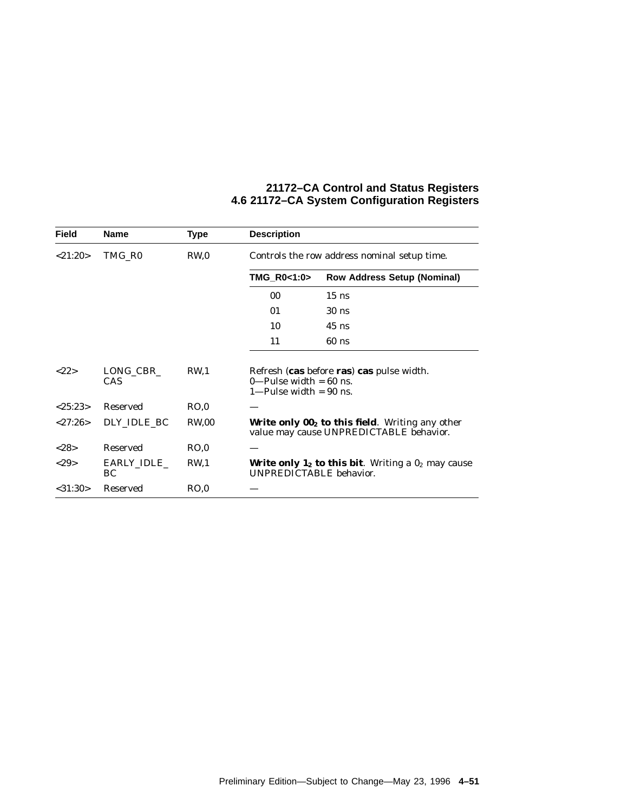| Field             | <b>Name</b>       | <b>Type</b>     | <b>Description</b>                                    |                                                                                                                |
|-------------------|-------------------|-----------------|-------------------------------------------------------|----------------------------------------------------------------------------------------------------------------|
| < 21:20>          | TMG RO            | RW <sub>0</sub> | Controls the row address nominal setup time.          |                                                                                                                |
|                   |                   |                 | TMG_R0<1:0>                                           | <b>Row Address Setup (Nominal)</b>                                                                             |
|                   |                   |                 | 00                                                    | $15$ ns                                                                                                        |
|                   |                   |                 | 01                                                    | $30$ ns                                                                                                        |
|                   |                   |                 | 10                                                    | $45$ ns                                                                                                        |
|                   |                   |                 | 11                                                    | $60$ ns                                                                                                        |
| <22>              | LONG CBR<br>CAS   | RW <sub>1</sub> | 0—Pulse width $= 60$ ns.<br>$1$ —Pulse width = 90 ns. | Refresh (cas before ras) cas pulse width.                                                                      |
| $<\!\!25:23\!\!>$ | <b>Reserved</b>   | RO.0            |                                                       |                                                                                                                |
| < 27:26>          | DLY IDLE BC       | <b>RW.00</b>    |                                                       | <b>Write only <math>002</math> to this field.</b> Writing any other<br>value may cause UNPREDICTABLE behavior. |
| <28>              | <b>Reserved</b>   | RO.0            |                                                       |                                                                                                                |
| <29               | EARLY_IDLE_<br>BC | RW <sub>1</sub> | UNPREDICTABLE behavior.                               | <b>Write only 1<sub>2</sub> to this bit</b> . Writing a $0_2$ may cause                                        |
| $<$ 31:30 $>$     | Reserved          | RO.0            |                                                       |                                                                                                                |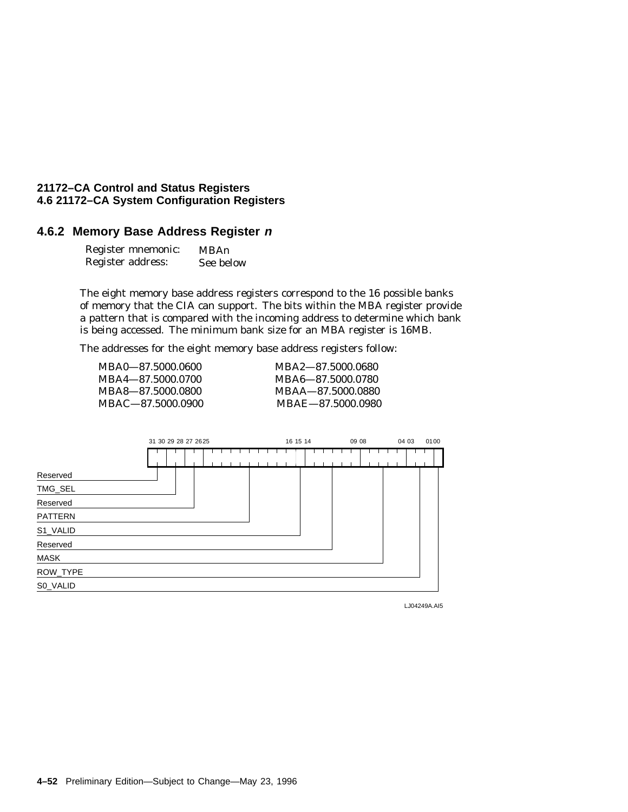## **4.6.2 Memory Base Address Register <sup>n</sup>**

| Register mnemonic: | MBAn      |
|--------------------|-----------|
| Register address:  | See below |

The eight memory base address registers correspond to the 16 possible banks of memory that the CIA can support. The bits within the MBA register provide a pattern that is compared with the incoming address to determine which bank is being accessed. The minimum bank size for an MBA register is 16MB.

The addresses for the eight memory base address registers follow:

| MBA0-87.5000.0600 | MBA2—87.5000.0680 |
|-------------------|-------------------|
| MBA4-87.5000.0700 | MBA6—87.5000.0780 |
| MBA8-87.5000.0800 | MBAA-87.5000.0880 |
| MBAC-87.5000.0900 | MBAE-87.5000.0980 |



LJ04249A.AI5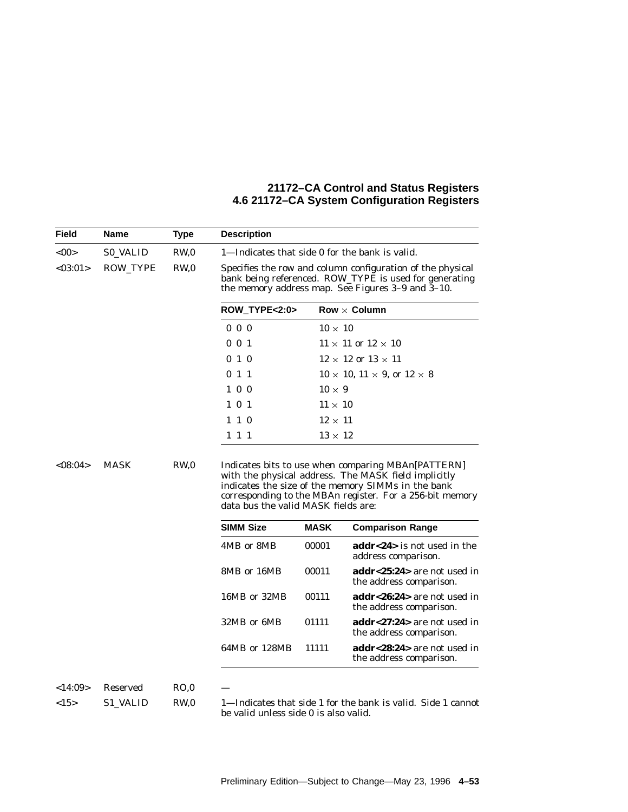| Field      | Name            | Type  | <b>Description</b>                                                                                                                                                        |                |                                                                    |  |
|------------|-----------------|-------|---------------------------------------------------------------------------------------------------------------------------------------------------------------------------|----------------|--------------------------------------------------------------------|--|
| <00        | <b>SO VALID</b> | RW,0  | 1—Indicates that side 0 for the bank is valid.                                                                                                                            |                |                                                                    |  |
| < 03:01 >  | ROW_TYPE        | RW,0  | Specifies the row and column configuration of the physical<br>bank being referenced. ROW_TYPE is used for generating<br>the memory address map. See Figures 3-9 and 3-10. |                |                                                                    |  |
|            |                 |       | <b>ROW_TYPE&lt;2:0&gt;</b>                                                                                                                                                |                | $Row \times$ Column                                                |  |
|            |                 |       | $0\,0\,0$                                                                                                                                                                 | $10 \times 10$ |                                                                    |  |
|            |                 |       | $0 \t0 \t1$                                                                                                                                                               |                | $11 \times 11$ or $12 \times 10$                                   |  |
|            |                 |       | 010                                                                                                                                                                       |                | $12 \times 12$ or $13 \times 11$                                   |  |
|            |                 |       | 011                                                                                                                                                                       |                | $10 \times 10$ , $11 \times 9$ , or $12 \times 8$                  |  |
|            |                 |       | $1\ 0\ 0$                                                                                                                                                                 | $10 \times 9$  |                                                                    |  |
|            |                 |       | 1 0 1                                                                                                                                                                     | $11 \times 10$ |                                                                    |  |
|            |                 |       | $1 \; 1 \; 0$                                                                                                                                                             | $12 \times 11$ |                                                                    |  |
|            |                 |       | 1 1 1                                                                                                                                                                     | $13 \times 12$ |                                                                    |  |
|            |                 |       | data bus the valid MASK fields are:                                                                                                                                       |                | corresponding to the MBAn register. For a 256-bit memory           |  |
|            |                 |       | <b>SIMM Size</b>                                                                                                                                                          | <b>MASK</b>    | <b>Comparison Range</b>                                            |  |
|            |                 |       | 4MB or 8MB                                                                                                                                                                | 00001          | <b>addr&lt;24&gt;</b> is not used in the<br>address comparison.    |  |
|            |                 |       | 8MB or 16MB                                                                                                                                                               | 00011          | addr<25:24> are not used in<br>the address comparison.             |  |
|            |                 |       | 16MB or 32MB                                                                                                                                                              | 00111          | addr<26:24> are not used in<br>the address comparison.             |  |
|            |                 |       | 32MB or 6MB                                                                                                                                                               | 01111          | $\mathbf{addr} < 27.24$ are not used in<br>the address comparison. |  |
|            |                 |       | 64MB or 128MB                                                                                                                                                             | 11111          | addr<28:24> are not used in<br>the address comparison.             |  |
|            |                 |       |                                                                                                                                                                           |                |                                                                    |  |
| <14:09>    | Reserved        | RO, 0 |                                                                                                                                                                           |                |                                                                    |  |
| $<$ 15 $>$ | S1 VALID        | RW.0  | 1-Indicates that side 1 for the bank is valid. Side 1 cannot                                                                                                              |                |                                                                    |  |

Preliminary Edition—Subject to Change—May 23, 1996 **4–53**

be valid unless side 0 is also valid.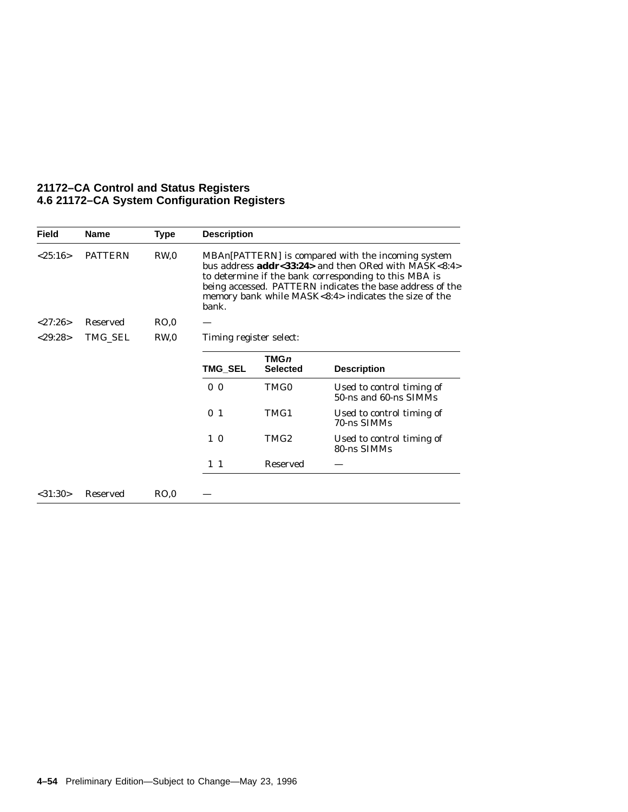| <b>Field</b>  | <b>Name</b>    | Type | <b>Description</b>                                                                                                                                                                                                                                                                                          |                                |                                                    |  |
|---------------|----------------|------|-------------------------------------------------------------------------------------------------------------------------------------------------------------------------------------------------------------------------------------------------------------------------------------------------------------|--------------------------------|----------------------------------------------------|--|
| < 25:16>      | <b>PATTERN</b> | RW,0 | MBAn (PATTERN) is compared with the incoming system<br>bus address <b>addr</b> <33:24> and then ORed with MASK<8:4><br>to determine if the bank corresponding to this MBA is<br>being accessed. PATTERN indicates the base address of the<br>memory bank while MASK<8:4> indicates the size of the<br>bank. |                                |                                                    |  |
| < 27:26       | Reserved       | RO.0 |                                                                                                                                                                                                                                                                                                             |                                |                                                    |  |
| $<$ 29:28 $>$ | TMG_SEL        | RW,0 | Timing register select:                                                                                                                                                                                                                                                                                     |                                |                                                    |  |
|               |                |      | TMG SEL                                                                                                                                                                                                                                                                                                     | <b>TMGn</b><br><b>Selected</b> | <b>Description</b>                                 |  |
|               |                |      | 0 <sub>0</sub>                                                                                                                                                                                                                                                                                              | TMG0                           | Used to control timing of<br>50-ns and 60-ns SIMMs |  |
|               |                |      | 0 <sub>1</sub>                                                                                                                                                                                                                                                                                              | TMG1                           | Used to control timing of<br>70-ns SIMMs           |  |
|               |                |      | $1\quad0$                                                                                                                                                                                                                                                                                                   | TMG2                           | Used to control timing of<br>80-ns SIMMs           |  |
|               |                |      | $1\quad1$                                                                                                                                                                                                                                                                                                   | <b>Reserved</b>                |                                                    |  |
| $<$ 31:30 $>$ | Reserved       | RO.0 |                                                                                                                                                                                                                                                                                                             |                                |                                                    |  |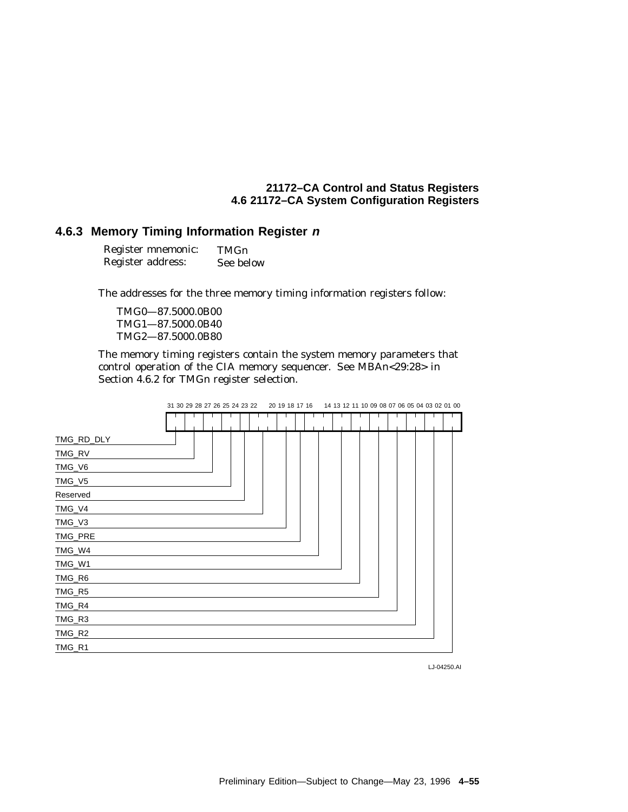#### **4.6.3 Memory Timing Information Register <sup>n</sup>**

| Register mnemonic: | TMGn      |
|--------------------|-----------|
| Register address:  | See below |

The addresses for the three memory timing information registers follow:

TMG0—87.5000.0B00 TMG1—87.5000.0B40 TMG2—87.5000.0B80

The memory timing registers contain the system memory parameters that control operation of the CIA memory sequencer. See MBA*n*<29:28> in Section 4.6.2 for TMG*n* register selection.

|            | 31 30 29 28 27 26 25 24 23 22 |  |  | 20 19 18 17 16<br>14 13 12 11 10 09 08 07 06 05 04 03 02 01 00 |  |  |  |  |  |  |  |  |  |  |  |  |
|------------|-------------------------------|--|--|----------------------------------------------------------------|--|--|--|--|--|--|--|--|--|--|--|--|
|            |                               |  |  |                                                                |  |  |  |  |  |  |  |  |  |  |  |  |
| TMG_RD_DLY |                               |  |  |                                                                |  |  |  |  |  |  |  |  |  |  |  |  |
| TMG_RV     |                               |  |  |                                                                |  |  |  |  |  |  |  |  |  |  |  |  |
| TMG_V6     |                               |  |  |                                                                |  |  |  |  |  |  |  |  |  |  |  |  |
| TMG_V5     |                               |  |  |                                                                |  |  |  |  |  |  |  |  |  |  |  |  |
| Reserved   |                               |  |  |                                                                |  |  |  |  |  |  |  |  |  |  |  |  |
| TMG_V4     |                               |  |  |                                                                |  |  |  |  |  |  |  |  |  |  |  |  |
| TMG_V3     |                               |  |  |                                                                |  |  |  |  |  |  |  |  |  |  |  |  |
| TMG_PRE    |                               |  |  |                                                                |  |  |  |  |  |  |  |  |  |  |  |  |
| TMG_W4     |                               |  |  |                                                                |  |  |  |  |  |  |  |  |  |  |  |  |
| TMG_W1     |                               |  |  |                                                                |  |  |  |  |  |  |  |  |  |  |  |  |
| TMG_R6     |                               |  |  |                                                                |  |  |  |  |  |  |  |  |  |  |  |  |
| TMG_R5     |                               |  |  |                                                                |  |  |  |  |  |  |  |  |  |  |  |  |
| TMG_R4     |                               |  |  |                                                                |  |  |  |  |  |  |  |  |  |  |  |  |
| TMG_R3     |                               |  |  |                                                                |  |  |  |  |  |  |  |  |  |  |  |  |
| TMG_R2     |                               |  |  |                                                                |  |  |  |  |  |  |  |  |  |  |  |  |
| TMG_R1     |                               |  |  |                                                                |  |  |  |  |  |  |  |  |  |  |  |  |

LJ-04250.AI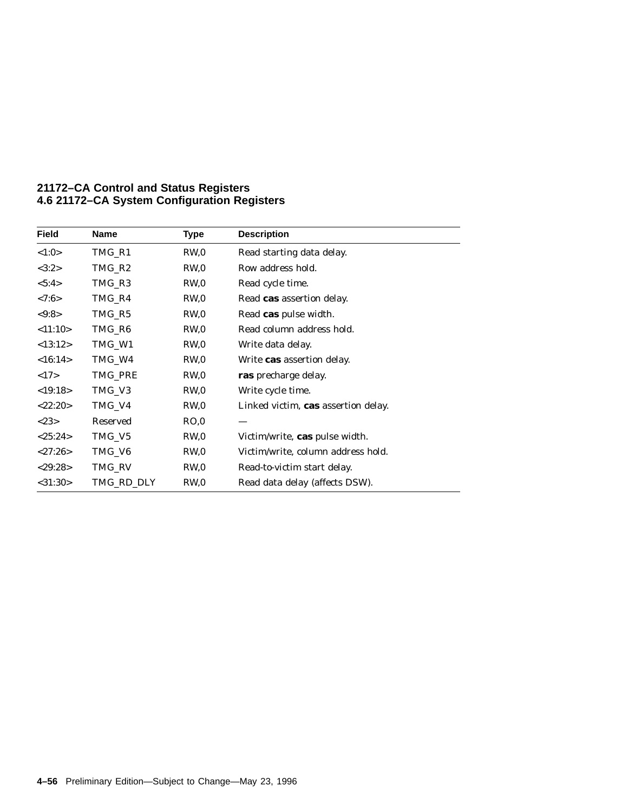| <b>Field</b>  | <b>Name</b> | <b>Type</b>     | <b>Description</b>                    |
|---------------|-------------|-----------------|---------------------------------------|
| <1:0>         | TMG_R1      | RW,0            | Read starting data delay.             |
| <3:2>         | TMG R2      | RW.0            | Row address hold.                     |
| < 5:4>        | TMG_R3      | RW <sub>0</sub> | Read cycle time.                      |
| < 7:6 >       | TMG_R4      | RW,0            | Read cas assertion delay.             |
| < 9:8 >       | TMG_R5      | RW,0            | Read cas pulse width.                 |
| <11:10>       | TMG_R6      | RW <sub>0</sub> | Read column address hold.             |
| <13:12>       | TMG_W1      | RW,0            | Write data delay.                     |
| <16:14>       | TMG_W4      | RW,0            | Write <b>cas</b> assertion delay.     |
| <17>          | TMG_PRE     | RW,0            | ras precharge delay.                  |
| <19:18>       | TMG_V3      | RW <sub>0</sub> | Write cycle time.                     |
| <22:20>       | TMG_V4      | RW,0            | Linked victim, cas assertion delay.   |
| <23>          | Reserved    | RO.0            |                                       |
| <25:24>       | TMG_V5      | RW <sub>0</sub> | Victim/write, <b>cas</b> pulse width. |
| < 27:26>      | TMG_V6      | RW,0            | Victim/write, column address hold.    |
| $<$ 29:28>    | TMG_RV      | RW,0            | Read-to-victim start delay.           |
| $<$ 31:30 $>$ | TMG_RD_DLY  | RW,0            | Read data delay (affects DSW).        |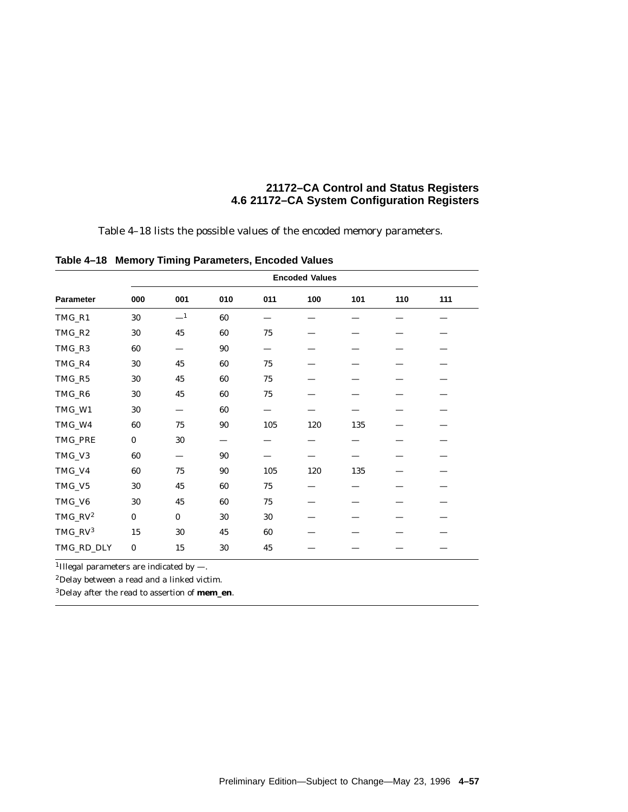Table 4–18 lists the possible values of the encoded memory parameters.

| Parameter  | 000      | 001      | 010 | 011    | 100 | 101 | 110 | 111 |
|------------|----------|----------|-----|--------|-----|-----|-----|-----|
| TMG_R1     | 30       | $-1$     | 60  |        |     |     |     |     |
| TMG_R2     | 30       | 45       | 60  | 75     |     |     |     |     |
| TMG_R3     | 60       |          | 90  |        |     |     |     |     |
| TMG_R4     | 30       | 45       | 60  | $75\,$ |     |     |     |     |
| TMG_R5     | 30       | 45       | 60  | 75     |     |     |     |     |
| TMG_R6     | 30       | 45       | 60  | 75     |     |     |     |     |
| TMG_W1     | 30       |          | 60  |        |     |     |     |     |
| TMG_W4     | 60       | 75       | 90  | 105    | 120 | 135 |     |     |
| TMG_PRE    | $\bf{0}$ | 30       |     |        |     |     |     |     |
| TMG_V3     | 60       |          | 90  |        |     |     |     |     |
| TMG_V4     | 60       | 75       | 90  | 105    | 120 | 135 |     |     |
| TMG_V5     | 30       | 45       | 60  | 75     |     |     |     |     |
| TMG_V6     | 30       | 45       | 60  | $75\,$ |     |     |     |     |
| $TMG_RV^2$ | $\bf{0}$ | $\bf{0}$ | 30  | 30     |     |     |     |     |
| $TMG_RV^3$ | 15       | 30       | 45  | 60     |     |     |     |     |
| TMG_RD_DLY | $\bf{0}$ | 15       | 30  | 45     |     |     |     |     |

**Table 4–18 Memory Timing Parameters, Encoded Values**

<sup>1</sup>Illegal parameters are indicated by  $-$ .

2Delay between a read and a linked victim.

3Delay after the read to assertion of **mem\_en**.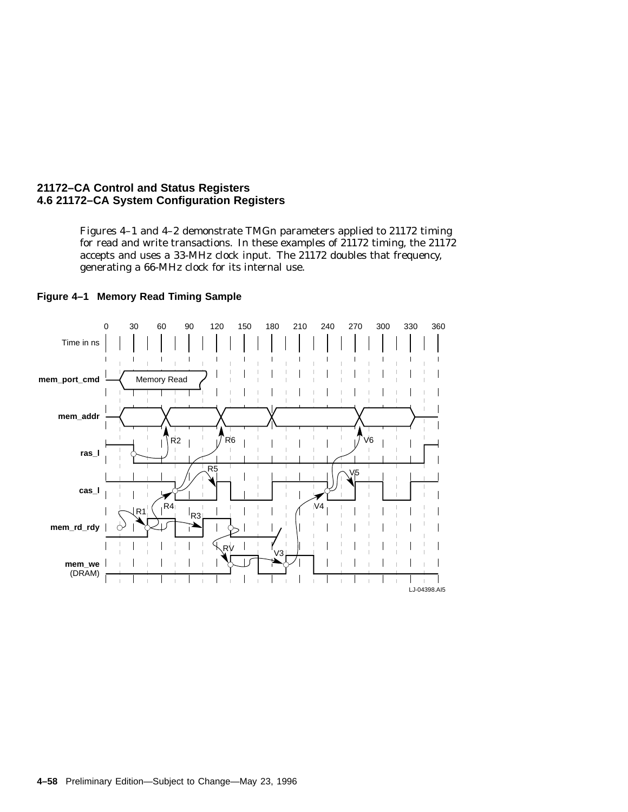Figures 4–1 and 4–2 demonstrate TMG*n* parameters applied to 21172 timing for read and write transactions. In these examples of 21172 timing, the 21172 accepts and uses a 33-MHz clock input. The 21172 doubles that frequency, generating a 66-MHz clock for its internal use.



#### **Figure 4–1 Memory Read Timing Sample**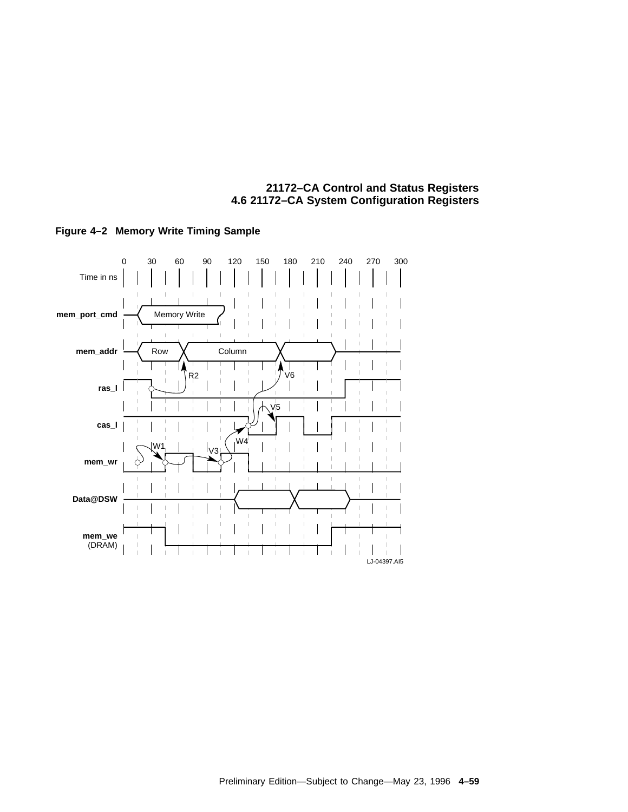

#### **Figure 4–2 Memory Write Timing Sample**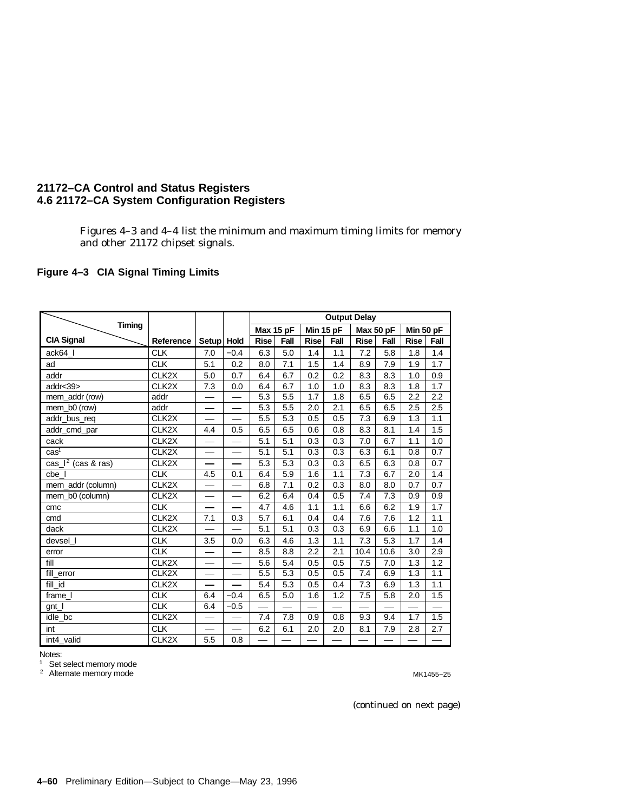Figures 4–3 and 4–4 list the minimum and maximum timing limits for memory and other 21172 chipset signals.

#### **Figure 4–3 CIA Signal Timing Limits**

|                                                     |                         |                          |                          |             |      |             | <b>Output Delay</b> |             |           |             |      |
|-----------------------------------------------------|-------------------------|--------------------------|--------------------------|-------------|------|-------------|---------------------|-------------|-----------|-------------|------|
| <b>Timing</b>                                       |                         |                          |                          | Max 15 pF   |      | Min 15 pF   |                     |             | Max 50 pF | Min 50 pF   |      |
| <b>CIA Signal</b>                                   | Reference               | Setup Hold               |                          | <b>Rise</b> | Fall | <b>Rise</b> | Fall                | <b>Rise</b> | Fall      | <b>Rise</b> | Fall |
| ack64_I                                             | <b>CLK</b>              | 7.0                      | $-0.4$                   | 6.3         | 5.0  | 1.4         | 1.1                 | 7.2         | 5.8       | 1.8         | 1.4  |
| ad                                                  | <b>CLK</b>              | 5.1                      | 0.2                      | 8.0         | 7.1  | 1.5         | 1.4                 | 8.9         | 7.9       | 1.9         | 1.7  |
| addr                                                | CLK2X                   | 5.0                      | 0.7                      | 6.4         | 6.7  | 0.2         | 0.2                 | 8.3         | 8.3       | 1.0         | 0.9  |
| addr<39>                                            | CLK <sub>2</sub> X      | 7.3                      | 0.0                      | 6.4         | 6.7  | 1.0         | 1.0                 | 8.3         | 8.3       | 1.8         | 1.7  |
| mem addr (row)                                      | addr                    |                          |                          | 5.3         | 5.5  | 1.7         | 1.8                 | 6.5         | 6.5       | 2.2         | 2.2  |
| mem_b0 (row)                                        | addr                    |                          |                          | 5.3         | 5.5  | 2.0         | 2.1                 | 6.5         | 6.5       | 2.5         | 2.5  |
| addr_bus_req                                        | CLK <sub>2</sub> X      |                          |                          | 5.5         | 5.3  | 0.5         | 0.5                 | 7.3         | 6.9       | 1.3         | 1.1  |
| addr_cmd_par                                        | CLK <sub>2</sub> X      | 4.4                      | 0.5                      | 6.5         | 6.5  | 0.6         | 0.8                 | 8.3         | 8.1       | 1.4         | 1.5  |
| cack                                                | CLK <sub>2</sub> X      |                          |                          | 5.1         | 5.1  | 0.3         | 0.3                 | 7.0         | 6.7       | 1.1         | 1.0  |
| cas <sup>1</sup>                                    | CLK <sub>2</sub> X      |                          | —                        | 5.1         | 5.1  | 0.3         | 0.3                 | 6.3         | 6.1       | 0.8         | 0.7  |
| $\overline{\text{cas}\,$   <sup>2</sup> (cas & ras) | CLK <sub>2</sub> X      |                          |                          | 5.3         | 5.3  | 0.3         | 0.3                 | 6.5         | 6.3       | 0.8         | 0.7  |
| cbe I                                               | <b>CLK</b>              | 4.5                      | 0.1                      | 6.4         | 5.9  | 1.6         | 1.1                 | 7.3         | 6.7       | 2.0         | 1.4  |
| mem_addr (column)                                   | CLK <sub>2</sub> X      |                          |                          | 6.8         | 7.1  | 0.2         | 0.3                 | 8.0         | 8.0       | 0.7         | 0.7  |
| mem b0 (column)                                     | CLK <sub>2</sub> X      |                          |                          | 6.2         | 6.4  | 0.4         | 0.5                 | 7.4         | 7.3       | 0.9         | 0.9  |
| cmc                                                 | <b>CLK</b>              | $\overline{\phantom{0}}$ |                          | 4.7         | 4.6  | 1.1         | 1.1                 | 6.6         | 6.2       | 1.9         | 1.7  |
| cmd                                                 | CLK <sub>2</sub> X      | 7.1                      | 0.3                      | 5.7         | 6.1  | 0.4         | 0.4                 | 7.6         | 7.6       | 1.2         | 1.1  |
| dack                                                | CLK2X                   |                          |                          | 5.1         | 5.1  | 0.3         | 0.3                 | 6.9         | 6.6       | 1.1         | 1.0  |
| devsel_l                                            | <b>CLK</b>              | 3.5                      | 0.0                      | 6.3         | 4.6  | 1.3         | 1.1                 | 7.3         | 5.3       | 1.7         | 1.4  |
| error                                               | CLK                     |                          | $\overline{\phantom{0}}$ | 8.5         | 8.8  | 2.2         | 2.1                 | 10.4        | 10.6      | 3.0         | 2.9  |
| fill                                                | CLK <sub>2</sub> X      |                          |                          | 5.6         | 5.4  | 0.5         | 0.5                 | 7.5         | 7.0       | 1.3         | 1.2  |
| fill_error                                          | CLK2X                   |                          |                          | 5.5         | 5.3  | 0.5         | 0.5                 | 7.4         | 6.9       | 1.3         | 1.1  |
| fill_id                                             | CLK <sub>2</sub> X      |                          |                          | 5.4         | 5.3  | 0.5         | 0.4                 | 7.3         | 6.9       | 1.3         | 1.1  |
| frame I                                             | $\overline{\text{CLK}}$ | 6.4                      | $-0.4$                   | 6.5         | 5.0  | 1.6         | 1.2                 | 7.5         | 5.8       | 2.0         | 1.5  |
| gnt                                                 | <b>CLK</b>              | 6.4                      | $-0.5$                   |             |      |             | —                   |             |           |             | —    |
| idle_bc                                             | CLK2X                   |                          |                          | 7.4         | 7.8  | 0.9         | 0.8                 | 9.3         | 9.4       | 1.7         | 1.5  |
| int                                                 | <b>CLK</b>              |                          |                          | 6.2         | 6.1  | 2.0         | 2.0                 | 8.1         | 7.9       | 2.8         | 2.7  |
| int4 valid                                          | CLK <sub>2</sub> X      | 5.5                      | 0.8                      |             |      |             |                     |             |           |             |      |

Notes:

Set select memory mode 1

Alternate memory mode 2

MK1455−25

(continued on next page)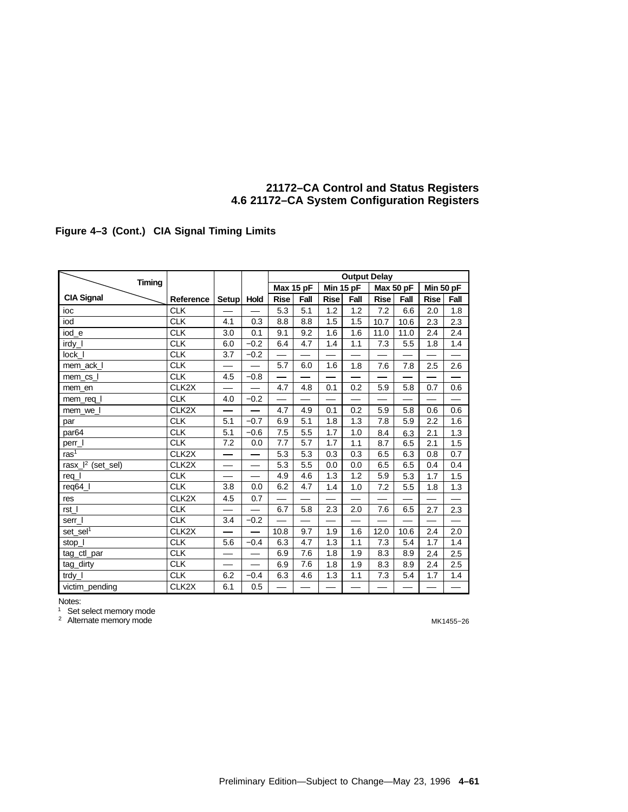#### **Figure 4–3 (Cont.) CIA Signal Timing Limits**

|                               |                    |            |                          |             |      |             | <b>Output Delay</b>      |             |           |                          |      |
|-------------------------------|--------------------|------------|--------------------------|-------------|------|-------------|--------------------------|-------------|-----------|--------------------------|------|
| <b>Timing</b>                 |                    |            |                          | Max 15 pF   |      | Min 15 pF   |                          |             | Max 50 pF | Min 50 pF                |      |
| <b>CIA Signal</b>             | Reference          | Setup Hold |                          | <b>Rise</b> | Fall | <b>Rise</b> | Fall                     | <b>Rise</b> | Fall      | <b>Rise</b>              | Fall |
| ioc                           | <b>CLK</b>         |            |                          | 5.3         | 5.1  | 1.2         | 1.2                      | 7.2         | 6.6       | 2.0                      | 1.8  |
| iod                           | <b>CLK</b>         | 4.1        | 0.3                      | 8.8         | 8.8  | 1.5         | 1.5                      | 10.7        | 10.6      | 2.3                      | 2.3  |
| iod_e                         | <b>CLK</b>         | 3.0        | 0.1                      | 9.1         | 9.2  | 1.6         | 1.6                      | 11.0        | 11.0      | 2.4                      | 2.4  |
| irdy_l                        | <b>CLK</b>         | 6.0        | $-0.2$                   | 6.4         | 4.7  | 1.4         | 1.1                      | 7.3         | 5.5       | 1.8                      | 1.4  |
| lock_l                        | <b>CLK</b>         | 3.7        | $-0.2$                   |             |      |             |                          |             |           |                          |      |
| mem_ack_l                     | <b>CLK</b>         |            |                          | 5.7         | 6.0  | 1.6         | 1.8                      | 7.6         | 7.8       | 2.5                      | 2.6  |
| mem_cs_l                      | <b>CLK</b>         | 4.5        | $-0.8$                   |             |      |             |                          |             |           |                          |      |
| mem en                        | CLK2X              |            |                          | 4.7         | 4.8  | 0.1         | 0.2                      | 5.9         | 5.8       | 0.7                      | 0.6  |
| mem_req_l                     | <b>CLK</b>         | 4.0        | $-0.2$                   |             |      |             | —                        |             |           | —                        |      |
| mem we I                      | CLK <sub>2</sub> X |            |                          | 4.7         | 4.9  | 0.1         | 0.2                      | 5.9         | 5.8       | 0.6                      | 0.6  |
| par                           | <b>CLK</b>         | 5.1        | $-0.7$                   | 6.9         | 5.1  | 1.8         | 1.3                      | 7.8         | 5.9       | 2.2                      | 1.6  |
| par <sub>64</sub>             | <b>CLK</b>         | 5.1        | $-0.6$                   | 7.5         | 5.5  | 1.7         | 1.0                      | 8.4         | 6.3       | 2.1                      | 1.3  |
| perr_l                        | <b>CLK</b>         | 7.2        | 0.0                      | 7.7         | 5.7  | 1.7         | 1.1                      | 8.7         | 6.5       | 2.1                      | 1.5  |
| $\text{ras}^1$                | CLK <sub>2</sub> X |            |                          | 5.3         | 5.3  | 0.3         | 0.3                      | 6.5         | 6.3       | 0.8                      | 0.7  |
| rasx_l <sup>2</sup> (set_sel) | CLK <sub>2</sub> X |            |                          | 5.3         | 5.5  | 0.0         | 0.0                      | 6.5         | 6.5       | 0.4                      | 0.4  |
| $req_l$                       | <b>CLK</b>         |            |                          | 4.9         | 4.6  | 1.3         | 1.2                      | 5.9         | 5.3       | 1.7                      | 1.5  |
| req64_l                       | <b>CLK</b>         | 3.8        | 0.0                      | 6.2         | 4.7  | 1.4         | 1.0                      | 7.2         | 5.5       | 1.8                      | 1.3  |
| res                           | CLK <sub>2</sub> X | 4.5        | 0.7                      |             |      |             |                          |             |           |                          |      |
| rst_l                         | <b>CLK</b>         |            |                          | 6.7         | 5.8  | 2.3         | 2.0                      | 7.6         | 6.5       | 2.7                      | 2.3  |
| serr I                        | CLK                | 3.4        | $-0.2$                   |             |      |             | $\overline{\phantom{0}}$ |             |           | $\overline{\phantom{0}}$ |      |
| $set\_sel^T$                  | CLK <sub>2</sub> X |            | $\overline{\phantom{0}}$ | 10.8        | 9.7  | 1.9         | 1.6                      | 12.0        | 10.6      | 2.4                      | 2.0  |
| stop_l                        | <b>CLK</b>         | 5.6        | $-0.4$                   | 6.3         | 4.7  | 1.3         | 1.1                      | 7.3         | 5.4       | 1.7                      | 1.4  |
| tag_ctl_par                   | CLK                |            |                          | 6.9         | 7.6  | 1.8         | 1.9                      | 8.3         | 8.9       | 2.4                      | 2.5  |
| tag_dirty                     | <b>CLK</b>         |            |                          | 6.9         | 7.6  | 1.8         | 1.9                      | 8.3         | 8.9       | 2.4                      | 2.5  |
| $trdy_l$                      | <b>CLK</b>         | 6.2        | $-0.4$                   | 6.3         | 4.6  | 1.3         | 1.1                      | 7.3         | 5.4       | 1.7                      | 1.4  |
| victim_pending                | CLK2X              | 6.1        | 0.5                      |             |      |             |                          |             |           |                          |      |

Notes:

Set select memory mode 1

Alternate memory mode 2

MK1455−26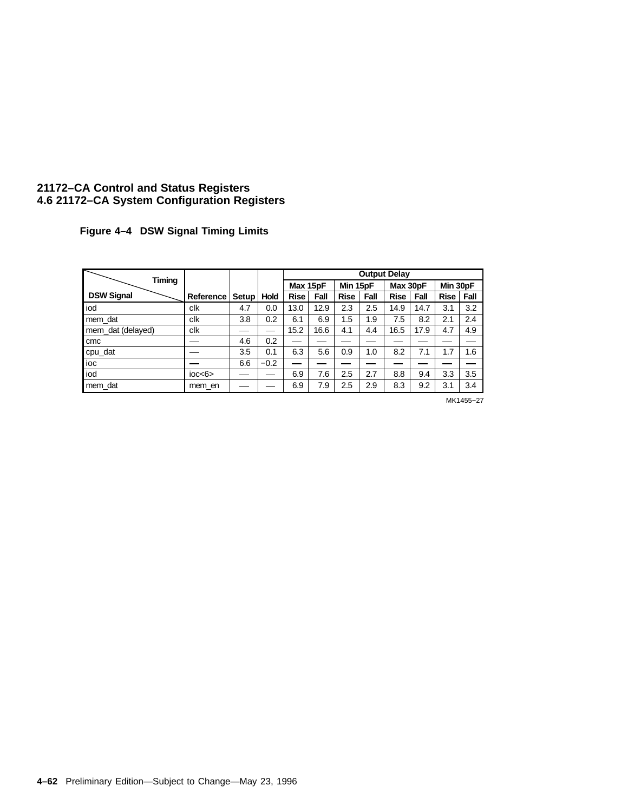**Figure 4–4 DSW Signal Timing Limits**

|                   |                  |       |             |             |          |             |          | <b>Output Delay</b> |          |             |          |
|-------------------|------------------|-------|-------------|-------------|----------|-------------|----------|---------------------|----------|-------------|----------|
| Timing            |                  |       |             |             | Max 15pF |             | Min 15pF |                     | Max 30pF |             | Min 30pF |
| <b>DSW Signal</b> | Reference        | Setup | <b>Hold</b> | <b>Rise</b> | Fall     | <b>Rise</b> | Fall     | <b>Rise</b>         | Fall     | <b>Rise</b> | Fall     |
| iod               | clk              | 4.7   | 0.0         | 13.0        | 12.9     | 2.3         | 2.5      | 14.9                | 14.7     | 3.1         | 3.2      |
| mem dat           | clk              | 3.8   | 0.2         | 6.1         | 6.9      | 1.5         | 1.9      | 7.5                 | 8.2      | 2.1         | 2.4      |
| mem dat (delayed) | clk              |       |             | 15.2        | 16.6     | 4.1         | 4.4      | 16.5                | 17.9     | 4.7         | 4.9      |
| cmc               |                  | 4.6   | 0.2         |             |          |             |          |                     |          |             |          |
| cpu_dat           |                  | 3.5   | 0.1         | 6.3         | 5.6      | 0.9         | 1.0      | 8.2                 | 7.1      | 1.7         | 1.6      |
| ioc               |                  | 6.6   | $-0.2$      | --          |          |             |          |                     |          |             |          |
| iod               | $i$ oc $<$ 6 $>$ |       |             | 6.9         | 7.6      | 2.5         | 2.7      | 8.8                 | 9.4      | 3.3         | 3.5      |
| mem dat           | mem en           |       |             | 6.9         | 7.9      | 2.5         | 2.9      | 8.3                 | 9.2      | 3.1         | 3.4      |

MK1455−27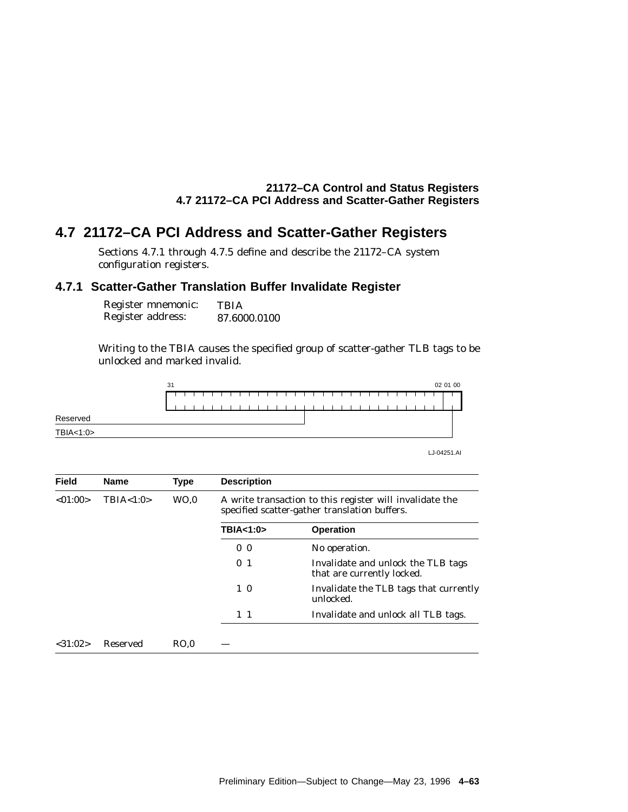## **4.7 21172–CA PCI Address and Scatter-Gather Registers**

Sections 4.7.1 through 4.7.5 define and describe the 21172–CA system configuration registers.

## **4.7.1 Scatter-Gather Translation Buffer Invalidate Register**

| Register mnemonic: | <b>TBIA</b>  |
|--------------------|--------------|
| Register address:  | 87.6000.0100 |

Writing to the TBIA causes the specified group of scatter-gather TLB tags to be unlocked and marked invalid.



| <b>Field</b>  | <b>Name</b> | <b>Type</b>     | <b>Description</b> |                                                                                                           |
|---------------|-------------|-----------------|--------------------|-----------------------------------------------------------------------------------------------------------|
| < 01:00>      | TBIA < 1:0> | WO <sub>0</sub> |                    | A write transaction to this register will invalidate the<br>specified scatter-gather translation buffers. |
|               |             |                 | TBIA<1:0>          | <b>Operation</b>                                                                                          |
|               |             |                 | 0 <sub>0</sub>     | No operation.                                                                                             |
|               |             |                 | 0 <sub>1</sub>     | Invalidate and unlock the TLB tags<br>that are currently locked.                                          |
|               |             |                 | $1\ 0$             | Invalidate the TLB tags that currently<br>unlocked.                                                       |
|               |             |                 | $1\quad1$          | Invalidate and unlock all TLB tags.                                                                       |
| $<$ 31:02 $>$ | Reserved    | RO.0            |                    |                                                                                                           |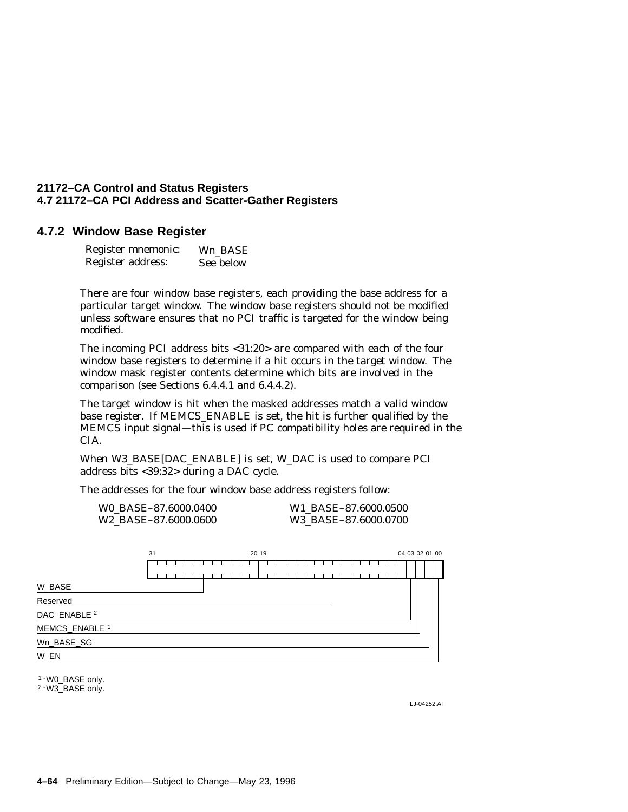#### **4.7.2 Window Base Register**

| Register mnemonic: | Wn BASE   |
|--------------------|-----------|
| Register address:  | See below |

There are four window base registers, each providing the base address for a particular target window. The window base registers should not be modified unless software ensures that no PCI traffic is targeted for the window being modified.

The incoming PCI address bits <31:20> are compared with each of the four window base registers to determine if a hit occurs in the target window. The window mask register contents determine which bits are involved in the comparison (see Sections 6.4.4.1 and 6.4.4.2).

The target window is hit when the masked addresses match a valid window base register. If MEMCS\_ENABLE is set, the hit is further qualified by the MEMCS input signal—this is used if PC compatibility holes are required in the CIA.

When W3\_BASE[DAC\_ENABLE] is set, W\_DAC is used to compare PCI address bits <39:32> during a DAC cycle.

The addresses for the four window base address registers follow:

| WO BASE-87.6000.0400             | W1 BASE-87.6000.0500 |
|----------------------------------|----------------------|
| W <sub>2</sub> BASE-87.6000.0600 | W3 BASE-87.6000.0700 |

|                         | 31 |  |  | 20 19 |  |  |
|-------------------------|----|--|--|-------|--|--|
|                         |    |  |  |       |  |  |
| W_BASE                  |    |  |  |       |  |  |
| Reserved                |    |  |  |       |  |  |
| DAC_ENABLE <sup>2</sup> |    |  |  |       |  |  |
| MEMCS_ENABLE 1          |    |  |  |       |  |  |
| Wn_BASE_SG              |    |  |  |       |  |  |
| W_EN                    |    |  |  |       |  |  |

1 - W0 BASE only.

2 - W3\_BASE only.

LJ-04252.AI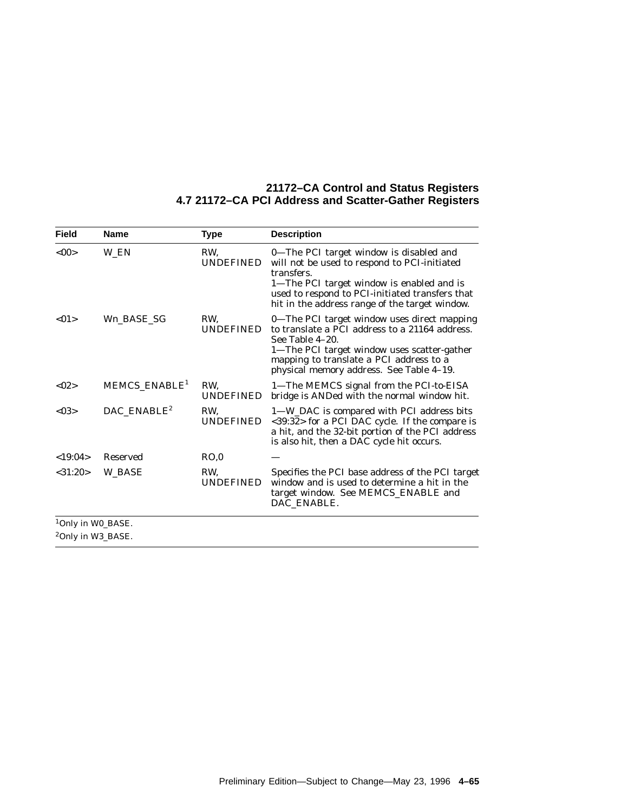| <b>Field</b>                                                   | <b>Name</b>                | <b>Type</b>             | <b>Description</b>                                                                                                                                                                                                                                      |
|----------------------------------------------------------------|----------------------------|-------------------------|---------------------------------------------------------------------------------------------------------------------------------------------------------------------------------------------------------------------------------------------------------|
| <00                                                            | W EN                       | RW.<br><b>UNDEFINED</b> | 0-The PCI target window is disabled and<br>will not be used to respond to PCI-initiated<br>transfers.<br>1-The PCI target window is enabled and is<br>used to respond to PCI-initiated transfers that<br>hit in the address range of the target window. |
| <01                                                            | Wn_BASE_SG                 | RW,<br><b>UNDEFINED</b> | 0-The PCI target window uses direct mapping<br>to translate a PCI address to a 21164 address.<br>See Table 4-20.<br>1-The PCI target window uses scatter-gather<br>mapping to translate a PCI address to a<br>physical memory address. See Table 4-19.  |
| <02>                                                           | MEMCS_ENABLE <sup>1</sup>  | RW,<br><b>UNDEFINED</b> | 1—The MEMCS signal from the PCI-to-EISA<br>bridge is ANDed with the normal window hit.                                                                                                                                                                  |
| < 03>                                                          | $DAC$ _ENABLE <sup>2</sup> | RW,<br><b>UNDEFINED</b> | 1-W_DAC is compared with PCI address bits<br><39:32> for a PCI DAC cycle. If the compare is<br>a hit, and the 32-bit portion of the PCI address<br>is also hit, then a DAC cycle hit occurs.                                                            |
| <19:04>                                                        | <b>Reserved</b>            | RO.0                    |                                                                                                                                                                                                                                                         |
| < 31:20>                                                       | <b>W BASE</b>              | RW,<br><b>UNDEFINED</b> | Specifies the PCI base address of the PCI target<br>window and is used to determine a hit in the<br>target window. See MEMCS_ENABLE and<br>DAC_ENABLE.                                                                                                  |
| <sup>1</sup> Only in W0_BASE.<br><sup>2</sup> Only in W3_BASE. |                            |                         |                                                                                                                                                                                                                                                         |
|                                                                |                            |                         |                                                                                                                                                                                                                                                         |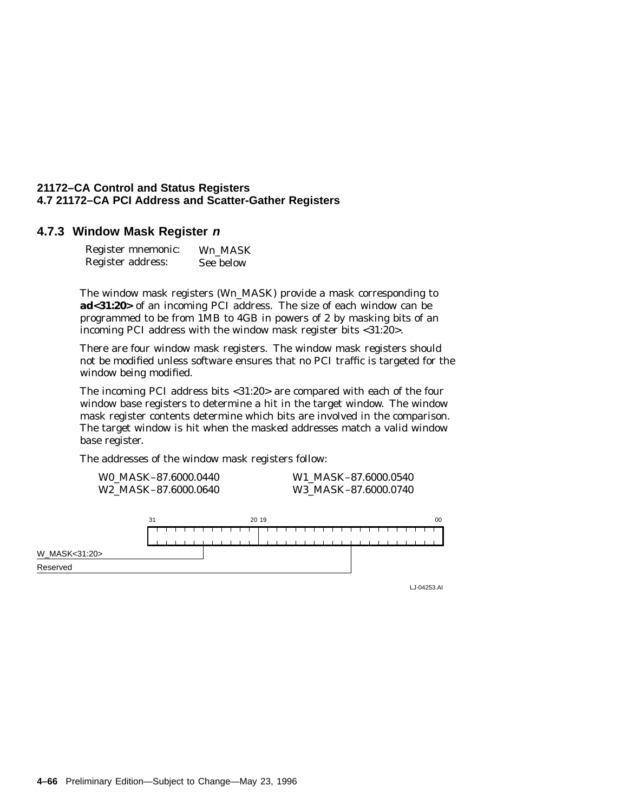#### **4.7.3 Window Mask Register <sup>n</sup>**

| Register mnemonic: | Wn MASK   |
|--------------------|-----------|
| Register address:  | See below |

The window mask registers (W*n*\_MASK) provide a mask corresponding to **ad<31:20>** of an incoming PCI address. The size of each window can be programmed to be from 1MB to 4GB in powers of 2 by masking bits of an incoming PCI address with the window mask register bits <31:20>.

There are four window mask registers. The window mask registers should not be modified unless software ensures that no PCI traffic is targeted for the window being modified.

The incoming PCI address bits <31:20> are compared with each of the four window base registers to determine a hit in the target window. The window mask register contents determine which bits are involved in the comparison. The target window is hit when the masked addresses match a valid window base register.

The addresses of the window mask registers follow:

| W0 MASK-87.6000.0440             | W1 MASK-87.6000.0540 |
|----------------------------------|----------------------|
| W <sub>2</sub> MASK-87.6000.0640 | W3 MASK-87.6000.0740 |



LJ-04253.AI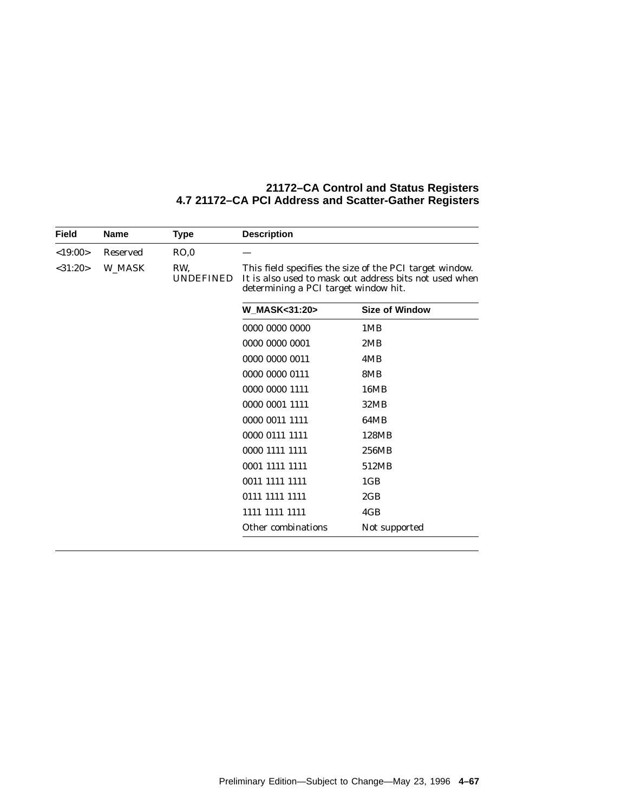| <b>Field</b>  | <b>Name</b> | <b>Type</b>             | <b>Description</b>                                                                                                                                        |                       |  |
|---------------|-------------|-------------------------|-----------------------------------------------------------------------------------------------------------------------------------------------------------|-----------------------|--|
| <19:00>       | Reserved    | RO.0                    |                                                                                                                                                           |                       |  |
| $<$ 31:20 $>$ | W MASK      | RW,<br><b>UNDEFINED</b> | This field specifies the size of the PCI target window.<br>It is also used to mask out address bits not used when<br>determining a PCI target window hit. |                       |  |
|               |             |                         | W_MASK<31:20>                                                                                                                                             | <b>Size of Window</b> |  |
|               |             |                         | 0000 0000 0000                                                                                                                                            | 1MB                   |  |
|               |             |                         | 0000 0000 0001                                                                                                                                            | 2MB                   |  |
|               |             |                         | 0000 0000 0011                                                                                                                                            | 4MB                   |  |
|               |             |                         | 0000 0000 0111                                                                                                                                            | 8MB                   |  |
|               |             |                         | 0000 0000 1111                                                                                                                                            | 16MB                  |  |
|               |             |                         | 0000 0001 1111                                                                                                                                            | 32MB                  |  |
|               |             |                         | 0000 0011 1111                                                                                                                                            | 64MB                  |  |
|               |             |                         | 0000 0111 1111                                                                                                                                            | 128MB                 |  |
|               |             |                         | 0000 1111 1111                                                                                                                                            | 256MB                 |  |
|               |             |                         | 0001 1111 1111                                                                                                                                            | 512MB                 |  |
|               |             |                         | 0011 1111 1111                                                                                                                                            | 1 <sub>GB</sub>       |  |
|               |             |                         | 0111 1111 1111                                                                                                                                            | 2GB                   |  |
|               |             |                         | 1111 1111 1111                                                                                                                                            | 4GB                   |  |
|               |             |                         | Other combinations                                                                                                                                        | Not supported         |  |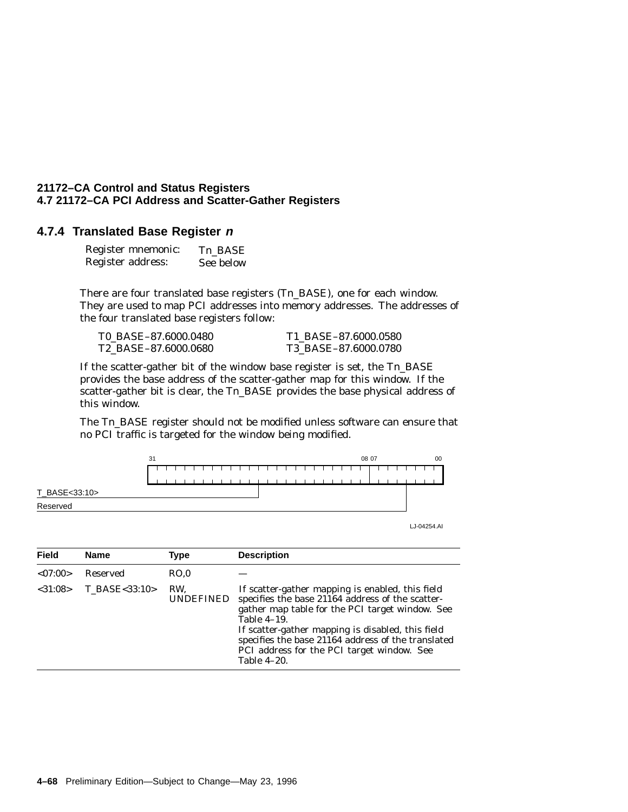#### **4.7.4 Translated Base Register <sup>n</sup>**

| Register mnemonic: | Tn BASE   |
|--------------------|-----------|
| Register address:  | See below |

There are four translated base registers (T*n*\_BASE), one for each window. They are used to map PCI addresses into memory addresses. The addresses of the four translated base registers follow:

T0\_BASE–87.6000.0480 T1\_BASE–87.6000.0580 T2\_BASE–87.6000.0680 T3\_BASE–87.6000.0780

If the scatter-gather bit of the window base register is set, the T*n*\_BASE provides the base address of the scatter-gather map for this window. If the scatter-gather bit is clear, the T*n*\_BASE provides the base physical address of this window.

The T*n*\_BASE register should not be modified unless software can ensure that no PCI traffic is targeted for the window being modified.



LJ-04254.AI

| <b>Field</b>  | <b>Name</b>   | Type                    | <b>Description</b>                                                                                                                                                                                                                                                                                                                             |
|---------------|---------------|-------------------------|------------------------------------------------------------------------------------------------------------------------------------------------------------------------------------------------------------------------------------------------------------------------------------------------------------------------------------------------|
| <07:00>       | Reserved      | RO.0                    |                                                                                                                                                                                                                                                                                                                                                |
| $<$ 31:08 $>$ | T BASE<33:10> | RW.<br><b>UNDEFINED</b> | If scatter-gather mapping is enabled, this field<br>specifies the base 21164 address of the scatter-<br>gather map table for the PCI target window. See<br>Table 4-19.<br>If scatter-gather mapping is disabled, this field<br>specifies the base 21164 address of the translated<br>PCI address for the PCI target window. See<br>Table 4-20. |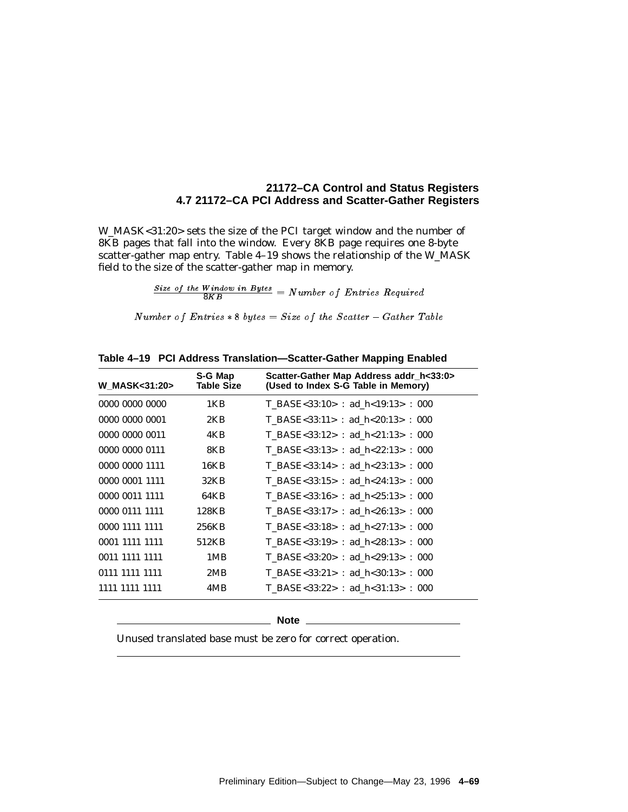W\_MASK<31:20> sets the size of the PCI target window and the number of 8KB pages that fall into the window. Every 8KB page requires one 8-byte scatter-gather map entry. Table 4–19 shows the relationship of the W\_MASK field to the size of the scatter-gather map in memory.

 $\frac{Size\ of\ the\ Window\ in\ Bytes}{8KB} = Number\ of\ Entries\ Required$ 

Number of Entries  $* 8 \text{ bytes} = Size \text{ of the } Scatter - Gather \text{ Table}$ 

| <b>W_MASK&lt;31:20&gt;</b> | S-G Map<br><b>Table Size</b> | Scatter-Gather Map Address addr h<33:0><br>(Used to Index S-G Table in Memory) |
|----------------------------|------------------------------|--------------------------------------------------------------------------------|
| 0000 0000 0000             | 1KB                          | T BASE<33:10> : ad h<19:13> : 000                                              |
| 0000 0000 0001             | 2KB                          | T BASE<33:11> : ad h<20:13> : 000                                              |
| 0000 0000 0011             | 4KB                          | T BASE<33:12> : ad h<21:13> : 000                                              |
| 0000 0000 0111             | 8KB                          | T BASE<33:13> : ad h<22:13> : 000                                              |
| 0000 0000 1111             | 16KB                         | T BASE<33:14> : ad h<23:13> : 000                                              |
| 0000 0001 1111             | 32KB                         | T BASE<33:15> : ad h<24:13> : 000                                              |
| 0000 0011 1111             | 64KB                         | T BASE<33:16> : ad $h < 25:13>$ : 000                                          |
| 0000 0111 1111             | 128KB                        | T BASE<33:17> : ad $h < 26:13$ > : 000                                         |
| 0000 1111 1111             | 256KB                        | T BASE<33:18> : ad $h < 27:13$ > : 000                                         |
| 0001 1111 1111             | 512KB                        | T BASE<33:19> : ad $h < 28:13$ > : 000                                         |
| 0011 1111 1111             | 1MB                          | T BASE<33:20> : ad h<29:13> : 000                                              |
| 0111 1111 1111             | 2MB                          | T BASE<33:21> : ad $h<30:13>$ : 000                                            |
| 1111 1111 1111             | 4MB                          | T BASE<33:22> : ad h<31:13> : 000                                              |

**Table 4–19 PCI Address Translation—Scatter-Gather Mapping Enabled**

**Note** \_

Unused translated base must be zero for correct operation.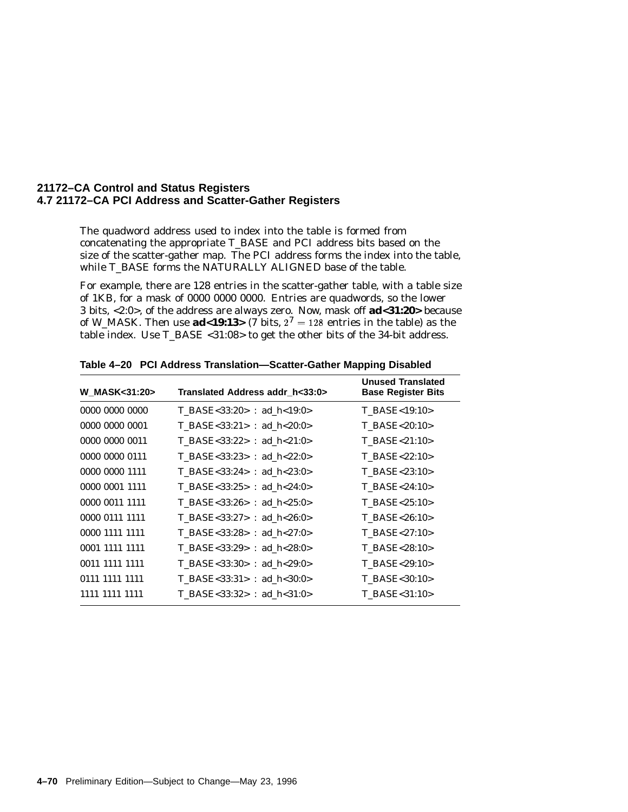The quadword address used to index into the table is formed from concatenating the appropriate T\_BASE and PCI address bits based on the size of the scatter-gather map. The PCI address forms the index into the table, while T\_BASE forms the NATURALLY ALIGNED base of the table.

For example, there are 128 entries in the scatter-gather table, with a table size of 1KB, for a mask of 0000 0000 0000. Entries are quadwords, so the lower 3 bits, <2:0>, of the address are always zero. Now, mask off **ad<31:20>** because of W\_MASK. Then use **ad**<19:13> (7 bits,  $2^7 = 128$  entries in the table) as the table index. Use T\_BASE <31:08> to get the other bits of the 34-bit address.

| <b>W MASK&lt;31:20&gt;</b> | Translated Address addr h<33:0> | <b>Unused Translated</b><br><b>Base Register Bits</b> |
|----------------------------|---------------------------------|-------------------------------------------------------|
| 0000 0000 0000             | T BASE<33:20> : ad $h$ <19:0>   | T BASE<19:10>                                         |
| 0000 0000 0001             | T BASE<33:21> : ad $h<20:0>$    | T BASE<20:10>                                         |
| 0000 0000 0011             | $T_BASE<33:22>$ : ad_h<21:0>    | $T$ BASE<21:10>                                       |
| 0000 0000 0111             | T BASE<33:23> : ad $h<22:0>$    | T BASE<22:10>                                         |
| 0000 0000 1111             | T BASE<33:24> : ad h<23:0>      | T BASE<23:10>                                         |
| 0000 0001 1111             | T BASE<33:25> : ad h<24:0>      | $T$ BASE<24:10>                                       |
| 0000 0011 1111             | T BASE<33:26> : ad $h < 25:0>$  | $T$ BASE<25:10>                                       |
| 0000 0111 1111             | T BASE<33:27> : ad $h < 26:0>$  | T BASE<26:10>                                         |
| 0000 1111 1111             | T BASE<33:28> : ad $h < 27:0>$  | T BASE<27:10>                                         |
| 0001 1111 1111             | T BASE<33:29> : ad h<28:0>      | T BASE<28:10>                                         |
| 0011 1111 1111             | T BASE<33:30> : ad h<29:0>      | T BASE<29:10>                                         |
| 0111 1111 1111             | T BASE<33:31> : ad $h<30:0>$    | T BASE<30:10>                                         |
| 1111 1111 1111             | T BASE<33:32> : ad $h<31:0>$    | T BASE<31:10>                                         |

**Table 4–20 PCI Address Translation—Scatter-Gather Mapping Disabled**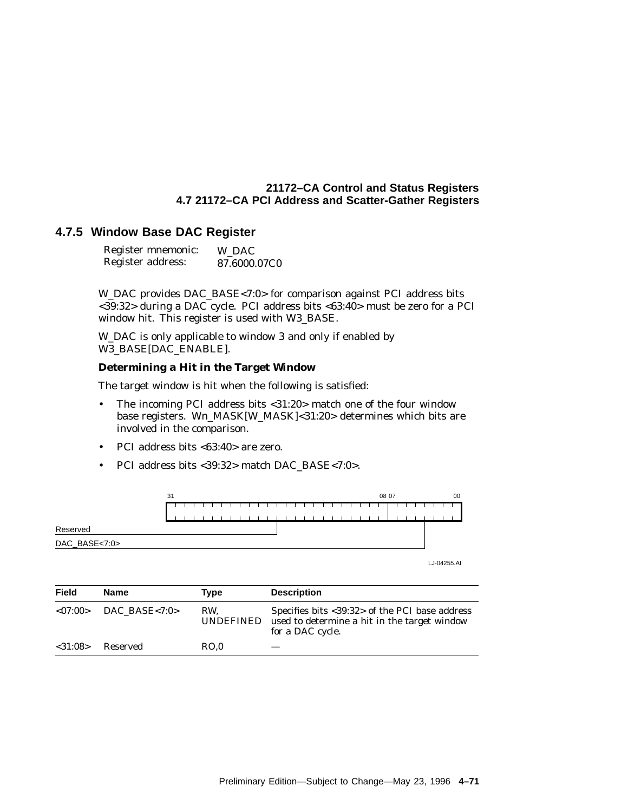#### **4.7.5 Window Base DAC Register**

| Register mnemonic: | W DAC        |
|--------------------|--------------|
| Register address:  | 87.6000.07C0 |

W\_DAC provides DAC\_BASE<7:0> for comparison against PCI address bits <39:32> during a DAC cycle. PCI address bits <63:40> must be zero for a PCI window hit. This register is used with W3\_BASE.

W\_DAC is only applicable to window 3 and only if enabled by W3\_BASE[DAC\_ENABLE].

#### **Determining a Hit in the Target Window**

The target window is hit when the following is satisfied:

- The incoming PCI address bits <31:20> match one of the four window base registers. W*n*\_MASK[W\_MASK]<31:20> determines which bits are involved in the comparison.
- PCI address bits <63:40> are zero.
- PCI address bits <39:32> match DAC\_BASE<7:0>.



| Field       | <b>Name</b>   | Type             | <b>Description</b>                                                                                                 |
|-------------|---------------|------------------|--------------------------------------------------------------------------------------------------------------------|
| ${<}07:00>$ | DAC BASE<7:0> | RW.<br>UNDEFINED | Specifies bits <39:32> of the PCI base address<br>used to determine a hit in the target window<br>for a DAC cycle. |
| < 31:08>    | Reserved      | RO.0             |                                                                                                                    |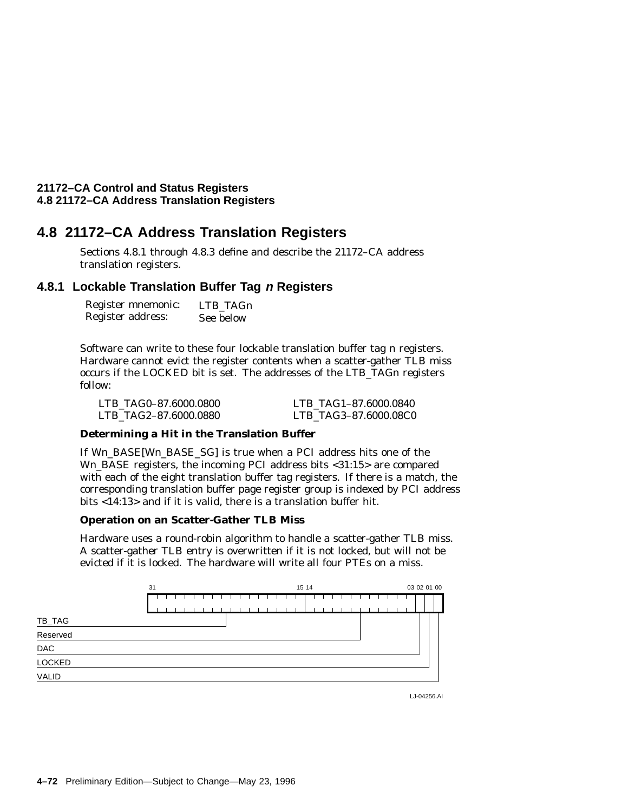## **4.8 21172–CA Address Translation Registers**

Sections 4.8.1 through 4.8.3 define and describe the 21172–CA address translation registers.

#### **4.8.1 Lockable Translation Buffer Tag <sup>n</sup> Registers**

| Register mnemonic: | LTB TAGn  |
|--------------------|-----------|
| Register address:  | See below |

Software can write to these four lockable translation buffer tag *n* registers. Hardware cannot evict the register contents when a scatter-gather TLB miss occurs if the LOCKED bit is set. The addresses of the LTB\_TAG*n* registers follow:

| LTB TAG0-87.6000.0800 | LTB TAG1-87.6000.0840 |
|-----------------------|-----------------------|
| LTB TAG2-87.6000.0880 | LTB TAG3-87.6000.08C0 |

#### **Determining a Hit in the Translation Buffer**

If Wn BASE[Wn BASE\_SG] is true when a PCI address hits one of the Wn BASE registers, the incoming PCI address bits <31:15> are compared with each of the eight translation buffer tag registers. If there is a match, the corresponding translation buffer page register group is indexed by PCI address bits <14:13> and if it is valid, there is a translation buffer hit.

#### **Operation on an Scatter-Gather TLB Miss**

Hardware uses a round-robin algorithm to handle a scatter-gather TLB miss. A scatter-gather TLB entry is overwritten if it is not locked, but will not be evicted if it is locked. The hardware will write all four PTEs on a miss.



LJ-04256.AI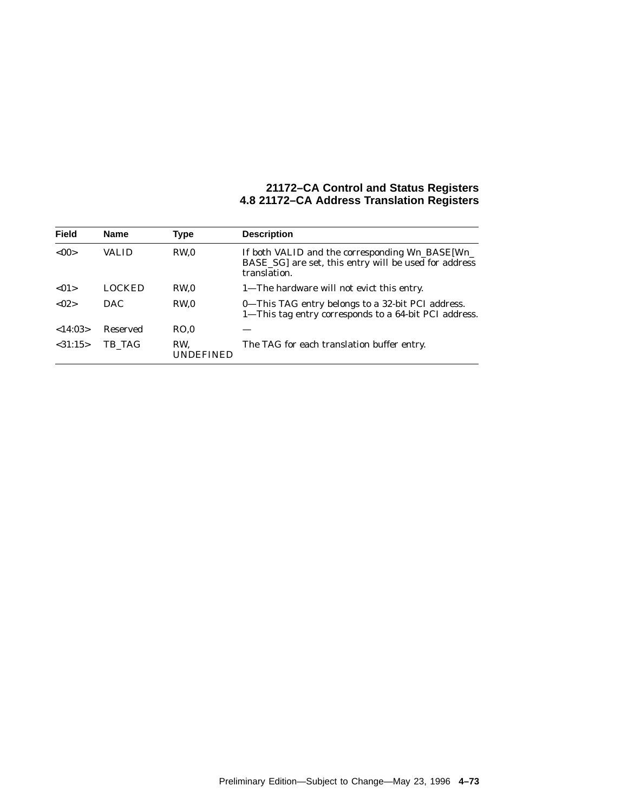| <b>Field</b> | <b>Name</b> | Type             | <b>Description</b>                                                                                                       |
|--------------|-------------|------------------|--------------------------------------------------------------------------------------------------------------------------|
| < 00         | VALID       | RW.0             | If both VALID and the corresponding Wn_BASE[Wn_<br>BASE_SG] are set, this entry will be used for address<br>translation. |
| < 01         | LOCKED      | RW <sub>0</sub>  | 1—The hardware will not evict this entry.                                                                                |
| < 02         | <b>DAC</b>  | RW <sub>0</sub>  | 0—This TAG entry belongs to a 32-bit PCI address.<br>1-This tag entry corresponds to a 64-bit PCI address.               |
| <14:03>      | Reserved    | RO.0             |                                                                                                                          |
| < 31:15>     | TB TAG      | RW.<br>UNDEFINED | The TAG for each translation buffer entry.                                                                               |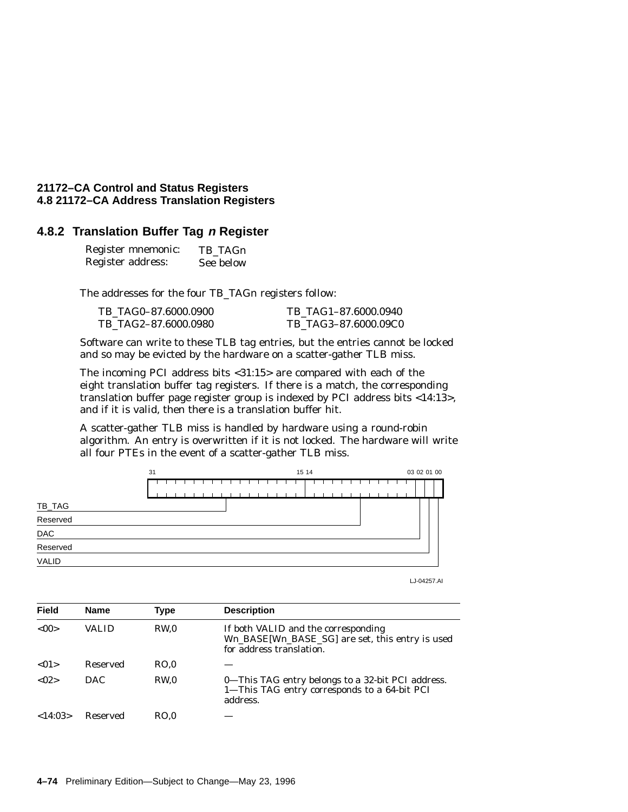#### **4.8.2 Translation Buffer Tag <sup>n</sup> Register**

| Register mnemonic: | TB TAGn   |
|--------------------|-----------|
| Register address:  | See below |

The addresses for the four TB\_TAGn registers follow:

| TB TAG0-87.6000.0900 | TB TAG1-87.6000.0940 |
|----------------------|----------------------|
| TB TAG2-87.6000.0980 | TB TAG3-87.6000.09C0 |

Software can write to these TLB tag entries, but the entries cannot be locked and so may be evicted by the hardware on a scatter-gather TLB miss.

The incoming PCI address bits <31:15> are compared with each of the eight translation buffer tag registers. If there is a match, the corresponding translation buffer page register group is indexed by PCI address bits <14:13>, and if it is valid, then there is a translation buffer hit.

A scatter-gather TLB miss is handled by hardware using a round-robin algorithm. An entry is overwritten if it is not locked. The hardware will write all four PTEs in the event of a scatter-gather TLB miss.



| LJ-04257.AI |  |
|-------------|--|
|-------------|--|

| <b>Field</b> | <b>Name</b> | <b>Type</b> | <b>Description</b>                                                                                                 |
|--------------|-------------|-------------|--------------------------------------------------------------------------------------------------------------------|
| <00          | VALID       | RW.0        | If both VALID and the corresponding<br>Wn_BASE[Wn_BASE_SG] are set, this entry is used<br>for address translation. |
| < 01         | Reserved    | RO.0        |                                                                                                                    |
| < 02         | <b>DAC</b>  | RW.0        | 0-This TAG entry belongs to a 32-bit PCI address.<br>1-This TAG entry corresponds to a 64-bit PCI<br>address.      |
| <14:03>      | Reserved    | RO.0        |                                                                                                                    |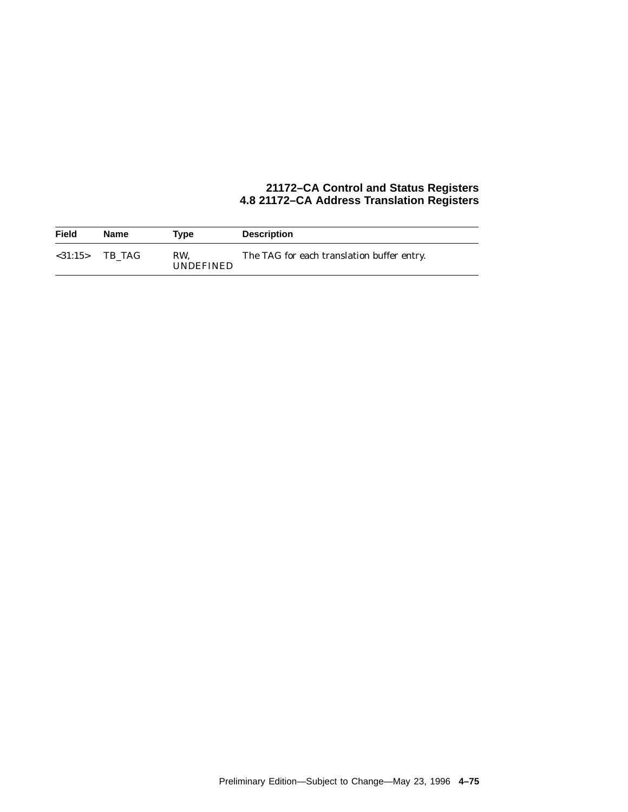| <b>Field</b>  | Name   | Tvpe                    | <b>Description</b>                         |
|---------------|--------|-------------------------|--------------------------------------------|
| $<$ 31:15 $>$ | TB TAG | RW.<br><b>UNDEFINED</b> | The TAG for each translation buffer entry. |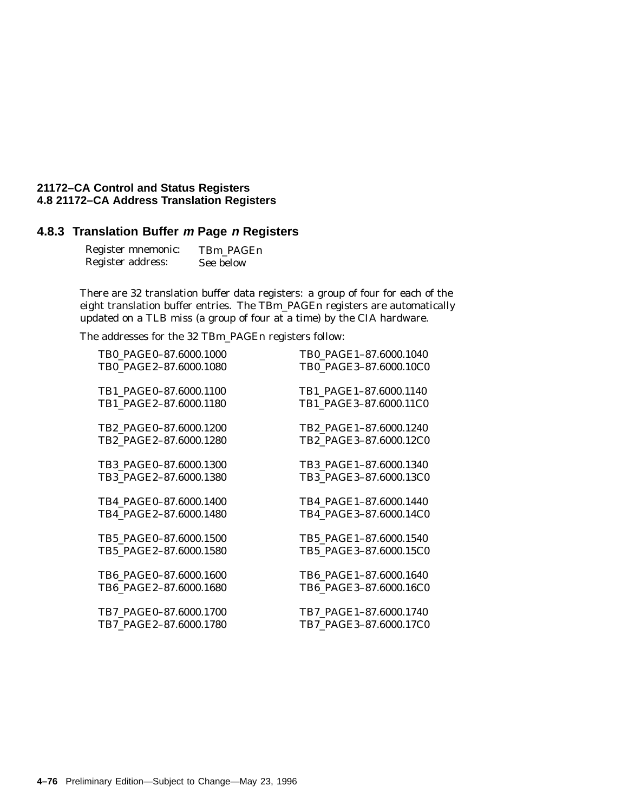## **4.8.3 Translation Buffer <sup>m</sup> Page <sup>n</sup> Registers**

| Register mnemonic: | TBm PAGEn |
|--------------------|-----------|
| Register address:  | See below |

There are 32 translation buffer data registers: a group of four for each of the eight translation buffer entries. The TB*m*\_PAGE*n* registers are automatically updated on a TLB miss (a group of four at a time) by the CIA hardware.

The addresses for the 32 TB*m*\_PAGE*n* registers follow:

| TB0_PAGE0-87.6000.1000 | TB0_PAGE1-87.6000.1040 |
|------------------------|------------------------|
| TB0_PAGE2-87.6000.1080 | TB0_PAGE3-87.6000.10C0 |
|                        |                        |
| TB1_PAGE0-87.6000.1100 | TB1 PAGE1-87.6000.1140 |
| TB1_PAGE2-87.6000.1180 | TB1_PAGE3-87.6000.11C0 |
|                        |                        |
| TB2 PAGE0-87.6000.1200 | TB2 PAGE1-87.6000.1240 |
| TB2 PAGE2-87.6000.1280 | TB2_PAGE3-87.6000.12C0 |
|                        |                        |
| TB3 PAGE0-87.6000.1300 | TB3 PAGE1-87.6000.1340 |
| TB3_PAGE2-87.6000.1380 | TB3_PAGE3-87.6000.13C0 |
|                        |                        |
| TB4 PAGE0-87.6000.1400 | TB4 PAGE1-87.6000.1440 |
| TB4 PAGE2-87.6000.1480 | TB4 PAGE3-87.6000.14C0 |
|                        |                        |
| TB5 PAGE0-87.6000.1500 | TB5 PAGE1-87.6000.1540 |
| TB5_PAGE2-87.6000.1580 | TB5_PAGE3-87.6000.15C0 |
|                        |                        |
| TB6 PAGE0-87.6000.1600 | TB6 PAGE1-87.6000.1640 |
| TB6 PAGE2-87.6000.1680 | TB6_PAGE3-87.6000.16C0 |
|                        |                        |
| TB7_PAGE0-87.6000.1700 | TB7_PAGE1-87.6000.1740 |
| TB7_PAGE2-87.6000.1780 | TB7_PAGE3-87.6000.17C0 |
|                        |                        |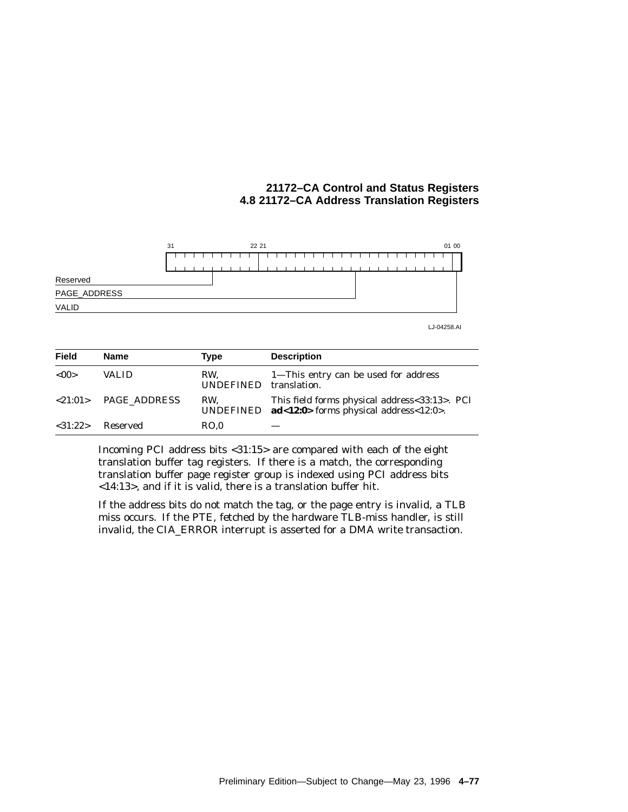

LJ-04258.AI

| <b>Field</b> | <b>Name</b>  | Type                    | <b>Description</b>                                                                                      |
|--------------|--------------|-------------------------|---------------------------------------------------------------------------------------------------------|
| < 00         | <b>VALID</b> | RW.<br><b>UNDEFINED</b> | 1—This entry can be used for address<br>translation.                                                    |
| < 21:01 >    | PAGE ADDRESS | RW.                     | This field forms physical address<33:13>. PCI<br>UNDEFINED $ad < 12:0$ forms physical address < 12:0 >. |
| <31:22>      | Reserved     | RO.0                    |                                                                                                         |

Incoming PCI address bits <31:15> are compared with each of the eight translation buffer tag registers. If there is a match, the corresponding translation buffer page register group is indexed using PCI address bits <14:13>, and if it is valid, there is a translation buffer hit.

If the address bits do not match the tag, or the page entry is invalid, a TLB miss occurs. If the PTE, fetched by the hardware TLB-miss handler, is still invalid, the CIA\_ERROR interrupt is asserted for a DMA write transaction.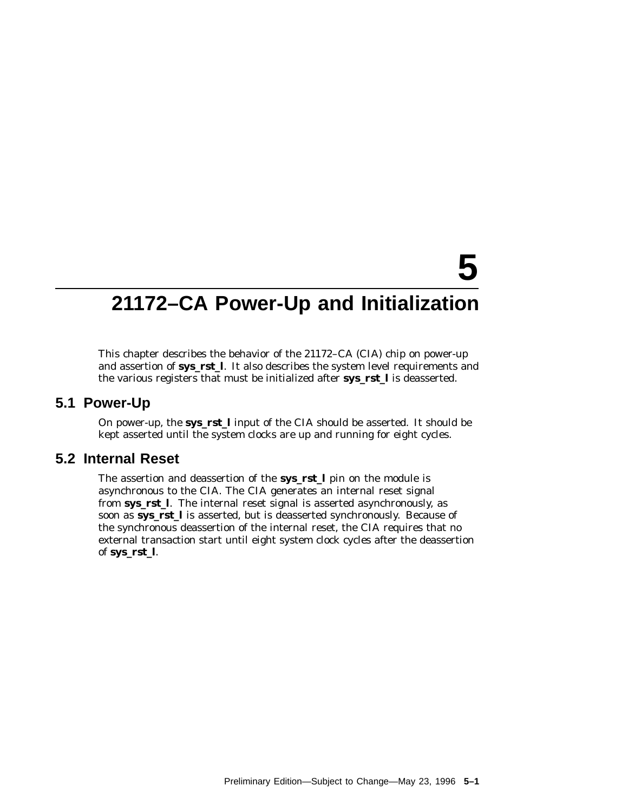## **21172–CA Power-Up and Initialization**

**5**

This chapter describes the behavior of the 21172–CA (CIA) chip on power-up and assertion of **sys\_rst\_l**. It also describes the system level requirements and the various registers that must be initialized after **sys\_rst\_l** is deasserted.

#### **5.1 Power-Up**

On power-up, the **sys\_rst\_l** input of the CIA should be asserted. It should be kept asserted until the system clocks are up and running for eight cycles.

#### **5.2 Internal Reset**

The assertion and deassertion of the **sys\_rst\_l** pin on the module is asynchronous to the CIA. The CIA generates an internal reset signal from **sys\_rst\_l**. The internal reset signal is asserted asynchronously, as soon as **sys\_rst\_l** is asserted, but is deasserted synchronously. Because of the synchronous deassertion of the internal reset, the CIA requires that no external transaction start until eight system clock cycles after the deassertion of **sys\_rst\_l**.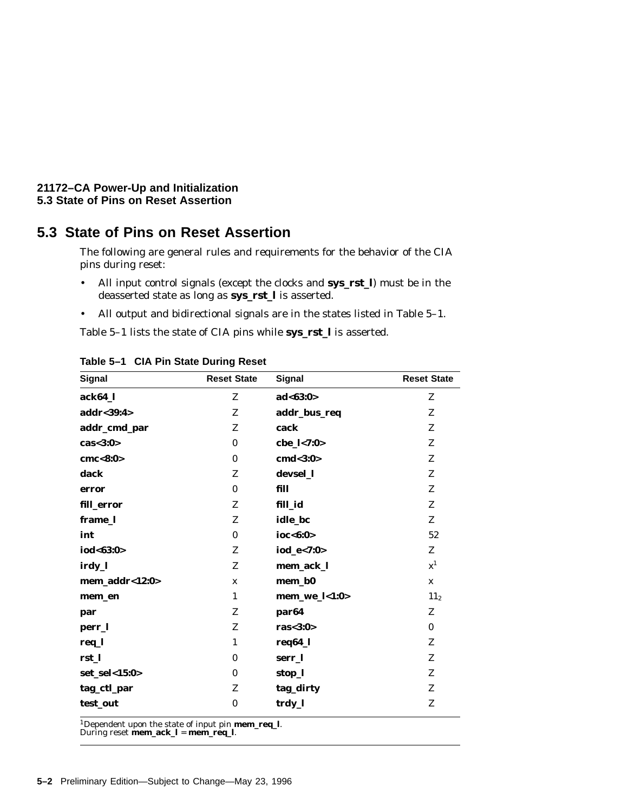#### **21172–CA Power-Up and Initialization 5.3 State of Pins on Reset Assertion**

## **5.3 State of Pins on Reset Assertion**

The following are general rules and requirements for the behavior of the CIA pins during reset:

- All input control signals (except the clocks and **sys\_rst\_l**) must be in the deasserted state as long as **sys\_rst\_l** is asserted.
- All output and bidirectional signals are in the states listed in Table 5–1.

Table 5–1 lists the state of CIA pins while **sys\_rst\_l** is asserted.

| <b>Signal</b>  | <b>Reset State</b> | <b>Signal</b>     | <b>Reset State</b> |
|----------------|--------------------|-------------------|--------------------|
| ack64_l        | Z                  | ad < 63:0>        | Z                  |
| addr<39:4>     | Z                  | addr_bus_req      | Z                  |
| addr_cmd_par   | Z                  | cack              | Z                  |
| cas < 3:0>     | $\mathbf{0}$       | cbe_l<7:0>        | Z                  |
| cmc<8:0>       | $\bf{0}$           | cmd<3:0>          | Z                  |
| dack           | Z                  | devsel_l          | Z                  |
| error          | $\bf{0}$           | fill              | Z                  |
| fill_error     | Z                  | fill_id           | Z                  |
| frame_l        | Z                  | idle_bc           | Z                  |
| int            | $\mathbf{0}$       | ioc<6:0>          | 52                 |
| iod<63:0>      | Z                  | iod_e<7:0>        | Z                  |
| irdy_l         | Z                  | mem_ack_l         | ${\bf x}^1$        |
| mem_addr<12:0> | $\mathbf{x}$       | mem_b0            | $\mathbf x$        |
| mem_en         | $\mathbf{1}$       | mem_we_l<1:0>     | 11 <sub>2</sub>    |
| par            | Z                  | par <sub>64</sub> | Z                  |
| perr_l         | Z                  | ras $<$ 3:0 $>$   | $\bf{0}$           |
| req_l          | $\mathbf{1}$       | req64_l           | Z                  |
| rst_l          | $\bf{0}$           | serr_l            | Z                  |
| set_sel<15:0>  | $\bf{0}$           | stop_l            | Z                  |
| tag_ctl_par    | Z                  | tag_dirty         | Z                  |
| test_out       | $\bf{0}$           | trdy_l            | Z                  |
|                |                    |                   |                    |

**Table 5–1 CIA Pin State During Reset**

1Dependent upon the state of input pin **mem\_req\_l**. During reset **mem\_ack\_l** <sup>=</sup> **mem\_req\_l**.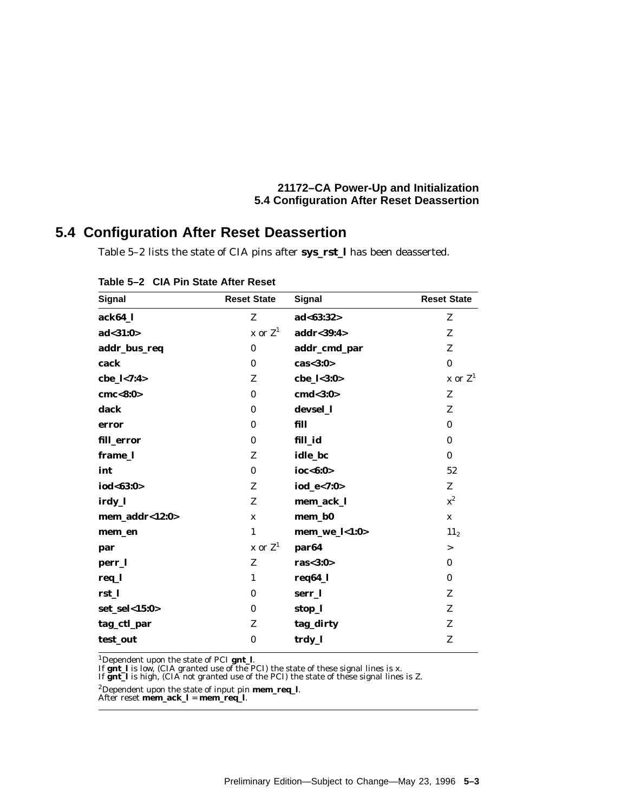#### **21172–CA Power-Up and Initialization 5.4 Configuration After Reset Deassertion**

## **5.4 Configuration After Reset Deassertion**

Table 5–2 lists the state of CIA pins after **sys\_rst\_l** has been deasserted.

| Signal         | <b>Reset State</b> | Signal            | <b>Reset State</b> |
|----------------|--------------------|-------------------|--------------------|
| ack64_l        | Z                  | ad < 63:32>       | Z                  |
| ad < 31:0>     | x or $Z^1$         | addr<39:4>        | Z                  |
| addr_bus_req   | $\bf{0}$           | addr_cmd_par      | Z                  |
| cack           | $\mathbf{0}$       | cas < 3:0>        | $\bf{0}$           |
| cbe_l<7:4>     | Z                  | cbe_l<3:0>        | $x$ or $Z^1$       |
| cmc < 8:0>     | $\bf{0}$           | $cmd 3:0>$        | Z                  |
| dack           | $\mathbf{0}$       | devsel_1          | Z                  |
| error          | $\bf{0}$           | fill              | $\bf{0}$           |
| fill_error     | $\bf{0}$           | fill_id           | $\bf{0}$           |
| frame_l        | Z                  | idle_bc           | $\bf{0}$           |
| int            | $\bf{0}$           | ioc $<$ 6:0 $>$   | 52                 |
| iod<63:0>      | Z                  | iod_e<7:0>        | Z                  |
| irdy_l         | Z                  | mem_ack_l         | $\mathbf{x}^2$     |
| mem_addr<12:0> | $\mathbf{x}$       | mem_b0            | $\mathbf{x}$       |
| mem_en         | $\mathbf{1}$       | $mem_we_l<1:0>$   | 11 <sub>2</sub>    |
| par            | $x$ or $Z^1$       | par <sub>64</sub> | $\, >$             |
| perr_l         | Z                  | ras $<$ 3:0 $>$   | $\mathbf{0}$       |
| req_l          | $\mathbf{1}$       | req64_l           | $\mathbf{0}$       |
| rst_l          | $\bf{0}$           | serr_l            | Z                  |
| set_sel<15:0>  | $\bf{0}$           | stop_l            | Z                  |
| tag_ctl_par    | Z                  | tag_dirty         | Z                  |
| test_out       | $\bf{0}$           | trdy_l            | Z                  |

| Table 5-2 CIA Pin State After Reset |  |  |  |  |  |
|-------------------------------------|--|--|--|--|--|
|-------------------------------------|--|--|--|--|--|

<sup>1</sup>Dependent upon the state of PCI **gnt\_l**.<br>If **gnt\_l** is low, (CIA granted use of the PCI) the state of these signal lines is x.<br>If **gnt\_l** is high, (CIA not granted use of the PCI) the state of these signal lines is Z.

2Dependent upon the state of input pin **mem\_req\_l**. After reset **mem\_ack\_l** <sup>=</sup> **mem\_req\_l**.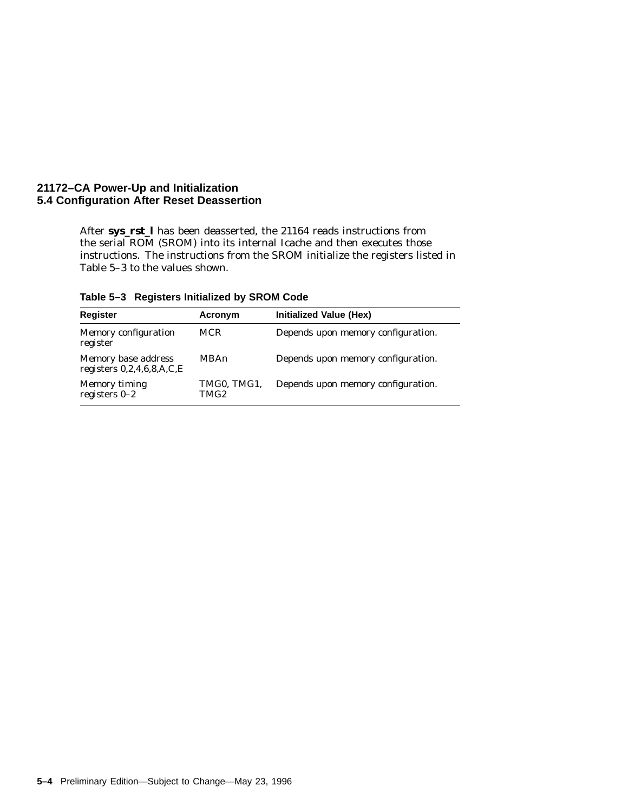#### **21172–CA Power-Up and Initialization 5.4 Configuration After Reset Deassertion**

After **sys\_rst\_l** has been deasserted, the 21164 reads instructions from the serial ROM (SROM) into its internal Icache and then executes those instructions. The instructions from the SROM initialize the registers listed in Table 5–3 to the values shown.

| Table 5-3 Registers Initialized by SROM Code |  |
|----------------------------------------------|--|
|                                              |  |

| <b>Register</b>                                    | Acronym             | Initialized Value (Hex)            |
|----------------------------------------------------|---------------------|------------------------------------|
| Memory configuration<br>register                   | <b>MCR</b>          | Depends upon memory configuration. |
| Memory base address<br>registers $0,2,4,6,8,A,C,E$ | MBAn                | Depends upon memory configuration. |
| Memory timing<br>registers $0-2$                   | TMG0, TMG1,<br>TMG2 | Depends upon memory configuration. |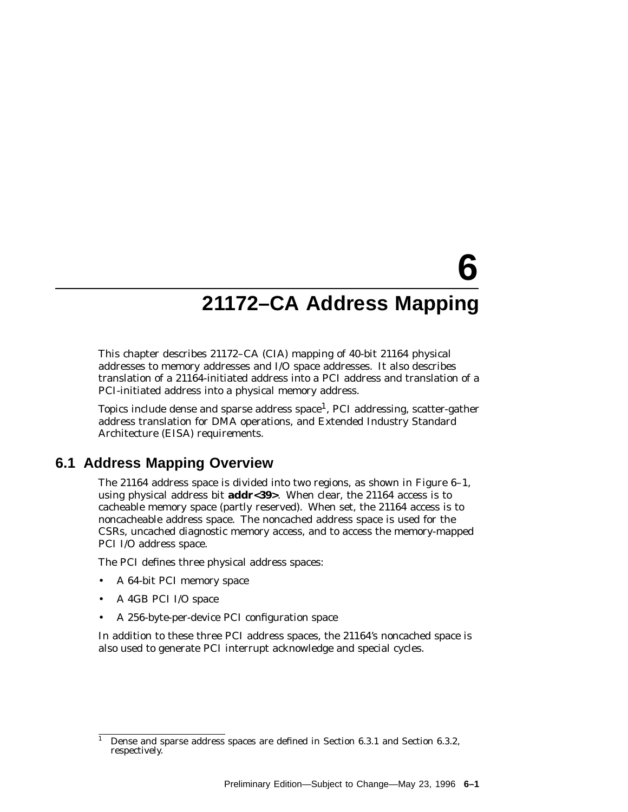# **6 21172–CA Address Mapping**

This chapter describes 21172–CA (CIA) mapping of 40-bit 21164 physical addresses to memory addresses and I/O space addresses. It also describes translation of a 21164-initiated address into a PCI address and translation of a PCI-initiated address into a physical memory address.

Topics include dense and sparse address space<sup>1</sup>, PCI addressing, scatter-gather address translation for DMA operations, and Extended Industry Standard Architecture (EISA) requirements.

## **6.1 Address Mapping Overview**

The 21164 address space is divided into two regions, as shown in Figure 6–1, using physical address bit **addr<39>**. When clear, the 21164 access is to cacheable memory space (partly reserved). When set, the 21164 access is to noncacheable address space. The noncached address space is used for the CSRs, uncached diagnostic memory access, and to access the memory-mapped PCI I/O address space.

The PCI defines three physical address spaces:

- A 64-bit PCI memory space
- A 4GB PCI I/O space
- A 256-byte-per-device PCI configuration space

In addition to these three PCI address spaces, the 21164's noncached space is also used to generate PCI interrupt acknowledge and special cycles.

<sup>1</sup> Dense and sparse address spaces are defined in Section 6.3.1 and Section 6.3.2, respectively.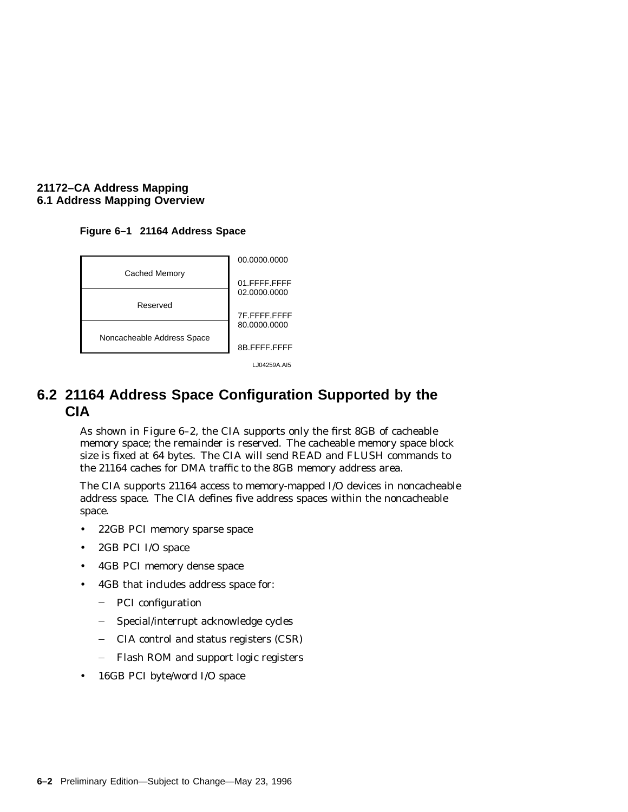#### **21172–CA Address Mapping 6.1 Address Mapping Overview**

#### **Figure 6–1 21164 Address Space**



LJ04259A.AI5

## **6.2 21164 Address Space Configuration Supported by the CIA**

As shown in Figure 6–2, the CIA supports only the first 8GB of cacheable memory space; the remainder is reserved. The cacheable memory space block size is fixed at 64 bytes. The CIA will send READ and FLUSH commands to the 21164 caches for DMA traffic to the 8GB memory address area.

The CIA supports 21164 access to memory-mapped I/O devices in noncacheable address space. The CIA defines five address spaces within the noncacheable space.

- 22GB PCI memory sparse space
- 2GB PCI I/O space
- 4GB PCI memory dense space
- 4GB that includes address space for:
	- PCI configuration  $\frac{1}{2}$
	- Special/interrupt acknowledge cycles  $\frac{1}{2}$
	- CIA control and status registers (CSR)  $\frac{1}{2}$
	- $\frac{1}{2}$ Flash ROM and support logic registers
- 16GB PCI byte/word I/O space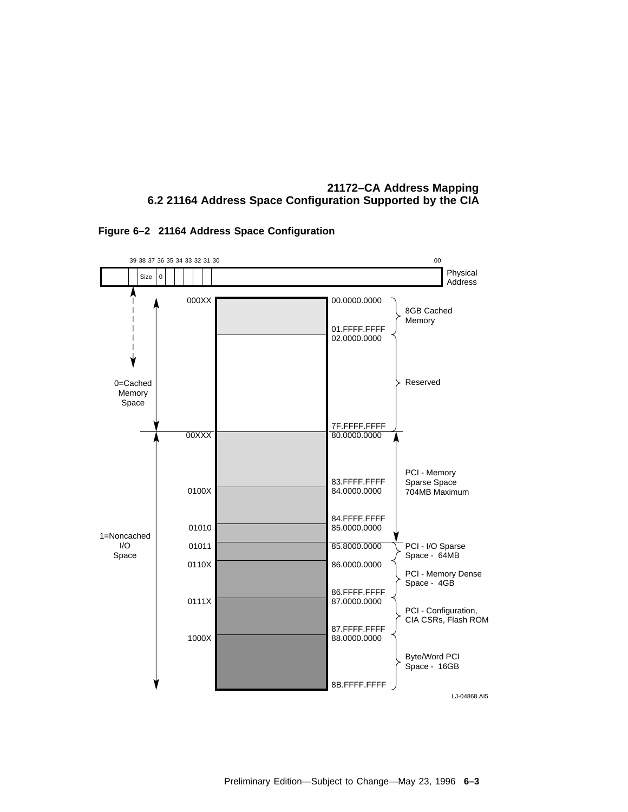



**Figure 6–2 21164 Address Space Configuration**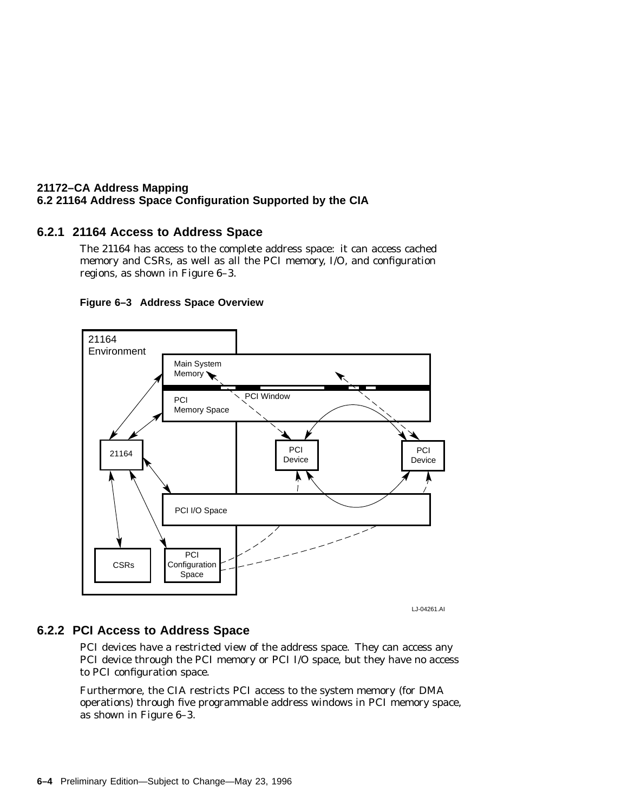#### **6.2.1 21164 Access to Address Space**

The 21164 has access to the complete address space: it can access cached memory and CSRs, as well as all the PCI memory, I/O, and configuration regions, as shown in Figure 6–3.





LJ-04261.AI

#### **6.2.2 PCI Access to Address Space**

PCI devices have a restricted view of the address space. They can access any PCI device through the PCI memory or PCI I/O space, but they have no access to PCI configuration space.

Furthermore, the CIA restricts PCI access to the system memory (for DMA operations) through five programmable address windows in PCI memory space, as shown in Figure 6–3.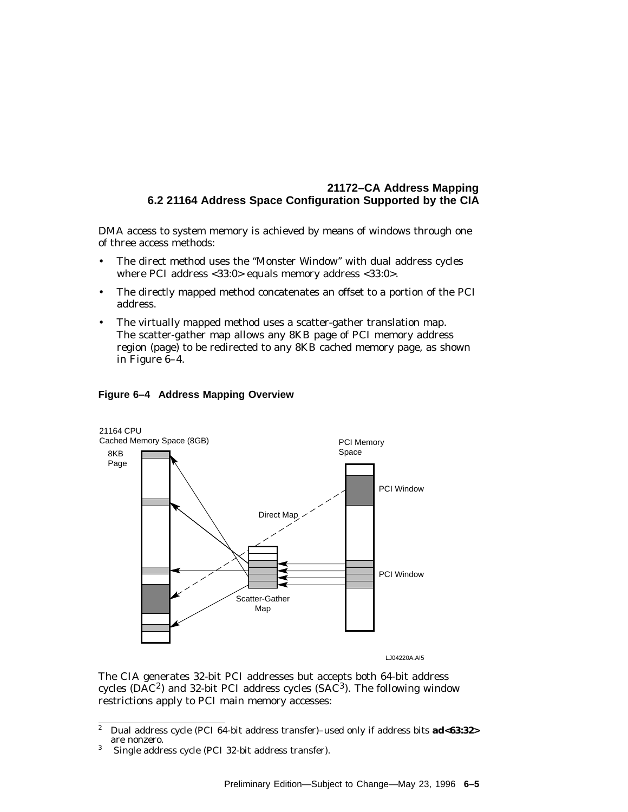DMA access to system memory is achieved by means of windows through one of three access methods:

- The direct method uses the ''Monster Window'' with dual address cycles where PCI address <33:0> equals memory address <33:0>.
- The directly mapped method concatenates an offset to a portion of the PCI address.
- The virtually mapped method uses a scatter-gather translation map. The scatter-gather map allows any 8KB page of PCI memory address region (page) to be redirected to any 8KB cached memory page, as shown in Figure 6–4.



#### **Figure 6–4 Address Mapping Overview**

LJ04220A.AI5

The CIA generates 32-bit PCI addresses but accepts both 64-bit address cycles ( $\overline{DAC}^2$ ) and 32-bit PCI address cycles ( $\overline{SAC}^3$ ). The following window restrictions apply to PCI main memory accesses:

<sup>2</sup> Dual address cycle (PCI 64-bit address transfer)–used only if address bits **ad<63:32>** are nonzero.

<sup>3</sup> Single address cycle (PCI 32-bit address transfer).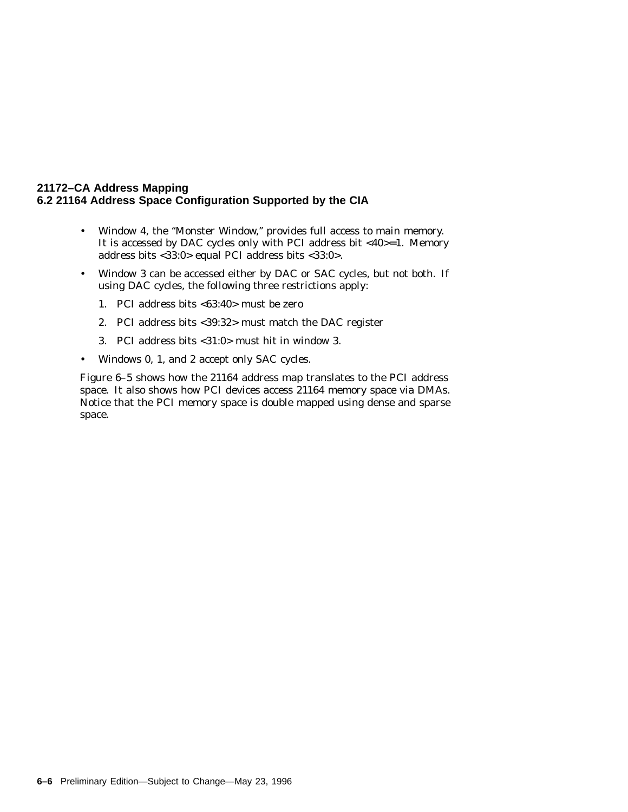- Window 4, the ''Monster Window,'' provides full access to main memory. It is accessed by DAC cycles only with PCI address bit  $<40>=1$ . Memory address bits <33:0> equal PCI address bits <33:0>.
- Window 3 can be accessed either by DAC or SAC cycles, but not both. If using DAC cycles, the following three restrictions apply:
	- 1. PCI address bits <63:40> must be zero
	- 2. PCI address bits <39:32> must match the DAC register
	- 3. PCI address bits <31:0> must hit in window 3.
- Windows 0, 1, and 2 accept only SAC cycles.

Figure 6–5 shows how the 21164 address map translates to the PCI address space. It also shows how PCI devices access 21164 memory space via DMAs. Notice that the PCI memory space is double mapped using dense and sparse space.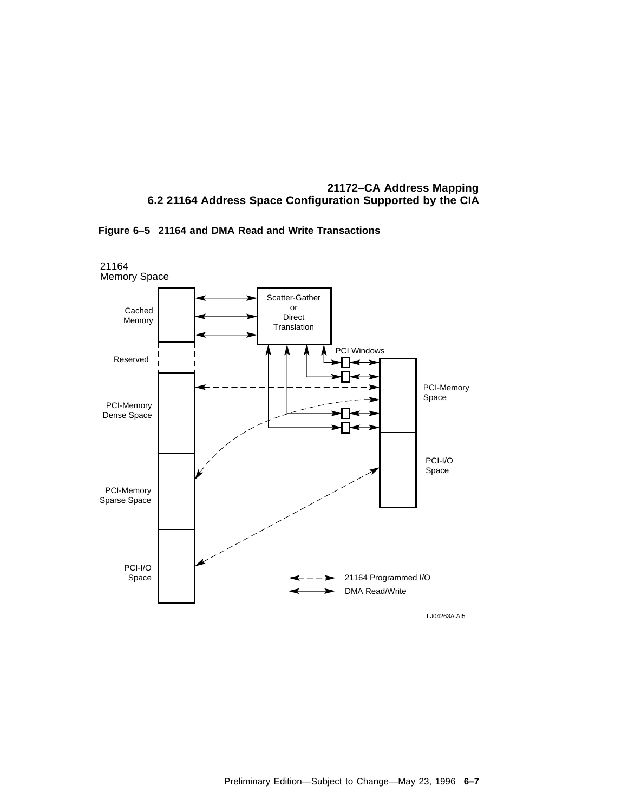

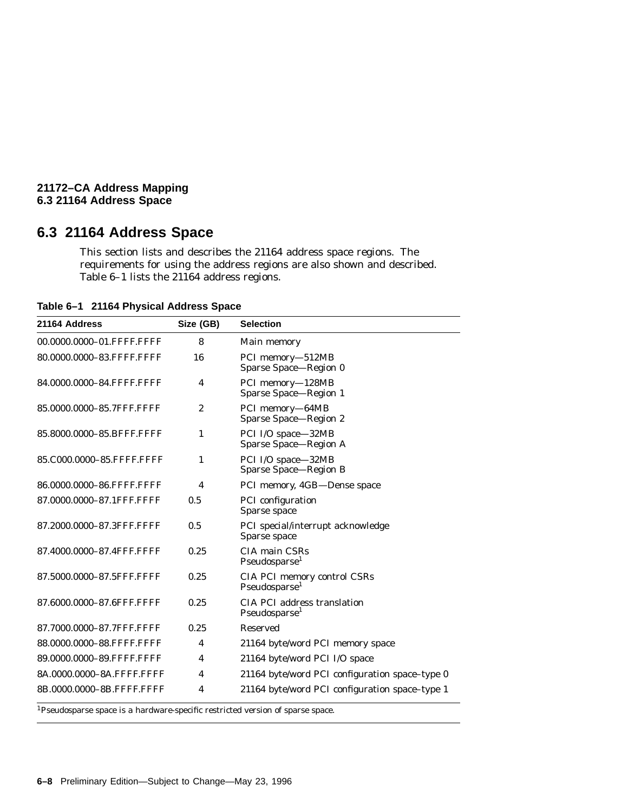#### **21172–CA Address Mapping 6.3 21164 Address Space**

## **6.3 21164 Address Space**

This section lists and describes the 21164 address space regions. The requirements for using the address regions are also shown and described. Table 6–1 lists the 21164 address regions.

**Table 6–1 21164 Physical Address Space**

| 21164 Address             | Size (GB) | <b>Selection</b>                                                |  |
|---------------------------|-----------|-----------------------------------------------------------------|--|
| 00.0000.0000-01.FFFF.FFFF | 8         | Main memory                                                     |  |
| 80.0000.0000-83.FFFF.FFFF | 16        | PCI memory-512MB<br>Sparse Space-Region 0                       |  |
| 84.0000.0000-84.FFFF.FFFF | 4         | PCI memory-128MB<br>Sparse Space-Region 1                       |  |
| 85.0000.0000-85.7FFF.FFFF | 2         | PCI memory-64MB<br>Sparse Space-Region 2                        |  |
| 85.8000.0000-85.BFFF.FFFF | 1         | PCI I/O space-32MB<br>Sparse Space-Region A                     |  |
| 85.C000.0000-85.FFFF.FFFF | 1         | PCI I/O space-32MB<br><b>Sparse Space-Region B</b>              |  |
| 86.0000.0000-86.FFFF.FFFF | 4         | PCI memory, 4GB-Dense space                                     |  |
| 87.0000.0000-87.1FFF.FFFF | 0.5       | PCI configuration<br>Sparse space                               |  |
| 87.2000.0000-87.3FFF.FFFF | 0.5       | PCI special/interrupt acknowledge<br>Sparse space               |  |
| 87.4000.0000-87.4FFF.FFFF | 0.25      | CIA main CSRs<br>Pseudosparse <sup>1</sup>                      |  |
| 87.5000.0000-87.5FFF.FFFF | 0.25      | CIA PCI memory control CSRs<br>Pseudosparse <sup>1</sup>        |  |
| 87.6000.0000-87.6FFF.FFFF | 0.25      | <b>CIA PCI address translation</b><br>Pseudosparse <sup>1</sup> |  |
| 87.7000.0000-87.7FFF.FFFF | 0.25      | <b>Reserved</b>                                                 |  |
| 88.0000.0000-88.FFFF.FFFF | 4         | 21164 byte/word PCI memory space                                |  |
| 89.0000.0000-89.FFFF.FFFF | 4         | 21164 byte/word PCI I/O space                                   |  |
| 8A.0000.0000-8A.FFFF.FFFF | 4         | 21164 byte/word PCI configuration space-type 0                  |  |
| 8B.0000.0000-8B.FFFF.FFFF | 4         | 21164 byte/word PCI configuration space-type 1                  |  |

1Pseudosparse space is a hardware-specific restricted version of sparse space.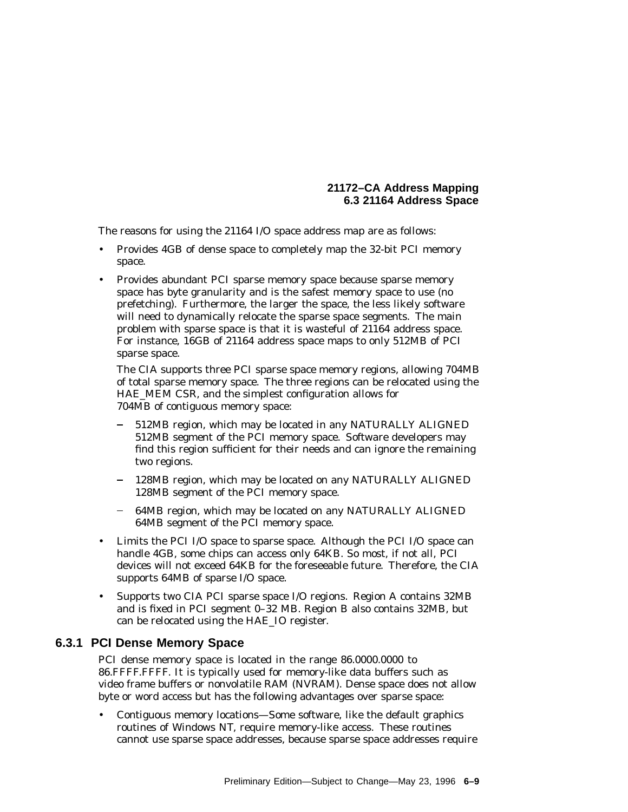The reasons for using the 21164 I/O space address map are as follows:

- Provides 4GB of dense space to completely map the 32-bit PCI memory space.
- Provides abundant PCI sparse memory space because sparse memory space has byte granularity and is the safest memory space to use (no prefetching). Furthermore, the larger the space, the less likely software will need to dynamically relocate the sparse space segments. The main problem with sparse space is that it is wasteful of 21164 address space. For instance, 16GB of 21164 address space maps to only 512MB of PCI sparse space.

The CIA supports three PCI sparse space memory regions, allowing 704MB of total sparse memory space. The three regions can be relocated using the HAE\_MEM CSR, and the simplest configuration allows for 704MB of contiguous memory space:

- 512MB region, which may be located in any NATURALLY ALIGNED 512MB segment of the PCI memory space. Software developers may find this region sufficient for their needs and can ignore the remaining two regions.
- 128MB region, which may be located on any NATURALLY ALIGNED 128MB segment of the PCI memory space.
- 64MB region, which may be located on any NATURALLY ALIGNED 64MB segment of the PCI memory space.
- Limits the PCI I/O space to sparse space. Although the PCI I/O space can handle 4GB, some chips can access only 64KB. So most, if not all, PCI devices will not exceed 64KB for the foreseeable future. Therefore, the CIA supports 64MB of sparse I/O space.
- Supports two CIA PCI sparse space I/O regions. Region A contains 32MB and is fixed in PCI segment 0–32 MB. Region B also contains 32MB, but can be relocated using the HAE\_IO register.

# **6.3.1 PCI Dense Memory Space**

PCI dense memory space is located in the range 86.0000.0000 to 86.FFFF.FFFF. It is typically used for memory-like data buffers such as video frame buffers or nonvolatile RAM (NVRAM). Dense space does not allow byte or word access but has the following advantages over sparse space:

• Contiguous memory locations—Some software, like the default graphics routines of Windows NT, require memory-like access. These routines cannot use sparse space addresses, because sparse space addresses require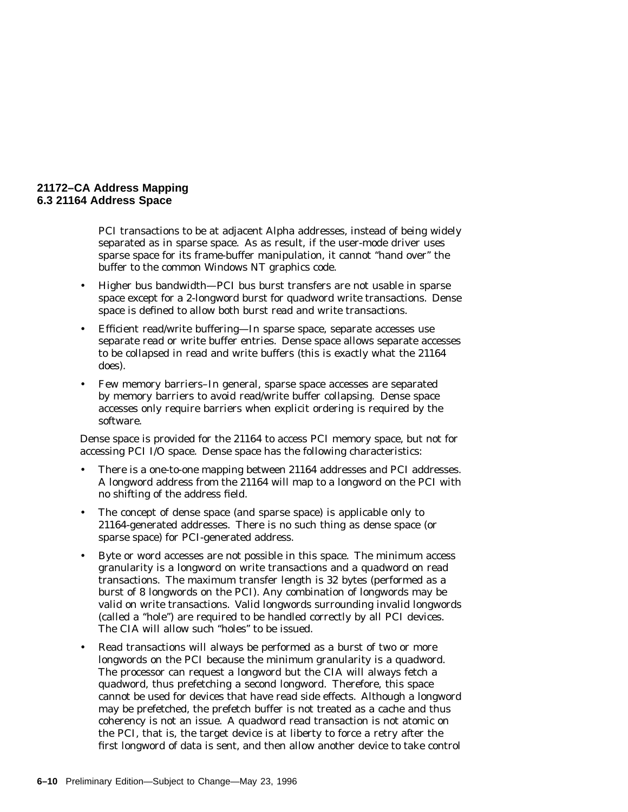PCI transactions to be at adjacent Alpha addresses, instead of being widely separated as in sparse space. As as result, if the user-mode driver uses sparse space for its frame-buffer manipulation, it cannot ''hand over'' the buffer to the common Windows NT graphics code.

- Higher bus bandwidth—PCI bus burst transfers are not usable in sparse space except for a 2-longword burst for quadword write transactions. Dense space is defined to allow both burst read and write transactions.
- Efficient read/write buffering—In sparse space, separate accesses use separate read or write buffer entries. Dense space allows separate accesses to be collapsed in read and write buffers (this is exactly what the 21164 does).
- Few memory barriers–In general, sparse space accesses are separated by memory barriers to avoid read/write buffer collapsing. Dense space accesses only require barriers when explicit ordering is required by the software.

Dense space is provided for the 21164 to access PCI memory space, but not for accessing PCI I/O space. Dense space has the following characteristics:

- There is a one-to-one mapping between 21164 addresses and PCI addresses. A longword address from the 21164 will map to a longword on the PCI with no shifting of the address field.
- The concept of dense space (and sparse space) is applicable only to 21164-generated addresses. There is no such thing as dense space (or sparse space) for PCI-generated address.
- Byte or word accesses are *not* possible in this space. The minimum access granularity is a longword on write transactions and a quadword on read transactions. The maximum transfer length is 32 bytes (performed as a burst of 8 longwords on the PCI). Any combination of longwords may be valid on write transactions. Valid longwords surrounding invalid longwords (called a ''hole'') are required to be handled correctly by all PCI devices. The CIA will allow such ''holes'' to be issued.
- Read transactions will always be performed as a burst of two or more longwords on the PCI because the minimum granularity is a quadword. The processor can request a longword but the CIA will always fetch a quadword, thus prefetching a second longword. Therefore, this space cannot be used for devices that have read side effects. Although a longword may be prefetched, the prefetch buffer is not treated as a cache and thus coherency is not an issue. A quadword read transaction is not atomic on the PCI, that is, the target device is at liberty to force a retry after the first longword of data is sent, and then allow another device to take control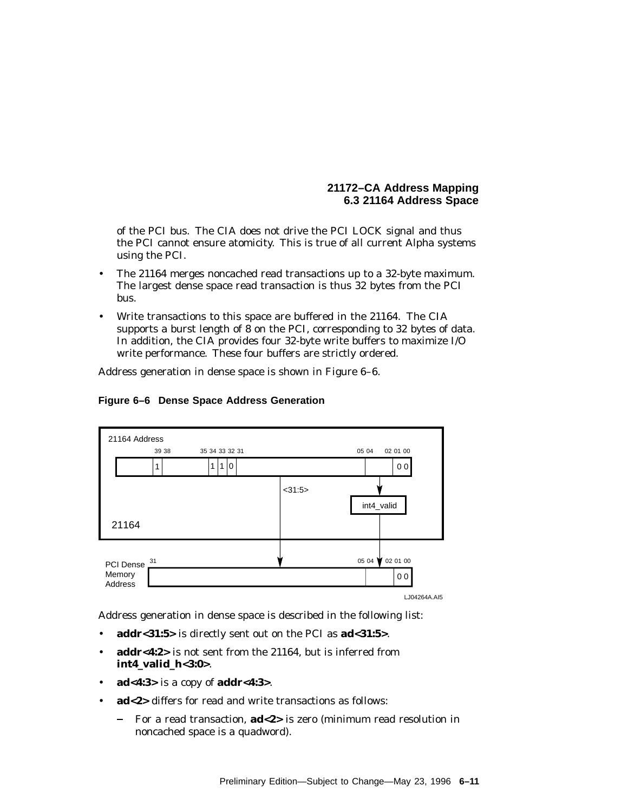of the PCI bus. The CIA does not drive the PCI LOCK signal and thus the PCI cannot ensure atomicity. This is true of all current Alpha systems using the PCI.

- The 21164 merges noncached read transactions up to a 32-byte maximum. The largest dense space read transaction is thus 32 bytes from the PCI bus.
- Write transactions to this space are buffered in the 21164. The CIA supports a burst length of 8 on the PCI, corresponding to 32 bytes of data. In addition, the CIA provides four 32-byte write buffers to maximize I/O write performance. These four buffers are strictly ordered.

Address generation in dense space is shown in Figure 6–6.



## **Figure 6–6 Dense Space Address Generation**

Address generation in dense space is described in the following list:

- **addr<31:5>** is directly sent out on the PCI as **ad<31:5>**.
- **addr<4:2>** is not sent from the 21164, but is inferred from **int4\_valid\_h<3:0>**.
- **ad<4:3>** is a copy of **addr<4:3>**.
- **ad<2>** differs for read and write transactions as follows:
	- For a read transaction, **ad<2>** is zero (minimum read resolution in noncached space is a quadword).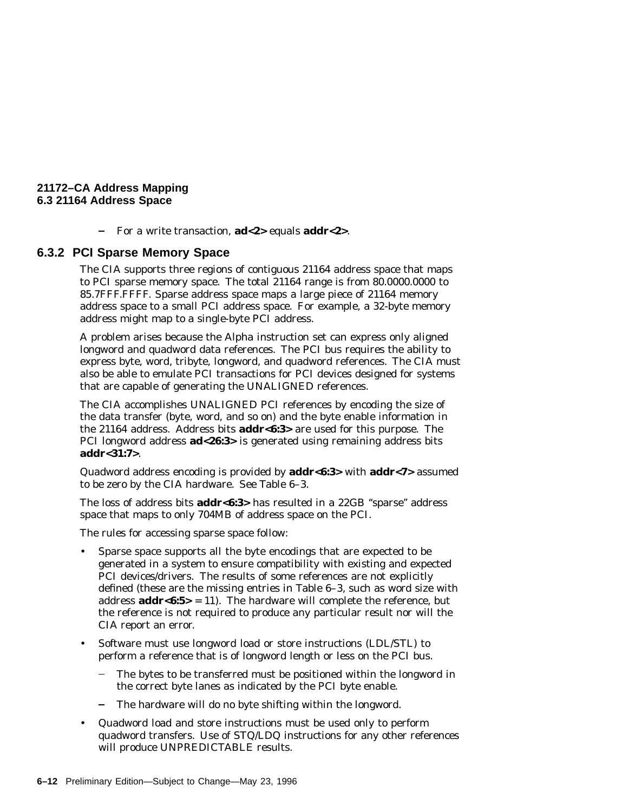For a write transaction, **ad<2>** equals **addr<2>**.

## **6.3.2 PCI Sparse Memory Space**

The CIA supports three regions of contiguous 21164 address space that maps to PCI sparse memory space. The total 21164 range is from 80.0000.0000 to 85.7FFF.FFFF. Sparse address space maps a large piece of 21164 memory address space to a small PCI address space. For example, a 32-byte memory address might map to a single-byte PCI address.

A problem arises because the Alpha instruction set can express only aligned longword and quadword data references. The PCI bus requires the ability to express byte, word, tribyte, longword, and quadword references. The CIA must also be able to emulate PCI transactions for PCI devices designed for systems that are capable of generating the UNALIGNED references.

The CIA accomplishes UNALIGNED PCI references by encoding the size of the data transfer (byte, word, and so on) and the byte enable information in the 21164 address. Address bits **addr<6:3>** are used for this purpose. The PCI longword address **ad<26:3>** is generated using remaining address bits **addr<31:7>**.

Quadword address encoding is provided by **addr<6:3>** with **addr<7>** assumed to be zero by the CIA hardware. See Table 6–3.

The loss of address bits **addr<6:3>** has resulted in a 22GB ''sparse'' address space that maps to only 704MB of address space on the PCI.

The rules for accessing sparse space follow:

- Sparse space supports all the byte encodings that are expected to be generated in a system to ensure compatibility with existing and expected PCI devices/drivers. The results of some references are not explicitly defined (these are the missing entries in Table 6–3, such as word size with address **addr<6:5>** = 11). The hardware will complete the reference, but the reference is not required to produce any particular result nor will the CIA report an error.
- Software must use longword load or store instructions (LDL/STL) to perform a reference that is of longword length or less on the PCI bus.
	- The bytes to be transferred must be positioned within the longword in the correct byte lanes as indicated by the PCI byte enable.
	- The hardware will do no byte shifting within the longword.
- Quadword load and store instructions must be used only to perform quadword transfers. Use of STQ/LDQ instructions for any other references will produce UNPREDICTABLE results.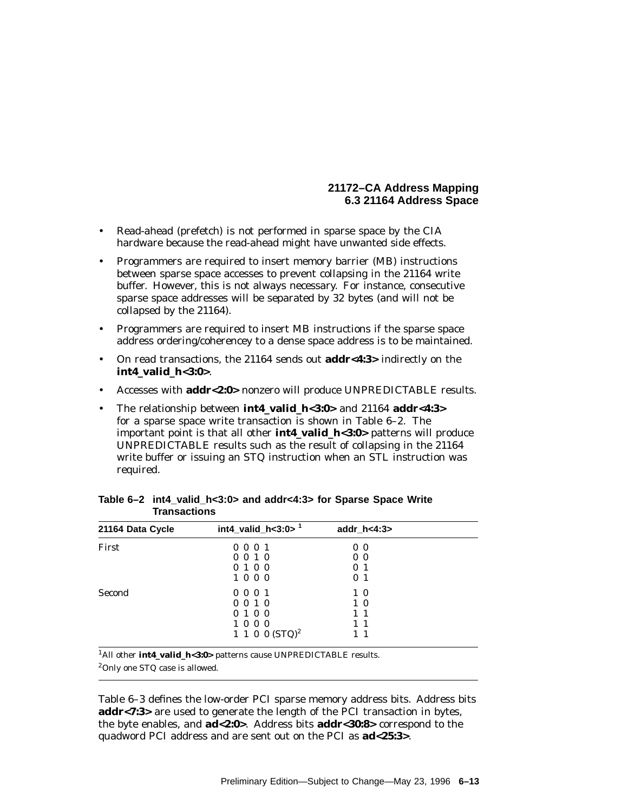- Read-ahead (prefetch) is not performed in sparse space by the CIA hardware because the read-ahead might have unwanted side effects.
- Programmers are required to insert memory barrier (MB) instructions between sparse space accesses to prevent collapsing in the 21164 write buffer. However, this is not always necessary. For instance, consecutive sparse space addresses will be separated by 32 bytes (and will not be collapsed by the 21164).
- Programmers are required to insert MB instructions if the sparse space address ordering/coherencey to a dense space address is to be maintained.
- On read transactions, the 21164 sends out **addr<4:3>** indirectly on the **int4\_valid\_h<3:0>**.
- Accesses with **addr<2:0>** nonzero will produce UNPREDICTABLE results.
- The relationship between **int4\_valid\_h<3:0>** and 21164 **addr<4:3>** for a sparse space write transaction is shown in Table 6–2. The important point is that all other **int4\_valid\_h<3:0>** patterns will produce UNPREDICTABLE results such as the result of collapsing in the 21164 write buffer or issuing an STQ instruction when an STL instruction was required.

| 21164 Data Cycle | int4_valid_h<3:0> $1$ | addr $h < 4:3>$ |  |
|------------------|-----------------------|-----------------|--|
| First            | 0001                  | 0 <sub>0</sub>  |  |
|                  | 0010                  | 0 <sub>0</sub>  |  |
|                  | 0100                  | 0 <sub>1</sub>  |  |
|                  | 1000                  | 0 <sub>1</sub>  |  |
| Second           | 0001                  | $1\,0$          |  |
|                  | $0 \t0 \t1 \t0$       | 10              |  |
|                  | 0100                  | $1\quad1$       |  |
|                  | 1000                  | $1\quad1$       |  |
|                  | 1 1 0 0 $(STQ)^2$     | $1 \; 1$        |  |

**Table 6–2 int4\_valid\_h<3:0> and addr<4:3> for Sparse Space Write Transactions**

1All other **int4\_valid\_h<3:0>** patterns cause UNPREDICTABLE results.

2Only one STQ case is allowed.

Table 6–3 defines the low-order PCI sparse memory address bits. Address bits **addr<7:3>** are used to generate the length of the PCI transaction in bytes, the byte enables, and **ad<2:0>**. Address bits **addr<30:8>** correspond to the quadword PCI address and are sent out on the PCI as **ad<25:3>**.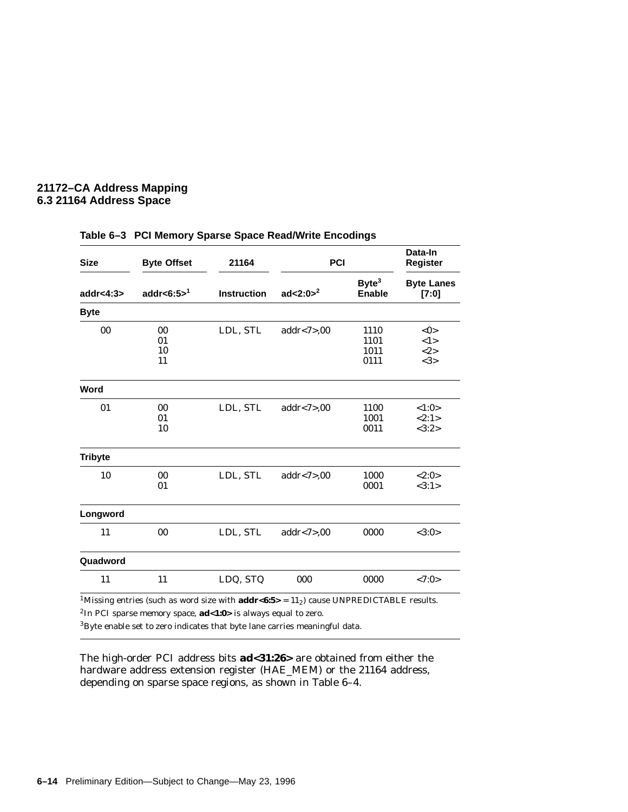| <b>Size</b>    | <b>Byte Offset</b>   | 21164              | PCI            |                                    | Data-In<br>Register                |
|----------------|----------------------|--------------------|----------------|------------------------------------|------------------------------------|
| addr<4:3 $>$   | addr<6:5 $5^1$       | <b>Instruction</b> | ad<2:0 $>^2$   | Byte <sup>3</sup><br><b>Enable</b> | <b>Byte Lanes</b><br>[7:0]         |
| <b>Byte</b>    |                      |                    |                |                                    |                                    |
| 00             | 00<br>01<br>10<br>11 | LDL, STL           | addr < 7 > 00  | 1110<br>1101<br>1011<br>0111       | $<\!\!0\!\!>$<br><1><br><2><br><3> |
| Word           |                      |                    |                |                                    |                                    |
| 01             | 00<br>01<br>10       | LDL, STL           | addr<7 $>$ ,00 | 1100<br>1001<br>0011               | <1:0><br><2:1><br><3:2>            |
| <b>Tribyte</b> |                      |                    |                |                                    |                                    |
| 10             | 00<br>01             | LDL, STL           | addr < 7 > 00  | 1000<br>0001                       | <2:0><br><3:1>                     |
| Longword       |                      |                    |                |                                    |                                    |
| 11             | 00                   | LDL, STL           | addr < 7 > 00  | 0000                               | <3:0>                              |
| Quadword       |                      |                    |                |                                    |                                    |
| 11             | 11                   | LDQ, STQ           | 000            | 0000                               | <7:0>                              |
|                |                      |                    |                |                                    |                                    |

#### **Table 6–3 PCI Memory Sparse Space Read/Write Encodings**

<sup>1</sup>Missing entries (such as word size with  $addr<6:5>$  = 11<sub>2</sub>) cause UNPREDICTABLE results. 2In PCI sparse memory space, **ad<1:0>** is always equal to zero.

 $3B$ yte enable set to zero indicates that byte lane carries meaningful data.

The high-order PCI address bits **ad<31:26>** are obtained from either the hardware address extension register (HAE\_MEM) or the 21164 address, depending on sparse space regions, as shown in Table 6–4.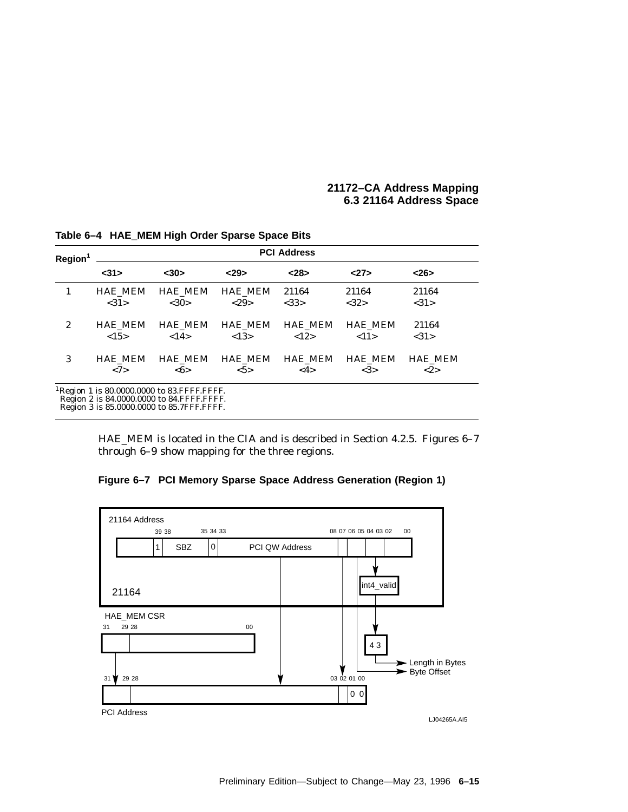| Region <sup>1</sup> | <b>PCI Address</b> |                                                                                                                                                      |                |                |                |                |  |  |  |  |  |  |  |
|---------------------|--------------------|------------------------------------------------------------------------------------------------------------------------------------------------------|----------------|----------------|----------------|----------------|--|--|--|--|--|--|--|
|                     | $31$               | $30$                                                                                                                                                 | < 29           | < 28           | <27>           | $<$ 26>        |  |  |  |  |  |  |  |
| 1                   | <b>HAE MEM</b>     | <b>HAE MEM</b>                                                                                                                                       | <b>HAE MEM</b> | 21164          | 21164          | 21164          |  |  |  |  |  |  |  |
|                     | <31>               | <30>                                                                                                                                                 | <29>           | <33>           | <32>           | <31>           |  |  |  |  |  |  |  |
| $\boldsymbol{2}$    | <b>HAE MEM</b>     | <b>HAE MEM</b>                                                                                                                                       | <b>HAE MEM</b> | <b>HAE MEM</b> | <b>HAE MEM</b> | 21164          |  |  |  |  |  |  |  |
|                     | <15>               | <14>                                                                                                                                                 | < 13>          | <12>           | <11>           | <31>           |  |  |  |  |  |  |  |
| 3                   | <b>HAE MEM</b>     | <b>HAE MEM</b>                                                                                                                                       | <b>HAE MEM</b> | <b>HAE MEM</b> | <b>HAE MEM</b> | <b>HAE MEM</b> |  |  |  |  |  |  |  |
|                     | <7>                | $<\!\!6\!\!>$                                                                                                                                        | $5>$           | <4>            | <3>            | <2>            |  |  |  |  |  |  |  |
|                     |                    | <sup>1</sup> Region 1 is 80.0000.0000 to 83. FFFF. FFFF.<br>Region 2 is 84.0000.0000 to 84. FFFF. FFFF.<br>Region 3 is 85,0000,0000 to 85.7FFF.FFFF. |                |                |                |                |  |  |  |  |  |  |  |

**Table 6–4 HAE\_MEM High Order Sparse Space Bits**

HAE\_MEM is located in the CIA and is described in Section 4.2.5. Figures 6–7 through 6–9 show mapping for the three regions.

**Figure 6–7 PCI Memory Sparse Space Address Generation (Region 1)**

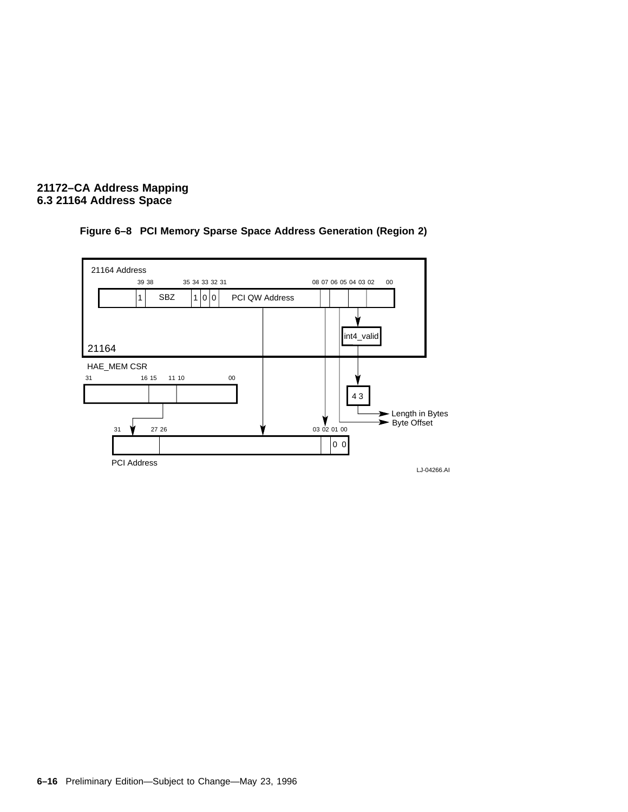

# **Figure 6–8 PCI Memory Sparse Space Address Generation (Region 2)**

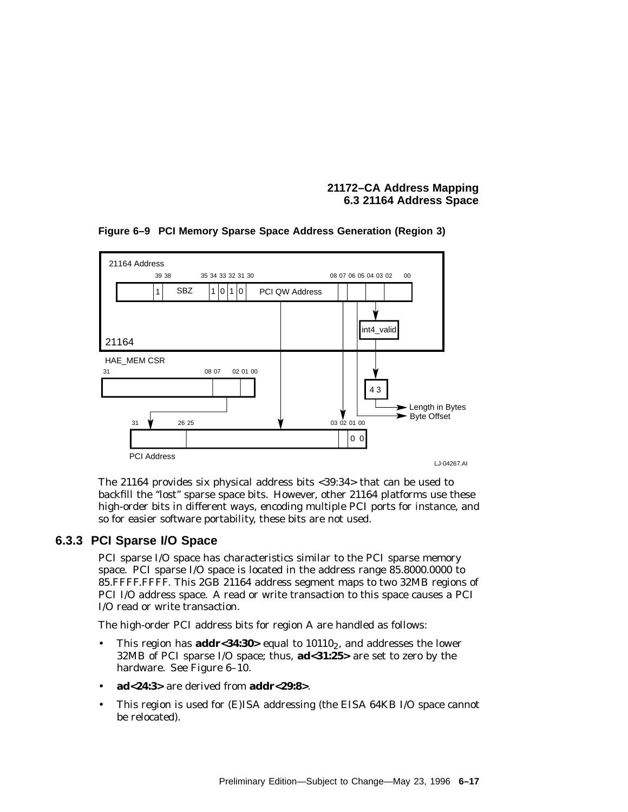

#### **Figure 6–9 PCI Memory Sparse Space Address Generation (Region 3)**

The 21164 provides six physical address bits <39:34> that can be used to backfill the ''lost'' sparse space bits. However, other 21164 platforms use these high-order bits in different ways, encoding multiple PCI ports for instance, and so for easier software portability, these bits are not used.

# **6.3.3 PCI Sparse I/O Space**

PCI sparse I/O space has characteristics similar to the PCI sparse memory space. PCI sparse I/O space is located in the address range 85.8000.0000 to 85.FFFF.FFFF. This 2GB 21164 address segment maps to two 32MB regions of PCI I/O address space. A read or write transaction to this space causes a PCI I/O read or write transaction.

The high-order PCI address bits for region A are handled as follows:

- This region has  $\mathbf{addr} < 34:30$  equal to  $10110_2$ , and addresses the lower 32MB of PCI sparse I/O space; thus, **ad<31:25>** are set to zero by the hardware. See Figure 6–10.
- **ad<24:3>** are derived from **addr<29:8>**.
- This region is used for (E)ISA addressing (the EISA 64KB I/O space cannot be relocated).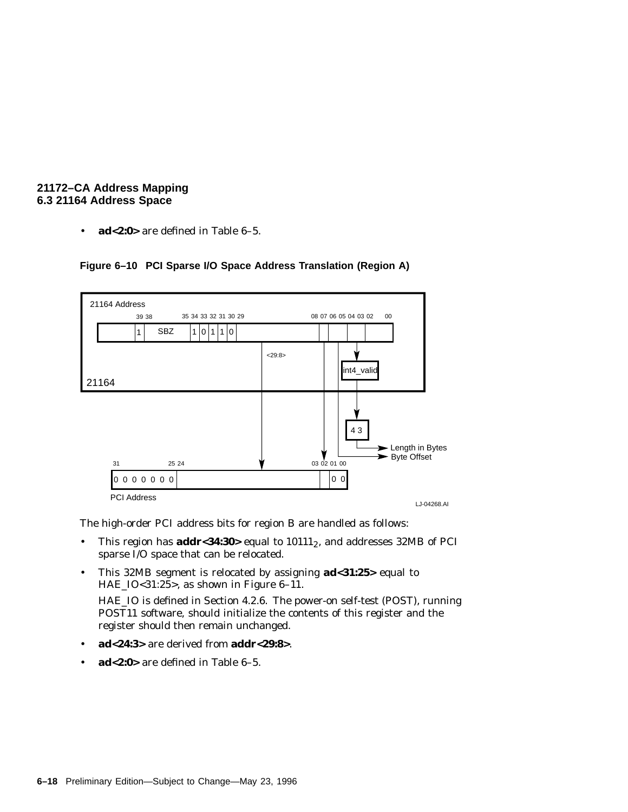• **ad<2:0>** are defined in Table 6–5.



# **Figure 6–10 PCI Sparse I/O Space Address Translation (Region A)**

The high-order PCI address bits for region B are handled as follows:

- This region has **addr<34:30**> equal to  $10111_2$ , and addresses 32MB of PCI sparse  $\overline{I}/O$  space that can be relocated.
- This 32MB segment is relocated by assigning **ad<31:25>** equal to HAE\_IO<31:25>, as shown in Figure 6–11.

HAE\_IO is defined in Section 4.2.6. The power-on self-test (POST), running POST11 software, should initialize the contents of this register and the register should then remain unchanged.

- **ad<24:3>** are derived from **addr<29:8>**.
- **ad<2:0>** are defined in Table 6–5.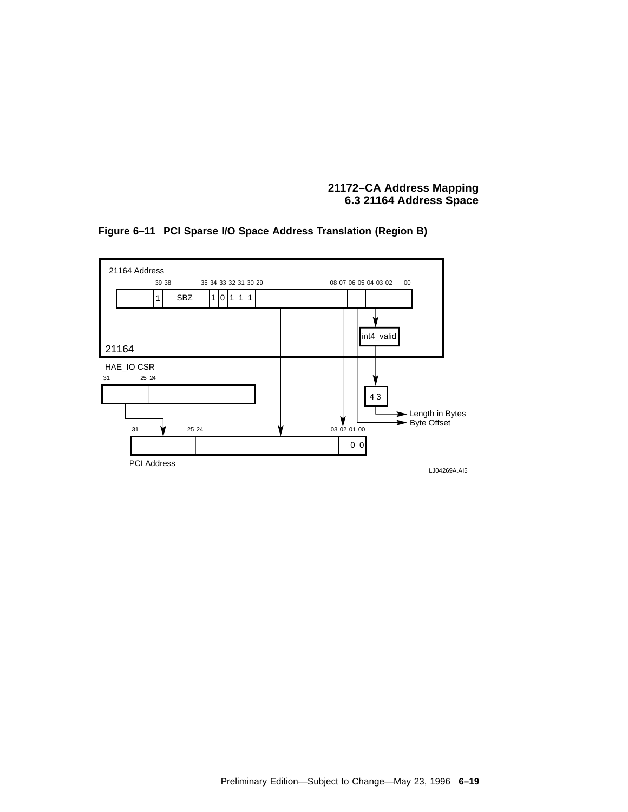

**Figure 6–11 PCI Sparse I/O Space Address Translation (Region B)**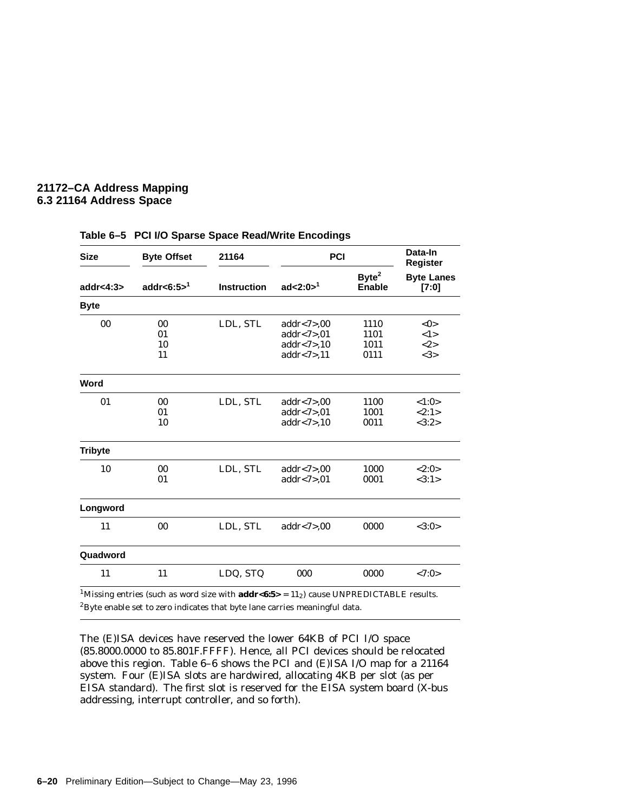| <b>Size</b>    | <b>Byte Offset</b>       | 21164              | PCI                                                              |                                    | Data-In<br><b>Register</b> |
|----------------|--------------------------|--------------------|------------------------------------------------------------------|------------------------------------|----------------------------|
| addr < 4:3>    | addr<6:5 $>1$            | <b>Instruction</b> | ad<2:0 $>1$ <sup>1</sup>                                         | Byte <sup>2</sup><br><b>Enable</b> | <b>Byte Lanes</b><br>[7:0] |
| <b>Byte</b>    |                          |                    |                                                                  |                                    |                            |
| 00             | $00\,$<br>01<br>10<br>11 | LDL, STL           | addr < 7 > 00<br>addr < 7 > 01<br>addr < 7 > 10<br>addr < 7 > 11 | 1110<br>1101<br>1011<br>0111       | <0><br><1><br><2><br><3>   |
| Word           |                          |                    |                                                                  |                                    |                            |
| 01             | 00<br>01<br>10           | LDL, STL           | addr<7 $>$ ,00<br>addr < 7 > 01<br>addr < 7 > 10                 | 1100<br>1001<br>0011               | <1:0><br><2:1><br><3:2>    |
| <b>Tribyte</b> |                          |                    |                                                                  |                                    |                            |
| 10             | 00<br>01                 | LDL, STL           | addr < 7 > 00<br>addr < 7 > 01                                   | 1000<br>0001                       | <2:0><br><3:1>             |
| Longword       |                          |                    |                                                                  |                                    |                            |
| 11             | 00                       | LDL, STL           | addr < 7 > 00                                                    | 0000                               | <3:0>                      |
| Quadword       |                          |                    |                                                                  |                                    |                            |
| 11             | 11                       | LDQ, STQ           | 000                                                              | 0000                               | <7:0>                      |

#### **Table 6–5 PCI I/O Sparse Space Read/Write Encodings**

 $^{1}\rm{Missing}$  entries (such as word size with  $\bf{addr{<}6:5>}$  =  $11_2)$  cause UNPREDICTABLE results.  ${}^{2}$ Byte enable set to zero indicates that byte lane carries meaningful data.

The (E)ISA devices have reserved the lower 64KB of PCI I/O space (85.8000.0000 to 85.801F.FFFF). Hence, all PCI devices should be relocated above this region. Table 6–6 shows the PCI and (E)ISA I/O map for a 21164 system. Four (E)ISA slots are hardwired, allocating 4KB per slot (as per EISA standard). The first slot is reserved for the EISA system board (X-bus addressing, interrupt controller, and so forth).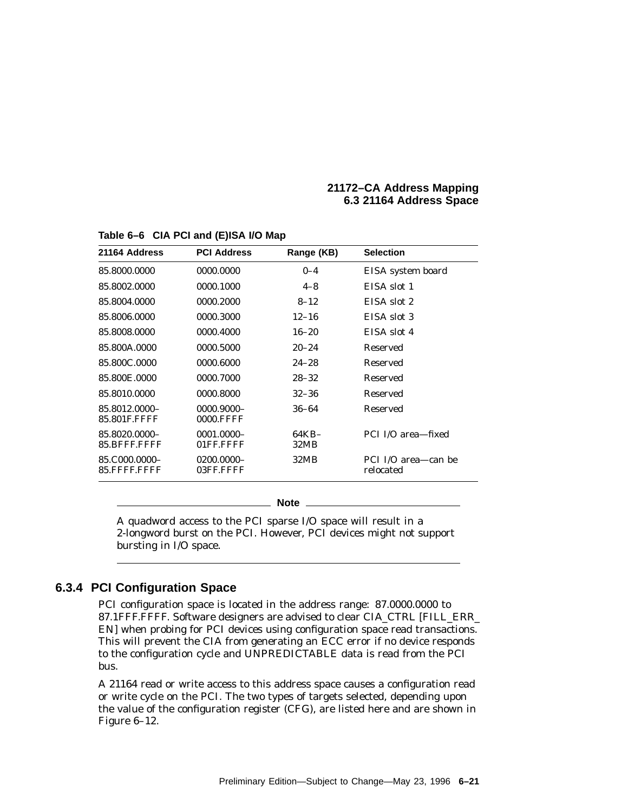| 21164 Address                 | <b>PCI Address</b>             | Range (KB)    | <b>Selection</b>                 |
|-------------------------------|--------------------------------|---------------|----------------------------------|
| 85.8000.0000                  | 0000.0000                      | $0 - 4$       | EISA system board                |
| 85.8002.0000                  | 0000.1000                      | $4 - 8$       | EISA slot 1                      |
| 85.8004.0000                  | 0000.2000                      | $8 - 12$      | EISA slot 2                      |
| 85.8006.0000                  | 0000.3000                      | $12 - 16$     | EISA slot 3                      |
| 85.8008.0000                  | 0000.4000                      | $16 - 20$     | EISA slot 4                      |
| 85.800A.0000                  | 0000.5000                      | $20 - 24$     | <b>Reserved</b>                  |
| 85.800C.0000                  | 0000.6000                      | $24 - 28$     | Reserved                         |
| 85.800E.0000                  | 0000.7000                      | $28 - 32$     | Reserved                         |
| 85.8010.0000                  | 0000.8000                      | $32 - 36$     | Reserved                         |
| 85.8012.0000-<br>85.801F.FFFF | 0000.9000-<br><b>0000.FFFF</b> | $36 - 64$     | Reserved                         |
| 85.8020.0000-<br>85.BFFF.FFFF | 0001.0000-<br>01FF.FFFF        | 64KB-<br>32MB | PCI I/O area-fixed               |
| 85.C000.0000-<br>85.FFFF.FFFF | 0200.0000-<br>03FF.FFFF        | 32MB          | PCI I/O area—can be<br>relocated |

#### **Table 6–6 CIA PCI and (E)ISA I/O Map**

**Note**

A quadword access to the PCI sparse I/O space will result in a 2-longword burst on the PCI. However, PCI devices might not support bursting in I/O space.

# **6.3.4 PCI Configuration Space**

PCI configuration space is located in the address range: 87.0000.0000 to 87.1FFF.FFFF. Software designers are advised to clear CIA\_CTRL [FILL\_ERR\_ EN] when probing for PCI devices using configuration space read transactions. This will prevent the CIA from generating an ECC error if no device responds to the configuration cycle and UNPREDICTABLE data is read from the PCI bus.

A 21164 read or write access to this address space causes a configuration read or write cycle on the PCI. The two types of targets selected, depending upon the value of the configuration register (CFG), are listed here and are shown in Figure 6–12.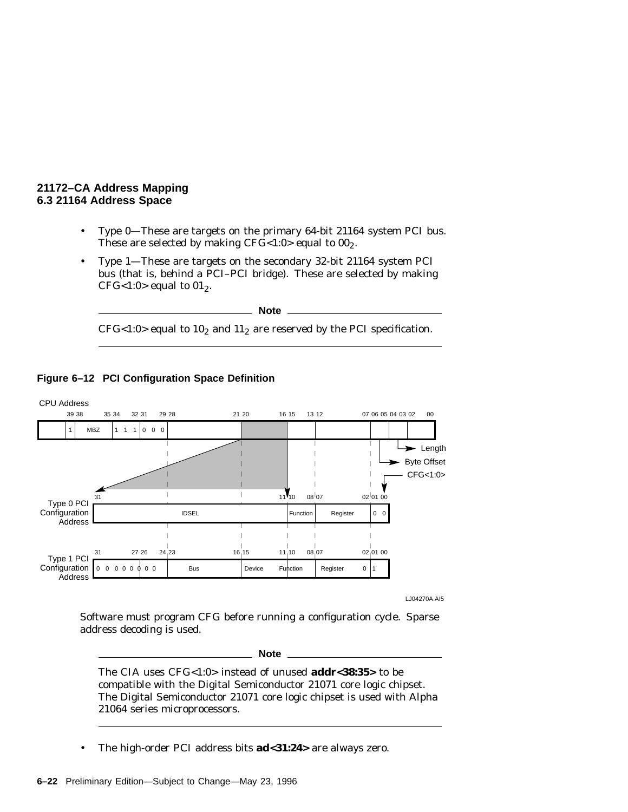- Type 0—These are targets on the primary 64-bit 21164 system PCI bus. These are selected by making  $CFG<1:0>$  equal to  $00<sub>2</sub>$ .
- Type 1—These are targets on the secondary 32-bit 21164 system PCI bus (that is, behind a PCI–PCI bridge). These are selected by making CFG<1:0> equal to  $01_2$ .

**Note**  $CFG < 1:0>$  equal to  $10<sub>2</sub>$  and  $11<sub>2</sub>$  are reserved by the PCI specification.



# **Figure 6–12 PCI Configuration Space Definition**

LJ04270A.AI5

Software must program CFG before running a configuration cycle. Sparse address decoding is used.

**Note**

The CIA uses CFG<1:0> instead of unused **addr<38:35>** to be compatible with the Digital Semiconductor 21071 core logic chipset. The Digital Semiconductor 21071 core logic chipset is used with Alpha 21064 series microprocessors.

• The high-order PCI address bits **ad<31:24>** are always zero.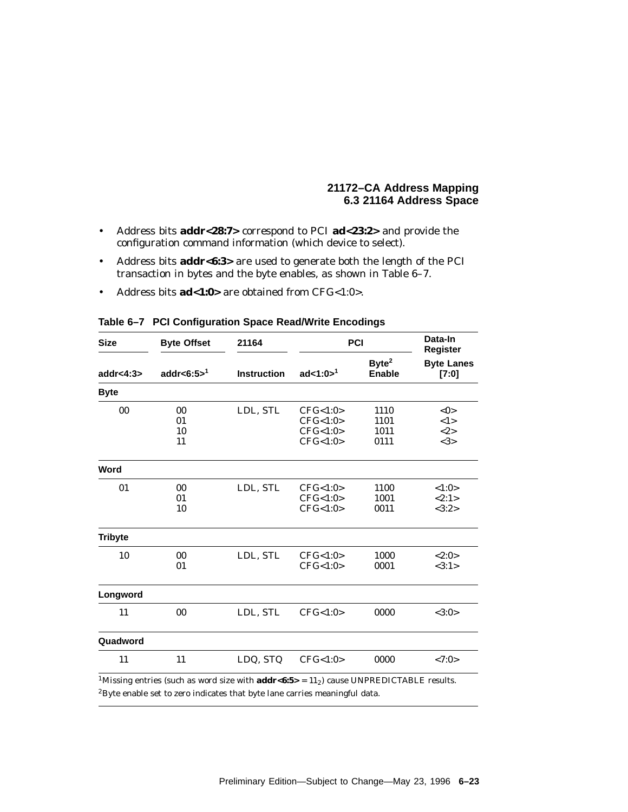- Address bits **addr<28:7>** correspond to PCI **ad<23:2>** and provide the configuration command information (which device to select).
- Address bits **addr<6:3>** are used to generate both the length of the PCI transaction in bytes and the byte enables, as shown in Table 6–7.
- Address bits **ad<1:0>** are obtained from CFG<1:0>.

| <b>Size</b>    | <b>Byte Offset</b>   | 21164              | <b>PCI</b>                                   | Data-In<br><b>Register</b>         |                                |  |
|----------------|----------------------|--------------------|----------------------------------------------|------------------------------------|--------------------------------|--|
| addr<4:3>      | addr<6:5 $>1$        | <b>Instruction</b> | ad<1:0 $>1$ <sup>1</sup>                     | Byte <sup>2</sup><br><b>Enable</b> | <b>Byte Lanes</b><br>[7:0]     |  |
| <b>Byte</b>    |                      |                    |                                              |                                    |                                |  |
| 00             | 00<br>01<br>10<br>11 | LDL, STL           | CFG<1:0><br>CFG<1:0><br>CFG<1:0><br>CFG<1:0> | 1110<br>1101<br>1011<br>0111       | $<$ 0 $>$<br><1><br><2><br><3> |  |
| Word           |                      |                    |                                              |                                    |                                |  |
| 01             | $00\,$<br>01<br>10   | LDL, STL           | CFG<1:0><br>CFG<1:0><br>CFG<1:0>             | 1100<br>1001<br>0011               | < 1:0><br><2:1><br><3:2>       |  |
| <b>Tribyte</b> |                      |                    |                                              |                                    |                                |  |
| 10             | 00<br>01             | LDL, STL           | CFG<1:0><br>CFG<1:0>                         | 1000<br>0001                       | <2:0><br><3:1>                 |  |
| Longword       |                      |                    |                                              |                                    |                                |  |
| 11             | 00                   | LDL, STL           | CFG<1:0>                                     | 0000                               | <3:0>                          |  |
| Quadword       |                      |                    |                                              |                                    |                                |  |
| 11             | 11                   | LDQ, STQ           | CFG<1:0>                                     | 0000                               | < 7:0>                         |  |

**Table 6–7 PCI Configuration Space Read/Write Encodings**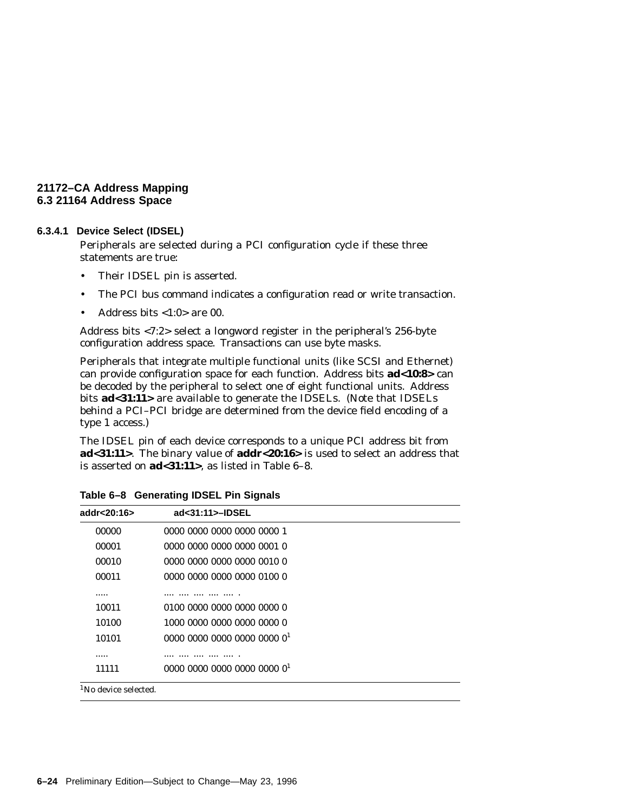#### **6.3.4.1 Device Select (IDSEL)**

Peripherals are selected during a PCI configuration cycle if these three statements are true:

- Their IDSEL pin is asserted.
- The PCI bus command indicates a configuration read or write transaction.
- Address bits  $<1:0>$  are 00.

Address bits <7:2> select a longword register in the peripheral's 256-byte configuration address space. Transactions can use byte masks.

Peripherals that integrate multiple functional units (like SCSI and Ethernet) can provide configuration space for each function. Address bits **ad<10:8>** can be decoded by the peripheral to select one of eight functional units. Address bits **ad<31:11>** are available to generate the IDSELs. (Note that IDSELs behind a PCI–PCI bridge are determined from the device field encoding of a type 1 access.)

The IDSEL pin of each device corresponds to a unique PCI address bit from **ad<31:11>**. The binary value of **addr<20:16>** is used to select an address that is asserted on **ad<31:11>**, as listed in Table 6–8.

| addr< $20:16>$                   | ad<31:11>-IDSEL            |  |
|----------------------------------|----------------------------|--|
| 00000                            | 0000 0000 0000 0000 0000 1 |  |
| 00001                            | 0000 0000 0000 0000 0001 0 |  |
| 00010                            | 0000 0000 0000 0000 0010 0 |  |
| 00011                            | 0000 0000 0000 0000 0100 0 |  |
|                                  |                            |  |
| 10011                            | 0100 0000 0000 0000 0000 0 |  |
| 10100                            | 1000 0000 0000 0000 0000 0 |  |
| 10101                            | 000000000000000000000001   |  |
|                                  |                            |  |
| 11111                            | 000000000000000000000001   |  |
| <sup>1</sup> No device selected. |                            |  |

**Table 6–8 Generating IDSEL Pin Signals**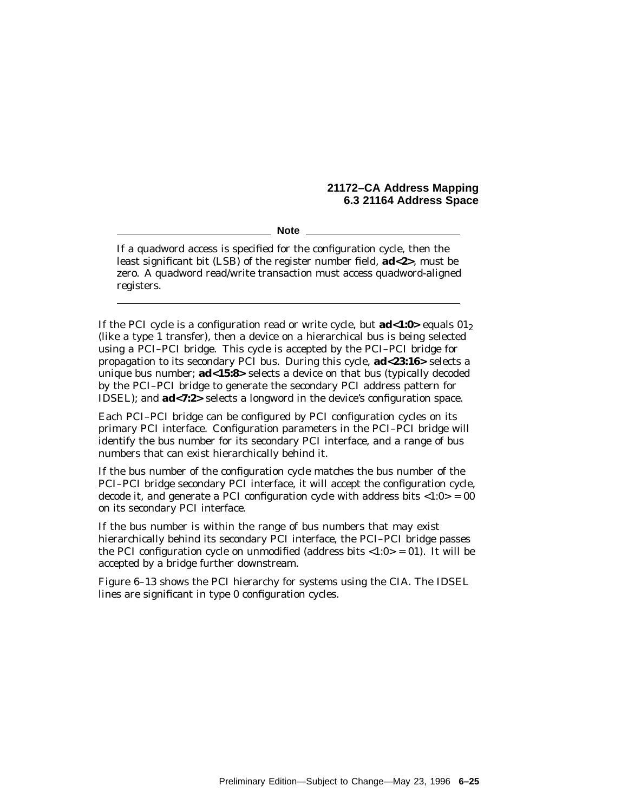**Note**

If a quadword access is specified for the configuration cycle, then the least significant bit (LSB) of the register number field, **ad<2>**, must be zero. A quadword read/write transaction must access quadword-aligned registers.

If the PCI cycle is a configuration read or write cycle, but **ad<1:0>** equals 012 (like a type 1 transfer), then a device on a hierarchical bus is being selected using a PCI–PCI bridge. This cycle is accepted by the PCI–PCI bridge for propagation to its secondary PCI bus. During this cycle, **ad<23:16>** selects a unique bus number; **ad<15:8>** selects a device on that bus (typically decoded by the PCI–PCI bridge to generate the secondary PCI address pattern for IDSEL); and **ad<7:2>** selects a longword in the device's configuration space.

Each PCI–PCI bridge can be configured by PCI configuration cycles on its primary PCI interface. Configuration parameters in the PCI–PCI bridge will identify the bus number for its secondary PCI interface, and a range of bus numbers that can exist hierarchically behind it.

If the bus number of the configuration cycle matches the bus number of the PCI–PCI bridge secondary PCI interface, it will accept the configuration cycle, decode it, and generate a PCI configuration cycle with address bits  $\langle 1:0 \rangle = 00$ on its secondary PCI interface.

If the bus number is within the range of bus numbers that may exist hierarchically behind its secondary PCI interface, the PCI–PCI bridge passes the PCI configuration cycle on unmodified (address bits  $\langle 1:0 \rangle = 0$ ). It will be accepted by a bridge further downstream.

Figure 6–13 shows the PCI hierarchy for systems using the CIA. The IDSEL lines are significant in type 0 configuration cycles.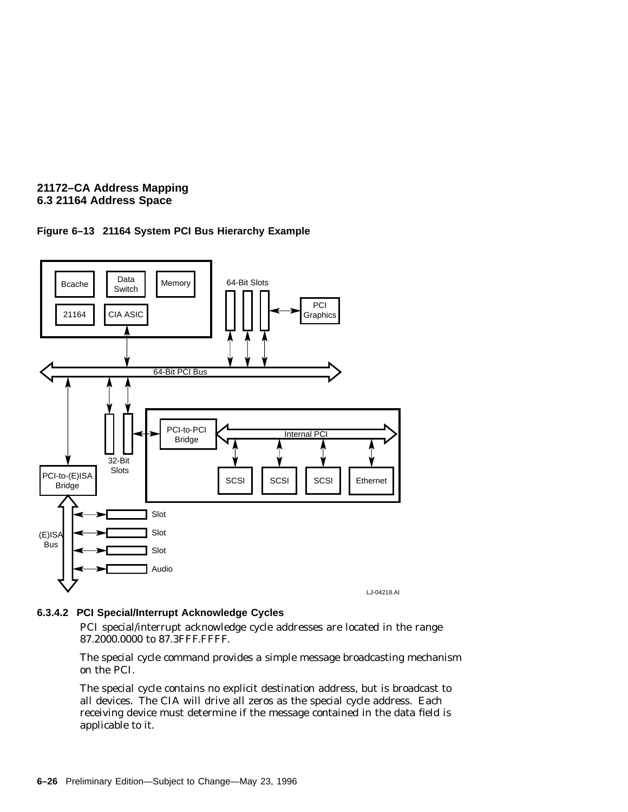



# **6.3.4.2 PCI Special/Interrupt Acknowledge Cycles**

PCI special/interrupt acknowledge cycle addresses are located in the range 87.2000.0000 to 87.3FFF.FFFF.

The special cycle command provides a simple message broadcasting mechanism on the PCI.

The special cycle contains no explicit destination address, but is broadcast to all devices. The CIA will drive all zeros as the special cycle address. Each receiving device must determine if the message contained in the data field is applicable to it.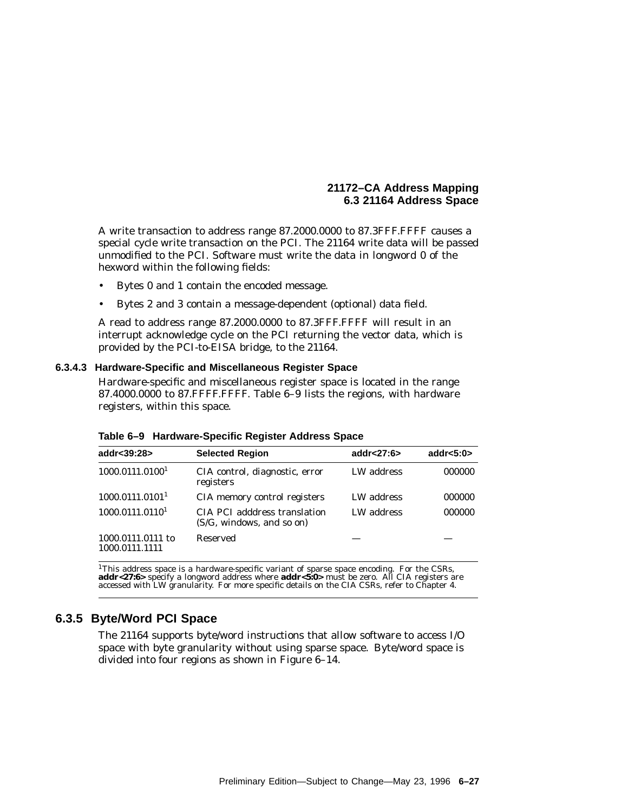A write transaction to address range 87.2000.0000 to 87.3FFF.FFFF causes a special cycle write transaction on the PCI. The 21164 write data will be passed unmodified to the PCI. Software must write the data in longword 0 of the hexword within the following fields:

- Bytes 0 and 1 contain the encoded message.
- Bytes 2 and 3 contain a message-dependent (optional) data field.

A read to address range 87.2000.0000 to 87.3FFF.FFFF will result in an interrupt acknowledge cycle on the PCI returning the vector data, which is provided by the PCI-to-EISA bridge, to the 21164.

#### **6.3.4.3 Hardware-Specific and Miscellaneous Register Space**

Hardware-specific and miscellaneous register space is located in the range 87.4000.0000 to 87.FFFF.FFFF. Table 6–9 lists the regions, with hardware registers, within this space.

| addr<39:28>                         | <b>Selected Region</b>                                    | addr<27:6 $>$ | addr< $5:0>$ |
|-------------------------------------|-----------------------------------------------------------|---------------|--------------|
| 1000.0111.0100 <sup>1</sup>         | CIA control, diagnostic, error<br>registers               | LW address    | 000000       |
| 1000.0111.0101 <sup>1</sup>         | CIA memory control registers                              | LW address    | 000000       |
| 1000.0111.0110 <sup>1</sup>         | CIA PCI adddress translation<br>(S/G, windows, and so on) | LW address    | 000000       |
| 1000.0111.0111 to<br>1000.0111.1111 | <b>Reserved</b>                                           |               |              |

**Table 6–9 Hardware-Specific Register Address Space**

<sup>1</sup>This address space is a hardware-specific variant of sparse space encoding. For the CSRs,<br>**addr<27:6>** specify a longword address where  $\mathbf{addr}{<}5:0>$  must be zero. All CIA registers are<br>accessed with LW granularity. F

# **6.3.5 Byte/Word PCI Space**

The 21164 supports byte/word instructions that allow software to access I/O space with byte granularity without using sparse space. Byte/word space is divided into four regions as shown in Figure 6–14.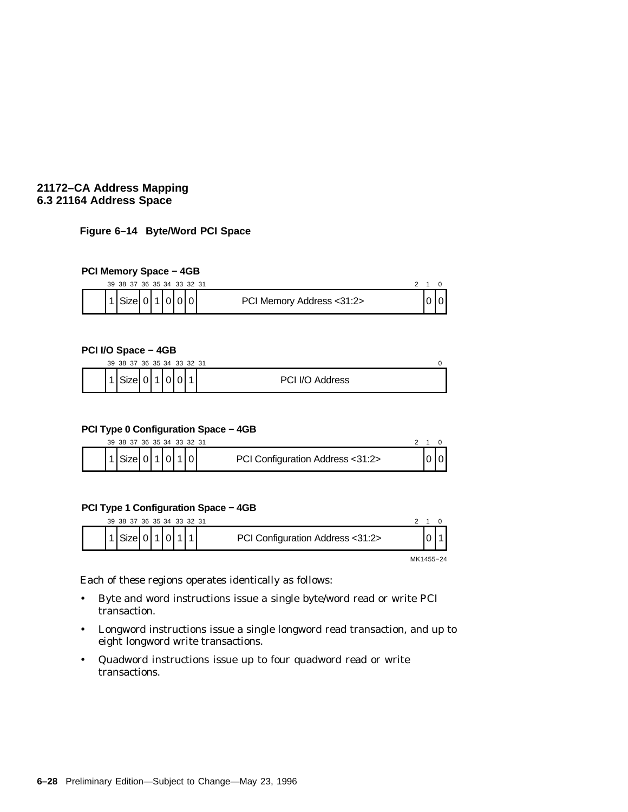## **Figure 6–14 Byte/Word PCI Space**

#### **PCI Memory Space − 4GB**

| 39 38 37 36 35 34 33 32 31 |  |  |                           |  |  |
|----------------------------|--|--|---------------------------|--|--|
| Size 0 1 0 0 0             |  |  | PCI Memory Address <31:2> |  |  |

#### **PCI I/O Space − 4GB**

|  | 39 38 37 36 35 34 33 32 31 |   |  |  |                 |  |
|--|----------------------------|---|--|--|-----------------|--|
|  | Sizel                      | ັ |  |  | PCI I/O Address |  |

## **PCI Type 0 Configuration Space − 4GB**

|  | 39 38 37 36 35 34 33 32 31   |  |  |                                  |  |  |
|--|------------------------------|--|--|----------------------------------|--|--|
|  | $1$ Size   0   1   0   1   0 |  |  | PCI Configuration Address <31:2> |  |  |

## **PCI Type 1 Configuration Space − 4GB**

| 39 38 37 36 35 34 33 32 31 |  |  |                                  |           |  |
|----------------------------|--|--|----------------------------------|-----------|--|
| Sizel                      |  |  | PCI Configuration Address <31:2> |           |  |
|                            |  |  |                                  | MK1455-24 |  |

Each of these regions operates identically as follows:

- Byte and word instructions issue a single byte/word read or write PCI transaction.
- Longword instructions issue a single longword read transaction, and up to eight longword write transactions.
- Quadword instructions issue up to four quadword read or write transactions.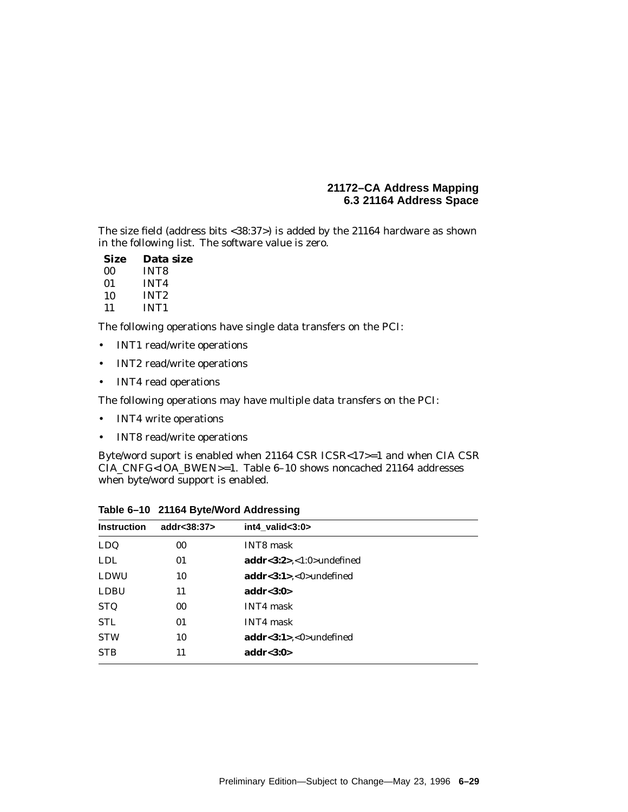The size field (address bits <38:37>) is added by the 21164 hardware as shown in the following list. The software value is zero.

| Size | Data size        |
|------|------------------|
| 00   | <b>INT8</b>      |
| 01   | <b>INT4</b>      |
| 10   | INT <sub>2</sub> |
| 11   | INT <sub>1</sub> |

The following operations have single data transfers on the PCI:

- INT1 read/write operations
- INT2 read/write operations
- INT4 read operations

The following operations may have multiple data transfers on the PCI:

- INT4 write operations
- INT8 read/write operations

Byte/word suport is enabled when 21164 CSR ICSR<17>=1 and when CIA CSR CIA\_CNFG<IOA\_BWEN>=1. Table 6–10 shows noncached 21164 addresses when byte/word support is enabled.

| <b>Instruction</b> | addr<38:37> | int4_valid<3:0>                           |  |
|--------------------|-------------|-------------------------------------------|--|
| LDQ                | 00          | <b>INT8</b> mask                          |  |
| <b>LDL</b>         | 01          | addr<3:2><1:0>undefined                   |  |
| LDWU               | 10          | $\mathbf{addr} < 3:1$ >, $< 0$ >undefined |  |
| <b>LDBU</b>        | 11          | addr< $3:0>$                              |  |
| <b>STQ</b>         | $00\,$      | <b>INT4</b> mask                          |  |
| <b>STL</b>         | 01          | INT4 mask                                 |  |
| <b>STW</b>         | 10          | addr<3:1><0>undefined                     |  |
| <b>STB</b>         | 11          | addr<3:0>                                 |  |

**Table 6–10 21164 Byte/Word Addressing**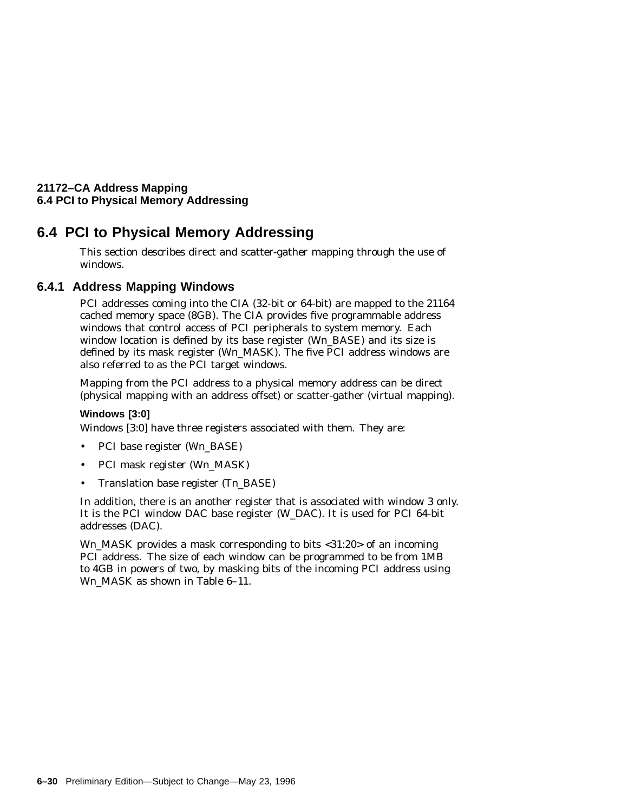# **6.4 PCI to Physical Memory Addressing**

This section describes direct and scatter-gather mapping through the use of windows.

# **6.4.1 Address Mapping Windows**

PCI addresses coming into the CIA (32-bit or 64-bit) are mapped to the 21164 cached memory space (8GB). The CIA provides five programmable address windows that control access of PCI peripherals to system memory. Each window location is defined by its base register (W*n*\_BASE) and its size is defined by its mask register (W*n*\_MASK). The five PCI address windows are also referred to as the PCI target windows.

Mapping from the PCI address to a physical memory address can be direct (physical mapping with an address offset) or scatter-gather (virtual mapping).

# **Windows [3:0]**

Windows [3:0] have three registers associated with them. They are:

- PCI base register (W*n*\_BASE)
- PCI mask register (W*n*\_MASK)
- Translation base register (T*n*\_BASE)

In addition, there is an another register that is associated with window 3 only. It is the PCI window DAC base register (W\_DAC). It is used for PCI 64-bit addresses (DAC).

W*n*\_MASK provides a mask corresponding to bits <31:20> of an incoming PCI address. The size of each window can be programmed to be from 1MB to 4GB in powers of two, by masking bits of the incoming PCI address using W*n*\_MASK as shown in Table 6–11.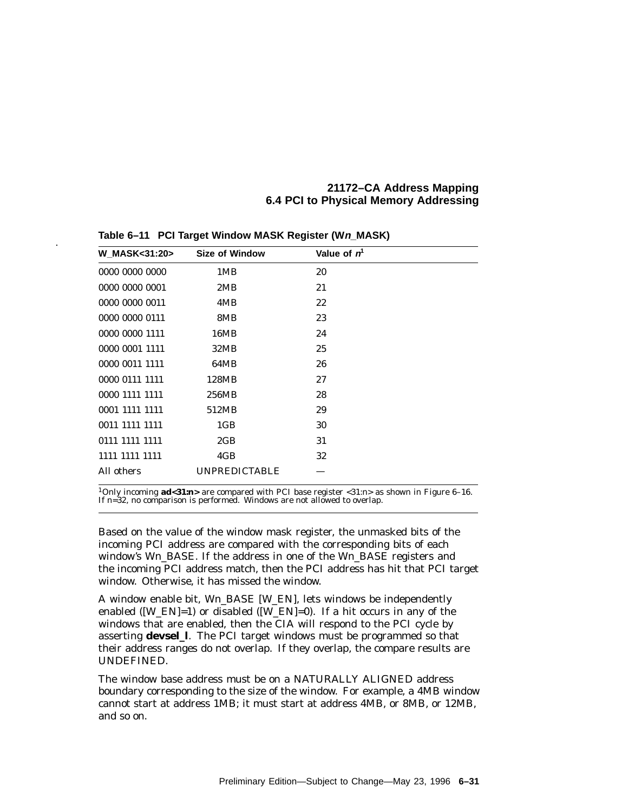| <b>W MASK&lt;31:20&gt;</b> | <b>Size of Window</b> | Value of $n1$ |  |
|----------------------------|-----------------------|---------------|--|
| 0000 0000 0000             | 1MB                   | 20            |  |
| 0000 0000 0001             | 2MB                   | 21            |  |
| 0000 0000 0011             | 4MB                   | 22            |  |
| 0000 0000 0111             | 8MB                   | 23            |  |
| 0000 0000 1111             | 16MB                  | 24            |  |
| 0000 0001 1111             | 32MB                  | 25            |  |
| 0000 0011 1111             | 64MB                  | 26            |  |
| 0000 0111 1111             | 128MB                 | 27            |  |
| 0000 1111 1111             | 256MB                 | 28            |  |
| 0001 1111 1111             | 512MB                 | 29            |  |
| 0011 1111 1111             | 1 <sub>GB</sub>       | 30            |  |
| 0111 1111 1111             | 2GB                   | 31            |  |
| 1111 1111 1111             | 4GB                   | 32            |  |
| All others                 | <b>UNPREDICTABLE</b>  |               |  |

**Table 6–11 PCI Target Window MASK Register (Wn\_MASK)** .

1Only incoming **ad<31:***n***>** are compared with PCI base register <31:*n*> as shown in Figure 6–16. If *n*=32, no comparison is performed. Windows are not allowed to overlap.

Based on the value of the window mask register, the unmasked bits of the incoming PCI address are compared with the corresponding bits of each window's W*n*\_BASE. If the address in one of the W*n*\_BASE registers and the incoming PCI address match, then the PCI address has hit that PCI target window. Otherwise, it has missed the window.

A window enable bit, W*n*\_BASE [W\_EN], lets windows be independently enabled ([W\_EN]=1) or disabled ([W\_EN]=0). If a hit occurs in any of the windows that are enabled, then the CIA will respond to the PCI cycle by asserting **devsel\_l**. The PCI target windows must be programmed so that their address ranges do not overlap. If they overlap, the compare results are UNDEFINED.

The window base address must be on a NATURALLY ALIGNED address boundary corresponding to the size of the window. For example, a 4MB window cannot start at address 1MB; it must start at address 4MB, or 8MB, or 12MB, and so on.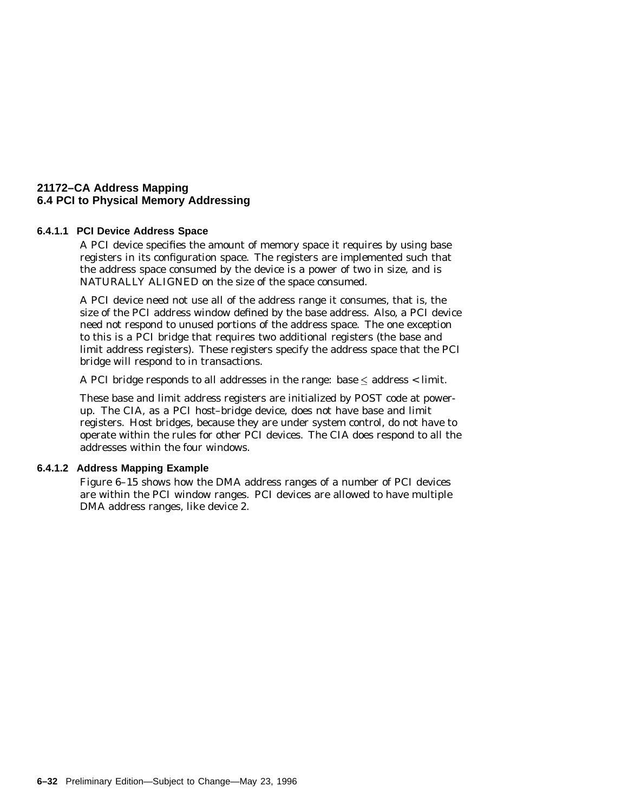#### **6.4.1.1 PCI Device Address Space**

A PCI device specifies the amount of memory space it requires by using base registers in its configuration space. The registers are implemented such that the address space consumed by the device is a power of two in size, and is NATURALLY ALIGNED on the size of the space consumed.

A PCI device need not use all of the address range it consumes, that is, the size of the PCI address window defined by the base address. Also, a PCI device need not respond to unused portions of the address space. The one exception to this is a PCI bridge that requires two additional registers (the base and limit address registers). These registers specify the address space that the PCI bridge will respond to in transactions.

A PCI bridge responds to all addresses in the range: base  $\leq$  address  $\lt$  limit.

These base and limit address registers are initialized by POST code at powerup. The CIA, as a PCI host–bridge device, does not have base and limit registers. Host bridges, because they are under system control, do not have to operate within the rules for other PCI devices. The CIA does respond to all the addresses within the four windows.

#### **6.4.1.2 Address Mapping Example**

Figure 6–15 shows how the DMA address ranges of a number of PCI devices are within the PCI window ranges. PCI devices are allowed to have multiple DMA address ranges, like device 2.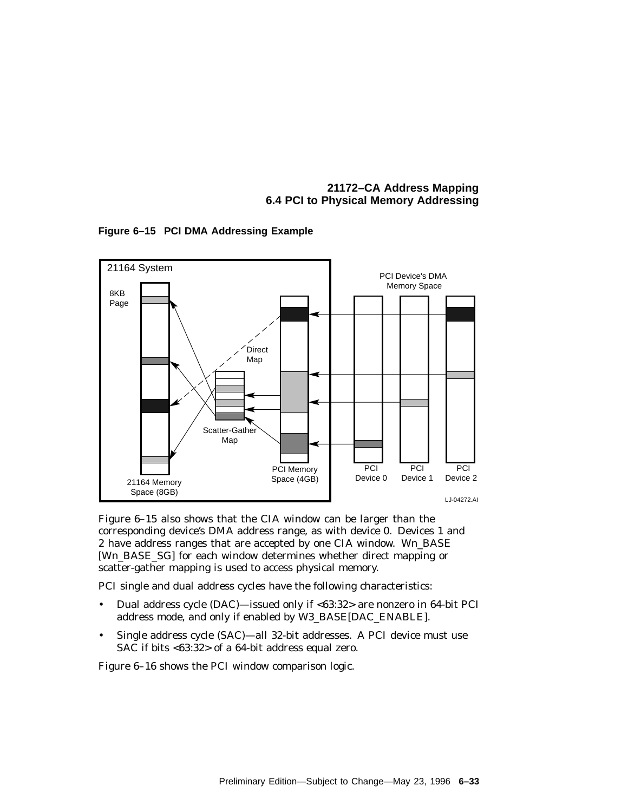LJ-04272.AI 21164 Memory Space (8GB) Scatter-Gather Map Direct Map PCI Device's DMA Memory Space PCI Memory Space (4GB) 8KB Page **PCI** Device 0 **PCI** Device 1 **PCI** Device 2 21164 System

**Figure 6–15 PCI DMA Addressing Example**

Figure 6–15 also shows that the CIA window can be larger than the corresponding device's DMA address range, as with device 0. Devices 1 and 2 have address ranges that are accepted by one CIA window. W*n*\_BASE [W*n*\_BASE\_SG] for each window determines whether direct mapping or scatter-gather mapping is used to access physical memory.

PCI single and dual address cycles have the following characteristics:

- Dual address cycle (DAC)—issued only if <63:32> are nonzero in 64-bit PCI address mode, and only if enabled by W3\_BASE[DAC\_ENABLE].
- Single address cycle (SAC)—all 32-bit addresses. A PCI device must use SAC if bits <63:32> of a 64-bit address equal zero.

Figure 6–16 shows the PCI window comparison logic.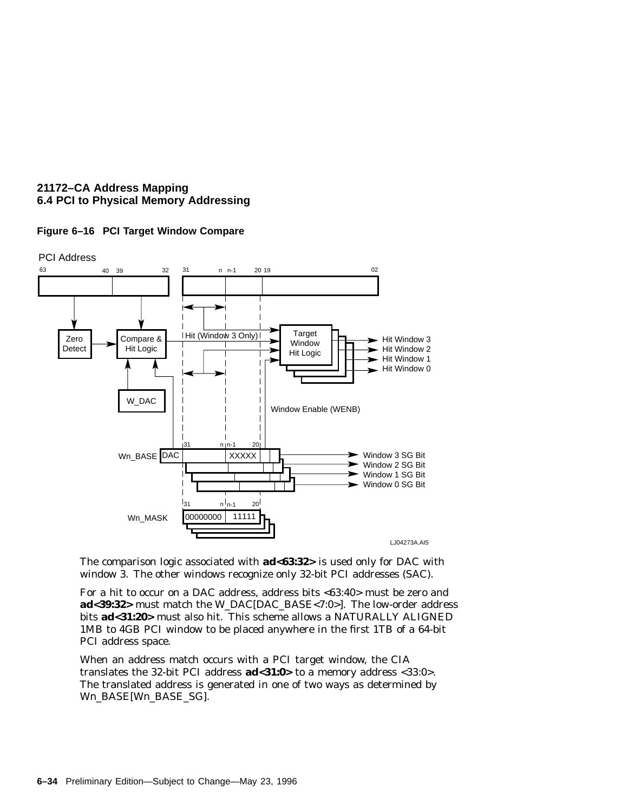



The comparison logic associated with **ad<63:32>** is used only for DAC with window 3. The other windows recognize only 32-bit PCI addresses (SAC).

For a hit to occur on a DAC address, address bits <63:40> must be zero and **ad<39:32>** must match the W\_DAC[DAC\_BASE<7:0>]. The low-order address bits **ad<31:20>** must also hit. This scheme allows a NATURALLY ALIGNED 1MB to 4GB PCI window to be placed anywhere in the first 1TB of a 64-bit PCI address space.

When an address match occurs with a PCI target window, the CIA translates the 32-bit PCI address **ad<31:0>** to a memory address <33:0>. The translated address is generated in one of two ways as determined by W*n*\_BASE[W*n*\_BASE\_SG].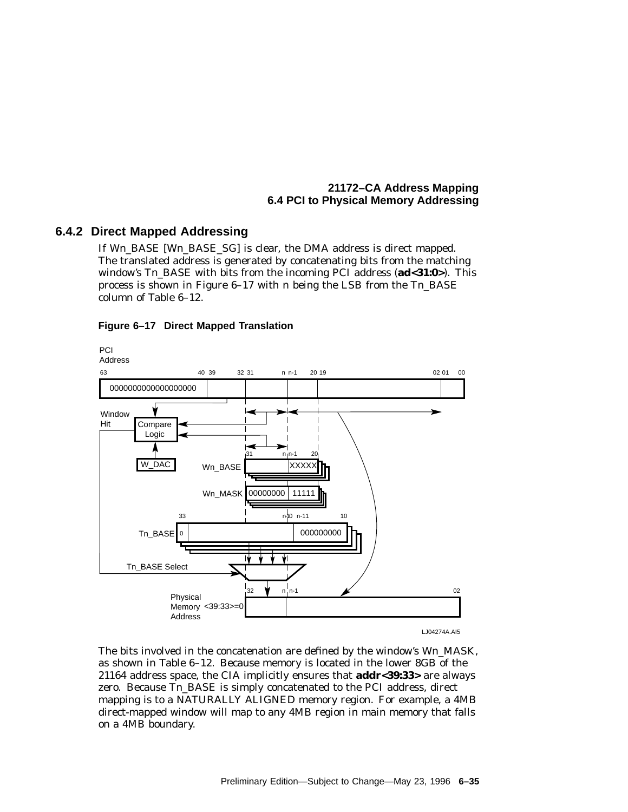# **6.4.2 Direct Mapped Addressing**

If W*n*\_BASE [W*n*\_BASE\_SG] is clear, the DMA address is direct mapped. The translated address is generated by concatenating bits from the matching window's T*n*\_BASE with bits from the incoming PCI address (**ad<31:0>**). This process is shown in Figure 6–17 with *n* being the LSB from the T*n*\_BASE column of Table 6–12.



#### **Figure 6–17 Direct Mapped Translation**

The bits involved in the concatenation are defined by the window's W*n*\_MASK, as shown in Table 6–12. Because memory is located in the lower 8GB of the 21164 address space, the CIA implicitly ensures that **addr<39:33>** are always zero. Because T*n*\_BASE is simply concatenated to the PCI address, direct mapping is to a NATURALLY ALIGNED memory region. For example, a 4MB direct-mapped window will map to any 4MB region in main memory that falls on a 4MB boundary.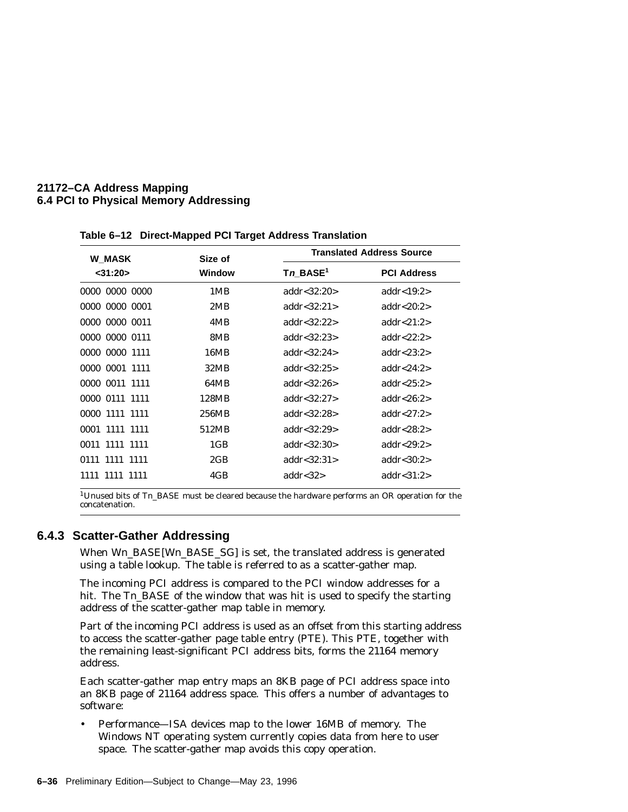| <b>W_MASK</b>  | Size of       |                      | <b>Translated Address Source</b> |  |  |
|----------------|---------------|----------------------|----------------------------------|--|--|
| $<$ 31:20 $>$  | <b>Window</b> | Tn BASE <sup>1</sup> | <b>PCI Address</b>               |  |  |
| 0000 0000 0000 | 1MB           | addr < 32:20         | addr< $19:2>$                    |  |  |
| 0000 0000 0001 | 2MB           | addr < 32:21         | addr< $20:2>$                    |  |  |
| 0000 0000 0011 | 4MB           | addr < 32:22         | addr $<21:2>$                    |  |  |
| 0000 0000 0111 | 8MB           | addr< $32:23>$       | addr< $22:2>$                    |  |  |
| 0000 0000 1111 | 16MB          | addr< $32:24>$       | addr<23:2 $>$                    |  |  |
| 0000 0001 1111 | 32MB          | addr < 32:25         | addr<24:2 $>$                    |  |  |
| 0000 0011 1111 | 64MB          | addr $<32:26>$       | addr< $25:2>$                    |  |  |
| 0000 0111 1111 | 128MB         | addr < 32:27         | addr< $26:2>$                    |  |  |
| 0000 1111 1111 | 256MB         | addr < 32:28         | addr< $27:2>$                    |  |  |
| 0001 1111 1111 | 512MB         | addr<32:29>          | addr<28:2 $>$                    |  |  |
| 0011 1111 1111 | 1GB           | addr<32:30>          | addr< $29:2>$                    |  |  |
| 0111 1111 1111 | 2GB           | addr< $32:31>$       | addr $<30:2>$                    |  |  |
| 1111 1111 1111 | 4GB           | addr $<$ 32 $>$      | addr $<$ 31:2>                   |  |  |
|                |               |                      |                                  |  |  |

**Table 6–12 Direct-Mapped PCI Target Address Translation**

<sup>1</sup>Unused bits of Tn\_BASE must be cleared because the hardware performs an OR operation for the concatenation.

### **6.4.3 Scatter-Gather Addressing**

When W*n*\_BASE[W*n*\_BASE\_SG] is set, the translated address is generated using a table lookup. The table is referred to as a scatter-gather map.

The incoming PCI address is compared to the PCI window addresses for a hit. The  $T_n$  BASE of the window that was hit is used to specify the starting address of the scatter-gather map table in memory.

Part of the incoming PCI address is used as an offset from this starting address to access the scatter-gather page table entry (PTE). This PTE, together with the remaining least-significant PCI address bits, forms the 21164 memory address.

Each scatter-gather map entry maps an 8KB page of PCI address space into an 8KB page of 21164 address space. This offers a number of advantages to software:

• Performance—ISA devices map to the lower 16MB of memory. The Windows NT operating system currently copies data from here to user space. The scatter-gather map avoids this copy operation.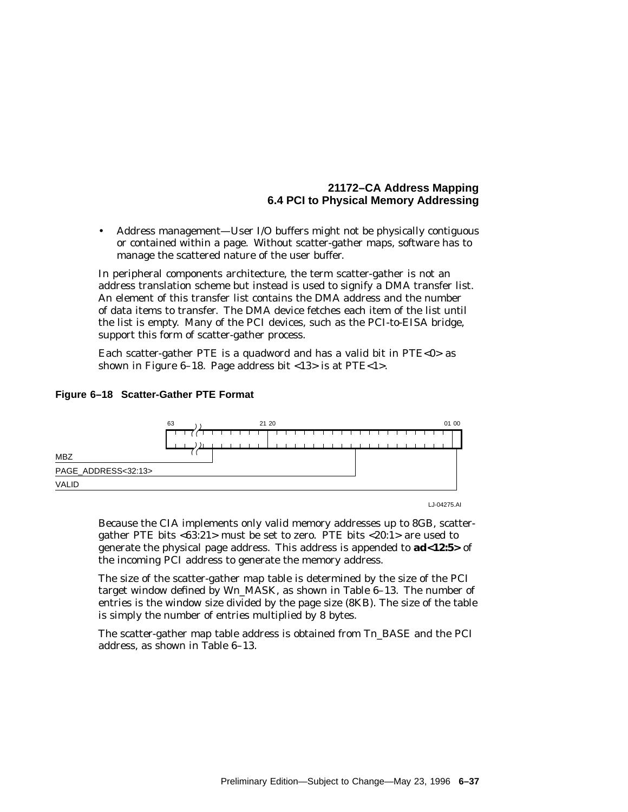• Address management—User I/O buffers might not be physically contiguous or contained within a page. Without scatter-gather maps, software has to manage the scattered nature of the user buffer.

In peripheral components architecture, the term scatter-gather is not an address translation scheme but instead is used to signify a DMA transfer list. An element of this transfer list contains the DMA address and the number of data items to transfer. The DMA device fetches each item of the list until the list is empty. Many of the PCI devices, such as the PCI-to-EISA bridge, support this form of scatter-gather process.

Each scatter-gather PTE is a quadword and has a valid bit in PTE<0 $>$  as shown in Figure 6–18. Page address bit <13> is at PTE<1>.



#### **Figure 6–18 Scatter-Gather PTE Format**

LJ-04275.AI

Because the CIA implements only valid memory addresses up to 8GB, scattergather PTE bits <63:21> must be set to zero. PTE bits <20:1> are used to generate the physical page address. This address is appended to **ad<12:5>** of the incoming PCI address to generate the memory address.

The size of the scatter-gather map table is determined by the size of the PCI target window defined by W*n*\_MASK, as shown in Table 6–13. The number of entries is the window size divided by the page size (8KB). The size of the table is simply the number of entries multiplied by 8 bytes.

The scatter-gather map table address is obtained from T*n*\_BASE and the PCI address, as shown in Table 6–13.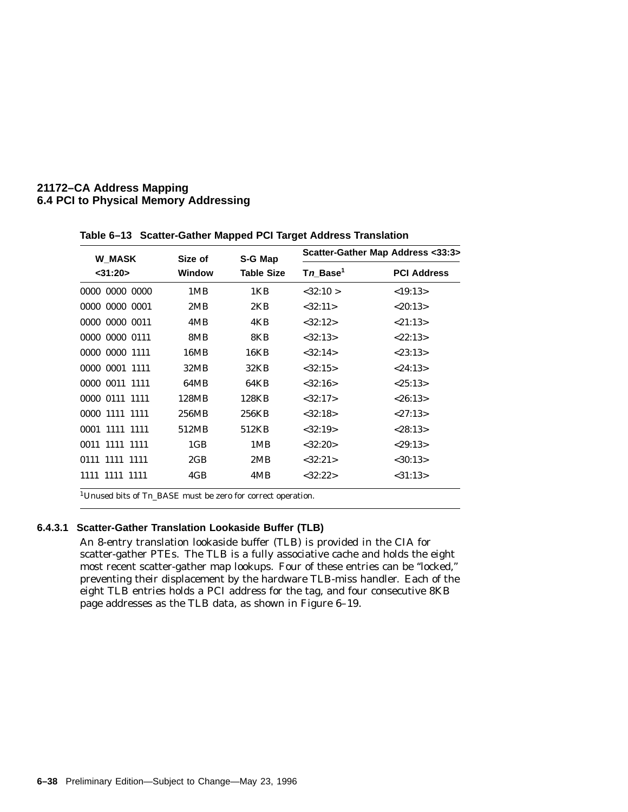| <b>W MASK</b>  | Size of<br><b>Window</b> | S-G Map           | Scatter-Gather Map Address <33:3> |                    |
|----------------|--------------------------|-------------------|-----------------------------------|--------------------|
| $<$ 31:20 $>$  |                          | <b>Table Size</b> | Tn Base <sup>1</sup>              | <b>PCI Address</b> |
| 0000 0000 0000 | 1MB                      | 1KB               | < 32:10 >                         | <19:13>            |
| 0000 0000 0001 | 2MB                      | 2KB               | <32:11>                           | < 20:13>           |
| 0000 0000 0011 | 4MB                      | 4KB               | <32:12>                           | < 21:13>           |
| 0000 0000 0111 | 8MB                      | 8KB               | < 32:13>                          | < 22:13>           |
| 0000 0000 1111 | 16MB                     | 16KB              | <32:14>                           | < 23:13>           |
| 0000 0001 1111 | 32MB                     | 32KB              | < 32:15>                          | < 24:13>           |
| 0000 0011 1111 | 64MB                     | 64KB              | <32:16>                           | < 25:13>           |
| 0000 0111 1111 | 128MB                    | 128KB             | <32:17>                           | < 26:13>           |
| 0000 1111 1111 | 256MB                    | 256KB             | <32:18>                           | < 27:13>           |
| 0001 1111 1111 | 512MB                    | 512KB             | <32:19>                           | < 28:13>           |
| 0011 1111 1111 | 1 <sub>GB</sub>          | 1MB               | <32:20>                           | < 29:13>           |
| 0111 1111 1111 | 2GB                      | 2MB               | <32:21>                           | $<$ 30:13>         |
| 1111 1111 1111 | 4GB                      | 4MB               | <32:22>                           | $<$ 31:13>         |

**Table 6–13 Scatter-Gather Mapped PCI Target Address Translation**

1Unused bits of T*n*\_BASE must be zero for correct operation.

#### **6.4.3.1 Scatter-Gather Translation Lookaside Buffer (TLB)**

An 8-entry translation lookaside buffer (TLB) is provided in the CIA for scatter-gather PTEs. The TLB is a fully associative cache and holds the eight most recent scatter-gather map lookups. Four of these entries can be ''locked,'' preventing their displacement by the hardware TLB-miss handler. Each of the eight TLB entries holds a PCI address for the tag, and four consecutive 8KB page addresses as the TLB data, as shown in Figure 6–19.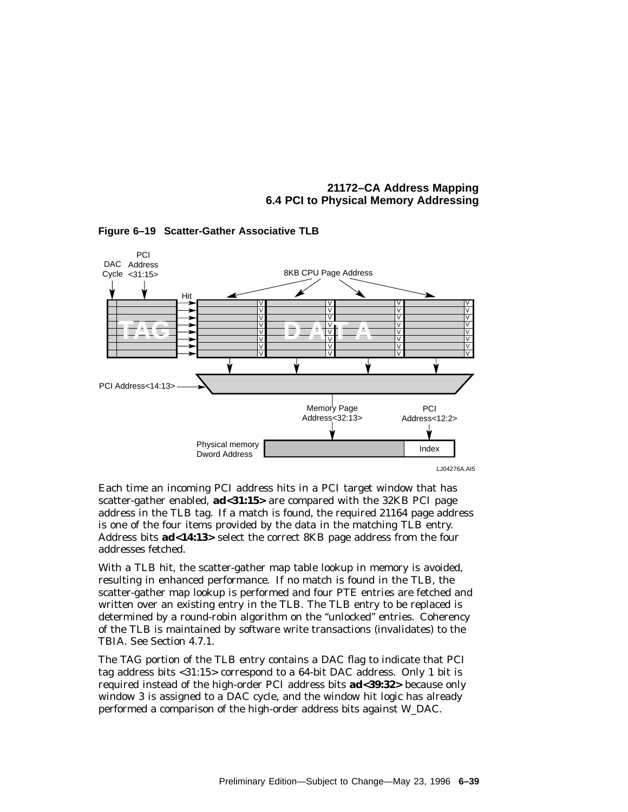

#### **Figure 6–19 Scatter-Gather Associative TLB**

Each time an incoming PCI address hits in a PCI target window that has scatter-gather enabled, **ad<31:15>** are compared with the 32KB PCI page address in the TLB tag. If a match is found, the required 21164 page address is one of the four items provided by the data in the matching TLB entry. Address bits **ad<14:13>** select the correct 8KB page address from the four addresses fetched.

With a TLB hit, the scatter-gather map table lookup in memory is avoided, resulting in enhanced performance. If no match is found in the TLB, the scatter-gather map lookup is performed and four PTE entries are fetched and written over an existing entry in the TLB. The TLB entry to be replaced is determined by a round-robin algorithm on the ''unlocked'' entries. Coherency of the TLB is maintained by software write transactions (invalidates) to the TBIA. See Section 4.7.1.

The TAG portion of the TLB entry contains a DAC flag to indicate that PCI tag address bits <31:15> correspond to a 64-bit DAC address. Only 1 bit is required instead of the high-order PCI address bits **ad<39:32>** because only window 3 is assigned to a DAC cycle, and the window hit logic has already performed a comparison of the high-order address bits against W\_DAC.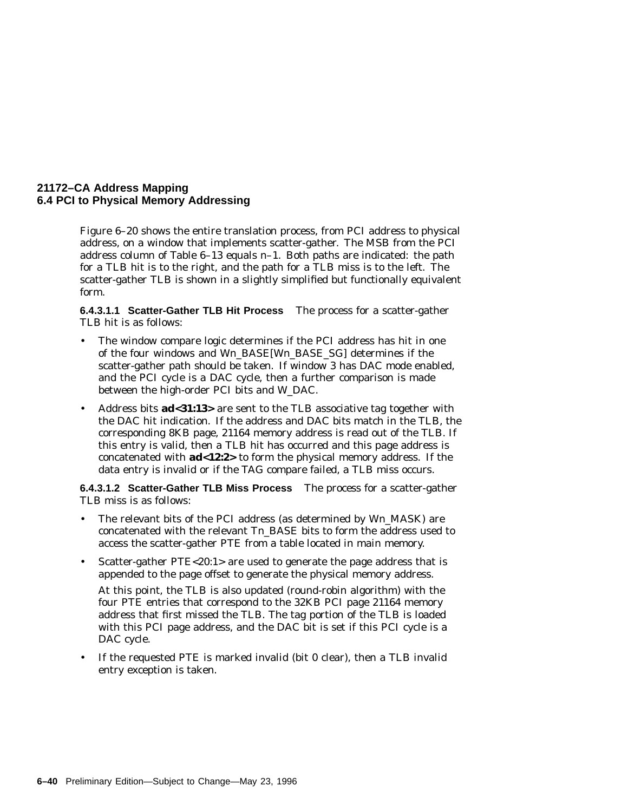Figure 6–20 shows the entire translation process, from PCI address to physical address, on a window that implements scatter-gather. The MSB from the PCI address column of Table 6–13 equals *n*–1. Both paths are indicated: the path for a TLB hit is to the right, and the path for a TLB miss is to the left. The scatter-gather TLB is shown in a slightly simplified but functionally equivalent form.

**6.4.3.1.1 Scatter-Gather TLB Hit Process** The process for a scatter-gather TLB hit is as follows:

- The window compare logic determines if the PCI address has hit in one of the four windows and W*n*\_BASE[W*n*\_BASE\_SG] determines if the scatter-gather path should be taken. If window 3 has DAC mode enabled, and the PCI cycle is a DAC cycle, then a further comparison is made between the high-order PCI bits and W\_DAC.
- Address bits **ad<31:13>** are sent to the TLB associative tag together with the DAC hit indication. If the address and DAC bits match in the TLB, the corresponding 8KB page, 21164 memory address is read out of the TLB. If this entry is valid, then a TLB hit has occurred and this page address is concatenated with **ad<12:2>** to form the physical memory address. If the data entry is invalid or if the TAG compare failed, a TLB miss occurs.

**6.4.3.1.2 Scatter-Gather TLB Miss Process** The process for a scatter-gather TLB miss is as follows:

- The relevant bits of the PCI address (as determined by W*n*\_MASK) are concatenated with the relevant T*n*\_BASE bits to form the address used to access the scatter-gather PTE from a table located in main memory.
- Scatter-gather PTE<20:1> are used to generate the page address that is appended to the page offset to generate the physical memory address.

At this point, the TLB is also updated (round-robin algorithm) with the four PTE entries that correspond to the 32KB PCI page 21164 memory address that first missed the TLB. The tag portion of the TLB is loaded with this PCI page address, and the DAC bit is set if this PCI cycle is a DAC cycle.

• If the requested PTE is marked invalid (bit 0 clear), then a TLB invalid entry exception is taken.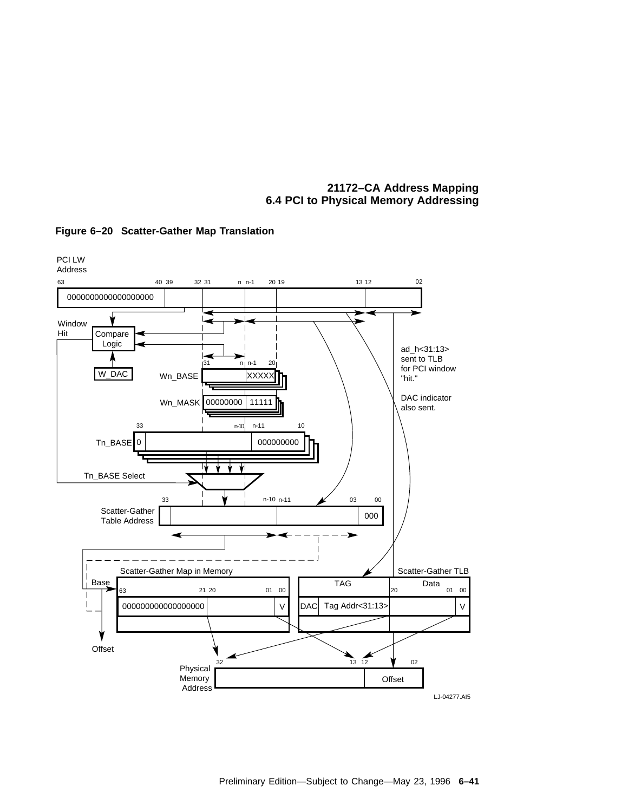

#### **Figure 6–20 Scatter-Gather Map Translation**

Preliminary Edition—Subject to Change—May 23, 1996 **6–41**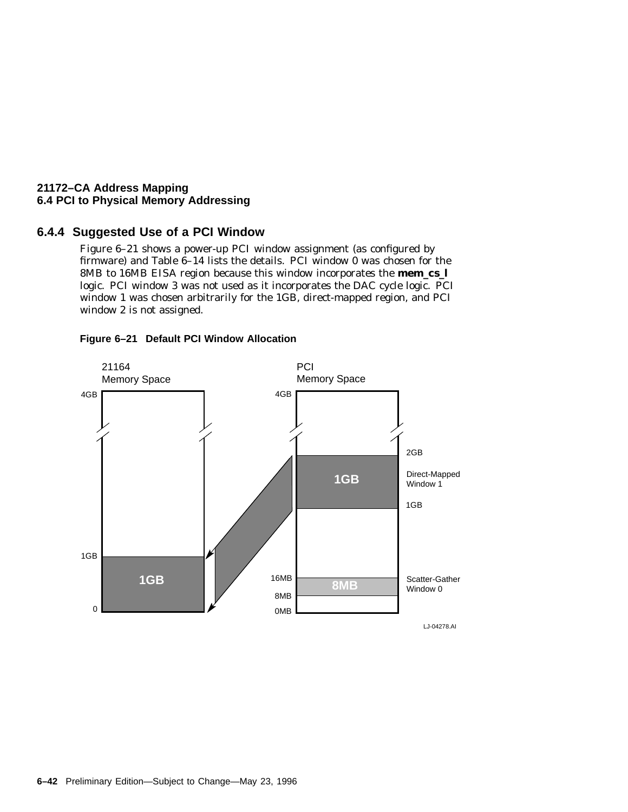# **6.4.4 Suggested Use of a PCI Window**

Figure 6–21 shows a power-up PCI window assignment (as configured by firmware) and Table  $6-14$  lists the details. PCI window 0 was chosen for the 8MB to 16MB EISA region because this window incorporates the **mem\_cs\_l** logic. PCI window 3 was not used as it incorporates the DAC cycle logic. PCI window 1 was chosen arbitrarily for the 1GB, direct-mapped region, and PCI window 2 is not assigned.



#### **Figure 6–21 Default PCI Window Allocation**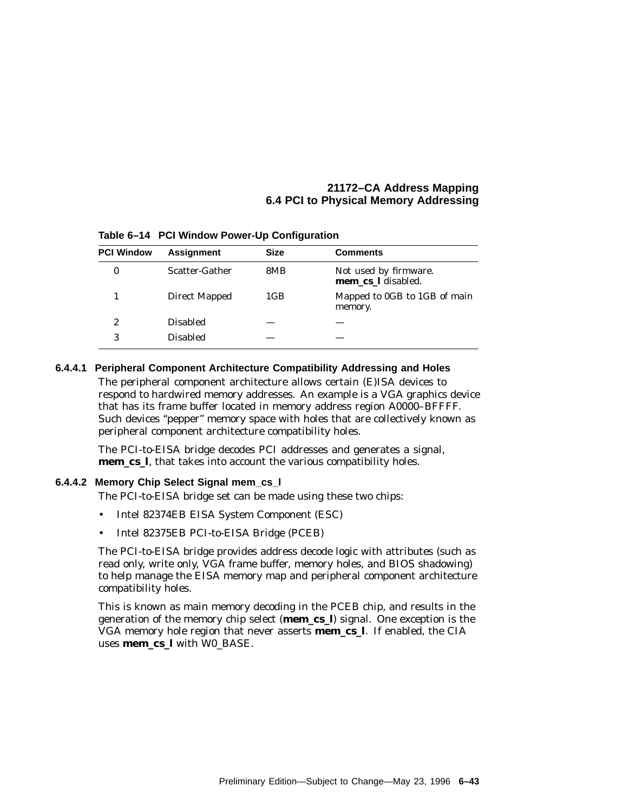| <b>PCI Window</b> | <b>Assignment</b> | <b>Size</b> | Comments                                    |
|-------------------|-------------------|-------------|---------------------------------------------|
| 0                 | Scatter-Gather    | 8MB         | Not used by firmware.<br>mem cs I disabled. |
|                   | Direct Mapped     | 1GB         | Mapped to OGB to 1GB of main<br>memory.     |
| 2                 | <b>Disabled</b>   |             |                                             |
| 3                 | <b>Disabled</b>   |             |                                             |

**Table 6–14 PCI Window Power-Up Configuration**

#### **6.4.4.1 Peripheral Component Architecture Compatibility Addressing and Holes**

The peripheral component architecture allows certain (E)ISA devices to respond to hardwired memory addresses. An example is a VGA graphics device that has its frame buffer located in memory address region A0000–BFFFF. Such devices ''pepper'' memory space with holes that are collectively known as peripheral component architecture compatibility holes.

The PCI-to-EISA bridge decodes PCI addresses and generates a signal, **mem\_cs\_l**, that takes into account the various compatibility holes.

#### **6.4.4.2 Memory Chip Select Signal mem\_cs\_l**

The PCI-to-EISA bridge set can be made using these two chips:

- Intel 82374EB EISA System Component (ESC)
- Intel 82375EB PCI-to-EISA Bridge (PCEB)

The PCI-to-EISA bridge provides address decode logic with attributes (such as read only, write only, VGA frame buffer, memory holes, and BIOS shadowing) to help manage the EISA memory map and peripheral component architecture compatibility holes.

This is known as main memory decoding in the PCEB chip, and results in the generation of the memory chip select (**mem\_cs\_l**) signal. One exception is the VGA memory hole region that never asserts **mem\_cs\_l**. If enabled, the CIA uses **mem\_cs\_l** with W0\_BASE.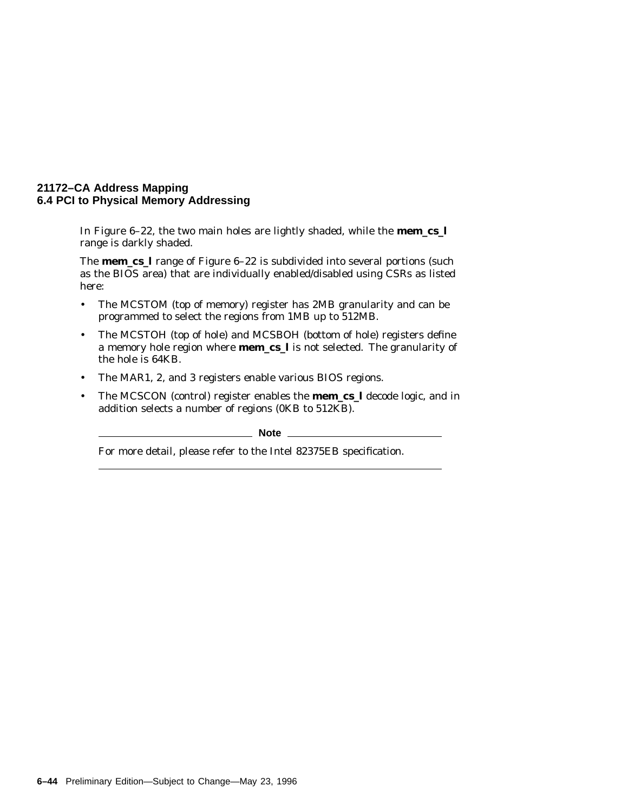In Figure 6–22, the two main holes are lightly shaded, while the **mem\_cs\_l** range is darkly shaded.

The **mem\_cs\_l** range of Figure 6–22 is subdivided into several portions (such as the BIOS area) that are individually enabled/disabled using CSRs as listed here:

- The MCSTOM (top of memory) register has 2MB granularity and can be programmed to select the regions from 1MB up to 512MB.
- The MCSTOH (top of hole) and MCSBOH (bottom of hole) registers define a memory hole region where **mem\_cs\_l** is not selected. The granularity of the hole is 64KB.
- The MAR1, 2, and 3 registers enable various BIOS regions.
- The MCSCON (control) register enables the **mem\_cs\_l** decode logic, and in addition selects a number of regions (0KB to 512KB).

**Note** \_\_\_

For more detail, please refer to the Intel 82375EB specification.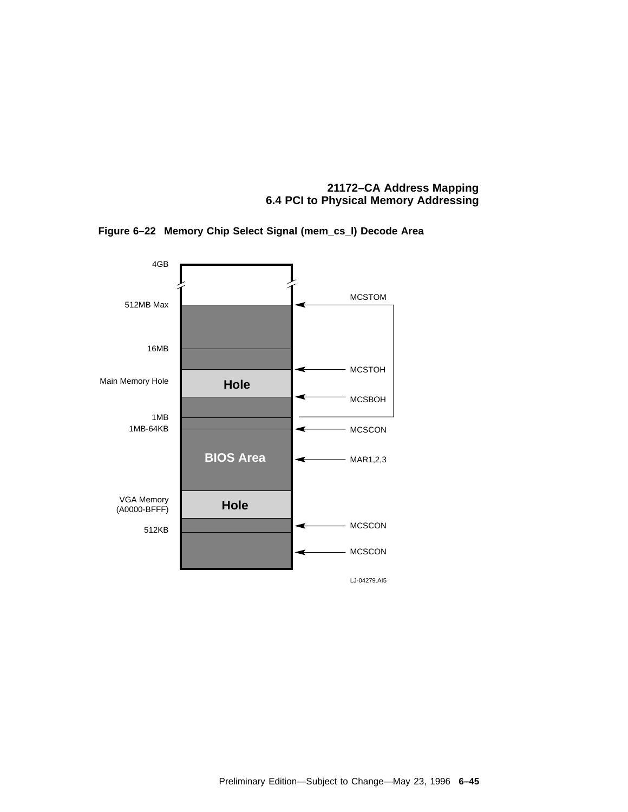#### **21172–CA Address Mapping 6.4 PCI to Physical Memory Addressing**



**Figure 6–22 Memory Chip Select Signal (mem\_cs\_l) Decode Area**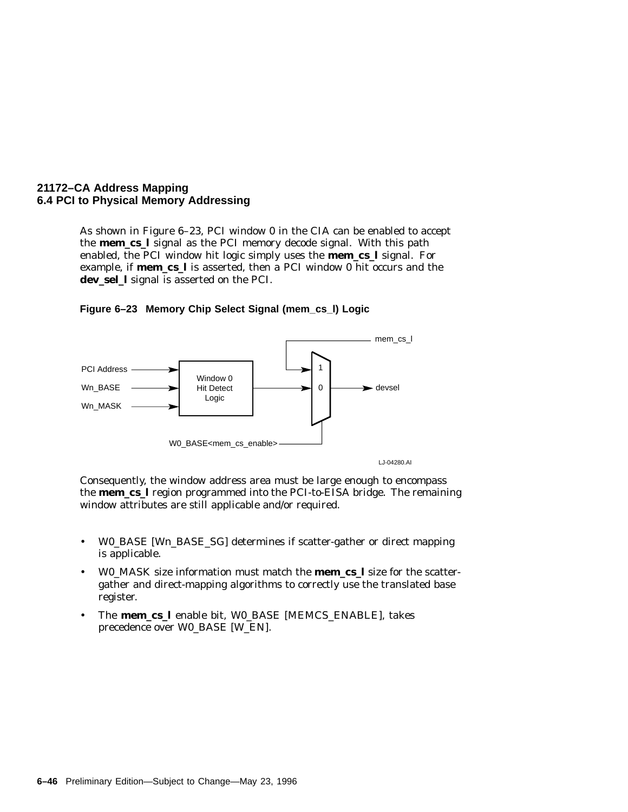#### **21172–CA Address Mapping 6.4 PCI to Physical Memory Addressing**

As shown in Figure 6–23, PCI window 0 in the CIA can be enabled to accept the **mem\_cs\_l** signal as the PCI memory decode signal. With this path enabled, the PCI window hit logic simply uses the **mem\_cs\_l** signal. For example, if **mem\_cs\_l** is asserted, then a PCI window 0 hit occurs and the **dev\_sel\_l** signal is asserted on the PCI.



**Figure 6–23 Memory Chip Select Signal (mem\_cs\_l) Logic**

Consequently, the window address area must be large enough to encompass the **mem\_cs\_l** region programmed into the PCI-to-EISA bridge. The remaining window attributes are still applicable and/or required.

- W0\_BASE [W*n*\_BASE\_SG] determines if scatter-gather or direct mapping is applicable.
- W0\_MASK size information must match the **mem\_cs\_l** size for the scattergather and direct-mapping algorithms to correctly use the translated base register.
- The **mem\_cs\_l** enable bit, W0\_BASE [MEMCS\_ENABLE], takes precedence over W0\_BASE [W\_EN].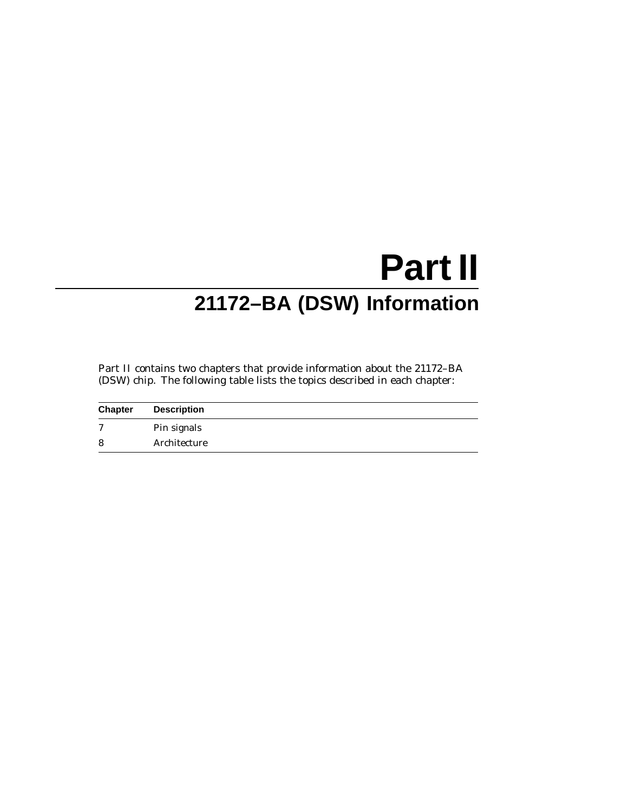# **Part II 21172–BA (DSW) Information**

Part II contains two chapters that provide information about the 21172–BA (DSW) chip. The following table lists the topics described in each chapter:

| <b>Chapter</b> | <b>Description</b> |
|----------------|--------------------|
| $\mathbf{r}$   | Pin signals        |
| 8              | Architecture       |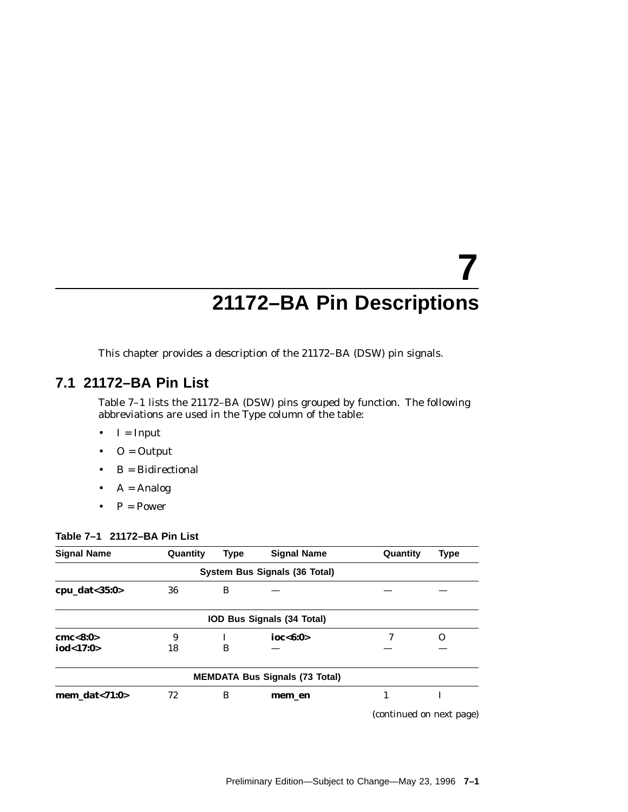# **7 21172–BA Pin Descriptions**

This chapter provides a description of the 21172–BA (DSW) pin signals.

# **7.1 21172–BA Pin List**

Table 7–1 lists the 21172–BA (DSW) pins grouped by function. The following abbreviations are used in the Type column of the table:

- $\bullet$  I = Input
- $\bullet$  O = Output
- B = Bidirectional
- $A =$  Analog
- $P = Power$

#### **Table 7–1 21172–BA Pin List**

| <b>Signal Name</b>   | Quantity | <b>Type</b> | <b>Signal Name</b>                    | Quantity                 | <b>Type</b> |
|----------------------|----------|-------------|---------------------------------------|--------------------------|-------------|
|                      |          |             | System Bus Signals (36 Total)         |                          |             |
| cpu_dat $<$ 35:0 $>$ | 36       | в           |                                       |                          |             |
|                      |          |             | IOD Bus Signals (34 Total)            |                          |             |
| cmc < 8:0>           | 9        |             | ioc<6:0>                              |                          | Ω           |
| iod<17:0>            | 18       | B           |                                       |                          |             |
|                      |          |             | <b>MEMDATA Bus Signals (73 Total)</b> |                          |             |
| mem dat< $71:0>$     | 72       | B           | mem en                                |                          | I           |
|                      |          |             |                                       | (continued on next page) |             |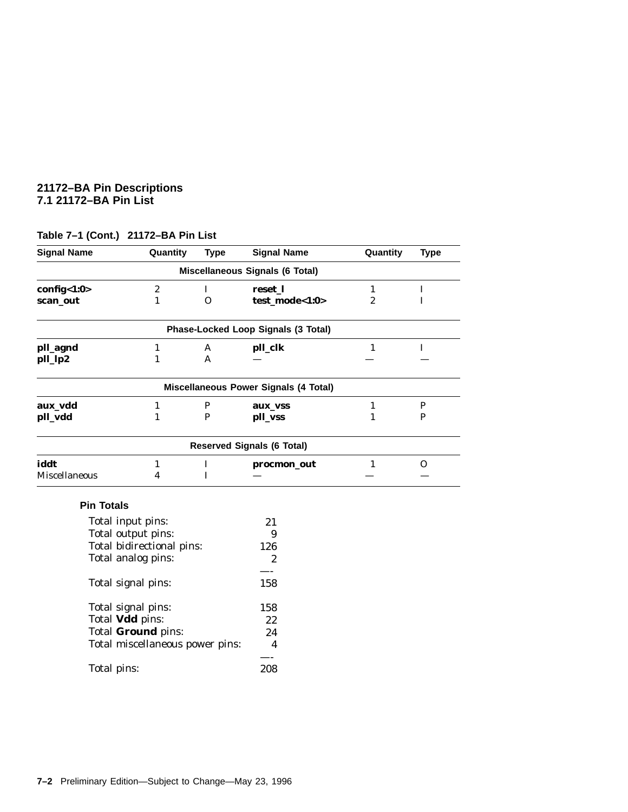#### **21172–BA Pin Descriptions 7.1 21172–BA Pin List**

| <b>Signal Name</b>   | Quantity                        | <b>Type</b>  | <b>Signal Name</b>                     | Quantity         | <b>Type</b>  |
|----------------------|---------------------------------|--------------|----------------------------------------|------------------|--------------|
|                      |                                 |              | <b>Miscellaneous Signals (6 Total)</b> |                  |              |
| config<1:0>          | $\boldsymbol{2}$                | $\mathbf{I}$ | reset_l                                | $\mathbf{1}$     | $\mathbf I$  |
| scan_out             | $\mathbf{1}$                    | $\Omega$     | test_mode<1:0>                         | $\boldsymbol{2}$ | $\mathbf I$  |
|                      |                                 |              | Phase-Locked Loop Signals (3 Total)    |                  |              |
| pll_agnd             | $\mathbf{1}$                    | A            | pll_clk                                | $\mathbf{1}$     | $\mathbf I$  |
| pll_lp2              | $\mathbf{1}$                    | $\mathsf{A}$ |                                        |                  |              |
|                      |                                 |              | Miscellaneous Power Signals (4 Total)  |                  |              |
| aux_vdd              | $\mathbf{1}$                    | $\mathbf{P}$ | aux_vss                                | $\mathbf{1}$     | $\mathbf{P}$ |
| pll_vdd              | $\mathbf{1}$                    | P            | pll_vss                                | $\mathbf{1}$     | P            |
|                      |                                 |              | <b>Reserved Signals (6 Total)</b>      |                  |              |
| iddt                 | $\mathbf{1}$                    | $\bf{I}$     | procmon_out                            | $\mathbf{1}$     | 0            |
| <b>Miscellaneous</b> | $\overline{\mathbf{4}}$         | $\mathbf I$  |                                        |                  |              |
| <b>Pin Totals</b>    |                                 |              |                                        |                  |              |
|                      | Total input pins:               |              | 21                                     |                  |              |
|                      | Total output pins:              |              | 9                                      |                  |              |
|                      | Total bidirectional pins:       |              | 126                                    |                  |              |
|                      | Total analog pins:              |              | $\overline{2}$                         |                  |              |
|                      |                                 |              |                                        |                  |              |
|                      | Total signal pins:              |              | 158                                    |                  |              |
|                      | Total signal pins:              |              | 158                                    |                  |              |
| Total Vdd pins:      |                                 |              | 22                                     |                  |              |
|                      | Total Ground pins:              |              | 24                                     |                  |              |
|                      | Total miscellaneous power pins: |              | $\overline{\mathbf{4}}$                |                  |              |
| Total pins:          |                                 |              | 208                                    |                  |              |
|                      |                                 |              |                                        |                  |              |

# **Table 7–1 (Cont.) 21172–BA Pin List**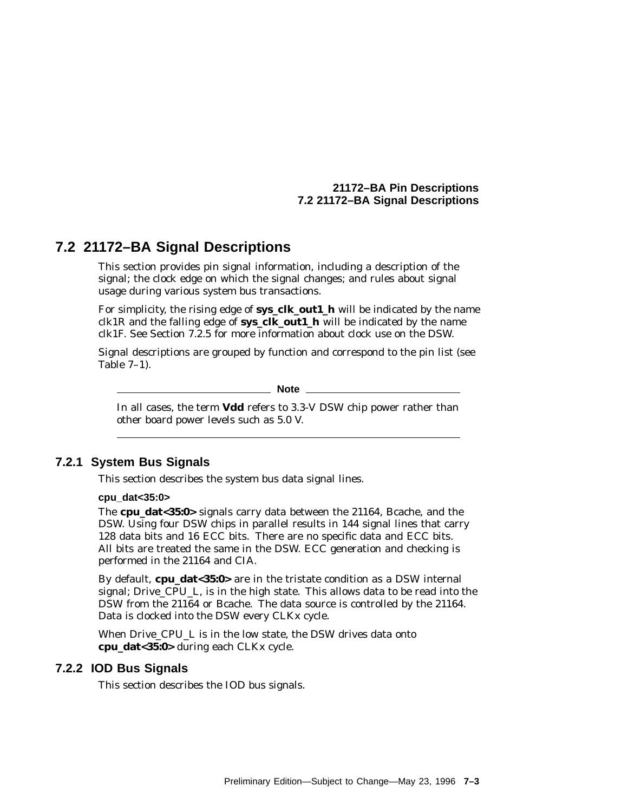# **7.2 21172–BA Signal Descriptions**

This section provides pin signal information, including a description of the signal; the clock edge on which the signal changes; and rules about signal usage during various system bus transactions.

For simplicity, the rising edge of **sys\_clk\_out1\_h** will be indicated by the name clk1R and the falling edge of **sys\_clk\_out1\_h** will be indicated by the name clk1F. See Section 7.2.5 for more information about clock use on the DSW.

Signal descriptions are grouped by function and correspond to the pin list (see Table 7–1).

\_\_\_\_\_ Note \_\_\_\_

In all cases, the term **Vdd** refers to 3.3-V DSW chip power rather than other board power levels such as 5.0 V.

#### **7.2.1 System Bus Signals**

This section describes the system bus data signal lines.

#### **cpu\_dat<35:0>**

The **cpu\_dat<35:0>** signals carry data between the 21164, Bcache, and the DSW. Using four DSW chips in parallel results in 144 signal lines that carry 128 data bits and 16 ECC bits. There are no specific data and ECC bits. All bits are treated the same in the DSW. ECC generation and checking is performed in the 21164 and CIA.

By default, **cpu\_dat<35:0>** are in the tristate condition as a DSW internal signal; Drive\_CPU\_L, is in the high state. This allows data to be read into the DSW from the 21164 or Bcache. The data source is controlled by the 21164. Data is clocked into the DSW every CLKx cycle.

When Drive\_CPU\_L is in the low state, the DSW drives data onto **cpu\_dat<35:0>** during each CLKx cycle.

#### **7.2.2 IOD Bus Signals**

This section describes the IOD bus signals.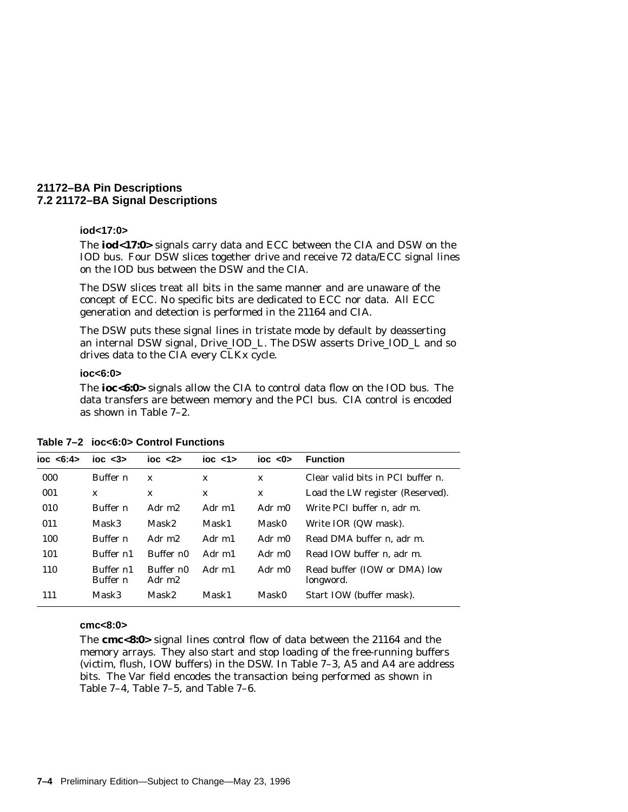#### **iod<17:0>**

The **iod<17:0>** signals carry data and ECC between the CIA and DSW on the IOD bus. Four DSW slices together drive and receive 72 data/ECC signal lines on the IOD bus between the DSW and the CIA.

The DSW slices treat all bits in the same manner and are unaware of the concept of ECC. No specific bits are dedicated to ECC nor data. All ECC generation and detection is performed in the 21164 and CIA.

The DSW puts these signal lines in tristate mode by default by deasserting an internal DSW signal, Drive\_IOD\_L. The DSW asserts Drive\_IOD\_L and so drives data to the CIA every CLKx cycle.

#### **ioc<6:0>**

The **ioc<6:0>** signals allow the CIA to control data flow on the IOD bus. The data transfers are between memory and the PCI bus. CIA control is encoded as shown in Table 7–2.

| ioc < 6:4> | $\text{loc}$ < $3$           | $\overline{10C}$ <2> | $\frac{1}{2}$ coc $\frac{1}{2}$ | $\text{loc}$ <0 $\text{>}$ | <b>Function</b>                           |
|------------|------------------------------|----------------------|---------------------------------|----------------------------|-------------------------------------------|
| 000        | Buffer n                     | X                    | X                               | $\mathbf{x}$               | Clear valid bits in PCI buffer $n$ .      |
| 001        | X                            | X                    | X                               | $\mathbf x$                | Load the LW register (Reserved).          |
| 010        | Buffer n                     | Adr m <sub>2</sub>   | Adr m1                          | Adr m0                     | Write PCI buffer <i>n</i> . adr m.        |
| 011        | Mask3                        | Mask2                | Mask1                           | Mask0                      | Write IOR (QW mask).                      |
| 100        | Buffer <i>n</i>              | Adr m <sub>2</sub>   | Adr m1                          | Adr m0                     | Read DMA buffer <i>n</i> . adr m.         |
| 101        | Buffer n1                    | Buffer n0            | Adr m1                          | Adr m0                     | Read IOW buffer <i>n</i> . adr m.         |
| 110        | Buffer n1<br>Buffer <i>n</i> | Buffer n0<br>Adr m2  | Adr m1                          | Adr m0                     | Read buffer (IOW or DMA) low<br>longword. |
| 111        | Mask3                        | Mask2                | Mask1                           | Mask0                      | Start IOW (buffer mask).                  |

**Table 7–2 ioc<6:0> Control Functions**

#### **cmc<8:0>**

The **cmc<8:0>** signal lines control flow of data between the 21164 and the memory arrays. They also start and stop loading of the free-running buffers (victim, flush, IOW buffers) in the DSW. In Table 7–3, A5 and A4 are address bits. The Var field encodes the transaction being performed as shown in Table 7–4, Table 7–5, and Table 7–6.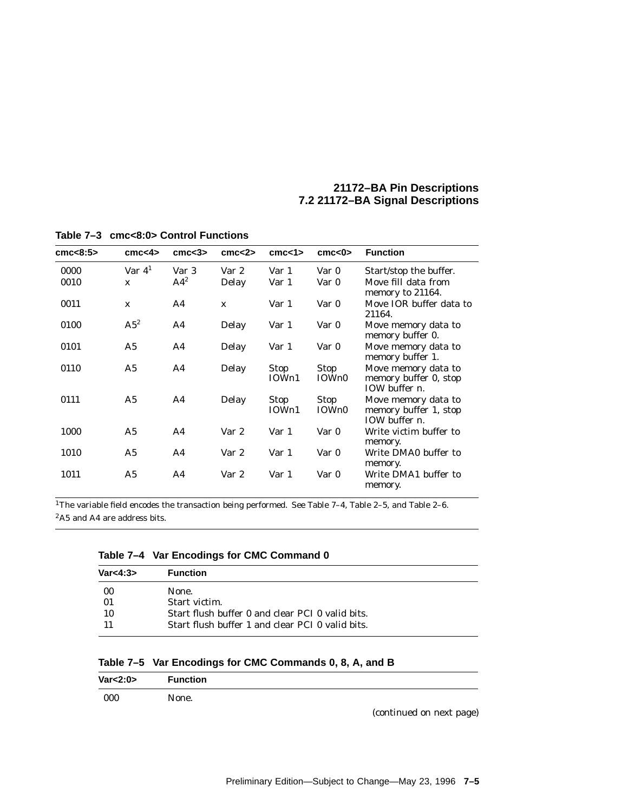| cmc $<8:5>$ | cmc <sub>4</sub> | cm <3>         | cm < 2       | cm < 1               | cm < 0               | <b>Function</b>                                                       |
|-------------|------------------|----------------|--------------|----------------------|----------------------|-----------------------------------------------------------------------|
|             |                  |                |              |                      |                      |                                                                       |
| 0000        | Var $41$         | Var 3          | Var 2        | Var 1                | Var 0                | Start/stop the buffer.                                                |
| 0010        | $\mathbf x$      | $A4^2$         | Delay        | Var 1                | Var 0                | Move fill data from<br>memory to 21164.                               |
| 0011        | $\mathbf{x}$     | A4             | $\mathbf{x}$ | Var 1                | Var 0                | Move IOR buffer data to<br>21164.                                     |
| 0100        | $A5^2$           | A <sub>4</sub> | Delay        | Var 1                | Var 0                | Move memory data to<br>memory buffer 0.                               |
| 0101        | A5               | A4             | Delay        | Var 1                | Var 0                | Move memory data to<br>memory buffer 1.                               |
| 0110        | A <sub>5</sub>   | A <sub>4</sub> | Delay        | <b>Stop</b><br>IOWn1 | <b>Stop</b><br>IOWn0 | Move memory data to<br>memory buffer 0, stop<br>IOW buffer $n$ .      |
| 0111        | A5               | A4             | Delay        | <b>Stop</b><br>IOWn1 | <b>Stop</b><br>IOWn0 | Move memory data to<br>memory buffer 1, stop<br>IOW buffer <i>n</i> . |
| 1000        | A5               | A <sub>4</sub> | Var 2        | Var 1                | Var 0                | Write victim buffer to<br>memory.                                     |
| 1010        | A5               | A4             | Var 2        | Var 1                | Var 0                | Write DMA0 buffer to<br>memory.                                       |
| 1011        | A5               | A <sub>4</sub> | Var 2        | Var 1                | Var 0                | Write DMA1 buffer to<br>memory.                                       |

**Table 7–3 cmc<8:0> Control Functions**

1The variable field encodes the transaction being performed. See Table 7–4, Table 2–5, and Table 2–6. 2A5 and A4 are address bits.

| Var<4:3> | <b>Function</b>                                  |
|----------|--------------------------------------------------|
| 00       | None.                                            |
| 01       | Start victim.                                    |
| 10       | Start flush buffer 0 and clear PCI 0 valid bits. |
|          | Start flush buffer 1 and clear PCI 0 valid bits. |

| Table 7–5 Var Encodings for CMC Commands 0, 8, A, and B |  |  |
|---------------------------------------------------------|--|--|
|---------------------------------------------------------|--|--|

| Var < 2:0 | <b>Function</b> |
|-----------|-----------------|
| 000       | None.           |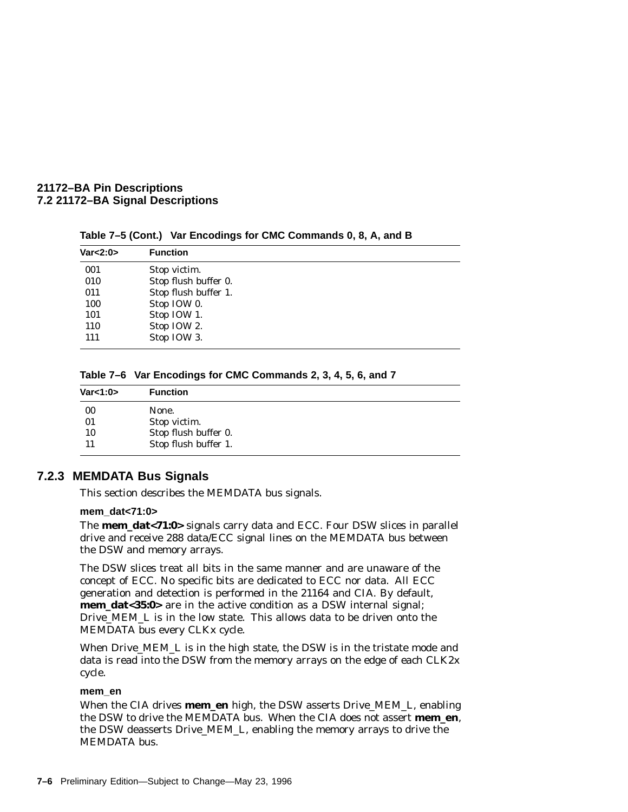| Var < 2:0 | <b>Function</b>      |
|-----------|----------------------|
| 001       | Stop victim.         |
| 010       | Stop flush buffer 0. |
| 011       | Stop flush buffer 1. |
| 100       | Stop IOW 0.          |
| 101       | Stop IOW 1.          |
| 110       | Stop IOW 2.          |
| 111       | Stop IOW 3.          |

**Table 7–5 (Cont.) Var Encodings for CMC Commands 0, 8, A, and B**

**Table 7–6 Var Encodings for CMC Commands 2, 3, 4, 5, 6, and 7**

| Var<1:0> | <b>Function</b>      |
|----------|----------------------|
| 00       | None.                |
| 01       | Stop victim.         |
| 10       | Stop flush buffer 0. |
|          | Stop flush buffer 1. |

#### **7.2.3 MEMDATA Bus Signals**

This section describes the MEMDATA bus signals.

#### **mem\_dat<71:0>**

The **mem\_dat<71:0>** signals carry data and ECC. Four DSW slices in parallel drive and receive 288 data/ECC signal lines on the MEMDATA bus between the DSW and memory arrays.

The DSW slices treat all bits in the same manner and are unaware of the concept of ECC. No specific bits are dedicated to ECC nor data. All ECC generation and detection is performed in the 21164 and CIA. By default, **mem\_dat<35:0>** are in the active condition as a DSW internal signal; Drive\_MEM\_L is in the low state. This allows data to be driven onto the MEMDATA bus every CLKx cycle.

When Drive\_MEM\_L is in the high state, the DSW is in the tristate mode and data is read into the DSW from the memory arrays on the edge of each CLK2x cycle.

#### **mem\_en**

When the CIA drives **mem\_en** high, the DSW asserts Drive\_MEM\_L, enabling the DSW to drive the MEMDATA bus. When the CIA does not assert **mem\_en**, the DSW deasserts Drive\_MEM\_L, enabling the memory arrays to drive the MEMDATA bus.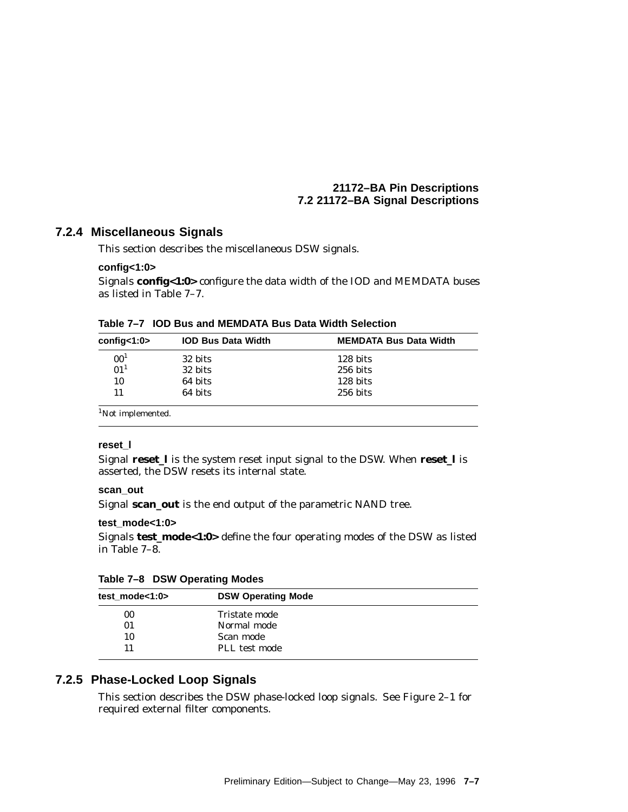#### **7.2.4 Miscellaneous Signals**

This section describes the miscellaneous DSW signals.

#### **config<1:0>**

Signals **config<1:0>** configure the data width of the IOD and MEMDATA buses as listed in Table 7–7.

| config<1:0>     | <b>IOD Bus Data Width</b> | <b>MEMDATA Bus Data Width</b> |
|-----------------|---------------------------|-------------------------------|
| 00 <sup>1</sup> | 32 bits                   | $128 \text{ bits}$            |
| 01 <sup>1</sup> | 32 bits                   | 256 bits                      |
| 10              | 64 bits                   | 128 bits                      |
| 11              | 64 bits                   | $256$ bits                    |

<sup>1</sup>Not implemented.

#### **reset\_l**

Signal **reset\_l** is the system reset input signal to the DSW. When **reset\_l** is asserted, the DSW resets its internal state.

#### **scan\_out**

Signal **scan\_out** is the end output of the parametric NAND tree.

#### **test\_mode<1:0>**

Signals **test\_mode<1:0>** define the four operating modes of the DSW as listed in Table 7–8.

| Table 7-8 DSW Operating Modes |  |  |  |  |  |
|-------------------------------|--|--|--|--|--|
|-------------------------------|--|--|--|--|--|

| test mode<1:0> | <b>DSW Operating Mode</b> |
|----------------|---------------------------|
| 00             | Tristate mode             |
| 01             | Normal mode               |
| 10             | Scan mode                 |
| 11             | PLL test mode             |
|                |                           |

#### **7.2.5 Phase-Locked Loop Signals**

This section describes the DSW phase-locked loop signals. See Figure 2–1 for required external filter components.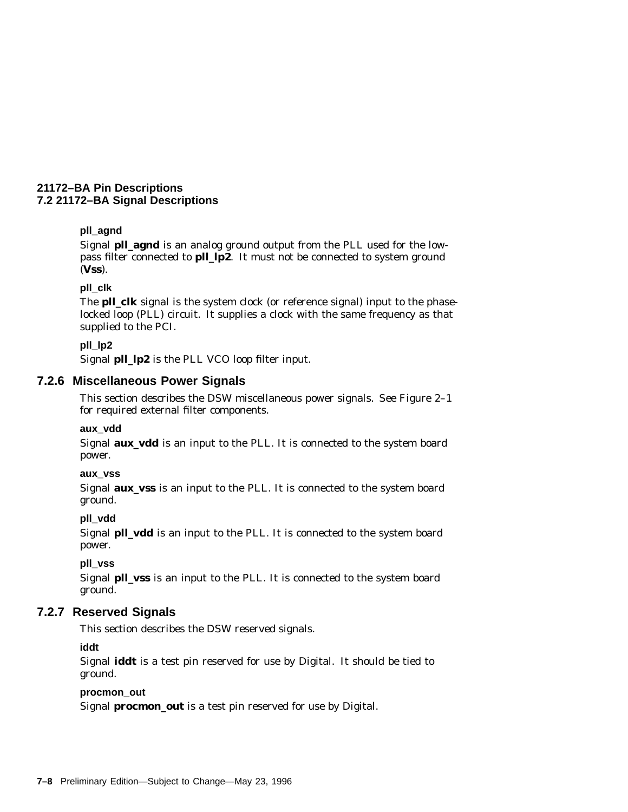#### **pll\_agnd**

Signal **pll\_agnd** is an analog ground output from the PLL used for the lowpass filter connected to **pll\_lp2**. It *must not* be connected to system ground (**Vss**).

#### **pll\_clk**

The **pll\_clk** signal is the system clock (or reference signal) input to the phaselocked loop (PLL) circuit. It supplies a clock with the same frequency as that supplied to the PCI.

#### **pll\_lp2**

Signal **pll\_lp2** is the PLL VCO loop filter input.

#### **7.2.6 Miscellaneous Power Signals**

This section describes the DSW miscellaneous power signals. See Figure 2–1 for required external filter components.

#### **aux\_vdd**

Signal **aux\_vdd** is an input to the PLL. It is connected to the system board power.

#### **aux\_vss**

Signal **aux\_vss** is an input to the PLL. It is connected to the system board ground.

#### **pll\_vdd**

Signal **pll\_vdd** is an input to the PLL. It is connected to the system board power.

#### **pll\_vss**

Signal **pll\_vss** is an input to the PLL. It is connected to the system board ground.

#### **7.2.7 Reserved Signals**

This section describes the DSW reserved signals.

#### **iddt**

Signal **iddt** is a test pin reserved for use by Digital. It should be tied to ground.

#### **procmon\_out**

Signal **procmon\_out** is a test pin reserved for use by Digital.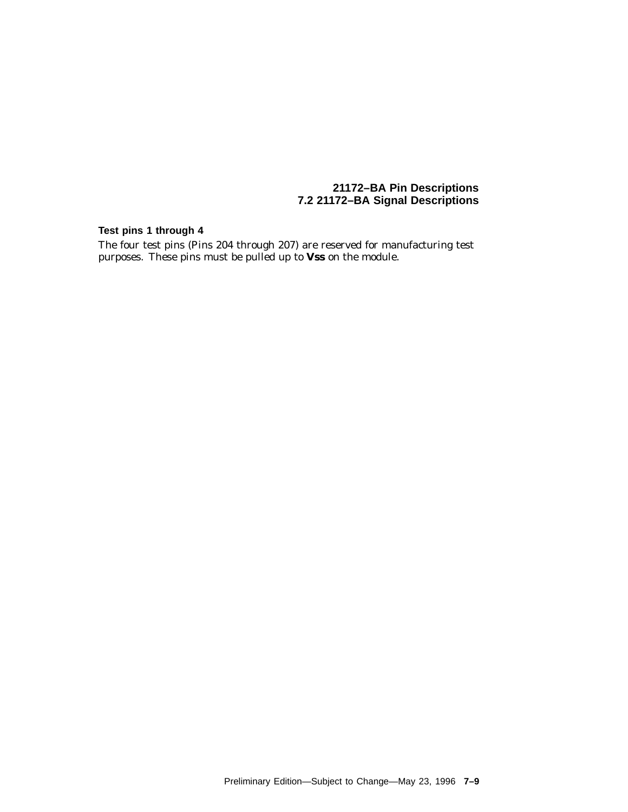#### **Test pins 1 through 4**

The four test pins (Pins 204 through 207) are reserved for manufacturing test purposes. These pins must be pulled up to **Vss** on the module.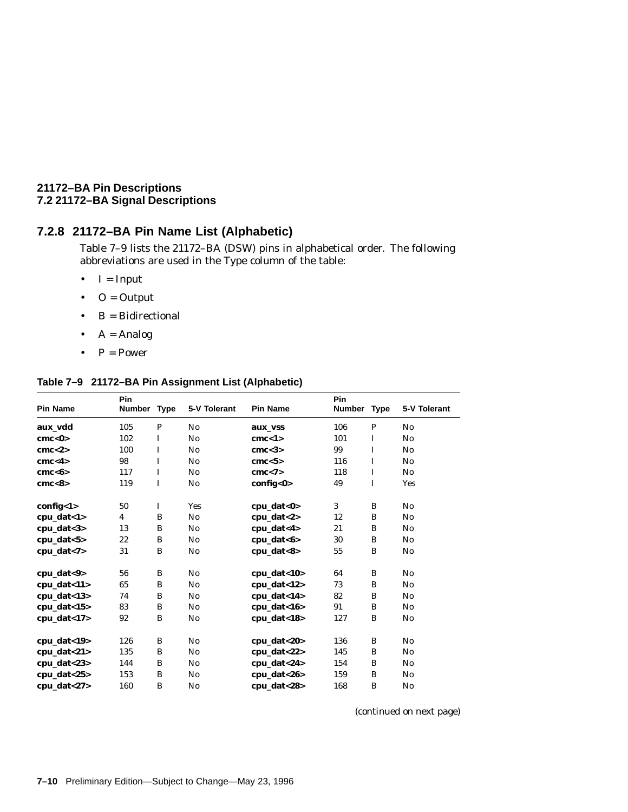## **7.2.8 21172–BA Pin Name List (Alphabetic)**

Table 7–9 lists the 21172–BA (DSW) pins in alphabetical order. The following abbreviations are used in the Type column of the table:

- $\bullet$  I = Input
- $\bullet$  O = Output
- $B = Bidirectional$
- $A = Analog$
- $P = Power$

#### **Table 7–9 21172–BA Pin Assignment List (Alphabetic)**

|                  | Pin                     |             |                |                   | Pin           |             |                        |
|------------------|-------------------------|-------------|----------------|-------------------|---------------|-------------|------------------------|
| <b>Pin Name</b>  | <b>Number</b>           | <b>Type</b> | 5-V Tolerant   | <b>Pin Name</b>   | <b>Number</b> | <b>Type</b> | 5-V Tolerant           |
| aux vdd          | 105                     | P           | No             | aux_vss           | 106           | P           | No                     |
| cmc < 0          | 102                     | I           | No             | cmc < 1>          | 101           | I           | No                     |
| cmc < 2>         | 100                     | Ι.          | No             | cmc <sub>3</sub>  | 99            | $\mathbf I$ | No                     |
| cmc < 4          | 98                      | $\mathbf I$ | No             | cmc < 5           | 116           | $\mathbf I$ | No                     |
| cmc <sub>6</sub> | 117                     | $\mathbf I$ | No             | cmc < 7           | 118           | $\mathbf I$ | No                     |
| cmc < 8          | 119                     | I           | No             | config<0>         | 49            | I           | <b>Yes</b>             |
| config<1>        | 50                      | $\bf{I}$    | <b>Yes</b>     | $cpu_data < 0$    | 3             | B           | No                     |
| $cpu_data < 1>$  | $\overline{\mathbf{4}}$ | B           | No             | $cpu_data < 2>$   | 12            | B           | No                     |
| cpu_dat<3>       | 13                      | B           | N <sub>0</sub> | cpu_dat<4>        | 21            | B           | $\mathbf{N}\mathbf{o}$ |
| cpu_dat<5>       | 22                      | B           | No             | $cpu_data < 6$    | 30            | B           | No                     |
| cpu_dat<7>       | 31                      | B           | N <sub>0</sub> | cpu_dat<8>        | 55            | B           | $\mathbf{N}\mathbf{o}$ |
| cpu_dat<9>       | 56                      | B           | No             | $cpu_data < 10 >$ | 64            | B           | No                     |
| $cpu_data < 11>$ | 65                      | B           | No             | $cpu_data < 12>$  | 73            | B           | No                     |
| $cpu_data < 13>$ | 74                      | B           | No             | $cpu_data < 14$   | 82            | B           | $\mathbf{N}\mathbf{o}$ |
| $cpu\_dat<15$    | 83                      | B           | No             | cpu_dat<16>       | 91            | B           | No                     |
| $cpu_data < 17$  | 92                      | B           | No             | $cpu_data < 18$   | 127           | B           | No                     |
| $cpu_data < 19$  | 126                     | B           | No             | cpu_dat<20>       | 136           | B           | No                     |
| cpu_dat<21>      | 135                     | B           | No             | $cpu_data < 22$   | 145           | B           | No                     |
| $cpu_data < 23$  | 144                     | B           | No             | cpu_dat<24>       | 154           | B           | No                     |
| $cpu\_dat < 25$  | 153                     | B           | No             | $cpu_data < 26$   | 159           | B           | No                     |
| cpu_dat<27>      | 160                     | B           | No             | cpu_dat<28>       | 168           | B           | No                     |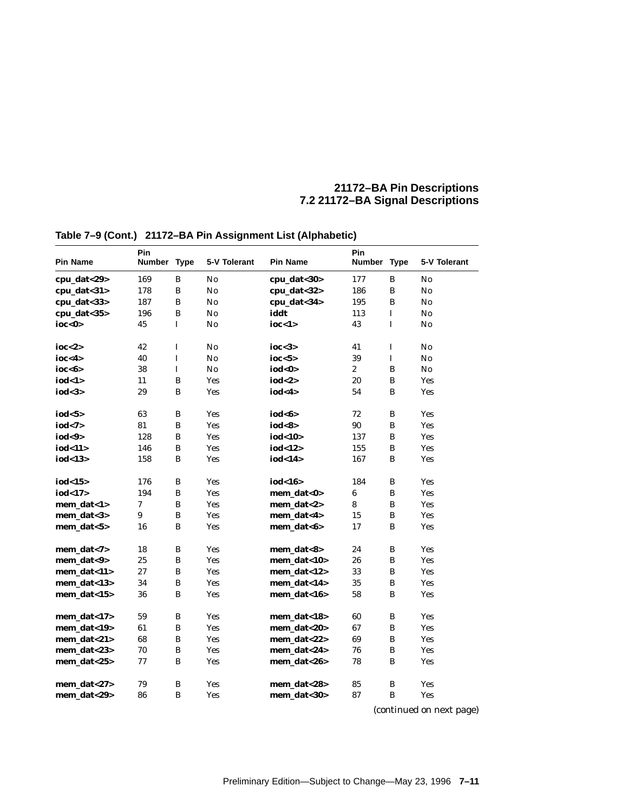| <b>Pin Name</b> | Pin<br>Number Type |             | 5-V Tolerant   | <b>Pin Name</b> | Pin<br><b>Number</b> | <b>Type</b>  | 5-V Tolerant           |
|-----------------|--------------------|-------------|----------------|-----------------|----------------------|--------------|------------------------|
| cpu_dat<29>     | 169                | B           | No             | cpu_dat<30>     | 177                  | B            | No                     |
| cpu_dat<31>     | 178                | B           | N <sub>0</sub> | cpu_dat<32>     | 186                  | B            | No                     |
| cpu_dat<33>     | 187                | B           | $\mathbf{No}$  | cpu_dat<34>     | 195                  | B            | $\mathbf{No}$          |
| cpu_dat<35>     | 196                | B           | No             | iddt            | 113                  | $\mathbf I$  | No                     |
| ioc<0>          | 45                 | I           | No             | ioc<1>          | 43                   | $\mathbf I$  | No                     |
| ioc $<$ 2>      | 42                 | I           | No             | ioc $<$ 3>      | 41                   | I            | No                     |
| ioc<4>          | 40                 | $\mathbf I$ | No             | ioc < 5         | 39                   | $\mathbf I$  | $\mathbf{N}\mathbf{o}$ |
| ioc<6>          | 38                 | $\mathbf I$ | No             | iod<0>          | $\boldsymbol{2}$     | B            | No                     |
| iod<1>          | 11                 | B           | Yes            | iod<2>          | 20                   | B            | <b>Yes</b>             |
| iod<3>          | 29                 | B           | <b>Yes</b>     | iod<4>          | 54                   | B            | <b>Yes</b>             |
| iod<5>          | 63                 | $\bf{B}$    | <b>Yes</b>     | iod<6>          | 72                   | B            | <b>Yes</b>             |
| iod<7>          | 81                 | B           | Yes            | iod<8>          | 90                   | $\, {\bf B}$ | <b>Yes</b>             |
| iod<9>          | 128                | B           | Yes            | iod<10>         | 137                  | B            | <b>Yes</b>             |
| iod<11>         | 146                | B           | <b>Yes</b>     | iod<12>         | 155                  | B            | <b>Yes</b>             |
| iod<13>         | 158                | B           | <b>Yes</b>     | iod<14>         | 167                  | B            | <b>Yes</b>             |
| iod $<$ 15 $>$  | 176                | B           | <b>Yes</b>     | iod<16>         | 184                  | B            | <b>Yes</b>             |
| iod<17>         | 194                | $\bf{B}$    | <b>Yes</b>     | mem_dat<0>      | 6                    | B            | <b>Yes</b>             |
| mem_dat<1>      | 7                  | B           | <b>Yes</b>     | mem dat $<$ 2>  | 8                    | B            | <b>Yes</b>             |
| mem_dat<3>      | 9                  | B           | <b>Yes</b>     | mem_dat<4>      | 15                   | B            | Yes                    |
| mem_dat<5>      | 16                 | B           | <b>Yes</b>     | mem_dat<6>      | 17                   | B            | <b>Yes</b>             |
| mem_dat<7>      | 18                 | B           | <b>Yes</b>     | mem_dat<8>      | 24                   | B            | <b>Yes</b>             |
| mem dat<9>      | 25                 | $\bf{B}$    | Yes            | mem dat<10>     | 26                   | B            | <b>Yes</b>             |
| mem_dat<11>     | 27                 | B           | <b>Yes</b>     | mem_dat<12>     | 33                   | B            | <b>Yes</b>             |
| mem_dat<13>     | 34                 | B           | <b>Yes</b>     | mem_dat<14>     | 35                   | B            | <b>Yes</b>             |
| mem dat< $15$ > | 36                 | B           | Yes            | mem_dat<16>     | 58                   | B            | Yes                    |
| mem_dat<17>     | 59                 | B           | Yes            | mem_dat<18>     | 60                   | B            | <b>Yes</b>             |
| mem_dat<19>     | 61                 | B           | <b>Yes</b>     | mem_dat<20>     | 67                   | B            | <b>Yes</b>             |
| mem_dat<21>     | 68                 | B           | <b>Yes</b>     | mem_dat<22>     | 69                   | B            | <b>Yes</b>             |
| mem dat< $23$   | 70                 | $\bf{B}$    | <b>Yes</b>     | mem dat<24>     | 76                   | B            | Yes                    |
| mem_dat<25>     | 77                 | B           | Yes            | mem_dat<26>     | 78                   | B            | <b>Yes</b>             |
|                 |                    |             |                |                 |                      |              |                        |
| mem_dat<27>     | 79                 | B           | Yes            | mem_dat<28>     | 85                   | B            | <b>Yes</b>             |

# **Table 7–9 (Cont.) 21172–BA Pin Assignment List (Alphabetic)**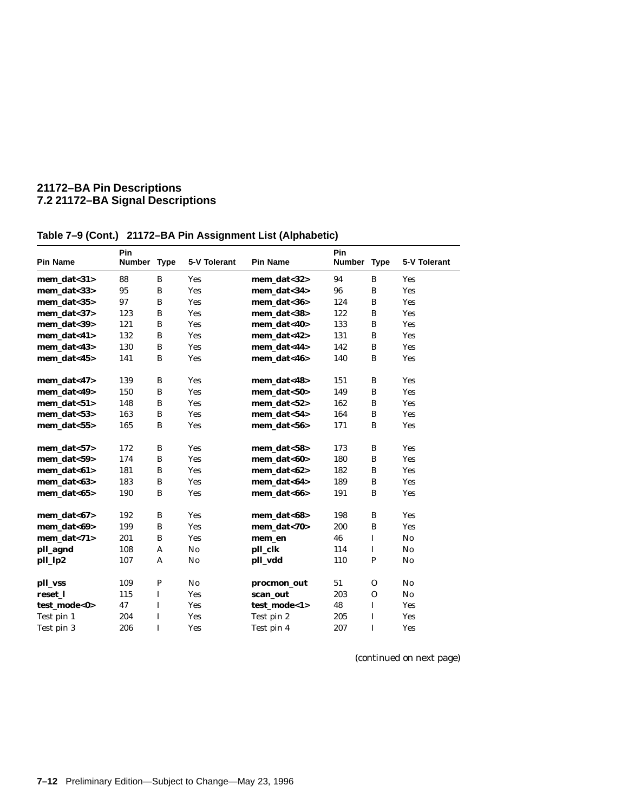| <b>Pin Name</b>    | Pin<br>Number Type |             | 5-V Tolerant | <b>Pin Name</b>  | Pin<br>Number Type |              | 5-V Tolerant           |
|--------------------|--------------------|-------------|--------------|------------------|--------------------|--------------|------------------------|
| mem dat $<$ 31 $>$ | 88                 | B           | <b>Yes</b>   | $mem\_data < 32$ | 94                 | B            | <b>Yes</b>             |
| mem_dat<33>        | 95                 | B           | Yes          | mem dat<34>      | 96                 | B            | <b>Yes</b>             |
| mem_dat<35>        | 97                 | B           | Yes          | mem_dat<36>      | 124                | B            | <b>Yes</b>             |
| mem dat< $37$      | 123                | B           | Yes          | mem dat<38>      | 122                | B            | <b>Yes</b>             |
| mem dat<39>        | 121                | B           | <b>Yes</b>   | mem dat<40>      | 133                | B            | <b>Yes</b>             |
| mem_dat<41>        | 132                | B           | <b>Yes</b>   | mem_dat<42>      | 131                | B            | <b>Yes</b>             |
| mem_dat<43>        | 130                | B           | <b>Yes</b>   | mem_dat<44>      | 142                | B            | <b>Yes</b>             |
| $mem\_data < 45$   | 141                | B           | Yes          | mem dat $<$ 46>  | 140                | B            | <b>Yes</b>             |
| mem dat $<$ 47>    | 139                | B           | Yes          | mem_dat<48>      | 151                | B            | <b>Yes</b>             |
| mem_dat<49>        | 150                | B           | <b>Yes</b>   | mem_dat<50>      | 149                | B            | Yes                    |
| mem_dat<51>        | 148                | B           | <b>Yes</b>   | mem_dat<52>      | 162                | B            | <b>Yes</b>             |
| mem_dat<53>        | 163                | B           | Yes          | mem_dat<54>      | 164                | B            | <b>Yes</b>             |
| mem dat $<55$      | 165                | B           | <b>Yes</b>   | mem dat<56>      | 171                | B            | <b>Yes</b>             |
| mem dat $<57$      | 172                | B           | Yes          | mem dat $<58$    | 173                | B            | <b>Yes</b>             |
| mem_dat<59>        | 174                | B           | Yes          | mem_dat<60>      | 180                | B            | <b>Yes</b>             |
| mem dat< $61$ >    | 181                | B           | Yes          | mem dat<62>      | 182                | B            | <b>Yes</b>             |
| mem dat<63>        | 183                | B           | Yes          | mem dat<64>      | 189                | B            | <b>Yes</b>             |
| mem_dat<65>        | 190                | B           | <b>Yes</b>   | mem_dat<66>      | 191                | B            | <b>Yes</b>             |
| $mem\_data<67$     | 192                | B           | Yes          | mem_dat<68>      | 198                | B            | <b>Yes</b>             |
| mem_dat<69>        | 199                | B           | Yes          | mem_dat<70>      | 200                | B            | <b>Yes</b>             |
| mem_dat<71>        | 201                | B           | Yes          | mem_en           | 46                 | I            | No                     |
| pll_agnd           | 108                | A           | No           | pll_clk          | 114                | I            | $\mathbf{N}\mathbf{0}$ |
| pll_lp2            | 107                | A           | No           | pll_vdd          | 110                | $\mathbf{P}$ | No                     |
| pll_vss            | 109                | $\mathbf P$ | No           | procmon_out      | 51                 | $\mathbf{O}$ | No                     |
| reset 1            | 115                | $\bf{I}$    | <b>Yes</b>   | scan_out         | 203                | 0            | No                     |
| test_mode<0>       | 47                 | $\mathbf I$ | Yes          | test_mode<1>     | 48                 | I            | <b>Yes</b>             |
| Test pin 1         | 204                | $\bf{I}$    | Yes          | Test pin 2       | 205                | I            | Yes                    |
| Test pin 3         | 206                | $\mathbf I$ | Yes          | Test pin 4       | 207                | I            | <b>Yes</b>             |

# **Table 7–9 (Cont.) 21172–BA Pin Assignment List (Alphabetic)**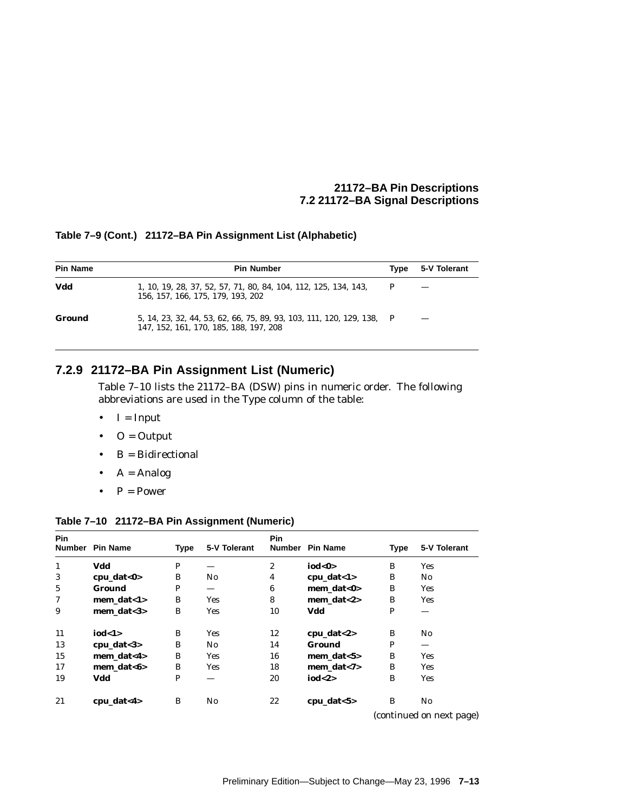#### **Table 7–9 (Cont.) 21172–BA Pin Assignment List (Alphabetic)**

| <b>Pin Name</b> | <b>Pin Number</b>                                                                                               | Tvpe | 5-V Tolerant |
|-----------------|-----------------------------------------------------------------------------------------------------------------|------|--------------|
| Vdd             | 1, 10, 19, 28, 37, 52, 57, 71, 80, 84, 104, 112, 125, 134, 143,<br>156, 157, 166, 175, 179, 193, 202            | P    |              |
| Ground          | 5, 14, 23, 32, 44, 53, 62, 66, 75, 89, 93, 103, 111, 120, 129, 138, P<br>147, 152, 161, 170, 185, 188, 197, 208 |      |              |

#### **7.2.9 21172–BA Pin Assignment List (Numeric)**

Table 7–10 lists the 21172–BA (DSW) pins in numeric order. The following abbreviations are used in the Type column of the table:

- $\bullet$  I = Input
- $\bullet$  O = Output
- $\bullet$  B = Bidirectional
- $A =$  Analog
- $P = Power$

#### **Table 7–10 21172–BA Pin Assignment (Numeric)**

| <b>Pin</b>   | Number Pin Name | <b>Type</b>  | 5-V Tolerant | <b>Pin</b>       | Number Pin Name | <b>Type</b> | 5-V Tolerant             |
|--------------|-----------------|--------------|--------------|------------------|-----------------|-------------|--------------------------|
| $\mathbf{1}$ | Vdd             | $\mathbf{P}$ |              | $\boldsymbol{2}$ | iod<0>          | B           | Yes                      |
| 3            | $cpu_data < 0$  | B            | No.          | 4                | $cpu_data < 1>$ | B           | N0                       |
| 5            | Ground          | P            |              | 6                | mem_dat<0>      | B           | Yes                      |
| 7            | mem dat $<1>$   | B            | <b>Yes</b>   | 8                | mem dat $<$ 2>  | B           | <b>Yes</b>               |
| 9            | mem dat $<$ 3>  | B            | Yes          | 10               | Vdd             | P           |                          |
| 11           | iod<1>          | B            | Yes          | 12               | $cpu_data < 2>$ | B           | No                       |
| 13           | $cpu_data 3$    | B            | No.          | 14               | Ground          | P           |                          |
| 15           | mem_dat<4>      | B            | Yes          | 16               | mem_dat<5>      | B           | Yes                      |
| 17           | mem dat<6>      | B            | Yes          | 18               | mem_dat<7>      | B           | Yes                      |
| 19           | Vdd             | $\mathbf{P}$ |              | 20               | iod<2>          | B           | Yes                      |
| 21           | $cpu_data < 4>$ | B            | No           | 22               | $cpu_data < 5>$ | B           | No                       |
|              |                 |              |              |                  |                 |             | (continued on nort noge) |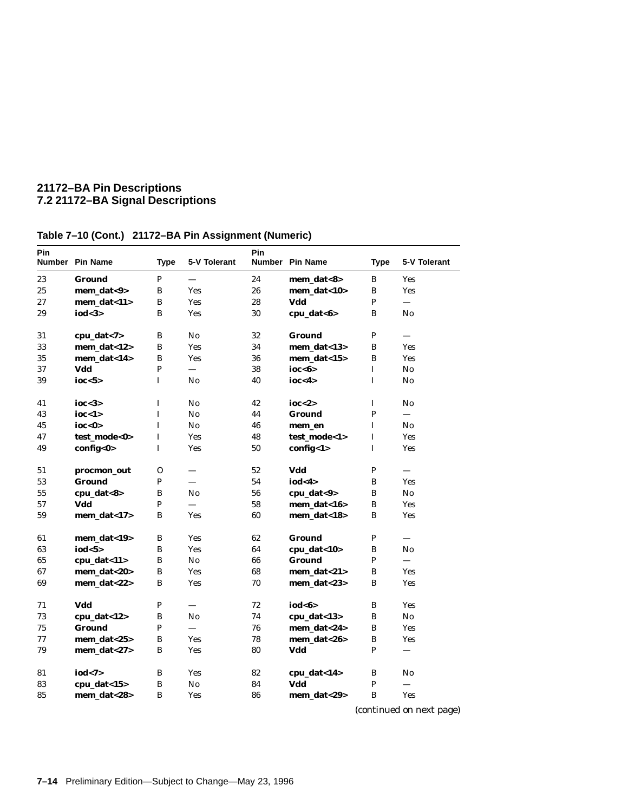| Pin | Number Pin Name  | <b>Type</b>  | 5-V Tolerant             | Pin | Number Pin Name | <b>Type</b>  | 5-V Tolerant              |
|-----|------------------|--------------|--------------------------|-----|-----------------|--------------|---------------------------|
| 23  | Ground           | P            | $\qquad \qquad$          | 24  | mem_dat<8>      | $\, {\bf B}$ | <b>Yes</b>                |
| 25  | mem_dat<9>       | B            | <b>Yes</b>               | 26  | mem dat< $10$   | B            | <b>Yes</b>                |
| 27  | mem dat<11>      | B            | <b>Yes</b>               | 28  | Vdd             | P            | $\equiv$                  |
| 29  | iod <sub>3</sub> | B            | <b>Yes</b>               | 30  | cpu_dat<6>      | B            | No                        |
| 31  | cpu_dat<7>       | B            | No                       | 32  | <b>Ground</b>   | P            |                           |
| 33  | mem_dat<12>      | B            | <b>Yes</b>               | 34  | mem_dat<13>     | B            | <b>Yes</b>                |
| 35  | mem_dat<14>      | B            | <b>Yes</b>               | 36  | mem_dat<15>     | $\bf{B}$     | Yes                       |
| 37  | Vdd              | $\mathbf{P}$ |                          | 38  | ioc $<$ 6>      | $\mathbf I$  | No                        |
| 39  | ioc < 5>         | L            | No                       | 40  | ioc < 4>        | I            | $\mathbf{N}$ <sub>0</sub> |
| 41  | ioc $<$ 3>       | $\mathbf I$  | No                       | 42  | ioc $<$ 2>      | $\mathbf I$  | No                        |
| 43  | ioc < 1>         | $\mathbf I$  | No.                      | 44  | Ground          | $\mathbf{P}$ | $\overline{\phantom{0}}$  |
| 45  | ioc < 0>         | L            | No                       | 46  | mem en          | I            | No                        |
| 47  | test mode<0>     | I            | <b>Yes</b>               | 48  | test mode<1>    | I            | <b>Yes</b>                |
| 49  | config<0>        | I            | <b>Yes</b>               | 50  | config<1>       | I            | <b>Yes</b>                |
| 51  | procmon_out      | $\mathbf{O}$ |                          | 52  | Vdd             | P            |                           |
| 53  | <b>Ground</b>    | P            | $\equiv$                 | 54  | iod < 4>        | B            | <b>Yes</b>                |
| 55  | cpu_dat<8>       | B            | No                       | 56  | cpu_dat<9>      | $\, {\bf B}$ | No                        |
| 57  | Vdd              | P            |                          | 58  | mem_dat<16>     | $\, {\bf B}$ | Yes                       |
| 59  | mem_dat<17>      | B            | <b>Yes</b>               | 60  | mem dat<18>     | B            | <b>Yes</b>                |
| 61  | mem_dat<19>      | B            | <b>Yes</b>               | 62  | Ground          | $\mathbf{P}$ |                           |
| 63  | iod $5$          | B            | <b>Yes</b>               | 64  | cpu_dat<10>     | B            | $\mathbf{N}$ <sub>0</sub> |
| 65  | cpu_dat<11>      | B            | No                       | 66  | <b>Ground</b>   | P            |                           |
| 67  | mem dat<20>      | B            | <b>Yes</b>               | 68  | mem dat<21>     | B            | <b>Yes</b>                |
| 69  | mem_dat<22>      | B            | <b>Yes</b>               | 70  | mem_dat<23>     | B            | <b>Yes</b>                |
| 71  | Vdd              | P            |                          | 72  | iod<6>          | $\, {\bf B}$ | <b>Yes</b>                |
| 73  | cpu_dat<12>      | B            | No                       | 74  | cpu_dat<13>     | B            | No                        |
| 75  | <b>Ground</b>    | P            | $\overline{\phantom{0}}$ | 76  | mem_dat<24>     | B            | <b>Yes</b>                |
| 77  | mem_dat<25>      | В            | <b>Yes</b>               | 78  | mem_dat<26>     | B            | <b>Yes</b>                |
| 79  | mem_dat<27>      | B            | <b>Yes</b>               | 80  | Vdd             | P            |                           |
| 81  | iod < 7          | B            | <b>Yes</b>               | 82  | cpu_dat<14>     | B            | No                        |
| 83  | cpu_dat<15>      | В            | No                       | 84  | Vdd             | P            |                           |
| 85  | mem_dat<28>      | B            | Yes                      | 86  | mem_dat<29>     | B            | <b>Yes</b>                |

**Table 7–10 (Cont.) 21172–BA Pin Assignment (Numeric)**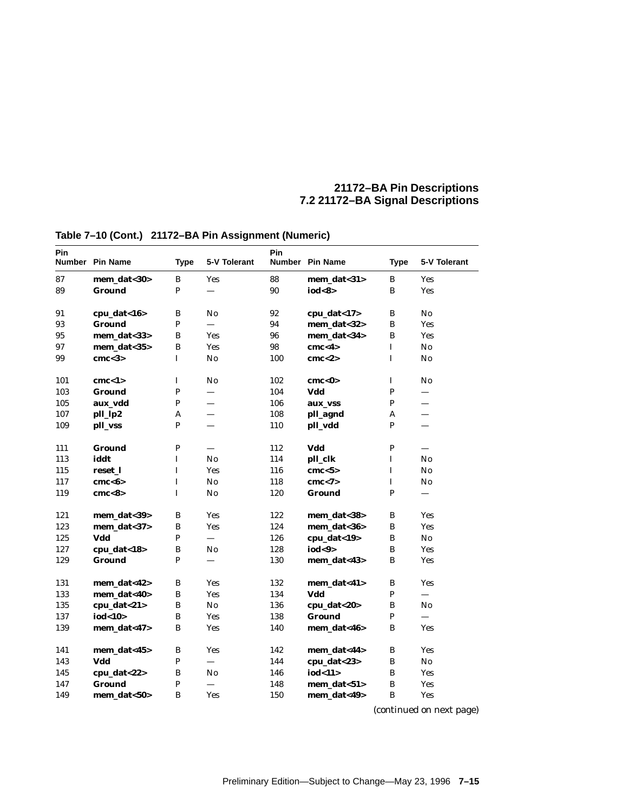| Pin | Number Pin Name  | <b>Type</b>  | 5-V Tolerant             | Pin | Number Pin Name | <b>Type</b>    | 5-V Tolerant             |
|-----|------------------|--------------|--------------------------|-----|-----------------|----------------|--------------------------|
| 87  | mem_dat<30>      | B            | <b>Yes</b>               | 88  | mem_dat<31>     | B              | <b>Yes</b>               |
| 89  | Ground           | P            |                          | 90  | iod<8>          | B              | <b>Yes</b>               |
| 91  | cpu_dat<16>      | B            | No                       | 92  | cpu_dat<17>     | B              | No                       |
| 93  | <b>Ground</b>    | $\, {\bf P}$ |                          | 94  | mem_dat<32>     | B              | Yes                      |
| 95  | mem_dat<33>      | B            | <b>Yes</b>               | 96  | mem_dat<34>     | B              | <b>Yes</b>               |
| 97  | mem_dat<35>      | B            | Yes                      | 98  | cmc < 4>        | I              | No                       |
| 99  | cmc <sub>3</sub> | I            | $\mathbf{N}\mathbf{o}$   | 100 | cmc < 2>        | I              | $\mathbf{No}$            |
| 101 | cm < 1>          | $\bf I$      | No                       | 102 | cmc < 0 >       | $\bf I$        | No                       |
| 103 | Ground           | ${\bf P}$    | $\overline{\phantom{0}}$ | 104 | Vdd             | ${\bf P}$      | $\overline{\phantom{0}}$ |
| 105 | aux_vdd          | $\, {\bf P}$ |                          | 106 | aux_vss         | $\mathbf P$    | $\overline{\phantom{0}}$ |
| 107 | pll_lp2          | A            | $\overline{\phantom{0}}$ | 108 | pll_agnd        | A              | —                        |
| 109 | pll_vss          | $\mathbf{P}$ | $\overline{\phantom{0}}$ | 110 | pll_vdd         | P              | $\overline{\phantom{0}}$ |
| 111 | Ground           | $\, {\bf P}$ | $\qquad \qquad$          | 112 | Vdd             | ${\bf P}$      |                          |
| 113 | iddt             | $\bf I$      | $\mathbf{N}\mathbf{o}$   | 114 | pll_clk         | I              | No                       |
| 115 | reset 1          | $\bf I$      | Yes                      | 116 | cmc < 5         | I              | No                       |
| 117 | cmc <sub>6</sub> | $\bf I$      | No                       | 118 | cmc < 7         | I              | No                       |
| 119 | cmc <sub>8</sub> | $\mathbf I$  | $\mathbf{N}\mathbf{o}$   | 120 | <b>Ground</b>   | $\overline{P}$ | $\overline{\phantom{0}}$ |
| 121 | mem_dat<39>      | $\, {\bf B}$ | <b>Yes</b>               | 122 | mem_dat<38>     | B              | <b>Yes</b>               |
| 123 | mem_dat<37>      | $\, {\bf B}$ | Yes                      | 124 | mem_dat<36>     | B              | <b>Yes</b>               |
| 125 | Vdd              | P            | $\qquad \qquad -$        | 126 | cpu_dat<19>     | $\, {\bf B}$   | $\mathbf{N}\mathbf{o}$   |
| 127 | cpu_dat<18>      | $\, {\bf B}$ | No                       | 128 | iod<9>          | B              | <b>Yes</b>               |
| 129 | <b>Ground</b>    | $\mathbf{P}$ |                          | 130 | mem_dat<43>     | B              | <b>Yes</b>               |
| 131 | mem_dat<42>      | $\, {\bf B}$ | <b>Yes</b>               | 132 | mem_dat<41>     | B              | <b>Yes</b>               |
| 133 | mem dat<40>      | $\, {\bf B}$ | <b>Yes</b>               | 134 | Vdd             | P              |                          |
| 135 | cpu_dat<21>      | $\, {\bf B}$ | $\mathbf{N}\mathbf{o}$   | 136 | cpu_dat<20>     | B              | No                       |
| 137 | iod<10>          | $\, {\bf B}$ | <b>Yes</b>               | 138 | <b>Ground</b>   | $\mathbf{P}$   |                          |
| 139 | mem_dat<47>      | B            | Yes                      | 140 | mem_dat<46>     | B              | Yes                      |
| 141 | mem_dat<45>      | $\, {\bf B}$ | <b>Yes</b>               | 142 | mem_dat<44>     | $\, {\bf B}$   | Yes                      |
| 143 | Vdd              | $\mathbf{P}$ |                          | 144 | cpu_dat<23>     | B              | $\mathbf{N}\mathbf{o}$   |
| 145 | cpu_dat<22>      | B            | No                       | 146 | iod<11>         | B              | <b>Yes</b>               |
| 147 | <b>Ground</b>    | $\mathbf{P}$ |                          | 148 | mem_dat<51>     | B              | <b>Yes</b>               |
| 149 | mem_dat<50>      | $\bf{B}$     | <b>Yes</b>               | 150 | mem_dat<49>     | $\bf{B}$       | Yes                      |

# **Table 7–10 (Cont.) 21172–BA Pin Assignment (Numeric)**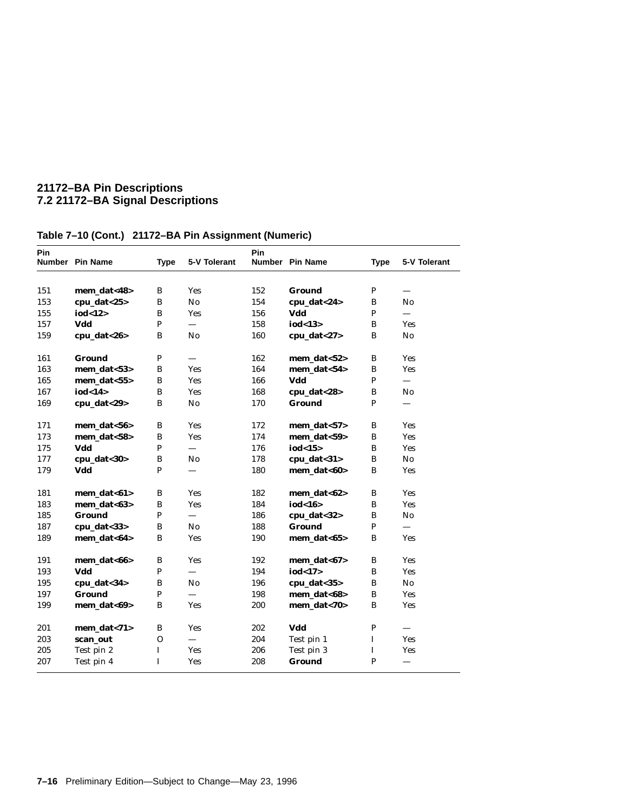| <b>Pin</b> |                 |              |                          | <b>Pin</b> |                  |              |                        |
|------------|-----------------|--------------|--------------------------|------------|------------------|--------------|------------------------|
|            | Number Pin Name | <b>Type</b>  | 5-V Tolerant             |            | Number Pin Name  | <b>Type</b>  | 5-V Tolerant           |
|            |                 |              |                          |            |                  |              |                        |
| 151        | mem_dat<48>     | B            | Yes                      | 152        | <b>Ground</b>    | $\mathbf P$  |                        |
| 153        | cpu_dat $<$ 25> | B            | $\mathbf{N}\mathbf{o}$   | 154        | cpu_dat<24>      | B            | $\mathbf{N}\mathbf{0}$ |
| 155        | iod<12>         | B            | Yes                      | 156        | Vdd              | P            |                        |
| 157        | Vdd             | $\mathbf{P}$ | $\overline{\phantom{0}}$ | 158        | iod<13 $>$       | B            | Yes                    |
| 159        | cpu dat $<26$   | B            | No                       | 160        | cpu_dat<27>      | B            | $\mathbf{N}\mathbf{o}$ |
| 161        | Ground          | ${\bf P}$    |                          | 162        | mem_dat<52>      | B            | <b>Yes</b>             |
| 163        | mem_dat<53>     | B            | Yes                      | 164        | mem_dat<54>      | B            | <b>Yes</b>             |
| 165        | mem_dat<55>     | B            | Yes                      | 166        | Vdd              | $\, {\bf P}$ |                        |
| 167        | iod<14>         | B            | Yes                      | 168        | cpu_dat<28>      | $\, {\bf B}$ | No                     |
| 169        | cpu_dat<29>     | B            | No                       | 170        | <b>Ground</b>    | P            |                        |
| 171        | mem_dat<56>     | B            | Yes                      | 172        | $mem\_data < 57$ | B            | <b>Yes</b>             |
| 173        | mem_dat<58>     | B            | <b>Yes</b>               | 174        | $mem\_dat < 59$  | B            | <b>Yes</b>             |
| 175        | Vdd             | $\mathbf P$  | $\overline{\phantom{0}}$ | 176        | iod $<$ 15 $>$   | B            | <b>Yes</b>             |
| 177        | cpu_dat<30>     | B            | No                       | 178        | $cpu_data < 31$  | B            | $\mathbf{N}\mathbf{o}$ |
| 179        | Vdd             | $\mathbf{P}$ | $\equiv$                 | 180        | mem dat<60>      | B            | <b>Yes</b>             |
| 181        | mem_dat<61>     | В            | <b>Yes</b>               | 182        | mem_dat<62>      | B            | Yes                    |
| 183        | mem_dat<63>     | B            | <b>Yes</b>               | 184        | iod<16>          | B            | <b>Yes</b>             |
| 185        | <b>Ground</b>   | $\mathbf P$  |                          | 186        | cpu_dat<32>      | B            | No                     |
| 187        | cpu_dat<33>     | B            | $\mathbf{N}\mathbf{o}$   | 188        | Ground           | P            | $\equiv$               |
| 189        | mem_dat<64>     | B            | <b>Yes</b>               | 190        | mem_dat<65>      | B            | <b>Yes</b>             |
| 191        | mem_dat<66>     | B            | <b>Yes</b>               | 192        | $mem\_dat<67$    | B            | <b>Yes</b>             |
| 193        | Vdd             | $\mathbf P$  | $\overline{\phantom{0}}$ | 194        | iod $<$ 17 $>$   | B            | Yes                    |
| 195        | cpu_dat<34>     | B            | No                       | 196        | cpu_dat<35>      | $\bf{B}$     | $\mathbf{N}\mathbf{o}$ |
| 197        | <b>Ground</b>   | $\mathbf{P}$ |                          | 198        | mem_dat<68>      | B            | Yes                    |
| 199        | mem_dat<69>     | B            | <b>Yes</b>               | 200        | mem_dat<70>      | B            | Yes                    |
| 201        | mem_dat<71>     | B            | <b>Yes</b>               | 202        | Vdd              | $\mathbf P$  | $\equiv$               |
| 203        | scan_out        | $\mathbf O$  | $\overline{\phantom{0}}$ | 204        | Test pin 1       | $\bf{I}$     | <b>Yes</b>             |
| 205        | Test pin 2      | $\bf I$      | Yes                      | 206        | Test pin 3       | $\bf I$      | <b>Yes</b>             |
| 207        | Test pin 4      | $\mathbf I$  | <b>Yes</b>               | 208        | <b>Ground</b>    | P            |                        |

# **Table 7–10 (Cont.) 21172–BA Pin Assignment (Numeric)**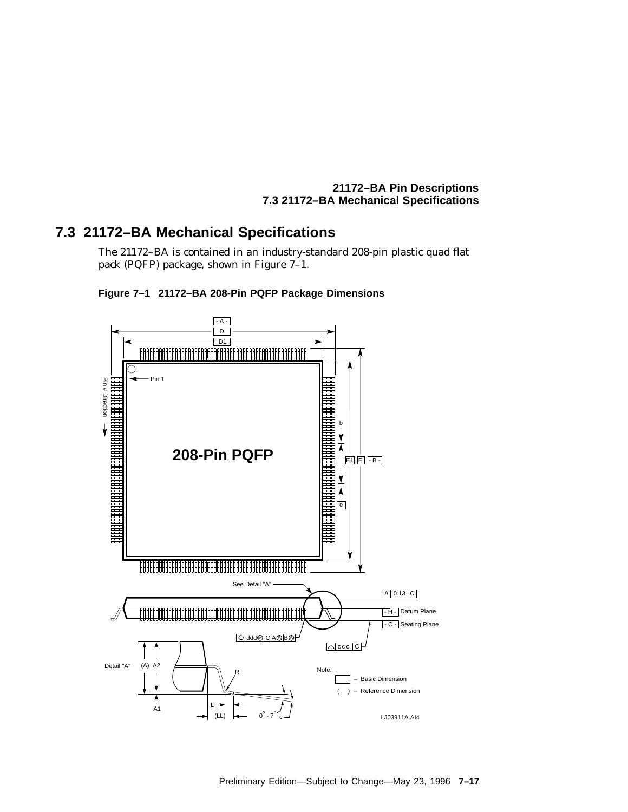#### **21172–BA Pin Descriptions 7.3 21172–BA Mechanical Specifications**

# **7.3 21172–BA Mechanical Specifications**

The 21172–BA is contained in an industry-standard 208-pin plastic quad flat pack (PQFP) package, shown in Figure 7–1.



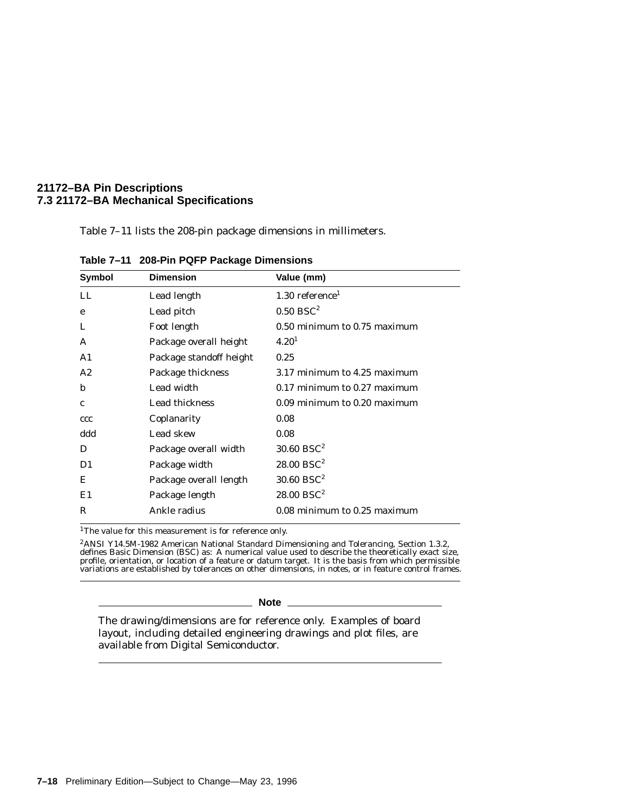#### **21172–BA Pin Descriptions 7.3 21172–BA Mechanical Specifications**

Table 7–11 lists the 208-pin package dimensions in millimeters.

| <b>Symbol</b> | <b>Dimension</b>        | Value (mm)                    |
|---------------|-------------------------|-------------------------------|
| LL            | Lead length             | $1.30$ reference <sup>1</sup> |
| e             | Lead pitch              | $0.50$ BSC <sup>2</sup>       |
| L             | Foot length             | 0.50 minimum to 0.75 maximum  |
| A             | Package overall height  | 4.20 <sup>1</sup>             |
| A1            | Package standoff height | 0.25                          |
| A2            | Package thickness       | 3.17 minimum to 4.25 maximum  |
| b             | Lead width              | 0.17 minimum to 0.27 maximum  |
| $\mathbf{c}$  | Lead thickness          | 0.09 minimum to 0.20 maximum  |
| ccc           | Coplanarity             | 0.08                          |
| ddd           | Lead skew               | 0.08                          |
| D             | Package overall width   | $30.60$ BSC <sup>2</sup>      |
| D1            | Package width           | $28.00$ BSC <sup>2</sup>      |
| Е             | Package overall length  | $30.60$ BSC <sup>2</sup>      |
| E1            | Package length          | $28.00$ BSC <sup>2</sup>      |
| R             | Ankle radius            | 0.08 minimum to 0.25 maximum  |

**Table 7–11 208-Pin PQFP Package Dimensions**

<sup>1</sup>The value for this measurement is for reference only.

 ${}^{2}$ ANSI Y14.5M-1982 American National Standard Dimensioning and Tolerancing, Section 1.3.2, defines Basic Dimension (BSC) as: A numerical value used to describe the theoretically exact size, profile, orientation, or lo

#### **Note**

The drawing/dimensions are for reference only. Examples of board layout, including detailed engineering drawings and plot files, are available from Digital Semiconductor.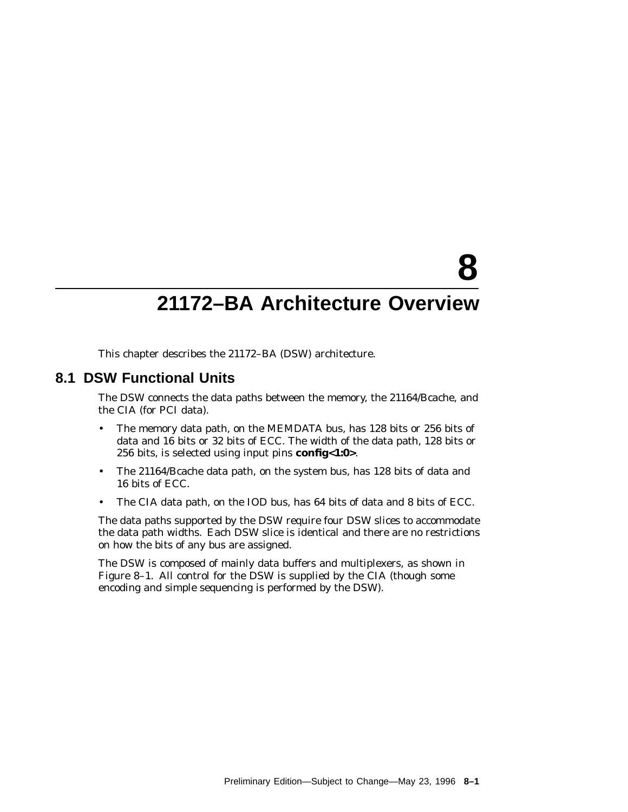# **8**

# **21172–BA Architecture Overview**

This chapter describes the 21172–BA (DSW) architecture.

## **8.1 DSW Functional Units**

The DSW connects the data paths between the memory, the 21164/Bcache, and the CIA (for PCI data).

- The memory data path, on the MEMDATA bus, has 128 bits or 256 bits of data and 16 bits or 32 bits of ECC. The width of the data path, 128 bits or 256 bits, is selected using input pins **config<1:0>**.
- The 21164/Bcache data path, on the system bus, has 128 bits of data and 16 bits of ECC.
- The CIA data path, on the IOD bus, has 64 bits of data and 8 bits of ECC.

The data paths supported by the DSW require four DSW slices to accommodate the data path widths. Each DSW slice is identical and there are no restrictions on how the bits of any bus are assigned.

The DSW is composed of mainly data buffers and multiplexers, as shown in Figure 8–1. All control for the DSW is supplied by the CIA (though some encoding and simple sequencing is performed by the DSW).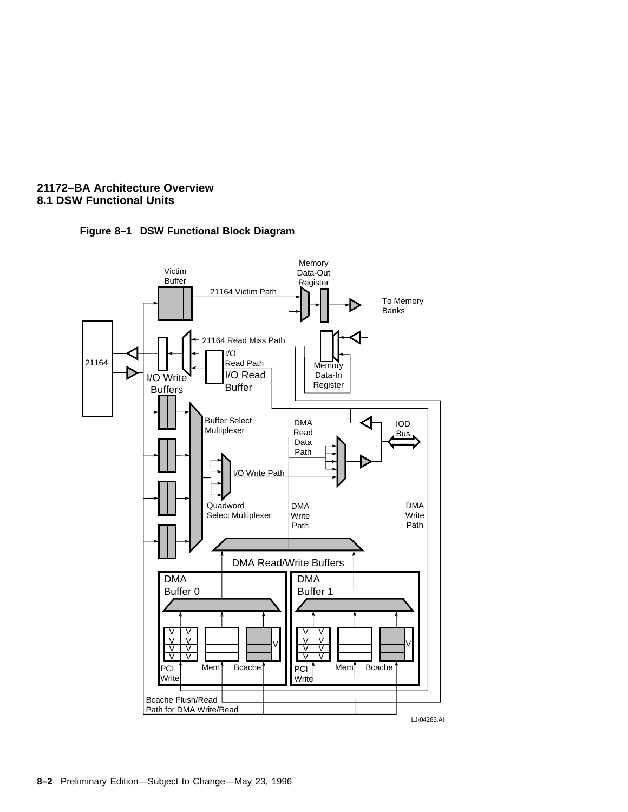

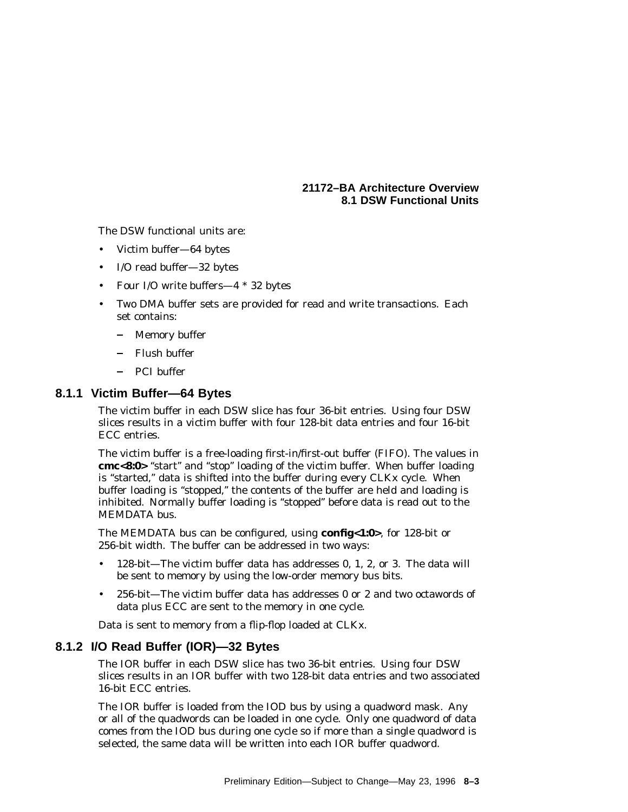The DSW functional units are:

- Victim buffer—64 bytes
- I/O read buffer—32 bytes
- Four I/O write buffers—4 \* 32 bytes
- Two DMA buffer sets are provided for read and write transactions. Each set contains:
	- Memory buffer
	- Flush buffer
	- PCI buffer

#### **8.1.1 Victim Buffer—64 Bytes**

The victim buffer in each DSW slice has four 36-bit entries. Using four DSW slices results in a victim buffer with four 128-bit data entries and four 16-bit ECC entries.

The victim buffer is a free-loading first-in/first-out buffer (FIFO). The values in cmc<8:0> "start" and "stop" loading of the victim buffer. When buffer loading is "started," data is shifted into the buffer during every CLKx cycle. When buffer loading is "stopped," the contents of the buffer are held and loading is inhibited. Normally buffer loading is ''stopped'' before data is read out to the MEMDATA bus.

The MEMDATA bus can be configured, using **config<1:0>**, for 128-bit or 256-bit width. The buffer can be addressed in two ways:

- 128-bit—The victim buffer data has addresses 0, 1, 2, or 3. The data will be sent to memory by using the low-order memory bus bits.
- 256-bit—The victim buffer data has addresses 0 or 2 and two octawords of data plus ECC are sent to the memory in one cycle.

Data is sent to memory from a flip-flop loaded at CLKx.

#### **8.1.2 I/O Read Buffer (IOR)—32 Bytes**

The IOR buffer in each DSW slice has two 36-bit entries. Using four DSW slices results in an IOR buffer with two 128-bit data entries and two associated 16-bit ECC entries.

The IOR buffer is loaded from the IOD bus by using a quadword mask. Any or all of the quadwords can be loaded in one cycle. Only one quadword of data comes from the IOD bus during one cycle so if more than a single quadword is selected, the same data will be written into each IOR buffer quadword.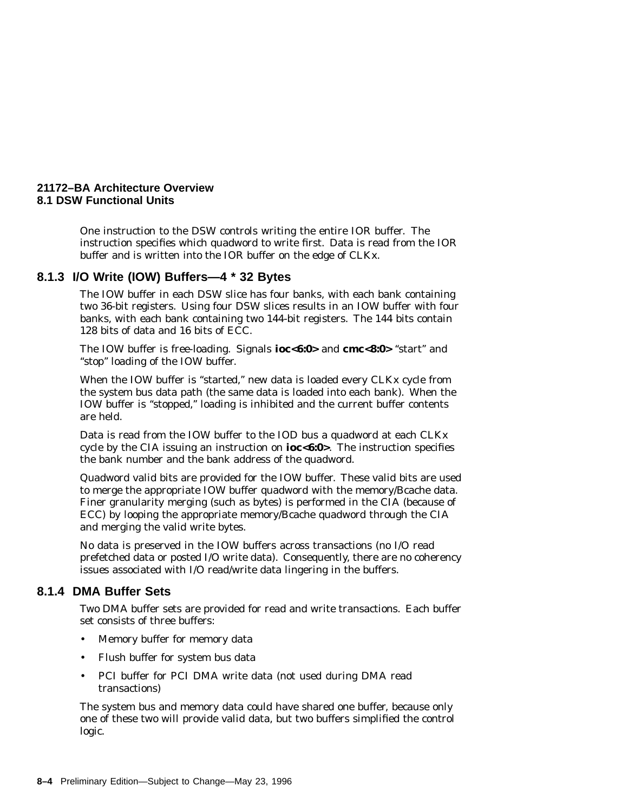One instruction to the DSW controls writing the entire IOR buffer. The instruction specifies which quadword to write first. Data is read from the IOR buffer and is written into the IOR buffer on the edge of CLKx.

#### **8.1.3 I/O Write (IOW) Buffers—4 \* 32 Bytes**

The IOW buffer in each DSW slice has four banks, with each bank containing two 36-bit registers. Using four DSW slices results in an IOW buffer with four banks, with each bank containing two 144-bit registers. The 144 bits contain 128 bits of data and 16 bits of ECC.

The IOW buffer is free-loading. Signals **ioc<6:0>** and **cmc<8:0>** "start" and ''stop'' loading of the IOW buffer.

When the IOW buffer is "started," new data is loaded every CLKx cycle from the system bus data path (the same data is loaded into each bank). When the IOW buffer is "stopped," loading is inhibited and the current buffer contents are held.

Data is read from the IOW buffer to the IOD bus a quadword at each CLKx cycle by the CIA issuing an instruction on **ioc<6:0>**. The instruction specifies the bank number and the bank address of the quadword.

Quadword valid bits are provided for the IOW buffer. These valid bits are used to merge the appropriate IOW buffer quadword with the memory/Bcache data. Finer granularity merging (such as bytes) is performed in the CIA (because of ECC) by looping the appropriate memory/Bcache quadword through the CIA and merging the valid write bytes.

No data is preserved in the IOW buffers across transactions (no I/O read prefetched data or posted I/O write data). Consequently, there are no coherency issues associated with I/O read/write data lingering in the buffers.

#### **8.1.4 DMA Buffer Sets**

Two DMA buffer sets are provided for read and write transactions. Each buffer set consists of three buffers:

- Memory buffer for memory data
- Flush buffer for system bus data
- PCI buffer for PCI DMA write data (not used during DMA read transactions)

The system bus and memory data could have shared one buffer, because only one of these two will provide valid data, but two buffers simplified the control logic.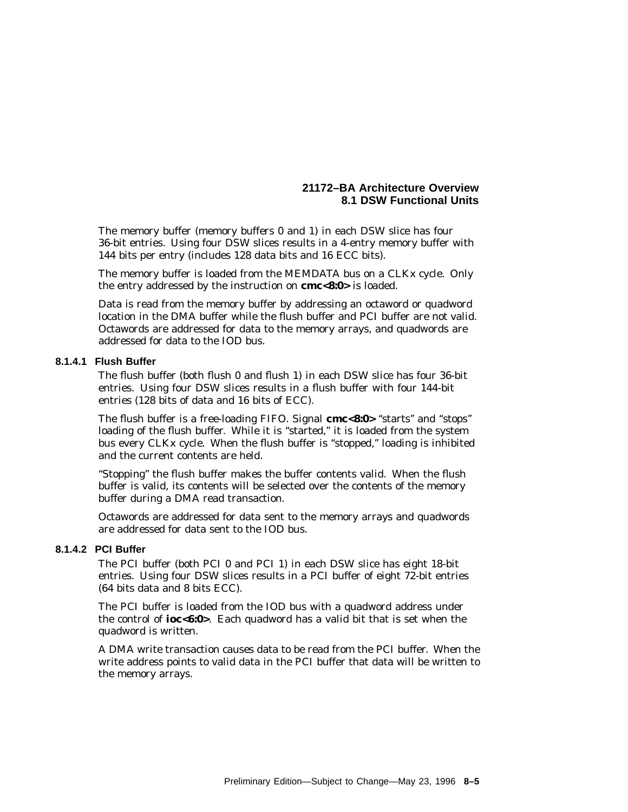The memory buffer (memory buffers 0 and 1) in each DSW slice has four 36-bit entries. Using four DSW slices results in a 4-entry memory buffer with 144 bits per entry (includes 128 data bits and 16 ECC bits).

The memory buffer is loaded from the MEMDATA bus on a CLKx cycle. Only the entry addressed by the instruction on **cmc<8:0>** is loaded.

Data is read from the memory buffer by addressing an octaword or quadword location in the DMA buffer while the flush buffer and PCI buffer are *not* valid. Octawords are addressed for data to the memory arrays, and quadwords are addressed for data to the IOD bus.

#### **8.1.4.1 Flush Buffer**

The flush buffer (both flush 0 and flush 1) in each DSW slice has four 36-bit entries. Using four DSW slices results in a flush buffer with four 144-bit entries (128 bits of data and 16 bits of ECC).

The flush buffer is a free-loading FIFO. Signal **cmc<8:0>** ''starts'' and ''stops'' loading of the flush buffer. While it is "started," it is loaded from the system bus every CLKx cycle. When the flush buffer is ''stopped,'' loading is inhibited and the current contents are held.

"Stopping" the flush buffer makes the buffer contents valid. When the flush buffer is valid, its contents will be selected over the contents of the memory buffer during a DMA read transaction.

Octawords are addressed for data sent to the memory arrays and quadwords are addressed for data sent to the IOD bus.

#### **8.1.4.2 PCI Buffer**

The PCI buffer (both PCI 0 and PCI 1) in each DSW slice has eight 18-bit entries. Using four DSW slices results in a PCI buffer of eight 72-bit entries (64 bits data and 8 bits ECC).

The PCI buffer is loaded from the IOD bus with a quadword address under the control of **ioc<6:0>**. Each quadword has a valid bit that is set when the quadword is written.

A DMA write transaction causes data to be read from the PCI buffer. When the write address points to valid data in the PCI buffer that data will be written to the memory arrays.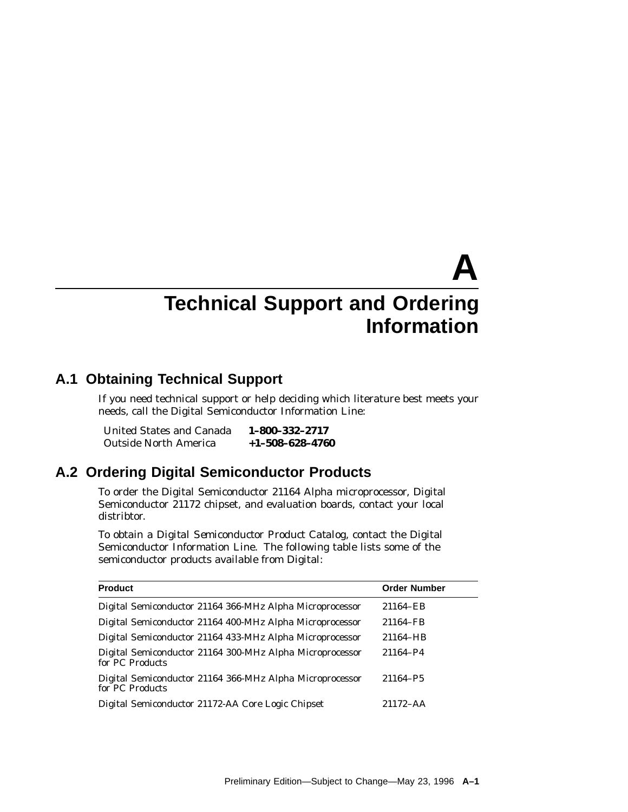# **A Technical Support and Ordering Information**

# **A.1 Obtaining Technical Support**

If you need technical support or help deciding which literature best meets your needs, call the Digital Semiconductor Information Line:

| United States and Canada     | 1-800-332-2717          |
|------------------------------|-------------------------|
| <b>Outside North America</b> | $+1 - 508 - 628 - 4760$ |

# **A.2 Ordering Digital Semiconductor Products**

To order the Digital Semiconductor 21164 Alpha microprocessor, Digital Semiconductor 21172 chipset, and evaluation boards, contact your local distribtor.

To obtain a *Digital Semiconductor Product Catalog*, contact the Digital Semiconductor Information Line. The following table lists some of the semiconductor products available from Digital:

| <b>Product</b>                                                              | <b>Order Number</b> |
|-----------------------------------------------------------------------------|---------------------|
| Digital Semiconductor 21164 366-MHz Alpha Microprocessor                    | 21164-EB            |
| Digital Semiconductor 21164 400-MHz Alpha Microprocessor                    | 21164-FB            |
| Digital Semiconductor 21164 433-MHz Alpha Microprocessor                    | 21164-HB            |
| Digital Semiconductor 21164 300-MHz Alpha Microprocessor<br>for PC Products | 21164-P4            |
| Digital Semiconductor 21164 366-MHz Alpha Microprocessor<br>for PC Products | 21164-P5            |
| Digital Semiconductor 21172-AA Core Logic Chipset                           | $21172 - AA$        |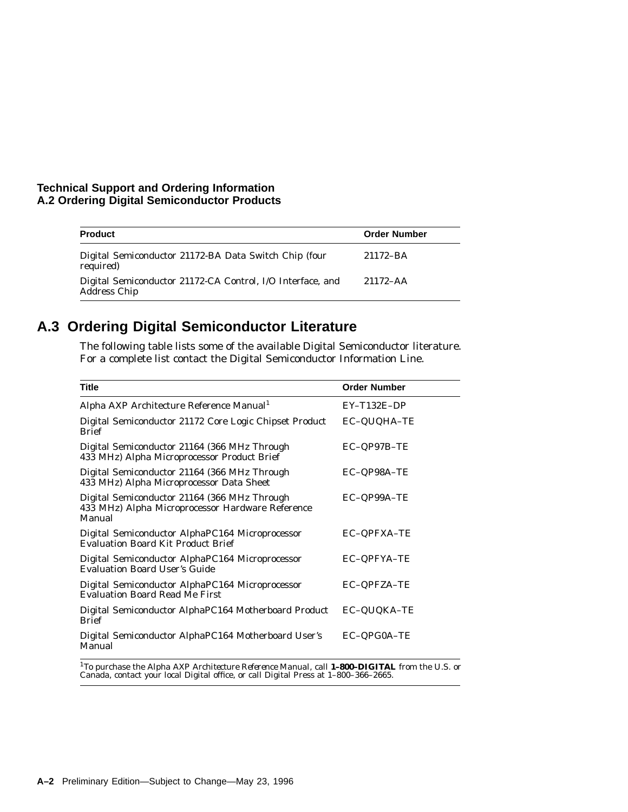#### **Technical Support and Ordering Information A.2 Ordering Digital Semiconductor Products**

| <b>Product</b>                                                                    | <b>Order Number</b> |
|-----------------------------------------------------------------------------------|---------------------|
| Digital Semiconductor 21172-BA Data Switch Chip (four<br>required)                | 21172-BA            |
| Digital Semiconductor 21172-CA Control, I/O Interface, and<br><b>Address Chip</b> | $21172 - AA$        |

# **A.3 Ordering Digital Semiconductor Literature**

The following table lists some of the available Digital Semiconductor literature. For a complete list contact the Digital Semiconductor Information Line.

| <b>Title</b>                                                                                               | <b>Order Number</b> |
|------------------------------------------------------------------------------------------------------------|---------------------|
| Alpha AXP Architecture Reference Manual <sup>1</sup>                                                       | $EY-T132E-DP$       |
| Digital Semiconductor 21172 Core Logic Chipset Product<br><b>Brief</b>                                     | EC-QUQHA-TE         |
| Digital Semiconductor 21164 (366 MHz Through<br>433 MHz) Alpha Microprocessor Product Brief                | EC-QP97B-TE         |
| Digital Semiconductor 21164 (366 MHz Through<br>433 MHz) Alpha Microprocessor Data Sheet                   | EC-QP98A-TE         |
| Digital Semiconductor 21164 (366 MHz Through<br>433 MHz) Alpha Microprocessor Hardware Reference<br>Manual | EC-QP99A-TE         |
| Digital Semiconductor AlphaPC164 Microprocessor<br><b>Evaluation Board Kit Product Brief</b>               | EC-QPFXA-TE         |
| Digital Semiconductor AlphaPC164 Microprocessor<br><b>Evaluation Board User's Guide</b>                    | EC-QPFYA-TE         |
| Digital Semiconductor AlphaPC164 Microprocessor<br><b>Evaluation Board Read Me First</b>                   | EC-QPFZA-TE         |
| Digital Semiconductor AlphaPC164 Motherboard Product<br><b>Brief</b>                                       | EC-QUQKA-TE         |
| Digital Semiconductor AlphaPC164 Motherboard User's<br>Manual                                              | EC-QPG0A-TE         |

<sup>1</sup>To purchase the *Alpha AXP Architecture Reference Manual*, call **1-800-DIGITAL** from the U.S. or<br>Canada, contact your local Digital office, or call Digital Press at 1-800-366-2665.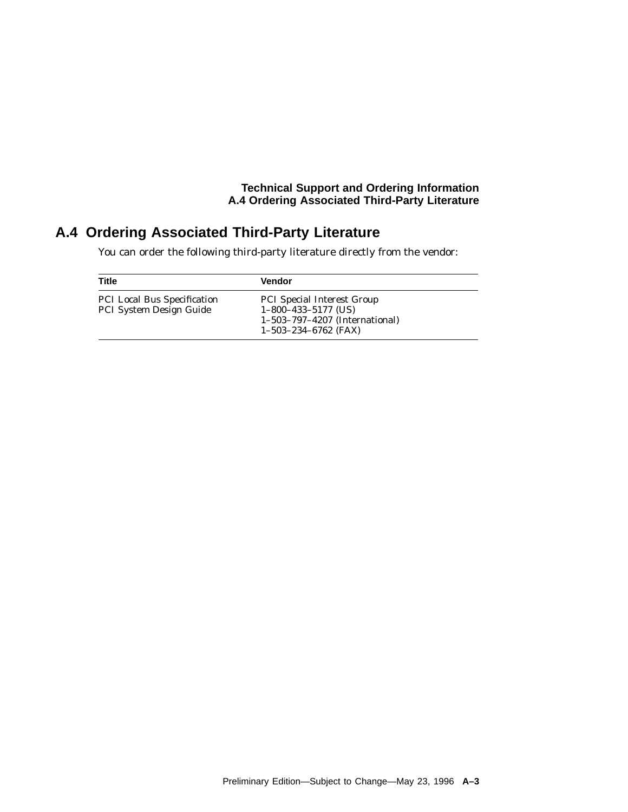#### **Technical Support and Ordering Information A.4 Ordering Associated Third-Party Literature**

# **A.4 Ordering Associated Third-Party Literature**

You can order the following third-party literature directly from the vendor:

| Title                                                         | <b>Vendor</b>                                                                                                          |
|---------------------------------------------------------------|------------------------------------------------------------------------------------------------------------------------|
| <b>PCI Local Bus Specification</b><br>PCI System Design Guide | <b>PCI</b> Special Interest Group<br>$1-800-433-5177$ (US)<br>1-503-797-4207 (International)<br>$1-503-234-6762$ (FAX) |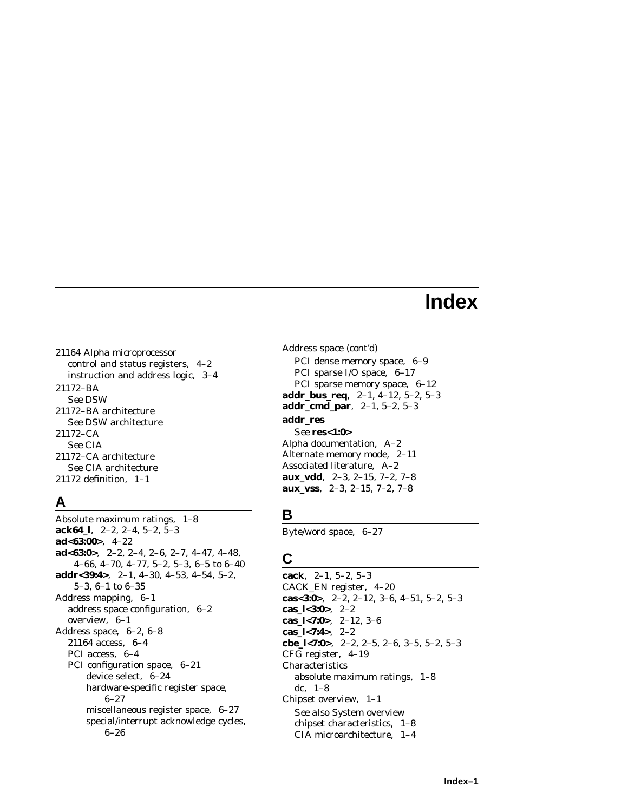# **Index**

21164 Alpha microprocessor control and status registers, 4–2 instruction and address logic, 3–4 21172–BA *See* DSW 21172–BA architecture *See* DSW architecture 21172–CA *See* CIA 21172–CA architecture *See* CIA architecture 21172 definition, 1–1

# **A**

Absolute maximum ratings, 1–8 **ack64\_l**, 2–2, 2–4, 5–2, 5–3 **ad<63:00>**, 4–22 **ad<63:0>**, 2–2, 2–4, 2–6, 2–7, 4–47, 4–48, 4–66, 4–70, 4–77, 5–2, 5–3, 6–5 to 6–40 **addr<39:4>**, 2–1, 4–30, 4–53, 4–54, 5–2, 5–3, 6–1 to 6–35 Address mapping, 6–1 address space configuration, 6–2 overview, 6–1 Address space, 6–2, 6–8 21164 access, 6–4 PCI access, 6–4 PCI configuration space, 6–21 device select, 6–24 hardware-specific register space, 6–27 miscellaneous register space, 6–27 special/interrupt acknowledge cycles, 6–26

Address space (cont'd) PCI dense memory space, 6–9 PCI sparse I/O space, 6–17 PCI sparse memory space, 6–12 **addr\_bus\_req**, 2–1, 4–12, 5–2, 5–3 **addr\_cmd\_par**, 2–1, 5–2, 5–3 **addr\_res** *See* **res<1:0>** Alpha documentation, A–2 Alternate memory mode, 2–11 Associated literature, A–2 **aux\_vdd**, 2–3, 2–15, 7–2, 7–8 **aux\_vss**, 2–3, 2–15, 7–2, 7–8

# **B**

Byte/word space, 6–27

# **C**

**cack**, 2–1, 5–2, 5–3 CACK\_EN register, 4–20 **cas<3:0>**, 2–2, 2–12, 3–6, 4–51, 5–2, 5–3 **cas\_l<3:0>**, 2–2 **cas\_l<7:0>**, 2–12, 3–6 **cas\_l<7:4>**, 2–2 **cbe\_l<7:0>**, 2–2, 2–5, 2–6, 3–5, 5–2, 5–3 CFG register, 4–19 Characteristics absolute maximum ratings, 1–8 dc, 1–8 Chipset overview, 1–1 *See also* System overview chipset characteristics, 1–8 CIA microarchitecture, 1–4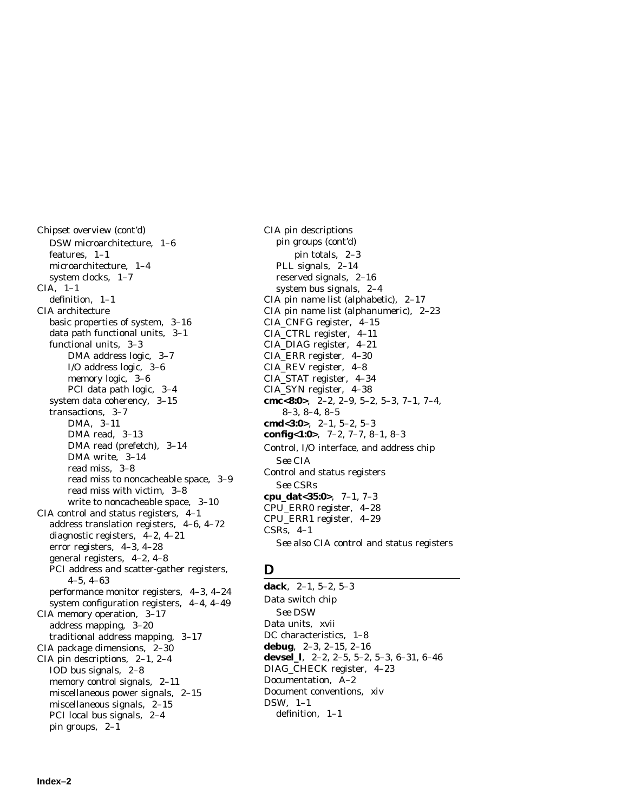Chipset overview (cont'd) DSW microarchitecture, 1–6 features, 1–1 microarchitecture, 1–4 system clocks, 1–7 CIA, 1–1 definition, 1–1 CIA architecture basic properties of system, 3–16 data path functional units, 3–1 functional units, 3–3 DMA address logic, 3–7 I/O address logic, 3–6 memory logic, 3–6 PCI data path logic, 3–4 system data coherency, 3–15 transactions, 3–7 DMA, 3–11 DMA read, 3–13 DMA read (prefetch), 3–14 DMA write, 3–14 read miss, 3–8 read miss to noncacheable space, 3–9 read miss with victim, 3–8 write to noncacheable space, 3–10 CIA control and status registers, 4–1 address translation registers, 4–6, 4–72 diagnostic registers, 4–2, 4–21 error registers, 4–3, 4–28 general registers, 4–2, 4–8 PCI address and scatter-gather registers, 4–5, 4–63 performance monitor registers, 4–3, 4–24 system configuration registers, 4–4, 4–49 CIA memory operation, 3–17 address mapping, 3–20 traditional address mapping, 3–17 CIA package dimensions, 2–30 CIA pin descriptions, 2–1, 2–4 IOD bus signals, 2–8 memory control signals, 2–11 miscellaneous power signals, 2–15 miscellaneous signals, 2–15 PCI local bus signals, 2–4 pin groups, 2–1

CIA pin descriptions pin groups (cont'd) pin totals, 2–3 PLL signals, 2–14 reserved signals, 2–16 system bus signals, 2–4 CIA pin name list (alphabetic), 2–17 CIA pin name list (alphanumeric), 2–23 CIA\_CNFG register, 4–15 CIA\_CTRL register, 4–11 CIA\_DIAG register, 4–21 CIA\_ERR register, 4–30 CIA\_REV register, 4–8 CIA\_STAT register, 4–34 CIA\_SYN register, 4–38 **cmc<8:0>**, 2–2, 2–9, 5–2, 5–3, 7–1, 7–4, 8–3, 8–4, 8–5 **cmd<3:0>**, 2–1, 5–2, 5–3 **config<1:0>**, 7–2, 7–7, 8–1, 8–3 Control, I/O interface, and address chip *See* CIA Control and status registers *See* CSRs **cpu\_dat<35:0>**, 7–1, 7–3 CPU\_ERR0 register, 4–28 CPU\_ERR1 register, 4–29 CSRs, 4–1 *See also* CIA control and status registers

# **D**

**dack**, 2–1, 5–2, 5–3 Data switch chip *See* DSW Data units, xvii DC characteristics, 1–8 **debug**, 2–3, 2–15, 2–16 **devsel\_l**, 2–2, 2–5, 5–2, 5–3, 6–31, 6–46 DIAG\_CHECK register, 4–23 Documentation, A–2 Document conventions, xiv DSW, 1–1 definition, 1–1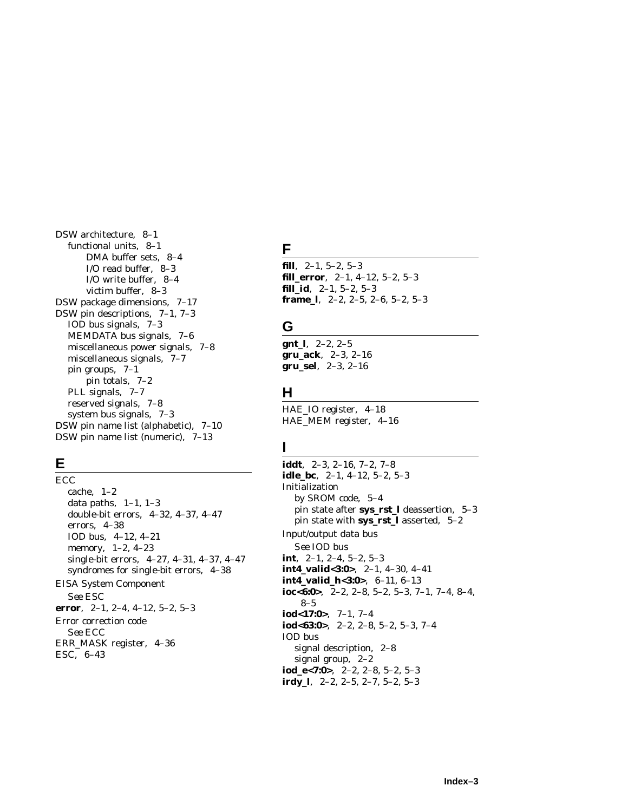DSW architecture, 8–1 functional units, 8–1 DMA buffer sets, 8–4 I/O read buffer, 8–3 I/O write buffer, 8–4 victim buffer, 8–3 DSW package dimensions, 7–17 DSW pin descriptions, 7–1, 7–3 IOD bus signals, 7–3 MEMDATA bus signals, 7–6 miscellaneous power signals, 7–8 miscellaneous signals, 7–7 pin groups, 7–1 pin totals, 7–2 PLL signals, 7–7 reserved signals, 7–8 system bus signals, 7–3 DSW pin name list (alphabetic), 7–10 DSW pin name list (numeric), 7–13

# **E**

ECC cache, 1–2 data paths,  $1-1$ ,  $1-3$ double-bit errors, 4–32, 4–37, 4–47 errors, 4–38 IOD bus, 4–12, 4–21 memory, 1–2, 4–23 single-bit errors, 4–27, 4–31, 4–37, 4–47 syndromes for single-bit errors, 4–38 EISA System Component *See* ESC **error**, 2–1, 2–4, 4–12, 5–2, 5–3 Error correction code *See* ECC ERR\_MASK register, 4–36 ESC, 6–43

# **F**

**fill**, 2–1, 5–2, 5–3 **fill\_error**, 2–1, 4–12, 5–2, 5–3 **fill\_id**, 2–1, 5–2, 5–3 **frame\_l**, 2–2, 2–5, 2–6, 5–2, 5–3

# **G**

**gnt\_l**, 2–2, 2–5 **gru\_ack**, 2–3, 2–16 **gru\_sel**, 2–3, 2–16

# **H**

HAE\_IO register, 4–18 HAE\_MEM register, 4–16

# **I**

**iddt**, 2–3, 2–16, 7–2, 7–8 **idle\_bc**, 2–1, 4–12, 5–2, 5–3 Initialization by SROM code, 5–4 pin state after **sys\_rst\_l** deassertion, 5–3 pin state with **sys\_rst\_l** asserted, 5–2 Input/output data bus *See* IOD bus **int**, 2–1, 2–4, 5–2, 5–3 **int4\_valid<3:0>**, 2–1, 4–30, 4–41 **int4\_valid\_h<3:0>**, 6–11, 6–13 **ioc<6:0>**, 2–2, 2–8, 5–2, 5–3, 7–1, 7–4, 8–4, 8–5 **iod<17:0>**, 7–1, 7–4 **iod<63:0>**, 2–2, 2–8, 5–2, 5–3, 7–4 IOD bus signal description, 2–8 signal group, 2–2 **iod\_e<7:0>**, 2–2, 2–8, 5–2, 5–3 **irdy\_l**, 2–2, 2–5, 2–7, 5–2, 5–3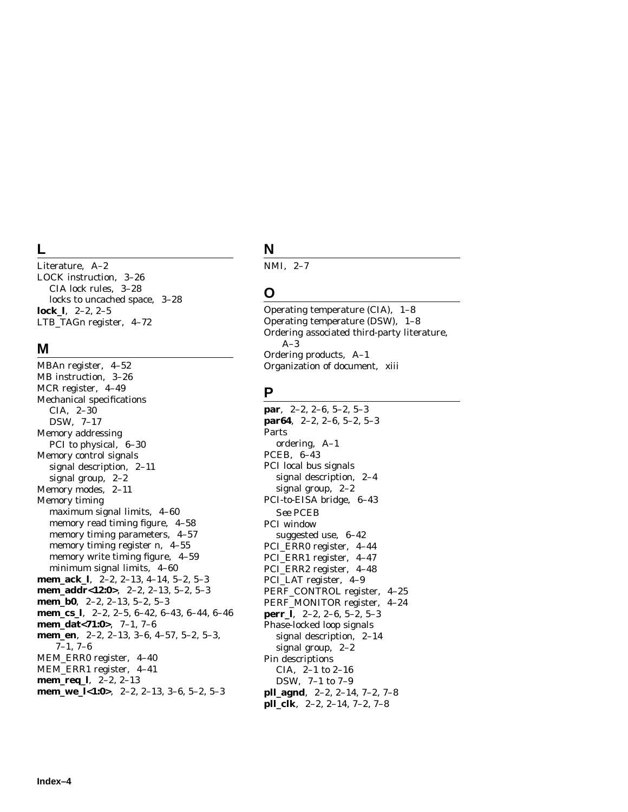# **L**

Literature, A–2 LOCK instruction, 3–26 CIA lock rules, 3–28 locks to uncached space, 3–28 **lock\_l**, 2–2, 2–5 LTB\_TAG*n* register, 4–72

#### **M**

MBA*n* register, 4–52 MB instruction, 3–26 MCR register, 4–49 Mechanical specifications CIA, 2–30 DSW, 7–17 Memory addressing PCI to physical, 6–30 Memory control signals signal description, 2–11 signal group, 2–2 Memory modes, 2–11 Memory timing maximum signal limits, 4–60 memory read timing figure, 4–58 memory timing parameters, 4–57 memory timing register *n*, 4–55 memory write timing figure, 4–59 minimum signal limits, 4–60 **mem\_ack\_l**, 2–2, 2–13, 4–14, 5–2, 5–3 **mem\_addr<12:0>**, 2–2, 2–13, 5–2, 5–3 **mem\_b0**, 2–2, 2–13, 5–2, 5–3 **mem\_cs\_l**, 2–2, 2–5, 6–42, 6–43, 6–44, 6–46 **mem\_dat<71:0>**, 7–1, 7–6 **mem\_en**, 2–2, 2–13, 3–6, 4–57, 5–2, 5–3, 7–1, 7–6 MEM\_ERR0 register, 4–40 MEM\_ERR1 register, 4–41 **mem\_req\_l**, 2–2, 2–13 **mem\_we\_l<1:0>**, 2–2, 2–13, 3–6, 5–2, 5–3

# **N**

NMI, 2–7

## **O**

Operating temperature (CIA), 1–8 Operating temperature (DSW), 1–8 Ordering associated third-party literature, A–3 Ordering products, A–1 Organization of document, xiii

## **P**

**par**, 2–2, 2–6, 5–2, 5–3 **par64**, 2–2, 2–6, 5–2, 5–3 Parts ordering, A–1 PCEB, 6–43 PCI local bus signals signal description, 2–4 signal group, 2–2 PCI-to-EISA bridge, 6–43 *See* PCEB PCI window suggested use, 6–42 PCI\_ERR0 register, 4–44 PCI\_ERR1 register, 4–47 PCI\_ERR2 register, 4–48 PCI\_LAT register, 4–9 PERF\_CONTROL register, 4–25 PERF\_MONITOR register, 4–24 **perr\_l**, 2–2, 2–6, 5–2, 5–3 Phase-locked loop signals signal description, 2–14 signal group, 2–2 Pin descriptions CIA, 2–1 to 2–16 DSW, 7–1 to 7–9 **pll\_agnd**, 2–2, 2–14, 7–2, 7–8 **pll\_clk**, 2–2, 2–14, 7–2, 7–8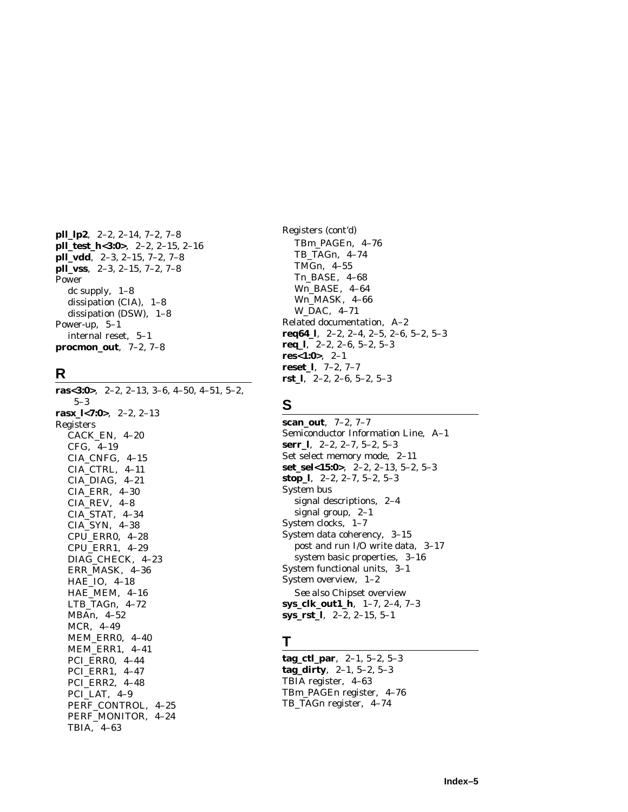**pll\_lp2**, 2–2, 2–14, 7–2, 7–8 **pll\_test\_h<3:0>**, 2–2, 2–15, 2–16 **pll\_vdd**, 2–3, 2–15, 7–2, 7–8 **pll\_vss**, 2–3, 2–15, 7–2, 7–8 Power dc supply, 1–8 dissipation (CIA), 1–8 dissipation (DSW), 1–8 Power-up, 5–1 internal reset, 5–1 **procmon\_out**, 7–2, 7–8

### **R**

**ras<3:0>**, 2–2, 2–13, 3–6, 4–50, 4–51, 5–2, 5–3 **ras***x***\_l<7:0>**, 2–2, 2–13 Registers CACK\_EN, 4–20 CFG, 4–19 CIA\_CNFG, 4–15 CIA\_CTRL, 4–11 CIA\_DIAG, 4–21 CIA\_ERR, 4–30 CIA\_REV, 4–8 CIA\_STAT, 4–34 CIA\_SYN, 4–38 CPU\_ERR0, 4–28 CPU\_ERR1, 4–29 DIAG\_CHECK, 4–23 ERR\_MASK, 4–36 HAE\_IO, 4–18 HAE\_MEM, 4–16 LTB\_TAG*n*, 4–72 MBA*n*, 4–52 MCR, 4–49 MEM\_ERR0, 4–40 MEM\_ERR1, 4–41 PCI\_ERR0, 4–44 PCI\_ERR1, 4–47 PCI\_ERR2, 4–48 PCI\_LAT, 4–9 PERF\_CONTROL, 4–25 PERF\_MONITOR, 4–24 TBIA, 4–63

Registers (cont'd) TB*m*\_PAGE*n*, 4–76 TB\_TAG*n*, 4–74 TMG*n*, 4–55 T*n*\_BASE, 4–68 W*n*\_BASE, 4–64 W*n*\_MASK, 4–66 W\_DAC, 4–71 Related documentation, A–2 **req64\_l**, 2–2, 2–4, 2–5, 2–6, 5–2, 5–3 **req\_l**, 2–2, 2–6, 5–2, 5–3 **res<1:0>**, 2–1 **reset\_l**, 7–2, 7–7 **rst\_l**, 2–2, 2–6, 5–2, 5–3

# **S**

**scan\_out**, 7–2, 7–7 Semiconductor Information Line, A–1 **serr\_l**, 2–2, 2–7, 5–2, 5–3 Set select memory mode, 2–11 **set\_sel<15:0>**, 2–2, 2–13, 5–2, 5–3 **stop\_l**, 2–2, 2–7, 5–2, 5–3 System bus signal descriptions, 2–4 signal group, 2–1 System clocks, 1–7 System data coherency, 3–15 post and run I/O write data, 3–17 system basic properties, 3–16 System functional units, 3–1 System overview, 1–2 *See also* Chipset overview **sys\_clk\_out1\_h**, 1–7, 2–4, 7–3 **sys\_rst\_l**, 2–2, 2–15, 5–1

## **T**

**tag\_ctl\_par**, 2–1, 5–2, 5–3 **tag\_dirty**, 2–1, 5–2, 5–3 TBIA register, 4–63 TB*m*\_PAGE*n* register, 4–76 TB\_TAG*n* register, 4–74